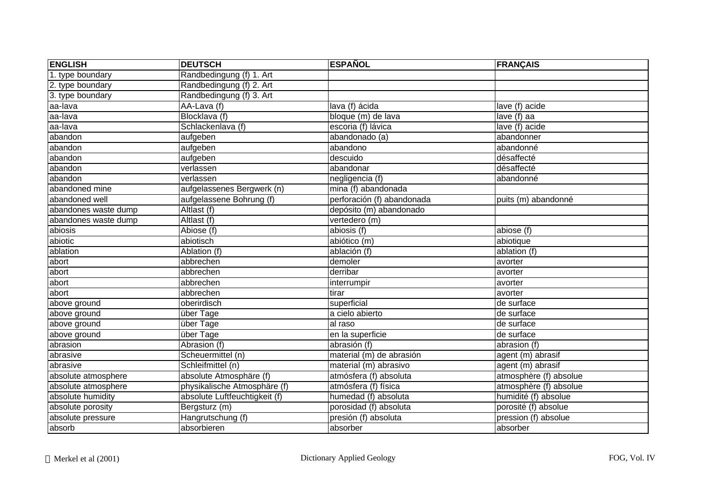| <b>ENGLISH</b>       | <b>DEUTSCH</b>                | <b>ESPAÑOL</b>             | <b>FRANÇAIS</b>        |
|----------------------|-------------------------------|----------------------------|------------------------|
| 1. type boundary     | Randbedingung (f) 1. Art      |                            |                        |
| 2. type boundary     | Randbedingung (f) 2. Art      |                            |                        |
| 3. type boundary     | Randbedingung (f) 3. Art      |                            |                        |
| aa-lava              | AA-Lava (f)                   | lava (f) ácida             | lave (f) acide         |
| aa-lava              | Blocklava (f)                 | bloque (m) de lava         | lave (f) aa            |
| aa-lava              | Schlackenlava (f)             | escoria (f) lávica         | $lave$ (f) acide       |
| abandon              | aufgeben                      | abandonado (a)             | abandonner             |
| abandon              | aufgeben                      | abandono                   | abandonné              |
| abandon              | aufgeben                      | descuido                   | désaffecté             |
| abandon              | verlassen                     | abandonar                  | désaffecté             |
| abandon              | verlassen                     | negligencia (f)            | abandonné              |
| abandoned mine       | aufgelassenes Bergwerk (n)    | mina (f) abandonada        |                        |
| abandoned well       | aufgelassene Bohrung (f)      | perforación (f) abandonada | puits (m) abandonné    |
| abandones waste dump | Altlast (f)                   | depósito (m) abandonado    |                        |
| abandones waste dump | Altlast (f)                   | vertedero (m)              |                        |
| abiosis              | Abiose (f)                    | abiosis (f)                | abiose (f)             |
| abiotic              | abiotisch                     | abiótico (m)               | abiotique              |
| ablation             | Ablation (f)                  | ablación (f)               | ablation (f)           |
| abort                | abbrechen                     | demoler                    | avorter                |
| abort                | abbrechen                     | derribar                   | avorter                |
| abort                | abbrechen                     | interrumpir                | avorter                |
| abort                | abbrechen                     | tirar                      | avorter                |
| above ground         | oberirdisch                   | superficial                | de surface             |
| above ground         | über Tage                     | a cielo abierto            | de surface             |
| above ground         | über Tage                     | al raso                    | de surface             |
| above ground         | über Tage                     | en la superficie           | de surface             |
| abrasion             | Abrasion (f)                  | abrasión (f)               | abrasion (f)           |
| abrasive             | Scheuermittel (n)             | material (m) de abrasión   | agent (m) abrasif      |
| abrasive             | Schleifmittel (n)             | material (m) abrasivo      | agent (m) abrasif      |
| absolute atmosphere  | absolute Atmosphäre (f)       | atmósfera (f) absoluta     | atmosphère (f) absolue |
| absolute atmosphere  | physikalische Atmosphäre (f)  | atmósfera (f) física       | atmosphère (f) absolue |
| absolute humidity    | absolute Luftfeuchtigkeit (f) | humedad (f) absoluta       | humidité (f) absolue   |
| absolute porosity    | Bergsturz (m)                 | porosidad (f) absoluta     | porosité (f) absolue   |
| absolute pressure    | Hangrutschung (f)             | presión (f) absoluta       | pression (f) absolue   |
| absorb               | absorbieren                   | absorber                   | absorber               |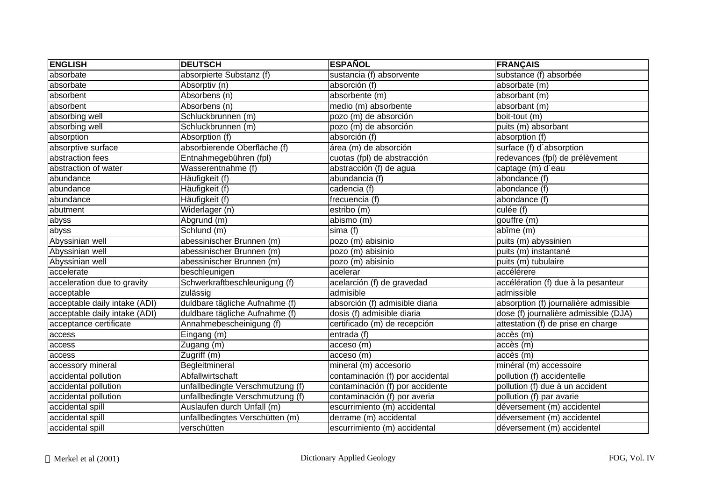| <b>ENGLISH</b>                | <b>DEUTSCH</b>                   | <b>ESPAÑOL</b>                   | <b>FRANÇAIS</b>                       |
|-------------------------------|----------------------------------|----------------------------------|---------------------------------------|
| absorbate                     | absorpierte Substanz (f)         | sustancia (f) absorvente         | substance (f) absorbée                |
| absorbate                     | Absorptiv (n)                    | absorción (f)                    | absorbate (m)                         |
| absorbent                     | Absorbens (n)                    | absorbente (m)                   | absorbant (m)                         |
| absorbent                     | Absorbens (n)                    | medio (m) absorbente             | absorbant (m)                         |
| absorbing well                | Schluckbrunnen (m)               | pozo (m) de absorción            | boit-tout (m)                         |
| absorbing well                | Schluckbrunnen (m)               | pozo (m) de absorción            | puits (m) absorbant                   |
| absorption                    | Absorption (f)                   | absorción (f)                    | absorption (f)                        |
| absorptive surface            | absorbierende Oberfläche (f)     | área (m) de absorción            | surface (f) d'absorption              |
| abstraction fees              | Entnahmegebühren (fpl)           | cuotas (fpl) de abstracción      | redevances (fpl) de prélèvement       |
| abstraction of water          | Wasserentnahme (f)               | abstracción (f) de agua          | captage (m) d'eau                     |
| abundance                     | Häufigkeit (f)                   | abundancia (f)                   | abondance (f)                         |
| abundance                     | Häufigkeit (f)                   | cadencia (f)                     | abondance (f)                         |
| abundance                     | Häufigkeit (f)                   | frecuencia (f)                   | abondance (f)                         |
| abutment                      | Widerlager (n)                   | estribo (m)                      | culée (f)                             |
| abyss                         | Abgrund (m)                      | abismo (m)                       | gouffre (m)                           |
| abyss                         | Schlund (m)                      | sima (f)                         | $ab$ îme $(m)$                        |
| Abyssinian well               | abessinischer Brunnen (m)        | pozo (m) abisinio                | puits (m) abyssinien                  |
| Abyssinian well               | abessinischer Brunnen (m)        | pozo (m) abisinio                | puits (m) instantané                  |
| Abyssinian well               | abessinischer Brunnen (m)        | pozo (m) abisinio                | puits (m) tubulaire                   |
| accelerate                    | beschleunigen                    | acelerar                         | accélérere                            |
| acceleration due to gravity   | Schwerkraftbeschleunigung (f)    | acelarción (f) de gravedad       | accélération (f) due à la pesanteur   |
| acceptable                    | zulässig                         | admisible                        | admissible                            |
| acceptable daily intake (ADI) | duldbare tägliche Aufnahme (f)   | absorción (f) admisible diaria   | absorption (f) journalière admissible |
| acceptable daily intake (ADI) | duldbare tägliche Aufnahme (f)   | dosis (f) admisible diaria       | dose (f) journalière admissible (DJA) |
| acceptance certificate        | Annahmebescheinigung (f)         | certificado (m) de recepción     | attestation (f) de prise en charge    |
| access                        | Eingang (m)                      | entrada (f)                      | accès (m)                             |
| access                        | Zugang (m)                       | acceso (m)                       | accès (m)                             |
| access                        | Zugriff (m)                      | acceso (m)                       | accès (m)                             |
| accessory mineral             | Begleitmineral                   | mineral (m) accesorio            | minéral (m) accessoire                |
| accidental pollution          | Abfallwirtschaft                 | contaminación (f) por accidental | pollution (f) accidentelle            |
| accidental pollution          | unfallbedingte Verschmutzung (f) | contaminación (f) por accidente  | pollution (f) due à un accident       |
| accidental pollution          | unfallbedingte Verschmutzung (f) | contaminación (f) por averia     | pollution (f) par avarie              |
| accidental spill              | Auslaufen durch Unfall (m)       | escurrimiento (m) accidental     | déversement (m) accidentel            |
| accidental spill              | unfallbedingtes Verschütten (m)  | derrame (m) accidental           | déversement (m) accidentel            |
| accidental spill              | verschütten                      | escurrimiento (m) accidental     | déversement (m) accidentel            |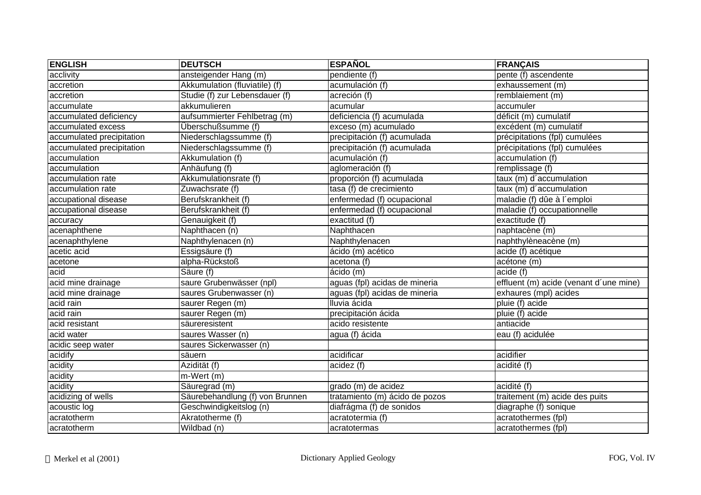| <b>ENGLISH</b>            | <b>DEUTSCH</b>                  | <b>ESPAÑOL</b>                 | <b>FRANÇAIS</b>                        |
|---------------------------|---------------------------------|--------------------------------|----------------------------------------|
| acclivity                 | ansteigender Hang (m)           | pendiente (f)                  | pente (f) ascendente                   |
| accretion                 | Akkumulation (fluviatile) (f)   | acumulación (f)                | exhaussement (m)                       |
| accretion                 | Studie (f) zur Lebensdauer (f)  | acreción (f)                   | remblaiement (m)                       |
| accumulate                | akkumulieren                    | acumular                       | accumuler                              |
| accumulated deficiency    | aufsummierter Fehlbetrag (m)    | deficiencia (f) acumulada      | déficit (m) cumulatif                  |
| accumulated excess        | Überschußsumme (f)              | exceso (m) acumulado           | excédent (m) cumulatif                 |
| accumulated precipitation | Niederschlagssumme (f)          | precipitación (f) acumulada    | précipitations (fpl) cumulées          |
| accumulated precipitation | Niederschlagssumme (f)          | precipitación (f) acumulada    | précipitations (fpl) cumulées          |
| accumulation              | Akkumulation (f)                | acumulación (f)                | accumulation (f)                       |
| accumulation              | Anhäufung (f)                   | aglomeración (f)               | remplissage (f)                        |
| accumulation rate         | Akkumulationsrate (f)           | proporción (f) acumulada       | taux (m) d'accumulation                |
| accumulation rate         | Zuwachsrate (f)                 | tasa (f) de crecimiento        | taux (m) d'accumulation                |
| accupational disease      | Berufskrankheit (f)             | enfermedad (f) ocupacional     | maladie (f) dûe à l'emploi             |
| accupational disease      | Berufskrankheit (f)             | enfermedad (f) ocupacional     | maladie (f) occupationnelle            |
| accuracy                  | Genauigkeit (f)                 | exactitud (f)                  | exactitude (f)                         |
| acenaphthene              | Naphthacen (n)                  | Naphthacen                     | naphtacène (m)                         |
| acenaphthylene            | Naphthylenacen (n)              | Naphthylenacen                 | naphthylèneacène (m)                   |
| acetic acid               | Essigsäure (f)                  | ácido (m) acético              | acide (f) acétique                     |
| acetone                   | alpha-Rückstoß                  | acetona (f)                    | acétone(m)                             |
| acid                      | Säure (f)                       | ácido (m)                      | acide (f)                              |
| acid mine drainage        | saure Grubenwässer (npl)        | aguas (fpl) acidas de mineria  | effluent (m) acide (venant d'une mine) |
| acid mine drainage        | saures Grubenwasser (n)         | aguas (fpl) acidas de mineria  | exhaures (mpl) acides                  |
| acid rain                 | saurer Regen (m)                | Iluvia ácida                   | pluie (f) acide                        |
| acid rain                 | saurer Regen (m)                | precipitación ácida            | pluie (f) acide                        |
| acid resistant            | säureresistent                  | acido resistente               | antiacide                              |
| acid water                | saures Wasser (n)               | agua (f) ácida                 | eau (f) acidulée                       |
| acidic seep water         | saures Sickerwasser (n)         |                                |                                        |
| acidify                   | säuern                          | acidificar                     | acidifier                              |
| acidity                   | Azidität (f)                    | acidez (f)                     | acidité (f)                            |
| acidity                   | $m-Wert(m)$                     |                                |                                        |
| acidity                   | Säuregrad (m)                   | grado (m) de acidez            | acidité (f)                            |
| acidizing of wells        | Säurebehandlung (f) von Brunnen | tratamiento (m) ácido de pozos | traitement (m) acide des puits         |
| acoustic log              | Geschwindigkeitslog (n)         | diafrágma (f) de sonidos       | diagraphe (f) sonique                  |
| acratotherm               | Akratotherme (f)                | acratotermia (f)               | acratothermes (fpl)                    |
| acratotherm               | Wildbad (n)                     | acratotermas                   | acratothermes (fpl)                    |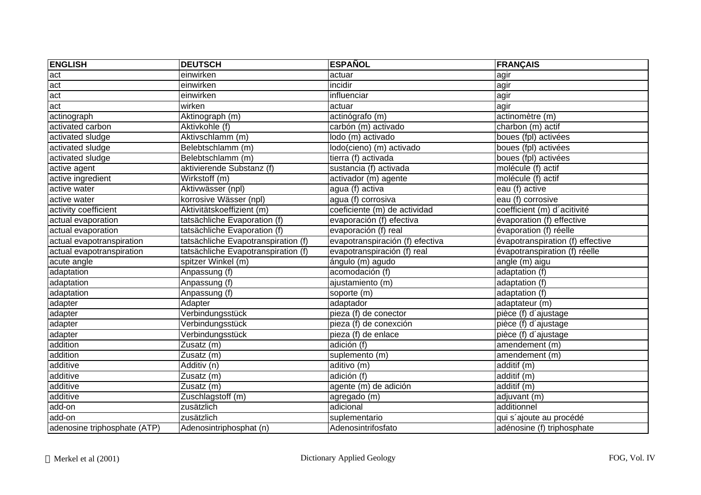| <b>ENGLISH</b>               | <b>DEUTSCH</b>                      | <b>ESPAÑOL</b>                  | <b>FRANÇAIS</b>                  |
|------------------------------|-------------------------------------|---------------------------------|----------------------------------|
| act                          | einwirken                           | actuar                          | agir                             |
| act                          | einwirken                           | incidir                         | agir                             |
| act                          | einwirken                           | influenciar                     | agir                             |
| act                          | wirken                              | actuar                          | agir                             |
| actinograph                  | Aktinograph (m)                     | actinógrafo (m)                 | actinomètre (m)                  |
| activated carbon             | Aktivkohle (f)                      | carbón (m) activado             | charbon (m) actif                |
| activated sludge             | Aktivschlamm (m)                    | lodo (m) activado               | boues (fpl) activées             |
| activated sludge             | Belebtschlamm (m)                   | lodo(cieno) (m) activado        | boues (fpl) activées             |
| activated sludge             | Belebtschlamm (m)                   | tierra (f) activada             | boues (fpl) activées             |
| active agent                 | aktivierende Substanz (f)           | sustancia (f) activada          | molécule (f) actif               |
| active ingredient            | Wirkstoff (m)                       | activador (m) agente            | molécule (f) actif               |
| active water                 | Aktivwässer (npl)                   | agua (f) activa                 | eau (f) active                   |
| active water                 | korrosive Wässer (npl)              | agua (f) corrosiva              | eau (f) corrosive                |
| activity coefficient         | Aktivitätskoeffizient (m)           | coeficiente (m) de actividad    | coefficient (m) d'acitivité      |
| actual evaporation           | tatsächliche Evaporation (f)        | evaporación (f) efectiva        | évaporation (f) effective        |
| actual evaporation           | tatsächliche Evaporation (f)        | evaporación (f) real            | évaporation (f) réelle           |
| actual evapotranspiration    | tatsächliche Evapotranspiration (f) | evapotranspiración (f) efectiva | évapotranspiration (f) effective |
| actual evapotranspiration    | tatsächliche Evapotranspiration (f) | evapotranspiración (f) real     | évapotranspiration (f) réelle    |
| acute angle                  | spitzer Winkel (m)                  | ángulo (m) agudo                | $angle (m)$ aigu                 |
| adaptation                   | Anpassung (f)                       | acomodación (f)                 | adaptation (f)                   |
| adaptation                   | Anpassung (f)                       | ajustamiento (m)                | adaptation (f)                   |
| adaptation                   | Anpassung (f)                       | soporte (m)                     | adaptation (f)                   |
| adapter                      | Adapter                             | adaptador                       | adaptateur (m)                   |
| adapter                      | Verbindungsstück                    | pieza (f) de conector           | pièce (f) d'ajustage             |
| adapter                      | Verbindungsstück                    | pieza (f) de conexción          | pièce (f) d'ajustage             |
| adapter                      | Verbindungsstück                    | pieza (f) de enlace             | pièce (f) d'ajustage             |
| addition                     | Zusatz (m)                          | adición $(f)$                   | amendement (m)                   |
| addition                     | Zusatz (m)                          | suplemento (m)                  | amendement (m)                   |
| additive                     | Additiv (n)                         | aditivo (m)                     | additif (m)                      |
| additive                     | $\overline{Z}$ usatz (m)            | adición (f)                     | additif (m)                      |
| additive                     | Zusatz (m)                          | agente (m) de adición           | additif (m)                      |
| additive                     | Zuschlagstoff (m)                   | agregado (m)                    | adjuvant (m)                     |
| add-on                       | zusätzlich                          | adicional                       | additionnel                      |
| add-on                       | zusätzlich                          | suplementario                   | qui s'ajoute au procédé          |
| adenosine triphosphate (ATP) | Adenosintriphosphat (n)             | Adenosintrifosfato              | adénosine (f) triphosphate       |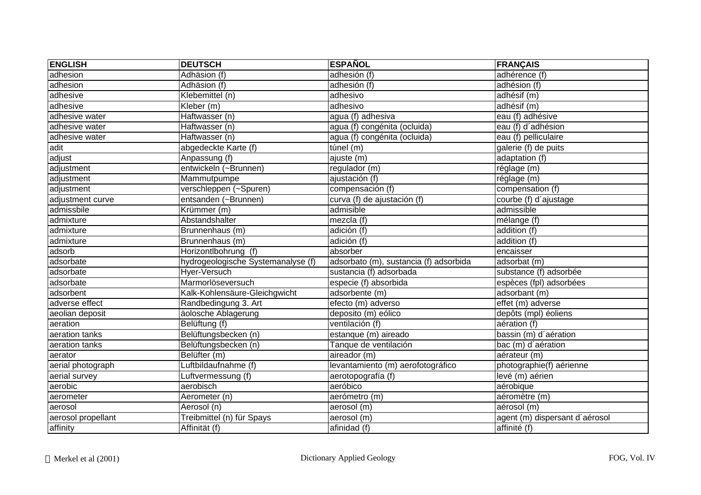| <b>ENGLISH</b>     | <b>DEUTSCH</b>                     | <b>ESPAÑOL</b>                         | <b>FRANÇAIS</b>                |
|--------------------|------------------------------------|----------------------------------------|--------------------------------|
| adhesion           | Adhäsion (f)                       | adhesión (f)                           | adhérence (f)                  |
| adhesion           | Adhäsion (f)                       | adhesión (f)                           | adhésion (f)                   |
| adhesive           | Klebemittel (n)                    | adhesivo                               | adhésif (m)                    |
| adhesive           | Kleber (m)                         | adhesivo                               | adhésif (m)                    |
| adhesive water     | Haftwasser (n)                     | agua (f) adhesiva                      | eau (f) adhésive               |
| adhesive water     | Haftwasser (n)                     | agua (f) congénita (ocluida)           | eau (f) d'adhésion             |
| adhesive water     | Haftwasser (n)                     | agua (f) congénita (ocluida)           | eau (f) pelliculaire           |
| adit               | abgedeckte Karte (f)               | $t$ únel (m)                           | galerie (f) de puits           |
| adjust             | Anpassung (f)                      | ajuste (m)                             | adaptation (f)                 |
| adjustment         | entwickeln (~Brunnen)              | regulador (m)                          | réglage (m)                    |
| adjustment         | Mammutpumpe                        | ajustación (f)                         | réglage (m)                    |
| adjustment         | verschleppen (~Spuren)             | compensación (f)                       | compensation (f)               |
| adjustment curve   | entsanden (~Brunnen)               | curva (f) de ajustación (f)            | courbe (f) d'ajustage          |
| admissbile         | Krümmer (m)                        | admisible                              | admissible                     |
| admixture          | Abstandshalter                     | mezcla (f)                             | mélange (f)                    |
| admixture          | Brunnenhaus (m)                    | adición (f)                            | addition (f)                   |
| admixture          | Brunnenhaus (m)                    | adición (f)                            | addition (f)                   |
| adsorb             | Horizontlbohrung (f)               | absorber                               | encaisser                      |
| adsorbate          | hydrogeologische Systemanalyse (f) | adsorbato (m), sustancia (f) adsorbida | adsorbat (m)                   |
| adsorbate          | Hyer-Versuch                       | sustancia (f) adsorbada                | substance (f) adsorbée         |
| adsorbate          | Marmorlöseversuch                  | especie (f) absorbida                  | espèces (fpl) adsorbées        |
| adsorbent          | Kalk-Kohlensäure-Gleichgwicht      | adsorbente (m)                         | adsorbant (m)                  |
| adverse effect     | Randbedingung 3. Art               | efecto (m) adverso                     | effet (m) adverse              |
| aeolian deposit    | äolosche Ablagerung                | deposito (m) eólico                    | depôts (mpl) éoliens           |
| aeration           | Belüftung (f)                      | ventilación (f)                        | aération (f)                   |
| aeration tanks     | Belüftungsbecken (n)               | estanque (m) aireado                   | bassin (m) d'aération          |
| aeration tanks     | Belüftungsbecken (n)               | Tanque de ventilación                  | bac (m) d'aération             |
| aerator            | Belüfter (m)                       | aireador (m)                           | aérateur (m)                   |
| aerial photograph  | Luftbildaufnahme (f)               | levantamiento (m) aerofotográfico      | photographie(f) aérienne       |
| aerial survey      | Luftvermessung (f)                 | aerotopografía (f)                     | levé (m) aérien                |
| aerobic            | aerobisch                          | aeróbico                               | aérobique                      |
| aerometer          | Aerometer (n)                      | aerómetro (m)                          | aéromètre (m)                  |
| aerosol            | Aerosol (n)                        | aerosol (m)                            | aérosol (m)                    |
| aerosol propellant | Treibmittel (n) für Spays          | aerosol (m)                            | agent (m) dispersant d'aérosol |
| affinity           | Affinität (f)                      | afinidad (f)                           | affinité (f)                   |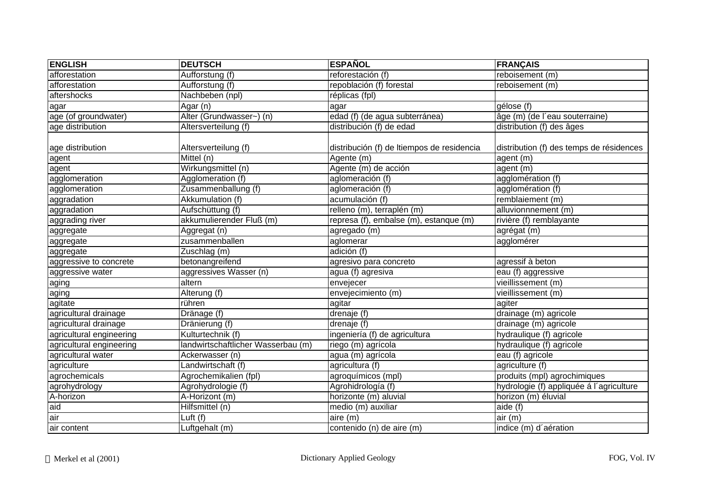| <b>ENGLISH</b>           | <b>DEUTSCH</b>                     | <b>ESPAÑOL</b>                             | <b>FRANÇAIS</b>                          |
|--------------------------|------------------------------------|--------------------------------------------|------------------------------------------|
| afforestation            | Aufforstung (f)                    | reforestación (f)                          | reboisement (m)                          |
| afforestation            | Aufforstung (f)                    | repoblación (f) forestal                   | reboisement (m)                          |
| aftershocks              | Nachbeben (npl)                    | réplicas (fpl)                             |                                          |
| agar                     | Agar (n)                           | agar                                       | gélose (f)                               |
| age (of groundwater)     | Alter (Grundwasser~) (n)           | edad (f) (de agua subterránea)             | âge (m) (de l'eau souterraine)           |
| age distribution         | Altersverteilung (f)               | distribución (f) de edad                   | distribution (f) des âges                |
|                          |                                    |                                            |                                          |
| age distribution         | Altersverteilung (f)               | distribución (f) de Itiempos de residencia | distribution (f) des temps de résidences |
| agent                    | Mittel (n)                         | Agente (m)                                 | agent (m)                                |
| agent                    | Wirkungsmittel (n)                 | Agente (m) de acción                       | agent (m)                                |
| agglomeration            | Agglomeration (f)                  | aglomeración (f)                           | agglomération (f)                        |
| agglomeration            | Zusammenballung (f)                | aglomeración (f)                           | agglomération (f)                        |
| aggradation              | Akkumulation (f)                   | acumulación (f)                            | remblaiement (m)                         |
| aggradation              | Aufschüttung (f)                   | relleno (m), terraplén (m)                 | alluvionnnement (m)                      |
| aggrading river          | akkumulierender Fluß (m)           | represa (f), embalse (m), estanque (m)     | rivière (f) remblayante                  |
| aggregate                | Aggregat (n)                       | agregado (m)                               | agrégat (m)                              |
| aggregate                | zusammenballen                     | aglomerar                                  | agglomérer                               |
| aggregate                | Zuschlag (m)                       | adición (f)                                |                                          |
| aggressive to concrete   | betonangreifend                    | agresivo para concreto                     | agressif à beton                         |
| aggressive water         | aggressives Wasser (n)             | agua (f) agresiva                          | eau (f) aggressive                       |
| aging                    | altern                             | envejecer                                  | vieillissement (m)                       |
| aging                    | Alterung (f)                       | envejecimiento (m)                         | vieillissement (m)                       |
| agitate                  | rühren                             | agitar                                     | agiter                                   |
| agricultural drainage    | Dränage (f)                        | drenaje (f)                                | drainage (m) agricole                    |
| agricultural drainage    | Dränierung (f)                     | drenaje (f)                                | drainage (m) agricole                    |
| agricultural engineering | Kulturtechnik (f)                  | ingeniería (f) de agricultura              | hydraulique (f) agricole                 |
| agricultural engineering | landwirtschaftlicher Wasserbau (m) | riego (m) agrícola                         | hydraulique (f) agricole                 |
| agricultural water       | Ackerwasser (n)                    | agua (m) agrícola                          | eau (f) agricole                         |
| agriculture              | Landwirtschaft (f)                 | agricultura (f)                            | agriculture (f)                          |
| agrochemicals            | Agrochemikalien (fpl)              | agroquímicos (mpl)                         | produits (mpl) agrochimiques             |
| agrohydrology            | Agrohydrologie (f)                 | Agrohidrología (f)                         | hydrologie (f) appliquée á l'agriculture |
| A-horizon                | A-Horizont (m)                     | horizonte (m) aluvial                      | horizon (m) éluvial                      |
| aid                      | Hilfsmittel (n)                    | medio (m) auxiliar                         | aide (f)                                 |
| air                      | Luft (f)                           | aire (m)                                   | air (m)                                  |
| air content              | Luftgehalt (m)                     | contenido (n) de aire (m)                  | indice (m) d'aération                    |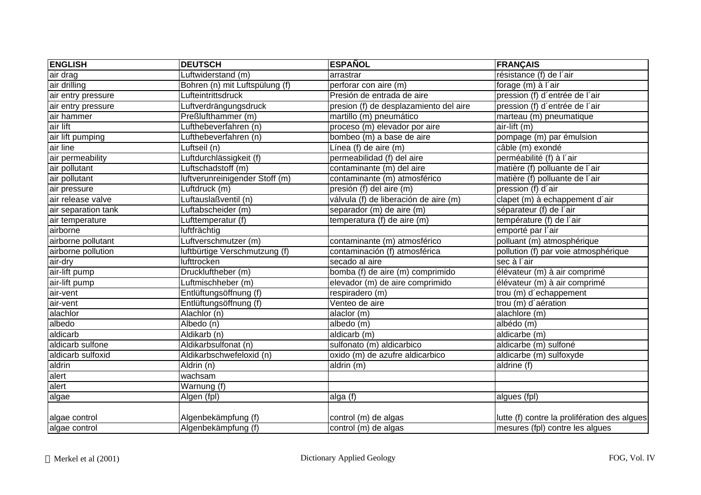| <b>ENGLISH</b>      | <b>DEUTSCH</b>                 | <b>ESPAÑOL</b>                         | <b>FRANÇAIS</b>                              |
|---------------------|--------------------------------|----------------------------------------|----------------------------------------------|
| air drag            | Luftwiderstand (m)             | arrastrar                              | résistance (f) de l'air                      |
| air drilling        | Bohren (n) mit Luftspülung (f) | perforar con aire (m)                  | forage (m) à l'air                           |
| air entry pressure  | Lufteintrittsdruck             | Presión de entrada de aire             | pression (f) d'entrée de l'air               |
| air entry pressure  | Luftverdrängungsdruck          | presion (f) de desplazamiento del aire | pression (f) d'entrée de l'air               |
| air hammer          | Preßlufthammer (m)             | martillo (m) pneumático                | marteau (m) pneumatique                      |
| air lift            | Lufthebeverfahren (n)          | proceso (m) elevador por aire          | air-lift (m)                                 |
| air lift pumping    | Lufthebeverfahren (n)          | bombeo (m) a base de aire              | pompage (m) par émulsion                     |
| air line            | Luftseil (n)                   | Línea (f) de aire (m)                  | câble (m) exondé                             |
| air permeability    | Luftdurchlässigkeit (f)        | permeabilidad (f) del aire             | perméabilité (f) à l'air                     |
| air pollutant       | Luftschadstoff (m)             | contaminante (m) del aire              | matière (f) polluante de l'air               |
| air pollutant       | luftverunreinigender Stoff (m) | contaminante (m) atmosférico           | matière (f) polluante de l'air               |
| air pressure        | Luftdruck (m)                  | presión (f) del aire (m)               | pression (f) d'air                           |
| air release valve   | Luftauslaßventil (n)           | válvula (f) de liberación de aire (m)  | clapet (m) à echappement d'air               |
| air separation tank | _uftabscheider (m)             | separador (m) de aire (m)              | séparateur (f) de l'air                      |
| air temperature     | Lufttemperatur (f)             | temperatura (f) de aire (m)            | température (f) de l'air                     |
| airborne            | luftfrächtig                   |                                        | emporté par l'air                            |
| airborne pollutant  | Luftverschmutzer (m)           | contaminante (m) atmosférico           | polluant (m) atmosphérique                   |
| airborne pollution  | luftbürtige Verschmutzung (f)  | contaminación (f) atmosférica          | pollution (f) par voie atmosphérique         |
| air-dry             | lufttrocken                    | secado al aire                         | sec à l'air                                  |
| air-lift pump       | Druckluftheber (m)             | bomba (f) de aire (m) comprimido       | élévateur (m) à air comprimé                 |
| air-lift pump       | Luftmischheber (m)             | elevador (m) de aire comprimido        | élévateur (m) à air comprimé                 |
| air-vent            | Entlüftungsöffnung (f)         | respiradero (m)                        | trou (m) d'echappement                       |
| air-vent            | Entlüftungsöffnung (f)         | Venteo de aire                         | trou (m) d'aération                          |
| alachlor            | Alachlor (n)                   | alaclor (m)                            | alachlore (m)                                |
| albedo              | Albedo (n)                     | albedo (m)                             | albédo(m)                                    |
| aldicarb            | Aldikarb (n)                   | aldicarb (m)                           | aldicarbe (m)                                |
| aldicarb sulfone    | Aldikarbsulfonat (n)           | sulfonato (m) aldicarbico              | aldicarbe (m) sulfoné                        |
| aldicarb sulfoxid   | Aldikarbschwefeloxid (n)       | oxido (m) de azufre aldicarbico        | aldicarbe (m) sulfoxyde                      |
| aldrin              | Aldrin (n)                     | aldrin (m)                             | aldrine (f)                                  |
| alert               | wachsam                        |                                        |                                              |
| alert               | Warnung (f)                    |                                        |                                              |
| algae               | Algen (fpl)                    | alga (f)                               | algues (fpl)                                 |
| algae control       | Algenbekämpfung (f)            | control (m) de algas                   | lutte (f) contre la prolifération des algues |
| algae control       | Algenbekämpfung (f)            | control (m) de algas                   | mesures (fpl) contre les algues              |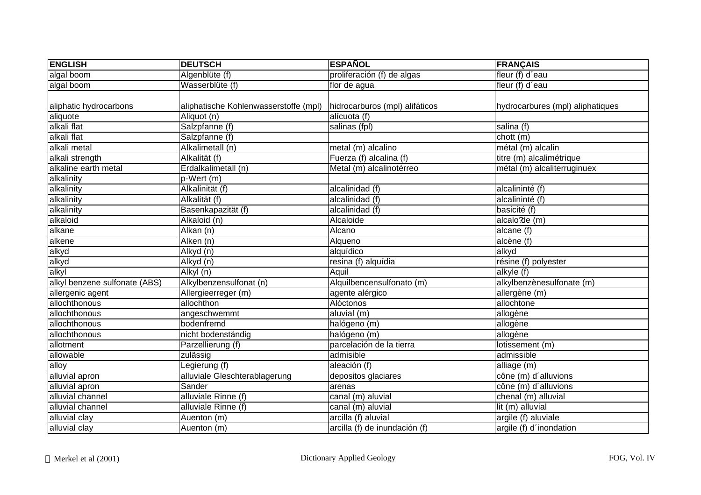| <b>ENGLISH</b>                | <b>DEUTSCH</b>                        | <b>ESPAÑOL</b>                 | <b>FRANÇAIS</b>                  |
|-------------------------------|---------------------------------------|--------------------------------|----------------------------------|
| algal boom                    | Algenblüte (f)                        | proliferación (f) de algas     | fleur (f) d'eau                  |
| algal boom                    | Wasserblüte (f)                       | flor de agua                   | fleur (f) d'eau                  |
|                               |                                       |                                |                                  |
| aliphatic hydrocarbons        | aliphatische Kohlenwasserstoffe (mpl) | hidrocarburos (mpl) alifáticos | hydrocarbures (mpl) aliphatiques |
| aliquote                      | Aliquot (n)                           | alícuota (f)                   |                                  |
| alkali flat                   | Salzpfanne (f)                        | salinas (fpl)                  | salina (f)                       |
| alkali flat                   | Salzpfanne (f)                        |                                | chott (m)                        |
| alkali metal                  | Alkalimetall (n)                      | metal (m) alcalino             | métal (m) alcalin                |
| alkali strength               | Alkalität (f)                         | Fuerza (f) alcalina (f)        | titre (m) alcalimétrique         |
| alkaline earth metal          | Erdalkalimetall (n)                   | Metal (m) alcalinotérreo       | métal (m) alcaliterruginuex      |
| alkalinity                    | $p-Wert$ (m)                          |                                |                                  |
| alkalinity                    | Alkalinität (f)                       | alcalinidad (f)                | alcalininté (f)                  |
| alkalinity                    | Alkalität (f)                         | alcalinidad (f)                | alcalininté (f)                  |
| alkalinity                    | Basenkapazität (f)                    | alcalinidad (f)                | basicité (f)                     |
| alkaloid                      | Alkaloid (n)                          | Alcaloide                      | alcalo'de (m)                    |
| alkane                        | Alkan (n)                             | Alcano                         | $alcane$ (f)                     |
| alkene                        | Alken (n)                             | Alqueno                        | alcène (f)                       |
| alkyd                         | Alkyd (n)                             | alquídico                      | alkyd                            |
| alkyd                         | Alkyd (n)                             | resina (f) alquídia            | résine (f) polyester             |
| alkyl                         | $\overline{Alkyl(n)}$                 | Aquil                          | alkyle (f)                       |
| alkyl benzene sulfonate (ABS) | Alkylbenzensulfonat (n)               | Alquilbencensulfonato (m)      | alkylbenzènesulfonate (m)        |
| allergenic agent              | Allergieerreger (m)                   | agente alérgico                | allergène (m)                    |
| allochthonous                 | allochthon                            | Alóctonos                      | allochtone                       |
| allochthonous                 | angeschwemmt                          | aluvial (m)                    | allogène                         |
| allochthonous                 | bodenfremd                            | halógeno (m)                   | allogène                         |
| allochthonous                 | nicht bodenständig                    | halógeno (m)                   | allogène                         |
| allotment                     | Parzellierung (f)                     | parcelación de la tierra       | lotissement (m)                  |
| allowable                     | zulässig                              | admisible                      | admissible                       |
| alloy                         | Legierung (f)                         | aleación (f)                   | alliage (m)                      |
| alluvial apron                | alluviale Gleschterablagerung         | depositos glaciares            | cône (m) d'alluvions             |
| alluvial apron                | Sander                                | arenas                         | cône (m) d'alluvions             |
| alluvial channel              | alluviale Rinne (f)                   | canal (m) aluvial              | $chemical$ (m) alluvial          |
| alluvial channel              | alluviale Rinne (f)                   | canal (m) aluvial              | lit (m) alluvial                 |
| alluvial clay                 | Auenton (m)                           | arcilla (f) aluvial            | argile (f) aluviale              |
| alluvial clay                 | Auenton (m)                           | arcilla (f) de inundación (f)  | argile (f) d'inondation          |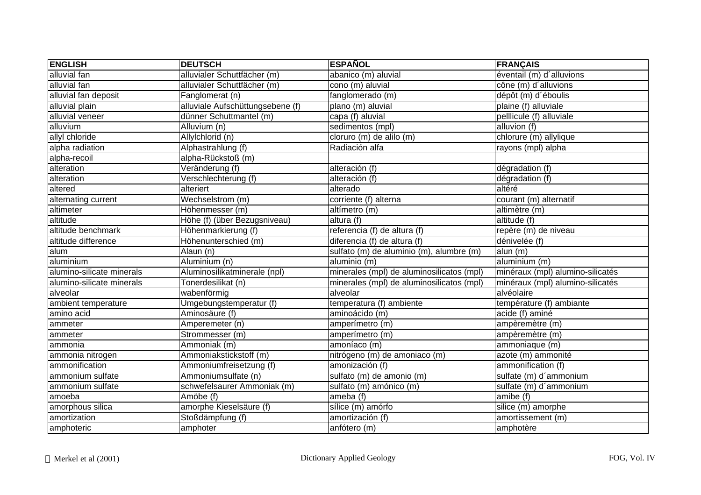| <b>ENGLISH</b>            | <b>DEUTSCH</b>                   | <b>ESPAÑOL</b>                            | <b>FRANÇAIS</b>                  |
|---------------------------|----------------------------------|-------------------------------------------|----------------------------------|
| alluvial fan              | alluvialer Schuttfächer (m)      | abanico (m) aluvial                       | éventail (m) d'alluvions         |
| alluvial fan              | alluvialer Schuttfächer (m)      | cono (m) aluvial                          | cône (m) d'alluvions             |
| alluvial fan deposit      | Fanglomerat (n)                  | fanglomerado (m)                          | dépôt (m) d'éboulis              |
| alluvial plain            | alluviale Aufschüttungsebene (f) | plano (m) aluvial                         | plaine (f) alluviale             |
| alluvial veneer           | dünner Schuttmantel (m)          | capa (f) aluvial                          | pelllicule (f) alluviale         |
| alluvium                  | Alluvium (n)                     | sedimentos (mpl)                          | alluvion (f)                     |
| allyl chloride            | Allylchlorid (n)                 | cloruro (m) de alilo (m)                  | chlorure (m) allylique           |
| alpha radiation           | Alphastrahlung (f)               | Radiación alfa                            | rayons (mpl) alpha               |
| alpha-recoil              | alpha-Rückstoß (m)               |                                           |                                  |
| alteration                | Veränderung (f)                  | alteración (f)                            | dégradation (f)                  |
| alteration                | Verschlechterung (f)             | alteración (f)                            | dégradation (f)                  |
| altered                   | alteriert                        | alterado                                  | altéré                           |
| alternating current       | Wechselstrom (m)                 | corriente (f) alterna                     | courant (m) alternatif           |
| altimeter                 | Höhenmesser (m)                  | altímetro (m)                             | altimètre (m)                    |
| altitude                  | Höhe (f) (über Bezugsniveau)     | altura (f)                                | altitude (f)                     |
| altitude benchmark        | Höhenmarkierung (f)              | referencia (f) de altura (f)              | repère (m) de niveau             |
| altitude difference       | Höhenunterschied (m)             | diferencia (f) de altura (f)              | dénivelée (f)                    |
| alum                      | Alaun (n)                        | sulfato (m) de aluminio (m), alumbre (m)  | alun (m)                         |
| aluminium                 | Aluminium (n)                    | aluminio (m)                              | aluminium (m)                    |
| alumino-silicate minerals | Aluminosilikatminerale (npl)     | minerales (mpl) de aluminosilicatos (mpl) | minéraux (mpl) alumino-silicatés |
| alumino-silicate minerals | Tonerdesilikat (n)               | minerales (mpl) de aluminosilicatos (mpl) | minéraux (mpl) alumino-silicatés |
| alveolar                  | wabenförmig                      | alveolar                                  | alvéolaire                       |
| ambient temperature       | Umgebungstemperatur (f)          | temperatura (f) ambiente                  | température (f) ambiante         |
| amino acid                | Aminosäure (f)                   | aminoácido (m)                            | acide (f) aminé                  |
| ammeter                   | Amperemeter (n)                  | amperímetro (m)                           | ampèremètre (m)                  |
| ammeter                   | Strommesser (m)                  | amperímetro (m)                           | ampèremètre (m)                  |
| ammonia                   | Ammoniak (m)                     | amoníaco (m)                              | ammoniaque (m)                   |
| ammonia nitrogen          | Ammoniakstickstoff (m)           | nitrógeno (m) de amoniaco (m)             | azote (m) ammonité               |
| ammonification            | Ammoniumfreisetzung (f)          | amonización (f)                           | ammonification (f)               |
| ammonium sulfate          | Ammoniumsulfate (n)              | sulfato (m) de amonio (m)                 | sulfate (m) d'ammonium           |
| ammonium sulfate          | schwefelsaurer Ammoniak (m)      | sulfato (m) amónico (m)                   | sulfate (m) d'ammonium           |
| amoeba                    | Amöbe (f)                        | ameba (f)                                 | amibe(f)                         |
| amorphous silica          | amorphe Kieselsäure (f)          | sílice (m) amórfo                         | silice (m) amorphe               |
| amortization              | Stoßdämpfung (f)                 | amortización $(f)$                        | amortissement (m)                |
| amphoteric                | amphoter                         | anfótero (m)                              | amphotère                        |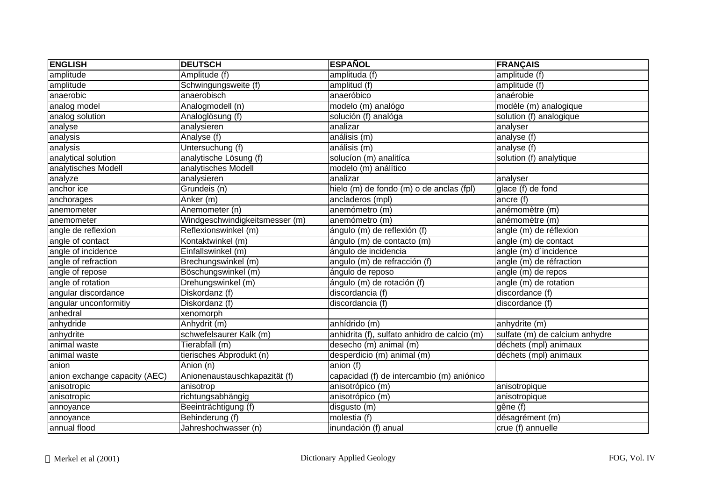| <b>ENGLISH</b>                | <b>DEUTSCH</b>                 | <b>ESPAÑOL</b>                               | <b>FRANÇAIS</b>                |
|-------------------------------|--------------------------------|----------------------------------------------|--------------------------------|
| amplitude                     | Amplitude (f)                  | amplituda (f)                                | amplitude (f)                  |
| amplitude                     | Schwingungsweite (f)           | amplitud (f)                                 | amplitude (f)                  |
| anaerobic                     | anaerobisch                    | anaeróbico                                   | anaérobie                      |
| analog model                  | Analogmodell (n)               | modelo (m) analógo                           | modèle (m) analogique          |
| analog solution               | Analoglösung (f)               | solución (f) analóga                         | solution (f) analogique        |
| analyse                       | analysieren                    | analizar                                     | analyser                       |
| analysis                      | Analyse (f)                    | análisis (m)                                 | analyse (f)                    |
| analysis                      | Untersuchung (f)               | análisis (m)                                 | analyse (f)                    |
| analytical solution           | analytische Lösung (f)         | solucíon (m) analitíca                       | solution (f) analytique        |
| analytisches Modell           | analytisches Modell            | modelo (m) análítico                         |                                |
| analyze                       | analysieren                    | analizar                                     | analyser                       |
| anchor ice                    | Grundeis (n)                   | hielo $(m)$ de fondo $(m)$ o de anclas (fpl) | glace (f) de fond              |
| anchorages                    | Anker (m)                      | ancladeros (mpl)                             | ancre (f)                      |
| anemometer                    | Anemometer (n)                 | anemómetro (m)                               | anémomètre (m)                 |
| anemometer                    | Windgeschwindigkeitsmesser (m) | anemómetro (m)                               | anémomètre (m)                 |
| angle de reflexion            | Reflexionswinkel (m)           | ángulo (m) de reflexión (f)                  | angle (m) de réflexion         |
| angle of contact              | Kontaktwinkel (m)              | ángulo (m) de contacto (m)                   | angle (m) de contact           |
| angle of incidence            | Einfallswinkel (m)             | ángulo de incidencia                         | angle (m) d'incidence          |
| angle of refraction           | Brechungswinkel (m)            | angulo (m) de refracción (f)                 | angle (m) de réfraction        |
| angle of repose               | Böschungswinkel (m)            | ángulo de reposo                             | angle (m) de repos             |
| angle of rotation             | Drehungswinkel (m)             | ángulo (m) de rotación (f)                   | angle (m) de rotation          |
| angular discordance           | Diskordanz (f)                 | discordancia (f)                             | discordance (f)                |
| angular unconformitiy         | Diskordanz (f)                 | discordancia (f)                             | discordance (f)                |
| anhedral                      | xenomorph                      |                                              |                                |
| anhydride                     | Anhydrit (m)                   | anhídrido (m)                                | anhydrite (m)                  |
| anhydrite                     | schwefelsaurer Kalk (m)        | anhidrita (f), sulfato anhidro de calcio (m) | sulfate (m) de calcium anhydre |
| animal waste                  | Tierabfall(m)                  | desecho (m) animal (m)                       | déchets (mpl) animaux          |
| animal waste                  | tierisches Abprodukt (n)       | desperdicio (m) animal (m)                   | déchets (mpl) animaux          |
| anion                         | Anion (n)                      | anion(f)                                     |                                |
| anion exchange capacity (AEC) | Anionenaustauschkapazität (f)  | capacidad (f) de intercambio (m) aniónico    |                                |
| anisotropic                   | anisotrop                      | anisotrópico (m)                             | anisotropique                  |
| anisotropic                   | richtungsabhängig              | anisotrópico (m)                             | anisotropique                  |
| annoyance                     | Beeinträchtigung (f)           | disgusto (m)                                 | gêne (f)                       |
| annoyance                     | Behinderung (f)                | molestia (f)                                 | désagrément (m)                |
| annual flood                  | Jahreshochwasser (n)           | inundación (f) anual                         | crue (f) annuelle              |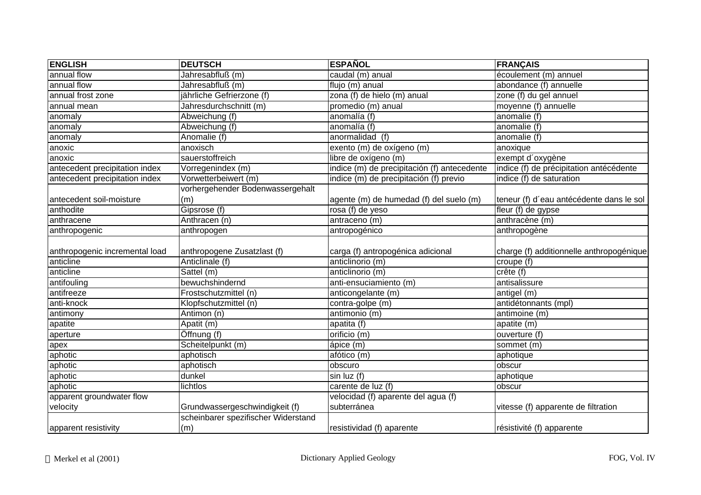| <b>ENGLISH</b>                 | <b>DEUTSCH</b>                      | <b>ESPAÑOL</b>                              | <b>FRANÇAIS</b>                          |
|--------------------------------|-------------------------------------|---------------------------------------------|------------------------------------------|
| annual flow                    | Jahresabfluß (m)                    | caudal (m) anual                            | écoulement (m) annuel                    |
| annual flow                    | Jahresabfluß (m)                    | flujo (m) anual                             | abondance (f) annuelle                   |
| annual frost zone              | jährliche Gefrierzone (f)           | zona (f) de hielo (m) anual                 | zone (f) du gel annuel                   |
| annual mean                    | Jahresdurchschnitt (m)              | promedio (m) anual                          | moyenne (f) annuelle                     |
| anomaly                        | Abweichung (f)                      | anomalía (f)                                | anomalie (f)                             |
| anomaly                        | Abweichung (f)                      | anomalía (f)                                | anomalie (f)                             |
| anomaly                        | Anomalie (f)                        | anormalidad (f)                             | anomalie (f)                             |
| anoxic                         | anoxisch                            | exento (m) de oxígeno (m)                   | anoxique                                 |
| anoxic                         | sauerstoffreich                     | libre de oxígeno (m)                        | exempt d'oxygène                         |
| antecedent precipitation index | Vorregenindex (m)                   | indice (m) de precipitación (f) antecedente | indice (f) de précipitation antécédente  |
| antecedent precipitation index | Vorwetterbeiwert (m)                | indice (m) de precipitación (f) previo      | indice (f) de saturation                 |
|                                | vorhergehender Bodenwassergehalt    |                                             |                                          |
| antecedent soil-moisture       | (m)                                 | agente (m) de humedad (f) del suelo (m)     | teneur (f) d'eau antécédente dans le sol |
| anthodite                      | Gipsrose (f)                        | $\overline{\text{ros}}$ a (f) de yeso       | fleur (f) de gypse                       |
| anthracene                     | Anthracen (n)                       | antraceno (m)                               | anthracène (m)                           |
| anthropogenic                  | anthropogen                         | antropogénico                               | anthropogène                             |
|                                |                                     |                                             |                                          |
| anthropogenic incremental load | anthropogene Zusatzlast (f)         | carga (f) antropogénica adicional           | charge (f) additionnelle anthropogénique |
| anticline                      | Anticlinale (f)                     | anticlinorio (m)                            | croupe (f)                               |
| anticline                      | Sattel (m)                          | anticlinorio (m)                            | crête (f)                                |
| antifouling                    | bewuchshindernd                     | anti-ensuciamiento (m)                      | antisalissure                            |
| antifreeze                     | Frostschutzmittel (n)               | anticongelante (m)                          | antigel (m)                              |
| anti-knock                     | Klopfschutzmittel (n)               | contra-golpe (m)                            | antidétonnants (mpl)                     |
| antimony                       | Antimon (n)                         | antimonio (m)                               | antimoine (m)                            |
| apatite                        | Apatit (m)                          | apatita (f)                                 | apatite (m)                              |
| aperture                       | Öffnung (f)                         | orificio (m)                                | ouverture (f)                            |
| apex                           | Scheitelpunkt (m)                   | ápice (m)                                   | sommet (m)                               |
| aphotic                        | aphotisch                           | afótico (m)                                 | aphotique                                |
| aphotic                        | aphotisch                           | obscuro                                     | obscur                                   |
| aphotic                        | dunkel                              | $sin$ luz (f)                               | aphotique                                |
| aphotic                        | lichtlos                            | carente de luz (f)                          | obscur                                   |
| apparent groundwater flow      |                                     | velocidad (f) aparente del agua (f)         |                                          |
| velocity                       | Grundwassergeschwindigkeit (f)      | subterránea                                 | vitesse (f) apparente de filtration      |
|                                | scheinbarer spezifischer Widerstand |                                             |                                          |
| apparent resistivity           | (m)                                 | resistividad (f) aparente                   | résistivité (f) apparente                |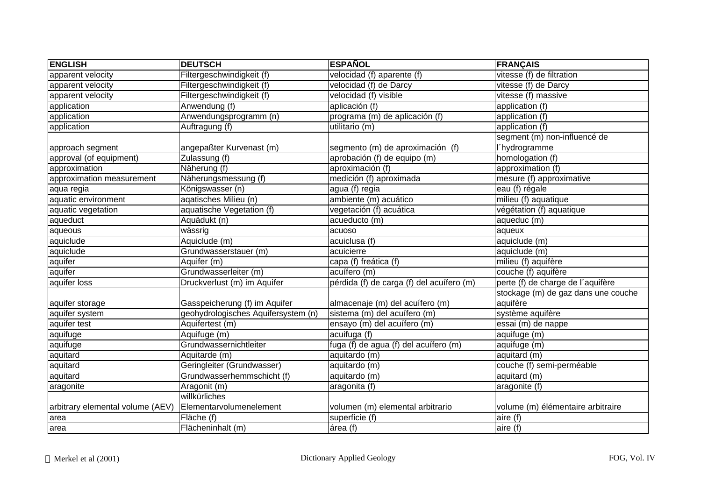| <b>ENGLISH</b>                   | <b>DEUTSCH</b>                      | <b>ESPAÑOL</b>                            | <b>FRANÇAIS</b>                     |
|----------------------------------|-------------------------------------|-------------------------------------------|-------------------------------------|
| apparent velocity                | Filtergeschwindigkeit (f)           | velocidad (f) aparente (f)                | vitesse (f) de filtration           |
| apparent velocity                | Filtergeschwindigkeit (f)           | velocidad (f) de Darcy                    | vitesse (f) de Darcy                |
| apparent velocity                | Filtergeschwindigkeit (f)           | velocidad (f) visible                     | vitesse (f) massive                 |
| application                      | Anwendung (f)                       | aplicación (f)                            | application $(f)$                   |
| application                      | Anwendungsprogramm (n)              | programa (m) de aplicación (f)            | application (f)                     |
| application                      | Auftragung (f)                      | utilitario (m)                            | application (f)                     |
|                                  |                                     |                                           | segment (m) non-influencé de        |
| approach segment                 | angepaßter Kurvenast (m)            | segmento (m) de aproximación (f)          | l'hydrogramme                       |
| approval (of equipment)          | Zulassung (f)                       | aprobación (f) de equipo (m)              | homologation (f)                    |
| approximation                    | Näherung (f)                        | aproximación (f)                          | approximation (f)                   |
| approximation measurement        | Näherungsmessung (f)                | medición (f) aproximada                   | mesure (f) approximative            |
| aqua regia                       | Königswasser (n)                    | agua (f) regia                            | eau (f) régale                      |
| aquatic environment              | agatisches Milieu (n)               | ambiente (m) acuático                     | milieu (f) aquatique                |
| aquatic vegetation               | aquatische Vegetation (f)           | vegetación (f) acuática                   | végétation (f) aquatique            |
| aqueduct                         | Aquädukt (n)                        | acueducto (m)                             | aqueduc (m)                         |
| aqueous                          | wässrig                             | acuoso                                    | aqueux                              |
| aquiclude                        | Aquiclude (m)                       | acuiclusa (f)                             | aquiclude (m)                       |
| aquiclude                        | Grundwasserstauer (m)               | acuicierre                                | aquiclude (m)                       |
| aquifer                          | Aquifer (m)                         | capa (f) freática (f)                     | milieu (f) aquifère                 |
| aquifer                          | Grundwasserleiter (m)               | acuífero (m)                              | couche (f) aquifère                 |
| aquifer loss                     | Druckverlust (m) im Aquifer         | pérdida (f) de carga (f) del acuífero (m) | perte (f) de charge de l'aquifère   |
|                                  |                                     |                                           | stockage (m) de gaz dans une couche |
| aquifer storage                  | Gasspeicherung (f) im Aquifer       | almacenaje (m) del acuífero (m)           | aquifère                            |
| aquifer system                   | geohydrologisches Aquifersystem (n) | sistema (m) del acuífero (m)              | système aquifère                    |
| aquifer test                     | Aquifertest (m)                     | ensayo (m) del acuífero (m)               | essai (m) de nappe                  |
| aquifuge                         | Aquifuge (m)                        | acuifuga (f)                              | aquifuge (m)                        |
| aquifuge                         | Grundwassernichtleiter              | fuga (f) de agua (f) del acuífero (m)     | aquifuge (m)                        |
| aquitard                         | Aquitarde (m)                       | aquitardo (m)                             | aquitard (m)                        |
| aquitard                         | Geringleiter (Grundwasser)          | aquitardo (m)                             | couche (f) semi-perméable           |
| aquitard                         | Grundwasserhemmschicht (f)          | aquitardo (m)                             | aquitard (m)                        |
| aragonite                        | Aragonit (m)                        | aragonita (f)                             | aragonite (f)                       |
|                                  | willkürliches                       |                                           |                                     |
| arbitrary elemental volume (AEV) | Elementarvolumenelement             | volumen (m) elemental arbitrario          | volume (m) élémentaire arbitraire   |
| area                             | Fläche (f)                          | superficie (f)                            | aire (f)                            |
| area                             | Flächeninhalt (m)                   | área (f)                                  | aire (f)                            |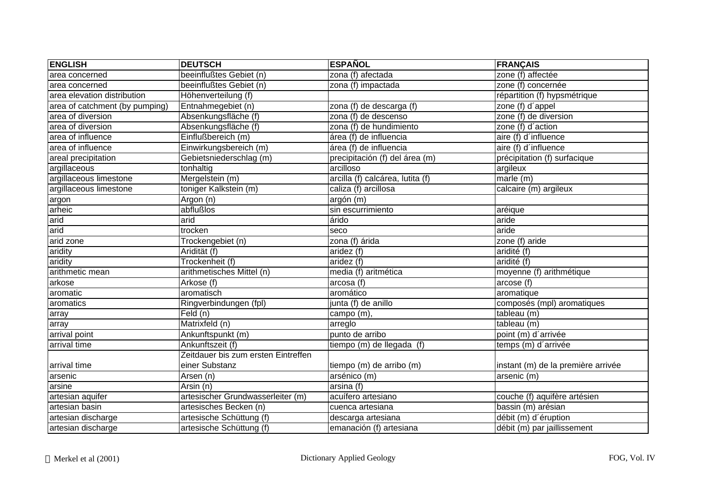| <b>ENGLISH</b>                 | <b>DEUTSCH</b>                      | <b>ESPAÑOL</b>                   | <b>FRANÇAIS</b>                    |
|--------------------------------|-------------------------------------|----------------------------------|------------------------------------|
| area concerned                 | beeinflußtes Gebiet (n)             | zona (f) afectada                | zone (f) affectée                  |
| area concerned                 | beeinflußtes Gebiet (n)             | zona (f) impactada               | zone (f) concernée                 |
| area elevation distribution    | Höhenverteilung (f)                 |                                  | répartition (f) hypsmétrique       |
| area of catchment (by pumping) | Entnahmegebiet (n)                  | zona (f) de descarga (f)         | zone (f) d'appel                   |
| area of diversion              | Absenkungsfläche (f)                | zona (f) de descenso             | zone (f) de diversion              |
| area of diversion              | Absenkungsfläche (f)                | zona (f) de hundimiento          | zone (f) d'action                  |
| area of influence              | Einflußbereich (m)                  | área (f) de influencia           | aire (f) d'influence               |
| area of influence              | Einwirkungsbereich (m)              | área (f) de influencia           | aire (f) d'influence               |
| areal precipitation            | Gebietsniederschlag (m)             | precipitación (f) del área (m)   | précipitation (f) surfacique       |
| argillaceous                   | tonhaltig                           | arcilloso                        | argileux                           |
| argillaceous limestone         | Mergelstein (m)                     | arcilla (f) calcárea, lutita (f) | marle (m)                          |
| argillaceous limestone         | toniger Kalkstein (m)               | caliza (f) arcillosa             | calcaire (m) argileux              |
| argon                          | Argon (n)                           | argón (m)                        |                                    |
| arheic                         | abflußlos                           | sin escurrimiento                | aréique                            |
| arid                           | arid                                | árido                            | aride                              |
| arid                           | trocken                             | seco                             | aride                              |
| arid zone                      | Trockengebiet (n)                   | zona (f) árida                   | zone (f) aride                     |
| aridity                        | Aridität (f)                        | aridez (f)                       | aridité (f)                        |
| aridity                        | Trockenheit (f)                     | aridez (f)                       | aridité (f)                        |
| arithmetic mean                | arithmetisches Mittel (n)           | media (f) aritmética             | moyenne (f) arithmétique           |
| arkose                         | Arkose (f)                          | arcosa (f)                       | arcose (f)                         |
| aromatic                       | aromatisch                          | aromático                        | aromatique                         |
| aromatics                      | Ringverbindungen (fpl)              | junta (f) de anillo              | composés (mpl) aromatiques         |
| array                          | Feld (n)                            | campo (m),                       | tableau (m)                        |
| array                          | Matrixfeld (n)                      | arreglo                          | tableau (m)                        |
| arrival point                  | Ankunftspunkt (m)                   | punto de arribo                  | point (m) d'arrivée                |
| arrival time                   | Ankunftszeit (f)                    | tiempo (m) de llegada (f)        | temps (m) d'arrivée                |
|                                | Zeitdauer bis zum ersten Eintreffen |                                  |                                    |
| arrival time                   | einer Substanz                      | tiempo (m) de arribo (m)         | instant (m) de la première arrivée |
| arsenic                        | Arsen (n)                           | arsénico (m)                     | arsenic (m)                        |
| arsine                         | Arsin (n)                           | arsina (f)                       |                                    |
| artesian aquifer               | artesischer Grundwasserleiter (m)   | acuífero artesiano               | couche (f) aquifère artésien       |
| artesian basin                 | artesisches Becken (n)              | cuenca artesiana                 | bassin (m) arésian                 |
| artesian discharge             | artesische Schüttung (f)            | descarga artesiana               | débit (m) d'éruption               |
| artesian discharge             | artesische Schüttung (f)            | emanación (f) artesiana          | débit (m) par jaillissement        |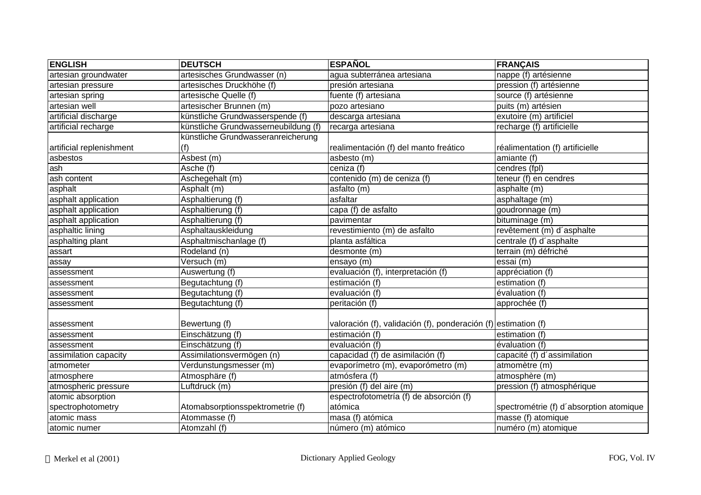| <b>ENGLISH</b>           | <b>DEUTSCH</b>                       | <b>ESPAÑOL</b>                                                 | <b>FRANÇAIS</b>                         |
|--------------------------|--------------------------------------|----------------------------------------------------------------|-----------------------------------------|
| artesian groundwater     | artesisches Grundwasser (n)          | agua subterránea artesiana                                     | nappe (f) artésienne                    |
| artesian pressure        | artesisches Druckhöhe (f)            | presión artesiana                                              | pression (f) artésienne                 |
| artesian spring          | artesische Quelle (f)                | fuente (f) artesiana                                           | source (f) artésienne                   |
| artesian well            | artesischer Brunnen (m)              | pozo artesiano                                                 | puits (m) artésien                      |
| artificial discharge     | künstliche Grundwasserspende (f)     | descarga artesiana                                             | exutoire (m) artificiel                 |
| artificial recharge      | künstliche Grundwasserneubildung (f) | recarga artesiana                                              | recharge (f) artificielle               |
|                          | künstliche Grundwasseranreicherung   |                                                                |                                         |
| artificial replenishment | (f)                                  | realimentación (f) del manto freático                          | réalimentation (f) artificielle         |
| asbestos                 | Asbest (m)                           | asbesto (m)                                                    | amiante (f)                             |
| ash                      | Asche (f)                            | ceniza (f)                                                     | cendres (fpl)                           |
| ash content              | Aschegehalt (m)                      | contenido (m) de ceniza (f)                                    | teneur (f) en cendres                   |
| asphalt                  | Asphalt (m)                          | asfalto (m)                                                    | asphalte (m)                            |
| asphalt application      | Asphaltierung (f)                    | asfaltar                                                       | asphaltage (m)                          |
| asphalt application      | Asphaltierung (f)                    | capa (f) de asfalto                                            | goudronnage (m)                         |
| asphalt application      | Asphaltierung (f)                    | pavimentar                                                     | bituminage (m)                          |
| asphaltic lining         | Asphaltauskleidung                   | revestimiento (m) de asfalto                                   | revêtement (m) d'asphalte               |
| asphalting plant         | Asphaltmischanlage (f)               | planta asfáltica                                               | centrale (f) d'asphalte                 |
| assart                   | Rodeland (n)                         | desmonte (m)                                                   | terrain (m) défriché                    |
| assay                    | Versuch (m)                          | ensayo $(m)$                                                   | essai (m)                               |
| assessment               | Auswertung (f)                       | evaluación (f), interpretación (f)                             | appréciation (f)                        |
| assessment               | Begutachtung (f)                     | estimación (f)                                                 | estimation (f)                          |
| assessment               | Begutachtung (f)                     | evaluación (f)                                                 | évaluation (f)                          |
| assessment               | Begutachtung (f)                     | peritación (f)                                                 | approchée (f)                           |
| assessment               | Bewertung (f)                        | valoración (f), validación (f), ponderación (f) estimation (f) |                                         |
| assessment               | Einschätzung (f)                     | estimación (f)                                                 | estimation (f)                          |
| assessment               | Einschätzung (f)                     | evaluación (f)                                                 | évaluation (f)                          |
| assimilation capacity    | Assimilationsvermögen (n)            | capacidad (f) de asimilación (f)                               | capacité (f) d'assimilation             |
| atmometer                | Verdunstungsmesser (m)               | evaporímetro (m), evaporómetro (m)                             | atmomètre (m)                           |
| atmosphere               | Atmosphäre (f)                       | atmósfera (f)                                                  | atmosphère (m)                          |
| atmospheric pressure     | Luftdruck (m)                        | presión (f) del aire (m)                                       | pression (f) atmosphérique              |
| atomic absorption        |                                      | espectrofotometría (f) de absorción (f)                        |                                         |
| spectrophotometry        | Atomabsorptionsspektrometrie (f)     | atómica                                                        | spectrométrie (f) d'absorption atomique |
| atomic mass              | Atommasse (f)                        | masa (f) atómica                                               | $masse$ (f) atomique                    |
| atomic numer             | Atomzahl (f)                         | número (m) atómico                                             | numéro (m) atomique                     |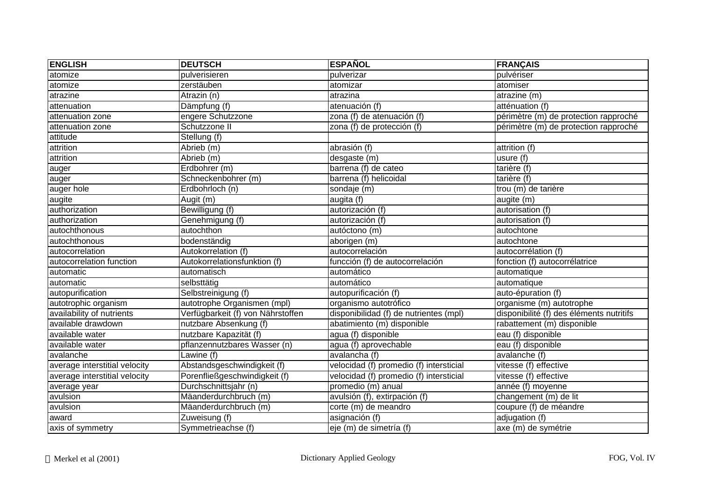| <b>ENGLISH</b>                | <b>DEUTSCH</b>                    | <b>ESPAÑOL</b>                          | <b>FRANÇAIS</b>                          |
|-------------------------------|-----------------------------------|-----------------------------------------|------------------------------------------|
| atomize                       | pulverisieren                     | pulverizar                              | pulvériser                               |
| atomize                       | zerstäuben                        | atomizar                                | atomiser                                 |
| atrazine                      | Atrazin (n)                       | atrazina                                | atrazine (m)                             |
| attenuation                   | Dämpfung (f)                      | atenuación (f)                          | atténuation (f)                          |
| attenuation zone              | engere Schutzzone                 | zona (f) de atenuación (f)              | périmètre (m) de protection rapproché    |
| attenuation zone              | Schutzzone II                     | zona (f) de protección (f)              | périmètre (m) de protection rapproché    |
| attitude                      | Stellung (f)                      |                                         |                                          |
| attrition                     | Abrieb (m)                        | abrasión $(f)$                          | attrition (f)                            |
| attrition                     | Abrieb (m)                        | desgaste (m)                            | usure (f)                                |
| auger                         | Erdbohrer (m)                     | barrena (f) de cateo                    | tarière (f)                              |
| lauger                        | Schneckenbohrer (m)               | barrena (f) helicoidal                  | tarière (f)                              |
| auger hole                    | Erdbohrloch (n)                   | sondaje (m)                             | trou (m) de tarière                      |
| augite                        | Augit (m)                         | augita (f)                              | augite (m)                               |
| authorization                 | Bewilligung (f)                   | autorización (f)                        | autorisation (f)                         |
| authorization                 | Genehmigung (f)                   | autorización (f)                        | autorisation (f)                         |
| autochthonous                 | autochthon                        | autóctono (m)                           | autochtone                               |
| autochthonous                 | bodenständig                      | aborigen (m)                            | autochtone                               |
| autocorrelation               | Autokorrelation (f)               | autocorrelación                         | autocorrélation (f)                      |
| autocorrelation function      | Autokorrelationsfunktion (f)      | funcción (f) de autocorrelación         | fonction (f) autocorrélatrice            |
| automatic                     | automatisch                       | automático                              | automatique                              |
| automatic                     | selbsttätig                       | automático                              | automatique                              |
| autopurification              | Selbstreinigung (f)               | autopurificación (f)                    | auto-épuration (f)                       |
| autotrophic organism          | autotrophe Organismen (mpl)       | organismo autotrófico                   | organisme (m) autotrophe                 |
| availability of nutrients     | Verfügbarkeit (f) von Nährstoffen | disponibilidad (f) de nutrientes (mpl)  | disponibilité (f) des éléments nutritifs |
| available drawdown            | nutzbare Absenkung (f)            | abatimiento (m) disponible              | rabattement (m) disponible               |
| available water               | nutzbare Kapazität (f)            | agua (f) disponible                     | eau (f) disponible                       |
| available water               | pflanzennutzbares Wasser (n)      | agua (f) aprovechable                   | eau (f) disponible                       |
| avalanche                     | Lawine (f)                        | avalancha (f)                           | avalanche (f)                            |
| average interstitial velocity | Abstandsgeschwindigkeit (f)       | velocidad (f) promedio (f) intersticial | vitesse (f) effective                    |
| average interstitial velocity | Porenfließgeschwindigkeit (f)     | velocidad (f) promedio (f) intersticial | vitesse (f) effective                    |
| average year                  | Durchschnittsjahr (n)             | promedio (m) anual                      | année (f) moyenne                        |
| avulsion                      | Mäanderdurchbruch (m)             | avulsión (f), extirpación (f)           | changement (m) de lit                    |
| avulsion                      | Mäanderdurchbruch (m)             | corte (m) de meandro                    | coupure (f) de méandre                   |
| award                         | Zuweisung (f)                     | asignación (f)                          | adjugation (f)                           |
| axis of symmetry              | Symmetrieachse (f)                | eje (m) de simetría (f)                 | axe (m) de symétrie                      |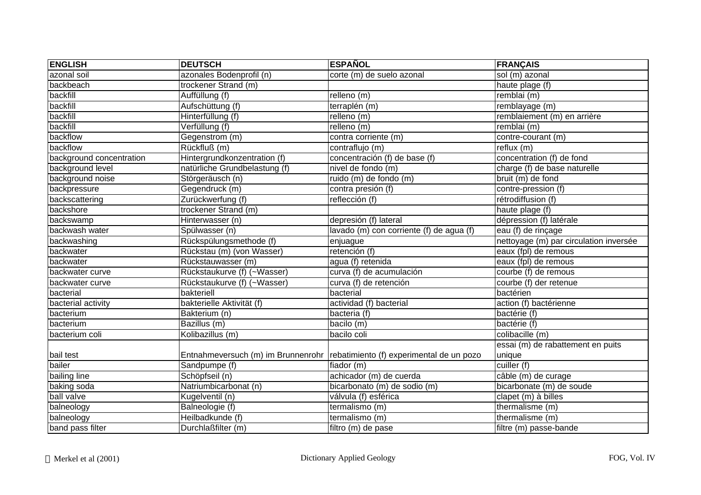| <b>ENGLISH</b>           | <b>DEUTSCH</b>                | <b>ESPAÑOL</b>                                                                | <b>FRANÇAIS</b>                        |
|--------------------------|-------------------------------|-------------------------------------------------------------------------------|----------------------------------------|
| azonal soil              | azonales Bodenprofil (n)      | corte (m) de suelo azonal                                                     | sol (m) azonal                         |
| backbeach                | trockener Strand (m)          |                                                                               | haute plage (f)                        |
| backfill                 | Auffüllung (f)                | relleno (m)                                                                   | remblai (m)                            |
| backfill                 | Aufschüttung (f)              | terraplén (m)                                                                 | remblayage (m)                         |
| backfill                 | Hinterfüllung (f)             | relleno (m)                                                                   | remblaiement (m) en arrière            |
| backfill                 | Verfüllung (f)                | relleno(m)                                                                    | remblai (m)                            |
| backflow                 | Gegenstrom (m)                | contra corriente (m)                                                          | contre-courant (m)                     |
| backflow                 | Rückfluß (m)                  | contraflujo (m)                                                               | reflux(m)                              |
| background concentration | Hintergrundkonzentration (f)  | concentración (f) de base (f)                                                 | concentration (f) de fond              |
| background level         | natürliche Grundbelastung (f) | nivel de fondo (m)                                                            | charge (f) de base naturelle           |
| background noise         | Störgeräusch (n)              | ruido (m) de fondo (m)                                                        | bruit $(m)$ de fond                    |
| backpressure             | Gegendruck (m)                | contra presión (f)                                                            | contre-pression (f)                    |
| backscattering           | Zurückwerfung (f)             | reflección (f)                                                                | rétrodiffusion (f)                     |
| backshore                | trockener Strand (m)          |                                                                               | haute plage (f)                        |
| backswamp                | Hinterwasser (n)              | depresión (f) lateral                                                         | dépression (f) latérale                |
| backwash water           | Spülwasser (n)                | lavado (m) con corriente (f) de agua (f)                                      | eau (f) de rinçage                     |
| backwashing              | Rückspülungsmethode (f)       | enjuague                                                                      | nettoyage (m) par circulation inversée |
| backwater                | Rückstau (m) (von Wasser)     | retención (f)                                                                 | eaux (fpl) de remous                   |
| backwater                | Rückstauwasser (m)            | agua (f) retenida                                                             | eaux (fpl) de remous                   |
| backwater curve          | Rückstaukurve (f) (~Wasser)   | curva (f) de acumulación                                                      | courbe (f) de remous                   |
| backwater curve          | Rückstaukurve (f) (~Wasser)   | curva (f) de retención                                                        | courbe (f) der retenue                 |
| bacterial                | bakteriell                    | bacterial                                                                     | bactérien                              |
| bacterial activity       | bakterielle Aktivität (f)     | actividad (f) bacterial                                                       | action (f) bactérienne                 |
| bacterium                | Bakterium (n)                 | bacteria (f)                                                                  | bactérie (f)                           |
| bacterium                | Bazillus (m)                  | bacilo (m)                                                                    | bactérie (f)                           |
| bacterium coli           | Kolibazillus (m)              | bacilo coli                                                                   | colibacille (m)                        |
|                          |                               |                                                                               | essai (m) de rabattement en puits      |
| bail test                |                               | Entnahmeversuch (m) im Brunnenrohr   rebatimiento (f) experimental de un pozo | unique                                 |
| bailer                   | Sandpumpe (f)                 | fiador (m)                                                                    | cuiller (f)                            |
| bailing line             | Schöpfseil (n)                | achicador (m) de cuerda                                                       | câble (m) de curage                    |
| baking soda              | Natriumbicarbonat (n)         | bicarbonato (m) de sodio (m)                                                  | bicarbonate (m) de soude               |
| ball valve               | Kugelventil (n)               | válvula (f) esférica                                                          | clapet (m) à billes                    |
| balneology               | Balneologie (f)               | termalismo (m)                                                                | thermalisme (m)                        |
| balneology               | Heilbadkunde (f)              | termalismo (m)                                                                | thermalisme (m)                        |
| band pass filter         | Durchlaßfilter (m)            | filtro (m) de pase                                                            | filtre (m) passe-bande                 |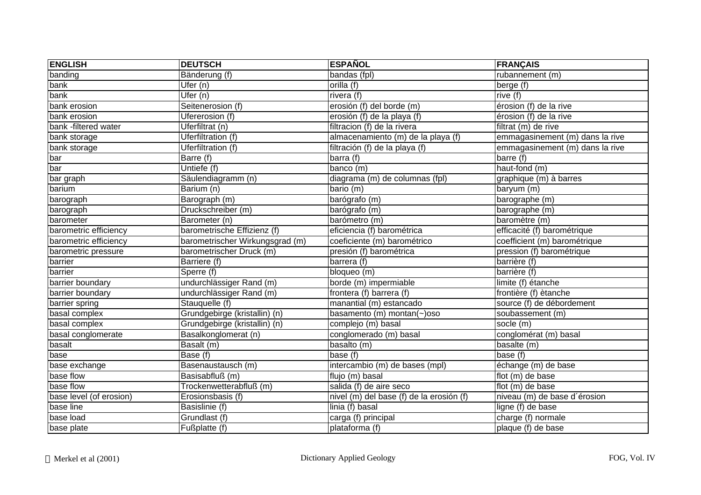| <b>ENGLISH</b>          | <b>DEUTSCH</b>                  | <b>ESPAÑOL</b>                           | <b>FRANÇAIS</b>                 |
|-------------------------|---------------------------------|------------------------------------------|---------------------------------|
| banding                 | Bänderung (f)                   | bandas (fpl)                             | $rbannement (m)$                |
| bank                    | Ufer (n)                        | orilla (f)                               | berge (f)                       |
| bank                    | Ufer (n)                        | rivera (f)                               | rive (f)                        |
| bank erosion            | Seitenerosion (f)               | erosión (f) del borde (m)                | érosion (f) de la rive          |
| bank erosion            | Ufererosion (f)                 | erosión (f) de la playa (f)              | érosion (f) de la rive          |
| bank -filtered water    | Uferfiltrat (n)                 | filtracion (f) de la rivera              | filtrat (m) de rive             |
| bank storage            | Uferfiltration (f)              | almacenamiento (m) de la playa (f)       | emmagasinement (m) dans la rive |
| bank storage            | <b>Uferfiltration (f)</b>       | filtración (f) de la playa (f)           | emmagasinement (m) dans la rive |
| bar                     | Barre (f)                       | barra (f)                                | barre (f)                       |
| bar                     | Untiefe (f)                     | banco (m)                                | haut-fond $(m)$                 |
| bar graph               | Säulendiagramm (n)              | diagrama (m) de columnas (fpl)           | graphique (m) à barres          |
| barium                  | Barium (n)                      | bario (m)                                | baryum (m)                      |
| barograph               | Barograph (m)                   | barógrafo (m)                            | barographe (m)                  |
| barograph               | Druckschreiber (m)              | barógrafo (m)                            | barographe (m)                  |
| barometer               | Barometer (n)                   | barómetro (m)                            | baromètre (m)                   |
| barometric efficiency   | barometrische Effizienz (f)     | eficiencia (f) barométrica               | efficacité (f) barométrique     |
| barometric efficiency   | barometrischer Wirkungsgrad (m) | coeficiente (m) barométrico              | coefficient (m) barométrique    |
| barometric pressure     | barometrischer Druck (m)        | presión (f) barométrica                  | pression (f) barométrique       |
| barrier                 | Barriere (f)                    | barrera (f)                              | barrière (f)                    |
| barrier                 | Sperre (f)                      | bloqueo (m)                              | barrière (f)                    |
| barrier boundary        | undurchlässiger Rand (m)        | borde (m) impermiable                    | limite (f) étanche              |
| barrier boundary        | undurchlässiger Rand (m)        | frontera (f) barrera (f)                 | frontière (f) ètanche           |
| barrier spring          | Stauquelle (f)                  | manantial (m) estancado                  | source (f) de débordement       |
| basal complex           | Grundgebirge (kristallin) (n)   | basamento (m) montan(~)oso               | soubassement (m)                |
| basal complex           | Grundgebirge (kristallin) (n)   | complejo (m) basal                       | socle (m)                       |
| basal conglomerate      | Basalkonglomerat (n)            | conglomerado (m) basal                   | conglomérat (m) basal           |
| basalt                  | Basalt (m)                      | basalto (m)                              | basalte (m)                     |
| base                    | Base (f)                        | base (f)                                 | base (f)                        |
| base exchange           | Basenaustausch (m)              | intercambio (m) de bases (mpl)           | échange (m) de base             |
| base flow               | Basisabfluß (m)                 | flujo (m) basal                          | flot (m) de base                |
| base flow               | Trockenwetterabfluß (m)         | salida (f) de aire seco                  | flot (m) de base                |
| base level (of erosion) | Erosionsbasis (f)               | nivel (m) del base (f) de la erosión (f) | niveau (m) de base d'érosion    |
| base line               | Basislinie (f)                  | linia (f) basal                          | ligne (f) de base               |
| base load               | Grundlast (f)                   | carga (f) principal                      | charge (f) normale              |
| base plate              | Fußplatte (f)                   | plataforma (f)                           | plaque (f) de base              |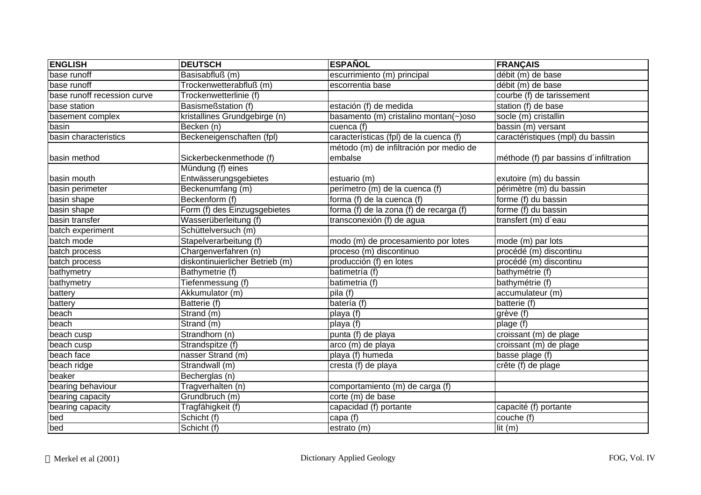| <b>ENGLISH</b>              | <b>DEUTSCH</b>                  | <b>ESPAÑOL</b>                          | <b>FRANÇAIS</b>                        |
|-----------------------------|---------------------------------|-----------------------------------------|----------------------------------------|
| base runoff                 | Basisabfluß (m)                 | escurrimiento (m) principal             | débit (m) de base                      |
| base runoff                 | Trockenwetterabfluß (m)         | escorrentia base                        | débit (m) de base                      |
| base runoff recession curve | Trockenwetterlinie (f)          |                                         | courbe (f) de tarissement              |
| base station                | Basismeßstation (f)             | estación (f) de medida                  | station (f) de base                    |
| basement complex            | kristallines Grundgebirge (n)   | basamento (m) cristalino montan(~)oso   | socle (m) cristallin                   |
| basin                       | Becken (n)                      | cuenca (f)                              | bassin (m) versant                     |
| basin characteristics       | Beckeneigenschaften (fpl)       | características (fpl) de la cuenca (f)  | caractéristiques (mpl) du bassin       |
|                             |                                 | método (m) de infiltración por medio de |                                        |
| basin method                | Sickerbeckenmethode (f)         | embalse                                 | méthode (f) par bassins d'infiltration |
|                             | Mündung (f) eines               |                                         |                                        |
| basin mouth                 | Entwässerungsgebietes           | estuario (m)                            | exutoire (m) du bassin                 |
| basin perimeter             | Beckenumfang (m)                | perímetro (m) de la cuenca (f)          | périmètre (m) du bassin                |
| basin shape                 | Beckenform (f)                  | forma (f) de la cuenca (f)              | forme (f) du bassin                    |
| basin shape                 | Form (f) des Einzugsgebietes    | forma (f) de la zona (f) de recarga (f) | forme (f) du bassin                    |
| basin transfer              | Wasserüberleitung (f)           | transconexión (f) de agua               | transfert (m) d'eau                    |
| batch experiment            | Schüttelversuch (m)             |                                         |                                        |
| batch mode                  | Stapelverarbeitung (f)          | modo (m) de procesamiento por lotes     | mode (m) par lots                      |
| batch process               | Chargenverfahren (n)            | proceso (m) discontinuo                 | procédé (m) discontinu                 |
| batch process               | diskontinuierlicher Betrieb (m) | producción (f) en lotes                 | procédé (m) discontinu                 |
| bathymetry                  | Bathymetrie (f)                 | batimetría (f)                          | bathymétrie (f)                        |
| bathymetry                  | Tiefenmessung (f)               | batimetria (f)                          | bathymétrie (f)                        |
| battery                     | Akkumulator (m)                 | pila(f)                                 | accumulateur (m)                       |
| battery                     | Batterie (f)                    | batería (f)                             | batterie (f)                           |
| beach                       | Strand (m)                      | playa (f)                               | grève (f)                              |
| beach                       | Strand (m)                      | playa (f)                               | plage (f)                              |
| beach cusp                  | Strandhorn (n)                  | punta (f) de playa                      | croissant (m) de plage                 |
| beach cusp                  | Strandspitze (f)                | arco (m) de playa                       | croissant (m) de plage                 |
| beach face                  | nasser Strand (m)               | playa (f) humeda                        | basse plage (f)                        |
| beach ridge                 | Strandwall (m)                  | cresta (f) de playa                     | crête (f) de plage                     |
| beaker                      | Becherglas (n)                  |                                         |                                        |
| bearing behaviour           | Tragverhalten (n)               | comportamiento (m) de carga (f)         |                                        |
| bearing capacity            | Grundbruch (m)                  | corte (m) de base                       |                                        |
| bearing capacity            | Tragfähigkeit (f)               | capacidad (f) portante                  | capacité (f) portante                  |
| bed                         | Schicht (f)                     | capa (f)                                | couche (f)                             |
| bed                         | Schicht (f)                     | estrato (m)                             | lit $(m)$                              |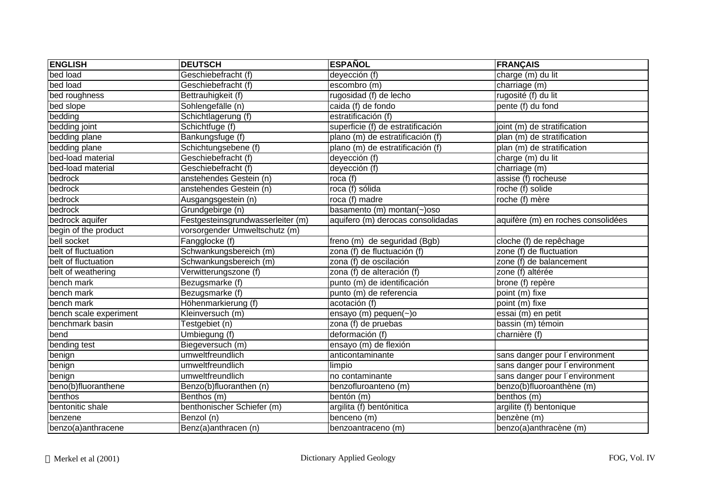| <b>ENGLISH</b>         | <b>DEUTSCH</b>                    | <b>ESPAÑOL</b>                    | <b>FRANÇAIS</b>                    |
|------------------------|-----------------------------------|-----------------------------------|------------------------------------|
| bed load               | Geschiebefracht (f)               | deyección (f)                     | charge (m) du lit                  |
| bed load               | Geschiebefracht (f)               | escombro (m)                      | charriage (m)                      |
| bed roughness          | Bettrauhigkeit (f)                | rugosidad (f) de lecho            | rugosité (f) du lit                |
| bed slope              | Sohlengefälle (n)                 | caida (f) de fondo                | pente (f) du fond                  |
| bedding                | Schichtlagerung (f)               | estratificación (f)               |                                    |
| bedding joint          | Schichtfuge (f)                   | superficie (f) de estratificación | joint (m) de stratification        |
| bedding plane          | Bankungsfuge (f)                  | plano (m) de estratificación (f)  | plan (m) de stratification         |
| bedding plane          | Schichtungsebene (f)              | plano (m) de estratificación (f)  | plan (m) de stratification         |
| bed-load material      | Geschiebefracht (f)               | deyección (f)                     | charge (m) du lit                  |
| bed-load material      | Geschiebefracht (f)               | deyección (f)                     | charriage (m)                      |
| bedrock                | anstehendes Gestein (n)           | roca $(f)$                        | assise (f) rocheuse                |
| bedrock                | anstehendes Gestein (n)           | roca (f) sólida                   | roche (f) solide                   |
| bedrock                | Ausgangsgestein (n)               | roca (f) madre                    | roche (f) mère                     |
| bedrock                | Grundgebirge (n)                  | basamento (m) montan(~)oso        |                                    |
| bedrock aquifer        | Festgesteinsgrundwasserleiter (m) | aquifero (m) derocas consolidadas | aquifère (m) en roches consolidées |
| begin of the product   | vorsorgender Umweltschutz (m)     |                                   |                                    |
| bell socket            | Fangglocke (f)                    | freno (m) de seguridad (Bgb)      | cloche (f) de repêchage            |
| belt of fluctuation    | Schwankungsbereich (m)            | zona (f) de fluctuación (f)       | zone (f) de fluctuation            |
| belt of fluctuation    | Schwankungsbereich (m)            | zona (f) de oscilación            | zone (f) de balancement            |
| belt of weathering     | Verwitterungszone (f)             | zona (f) de alteración (f)        | zone (f) altérée                   |
| bench mark             | Bezugsmarke (f)                   | punto (m) de identificación       | brone (f) repère                   |
| bench mark             | Bezugsmarke (f)                   | punto (m) de referencia           | point (m) fixe                     |
| bench mark             | Höhenmarkierung (f)               | acotación (f)                     | point (m) fixe                     |
| bench scale experiment | Kleinversuch (m)                  | ensayo (m) pequen(~)o             | essai (m) en petit                 |
| benchmark basin        | Testgebiet (n)                    | zona (f) de pruebas               | bassin (m) témoin                  |
| bend                   | Umbiegung (f)                     | deformación (f)                   | charnière (f)                      |
| bending test           | Biegeversuch (m)                  | ensayo (m) de flexión             |                                    |
| benign                 | umweltfreundlich                  | anticontaminante                  | sans danger pour l'environment     |
| benign                 | umweltfreundlich                  | limpio                            | sans danger pour l'environment     |
| benign                 | umweltfreundlich                  | no contaminante                   | sans danger pour l'environment     |
| beno(b)fluoranthene    | Benzo(b)fluoranthen (n)           | benzofluroanteno (m)              | benzo(b)fluoroanthène (m)          |
| benthos                | Benthos (m)                       | bentón (m)                        | benthos (m)                        |
| bentonitic shale       | benthonischer Schiefer (m)        | argilita (f) bentónitica          | argilite (f) bentonique            |
| benzene                | Benzol (n)                        | benceno (m)                       | benzène (m)                        |
| benzo(a)anthracene     | Benz(a)anthracen (n)              | benzoantraceno (m)                | benzo(a)anthracène (m)             |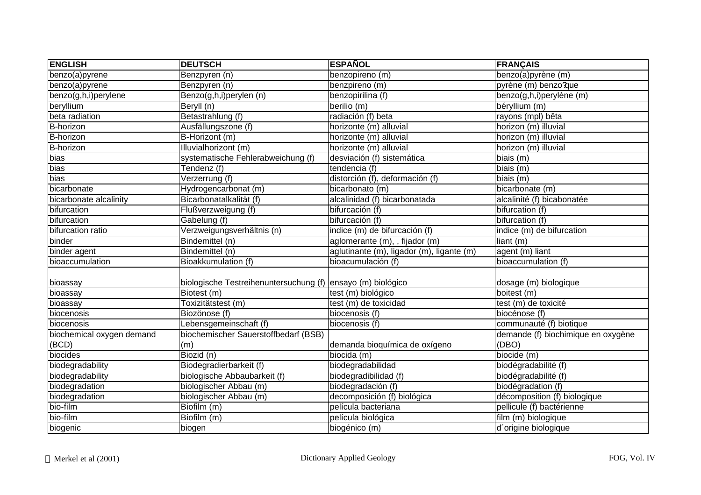| <b>ENGLISH</b>               | <b>DEUTSCH</b>                                              | <b>ESPAÑOL</b>                            | <b>FRANÇAIS</b>                    |
|------------------------------|-------------------------------------------------------------|-------------------------------------------|------------------------------------|
| $\overline{benzo(a)}$ pyrene | Benzpyren (n)                                               | benzopireno (m)                           | benzo(a)pyrène (m)                 |
| benzo(a)pyrene               | Benzpyren (n)                                               | benzpireno (m)                            | pyrène (m) benzo?que               |
| benzo(g,h,i)perylene         | Benzo(g,h,i)perylen (n)                                     | benzopirilina (f)                         | benzo(g,h,i)perylène (m)           |
| beryllium                    | Beryll (n)                                                  | berilio (m)                               | béryllium (m)                      |
| beta radiation               | Betastrahlung (f)                                           | radiación (f) beta                        | rayons (mpl) bêta                  |
| B-horizon                    | Ausfällungszone (f)                                         | horizonte (m) alluvial                    | horizon (m) illuvial               |
| B-horizon                    | B-Horizont (m)                                              | horizonte (m) alluvial                    | horizon (m) illuvial               |
| <b>B-horizon</b>             | Illuvialhorizont (m)                                        | horizonte (m) alluvial                    | horizon (m) illuvial               |
| bias                         | systematische Fehlerabweichung (f)                          | desviación (f) sistemática                | biais (m)                          |
| bias                         | Tendenz (f)                                                 | tendencia (f)                             | biais (m)                          |
| bias                         | Verzerrung (f)                                              | distorción (f), deformación (f)           | biais (m)                          |
| bicarbonate                  | Hydrogencarbonat (m)                                        | bicarbonato (m)                           | bicarbonate (m)                    |
| bicarbonate alcalinity       | Bicarbonatalkalität (f)                                     | alcalinidad (f) bicarbonatada             | alcalinité (f) bicabonatée         |
| bifurcation                  | Flußverzweigung (f)                                         | bifurcación (f)                           | bifurcation (f)                    |
| bifurcation                  | Gabelung (f)                                                | bifurcación (f)                           | bifurcation (f)                    |
| bifurcation ratio            | Verzweigungsverhältnis (n)                                  | indice (m) de bifurcación (f)             | indice (m) de bifurcation          |
| binder                       | Bindemittel (n)                                             | aglomerante (m), , fijador (m)            | liant (m)                          |
| binder agent                 | Bindemittel (n)                                             | aglutinante (m), ligador (m), ligante (m) | agent (m) liant                    |
| bioaccumulation              | Bioakkumulation (f)                                         | bioacumulación (f)                        | bioaccumulation (f)                |
|                              |                                                             |                                           |                                    |
| bioassay                     | biologische Testreihenuntersuchung (f) ensayo (m) biológico |                                           | dosage (m) biologique              |
| bioassay                     | Biotest (m)                                                 | test (m) biológico                        | boitest (m)                        |
| bioassay                     | Toxizitätstest (m)                                          | test (m) de toxicidad                     | test (m) de toxicité               |
| biocenosis                   | Biozönose (f)                                               | biocenosis (f)                            | biocénose (f)                      |
| biocenosis                   | Lebensgemeinschaft (f)                                      | biocenosis (f)                            | communauté (f) biotique            |
| biochemical oxygen demand    | biochemischer Sauerstoffbedarf (BSB)                        |                                           | demande (f) biochimique en oxygène |
| (BCD)                        | (m)                                                         | demanda bioquímica de oxígeno             | (DBO)                              |
| biocides                     | Biozid (n)                                                  | biocida (m)                               | biocide (m)                        |
| biodegradability             | Biodegradierbarkeit (f)                                     | biodegradabilidad                         | biodégradabilité (f)               |
| biodegradability             | biologische Abbaubarkeit (f)                                | biodegradibilidad (f)                     | biodégradabilité (f)               |
| biodegradation               | biologischer Abbau (m)                                      | biodegradación (f)                        | biodégradation (f)                 |
| biodegradation               | biologischer Abbau (m)                                      | decomposición (f) biológica               | décomposition (f) biologique       |
| bio-film                     | Biofilm (m)                                                 | película bacteriana                       | pellicule (f) bactérienne          |
| bio-film                     | Biofilm (m)                                                 | película biológica                        | film (m) biologique                |
| biogenic                     | biogen                                                      | biogénico (m)                             | d'origine biologique               |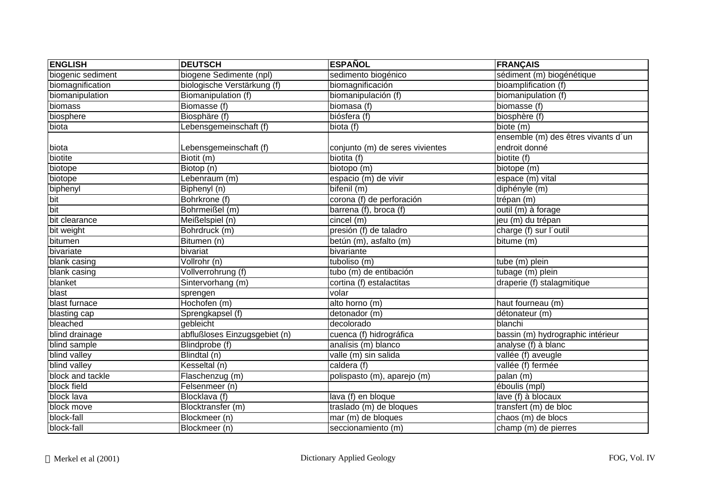| <b>ENGLISH</b>    | <b>DEUTSCH</b>                | <b>ESPAÑOL</b>                  | <b>FRANÇAIS</b>                     |
|-------------------|-------------------------------|---------------------------------|-------------------------------------|
| biogenic sediment | biogene Sedimente (npl)       | sedimento biogénico             | sédiment (m) biogénétique           |
| biomagnification  | biologische Verstärkung (f)   | biomagnificación                | bioamplification (f)                |
| biomanipulation   | Biomanipulation (f)           | biomanipulación (f)             | biomanipulation (f)                 |
| biomass           | Biomasse (f)                  | biomasa (f)                     | biomasse (f)                        |
| biosphere         | Biosphäre (f)                 | biósfera (f)                    | biosphère (f)                       |
| biota             | Lebensgemeinschaft (f)        | biota (f)                       | biote (m)                           |
|                   |                               |                                 | ensemble (m) des êtres vivants d'un |
| biota             | Lebensgemeinschaft (f)        | conjunto (m) de seres vivientes | endroit donné                       |
| biotite           | Biotit (m)                    | biotita (f)                     | biotite (f)                         |
| biotope           | Biotop (n)                    | biotopo (m)                     | biotope (m)                         |
| biotope           | Lebenraum (m)                 | espacio (m) de vivir            | espace (m) vital                    |
| biphenyl          | Biphenyl (n)                  | bifenil (m)                     | diphényle (m)                       |
| bit               | Bohrkrone (f)                 | corona (f) de perforación       | trépan (m)                          |
| bit               | Bohrmeißel (m)                | barrena (f), broca (f)          | outil (m) à forage                  |
| bit clearance     | Meißelspiel (n)               | cincel(m)                       | jeu (m) du trépan                   |
| bit weight        | Bohrdruck (m)                 | presión (f) de taladro          | charge (f) sur l'outil              |
| bitumen           | Bitumen (n)                   | betún (m), asfalto (m)          | bitume (m)                          |
| bivariate         | bivariat                      | bivariante                      |                                     |
| blank casing      | Vollrohr (n)                  | tuboliso (m)                    | tube (m) plein                      |
| blank casing      | Vollverrohrung (f)            | tubo (m) de entibación          | tubage (m) plein                    |
| blanket           | Sintervorhang (m)             | cortina (f) estalactitas        | draperie (f) stalagmitique          |
| blast             | sprengen                      | volar                           |                                     |
| blast furnace     | Hochofen (m)                  | alto horno (m)                  | haut fourneau (m)                   |
| blasting cap      | Sprengkapsel (f)              | detonador (m)                   | détonateur (m)                      |
| bleached          | gebleicht                     | decolorado                      | blanchi                             |
| blind drainage    | abflußloses Einzugsgebiet (n) | cuenca (f) hidrográfica         | bassin (m) hydrographic intérieur   |
| blind sample      | Blindprobe (f)                | analísis (m) blanco             | analyse (f) à blanc                 |
| blind valley      | Blindtal (n)                  | valle (m) sin salida            | vallée (f) aveugle                  |
| blind valley      | Kesseltal (n)                 | caldera (f)                     | vallée (f) fermée                   |
| block and tackle  | Flaschenzug (m)               | polispasto (m), aparejo (m)     | palan (m)                           |
| block field       | Felsenmeer (n)                |                                 | éboulis (mpl)                       |
| block lava        | Blocklava (f)                 | lava (f) en bloque              | lave (f) à blocaux                  |
| block move        | Blocktransfer (m)             | traslado (m) de bloques         | transfert (m) de bloc               |
| block-fall        | Blockmeer (n)                 | mar (m) de bloques              | chaos (m) de blocs                  |
| block-fall        | Blockmeer (n)                 | seccionamiento (m)              | champ (m) de pierres                |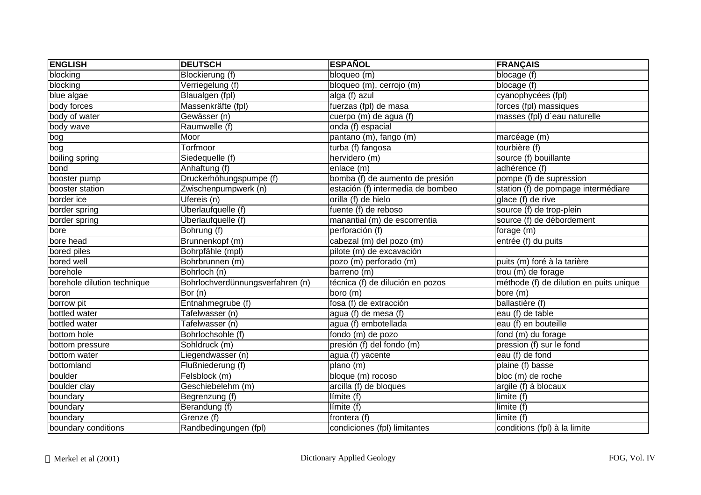| <b>ENGLISH</b>              | <b>DEUTSCH</b>                   | <b>ESPAÑOL</b>                    | <b>FRANÇAIS</b>                         |
|-----------------------------|----------------------------------|-----------------------------------|-----------------------------------------|
| blocking                    | Blockierung (f)                  | bloqueo (m)                       | blocage (f)                             |
| blocking                    | Verriegelung (f)                 | bloqueo (m), cerrojo (m)          | blocage (f)                             |
| blue algae                  | Blaualgen (fpl)                  | alga (f) azul                     | cyanophycées (fpl)                      |
| body forces                 | Massenkräfte (fpl)               | fuerzas (fpl) de masa             | forces (fpl) massiques                  |
| body of water               | Gewässer (n)                     | cuerpo $(m)$ de agua (f)          | masses (fpl) d'eau naturelle            |
| body wave                   | Raumwelle (f)                    | onda (f) espacial                 |                                         |
| bog                         | Moor                             | pantano (m), fango (m)            | marcéage (m)                            |
| bog                         | Torfmoor                         | turba (f) fangosa                 | tourbière (f)                           |
| boiling spring              | Siedequelle (f)                  | hervidero (m)                     | source (f) bouillante                   |
| bond                        | Anhaftung (f)                    | enlace (m)                        | adhérence (f)                           |
| booster pump                | Druckerhöhungspumpe (f)          | bomba (f) de aumento de presión   | pompe (f) de supression                 |
| booster station             | Zwischenpumpwerk (n)             | estación (f) intermedia de bombeo | station (f) de pompage intermédiare     |
| border ice                  | Ufereis (n)                      | orilla (f) de hielo               | glace (f) de rive                       |
| border spring               | Überlaufquelle (f)               | fuente (f) de reboso              | source (f) de trop-plein                |
| border spring               | Überlaufquelle (f)               | manantial (m) de escorrentia      | source (f) de débordement               |
| bore                        | Bohrung (f)                      | perforación (f)                   | forage (m)                              |
| bore head                   | Brunnenkopf (m)                  | cabezal (m) del pozo (m)          | entrée (f) du puits                     |
| bored piles                 | Bohrpfähle (mpl)                 | pilote (m) de excavación          |                                         |
| bored well                  | Bohrbrunnen (m)                  | pozo (m) perforado (m)            | puits (m) foré à la tarière             |
| borehole                    | Bohrloch (n)                     | barreno (m)                       | trou (m) de forage                      |
| borehole dilution technique | Bohrlochverdünnungsverfahren (n) | técnica (f) de dilución en pozos  | méthode (f) de dilution en puits unique |
| boron                       | $\overline{B}$ or (n)            | boro (m)                          | bore (m)                                |
| borrow pit                  | Entnahmegrube (f)                | fosa (f) de extracción            | ballastière (f)                         |
| bottled water               | Tafelwasser (n)                  | agua (f) de mesa (f)              | eau (f) de table                        |
| bottled water               | Tafelwasser (n)                  | agua (f) embotellada              | eau (f) en bouteille                    |
| bottom hole                 | Bohrlochsohle (f)                | fondo $(m)$ de pozo               | fond $(m)$ du forage                    |
| bottom pressure             | Sohldruck (m)                    | presión (f) del fondo (m)         | pression (f) sur le fond                |
| bottom water                | Liegendwasser (n)                | agua (f) yacente                  | eau (f) de fond                         |
| bottomland                  | Flußniederung (f)                | plano (m)                         | plaine (f) basse                        |
| boulder                     | Felsblock (m)                    | bloque (m) rocoso                 | bloc (m) de roche                       |
| boulder clay                | Geschiebelehm (m)                | arcilla (f) de bloques            | argile (f) à blocaux                    |
| boundary                    | Begrenzung (f)                   | Iímite(f)                         | limite (f)                              |
| boundary                    | Berandung (f)                    | Iímite(f)                         | limite (f)                              |
| boundary                    | Grenze (f)                       | frontera (f)                      | limite (f)                              |
| boundary conditions         | Randbedingungen (fpl)            | condiciones (fpl) limitantes      | conditions (fpl) à la limite            |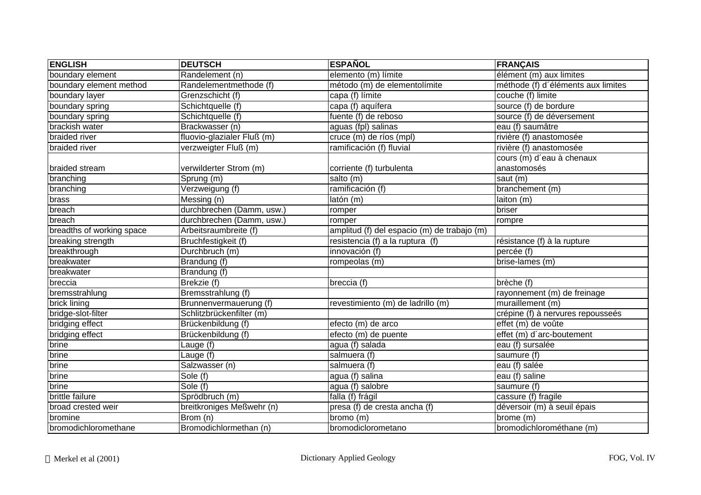| <b>ENGLISH</b>            | <b>DEUTSCH</b>             | <b>ESPAÑOL</b>                              | <b>FRANÇAIS</b>                    |
|---------------------------|----------------------------|---------------------------------------------|------------------------------------|
| boundary element          | Randelement (n)            | elemento (m) límite                         | élément (m) aux limites            |
| boundary element method   | Randelementmethode (f)     | método (m) de elementolímite                | méthode (f) d'éléments aux limites |
| boundary layer            | Grenzschicht (f)           | capa (f) límite                             | couche (f) limite                  |
| boundary spring           | Schichtquelle (f)          | capa (f) aquífera                           | source (f) de bordure              |
| boundary spring           | Schichtquelle (f)          | fuente (f) de reboso                        | source (f) de déversement          |
| brackish water            | Brackwasser (n)            | aguas (fpl) salinas                         | eau (f) saumâtre                   |
| braided river             | fluovio-glazialer Fluß (m) | cruce (m) de ríos (mpl)                     | rivière (f) anastomosée            |
| braided river             | verzweigter Fluß (m)       | ramificación (f) fluvial                    | rivière (f) anastomosée            |
|                           |                            |                                             | cours (m) d'eau à chenaux          |
| braided stream            | verwilderter Strom (m)     | corriente (f) turbulenta                    | anastomosés                        |
| branching                 | Sprung (m)                 | salto (m)                                   | saut (m)                           |
| branching                 | Verzweigung (f)            | ramificación (f)                            | branchement (m)                    |
| brass                     | Messing (n)                | latón (m)                                   | laiton (m)                         |
| breach                    | durchbrechen (Damm, usw.)  | romper                                      | briser                             |
| breach                    | durchbrechen (Damm, usw.)  | romper                                      | rompre                             |
| breadths of working space | Arbeitsraumbreite (f)      | amplitud (f) del espacio (m) de trabajo (m) |                                    |
| breaking strength         | Bruchfestigkeit (f)        | resistencia $(f)$ a la ruptura $(f)$        | résistance (f) à la rupture        |
| breakthrough              | Durchbruch (m)             | innovación (f)                              | percée (f)                         |
| breakwater                | Brandung (f)               | rompeolas (m)                               | brise-lames (m)                    |
| breakwater                | Brandung (f)               |                                             |                                    |
| breccia                   | Brekzie (f)                | breccia (f)                                 | brèche (f)                         |
| bremsstrahlung            | Bremsstrahlung (f)         |                                             | rayonnement (m) de freinage        |
| brick lining              | Brunnenvermauerung (f)     | revestimiento (m) de ladrillo (m)           | muraillement (m)                   |
| bridge-slot-filter        | Schlitzbrückenfilter (m)   |                                             | crépine (f) à nervures repousseés  |
| bridging effect           | Brückenbildung (f)         | efecto (m) de arco                          | effet (m) de voûte                 |
| bridging effect           | Brückenbildung (f)         | efecto (m) de puente                        | effet (m) d'arc-boutement          |
| brine                     | Lauge (f)                  | agua (f) salada                             | eau (f) sursalée                   |
| brine                     | Lauge (f)                  | salmuera (f)                                | saumure (f)                        |
| brine                     | Salzwasser (n)             | salmuera (f)                                | eau (f) salée                      |
| brine                     | Sole (f)                   | agua (f) salina                             | eau (f) saline                     |
| brine                     | Sole (f)                   | agua (f) salobre                            | saumure (f)                        |
| brittle failure           | Sprödbruch (m)             | falla (f) frágil                            | cassure (f) fragile                |
| broad crested weir        | breitkroniges Meßwehr (n)  | presa (f) de cresta ancha (f)               | déversoir (m) à seuil épais        |
| bromine                   | Brom (n)                   | bromo (m)                                   | brome (m)                          |
| bromodichloromethane      | Bromodichlormethan (n)     | bromodiclorometano                          | bromodichlorométhane (m)           |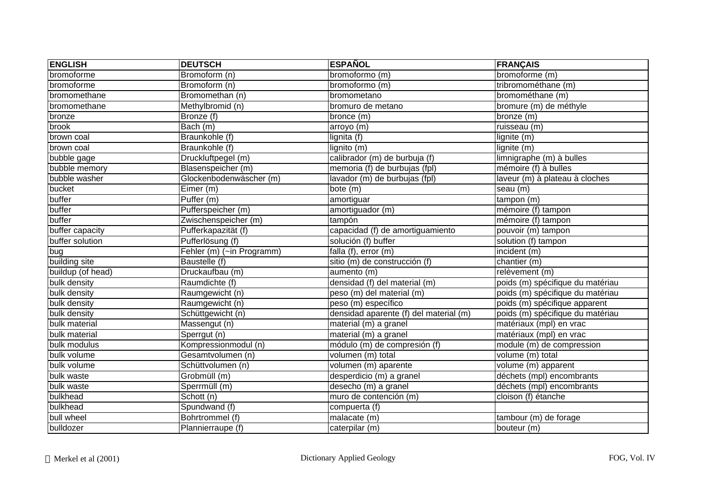| <b>ENGLISH</b>    | <b>DEUTSCH</b>                | <b>ESPAÑOL</b>                         | <b>FRANÇAIS</b>                  |
|-------------------|-------------------------------|----------------------------------------|----------------------------------|
| bromoforme        | Bromoform (n)                 | bromoformo (m)                         | bromoforme (m)                   |
| bromoforme        | Bromoform (n)                 | bromoformo (m)                         | tribromométhane (m)              |
| bromomethane      | Bromomethan (n)               | bromometano                            | bromométhane (m)                 |
| bromomethane      | Methylbromid (n)              | bromuro de metano                      | bromure (m) de méthyle           |
| bronze            | Bronze (f)                    | bronce (m)                             | bronze (m)                       |
| brook             | $\overline{$                  | arroyo (m)                             | ruisseau (m)                     |
| brown coal        | Braunkohle (f)                | lignita (f)                            | lignite (m)                      |
| brown coal        | Braunkohle (f)                | $\overline{\mathsf{lignito}}$ (m)      | lignite (m)                      |
| bubble gage       | Druckluftpegel (m)            | calibrador (m) de burbuja (f)          | limnigraphe (m) à bulles         |
| bubble memory     | Blasenspeicher (m)            | memoria (f) de burbujas (fpl)          | mémoire (f) à bulles             |
| bubble washer     | Glockenbodenwäscher (m)       | lavador (m) de burbujas (fpl)          | laveur (m) à plateau à cloches   |
| bucket            | Eimer (m)                     | bote (m)                               | seau (m)                         |
| buffer            | Puffer (m)                    | amortiguar                             | tampon (m)                       |
| buffer            | Pufferspeicher (m)            | amortiguador (m)                       | mémoire (f) tampon               |
| buffer            | Zwischenspeicher (m)          | tampón                                 | mémoire (f) tampon               |
| buffer capacity   | Pufferkapazität (f)           | capacidad (f) de amortiguamiento       | pouvoir (m) tampon               |
| buffer solution   | Pufferlösung (f)              | solución (f) buffer                    | solution (f) tampon              |
| bug               | Fehler (m) (~in Programm)     | falla (f), error (m)                   | incident (m)                     |
| building site     | Baustelle (f)                 | sitio (m) de construcción (f)          | chantier $(m)$                   |
| buildup (of head) | Druckaufbau (m)               | aumento (m)                            | relèvement (m)                   |
| bulk density      | Raumdichte (f)                | densidad (f) del material (m)          | poids (m) spécifique du matériau |
| bulk density      | Raumgewicht (n)               | peso (m) del material (m)              | poids (m) spécifique du matériau |
| bulk density      | Raumgewicht (n)               | peso (m) específico                    | poids (m) spécifique apparent    |
| bulk density      | Schüttgewicht (n)             | densidad aparente (f) del material (m) | poids (m) spécifique du matériau |
| bulk material     | Massengut (n)                 | $material(m)$ a granel                 | matériaux (mpl) en vrac          |
| bulk material     | Sperrgut (n)                  | material (m) a granel                  | matériaux (mpl) en vrac          |
| bulk modulus      | Kompressionmodul (n)          | módulo (m) de compresión (f)           | module (m) de compression        |
| bulk volume       | Gesamtvolumen (n)             | volumen (m) total                      | volume (m) total                 |
| bulk volume       | Schüttvolumen (n)             | volumen (m) aparente                   | volume (m) apparent              |
| bulk waste        | Grobmüll (m)                  | desperdicio (m) a granel               | déchets (mpl) encombrants        |
| bulk waste        | Sperrmüll (m)                 | desecho (m) a granel                   | déchets (mpl) encombrants        |
| bulkhead          | $\overline{\text{Schott}}(n)$ | muro de contención (m)                 | cloison (f) étanche              |
| bulkhead          | Spundwand (f)                 | compuerta $(f)$                        |                                  |
| bull wheel        | Bohrtrommel (f)               | malacate (m)                           | tambour (m) de forage            |
| bulldozer         | Plannierraupe (f)             | caterpilar (m)                         | bouteur (m)                      |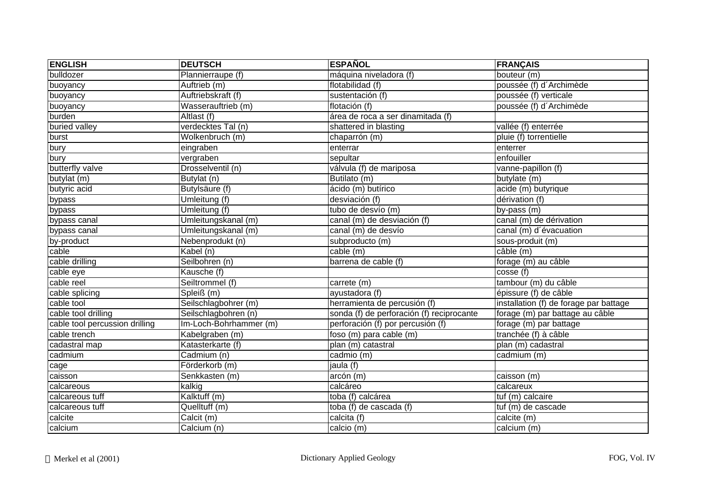| <b>ENGLISH</b>                 | <b>DEUTSCH</b>                 | <b>ESPAÑOL</b>                            | <b>FRANÇAIS</b>                        |
|--------------------------------|--------------------------------|-------------------------------------------|----------------------------------------|
| bulldozer                      | Plannierraupe (f)              | máquina niveladora (f)                    | bouteur (m)                            |
| buoyancy                       | Auftrieb (m)                   | flotabilidad (f)                          | poussée (f) d'Archimède                |
| buoyancy                       | Auftriebskraft (f)             | sustentación (f)                          | poussée (f) verticale                  |
| buoyancy                       | Wasserauftrieb (m)             | flotación (f)                             | poussée (f) d'Archimède                |
| burden                         | Altlast (f)                    | área de roca a ser dinamitada (f)         |                                        |
| buried valley                  | verdecktes Tal (n)             | shattered in blasting                     | vallée (f) enterrée                    |
| burst                          | Wolkenbruch (m)                | chaparrón (m)                             | pluie (f) torrentielle                 |
| bury                           | eingraben                      | enterrar                                  | enterrer                               |
| bury                           | vergraben                      | sepultar                                  | enfouiller                             |
| butterfly valve                | Drosselventil (n)              | válvula (f) de mariposa                   | vanne-papillon (f)                     |
| butylat (m)                    | Butylat (n)                    | Butilato (m)                              | butylate (m)                           |
| butyric acid                   | Butylsäure (f)                 | ácido (m) butírico                        | acide (m) butyrique                    |
| bypass                         | Umleitung (f)                  | desviación (f)                            | dérivation (f)                         |
| bypass                         | Umleitung (f)                  | tubo de desvío (m)                        | by-pass (m)                            |
| bypass canal                   | Umleitungskanal (m)            | canal (m) de desviación (f)               | canal (m) de dérivation                |
| bypass canal                   | Umleitungskanal (m)            | canal (m) de desvío                       | canal (m) d'évacuation                 |
| by-product                     | Nebenprodukt (n)               | subproducto (m)                           | sous-produit (m)                       |
| cable                          | Kabel (n)                      | cable (m)                                 | câble (m)                              |
| cable drilling                 | Seilbohren (n)                 | barrena de cable (f)                      | forage (m) au câble                    |
| cable eye                      | Kausche (f)                    |                                           | cosse (f)                              |
| cable reel                     | Seiltrommel (f)                | carrete (m)                               | tambour (m) du câble                   |
| cable splicing                 | $\overline{\text{SpleiS}}$ (m) | ayustadora (f)                            | épissure (f) de câble                  |
| cable tool                     | Seilschlagbohrer (m)           | herramienta de percusión (f)              | installation (f) de forage par battage |
| cable tool drilling            | Seilschlagbohren (n)           | sonda (f) de perforación (f) reciprocante | forage (m) par battage au câble        |
| cable tool percussion drilling | Im-Loch-Bohrhammer (m)         | perforación (f) por percusión (f)         | forage (m) par battage                 |
| cable trench                   | Kabelgraben (m)                | foso (m) para cable (m)                   | tranchée (f) à câble                   |
| cadastral map                  | Katasterkarte (f)              | plan (m) catastral                        | plan (m) cadastral                     |
| cadmium                        | Cadmium (n)                    | cadmio (m)                                | cadmium (m)                            |
| cage                           | Förderkorb (m)                 | jaula (f)                                 |                                        |
| caisson                        | Senkkasten (m)                 | arcón (m)                                 | caisson (m)                            |
| calcareous                     | kalkig                         | calcáreo                                  | calcareux                              |
| calcareous tuff                | Kalktuff (m)                   | toba (f) calcárea                         | tuf (m) calcaire                       |
| calcareous tuff                | Quelltuff (m)                  | toba (f) de cascada (f)                   | tuf (m) de cascade                     |
| calcite                        | Calcit (m)                     | calcita (f)                               | calcite (m)                            |
| calcium                        | Calcium (n)                    | calcio (m)                                | calcium (m)                            |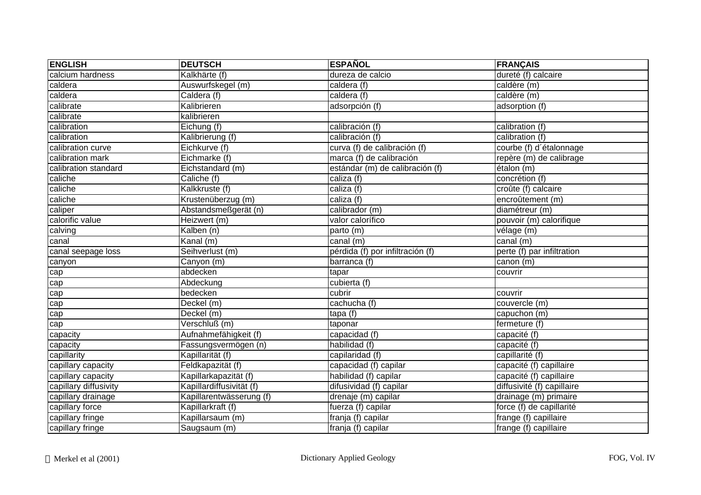| <b>ENGLISH</b>        | <b>DEUTSCH</b>           | <b>ESPAÑOL</b>                   | <b>FRANÇAIS</b>            |
|-----------------------|--------------------------|----------------------------------|----------------------------|
| calcium hardness      | Kalkhärte (f)            | dureza de calcio                 | dureté (f) calcaire        |
| caldera               | Auswurfskegel (m)        | caldera (f)                      | caldère (m)                |
| caldera               | Caldera (f)              | caldera (f)                      | caldère (m)                |
| calibrate             | Kalibrieren              | adsorpción (f)                   | adsorption (f)             |
| calibrate             | kalibrieren              |                                  |                            |
| calibration           | Eichung (f)              | calibración (f)                  | calibration (f)            |
| calibration           | Kalibrierung (f)         | calibración (f)                  | calibration (f)            |
| calibration curve     | Eichkurve (f)            | curva (f) de calibración (f)     | courbe (f) d'étalonnage    |
| calibration mark      | Eichmarke (f)            | marca (f) de calibración         | repère (m) de calibrage    |
| calibration standard  | Eichstandard (m)         | estándar (m) de calibración (f)  | étalon (m)                 |
| caliche               | Caliche (f)              | caliza (f)                       | concrétion (f)             |
| caliche               | Kalkkruste (f)           | caliza (f)                       | croûte (f) calcaire        |
| caliche               | Krustenüberzug (m)       | caliza (f)                       | encroûtement (m)           |
| caliper               | Abstandsmeßgerät (n)     | calibrador (m)                   | diamétreur (m)             |
| calorific value       | Heizwert (m)             | valor calorífico                 | pouvoir (m) calorifique    |
| calving               | Kalben (n)               | parto (m)                        | vélage (m)                 |
| canal                 | Kanal (m)                | canal (m)                        | canal $(m)$                |
| canal seepage loss    | Seihverlust (m)          | pérdida (f) por infiltración (f) | perte (f) par infiltration |
| canyon                | Canyon (m)               | barranca (f)                     | canon (m)                  |
| cap                   | abdecken                 | tapar                            | couvrir                    |
| cap                   | Abdeckung                | cubierta (f)                     |                            |
| cap                   | bedecken                 | cubrir                           | couvrir                    |
| cap                   | Deckel (m)               | cachucha (f)                     | couvercle (m)              |
| cap                   | Deckel (m)               | tapa(f)                          | capuchon (m)               |
| cap                   | Verschluß (m)            | taponar                          | fermeture (f)              |
| capacity              | Aufnahmefähigkeit (f)    | capacidad (f)                    | capacité (f)               |
| capacity              | Fassungsvermögen (n)     | habilidad (f)                    | capacité (f)               |
| capillarity           | Kapillarität (f)         | capilaridad (f)                  | capillarité (f)            |
| capillary capacity    | Feldkapazität (f)        | capacidad (f) capilar            | capacité (f) capillaire    |
| capillary capacity    | Kapillarkapazität (f)    | habilidad (f) capilar            | capacité (f) capillaire    |
| capillary diffusivity | Kapillardiffusivität (f) | difusividad (f) capilar          | diffusivité (f) capillaire |
| capillary drainage    | Kapillarentwässerung (f) | drenaje (m) capilar              | drainage (m) primaire      |
| capillary force       | Kapillarkraft (f)        | fuerza (f) capilar               | force (f) de capillarité   |
| capillary fringe      | Kapillarsaum (m)         | franja (f) capilar               | frange (f) capillaire      |
| capillary fringe      | Saugsaum (m)             | franja (f) capilar               | frange (f) capillaire      |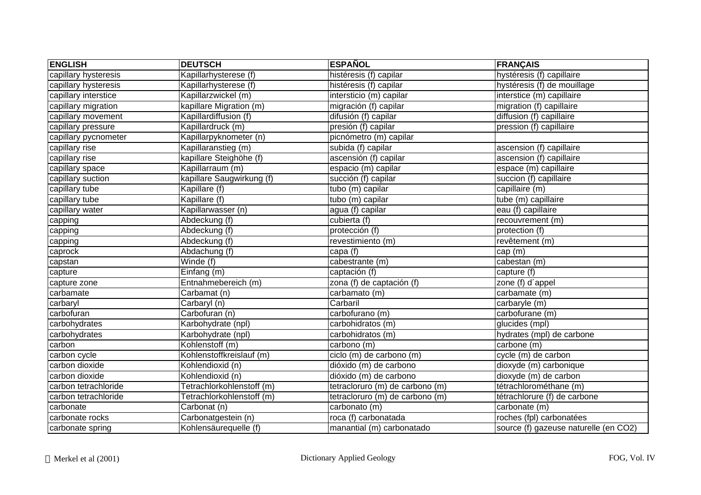| <b>ENGLISH</b>       | <b>DEUTSCH</b>            | <b>ESPAÑOL</b>                  | <b>FRANÇAIS</b>                       |
|----------------------|---------------------------|---------------------------------|---------------------------------------|
| capillary hysteresis | Kapillarhysterese (f)     | histéresis (f) capilar          | hystéresis (f) capillaire             |
| capillary hysteresis | Kapillarhysterese (f)     | histéresis (f) capilar          | hystéresis (f) de mouillage           |
| capillary interstice | Kapillarzwickel (m)       | intersticio (m) capilar         | interstice (m) capillaire             |
| capillary migration  | kapillare Migration (m)   | migración (f) capilar           | migration (f) capillaire              |
| capillary movement   | Kapillardiffusion (f)     | difusión (f) capilar            | diffusion (f) capillaire              |
| capillary pressure   | Kapillardruck (m)         | presión (f) capilar             | pression (f) capillaire               |
| capillary pycnometer | Kapillarpyknometer (n)    | picnómetro (m) capilar          |                                       |
| capillary rise       | Kapillaranstieg (m)       | subida (f) capilar              | ascension (f) capillaire              |
| capillary rise       | kapillare Steighöhe (f)   | ascensión (f) capilar           | ascension (f) capillaire              |
| capillary space      | Kapillarraum (m)          | espacio (m) capilar             | espace (m) capillaire                 |
| capillary suction    | kapillare Saugwirkung (f) | succión (f) capilar             | succion (f) capillaire                |
| capillary tube       | Kapillare (f)             | tubo (m) capilar                | capillaire (m)                        |
| capillary tube       | Kapillare (f)             | tubo (m) capilar                | tube (m) capillaire                   |
| capillary water      | Kapillarwasser (n)        | agua (f) capilar                | eau (f) capillaire                    |
| capping              | Abdeckung (f)             | cubierta (f)                    | recouvrement (m)                      |
| capping              | Abdeckung (f)             | protección (f)                  | protection (f)                        |
| capping              | Abdeckung (f)             | revestimiento (m)               | revêtement (m)                        |
| caprock              | Abdachung (f)             | capa (f)                        | cap (m)                               |
| capstan              | Winde (f)                 | cabestrante (m)                 | cabestan (m)                          |
| capture              | Einfang (m)               | captación (f)                   | capture (f)                           |
| capture zone         | Entnahmebereich (m)       | zona (f) de captación (f)       | zone (f) d'appel                      |
| carbamate            | Carbamat (n)              | carbamato (m)                   | carbamate (m)                         |
| carbaryl             | Carbaryl (n)              | Carbaril                        | carbaryle (m)                         |
| carbofuran           | Carbofuran (n)            | carbofurano (m)                 | carbofurane (m)                       |
| carbohydrates        | Karbohydrate (npl)        | carbohidratos (m)               | glucides (mpl)                        |
| carbohydrates        | Karbohydrate (npl)        | carbohidratos (m)               | hydrates (mpl) de carbone             |
| carbon               | Kohlenstoff (m)           | carbono (m)                     | carbone (m)                           |
| carbon cycle         | Kohlenstoffkreislauf (m)  | ciclo (m) de carbono (m)        | cycle (m) de carbon                   |
| carbon dioxide       | Kohlendioxid (n)          | dióxido (m) de carbono          | dioxyde (m) carbonique                |
| carbon dioxide       | Kohlendioxid (n)          | dióxido (m) de carbono          | dioxyde (m) de carbon                 |
| carbon tetrachloride | Tetrachlorkohlenstoff (m) | tetracloruro (m) de carbono (m) | tétrachlorométhane (m)                |
| carbon tetrachloride | Tetrachlorkohlenstoff (m) | tetracloruro (m) de carbono (m) | tétrachlorure (f) de carbone          |
| carbonate            | Carbonat (n)              | carbonato (m)                   | carbonate (m)                         |
| carbonate rocks      | Carbonatgestein (n)       | roca (f) carbonatada            | roches (fpl) carbonatées              |
| carbonate spring     | Kohlensäurequelle (f)     | manantial (m) carbonatado       | source (f) gazeuse naturelle (en CO2) |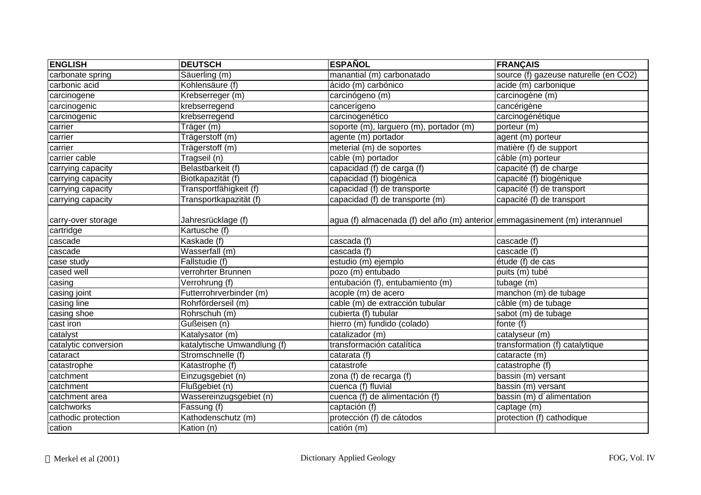| <b>ENGLISH</b>       | <b>DEUTSCH</b>                     | <b>ESPAÑOL</b>                                                              | <b>FRANÇAIS</b>                       |
|----------------------|------------------------------------|-----------------------------------------------------------------------------|---------------------------------------|
| carbonate spring     | Säuerling (m)                      | manantial (m) carbonatado                                                   | source (f) gazeuse naturelle (en CO2) |
| carbonic acid        | Kohlensäure (f)                    | ácido (m) carbónico                                                         | acide (m) carbonique                  |
| carcinogene          | Krebserreger (m)                   | carcinógeno (m)                                                             | carcinogène (m)                       |
| carcinogenic         | krebserregend                      | cancerígeno                                                                 | cancérigène                           |
| carcinogenic         | krebserregend                      | carcinogenético                                                             | carcinogénétique                      |
| carrier              | Träger (m)                         | soporte (m), larguero (m), portador (m)                                     | porteur (m)                           |
| carrier              | Trägerstoff (m)                    | agente (m) portador                                                         | agent (m) porteur                     |
| carrier              | Trägerstoff (m)                    | meterial (m) de soportes                                                    | matière (f) de support                |
| carrier cable        | Tragseil (n)                       | cable (m) portador                                                          | câble (m) porteur                     |
| carrying capacity    | Belastbarkeit (f)                  | capacidad (f) de carga (f)                                                  | capacité (f) de charge                |
| carrying capacity    | Biotkapazität (f)                  | capacidad (f) biogénica                                                     | capacité (f) biogénique               |
| carrying capacity    | Transportfähigkeit (f)             | capacidad (f) de transporte                                                 | capacité (f) de transport             |
| carrying capacity    | Transportkapazität (f)             | capacidad (f) de transporte (m)                                             | capacité (f) de transport             |
| carry-over storage   | Jahresrücklage (f)                 | agua (f) almacenada (f) del año (m) anterior emmagasinement (m) interannuel |                                       |
| cartridge            | Kartusche (f)                      |                                                                             |                                       |
| cascade              | Kaskade (f)                        | cascada (f)                                                                 | cascade (f)                           |
| cascade              | Wasserfall (m)                     | cascada (f)                                                                 | cascade (f)                           |
| case study           | Fallstudie (f)                     | estudio (m) ejemplo                                                         | étude (f) de cas                      |
| cased well           | verrohrter Brunnen                 | pozo (m) entubado                                                           | puits (m) tubé                        |
| casing               | $\overline{\text{Verrohrung}}$ (f) | entubación (f), entubamiento (m)                                            | tubage (m)                            |
| casing joint         | Futterrohrverbinder (m)            | acople (m) de acero                                                         | manchon (m) de tubage                 |
| casing line          | Rohrförderseil (m)                 | cable (m) de extracción tubular                                             | câble (m) de tubage                   |
| casing shoe          | Rohrschuh (m)                      | cubierta (f) tubular                                                        | sabot (m) de tubage                   |
| cast iron            | Gußeisen (n)                       | hierro (m) fundido (colado)                                                 | fonte (f)                             |
| catalyst             | Katalysator (m)                    | catalizador (m)                                                             | catalyseur (m)                        |
| catalytic conversion | katalytische Umwandlung (f)        | transformación catalítica                                                   | transformation (f) catalytique        |
| cataract             | Stromschnelle (f)                  | catarata (f)                                                                | cataracte (m)                         |
| catastrophe          | Katastrophe (f)                    | catastrofe                                                                  | catastrophe (f)                       |
| catchment            | Einzugsgebiet (n)                  | zona (f) de recarga (f)                                                     | bassin (m) versant                    |
| catchment            | Flußgebiet (n)                     | cuenca (f) fluvial                                                          | bassin (m) versant                    |
| catchment area       | Wassereinzugsgebiet (n)            | cuenca (f) de alimentación (f)                                              | bassin (m) d'alimentation             |
| catchworks           | Fassung $(f)$                      | captación (f)                                                               | captage (m)                           |
| cathodic protection  | Kathodenschutz (m)                 | protección (f) de cátodos                                                   | protection (f) cathodique             |
| cation               | Kation (n)                         | catión (m)                                                                  |                                       |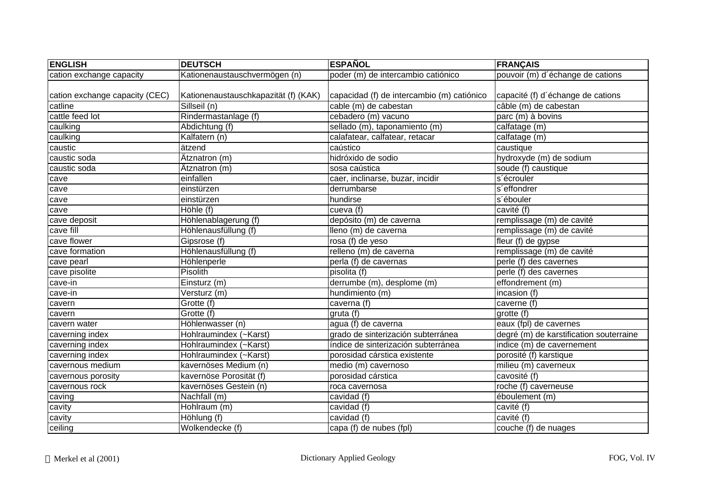| <b>ENGLISH</b>                 | <b>DEUTSCH</b>                       | <b>ESPAÑOL</b>                             | <b>FRANÇAIS</b>                         |
|--------------------------------|--------------------------------------|--------------------------------------------|-----------------------------------------|
| cation exchange capacity       | Kationenaustauschvermögen (n)        | poder (m) de intercambio catiónico         | pouvoir (m) d'échange de cations        |
|                                |                                      |                                            |                                         |
| cation exchange capacity (CEC) | Kationenaustauschkapazität (f) (KAK) | capacidad (f) de intercambio (m) catiónico | capacité (f) d'échange de cations       |
| catline                        | Sillseil (n)                         | cable (m) de cabestan                      | câble (m) de cabestan                   |
| cattle feed lot                | Rindermastanlage (f)                 | cebadero (m) vacuno                        | parc (m) à bovins                       |
| caulking                       | Abdichtung (f)                       | sellado (m), taponamiento (m)              | calfatage (m)                           |
| caulking                       | Kalfatern (n)                        | calafatear, calfatear, retacar             | calfatage (m)                           |
| caustic                        | ätzend                               | caústico                                   | caustique                               |
| caustic soda                   | Atznatron (m)                        | hidróxido de sodio                         | hydroxyde (m) de sodium                 |
| caustic soda                   | Atznatron (m)                        | sosa caústica                              | soude (f) caustique                     |
| cave                           | einfallen                            | caer, inclinarse, buzar, incidir           | s'écrouler                              |
| cave                           | einstürzen                           | derrumbarse                                | s'effondrer                             |
| cave                           | einstürzen                           | hundirse                                   | s'ébouler                               |
| cave                           | Höhle (f)                            | cueva (f)                                  | cavité (f)                              |
| cave deposit                   | Höhlenablagerung (f)                 | depósito (m) de caverna                    | remplissage (m) de cavité               |
| cave fill                      | Höhlenausfüllung (f)                 | lleno (m) de caverna                       | remplissage (m) de cavité               |
| cave flower                    | Gipsrose (f)                         | rosa (f) de yeso                           | fleur $(f)$ de gypse                    |
| cave formation                 | Höhlenausfüllung (f)                 | relleno (m) de caverna                     | remplissage (m) de cavité               |
| cave pearl                     | Höhlenperle                          | perla (f) de cavernas                      | perle (f) des cavernes                  |
| cave pisolite                  | Pisolith                             | pisolita(f)                                | perle (f) des cavernes                  |
| cave-in                        | Einsturz (m)                         | derrumbe (m), desplome (m)                 | effondrement (m)                        |
| cave-in                        | Versturz (m)                         | hundimiento (m)                            | incasion (f)                            |
| cavern                         | Grotte (f)                           | caverna (f)                                | caverne (f)                             |
| cavern                         | Grotte (f)                           | gruta (f)                                  | grotte (f)                              |
| cavern water                   | Höhlenwasser (n)                     | agua (f) de caverna                        | eaux (fpl) de cavernes                  |
| caverning index                | Hohlraumindex (~Karst)               | grado de sinterización subterránea         | degré (m) de karstification souterraine |
| caverning index                | Hohlraumindex (~Karst)               | índice de sinterización subterránea        | indice (m) de cavernement               |
| caverning index                | Hohlraumindex (~Karst)               | porosidad cárstica existente               | porosité (f) karstique                  |
| cavernous medium               | kavernöses Medium (n)                | medio (m) cavernoso                        | milieu (m) caverneux                    |
| cavernous porosity             | kavernöse Porosität (f)              | porosidad cárstica                         | cavosité (f)                            |
| cavernous rock                 | kavernöses Gestein (n)               | roca cavernosa                             | roche (f) caverneuse                    |
| caving                         | Nachfall (m)                         | cavidad (f)                                | éboulement (m)                          |
| cavity                         | Hohlraum (m)                         | cavidad (f)                                | cavité (f)                              |
| cavity                         | Höhlung (f)                          | cavidad (f)                                | cavité (f)                              |
| ceiling                        | Wolkendecke (f)                      | capa (f) de nubes (fpl)                    | couche (f) de nuages                    |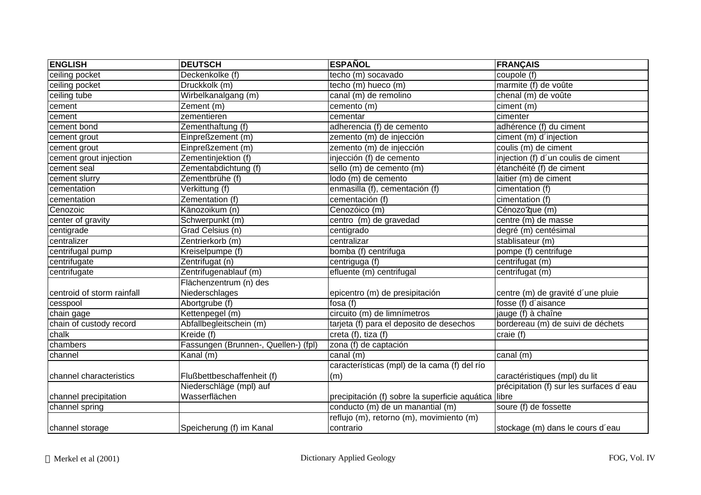| <b>ENGLISH</b>             | <b>DEUTSCH</b>                       | <b>ESPAÑOL</b>                                       | <b>FRANÇAIS</b>                          |
|----------------------------|--------------------------------------|------------------------------------------------------|------------------------------------------|
| ceiling pocket             | Deckenkolke (f)                      | techo (m) socavado                                   | coupole (f)                              |
| ceiling pocket             | Druckkolk (m)                        | techo (m) hueco (m)                                  | marmite (f) de voûte                     |
| ceiling tube               | Wirbelkanalgang (m)                  | canal (m) de remolino                                | chenal (m) de voûte                      |
| cement                     | Zement (m)                           | cemento (m)                                          | ciment (m)                               |
| cement                     | zementieren                          | cementar                                             | cimenter                                 |
| cement bond                | Zementhaftung (f)                    | adherencia (f) de cemento                            | adhérence (f) du ciment                  |
| cement grout               | Einpreßzement (m)                    | zemento (m) de injección                             | ciment (m) d'injection                   |
| cement grout               | Einpreßzement (m)                    | zemento (m) de injección                             | coulis (m) de ciment                     |
| cement grout injection     | Zementinjektion (f)                  | injección (f) de cemento                             | injection (f) d'un coulis de ciment      |
| cement seal                | Zementabdichtung (f)                 | sello (m) de cemento (m)                             | étanchéité (f) de ciment                 |
| cement slurry              | Zementbrühe (f)                      | lodo (m) de cemento                                  | laitier (m) de ciment                    |
| cementation                | Verkittung (f)                       | enmasilla (f), cementación (f)                       | cimentation (f)                          |
| cementation                | Zementation (f)                      | cementación (f)                                      | cimentation (f)                          |
| Cenozoic                   | Känozoikum (n)                       | Cenozóico (m)                                        | Cénozo?que (m)                           |
| center of gravity          | Schwerpunkt (m)                      | centro (m) de gravedad                               | centre (m) de masse                      |
| centigrade                 | Grad Celsius (n)                     | centigrado                                           | degré (m) centésimal                     |
| centralizer                | Zentrierkorb (m)                     | centralizar                                          | stablisateur (m)                         |
| centrifugal pump           | Kreiselpumpe (f)                     | bomba (f) centrifuga                                 | pompe (f) centrifuge                     |
| centrifugate               | Zentrifugat (n)                      | centriguga (f)                                       | centrifugat (m)                          |
| centrifugate               | Zentrifugenablauf (m)                | efluente (m) centrifugal                             | centrifugat (m)                          |
|                            | Flächenzentrum (n) des               |                                                      |                                          |
| centroid of storm rainfall | Niederschlages                       | epicentro (m) de presipitación                       | centre (m) de gravité d'une pluie        |
| cesspool                   | Abortgrube (f)                       | fosa $(f)$                                           | fosse (f) d'aisance                      |
| chain gage                 | Kettenpegel (m)                      | circuito (m) de limnímetros                          | jauge (f) à chaîne                       |
| chain of custody record    | Abfallbegleitschein (m)              | tarjeta (f) para el deposito de desechos             | bordereau (m) de suivi de déchets        |
| chalk                      | Kreide (f)                           | creta (f), tiza (f)                                  | craie (f)                                |
| chambers                   | Fassungen (Brunnen-, Quellen-) (fpl) | zona (f) de captación                                |                                          |
| channel                    | Kanal (m)                            | canal $(m)$                                          | canal (m)                                |
|                            |                                      | características (mpl) de la cama (f) del río         |                                          |
| channel characteristics    | Flußbettbeschaffenheit (f)           | (m)                                                  | caractéristiques (mpl) du lit            |
|                            | Niederschläge (mpl) auf              |                                                      | précipitation (f) sur les surfaces d'eau |
| channel precipitation      | Wasserflächen                        | precipitación (f) sobre la superficie aquática libre |                                          |
| channel spring             |                                      | conducto (m) de un manantial (m)                     | soure (f) de fossette                    |
|                            |                                      | reflujo (m), retorno (m), movimiento (m)             |                                          |
| channel storage            | Speicherung (f) im Kanal             | contrario                                            | stockage (m) dans le cours d'eau         |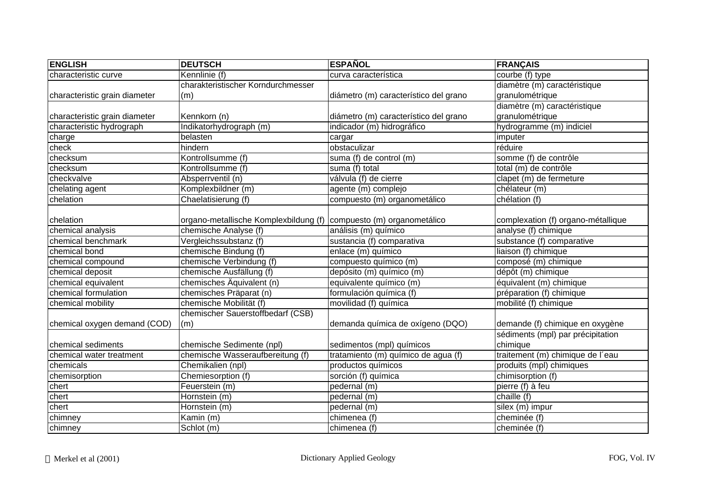| <b>ENGLISH</b>                | <b>DEUTSCH</b>                                                     | <b>ESPAÑOL</b>                        | <b>FRANÇAIS</b>                    |
|-------------------------------|--------------------------------------------------------------------|---------------------------------------|------------------------------------|
| characteristic curve          | Kennlinie (f)                                                      | curva característica                  | courbe (f) type                    |
|                               | charakteristischer Korndurchmesser                                 |                                       | diamètre (m) caractéristique       |
| characteristic grain diameter | (m)                                                                | diámetro (m) característico del grano | granulométrique                    |
|                               |                                                                    |                                       | diamètre (m) caractéristique       |
| characteristic grain diameter | Kennkorn (n)                                                       | diámetro (m) característico del grano | granulométrique                    |
| characteristic hydrograph     | Indikatorhydrograph (m)                                            | indicador (m) hidrográfico            | hydrogramme (m) indiciel           |
| charge                        | belasten                                                           | cargar                                | imputer                            |
| check                         | hindern                                                            | obstaculizar                          | réduire                            |
| checksum                      | Kontrollsumme (f)                                                  | suma (f) de control (m)               | somme (f) de contrôle              |
| checksum                      | Kontrollsumme (f)                                                  | suma (f) total                        | total (m) de contrôle              |
| checkvalve                    | Absperrventil (n)                                                  | válvula (f) de cierre                 | clapet (m) de fermeture            |
| chelating agent               | Komplexbildner (m)                                                 | agente (m) complejo                   | chélateur (m)                      |
| chelation                     | Chaelatisierung (f)                                                | compuesto (m) organometálico          | chélation (f)                      |
|                               |                                                                    |                                       |                                    |
| chelation                     | organo-metallische Komplexbildung (f) compuesto (m) organometálico |                                       | complexation (f) organo-métallique |
| chemical analysis             | chemische Analyse (f)                                              | análisis (m) químico                  | analyse (f) chimique               |
| chemical benchmark            | Vergleichssubstanz (f)                                             | sustancia (f) comparativa             | substance (f) comparative          |
| chemical bond                 | chemische Bindung (f)                                              | enlace (m) químico                    | liaison (f) chimique               |
| chemical compound             | chemische Verbindung (f)                                           | compuesto químico (m)                 | composé (m) chimique               |
| chemical deposit              | chemische Ausfällung (f)                                           | depósito (m) químico (m)              | dépôt (m) chimique                 |
| chemical equivalent           | chemisches Äquivalent (n)                                          | equivalente químico (m)               | $équivalent (m)$ chimique          |
| chemical formulation          | chemisches Präparat (n)                                            | formulación química (f)               | préparation (f) chimique           |
| chemical mobility             | chemische Mobilität (f)                                            | movilidad (f) química                 | mobilité (f) chimique              |
|                               | chemischer Sauerstoffbedarf (CSB)                                  |                                       |                                    |
| chemical oxygen demand (COD)  | (m)                                                                | demanda química de oxígeno (DQO)      | demande (f) chimique en oxygène    |
|                               |                                                                    |                                       | sédiments (mpl) par précipitation  |
| chemical sediments            | chemische Sedimente (npl)                                          | sedimentos (mpl) químicos             | chimique                           |
| chemical water treatment      | chemische Wasseraufbereitung (f)                                   | tratamiento (m) químico de agua (f)   | traitement (m) chimique de l'eau   |
| chemicals                     | Chemikalien (npl)                                                  | productos químicos                    | produits (mpl) chimiques           |
| chemisorption                 | Chemiesorption (f)                                                 | sorción (f) química                   | chimisorption (f)                  |
| chert                         | Feuerstein (m)                                                     | pedernal (m)                          | pierre (f) à feu                   |
| chert                         | Hornstein (m)                                                      | pedernal (m)                          | chaille $(f)$                      |
| chert                         | Hornstein (m)                                                      | pedernal (m)                          | silex $(m)$ impur                  |
| chimney                       | Kamin (m)                                                          | chimenea (f)                          | cheminée (f)                       |
| chimney                       | Schlot (m)                                                         | chimenea (f)                          | cheminée (f)                       |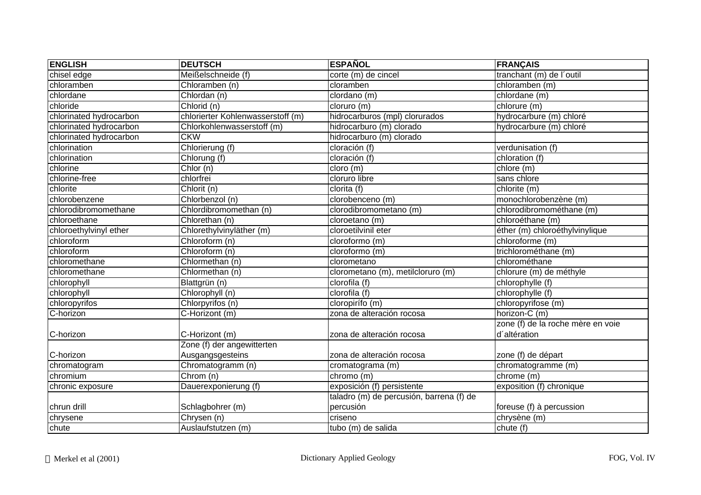| <b>ENGLISH</b>          | <b>DEUTSCH</b>                    | <b>ESPAÑOL</b>                           | <b>FRANÇAIS</b>                   |
|-------------------------|-----------------------------------|------------------------------------------|-----------------------------------|
| chisel edge             | Meißelschneide (f)                | corte (m) de cincel                      | tranchant (m) de l'outil          |
| chloramben              | Chloramben (n)                    | cloramben                                | chloramben (m)                    |
| chlordane               | Chlordan (n)                      | clordano (m)                             | chlordane (m)                     |
| chloride                | Chlorid (n)                       | cloruro (m)                              | chlorure (m)                      |
| chlorinated hydrocarbon | chlorierter Kohlenwasserstoff (m) | hidrocarburos (mpl) clorurados           | hydrocarbure (m) chloré           |
| chlorinated hydrocarbon | Chlorkohlenwasserstoff (m)        | hidrocarburo (m) clorado                 | hydrocarbure (m) chloré           |
| chlorinated hydrocarbon | <b>CKW</b>                        | hidrocarburo (m) clorado                 |                                   |
| chlorination            | Chlorierung (f)                   | cloración (f)                            | verdunisation (f)                 |
| chlorination            | Chlorung (f)                      | cloración (f)                            | chloration (f)                    |
| chlorine                | Chlor (n)                         | cloro (m)                                | chlore (m)                        |
| chlorine-free           | chlorfrei                         | cloruro libre                            | sans chlore                       |
| chlorite                | $\overline{Ch}$ lorit (n)         | clorita (f)                              | chlorite (m)                      |
| chlorobenzene           | Chlorbenzol (n)                   | clorobenceno (m)                         | monochlorobenzène (m)             |
| chlorodibromomethane    | Chlordibromomethan (n)            | clorodibromometano (m)                   | chlorodibromométhane (m)          |
| chloroethane            | Chlorethan (n)                    | cloroetano (m)                           | chloroéthane (m)                  |
| chloroethylvinyl ether  | Chlorethylvinyläther (m)          | cloroetilvinil eter                      | éther (m) chloroéthylvinylique    |
| chloroform              | Chloroform (n)                    | cloroformo (m)                           | chloroforme (m)                   |
| chloroform              | Chloroform (n)                    | cloroformo (m)                           | trichlorométhane (m)              |
| chloromethane           | Chlormethan (n)                   | clorometano                              | chlorométhane                     |
| chloromethane           | Chlormethan (n)                   | clorometano $(m)$ , metilcloruro $(m)$   | chlorure (m) de méthyle           |
| chlorophyll             | Blattgrün $(n)$                   | clorofila (f)                            | chlorophylle (f)                  |
| chlorophyll             | Chlorophyll (n)                   | clorofila (f)                            | chlorophylle (f)                  |
| chloropyrifos           | Chlorpyrifos (n)                  | cloropirífo (m)                          | chloropyrifose (m)                |
| C-horizon               | C-Horizont (m)                    | zona de alteración rocosa                | horizon-C (m)                     |
|                         |                                   |                                          | zone (f) de la roche mère en voie |
| C-horizon               | C-Horizont (m)                    | zona de alteración rocosa                | d'altération                      |
|                         | Zone (f) der angewitterten        |                                          |                                   |
| C-horizon               | Ausgangsgesteins                  | zona de alteración rocosa                | zone (f) de départ                |
| chromatogram            | Chromatogramm (n)                 | cromatograma (m)                         | chromatogramme (m)                |
| chromium                | Chrom (n)                         | chromo (m)                               | chrome (m)                        |
| chronic exposure        | Dauerexponierung (f)              | exposición (f) persistente               | exposition (f) chronique          |
|                         |                                   | taladro (m) de percusión, barrena (f) de |                                   |
| chrun drill             | Schlagbohrer (m)                  | percusión                                | foreuse (f) à percussion          |
| chrysene                | Chrysen (n)                       | criseno                                  | chrysène (m)                      |
| chute                   | Auslaufstutzen (m)                | tubo (m) de salida                       | chute (f)                         |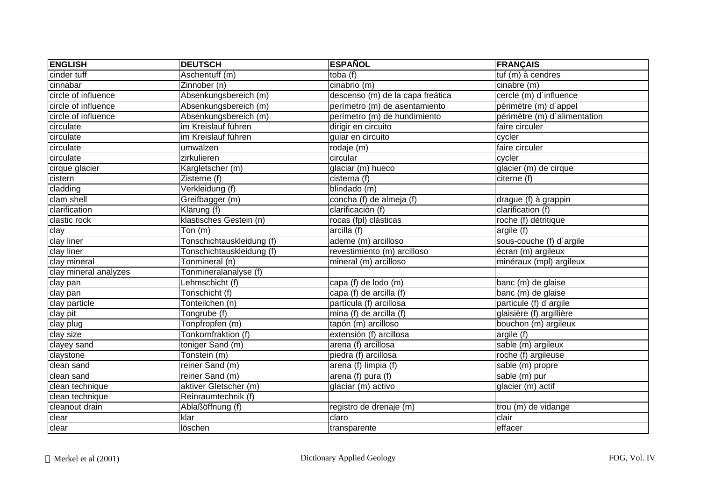| <b>ENGLISH</b>        | <b>DEUTSCH</b>            | <b>ESPAÑOL</b>                   | <b>FRANÇAIS</b>              |
|-----------------------|---------------------------|----------------------------------|------------------------------|
| cinder tuff           | Aschentuff (m)            | toba $(f)$                       | tuf (m) à cendres            |
| cinnabar              | Zinnober (n)              | cinabrio (m)                     | cinabre (m)                  |
| circle of influence   | Absenkungsbereich (m)     | descenso (m) de la capa freática | cercle (m) d'influence       |
| circle of influence   | Absenkungsbereich (m)     | perímetro (m) de asentamiento    | périmètre (m) d'appel        |
| circle of influence   | Absenkungsbereich (m)     | perímetro (m) de hundimiento     | périmètre (m) d'alimentation |
| circulate             | im Kreislauf führen       | dirigir en circuito              | faire circuler               |
| circulate             | im Kreislauf führen       | guiar en circuito                | cycler                       |
| circulate             | umwälzen                  | rodaje(m)                        | faire circuler               |
| circulate             | zirkulieren               | circular                         | cycler                       |
| cirque glacier        | Kargletscher (m)          | glaciar (m) hueco                | glacier (m) de cirque        |
| cistern               | Zisterne (f)              | cisterna (f)                     | citerne (f)                  |
| cladding              | Verkleidung (f)           | blindado (m)                     |                              |
| clam shell            | Greifbagger (m)           | concha (f) de almeja (f)         | drague (f) à grappin         |
| clarification         | Klärung (f)               | clarificación (f)                | clarification (f)            |
| clastic rock          | klastisches Gestein (n)   | rocas (fpl) clásticas            | roche (f) détritique         |
| clay                  | Ton(m)                    | arcilla(f)                       | argile (f)                   |
| clay liner            | Tonschichtauskleidung (f) | ademe (m) arcilloso              | sous-couche (f) d'argile     |
| clay liner            | Tonschichtauskleidung (f) | revestimiento (m) arcilloso      | écran (m) argileux           |
| clay mineral          | Tonmineral (n)            | mineral (m) arcilloso            | minéraux (mpl) argileux      |
| clay mineral analyzes | Tonmineralanalyse (f)     |                                  |                              |
| clay pan              | Lehmschicht (f)           | capa (f) de lodo (m)             | banc (m) de glaise           |
| clay pan              | Tonschicht (f)            | capa (f) de arcilla (f)          | banc (m) de glaise           |
| clay particle         | Tonteilchen (n)           | partícula (f) arcillosa          | particule (f) d'argile       |
| clay pit              | Tongrube (f)              | mina (f) de arcilla (f)          | glaisière (f) argillière     |
| clay plug             | Tonpfropfen (m)           | tapón (m) arcilloso              | bouchon (m) argileux         |
| clay size             | Tonkornfraktion (f)       | extensión (f) arcillosa          | argile (f)                   |
| clayey sand           | toniger Sand (m)          | arena (f) arcillosa              | sable (m) argileux           |
| claystone             | Tonstein (m)              | piedra (f) arcillosa             | roche (f) argileuse          |
| clean sand            | reiner Sand $(m)$         | arena (f) limpia (f)             | sable (m) propre             |
| clean sand            | reiner Sand (m)           | arena (f) pura (f)               | sable $(m)$ pur              |
| clean technique       | aktiver Gletscher (m)     | glaciar (m) activo               | glacier (m) actif            |
| clean technique       | Reinraumtechnik (f)       |                                  |                              |
| cleanout drain        | Ablaßöffnung (f)          | registro de drenaje (m)          | trou (m) de vidange          |
| clear                 | klar                      | claro                            | clair                        |
| clear                 | löschen                   | transparente                     | effacer                      |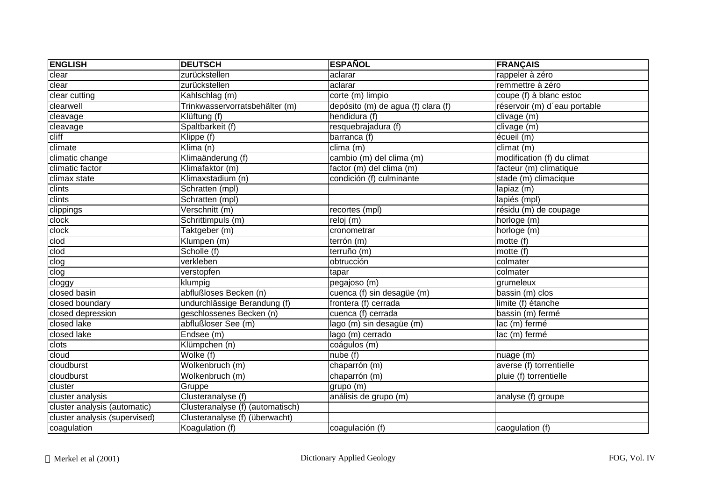| <b>ENGLISH</b>                | <b>DEUTSCH</b>                   | <b>ESPAÑOL</b>                     | <b>FRANÇAIS</b>              |
|-------------------------------|----------------------------------|------------------------------------|------------------------------|
| clear                         | zurückstellen                    | aclarar                            | rappeler à zéro              |
| clear                         | zurückstellen                    | aclarar                            | remmettre à zéro             |
| clear cutting                 | Kahlschlag (m)                   | corte (m) limpio                   | coupe (f) à blanc estoc      |
| clearwell                     | Trinkwasservorratsbehälter (m)   | depósito (m) de agua (f) clara (f) | réservoir (m) d'eau portable |
| cleavage                      | Klüftung (f)                     | hendidura (f)                      | clivage (m)                  |
| cleavage                      | Spaltbarkeit (f)                 | resquebrajadura (f)                | clivage (m)                  |
| cliff                         | Klippe (f)                       | barranca (f)                       | écueil (m)                   |
| climate                       | Klima $(n)$                      | clima(m)                           | climat(m)                    |
| climatic change               | Klimaänderung (f)                | cambio (m) del clima (m)           | modification (f) du climat   |
| climatic factor               | Klimafaktor (m)                  | factor (m) del clima (m)           | facteur (m) climatique       |
| climax state                  | Klimaxstadium (n)                | condición (f) culminante           | stade (m) climacique         |
| clints                        | Schratten (mpl)                  |                                    | lapiaz (m)                   |
| clints                        | Schratten (mpl)                  |                                    | lapiés (mpl)                 |
| clippings                     | Verschnitt (m)                   | recortes (mpl)                     | résidu (m) de coupage        |
| clock                         | Schrittimpuls (m)                | reloj (m)                          | horloge (m)                  |
| clock                         | Taktgeber (m)                    | cronometrar                        | horloge (m)                  |
| clod                          | Klumpen (m)                      | terrón (m)                         | motte (f)                    |
| clod                          | Scholle (f)                      | terruño (m)                        | motte (f)                    |
| clog                          | verkleben                        | obtrucción                         | colmater                     |
| clog                          | verstopfen                       | tapar                              | colmater                     |
| cloggy                        | klumpig                          | pegajoso (m)                       | grumeleux                    |
| closed basin                  | abflußloses Becken (n)           | cuenca (f) sin desagüe (m)         | bassin (m) clos              |
| closed boundary               | undurchlässige Berandung (f)     | frontera (f) cerrada               | limite (f) étanche           |
| closed depression             | geschlossenes Becken (n)         | cuenca (f) cerrada                 | bassin (m) fermé             |
| closed lake                   | abflußloser See (m)              | lago (m) sin desagüe (m)           | lac (m) fermé                |
| closed lake                   | Endsee (m)                       | lago (m) cerrado                   | lac (m) fermé                |
| clots                         | Klümpchen (n)                    | coágulos (m)                       |                              |
| cloud                         | Wolke $(f)$                      | nube (f)                           | nuage (m)                    |
| cloudburst                    | Wolkenbruch (m)                  | chaparrón (m)                      | averse (f) torrentielle      |
| cloudburst                    | Wolkenbruch (m)                  | chaparrón (m)                      | pluie (f) torrentielle       |
| cluster                       | Gruppe                           | grupo (m)                          |                              |
| cluster analysis              | Clusteranalyse (f)               | análisis de grupo (m)              | analyse (f) groupe           |
| cluster analysis (automatic)  | Clusteranalyse (f) (automatisch) |                                    |                              |
| cluster analysis (supervised) | Clusteranalyse (f) (überwacht)   |                                    |                              |
| coagulation                   | Koagulation (f)                  | coagulación (f)                    | caogulation (f)              |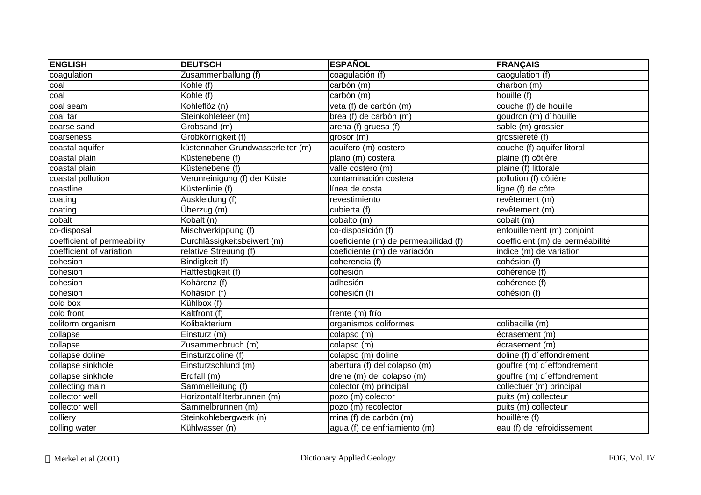| <b>ENGLISH</b>              | <b>DEUTSCH</b>                    | <b>ESPAÑOL</b>                       | <b>FRANÇAIS</b>                 |
|-----------------------------|-----------------------------------|--------------------------------------|---------------------------------|
| coagulation                 | Zusammenballung (f)               | coagulación (f)                      | caogulation (f)                 |
| coal                        | Kohle (f)                         | carbón (m)                           | charbon (m)                     |
| coal                        | Kohle (f)                         | carbón (m)                           | houille (f)                     |
| coal seam                   | Kohleflöz (n)                     | veta (f) de carbón (m)               | couche (f) de houille           |
| coal tar                    | Steinkohleteer (m)                | brea (f) de carbón (m)               | goudron (m) d'houille           |
| coarse sand                 | Grobsand (m)                      | arena (f) gruesa (f)                 | sable (m) grossier              |
| coarseness                  | Grobkörnigkeit (f)                | grosor (m)                           | grossièreté (f)                 |
| coastal aquifer             | küstennaher Grundwasserleiter (m) | acuífero (m) costero                 | couche (f) aquifer litoral      |
| coastal plain               | Küstenebene (f)                   | plano (m) costera                    | plaine (f) côtière              |
| coastal plain               | Küstenebene (f)                   | valle costero (m)                    | plaine (f) littorale            |
| coastal pollution           | Verunreinigung (f) der Küste      | contaminación costera                | pollution (f) côtière           |
| coastline                   | Küstenlinie (f)                   | línea de costa                       | ligne (f) de côte               |
| coating                     | Auskleidung (f)                   | revestimiento                        | revêtement (m)                  |
| coating                     | Überzug (m)                       | cubierta (f)                         | revêtement (m)                  |
| cobalt                      | Kobalt (n)                        | cobalto (m)                          | cobalt (m)                      |
| co-disposal                 | Mischverkippung (f)               | co-disposición (f)                   | enfouillement (m) conjoint      |
| coefficient of permeability | Durchlässigkeitsbeiwert (m)       | coeficiente (m) de permeabilidad (f) | coefficient (m) de perméabilité |
| coefficient of variation    | relative Streuung (f)             | coeficiente (m) de variación         | indice (m) de variation         |
| cohesion                    | Bindigkeit (f)                    | coherencia (f)                       | cohésion (f)                    |
| cohesion                    | Haftfestigkeit (f)                | cohesión                             | cohérence (f)                   |
| cohesion                    | Kohärenz (f)                      | adhesión                             | cohérence (f)                   |
| cohesion                    | Kohäsion (f)                      | cohesión (f)                         | cohésion (f)                    |
| cold box                    | Kühlbox (f)                       |                                      |                                 |
| cold front                  | Kaltfront (f)                     | frente (m) frío                      |                                 |
| coliform organism           | Kolibakterium                     | organismos coliformes                | colibacille (m)                 |
| collapse                    | Einsturz (m)                      | colapso (m)                          | écrasement (m)                  |
| collapse                    | Zusammenbruch (m)                 | colapso(m)                           | écrasement (m)                  |
| collapse doline             | Einsturzdoline (f)                | colapso (m) doline                   | doline (f) d'effondrement       |
| collapse sinkhole           | Einsturzschlund (m)               | abertura (f) del colapso (m)         | gouffre (m) d'effondrement      |
| collapse sinkhole           | Erdfall (m)                       | drene (m) del colapso (m)            | gouffre (m) d'effondrement      |
| collecting main             | Sammelleitung (f)                 | colector (m) principal               | collectuer (m) principal        |
| collector well              | Horizontalfilterbrunnen (m)       | pozo (m) colector                    | puits (m) collecteur            |
| collector well              | Sammelbrunnen (m)                 | pozo (m) recolector                  | puits (m) collecteur            |
| colliery                    | Steinkohlebergwerk (n)            | mina (f) de carbón (m)               | houillère (f)                   |
| colling water               | Kühlwasser (n)                    | agua (f) de enfriamiento (m)         | eau (f) de refroidissement      |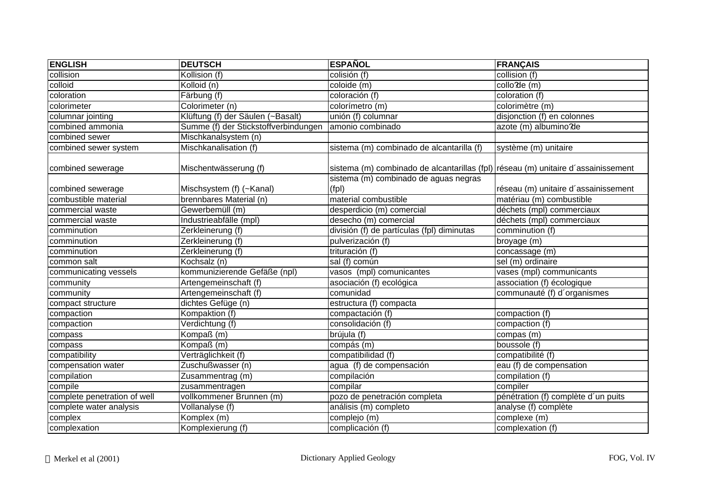| <b>ENGLISH</b>                            | <b>DEUTSCH</b>                                      | <b>ESPAÑOL</b>                                                                    | <b>FRANÇAIS</b>                                                  |
|-------------------------------------------|-----------------------------------------------------|-----------------------------------------------------------------------------------|------------------------------------------------------------------|
| collision                                 | Kollision (f)                                       | colisión (f)                                                                      | collision (f)                                                    |
| colloid                                   | Kolloid (n)                                         | coloide (m)                                                                       | collo de (m)                                                     |
| coloration                                | $\overline{\mathsf{F}}$ ärbung (f)                  | coloración (f)                                                                    | coloration (f)                                                   |
| colorimeter                               | Colorimeter (n)                                     | colorímetro (m)                                                                   | colorimètre (m)                                                  |
| columnar jointing                         | Klüftung (f) der Säulen (~Basalt)                   | unión (f) columnar                                                                | disjonction (f) en colonnes                                      |
| combined ammonia                          | Summe (f) der Stickstoffverbindungen                | amonio combinado                                                                  | azote (m) albumino?de                                            |
| combined sewer                            | Mischkanalsystem (n)                                |                                                                                   |                                                                  |
| combined sewer system                     | Mischkanalisation (f)                               | sistema (m) combinado de alcantarilla (f)                                         | système (m) unitaire                                             |
| combined sewerage                         | Mischentwässerung (f)                               | sistema (m) combinado de alcantarillas (fpl) réseau (m) unitaire d'assainissement |                                                                  |
|                                           |                                                     | sistema (m) combinado de aguas negras                                             |                                                                  |
| combined sewerage<br>combustible material | Mischsystem (f) (~Kanal)<br>brennbares Material (n) | (fpl)<br>material combustible                                                     | réseau (m) unitaire d'assainissement<br>matériau (m) combustible |
| commercial waste                          | Gewerbemüll (m)                                     | desperdicio (m) comercial                                                         | déchets (mpl) commerciaux                                        |
| commercial waste                          | Industrieabfälle (mpl)                              | desecho (m) comercial                                                             | déchets (mpl) commerciaux                                        |
| comminution                               | Zerkleinerung (f)                                   | división (f) de partículas (fpl) diminutas                                        | comminution (f)                                                  |
| comminution                               | Zerkleinerung (f)                                   | pulverización (f)                                                                 | broyage (m)                                                      |
| comminution                               | Zerkleinerung (f)                                   | trituración (f)                                                                   | concassage (m)                                                   |
| common salt                               | Kochsalz (n)                                        | sal (f) común                                                                     | sel (m) ordinaire                                                |
| communicating vessels                     | kommunizierende Gefäße (npl)                        | vasos (mpl) comunicantes                                                          | vases (mpl) communicants                                         |
| community                                 | Artengemeinschaft (f)                               | asociación (f) ecológica                                                          | association (f) écologique                                       |
| community                                 | Artengemeinschaft (f)                               | comunidad                                                                         | communauté (f) d'organismes                                      |
| compact structure                         | dichtes Gefüge (n)                                  | estructura (f) compacta                                                           |                                                                  |
| compaction                                | Kompaktion (f)                                      | compactación (f)                                                                  | compaction (f)                                                   |
| compaction                                | Verdichtung (f)                                     | consolidación (f)                                                                 | compaction (f)                                                   |
| compass                                   | Kompaß (m)                                          | brújula (f)                                                                       | compas (m)                                                       |
| compass                                   | Kompaß (m)                                          | compás (m)                                                                        | boussole (f)                                                     |
| compatibility                             | Verträglichkeit (f)                                 | compatibilidad (f)                                                                | compatibilité (f)                                                |
| compensation water                        | Zuschußwasser (n)                                   | agua (f) de compensación                                                          | eau (f) de compensation                                          |
| compilation                               | Zusammentrag (m)                                    | compilación                                                                       | compilation (f)                                                  |
| compile                                   | zusammentragen                                      | compilar                                                                          | compiler                                                         |
| complete penetration of well              | vollkommener Brunnen (m)                            | pozo de penetración completa                                                      | pénétration (f) complète d'un puits                              |
| complete water analysis                   | Vollanalyse (f)                                     | análisis (m) completo                                                             | analyse (f) complète                                             |
| complex                                   | Komplex (m)                                         | complejo (m)                                                                      | complexe (m)                                                     |
| complexation                              | Komplexierung (f)                                   | complicación (f)                                                                  | complexation (f)                                                 |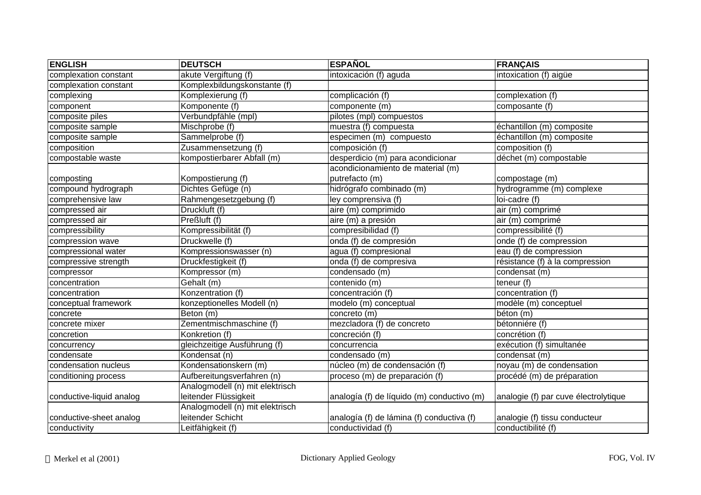| <b>ENGLISH</b>           | <b>DEUTSCH</b>                  | <b>ESPAÑOL</b>                             | <b>FRANÇAIS</b>                      |
|--------------------------|---------------------------------|--------------------------------------------|--------------------------------------|
| complexation constant    | akute Vergiftung (f)            | intoxicación (f) aguda                     | intoxication (f) aigüe               |
| complexation constant    | Komplexbildungskonstante (f)    |                                            |                                      |
| complexing               | Komplexierung (f)               | complicación (f)                           | complexation (f)                     |
| component                | Komponente (f)                  | componente (m)                             | composante (f)                       |
| composite piles          | Verbundpfähle (mpl)             | pilotes (mpl) compuestos                   |                                      |
| composite sample         | Mischprobe (f)                  | muestra (f) compuesta                      | échantillon (m) composite            |
| composite sample         | Sammelprobe (f)                 | especimen (m) compuesto                    | échantillon (m) composite            |
| composition              | Zusammensetzung (f)             | composición (f)                            | composition (f)                      |
| compostable waste        | kompostierbarer Abfall (m)      | desperdicio (m) para acondicionar          | déchet (m) compostable               |
|                          |                                 | acondicionamiento de material (m)          |                                      |
| composting               | Kompostierung (f)               | putrefacto (m)                             | compostage (m)                       |
| compound hydrograph      | Dichtes Gefüge (n)              | hidrógrafo combinado (m)                   | hydrogramme (m) complexe             |
| comprehensive law        | Rahmengesetzgebung (f)          | ley comprensiva (f)                        | loi-cadre (f)                        |
| compressed air           | Druckluft (f)                   | aire (m) comprimido                        | air (m) comprimé                     |
| compressed air           | Preßluft (f)                    | aire (m) a presión                         | air (m) comprimé                     |
| compressibility          | Kompressibilität (f)            | compresibilidad (f)                        | compressibilité (f)                  |
| compression wave         | Druckwelle (f)                  | onda (f) de compresión                     | onde (f) de compression              |
| compressional water      | Kompressionswasser (n)          | agua (f) compresional                      | eau (f) de compression               |
| compressive strength     | Druckfestigkeit (f)             | onda (f) de compresiva                     | résistance (f) à la compression      |
| compressor               | Kompressor (m)                  | condensado (m)                             | condensat (m)                        |
| concentration            | Gehalt (m)                      | contenido (m)                              | teneur (f)                           |
| concentration            | Konzentration (f)               | concentración (f)                          | concentration (f)                    |
| conceptual framework     | konzeptionelles Modell (n)      | modelo (m) conceptual                      | modèle (m) conceptuel                |
| concrete                 | Beton (m)                       | concreto (m)                               | béton (m)                            |
| concrete mixer           | Zementmischmaschine (f)         | mezcladora (f) de concreto                 | bétonniére (f)                       |
| concretion               | Konkretion (f)                  | concreción (f)                             | concrétion (f)                       |
| concurrency              | gleichzeitige Ausführung (f)    | concurrencia                               | exécution (f) simultanée             |
| condensate               | Kondensat (n)                   | condensado (m)                             | condensat (m)                        |
| condensation nucleus     | Kondensationskern (m)           | núcleo (m) de condensación (f)             | noyau (m) de condensation            |
| conditioning process     | Aufbereitungsverfahren (n)      | proceso (m) de preparación (f)             | procédé (m) de préparation           |
|                          | Analogmodell (n) mit elektrisch |                                            |                                      |
| conductive-liquid analog | leitender Flüssigkeit           | analogía (f) de líquido (m) conductivo (m) | analogie (f) par cuve électrolytique |
|                          | Analogmodell (n) mit elektrisch |                                            |                                      |
| conductive-sheet analog  | leitender Schicht               | analogía (f) de lámina (f) conductiva (f)  | analogie (f) tissu conducteur        |
| conductivity             | Leitfähigkeit (f)               | conductividad (f)                          | conductibilité (f)                   |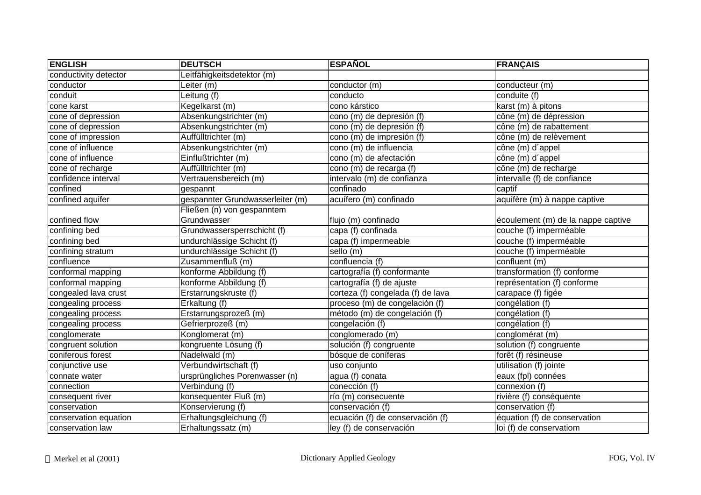| <b>ENGLISH</b>        | <b>DEUTSCH</b>                   | <b>ESPAÑOL</b>                    | <b>FRANÇAIS</b>                    |
|-----------------------|----------------------------------|-----------------------------------|------------------------------------|
| conductivity detector | Leitfähigkeitsdetektor (m)       |                                   |                                    |
| conductor             | Leiter (m)                       | conductor (m)                     | conducteur (m)                     |
| conduit               | Leitung (f)                      | conducto                          | conduite (f)                       |
| cone karst            | Kegelkarst (m)                   | cono kárstico                     | karst (m) à pitons                 |
| cone of depression    | Absenkungstrichter (m)           | cono (m) de depresión (f)         | cône (m) de dépression             |
| cone of depression    | Absenkungstrichter (m)           | cono (m) de depresión (f)         | cône (m) de rabattement            |
| cone of impression    | Auffülltrichter (m)              | cono (m) de impresión (f)         | cône (m) de relèvement             |
| cone of influence     | Absenkungstrichter (m)           | cono (m) de influencia            | cône (m) d'appel                   |
| cone of influence     | Einflußtrichter (m)              | cono (m) de afectación            | cône (m) d'appel                   |
| cone of recharge      | Auffülltrichter (m)              | cono (m) de recarga (f)           | cône (m) de recharge               |
| confidence interval   | Vertrauensbereich (m)            | intervalo (m) de confianza        | intervalle (f) de confiance        |
| confined              | gespannt                         | confinado                         | captif                             |
| confined aquifer      | gespannter Grundwasserleiter (m) | acuífero (m) confinado            | aquifère (m) à nappe captive       |
|                       | Fließen (n) von gespanntem       |                                   |                                    |
| confined flow         | Grundwasser                      | flujo (m) confinado               | écoulement (m) de la nappe captive |
| confining bed         | Grundwassersperrschicht (f)      | capa (f) confinada                | couche (f) imperméable             |
| confining bed         | undurchlässige Schicht (f)       | capa (f) impermeable              | couche (f) imperméable             |
| confining stratum     | undurchlässige Schicht (f)       | sello (m)                         | couche (f) imperméable             |
| confluence            | Zusammenfluß (m)                 | confluencia (f)                   | confluent (m)                      |
| conformal mapping     | konforme Abbildung (f)           | cartografía (f) conformante       | transformation (f) conforme        |
| conformal mapping     | konforme Abbildung (f)           | cartografía (f) de ajuste         | représentation (f) conforme        |
| congealed lava crust  | Erstarrungskruste (f)            | corteza (f) congelada (f) de lava | carapace (f) figée                 |
| congealing process    | Erkaltung (f)                    | proceso (m) de congelación (f)    | congélation (f)                    |
| congealing process    | Erstarrungsprozeß (m)            | método (m) de congelación (f)     | congélation (f)                    |
| congealing process    | Gefrierprozeß (m)                | congelación (f)                   | congélation (f)                    |
| conglomerate          | Konglomerat (m)                  | conglomerado (m)                  | conglomérat (m)                    |
| congruent solution    | kongruente Lösung (f)            | solución (f) congruente           | solution (f) congruente            |
| coniferous forest     | Nadelwald (m)                    | bósque de coníferas               | forêt (f) résineuse                |
| conjunctive use       | Verbundwirtschaft (f)            | uso conjunto                      | utilisation (f) jointe             |
| connate water         | ursprüngliches Porenwasser (n)   | agua (f) conata                   | eaux (fpl) connées                 |
| connection            | Verbindung (f)                   | conección (f)                     | connexion $(f)$                    |
| consequent river      | konsequenter Fluß (m)            | río (m) consecuente               | rivière (f) conséquente            |
| conservation          | Konservierung (f)                | conservación (f)                  | conservation (f)                   |
| conservation equation | Erhaltungsgleichung (f)          | ecuación (f) de conservación (f)  | équation (f) de conservation       |
| conservation law      | Erhaltungssatz (m)               | ley (f) de conservación           | loi (f) de conservatiom            |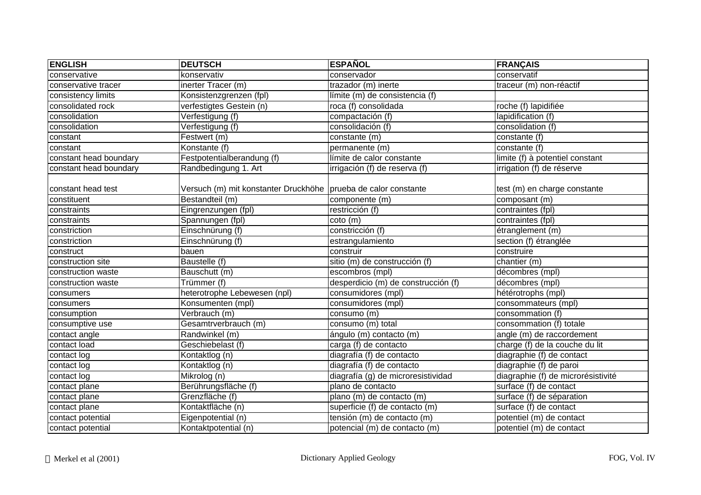| <b>ENGLISH</b>         | <b>DEUTSCH</b>                                                  | <b>ESPAÑOL</b>                      | <b>FRANÇAIS</b>                    |
|------------------------|-----------------------------------------------------------------|-------------------------------------|------------------------------------|
| conservative           | konservativ                                                     | conservador                         | conservatif                        |
| conservative tracer    | inerter Tracer (m)                                              | trazador (m) inerte                 | traceur (m) non-réactif            |
| consistency limits     | Konsistenzgrenzen (fpl)                                         | límite (m) de consistencia (f)      |                                    |
| consolidated rock      | verfestigtes Gestein (n)                                        | roca (f) consolidada                | roche (f) lapidifiée               |
| consolidation          | Verfestigung (f)                                                | compactación (f)                    | lapidification (f)                 |
| consolidation          | Verfestigung (f)                                                | consolidación (f)                   | consolidation (f)                  |
| constant               | Festwert (m)                                                    | constante (m)                       | constante (f)                      |
| constant               | Konstante (f)                                                   | permanente (m)                      | constante (f)                      |
| constant head boundary | Festpotentialberandung (f)                                      | límite de calor constante           | limite (f) à potentiel constant    |
| constant head boundary | Randbedingung 1. Art                                            | irrigación (f) de reserva (f)       | irrigation (f) de réserve          |
| constant head test     | Versuch (m) mit konstanter Druckhöhe  prueba de calor constante |                                     | test (m) en charge constante       |
| constituent            | Bestandteil (m)                                                 | componente (m)                      | composant (m)                      |
| constraints            | Eingrenzungen (fpl)                                             | restricción (f)                     | contraintes (fpl)                  |
| constraints            | Spannungen (fpl)                                                | $coto$ (m)                          | contraintes (fpl)                  |
| constriction           | Einschnürung (f)                                                | constricción (f)                    | étranglement (m)                   |
| constriction           | Einschnürung (f)                                                | estrangulamiento                    | section (f) étranglée              |
| construct              | bauen                                                           | construir                           | construire                         |
| construction site      | Baustelle (f)                                                   | sitio (m) de construcción (f)       | chantier (m)                       |
| construction waste     | Bauschutt (m)                                                   | escombros (mpl)                     | décombres (mpl)                    |
| construction waste     | Trümmer (f)                                                     | desperdicio (m) de construcción (f) | décombres (mpl)                    |
| consumers              | heterotrophe Lebewesen (npl)                                    | consumidores (mpl)                  | hétérotrophs (mpl)                 |
| consumers              | Konsumenten (mpl)                                               | consumidores (mpl)                  | consommateurs (mpl)                |
| consumption            | Verbrauch (m)                                                   | consumo (m)                         | consommation (f)                   |
| consumptive use        | Gesamtrverbrauch (m)                                            | consumo (m) total                   | consommation (f) totale            |
| contact angle          | Randwinkel (m)                                                  | ángulo (m) contacto (m)             | angle (m) de raccordement          |
| contact load           | Geschiebelast (f)                                               | carga (f) de contacto               | charge (f) de la couche du lit     |
| contact log            | Kontaktlog (n)                                                  | diagrafía (f) de contacto           | diagraphie (f) de contact          |
| contact log            | Kontaktlog (n)                                                  | diagrafía (f) de contacto           | diagraphie (f) de paroi            |
| contact log            | Mikrolog (n)                                                    | diagrafía (g) de microresistividad  | diagraphie (f) de microrésistivité |
| contact plane          | Berührungsfläche (f)                                            | plano de contacto                   | surface (f) de contact             |
| contact plane          | Grenzfläche (f)                                                 | plano (m) de contacto (m)           | surface (f) de séparation          |
| contact plane          | Kontaktfläche (n)                                               | superficie (f) de contacto (m)      | surface (f) de contact             |
| contact potential      | Eigenpotential (n)                                              | tensión (m) de contacto (m)         | potentiel (m) de contact           |
| contact potential      | Kontaktpotential (n)                                            | potencial (m) de contacto (m)       | potentiel (m) de contact           |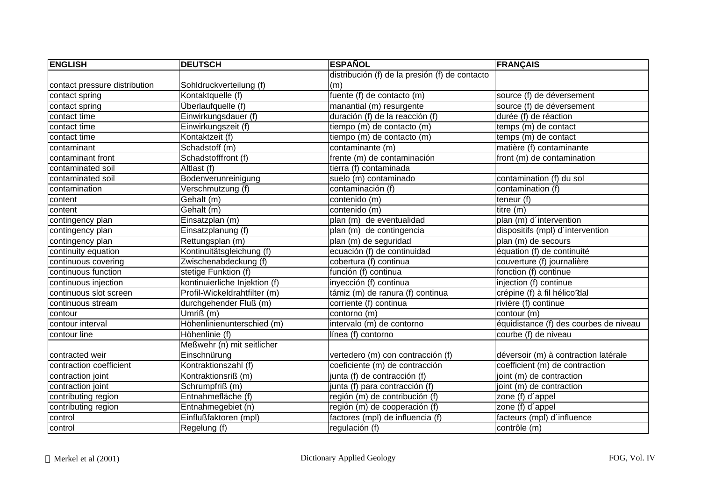| <b>ENGLISH</b>                | <b>DEUTSCH</b>                | <b>ESPAÑOL</b>                                 | <b>FRANÇAIS</b>                        |
|-------------------------------|-------------------------------|------------------------------------------------|----------------------------------------|
|                               |                               | distribución (f) de la presión (f) de contacto |                                        |
| contact pressure distribution | Sohldruckverteilung (f)       | (m)                                            |                                        |
| contact spring                | Kontaktquelle (f)             | fuente (f) de contacto (m)                     | source (f) de déversement              |
| contact spring                | Überlaufquelle (f)            | manantial (m) resurgente                       | source (f) de déversement              |
| contact time                  | Einwirkungsdauer (f)          | duración (f) de la reacción (f)                | durée (f) de réaction                  |
| contact time                  | Einwirkungszeit (f)           | tiempo (m) de contacto (m)                     | temps (m) de contact                   |
| contact time                  | Kontaktzeit (f)               | tiempo (m) de contacto (m)                     | temps (m) de contact                   |
| contaminant                   | Schadstoff (m)                | contaminante (m)                               | matière (f) contaminante               |
| contaminant front             | Schadstofffront (f)           | frente (m) de contaminación                    | front (m) de contamination             |
| contaminated soil             | Altlast (f)                   | tierra (f) contaminada                         |                                        |
| contaminated soil             | Bodenverunreinigung           | suelo (m) contaminado                          | contamination (f) du sol               |
| contamination                 | Verschmutzung (f)             | contaminación (f)                              | contamination (f)                      |
| content                       | Gehalt (m)                    | contenido (m)                                  | teneur (f)                             |
| content                       | Gehalt (m)                    | contenido (m)                                  | titre (m)                              |
| contingency plan              | Einsatzplan (m)               | plan (m) de eventualidad                       | plan (m) d'intervention                |
| contingency plan              | Einsatzplanung (f)            | plan (m) de contingencia                       | dispositifs (mpl) d'intervention       |
| contingency plan              | Rettungsplan (m)              | plan (m) de seguridad                          | plan (m) de secours                    |
| continuity equation           | Kontinuitätsgleichung (f)     | ecuación (f) de continuidad                    | équation (f) de continuité             |
| continuous covering           | Zwischenabdeckung (f)         | cobertura (f) continua                         | couverture (f) journalière             |
| continuous function           | stetige Funktion (f)          | función (f) continua                           | fonction (f) continue                  |
| continuous injection          | kontinuierliche Injektion (f) | inyección (f) continua                         | injection (f) continue                 |
| continuous slot screen        | Profil-Wickeldrahtfilter (m)  | támiz (m) de ranura (f) continua               | crépine (f) à fil hélico dal           |
| continuous stream             | durchgehender Fluß (m)        | corriente (f) continua                         | rivière (f) continue                   |
| contour                       | Umriß (m)                     | contorno (m)                                   | contour (m)                            |
| contour interval              | Höhenlinienunterschied (m)    | intervalo (m) de contorno                      | équidistance (f) des courbes de niveau |
| contour line                  | Höhenlinie (f)                | línea (f) contorno                             | courbe (f) de niveau                   |
|                               | Meßwehr (n) mit seitlicher    |                                                |                                        |
| contracted weir               | Einschnürung                  | vertedero (m) con contracción (f)              | déversoir (m) à contraction latérale   |
| contraction coefficient       | Kontraktionszahl (f)          | coeficiente (m) de contracción                 | coefficient (m) de contraction         |
| contraction joint             | Kontraktionsriß (m)           | junta (f) de contracción (f)                   | joint (m) de contraction               |
| contraction joint             | Schrumpfriß (m)               | junta (f) para contracción (f)                 | joint (m) de contraction               |
| contributing region           | Entnahmefläche (f)            | región (m) de contribución (f)                 | zone (f) d'appel                       |
| contributing region           | Entnahmegebiet (n)            | región (m) de cooperación (f)                  | zone (f) d'appel                       |
| control                       | Einflußfaktoren (mpl)         | factores (mpl) de influencia (f)               | facteurs (mpl) d'influence             |
| control                       | Regelung (f)                  | regulación (f)                                 | contrôle (m)                           |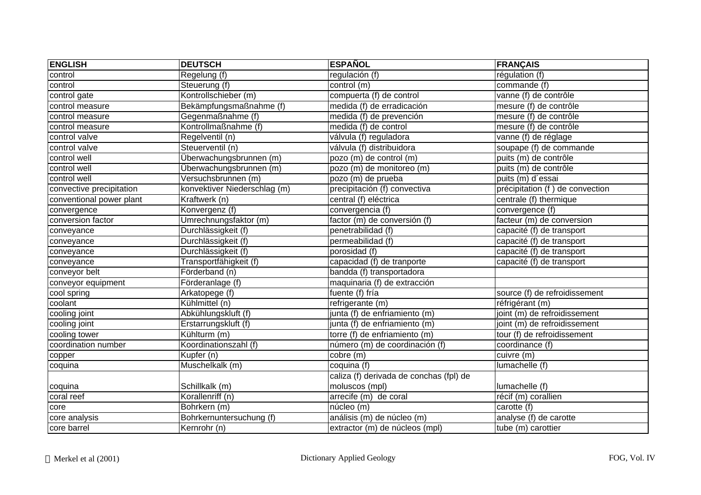| <b>ENGLISH</b>           | <b>DEUTSCH</b>               | <b>ESPAÑOL</b>                          | <b>FRANÇAIS</b>                 |
|--------------------------|------------------------------|-----------------------------------------|---------------------------------|
| control                  | Regelung (f)                 | regulación (f)                          | régulation (f)                  |
| control                  | Steuerung (f)                | control (m)                             | commande (f)                    |
| control gate             | Kontrollschieber (m)         | compuerta (f) de control                | vanne (f) de contrôle           |
| control measure          | Bekämpfungsmaßnahme (f)      | medida (f) de erradicación              | mesure (f) de contrôle          |
| control measure          | Gegenmaßnahme (f)            | medida (f) de prevención                | mesure (f) de contrôle          |
| control measure          | Kontrollmaßnahme (f)         | medida (f) de control                   | mesure (f) de contrôle          |
| control valve            | Regelventil (n)              | válvula (f) reguladora                  | vanne (f) de réglage            |
| control valve            | Steuerventil (n)             | válvula (f) distribuidora               | soupape (f) de commande         |
| control well             | Überwachungsbrunnen (m)      | pozo (m) de control (m)                 | puits (m) de contrôle           |
| control well             | Überwachungsbrunnen (m)      | pozo (m) de monitoreo (m)               | puits (m) de contrôle           |
| control well             | Versuchsbrunnen (m)          | pozo (m) de prueba                      | puits (m) d'essai               |
| convective precipitation | konvektiver Niederschlag (m) | precipitación (f) convectiva            | précipitation (f) de convection |
| conventional power plant | Kraftwerk (n)                | central (f) eléctrica                   | centrale (f) thermique          |
| convergence              | Konvergenz (f)               | convergencia (f)                        | convergence (f)                 |
| conversion factor        | Umrechnungsfaktor (m)        | factor (m) de conversión (f)            | facteur (m) de conversion       |
| conveyance               | Durchlässigkeit (f)          | penetrabilidad (f)                      | capacité (f) de transport       |
| conveyance               | Durchlässigkeit (f)          | permeabilidad (f)                       | capacité (f) de transport       |
| conveyance               | Durchlässigkeit (f)          | porosidad (f)                           | capacité (f) de transport       |
| conveyance               | Transportfähigkeit (f)       | capacidad (f) de tranporte              | capacité (f) de transport       |
| conveyor belt            | Förderband (n)               | bandda (f) transportadora               |                                 |
| conveyor equipment       | Förderanlage (f)             | maquinaria (f) de extracción            |                                 |
| cool spring              | Arkatopege (f)               | fuente (f) fría                         | source (f) de refroidissement   |
| coolant                  | Kühlmittel (n)               | refrigerante (m)                        | réfrigérant (m)                 |
| cooling joint            | Abkühlungskluft (f)          | junta (f) de enfriamiento (m)           | joint (m) de refroidissement    |
| cooling joint            | Erstarrungskluft (f)         | junta (f) de enfriamiento (m)           | joint (m) de refroidissement    |
| cooling tower            | Kühlturm (m)                 | torre (f) de enfriamiento (m)           | tour (f) de refroidissement     |
| coordination number      | Koordinationszahl (f)        | número (m) de coordinación (f)          | coordinance (f)                 |
| copper                   | Kupfer (n)                   | cobre (m)                               | curve(m)                        |
| coquina                  | Muschelkalk (m)              | coquina (f)                             | lumachelle (f)                  |
|                          |                              | caliza (f) derivada de conchas (fpl) de |                                 |
| coquina                  | Schillkalk (m)               | moluscos (mpl)                          | lumachelle (f)                  |
| coral reef               | Korallenriff (n)             | arrecife (m) de coral                   | récif (m) corallien             |
| core                     | Bohrkern (m)                 | núcleo (m)                              | carotte (f)                     |
| core analysis            | Bohrkernuntersuchung (f)     | análisis (m) de núcleo (m)              | analyse (f) de carotte          |
| core barrel              | Kernrohr (n)                 | extractor (m) de núcleos (mpl)          | tube (m) carottier              |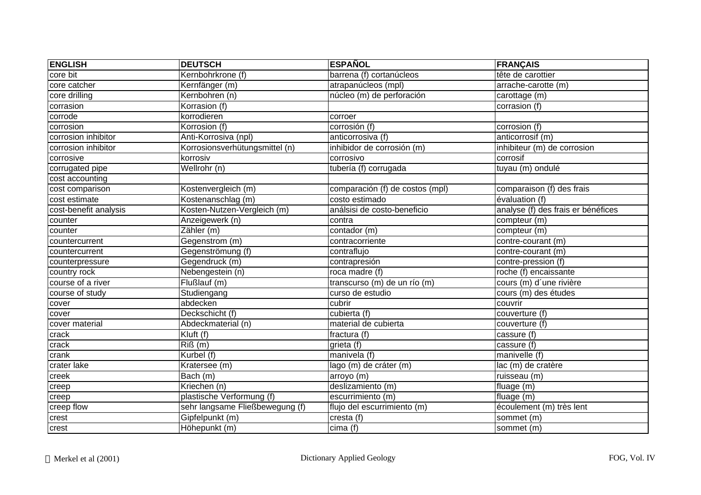| <b>ENGLISH</b>        | <b>DEUTSCH</b>                  | <b>ESPAÑOL</b>                  | <b>FRANÇAIS</b>                    |
|-----------------------|---------------------------------|---------------------------------|------------------------------------|
| core bit              | Kernbohrkrone (f)               | barrena (f) cortanúcleos        | tête de carottier                  |
| core catcher          | Kernfänger (m)                  | atrapanúcleos (mpl)             | arrache-carotte (m)                |
| core drilling         | Kernbohren (n)                  | núcleo (m) de perforación       | carottage (m)                      |
| corrasion             | Korrasion (f)                   |                                 | corrasion (f)                      |
| corrode               | korrodieren                     | corroer                         |                                    |
| corrosion             | Korrosion (f)                   | corrosión (f)                   | corrosion (f)                      |
| corrosion inhibitor   | Anti-Korrosiva (npl)            | anticorrosiva (f)               | anticorrosif (m)                   |
| corrosion inhibitor   | Korrosionsverhütungsmittel (n)  | inhibidor de corrosión (m)      | inhibiteur (m) de corrosion        |
| corrosive             | korrosiv                        | corrosivo                       | corrosif                           |
| corrugated pipe       | Wellrohr (n)                    | tubería (f) corrugada           | tuyau (m) ondulé                   |
| cost accounting       |                                 |                                 |                                    |
| cost comparison       | Kostenvergleich (m)             | comparación (f) de costos (mpl) | comparaison (f) des frais          |
| cost estimate         | Kostenanschlag (m)              | costo estimado                  | évaluation (f)                     |
| cost-benefit analysis | Kosten-Nutzen-Vergleich (m)     | análsisi de costo-beneficio     | analyse (f) des frais er bénéfices |
| counter               | Anzeigewerk (n)                 | contra                          | compteur (m)                       |
| counter               | Zähler (m)                      | contador (m)                    | compteur (m)                       |
| countercurrent        | Gegenstrom (m)                  | contracorriente                 | contre-courant (m)                 |
| countercurrent        | Gegenströmung (f)               | contraflujo                     | contre-courant (m)                 |
| counterpressure       | Gegendruck (m)                  | contrapresión                   | contre-pression (f)                |
| country rock          | Nebengestein (n)                | roca madre (f)                  | roche (f) encaissante              |
| course of a river     | Flußlauf (m)                    | transcurso (m) de un río (m)    | cours (m) d'une rivière            |
| course of study       | Studiengang                     | curso de estudio                | cours (m) des études               |
| cover                 | abdecken                        | cubrir                          | couvrir                            |
| cover                 | Deckschicht (f)                 | cubierta (f)                    | couverture (f)                     |
| cover material        | Abdeckmaterial (n)              | material de cubierta            | couverture (f)                     |
| crack                 | $\overline{Kluft}$ (f)          | fractura (f)                    | cassure (f)                        |
| crack                 | $Ri\Omega(m)$                   | grieta (f)                      | cassure (f)                        |
| crank                 | Kurbel (f)                      | manivela (f)                    | manivelle (f)                      |
| crater lake           | Kratersee (m)                   | lago (m) de cráter (m)          | lac (m) de cratère                 |
| creek                 | Bach (m)                        | arroyo (m)                      | ruisseau (m)                       |
| creep                 | Kriechen (n)                    | deslizamiento (m)               | fluage (m)                         |
| creep                 | plastische Verformung (f)       | escurrimiento (m)               | $fluage$ (m)                       |
| creep flow            | sehr langsame Fließbewegung (f) | flujo del escurrimiento (m)     | écoulement (m) très lent           |
| crest                 | Gipfelpunkt (m)                 | cresta $(\overline{f})$         | sommet (m)                         |
| crest                 | Höhepunkt (m)                   | $\overline{\text{cima}}$ (f)    | sommet (m)                         |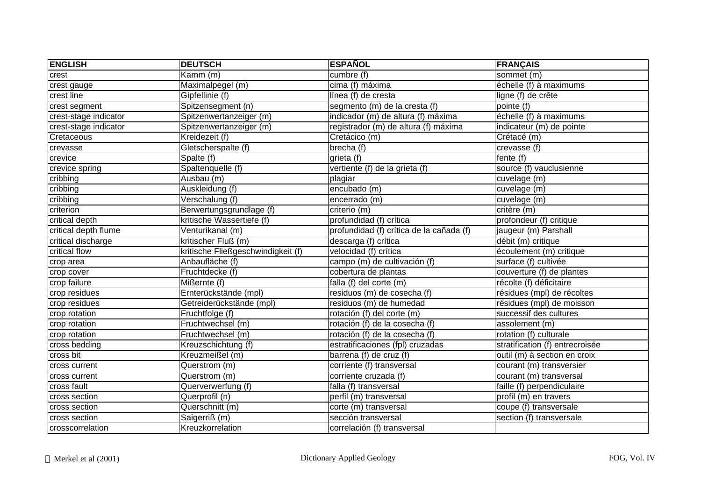| <b>ENGLISH</b>        | <b>DEUTSCH</b>                     | <b>ESPAÑOL</b>                           | <b>FRANÇAIS</b>                 |
|-----------------------|------------------------------------|------------------------------------------|---------------------------------|
| crest                 | Kamm (m)                           | cumbre (f)                               | sommet (m)                      |
| crest gauge           | Maximalpegel (m)                   | cima (f) máxima                          | échelle (f) à maximums          |
| crest line            | Gipfellinie (f)                    | línea (f) de cresta                      | ligne (f) de crête              |
| crest segment         | Spitzensegment (n)                 | segmento (m) de la cresta (f)            | pointe (f)                      |
| crest-stage indicator | Spitzenwertanzeiger (m)            | indicador (m) de altura (f) máxima       | échelle (f) à maximums          |
| crest-stage indicator | Spitzenwertanzeiger (m)            | registrador (m) de altura (f) máxima     | indicateur (m) de pointe        |
| Cretaceous            | Kreidezeit (f)                     | Cretácico (m)                            | Crétacé (m)                     |
| crevasse              | Gletscherspalte (f)                | brecha (f)                               | crevasse (f)                    |
| crevice               | Spalte (f)                         | grieta (f)                               | fente (f)                       |
| crevice spring        | Spaltenquelle (f)                  | vertiente (f) de la grieta (f)           | source (f) vauclusienne         |
| cribbing              | Ausbau (m)                         | plagiar                                  | cuvelage (m)                    |
| cribbing              | Auskleidung (f)                    | encubado (m)                             | cuvelage (m)                    |
| cribbing              | Verschalung (f)                    | encerrado (m)                            | cuvelage (m)                    |
| criterion             | Berwertungsgrundlage (f)           | criterio (m)                             | critère (m)                     |
| critical depth        | kritische Wassertiefe (f)          | profundidad (f) crítica                  | profondeur (f) critique         |
| critical depth flume  | Venturikanal (m)                   | profundidad (f) crítica de la cañada (f) | jaugeur (m) Parshall            |
| critical discharge    | kritischer Fluß (m)                | descarga (f) crítica                     | débit (m) critique              |
| critical flow         | kritische Fließgeschwindigkeit (f) | velocidad (f) crítica                    | écoulement (m) critique         |
| crop area             | Anbaufläche (f)                    | campo (m) de cultivación (f)             | surface (f) cultivée            |
| crop cover            | Fruchtdecke (f)                    | cobertura de plantas                     | couverture (f) de plantes       |
| crop failure          | Mißernte (f)                       | falla (f) del corte (m)                  | récolte (f) déficitaire         |
| crop residues         | Ernterückstände (mpl)              | residuos (m) de cosecha (f)              | résidues (mpl) de récoltes      |
| crop residues         | Getreiderückstände (mpl)           | residuos (m) de humedad                  | résidues (mpl) de moisson       |
| crop rotation         | Fruchtfolge (f)                    | rotación (f) del corte (m)               | successif des cultures          |
| crop rotation         | Fruchtwechsel (m)                  | rotación (f) de la cosecha (f)           | assolement $(m)$                |
| crop rotation         | Fruchtwechsel (m)                  | rotación (f) de la cosecha (f)           | rotation (f) culturale          |
| cross bedding         | Kreuzschichtung (f)                | estratificaciones (fpl) cruzadas         | stratification (f) entrecroisée |
| cross bit             | Kreuzmeißel (m)                    | barrena (f) de cruz (f)                  | outil (m) à section en croix    |
| cross current         | Querstrom (m)                      | corriente (f) transversal                | courant (m) transversier        |
| cross current         | Querstrom (m)                      | corriente cruzada (f)                    | courant (m) transversal         |
| cross fault           | Querverwerfung (f)                 | falla (f) transversal                    | faille (f) perpendiculaire      |
| cross section         | Querprofil (n)                     | perfil (m) transversal                   | profil (m) en travers           |
| cross section         | Querschnitt (m)                    | corte (m) transversal                    | coupe (f) transversale          |
| cross section         | Saigerriß (m)                      | sección transversal                      | section (f) transversale        |
| crosscorrelation      | Kreuzkorrelation                   | correlación (f) transversal              |                                 |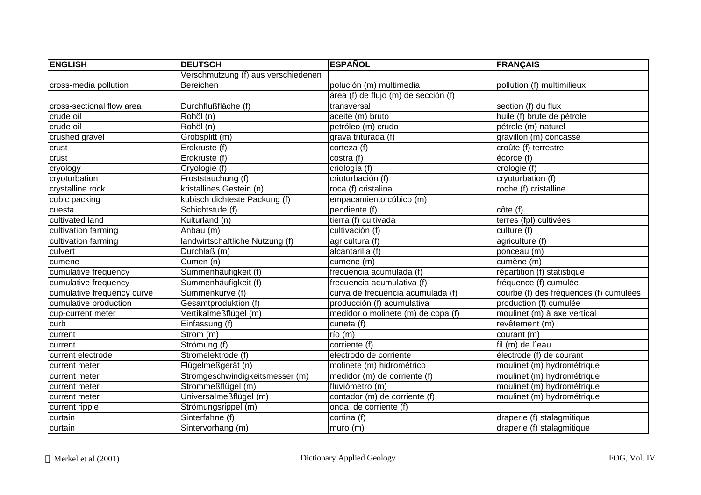| <b>ENGLISH</b>             | <b>DEUTSCH</b>                      | <b>ESPAÑOL</b>                       | <b>FRANÇAIS</b>                        |
|----------------------------|-------------------------------------|--------------------------------------|----------------------------------------|
|                            | Verschmutzung (f) aus verschiedenen |                                      |                                        |
| cross-media pollution      | Bereichen                           | polución (m) multimedia              | pollution (f) multimilieux             |
|                            |                                     | área (f) de flujo (m) de sección (f) |                                        |
| cross-sectional flow area  | Durchflußfläche (f)                 | transversal                          | section (f) du flux                    |
| crude oil                  | Rohöl (n)                           | aceite (m) bruto                     | huile (f) brute de pétrole             |
| crude oil                  | Rohöl (n)                           | petróleo (m) crudo                   | pétrole (m) naturel                    |
| crushed gravel             | Grobsplitt (m)                      | grava triturada (f)                  | gravillon (m) concassé                 |
| crust                      | Erdkruste (f)                       | corteza (f)                          | croûte (f) terrestre                   |
| crust                      | Erdkruste (f)                       | costra (f)                           | écorce (f)                             |
| cryology                   | Cryologie (f)                       | criología (f)                        | crologie (f)                           |
| cryoturbation              | Froststauchung (f)                  | crioturbación (f)                    | cryoturbation (f)                      |
| crystalline rock           | kristallines Gestein (n)            | roca (f) cristalina                  | roche (f) cristalline                  |
| cubic packing              | kubisch dichteste Packung (f)       | empacamiento cúbico (m)              |                                        |
| cuesta                     | Schichtstufe (f)                    | pendiente (f)                        | côte (f)                               |
| cultivated land            | Kulturland (n)                      | tierra (f) cultivada                 | terres (fpl) cultivées                 |
| cultivation farming        | Anbau (m)                           | cultivación (f)                      | culture (f)                            |
| cultivation farming        | landwirtschaftliche Nutzung (f)     | agricultura (f)                      | agriculture (f)                        |
| culvert                    | Durchlaß (m)                        | alcantarilla (f)                     | ponceau (m)                            |
| cumene                     | Cumen (n)                           | cumene (m)                           | cumène (m)                             |
| cumulative frequency       | Summenhäufigkeit (f)                | frecuencia acumulada (f)             | répartition (f) statistique            |
| cumulative frequency       | Summenhäufigkeit (f)                | frecuencia acumulativa (f)           | fréquence (f) cumulée                  |
| cumulative frequency curve | Summenkurve (f)                     | curva de frecuencia acumulada (f)    | courbe (f) des fréquences (f) cumulées |
| cumulative production      | Gesamtproduktion (f)                | producción (f) acumulativa           | production (f) cumulée                 |
| cup-current meter          | Vertikalmeßflügel (m)               | medidor o molinete (m) de copa (f)   | moulinet (m) à axe vertical            |
| curb                       | Einfassung (f)                      | cuneta (f)                           | revêtement (m)                         |
| current                    | Strom (m)                           | $r$ ío (m)                           | courant (m)                            |
| current                    | Strömung (f)                        | corriente (f)                        | fil (m) de l'eau                       |
| current electrode          | Stromelektrode (f)                  | electrodo de corriente               | électrode (f) de courant               |
| current meter              | Flügelmeßgerät (n)                  | molinete (m) hidrométrico            | moulinet (m) hydrométrique             |
| current meter              | Stromgeschwindigkeitsmesser (m)     | medidor (m) de corriente (f)         | moulinet (m) hydrométrique             |
| current meter              | Strommeßflügel (m)                  | fluviómetro (m)                      | moulinet (m) hydrométrique             |
| current meter              | Universalmeßflügel (m)              | contador (m) de corriente (f)        | moulinet (m) hydrométrique             |
| current ripple             | Strömungsrippel (m)                 | onda de corriente (f)                |                                        |
| curtain                    | Sinterfahne (f)                     | cortina (f)                          | draperie (f) stalagmitique             |
| curtain                    | Sintervorhang (m)                   | muro(m)                              | draperie (f) stalagmitique             |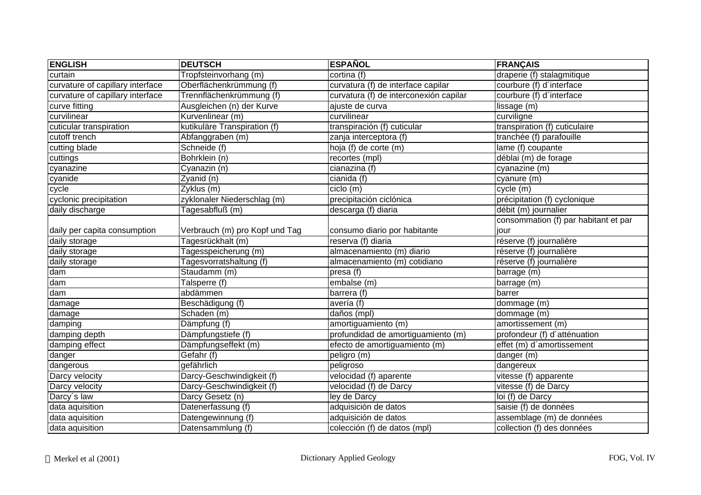| <b>ENGLISH</b>                   | <b>DEUTSCH</b>                 | <b>ESPAÑOL</b>                         | <b>FRANÇAIS</b>                      |
|----------------------------------|--------------------------------|----------------------------------------|--------------------------------------|
| curtain                          | Tropfsteinvorhang (m)          | cortina (f)                            | draperie (f) stalagmitique           |
| curvature of capillary interface | Oberflächenkrümmung (f)        | curvatura (f) de interface capilar     | courbure (f) d'interface             |
| curvature of capillary interface | Trennflächenkrümmung (f)       | curvatura (f) de interconexión capilar | courbure (f) d'interface             |
| curve fitting                    | Ausgleichen (n) der Kurve      | ajuste de curva                        | lissage (m)                          |
| curvilinear                      | Kurvenlinear (m)               | curvilinear                            | curviligne                           |
| cuticular transpiration          | kutikuläre Transpiration (f)   | transpiración (f) cuticular            | transpiration (f) cuticulaire        |
| cutoff trench                    | Abfanggraben (m)               | zanja interceptora (f)                 | tranchée (f) parafouille             |
| cutting blade                    | Schneide (f)                   | hoja (f) de corte (m)                  | lame (f) coupante                    |
| cuttings                         | Bohrklein (n)                  | recortes (mpl)                         | déblai (m) de forage                 |
| cyanazine                        | Cyanazin (n)                   | cianazina (f)                          | cyanazine (m)                        |
| cyanide                          | Zyanid (n)                     | cianida (f)                            | cyanure (m)                          |
| cycle                            | Zyklus (m)                     | ciclo (m)                              | cycle (m)                            |
| cyclonic precipitation           | zyklonaler Niederschlag (m)    | precipitación ciclónica                | précipitation (f) cyclonique         |
| daily discharge                  | Tagesabfluß (m)                | descarga (f) diaria                    | débit (m) journalier                 |
|                                  |                                |                                        | consommation (f) par habitant et par |
| daily per capita consumption     | Verbrauch (m) pro Kopf und Tag | consumo diario por habitante           | iour                                 |
| daily storage                    | Tagesrückhalt (m)              | reserva (f) diaria                     | réserve (f) journalière              |
| daily storage                    | Tagesspeicherung (m)           | almacenamiento (m) diario              | réserve (f) journalière              |
| daily storage                    | Tagesvorratshaltung (f)        | almacenamiento (m) cotidiano           | réserve (f) journalière              |
| dam                              | Staudamm (m)                   | presa (f)                              | barrage (m)                          |
| dam                              | Talsperre (f)                  | embalse (m)                            | barrage (m)                          |
| dam                              | abdämmen                       | barrera (f)                            | barrer                               |
| damage                           | Beschädigung (f)               | avería (f)                             | dommage (m)                          |
| damage                           | Schaden (m)                    | daños (mpl)                            | dommage (m)                          |
| damping                          | Dämpfung (f)                   | amortiguamiento (m)                    | amortissement (m)                    |
| damping depth                    | Dämpfungstiefe (f)             | profundidad de amortiguamiento (m)     | profondeur (f) d'atténuation         |
| damping effect                   | Dämpfungseffekt (m)            | efecto de amortiguamiento (m)          | effet (m) d'amortissement            |
| danger                           | Gefahr (f)                     | peligro (m)                            | danger (m)                           |
| dangerous                        | gefährlich                     | peligroso                              | dangereux                            |
| Darcy velocity                   | Darcy-Geschwindigkeit (f)      | velocidad (f) aparente                 | $v$ itesse (f) apparente             |
| Darcy velocity                   | Darcy-Geschwindigkeit (f)      | velocidad (f) de Darcy                 | vitesse (f) de Darcy                 |
| Darcy's law                      | Darcy Gesetz (n)               | ley de Darcy                           | loi (f) de Darcy                     |
| data aquisition                  | Datenerfassung (f)             | adquisición de datos                   | saisie (f) de données                |
| data aquisition                  | Datengewinnung (f)             | adquisición de datos                   | assemblage (m) de données            |
| data aquisition                  | Datensammlung (f)              | colección (f) de datos (mpl)           | collection (f) des données           |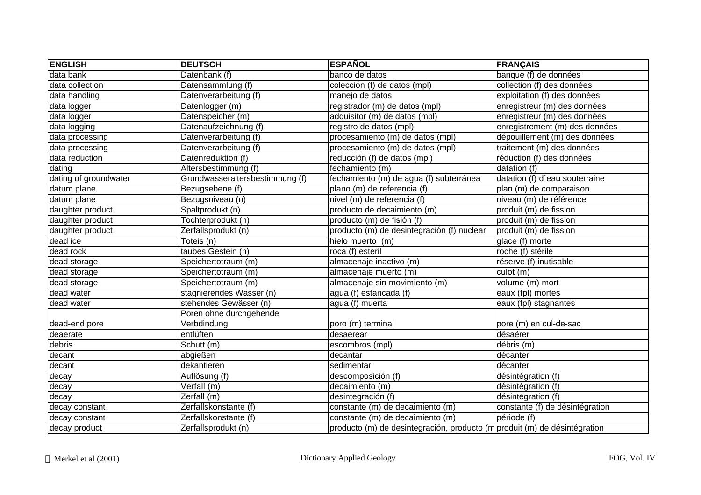| <b>ENGLISH</b>        | <b>DEUTSCH</b>                  | <b>ESPAÑOL</b>                                                            | <b>FRANÇAIS</b>                 |
|-----------------------|---------------------------------|---------------------------------------------------------------------------|---------------------------------|
| data bank             | Datenbank (f)                   | banco de datos                                                            | banque (f) de données           |
| data collection       | Datensammlung (f)               | colección (f) de datos (mpl)                                              | collection (f) des données      |
| data handling         | Datenverarbeitung (f)           | manejo de datos                                                           | exploitation (f) des données    |
| data logger           | Datenlogger (m)                 | registrador (m) de datos (mpl)                                            | enregistreur (m) des données    |
| data logger           | Datenspeicher (m)               | adquisitor (m) de datos (mpl)                                             | enregistreur (m) des données    |
| data logging          | Datenaufzeichnung (f)           | registro de datos (mpl)                                                   | enregistrement (m) des données  |
| data processing       | Datenverarbeitung (f)           | procesamiento (m) de datos (mpl)                                          | dépouillement (m) des données   |
| data processing       | Datenverarbeitung (f)           | procesamiento (m) de datos (mpl)                                          | traitement (m) des données      |
| data reduction        | Datenreduktion (f)              | reducción (f) de datos (mpl)                                              | réduction (f) des données       |
| dating                | Altersbestimmung (f)            | fechamiento (m)                                                           | datation (f)                    |
| dating of groundwater | Grundwasseraltersbestimmung (f) | fechamiento (m) de agua (f) subterránea                                   | datation (f) d'eau souterraine  |
| datum plane           | Bezugsebene (f)                 | plano (m) de referencia (f)                                               | plan (m) de comparaison         |
| datum plane           | Bezugsniveau (n)                | nivel (m) de referencia (f)                                               | niveau (m) de référence         |
| daughter product      | Spaltprodukt (n)                | producto de decaimiento (m)                                               | produit (m) de fission          |
| daughter product      | Tochterprodukt (n)              | producto (m) de fisión (f)                                                | produit (m) de fission          |
| daughter product      | Zerfallsprodukt (n)             | producto (m) de desintegración (f) nuclear                                | produit (m) de fission          |
| dead ice              | Toteis (n)                      | hielo muerto (m)                                                          | glace (f) morte                 |
| dead rock             | taubes Gestein (n)              | roca (f) esteril                                                          | roche (f) stérile               |
| dead storage          | Speichertotraum (m)             | almacenaje inactivo (m)                                                   | réserve (f) inutisable          |
| dead storage          | Speichertotraum (m)             | almacenaje muerto (m)                                                     | culot (m)                       |
| dead storage          | Speichertotraum (m)             | almacenaje sin movimiento (m)                                             | volume (m) mort                 |
| dead water            | stagnierendes Wasser (n)        | agua (f) estancada (f)                                                    | eaux (fpl) mortes               |
| dead water            | stehendes Gewässer (n)          | agua (f) muerta                                                           | eaux (fpl) stagnantes           |
|                       | Poren ohne durchgehende         |                                                                           |                                 |
| dead-end pore         | Verbdindung                     | poro (m) terminal                                                         | pore (m) en cul-de-sac          |
| deaerate              | entlüften                       | desaerear                                                                 | désaérer                        |
| debris                | Schutt (m)                      | escombros (mpl)                                                           | débris (m)                      |
| decant                | abgießen                        | decantar                                                                  | décanter                        |
| decant                | dekantieren                     | sedimentar                                                                | décanter                        |
| decay                 | Auflösung (f)                   | descomposición (f)                                                        | désintégration (f)              |
| decay                 | Verfall (m)                     | decaimiento (m)                                                           | désintégration (f)              |
| decay                 | Zerfall (m)                     | desintegración (f)                                                        | désintégration (f)              |
| decay constant        | Zerfallskonstante (f)           | constante (m) de decaimiento (m)                                          | constante (f) de désintégration |
| decay constant        | Zerfallskonstante (f)           | constante (m) de decaimiento (m)                                          | période (f)                     |
| decay product         | Zerfallsprodukt (n)             | producto (m) de desintegración, producto (m produit (m) de désintégration |                                 |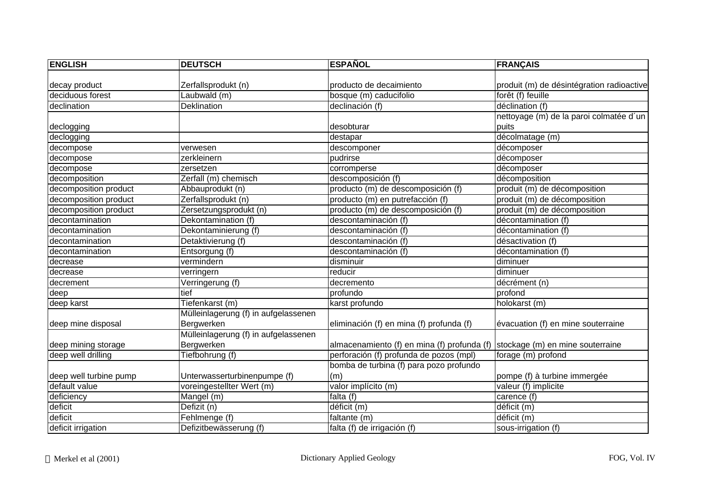| <b>ENGLISH</b>         | <b>DEUTSCH</b>                       | <b>ESPAÑOL</b>                              | <b>FRANÇAIS</b>                           |
|------------------------|--------------------------------------|---------------------------------------------|-------------------------------------------|
| decay product          | Zerfallsprodukt (n)                  | producto de decaimiento                     | produit (m) de désintégration radioactive |
| deciduous forest       | Laubwald (m)                         | bosque (m) caducifolio                      | forêt (f) feuille                         |
| declination            | <b>Deklination</b>                   | declinación (f)                             | déclination (f)                           |
|                        |                                      |                                             | nettoyage (m) de la paroi colmatée d'un   |
| declogging             |                                      | desobturar                                  | puits                                     |
| declogging             |                                      | destapar                                    | décolmatage (m)                           |
| decompose              | verwesen                             | descomponer                                 | décomposer                                |
| decompose              | zerkleinern                          | pudrirse                                    | décomposer                                |
| decompose              | zersetzen                            | corromperse                                 | décomposer                                |
| decomposition          | Zerfall (m) chemisch                 | descomposición (f)                          | décomposition                             |
| decomposition product  | Abbauprodukt (n)                     | producto (m) de descomposición (f)          | produit (m) de décomposition              |
| decomposition product  | Zerfallsprodukt (n)                  | producto (m) en putrefacción (f)            | produit (m) de décomposition              |
| decomposition product  | Zersetzungsprodukt (n)               | producto (m) de descomposición (f)          | produit (m) de décomposition              |
| decontamination        | Dekontamination (f)                  | descontaminación (f)                        | décontamination (f)                       |
| decontamination        | Dekontaminierung (f)                 | descontaminación (f)                        | décontamination (f)                       |
| decontamination        | Detaktivierung (f)                   | descontaminación (f)                        | désactivation (f)                         |
| decontamination        | Entsorgung (f)                       | descontaminación (f)                        | décontamination (f)                       |
| decrease               | vermindern                           | disminuir                                   | diminuer                                  |
| decrease               | verringern                           | reducir                                     | diminuer                                  |
| decrement              | Verringerung (f)                     | decremento                                  | décrément (n)                             |
| deep                   | tief                                 | profundo                                    | profond                                   |
| deep karst             | Tiefenkarst (m)                      | karst profundo                              | holokarst (m)                             |
|                        | Mülleinlagerung (f) in aufgelassenen |                                             |                                           |
| deep mine disposal     | Bergwerken                           | eliminación (f) en mina (f) profunda (f)    | évacuation (f) en mine souterraine        |
|                        | Mülleinlagerung (f) in aufgelassenen |                                             |                                           |
| deep mining storage    | Bergwerken                           | almacenamiento (f) en mina (f) profunda (f) | stockage (m) en mine souterraine          |
| deep well drilling     | Tiefbohrung (f)                      | perforación (f) profunda de pozos (mpl)     | forage (m) profond                        |
|                        |                                      | bomba de turbina (f) para pozo profundo     |                                           |
| deep well turbine pump | Unterwasserturbinenpumpe (f)         | (m)                                         | pompe (f) à turbine immergée              |
| default value          | voreingestellter Wert (m)            | valor implícito (m)                         | valeur (f) implicite                      |
| deficiency             | Mangel (m)                           | falta $(f)$                                 | carence (f)                               |
| deficit                | Defizit (n)                          | déficit (m)                                 | déficit (m)                               |
| deficit                | Fehlmenge (f)                        | faltante (m)                                | déficit (m)                               |
| deficit irrigation     | Defizitbewässerung (f)               | falta (f) de irrigación (f)                 | sous-irrigation (f)                       |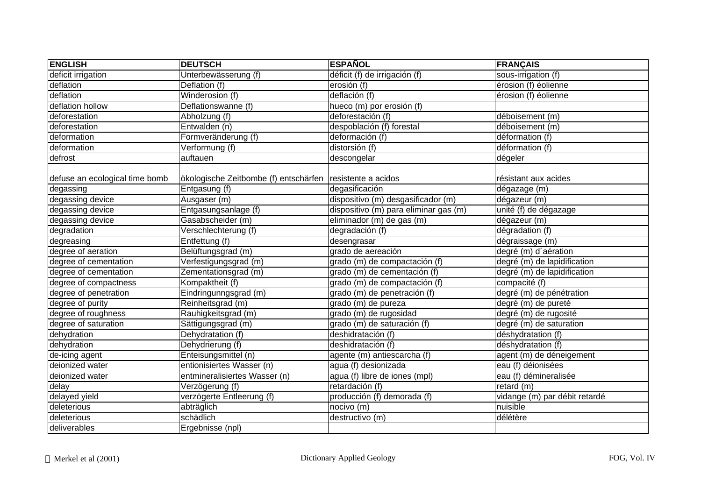| <b>ENGLISH</b>                 | <b>DEUTSCH</b>                                            | <b>ESPAÑOL</b>                        | <b>FRANÇAIS</b>               |
|--------------------------------|-----------------------------------------------------------|---------------------------------------|-------------------------------|
| deficit irrigation             | Unterbewässerung (f)                                      | déficit (f) de irrigación (f)         | sous-irrigation (f)           |
| deflation                      | Deflation (f)                                             | erosión (f)                           | érosion (f) éolienne          |
| deflation                      | Winderosion (f)                                           | deflación (f)                         | érosion (f) éolienne          |
| deflation hollow               | Deflationswanne (f)                                       | hueco (m) por erosión (f)             |                               |
| deforestation                  | Abholzung (f)                                             | deforestación (f)                     | déboisement (m)               |
| deforestation                  | Entwalden (n)                                             | despoblación (f) forestal             | déboisement (m)               |
| deformation                    | Formveränderung (f)                                       | deformación (f)                       | déformation (f)               |
| deformation                    | Verformung (f)                                            | distorsión (f)                        | déformation (f)               |
| defrost                        | auftauen                                                  | descongelar                           | dégeler                       |
| defuse an ecological time bomb | ökologische Zeitbombe (f) entschärfen resistente a acidos |                                       | résistant aux acides          |
| degassing                      | Entgasung (f)                                             | degasificación                        | dégazage (m)                  |
| degassing device               | Ausgaser (m)                                              | dispositivo (m) desgasificador (m)    | dégazeur (m)                  |
| degassing device               | Entgasungsanlage (f)                                      | dispositivo (m) para eliminar gas (m) | unité (f) de dégazage         |
| degassing device               | Gasabscheider (m)                                         | eliminador (m) de gas (m)             | dégazeur (m)                  |
| degradation                    | Verschlechterung (f)                                      | degradación (f)                       | dégradation (f)               |
| degreasing                     | Entfettung (f)                                            | desengrasar                           | dégraissage (m)               |
| degree of aeration             | Belüftungsgrad (m)                                        | grado de aereación                    | degré (m) d'aération          |
| degree of cementation          | Verfestigungsgrad (m)                                     | grado (m) de compactación (f)         | degré (m) de lapidification   |
| degree of cementation          | Zementationsgrad (m)                                      | grado (m) de cementación (f)          | degré (m) de lapidification   |
| degree of compactness          | Kompaktheit (f)                                           | grado (m) de compactación (f)         | compacité (f)                 |
| degree of penetration          | Eindringunngsgrad (m)                                     | grado (m) de penetración (f)          | degré (m) de pénétration      |
| degree of purity               | Reinheitsgrad (m)                                         | grado (m) de pureza                   | degré (m) de pureté           |
| degree of roughness            | Rauhigkeitsgrad (m)                                       | grado (m) de rugosidad                | degré (m) de rugosité         |
| degree of saturation           | Sättigungsgrad (m)                                        | grado (m) de saturación (f)           | degré (m) de saturation       |
| dehydration                    | Dehydratation (f)                                         | deshidratación (f)                    | déshydratation (f)            |
| dehydration                    | Dehydrierung (f)                                          | deshidratación (f)                    | déshydratation (f)            |
| de-icing agent                 | Enteisungsmittel (n)                                      | agente (m) antiescarcha (f)           | agent (m) de déneigement      |
| deionized water                | entionisiertes Wasser (n)                                 | agua (f) desionizada                  | eau (f) déionisées            |
| deionized water                | entmineralisiertes Wasser (n)                             | agua (f) libre de iones (mpl)         | eau (f) démineralisée         |
| delay                          | Verzögerung (f)                                           | retardación (f)                       | retard (m)                    |
| delayed yield                  | verzögerte Entleerung (f)                                 | producción (f) demorada (f)           | vidange (m) par débit retardé |
| deleterious                    | abträglich                                                | nocivo (m)                            | nuisible                      |
| deleterious                    | schädlich                                                 | destructivo (m)                       | délétère                      |
| deliverables                   | Ergebnisse (npl)                                          |                                       |                               |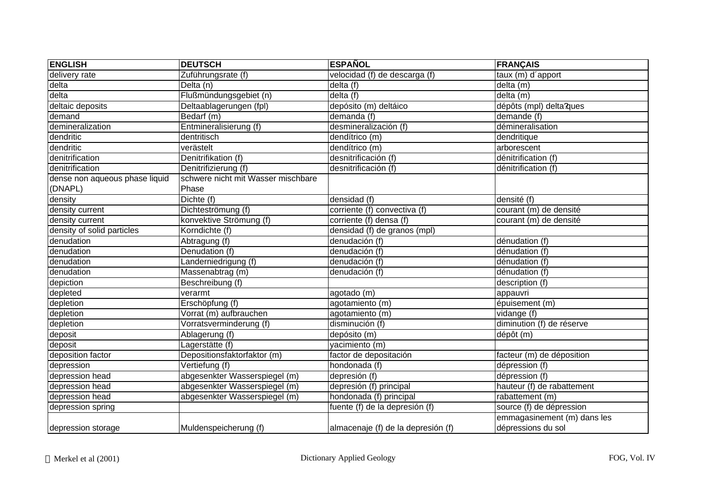| <b>ENGLISH</b>                 | <b>DEUTSCH</b>                     | <b>ESPAÑOL</b>                     | <b>FRANÇAIS</b>                                   |
|--------------------------------|------------------------------------|------------------------------------|---------------------------------------------------|
| delivery rate                  | Zuführungsrate (f)                 | velocidad (f) de descarga (f)      | taux (m) d'apport                                 |
| delta                          | Delta (n)                          | delta (f)                          | delta (m)                                         |
| delta                          | Flußmündungsgebiet (n)             | delta (f)                          | delta (m)                                         |
| deltaic deposits               | Deltaablagerungen (fpl)            | depósito (m) deltáico              | dépôts (mpl) delta?ques                           |
| demand                         | Bedarf (m)                         | demanda (f)                        | demande (f)                                       |
| demineralization               | Entmineralisierung (f)             | desmineralización (f)              | démineralisation                                  |
| dendritic                      | dentritisch                        | dendítrico (m)                     | dendritique                                       |
| dendritic                      | verästelt                          | dendítrico (m)                     | arborescent                                       |
| denitrification                | Denitrifikation (f)                | desnitrificación (f)               | dénitrification (f)                               |
| denitrification                | Denitrifizierung (f)               | desnitrificación (f)               | dénitrification (f)                               |
| dense non aqueous phase liquid | schwere nicht mit Wasser mischbare |                                    |                                                   |
| (DNAPL)                        | Phase                              |                                    |                                                   |
| density                        | Dichte (f)                         | densidad (f)                       | densité (f)                                       |
| density current                | Dichteströmung (f)                 | corriente (f) convectiva (f)       | courant (m) de densité                            |
| density current                | konvektive Strömung (f)            | corriente (f) densa (f)            | courant (m) de densité                            |
| density of solid particles     | Korndichte (f)                     | densidad (f) de granos (mpl)       |                                                   |
| denudation                     | Abtragung (f)                      | denudación (f)                     | dénudation (f)                                    |
| denudation                     | Denudation (f)                     | denudación (f)                     | dénudation (f)                                    |
| denudation                     | Landerniedrigung (f)               | denudación (f)                     | dénudation (f)                                    |
| denudation                     | Massenabtrag (m)                   | denudación (f)                     | dénudation (f)                                    |
| depiction                      | Beschreibung (f)                   |                                    | description (f)                                   |
| depleted                       | verarmt                            | agotado (m)                        | appauvri                                          |
| depletion                      | Erschöpfung (f)                    | agotamiento (m)                    | épuisement (m)                                    |
| depletion                      | Vorrat (m) aufbrauchen             | agotamiento (m)                    | vidange (f)                                       |
| depletion                      | Vorratsverminderung (f)            | disminución (f)                    | diminution (f) de réserve                         |
| deposit                        | Ablagerung (f)                     | depósito (m)                       | dépôt (m)                                         |
| deposit                        | Lagerstätte (f)                    | vacimiento (m)                     |                                                   |
| deposition factor              | Depositionsfaktorfaktor (m)        | factor de depositación             | facteur (m) de déposition                         |
| depression                     | Vertiefung (f)                     | hondonada (f)                      | dépression (f)                                    |
| depression head                | abgesenkter Wasserspiegel (m)      | depresión (f)                      | dépression (f)                                    |
| depression head                | abgesenkter Wasserspiegel (m)      | depresión (f) principal            | hauteur (f) de rabattement                        |
| depression head                | abgesenkter Wasserspiegel (m)      | hondonada (f) principal            | rabattement (m)                                   |
| depression spring              |                                    | fuente (f) de la depresión (f)     | source (f) de dépression                          |
| depression storage             | Muldenspeicherung (f)              | almacenaje (f) de la depresión (f) | emmagasinement (m) dans les<br>dépressions du sol |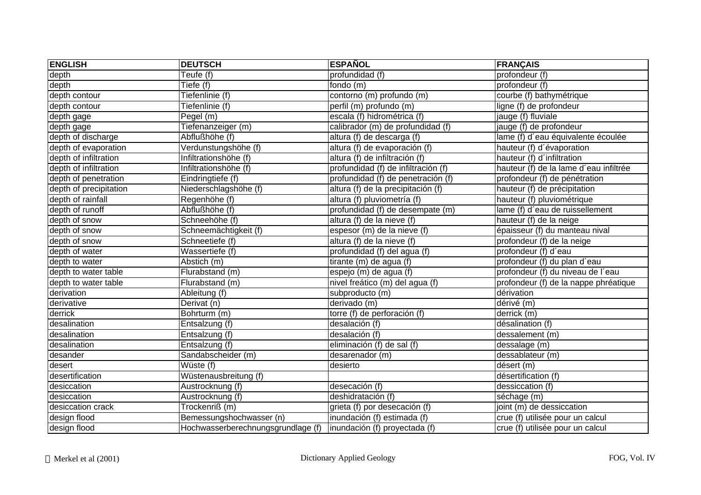| <b>ENGLISH</b>         | <b>DEUTSCH</b>                     | <b>ESPAÑOL</b>                      | <b>FRANÇAIS</b>                        |
|------------------------|------------------------------------|-------------------------------------|----------------------------------------|
| depth                  | Teufe (f)                          | profundidad (f)                     | profondeur (f)                         |
| depth                  | Tiefe (f)                          | fondo (m)                           | profondeur (f)                         |
| depth contour          | Tiefenlinie (f)                    | contorno (m) profundo (m)           | courbe (f) bathymétrique               |
| depth contour          | Tiefenlinie (f)                    | perfil (m) profundo (m)             | ligne (f) de profondeur                |
| depth gage             | Pegel (m)                          | escala (f) hidrométrica (f)         | jauge (f) fluviale                     |
| depth gage             | Tiefenanzeiger (m)                 | calibrador (m) de profundidad (f)   | jauge (f) de profondeur                |
| depth of discharge     | Abflußhöhe (f)                     | altura (f) de descarga (f)          | lame (f) d'eau équivalente écoulée     |
| depth of evaporation   | Verdunstungshöhe (f)               | altura (f) de evaporación (f)       | hauteur (f) d'évaporation              |
| depth of infiltration  | Infiltrationshöhe (f)              | altura (f) de infiltración (f)      | hauteur (f) d'infiltration             |
| depth of infiltration  | Infiltrationshöhe (f)              | profundidad (f) de infiltración (f) | hauteur (f) de la lame d'eau infiltrée |
| depth of penetration   | Eindringtiefe (f)                  | profundidad (f) de penetración (f)  | profondeur (f) de pénétration          |
| depth of precipitation | Niederschlagshöhe (f)              | altura (f) de la precipitación (f)  | hauteur (f) de précipitation           |
| depth of rainfall      | Regenhöhe (f)                      | altura (f) pluviometría (f)         | hauteur (f) pluviométrique             |
| depth of runoff        | Abflußhöhe (f)                     | profundidad (f) de desempate (m)    | lame (f) d'eau de ruissellement        |
| depth of snow          | Schneehöhe (f)                     | altura (f) de la nieve (f)          | hauteur (f) de la neige                |
| depth of snow          | Schneemächtigkeit (f)              | espesor (m) de la nieve (f)         | épaisseur (f) du manteau nival         |
| depth of snow          | Schneetiefe (f)                    | altura (f) de la nieve (f)          | profondeur (f) de la neige             |
| depth of water         | Wassertiefe (f)                    | profundidad (f) del agua (f)        | profondeur (f) d'eau                   |
| depth to water         | Abstich (m)                        | tirante (m) de agua (f)             | profondeur (f) du plan d'eau           |
| depth to water table   | Flurabstand (m)                    | espejo (m) de agua (f)              | profondeur (f) du niveau de l'eau      |
| depth to water table   | Flurabstand (m)                    | nivel freático (m) del agua (f)     | profondeur (f) de la nappe phréatique  |
| derivation             | Ableitung (f)                      | subproducto (m)                     | dérivation                             |
| derivative             | Derivat (n)                        | derivado (m)                        | dérivé (m)                             |
| derrick                | Bohrturm (m)                       | torre (f) de perforación (f)        | derrick (m)                            |
| desalination           | Entsalzung (f)                     | desalación (f)                      | désalination (f)                       |
| desalination           | Entsalzung (f)                     | desalación (f)                      | dessalement (m)                        |
| desalination           | Entsalzung (f)                     | eliminación (f) de sal (f)          | dessalage (m)                          |
| desander               | Sandabscheider (m)                 | desarenador (m)                     | dessablateur (m)                       |
| desert                 | Wüste (f)                          | desierto                            | désert (m)                             |
| desertification        | Wüstenausbreitung (f)              |                                     | désertification (f)                    |
| desiccation            | Austrocknung (f)                   | desecación (f)                      | dessiccation (f)                       |
| desiccation            | Austrocknung (f)                   | deshidratación (f)                  | séchage (m)                            |
| desiccation crack      | Trockenriß (m)                     | grieta (f) por desecación (f)       | joint (m) de dessiccation              |
| design flood           | Bemessungshochwasser (n)           | inundación (f) estimada (f)         | crue (f) utilisée pour un calcul       |
| design flood           | Hochwasserberechnungsgrundlage (f) | inundación (f) proyectada (f)       | crue (f) utilisée pour un calcul       |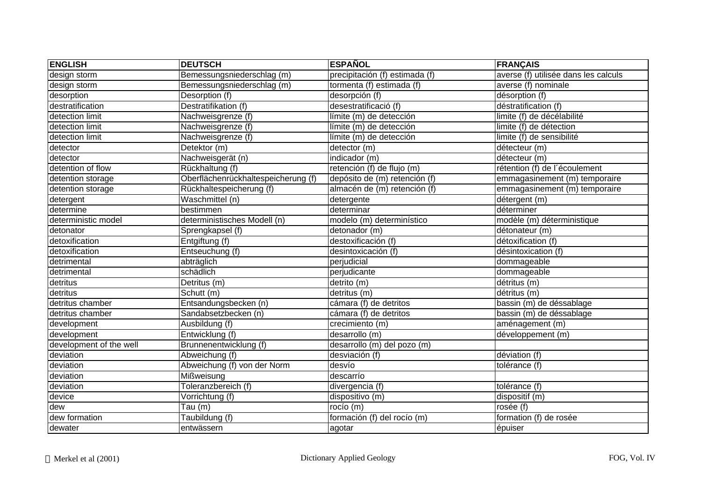| <b>ENGLISH</b>          | <b>DEUTSCH</b>                      | <b>ESPAÑOL</b>                 | <b>FRANÇAIS</b>                      |
|-------------------------|-------------------------------------|--------------------------------|--------------------------------------|
| design storm            | Bemessungsniederschlag (m)          | precipitación (f) estimada (f) | averse (f) utilisée dans les calculs |
| design storm            | Bemessungsniederschlag (m)          | tormenta (f) estimada (f)      | averse (f) nominale                  |
| desorption              | Desorption (f)                      | desorpción (f)                 | désorption (f)                       |
| destratification        | Destratifikation (f)                | desestratificació (f)          | déstratification (f)                 |
| detection limit         | Nachweisgrenze (f)                  | límite (m) de detección        | limite (f) de décélabilité           |
| detection limit         | Nachweisgrenze (f)                  | límite (m) de detección        | limite (f) de détection              |
| detection limit         | Nachweisgrenze (f)                  | límite (m) de detección        | limite (f) de sensibilité            |
| detector                | Detektor (m)                        | detector (m)                   | détecteur (m)                        |
| detector                | Nachweisgerät (n)                   | indicador (m)                  | détecteur (m)                        |
| detention of flow       | Rückhaltung (f)                     | retención (f) de flujo (m)     | rétention (f) de l'écoulement        |
| detention storage       | Oberflächenrückhaltespeicherung (f) | depósito de (m) retención (f)  | emmagasinement (m) temporaire        |
| detention storage       | Rückhaltespeicherung (f)            | almacén de (m) retención (f)   | emmagasinement (m) temporaire        |
| detergent               | Waschmittel (n)                     | detergente                     | détergent (m)                        |
| determine               | bestimmen                           | determinar                     | déterminer                           |
| deterministic model     | deterministisches Modell (n)        | modelo (m) determinístico      | modèle (m) déterministique           |
| detonator               | Sprengkapsel (f)                    | detonador (m)                  | détonateur (m)                       |
| detoxification          | Entgiftung (f)                      | destoxificación (f)            | détoxification (f)                   |
| detoxification          | Entseuchung (f)                     | desintoxicación (f)            | désintoxication (f)                  |
| detrimental             | abträglich                          | perjudicial                    | dommageable                          |
| detrimental             | schädlich                           | perjudicante                   | dommageable                          |
| detritus                | Detritus (m)                        | detrito (m)                    | détritus (m)                         |
| detritus                | Schutt (m)                          | detritus (m)                   | détritus (m)                         |
| detritus chamber        | Entsandungsbecken (n)               | cámara (f) de detritos         | bassin (m) de déssablage             |
| detritus chamber        | Sandabsetzbecken (n)                | cámara (f) de detritos         | bassin (m) de déssablage             |
| development             | Ausbildung (f)                      | crecimiento (m)                | aménagement (m)                      |
| development             | Entwicklung (f)                     | desarrollo (m)                 | développement (m)                    |
| development of the well | Brunnenentwicklung (f)              | desarrollo (m) del pozo (m)    |                                      |
| deviation               | Abweichung (f)                      | desviación (f)                 | déviation (f)                        |
| deviation               | Abweichung (f) von der Norm         | desvío                         | tolérance (f)                        |
| deviation               | Mißweisung                          | descarrío                      |                                      |
| deviation               | Toleranzbereich (f)                 | divergencia (f)                | tolérance (f)                        |
| device                  | Vorrichtung (f)                     | dispositivo (m)                | dispositif (m)                       |
| dew                     | Tau $(m)$                           | rocío $(m)$                    | rosée (f)                            |
| dew formation           | Taubildung (f)                      | formación (f) del rocío (m)    | formation (f) de rosée               |
| dewater                 | entwässern                          | agotar                         | épuiser                              |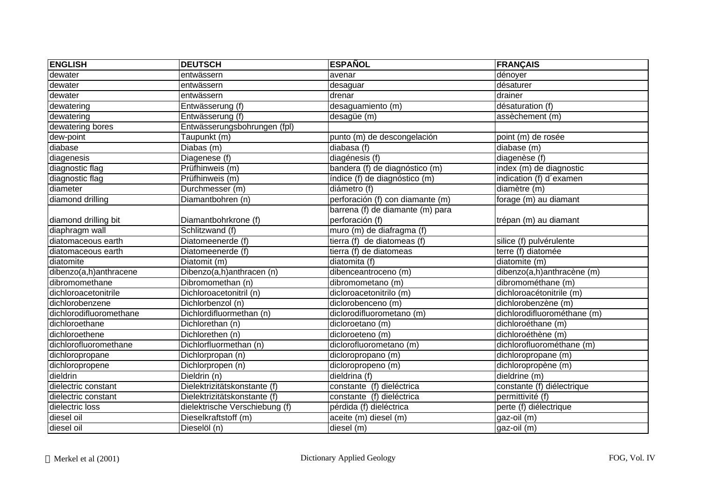| <b>ENGLISH</b>          | <b>DEUTSCH</b>                 | <b>ESPAÑOL</b>                   | <b>FRANÇAIS</b>             |
|-------------------------|--------------------------------|----------------------------------|-----------------------------|
| dewater                 | entwässern                     | avenar                           | dénoyer                     |
| dewater                 | entwässern                     | desaguar                         | désaturer                   |
| dewater                 | entwässern                     | drenar                           | drainer                     |
| dewatering              | Entwässerung (f)               | desaguamiento (m)                | désaturation (f)            |
| dewatering              | Entwässerung (f)               | desagüe (m)                      | assèchement (m)             |
| dewatering bores        | Entwässerungsbohrungen (fpl)   |                                  |                             |
| dew-point               | Taupunkt (m)                   | punto (m) de descongelación      | point (m) de rosée          |
| diabase                 | Diabas (m)                     | diabasa (f)                      | diabase (m)                 |
| diagenesis              | Diagenese (f)                  | diagénesis (f)                   | diagenèse (f)               |
| diagnostic flag         | Prüfhinweis (m)                | bandera (f) de diagnóstico (m)   | index (m) de diagnostic     |
| diagnostic flag         | Prüfhinweis (m)                | índice (f) de diagnóstico (m)    | indication (f) d'examen     |
| diameter                | Durchmesser (m)                | diámetro (f)                     | diamètre (m)                |
| diamond drilling        | Diamantbohren (n)              | perforación (f) con diamante (m) | forage (m) au diamant       |
|                         |                                | barrena (f) de diamante (m) para |                             |
| diamond drilling bit    | Diamantbohrkrone (f)           | perforación (f)                  | trépan (m) au diamant       |
| diaphragm wall          | Schlitzwand (f)                | muro (m) de diafragma (f)        |                             |
| diatomaceous earth      | Diatomeenerde (f)              | tierra (f) de diatomeas (f)      | silice (f) pulvérulente     |
| diatomaceous earth      | Diatomeenerde (f)              | tierra (f) de diatomeas          | terre (f) diatomée          |
| diatomite               | Diatomit (m)                   | diatomita (f)                    | diatomite (m)               |
| dibenzo(a,h)anthracene  | Dibenzo(a,h)anthracen (n)      | dibenceantroceno (m)             | dibenzo(a,h)anthracène (m)  |
| dibromomethane          | Dibromomethan (n)              | dibromometano (m)                | dibromométhane (m)          |
| dichloroacetonitrile    | Dichloroacetonitril (n)        | dicloroacetonitrilo (m)          | dichloroacétonitrile (m)    |
| dichlorobenzene         | Dichlorbenzol (n)              | diclorobenceno (m)               | dichlorobenzène (m)         |
| dichlorodifluoromethane | Dichlordifluormethan (n)       | diclorodifluorometano (m)        | dichlorodifluorométhane (m) |
| dichloroethane          | Dichlorethan (n)               | dicloroetano (m)                 | dichloroéthane (m)          |
| dichloroethene          | Dichlorethen (n)               | dicloroeteno (m)                 | dichloroéthène (m)          |
| dichlorofluoromethane   | Dichlorfluormethan (n)         | diclorofluorometano (m)          | dichlorofluorométhane (m)   |
| dichloropropane         | Dichlorpropan (n)              | dicloropropano (m)               | dichloropropane (m)         |
| dichloropropene         | Dichlorpropen (n)              | dicloropropeno (m)               | dichloropropène (m)         |
| dieldrin                | Dieldrin (n)                   | dieldrina (f)                    | dieldrine (m)               |
| dielectric constant     | Dielektrizitätskonstante (f)   | constante (f) dieléctrica        | constante (f) diélectrique  |
| dielectric constant     | Dielektrizitätskonstante (f)   | constante (f) dieléctrica        | permittivité (f)            |
| dielectric loss         | dielektrische Verschiebung (f) | pérdida (f) dieléctrica          | perte (f) diélectrique      |
| diesel oil              | Dieselkraftstoff (m)           | aceite (m) diesel (m)            | gaz-oil (m)                 |
| diesel oil              | Dieselöl (n)                   | diesel (m)                       | gaz-oil (m)                 |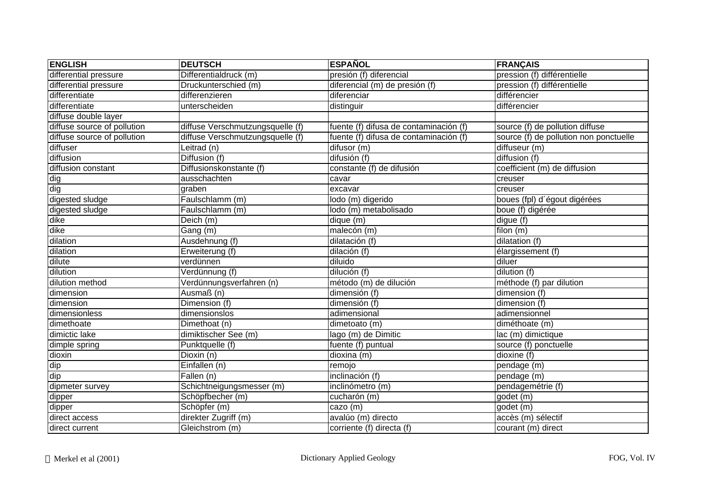| <b>ENGLISH</b>              | <b>DEUTSCH</b>                   | <b>ESPAÑOL</b>                         | <b>FRANÇAIS</b>                        |
|-----------------------------|----------------------------------|----------------------------------------|----------------------------------------|
| differential pressure       | Differentialdruck (m)            | presión (f) diferencial                | pression (f) différentielle            |
| differential pressure       | Druckunterschied (m)             | diferencial (m) de presión (f)         | pression (f) différentielle            |
| differentiate               | differenzieren                   | diferenciar                            | différencier                           |
| differentiate               | unterscheiden                    | distinguir                             | différencier                           |
| diffuse double layer        |                                  |                                        |                                        |
| diffuse source of pollution | diffuse Verschmutzungsquelle (f) | fuente (f) difusa de contaminación (f) | source (f) de pollution diffuse        |
| diffuse source of pollution | diffuse Verschmutzungsquelle (f) | fuente (f) difusa de contaminación (f) | source (f) de pollution non ponctuelle |
| diffuser                    | Leitrad (n)                      | $\overline{difusor}$ (m)               | diffuseur (m)                          |
| diffusion                   | Diffusion (f)                    | difusión (f)                           | diffusion (f)                          |
| diffusion constant          | Diffusionskonstante (f)          | constante (f) de difusión              | coefficient (m) de diffusion           |
| dig                         | ausschachten                     | cavar                                  | creuser                                |
| dig                         | graben                           | excavar                                | creuser                                |
| digested sludge             | Faulschlamm (m)                  | lodo (m) digerido                      | boues (fpl) d'égout digérées           |
| digested sludge             | Faulschlamm (m)                  | lodo (m) metabolisado                  | boue (f) digérée                       |
| dike                        | Deich (m)                        | $\overline{dique}$ (m)                 | digue (f)                              |
| dike                        | Gang (m)                         | malecón (m)                            | filon $(m)$                            |
| dilation                    | Ausdehnung (f)                   | dilatación (f)                         | dilatation (f)                         |
| dilation                    | Erweiterung (f)                  | dilación (f)                           | élargissement (f)                      |
| dilute                      | verdünnen                        | diluido                                | diluer                                 |
| dilution                    | Verdünnung (f)                   | dilución (f)                           | dilution (f)                           |
| dilution method             | Verdünnungsverfahren (n)         | método (m) de dilución                 | méthode (f) par dilution               |
| dimension                   | Ausmaß (n)                       | dimensión (f)                          | dimension (f)                          |
| dimension                   | Dimension (f)                    | dimensión (f)                          | dimension (f)                          |
| dimensionless               | dimensionslos                    | adimensional                           | adimensionnel                          |
| dimethoate                  | Dimethoat (n)                    | dimetoato (m)                          | diméthoate (m)                         |
| dimictic lake               | dimiktischer See (m)             | lago (m) de Dimitic                    | lac (m) dimictique                     |
| dimple spring               | Punktquelle (f)                  | fuente (f) puntual                     | source (f) ponctuelle                  |
| dioxin                      | Dioxin (n)                       | dioxina (m)                            | dioxine (f)                            |
| dip                         | Einfallen (n)                    | remojo                                 | pendage (m)                            |
| dip                         | Fallen (n)                       | inclinación (f)                        | pendage (m)                            |
| dipmeter survey             | Schichtneigungsmesser (m)        | inclinómetro (m)                       | pendagemétrie (f)                      |
| dipper                      | Schöpfbecher (m)                 | cucharón (m)                           | godet (m)                              |
| dipper                      | Schöpfer (m)                     | cazo (m)                               | godet (m)                              |
| direct access               | direkter Zugriff (m)             | avalúo (m) directo                     | accès (m) sélectif                     |
| direct current              | Gleichstrom (m)                  | corriente (f) directa (f)              | courant (m) direct                     |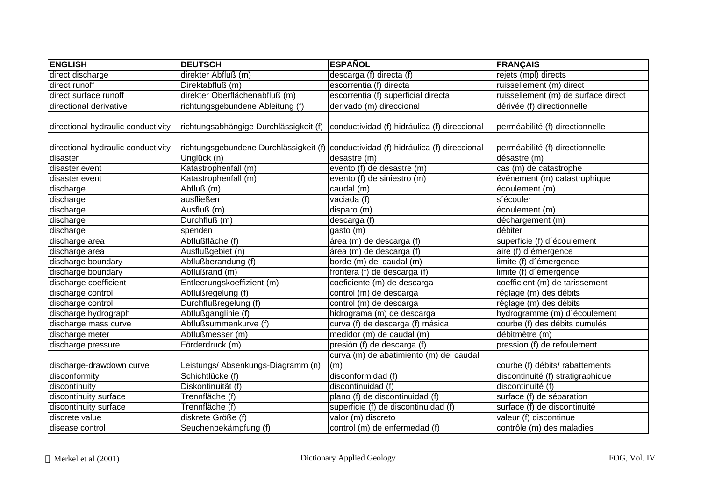| <b>ENGLISH</b>                     | <b>DEUTSCH</b>                     | <b>ESPAÑOL</b>                                                                      | <b>FRANÇAIS</b>                     |
|------------------------------------|------------------------------------|-------------------------------------------------------------------------------------|-------------------------------------|
| direct discharge                   | direkter Abfluß (m)                | descarga (f) directa (f)                                                            | rejets (mpl) directs                |
| direct runoff                      | Direktabfluß (m)                   | escorrentia (f) directa                                                             | ruissellement (m) direct            |
| direct surface runoff              | direkter Oberflächenabfluß (m)     | escorrentia (f) superficial directa                                                 | ruissellement (m) de surface direct |
| directional derivative             | richtungsgebundene Ableitung (f)   | derivado (m) direccional                                                            | dérivée (f) directionnelle          |
| directional hydraulic conductivity |                                    | richtungsabhängige Durchlässigkeit (f) conductividad (f) hidráulica (f) direccional | perméabilité (f) directionnelle     |
| directional hydraulic conductivity |                                    | richtungsgebundene Durchlässigkeit (f) conductividad (f) hidráulica (f) direccional | perméabilité (f) directionnelle     |
| disaster                           | Unglück (n)                        | desastre (m)                                                                        | désastre (m)                        |
| disaster event                     | Katastrophenfall (m)               | evento (f) de desastre (m)                                                          | cas (m) de catastrophe              |
| disaster event                     | Katastrophenfall (m)               | evento (f) de siniestro (m)                                                         | événement (m) catastrophique        |
| discharge                          | Abfluß (m)                         | caudal (m)                                                                          | écoulement (m)                      |
| discharge                          | ausfließen                         | vaciada (f)                                                                         | s'écouler                           |
| discharge                          | Ausfluß (m)                        | disparo (m)                                                                         | écoulement (m)                      |
| discharge                          | Durchfluß (m)                      | $\overline{\text{descarg}}$ a (f)                                                   | déchargement (m)                    |
| discharge                          | spenden                            | gasto (m)                                                                           | débiter                             |
| discharge area                     | Abflußfläche (f)                   | área (m) de descarga (f)                                                            | superficie (f) d'écoulement         |
| discharge area                     | Ausflußgebiet (n)                  | área (m) de descarga (f)                                                            | aire (f) d'émergence                |
| discharge boundary                 | Abflußberandung (f)                | borde (m) del caudal (m)                                                            | limite (f) d'émergence              |
| discharge boundary                 | Abflußrand (m)                     | frontera (f) de descarga (f)                                                        | limite (f) d'émergence              |
| discharge coefficient              | Entleerungskoeffizient (m)         | coeficiente (m) de descarga                                                         | coefficient (m) de tarissement      |
| discharge control                  | Abflußregelung (f)                 | control (m) de descarga                                                             | réglage (m) des débits              |
| discharge control                  | Durchflußregelung (f)              | control (m) de descarga                                                             | réglage (m) des débits              |
| discharge hydrograph               | Abflußganglinie (f)                | hidrograma (m) de descarga                                                          | hydrogramme (m) d'écoulement        |
| discharge mass curve               | Abflußsummenkurve (f)              | curva (f) de descarga (f) másica                                                    | courbe (f) des débits cumulés       |
| discharge meter                    | Abflußmesser (m)                   | medidor (m) de caudal (m)                                                           | débitmètre (m)                      |
| discharge pressure                 | Förderdruck (m)                    | presión (f) de descarga (f)                                                         | pression (f) de refoulement         |
|                                    |                                    | curva (m) de abatimiento (m) del caudal                                             |                                     |
| discharge-drawdown curve           | Leistungs/ Absenkungs-Diagramm (n) | (m)                                                                                 | courbe (f) débits/ rabattements     |
| disconformity                      | Schichtlücke (f)                   | disconformidad (f)                                                                  | discontinuité (f) stratigraphique   |
| discontinuity                      | Diskontinuität (f)                 | discontinuidad (f)                                                                  | discontinuité (f)                   |
| discontinuity surface              | Trennfläche (f)                    | plano (f) de discontinuidad (f)                                                     | surface (f) de séparation           |
| discontinuity surface              | Trennfläche (f)                    | superficie (f) de discontinuidad (f)                                                | surface (f) de discontinuité        |
| discrete value                     | diskrete Größe (f)                 | valor (m) discreto                                                                  | valeur (f) discontinue              |
| disease control                    | Seuchenbekämpfung (f)              | control (m) de enfermedad (f)                                                       | contrôle (m) des maladies           |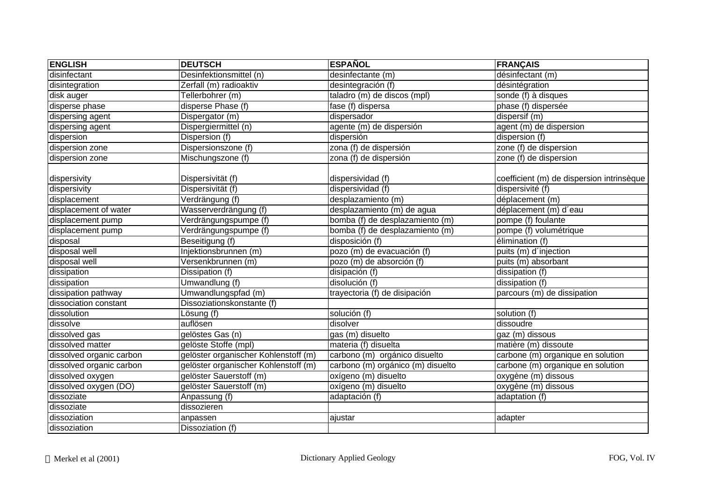| <b>ENGLISH</b>           | <b>DEUTSCH</b>                       | <b>ESPAÑOL</b>                    | <b>FRANÇAIS</b>                           |
|--------------------------|--------------------------------------|-----------------------------------|-------------------------------------------|
| disinfectant             | Desinfektionsmittel (n)              | desinfectante (m)                 | désinfectant (m)                          |
| disintegration           | Zerfall (m) radioaktiv               | desintegración (f)                | désintégration                            |
| disk auger               | Tellerbohrer (m)                     | taladro (m) de discos (mpl)       | sonde (f) à disques                       |
| disperse phase           | disperse Phase (f)                   | fase (f) dispersa                 | phase (f) dispersée                       |
| dispersing agent         | Dispergator (m)                      | dispersador                       | dispersif (m)                             |
| dispersing agent         | Dispergiermittel (n)                 | agente (m) de dispersión          | agent (m) de dispersion                   |
| dispersion               | Dispersion (f)                       | dispersión                        | dispersion (f)                            |
| dispersion zone          | Dispersionszone (f)                  | zona (f) de dispersión            | zone (f) de dispersion                    |
| dispersion zone          | Mischungszone (f)                    | zona (f) de dispersión            | zone (f) de dispersion                    |
| dispersivity             | Dispersivität (f)                    | dispersividad (f)                 | coefficient (m) de dispersion intrinsèque |
| dispersivity             | Dispersivität (f)                    | dispersividad (f)                 | dispersivité (f)                          |
| displacement             | Verdrängung (f)                      | desplazamiento (m)                | déplacement (m)                           |
| displacement of water    | Wasserverdrängung (f)                | desplazamiento (m) de agua        | déplacement (m) d'eau                     |
| displacement pump        | Verdrängungspumpe (f)                | bomba (f) de desplazamiento (m)   | pompe (f) foulante                        |
| displacement pump        | Verdrängungspumpe (f)                | bomba (f) de desplazamiento (m)   | pompe (f) volumétrique                    |
| disposal                 | Beseitigung (f)                      | disposición (f)                   | élimination (f)                           |
| disposal well            | Injektionsbrunnen (m)                | pozo (m) de evacuación (f)        | puits (m) d'injection                     |
| disposal well            | Versenkbrunnen (m)                   | pozo (m) de absorción (f)         | puits (m) absorbant                       |
| dissipation              | Dissipation (f)                      | disipación (f)                    | dissipation (f)                           |
| dissipation              | Umwandlung (f)                       | disolución (f)                    | dissipation (f)                           |
| dissipation pathway      | Umwandlungspfad (m)                  | trayectoria (f) de disipación     | parcours (m) de dissipation               |
| dissociation constant    | Dissoziationskonstante (f)           |                                   |                                           |
| dissolution              | Lösung (f)                           | solución (f)                      | solution (f)                              |
| dissolve                 | auflösen                             | disolver                          | dissoudre                                 |
| dissolved gas            | gelöstes Gas (n)                     | gas (m) disuelto                  | gaz (m) dissous                           |
| dissolved matter         | gelöste Stoffe (mpl)                 | materia (f) disuelta              | matière (m) dissoute                      |
| dissolved organic carbon | gelöster organischer Kohlenstoff (m) | carbono (m) orgánico disuelto     | carbone (m) organique en solution         |
| dissolved organic carbon | gelöster organischer Kohlenstoff (m) | carbono (m) orgánico (m) disuelto | carbone (m) organique en solution         |
| dissolved oxygen         | gelöster Sauerstoff (m)              | oxígeno (m) disuelto              | oxygène (m) dissous                       |
| dissolved oxygen (DO)    | gelöster Sauerstoff (m)              | oxígeno (m) disuelto              | oxygène (m) dissous                       |
| dissoziate               | Anpassung (f)                        | adaptación (f)                    | adaptation (f)                            |
| dissoziate               | dissozieren                          |                                   |                                           |
| dissoziation             | anpassen                             | ajustar                           | adapter                                   |
| dissoziation             | Dissoziation (f)                     |                                   |                                           |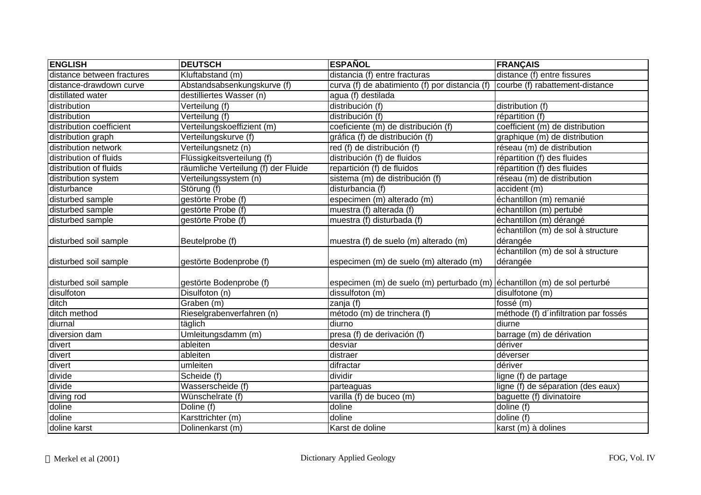| <b>ENGLISH</b>             | <b>DEUTSCH</b>                      | <b>ESPAÑOL</b>                                                            | <b>FRANÇAIS</b>                       |
|----------------------------|-------------------------------------|---------------------------------------------------------------------------|---------------------------------------|
| distance between fractures | Kluftabstand (m)                    | distancia (f) entre fracturas                                             | distance (f) entre fissures           |
| distance-drawdown curve    | Abstandsabsenkungskurve (f)         | curva (f) de abatimiento (f) por distancia (f)                            | courbe (f) rabattement-distance       |
| distillated water          | destilliertes Wasser (n)            | agua (f) destilada                                                        |                                       |
| distribution               | Verteilung (f)                      | distribución (f)                                                          | distribution (f)                      |
| distribution               | Verteilung (f)                      | distribución (f)                                                          | répartition (f)                       |
| distribution coefficient   | Verteilungskoeffizient (m)          | coeficiente (m) de distribución (f)                                       | coefficient (m) de distribution       |
| distribution graph         | Verteilungskurve (f)                | gráfica (f) de distribución (f)                                           | graphique (m) de distribution         |
| distribution network       | Verteilungsnetz (n)                 | red (f) de distribución (f)                                               | réseau (m) de distribution            |
| distribution of fluids     | Flüssigkeitsverteilung (f)          | distribución (f) de fluidos                                               | répartition (f) des fluides           |
| distribution of fluids     | räumliche Verteilung (f) der Fluide | repartición (f) de fluidos                                                | répartition (f) des fluides           |
| distribution system        | Verteilungssystem (n)               | sistema (m) de distribución (f)                                           | réseau (m) de distribution            |
| disturbance                | Störung (f)                         | disturbancia (f)                                                          | accident (m)                          |
| disturbed sample           | gestörte Probe (f)                  | especimen (m) alterado (m)                                                | échantillon (m) remanié               |
| disturbed sample           | gestörte Probe (f)                  | muestra (f) alterada (f)                                                  | échantillon (m) pertubé               |
| disturbed sample           | gestörte Probe (f)                  | muestra (f) disturbada (f)                                                | échantillon (m) dérangé               |
|                            |                                     |                                                                           | échantillon (m) de sol à structure    |
| disturbed soil sample      | Beutelprobe (f)                     | muestra (f) de suelo (m) alterado (m)                                     | dérangée                              |
|                            |                                     |                                                                           | échantillon (m) de sol à structure    |
| disturbed soil sample      | gestörte Bodenprobe (f)             | especimen (m) de suelo (m) alterado (m)                                   | dérangée                              |
|                            |                                     |                                                                           |                                       |
| disturbed soil sample      | gestörte Bodenprobe (f)             | especimen (m) de suelo (m) perturbado (m) echantillon (m) de sol perturbé |                                       |
| disulfoton                 | Disulfoton (n)                      | dissulfoton (m)                                                           | disulfotone (m)                       |
| ditch                      | Graben (m)                          | zanja (f)                                                                 | fossé (m)                             |
| ditch method               | Rieselgrabenverfahren (n)           | método (m) de trinchera (f)                                               | méthode (f) d'infiltration par fossés |
| diurnal                    | täglich                             | diurno                                                                    | diurne                                |
| diversion dam              | Umleitungsdamm (m)                  | presa (f) de derivación (f)                                               | barrage (m) de dérivation             |
| divert                     | ableiten                            | desviar                                                                   | dériver                               |
| divert                     | ableiten                            | distraer                                                                  | déverser                              |
| divert                     | umleiten                            | difractar                                                                 | dériver                               |
| divide                     | Scheide (f)                         | dividir                                                                   | ligne (f) de partage                  |
| divide                     | Wasserscheide (f)                   | parteaguas                                                                | ligne (f) de séparation (des eaux)    |
| diving rod                 | Wünschelrate (f)                    | varilla (f) de buceo (m)                                                  | baguette (f) divinatoire              |
| doline                     | Doline (f)                          | doline                                                                    | doline (f)                            |
| doline                     | Karsttrichter (m)                   | doline                                                                    | doline (f)                            |
| doline karst               | Dolinenkarst (m)                    | Karst de doline                                                           | karst (m) à dolines                   |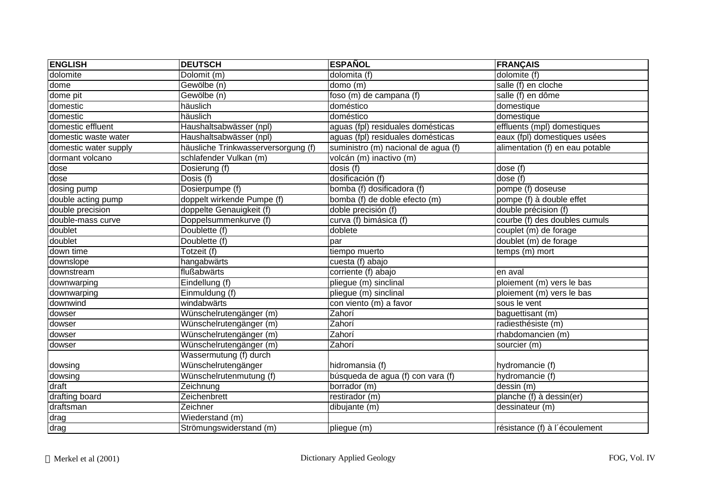| <b>ENGLISH</b>        | <b>DEUTSCH</b>                      | <b>ESPAÑOL</b>                       | <b>FRANÇAIS</b>                 |
|-----------------------|-------------------------------------|--------------------------------------|---------------------------------|
| dolomite              | Dolomit (m)                         | dolomita (f)                         | dolomite (f)                    |
| dome                  | Gewölbe (n)                         | domo(m)                              | salle (f) en cloche             |
| dome pit              | Gewölbe (n)                         | foso (m) de campana (f)              | salle (f) en dôme               |
| domestic              | häuslich                            | doméstico                            | domestique                      |
| domestic              | häuslich                            | doméstico                            | domestique                      |
| domestic effluent     | Haushaltsabwässer (npl)             | aguas (fpl) residuales domésticas    | effluents (mpl) domestiques     |
| domestic waste water  | Haushaltsabwässer (npl)             | aguas (fpl) residuales domésticas    | eaux (fpl) domestiques usées    |
| domestic water supply | häusliche Trinkwasserversorgung (f) | suministro (m) nacional de agua (f)  | alimentation (f) en eau potable |
| dormant volcano       | schlafender Vulkan (m)              | volcán (m) inactivo (m)              |                                 |
| dose                  | Dosierung (f)                       | dosis (f)                            | dose (f)                        |
| dose                  | Dosis (f)                           | dosificación (f)                     | dose (f)                        |
| dosing pump           | Dosierpumpe (f)                     | bomba (f) dosificadora (f)           | pompe (f) doseuse               |
| double acting pump    | doppelt wirkende Pumpe (f)          | bomba (f) de doble efecto (m)        | pompe (f) à double effet        |
| double precision      | doppelte Genauigkeit (f)            | doble precisión (f)                  | double précision (f)            |
| double-mass curve     | Doppelsummenkurve (f)               | curva (f) bimásica (f)               | courbe (f) des doubles cumuls   |
| doublet               | Doublette (f)                       | doblete                              | couplet (m) de forage           |
| doublet               | Doublette (f)                       | par                                  | doublet (m) de forage           |
| down time             | Totzeit (f)                         | tiempo muerto                        | temps (m) mort                  |
| downslope             | hangabwärts                         | $\overline{\text{cuesta}}$ (f) abajo |                                 |
| downstream            | flußabwärts                         | corriente (f) abajo                  | en aval                         |
| downwarping           | Eindellung (f)                      | pliegue (m) sinclinal                | ploiement (m) vers le bas       |
| downwarping           | Einmuldung (f)                      | pliegue (m) sinclinal                | ploiement (m) vers le bas       |
| downwind              | windabwärts                         | con viento $\overline{(m)}$ a favor  | sous le vent                    |
| dowser                | Wünschelrutengänger (m)             | Zahorí                               | baguettisant (m)                |
| dowser                | Wünschelrutengänger (m)             | Zahorí                               | radiesthésiste (m)              |
| dowser                | Wünschelrutengänger (m)             | Zahorí                               | rhabdomancien (m)               |
| dowser                | Wünschelrutengänger (m)             | Zahorí                               | sourcier (m)                    |
|                       | Wassermutung (f) durch              |                                      |                                 |
| dowsing               | Wünschelrutengänger                 | hidromansia (f)                      | hydromancie (f)                 |
| dowsing               | Wünschelrutenmutung (f)             | búsqueda de agua (f) con vara (f)    | hydromancie (f)                 |
| draft                 | Zeichnung                           | borrador (m)                         | dessin (m)                      |
| drafting board        | Zeichenbrett                        | $r$ estirador (m)                    | planche (f) à dessin(er)        |
| draftsman             | Zeichner                            | dibujante (m)                        | dessinateur (m)                 |
| $\overline{drag}$     | Wiederstand (m)                     |                                      |                                 |
| drag                  | Strömungswiderstand (m)             | pliegue (m)                          | résistance (f) à l'écoulement   |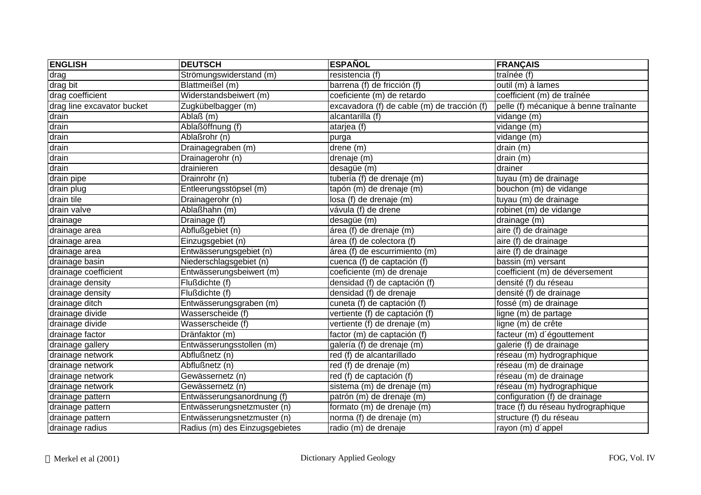| <b>ENGLISH</b>             | <b>DEUTSCH</b>                 | <b>ESPAÑOL</b>                              | <b>FRANÇAIS</b>                       |
|----------------------------|--------------------------------|---------------------------------------------|---------------------------------------|
| drag                       | Strömungswiderstand (m)        | resistencia (f)                             | traînée (f)                           |
| drag bit                   | Blattmeißel (m)                | barrena (f) de fricción (f)                 | outil (m) à lames                     |
| drag coefficient           | Widerstandsbeiwert (m)         | coeficiente (m) de retardo                  | coefficient (m) de traînée            |
| drag line excavator bucket | Zugkübelbagger (m)             | excavadora (f) de cable (m) de tracción (f) | pelle (f) mécanique à benne traînante |
| drain                      | Ablaß (m)                      | alcantarilla (f)                            | vidange (m)                           |
| drain                      | Ablaßöffnung (f)               | atarjea (f)                                 | vidange (m)                           |
| drain                      | Ablaßrohr (n)                  | purga                                       | vidange (m)                           |
| drain                      | Drainagegraben (m)             | drene (m)                                   | drain (m)                             |
| drain                      | Drainagerohr (n)               | drenaje (m)                                 | drain (m)                             |
| drain                      | drainieren                     | desagüe (m)                                 | drainer                               |
| drain pipe                 | Drainrohr (n)                  | tubería (f) de drenaje (m)                  | tuyau (m) de drainage                 |
| drain plug                 | Entleerungsstöpsel (m)         | tapón (m) de drenaje (m)                    | bouchon (m) de vidange                |
| drain tile                 | Drainagerohr (n)               | losa (f) de drenaje (m)                     | tuyau (m) de drainage                 |
| drain valve                | Ablaßhahn (m)                  | vávula (f) de drene                         | robinet (m) de vidange                |
| drainage                   | Drainage (f)                   | desagüe (m)                                 | drainage (m)                          |
| drainage area              | Abflußgebiet (n)               | área (f) de drenaje (m)                     | aire (f) de drainage                  |
| drainage area              | Einzugsgebiet (n)              | área (f) de colectora (f)                   | aire (f) de drainage                  |
| drainage area              | Entwässerungsgebiet (n)        | área (f) de escurrimiento (m)               | aire (f) de drainage                  |
| drainage basin             | Niederschlagsgebiet (n)        | cuenca (f) de captación (f)                 | bassin (m) versant                    |
| drainage coefficient       | Entwässerungsbeiwert (m)       | coeficiente (m) de drenaje                  | coefficient (m) de déversement        |
| drainage density           | Flußdichte (f)                 | densidad (f) de captación (f)               | densité (f) du réseau                 |
| drainage density           | Flußdichte (f)                 | densidad (f) de drenaje                     | densité (f) de drainage               |
| drainage ditch             | Entwässerungsgraben (m)        | cuneta (f) de captación (f)                 | fossé (m) de drainage                 |
| drainage divide            | Wasserscheide (f)              | vertiente (f) de captación (f)              | ligne (m) de partage                  |
| drainage divide            | Wasserscheide (f)              | vertiente (f) de drenaje (m)                | ligne (m) de crête                    |
| drainage factor            | Dränfaktor (m)                 | factor (m) de captación (f)                 | facteur (m) d'égouttement             |
| drainage gallery           | Entwässerungsstollen (m)       | galería (f) de drenaje (m)                  | galerie (f) de drainage               |
| drainage network           | Abflußnetz (n)                 | red (f) de alcantarillado                   | réseau (m) hydrographique             |
| drainage network           | Abflußnetz (n)                 | red (f) de drenaje (m)                      | réseau (m) de drainage                |
| drainage network           | Gewässernetz (n)               | red (f) de captación (f)                    | réseau (m) de drainage                |
| drainage network           | Gewässernetz (n)               | sistema (m) de drenaje (m)                  | réseau (m) hydrographique             |
| drainage pattern           | Entwässerungsanordnung (f)     | patrón (m) de drenaje (m)                   | configuration (f) de drainage         |
| drainage pattern           | Entwässerungsnetzmuster (n)    | formato (m) de drenaje (m)                  | trace (f) du réseau hydrographique    |
| drainage pattern           | Entwässerungsnetzmuster (n)    | norma (f) de drenaje (m)                    | structure (f) du réseau               |
| drainage radius            | Radius (m) des Einzugsgebietes | radio (m) de drenaje                        | rayon (m) d'appel                     |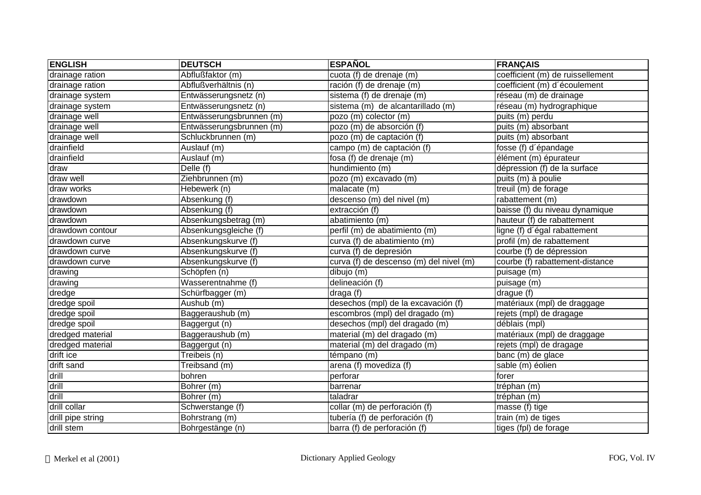| <b>ENGLISH</b>    | <b>DEUTSCH</b>           | <b>ESPAÑOL</b>                          | <b>FRANÇAIS</b>                  |
|-------------------|--------------------------|-----------------------------------------|----------------------------------|
| drainage ration   | Abflußfaktor (m)         | cuota (f) de drenaje (m)                | coefficient (m) de ruissellement |
| drainage ration   | Abflußverhältnis (n)     | ración (f) de drenaje (m)               | coefficient (m) d'écoulement     |
| drainage system   | Entwässerungsnetz (n)    | sistema (f) de drenaje (m)              | réseau (m) de drainage           |
| drainage system   | Entwässerungsnetz (n)    | sistema (m) de alcantarillado (m)       | réseau (m) hydrographique        |
| drainage well     | Entwässerungsbrunnen (m) | pozo (m) colector (m)                   | puits (m) perdu                  |
| drainage well     | Entwässerungsbrunnen (m) | pozo (m) de absorción (f)               | puits (m) absorbant              |
| drainage well     | Schluckbrunnen (m)       | pozo (m) de captación (f)               | puits (m) absorbant              |
| drainfield        | Auslauf (m)              | campo (m) de captación (f)              | fosse (f) d'épandage             |
| drainfield        | Auslauf (m)              | fosa (f) de drenaje (m)                 | élément (m) épurateur            |
| draw              | Delle (f)                | hundimiento (m)                         | dépression (f) de la surface     |
| draw well         | Ziehbrunnen (m)          | pozo (m) excavado (m)                   | puits (m) à poulie               |
| draw works        | Hebewerk (n)             | malacate (m)                            | treuil (m) de forage             |
| drawdown          | Absenkung (f)            | descenso (m) del nivel (m)              | rabattement (m)                  |
| drawdown          | Absenkung (f)            | extracción (f)                          | baisse (f) du niveau dynamique   |
| drawdown          | Absenkungsbetrag (m)     | abatimiento (m)                         | hauteur (f) de rabattement       |
| drawdown contour  | Absenkungsgleiche (f)    | perfil (m) de abatimiento (m)           | ligne (f) d'égal rabattement     |
| drawdown curve    | Absenkungskurve (f)      | curva (f) de abatimiento (m)            | profil (m) de rabattement        |
| drawdown curve    | Absenkungskurve (f)      | curva (f) de depresión                  | courbe (f) de dépression         |
| drawdown curve    | Absenkungskurve (f)      | curva (f) de descenso (m) del nivel (m) | courbe (f) rabattement-distance  |
| drawing           | Schöpfen (n)             | dibujo (m)                              | puisage (m)                      |
| drawing           | Wasserentnahme (f)       | delineación $(f)$                       | puisage (m)                      |
| dredge            | Schürfbagger (m)         | draga(f)                                | drague (f)                       |
| dredge spoil      | Aushub (m)               | desechos (mpl) de la excavación (f)     | matériaux (mpl) de draggage      |
| dredge spoil      | Baggeraushub (m)         | escombros (mpl) del dragado (m)         | rejets (mpl) de dragage          |
| dredge spoil      | Baggergut (n)            | desechos (mpl) del dragado (m)          | déblais (mpl)                    |
| dredged material  | Baggeraushub (m)         | material (m) del dragado (m)            | matériaux (mpl) de draggage      |
| dredged material  | Baggergut (n)            | material (m) del dragado (m)            | rejets (mpl) de dragage          |
| drift ice         | Treibeis (n)             | témpano (m)                             | banc (m) de glace                |
| drift sand        | Treibsand (m)            | arena (f) movediza (f)                  | sable (m) éolien                 |
| drill             | bohren                   | perforar                                | forer                            |
| drill             | Bohrer (m)               | barrenar                                | tréphan (m)                      |
| drill             | Bohrer (m)               | taladrar                                | tréphan (m)                      |
| drill collar      | Schwerstange (f)         | collar (m) de perforación (f)           | masse (f) tige                   |
| drill pipe string | Bohrstrang (m)           | tubería (f) de perforación (f)          | train (m) de tiges               |
| drill stem        | Bohrgestänge (n)         | barra (f) de perforación (f)            | tiges (fpl) de forage            |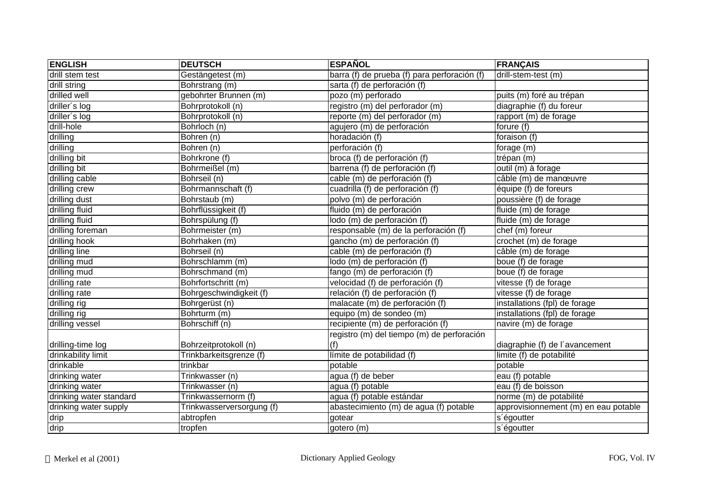| <b>ENGLISH</b>          | <b>DEUTSCH</b>            | <b>ESPAÑOL</b>                               | <b>FRANÇAIS</b>                      |
|-------------------------|---------------------------|----------------------------------------------|--------------------------------------|
| drill stem test         | Gestängetest (m)          | barra (f) de prueba (f) para perforación (f) | drill-stem-test (m)                  |
| drill string            | Bohrstrang (m)            | sarta (f) de perforación (f)                 |                                      |
| drilled well            | gebohrter Brunnen (m)     | pozo (m) perforado                           | puits (m) foré au trépan             |
| driller's log           | Bohrprotokoll (n)         | registro (m) del perforador (m)              | diagraphie (f) du foreur             |
| driller's log           | Bohrprotokoll (n)         | reporte (m) del perforador (m)               | rapport (m) de forage                |
| drill-hole              | Bohrloch (n)              | agujero (m) de perforación                   | forure (f)                           |
| drilling                | Bohren (n)                | horadación (f)                               | foraison (f)                         |
| drilling                | Bohren (n)                | perforación (f)                              | forage (m)                           |
| drilling bit            | Bohrkrone (f)             | broca (f) de perforación (f)                 | trépan (m)                           |
| drilling bit            | Bohrmeißel (m)            | barrena (f) de perforación (f)               | outil (m) à forage                   |
| drilling cable          | Bohrseil (n)              | cable (m) de perforación (f)                 | câble (m) de manœuvre                |
| drilling crew           | Bohrmannschaft (f)        | cuadrilla (f) de perforación (f)             | équipe (f) de foreurs                |
| drilling dust           | Bohrstaub (m)             | polvo (m) de perforación                     | poussière (f) de forage              |
| drilling fluid          | Bohrflüssigkeit (f)       | fluido (m) de perforación                    | fluide (m) de forage                 |
| drilling fluid          | Bohrspülung (f)           | lodo (m) de perforación (f)                  | fluide (m) de forage                 |
| drilling foreman        | Bohrmeister (m)           | responsable (m) de la perforación (f)        | chef (m) foreur                      |
| drilling hook           | Bohrhaken (m)             | gancho (m) de perforación (f)                | crochet (m) de forage                |
| drilling line           | Bohrseil (n)              | cable (m) de perforación (f)                 | câble (m) de forage                  |
| drilling mud            | Bohrschlamm (m)           | lodo (m) de perforación (f)                  | boue (f) de forage                   |
| drilling mud            | Bohrschmand (m)           | fango (m) de perforación (f)                 | boue (f) de forage                   |
| drilling rate           | Bohrfortschritt (m)       | velocidad (f) de perforación (f)             | vitesse (f) de forage                |
| drilling rate           | Bohrgeschwindigkeit (f)   | relación (f) de perforación (f)              | vitesse (f) de forage                |
| drilling rig            | Bohrgerüst (n)            | malacate (m) de perforación (f)              | installations (fpl) de forage        |
| drilling rig            | Bohrturm (m)              | equipo (m) de sondeo (m)                     | installations (fpl) de forage        |
| drilling vessel         | Bohrschiff (n)            | recipiente (m) de perforación (f)            | navire (m) de forage                 |
|                         |                           | registro (m) del tiempo (m) de perforación   |                                      |
| drilling-time log       | Bohrzeitprotokoll (n)     | (f)                                          | diagraphie (f) de l'avancement       |
| drinkability limit      | Trinkbarkeitsgrenze (f)   | límite de potabilidad (f)                    | limite (f) de potabilité             |
| drinkable               | trinkbar                  | potable                                      | potable                              |
| drinking water          | Trinkwasser (n)           | agua (f) de beber                            | eau (f) potable                      |
| drinking water          | Trinkwasser (n)           | agua (f) potable                             | eau (f) de boisson                   |
| drinking water standard | Trinkwassernorm (f)       | agua (f) potable estándar                    | norme (m) de potabilité              |
| drinking water supply   | Trinkwasserversorgung (f) | abastecimiento (m) de agua (f) potable       | approvisionnement (m) en eau potable |
| drip                    | abtropfen                 | gotear                                       | s'égoutter                           |
| drip                    | tropfen                   | gotero (m)                                   | s'égoutter                           |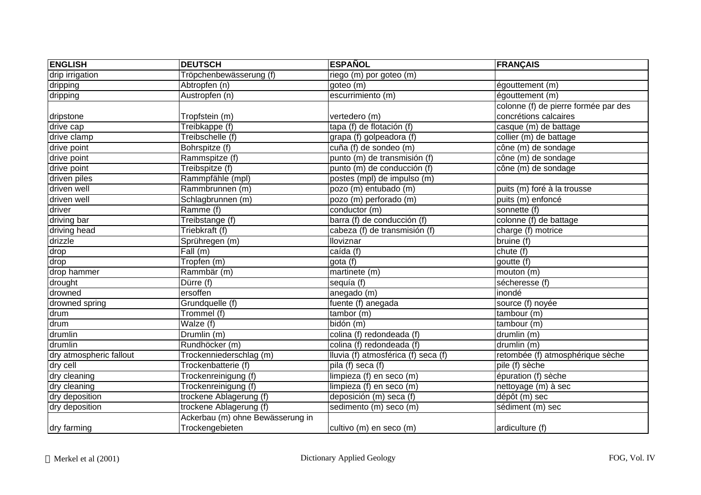| <b>ENGLISH</b>          | <b>DEUTSCH</b>                   | <b>ESPAÑOL</b>                      | <b>FRANÇAIS</b>                      |
|-------------------------|----------------------------------|-------------------------------------|--------------------------------------|
| drip irrigation         | Tröpchenbewässerung (f)          | riego (m) por goteo (m)             |                                      |
| dripping                | Abtropfen (n)                    | goteo (m)                           | égouttement (m)                      |
| dripping                | Austropfen (n)                   | escurrimiento (m)                   | égouttement (m)                      |
|                         |                                  |                                     | colonne (f) de pierre formée par des |
| dripstone               | Tropfstein (m)                   | vertedero (m)                       | concrétions calcaires                |
| drive cap               | Treibkappe (f)                   | tapa (f) de flotación (f)           | casque (m) de battage                |
| drive clamp             | Treibschelle (f)                 | grapa (f) golpeadora (f)            | collier (m) de battage               |
| drive point             | Bohrspitze (f)                   | cuña (f) de sondeo (m)              | cône (m) de sondage                  |
| drive point             | Rammspitze (f)                   | punto (m) de transmisión (f)        | cône (m) de sondage                  |
| drive point             | Treibspitze (f)                  | punto (m) de conducción (f)         | cône (m) de sondage                  |
| driven piles            | Rammpfähle (mpl)                 | postes (mpl) de impulso (m)         |                                      |
| driven well             | Rammbrunnen (m)                  | pozo (m) entubado (m)               | puits (m) foré à la trousse          |
| driven well             | Schlagbrunnen (m)                | $\overline{pozo(m)}$ perforado (m)  | puits (m) enfoncé                    |
| driver                  | Ramme (f)                        | conductor (m)                       | sonnette (f)                         |
| driving bar             | Treibstange (f)                  | barra (f) de conducción (f)         | colonne (f) de battage               |
| driving head            | Triebkraft (f)                   | cabeza (f) de transmisión (f)       | charge (f) motrice                   |
| drizzle                 | Sprühregen (m)                   | Iloviznar                           | bruine (f)                           |
| drop                    | Fall(m)                          | caída (f)                           | chute (f)                            |
| drop                    | Tropfen (m)                      | gota (f)                            | goutte $(f)$                         |
| drop hammer             | Rammbär (m)                      | martinete $(m)$                     | mouton (m)                           |
| drought                 | Dürre (f)                        | sequía (f)                          | sécheresse (f)                       |
| drowned                 | ersoffen                         | anegado (m)                         | inondé                               |
| drowned spring          | Grundquelle (f)                  | fuente (f) anegada                  | source (f) noyée                     |
| drum                    | Trommel (f)                      | tambor (m)                          | tambour (m)                          |
| drum                    | Walze (f)                        | bidón (m)                           | tambour(m)                           |
| drumlin                 | Drumlin (m)                      | colina (f) redondeada (f)           | drumlin (m)                          |
| drumlin                 | Rundhöcker (m)                   | colina (f) redondeada (f)           | drumlin (m)                          |
| dry atmospheric fallout | Trockenniederschlag (m)          | Iluvia (f) atmosférica (f) seca (f) | retombée (f) atmosphérique sèche     |
| dry cell                | Trockenbatterie (f)              | pila (f) seca $(f)$                 | pile (f) sèche                       |
| dry cleaning            | Trockenreinigung (f)             | limpieza (f) en seco (m)            | épuration (f) sèche                  |
| dry cleaning            | Trockenreinigung (f)             | limpieza (f) en seco (m)            | nettoyage (m) à sec                  |
| dry deposition          | trockene Ablagerung (f)          | deposición (m) seca (f)             | dépôt (m) sec                        |
| dry deposition          | trockene Ablagerung (f)          | sedimento (m) seco (m)              | sédiment (m) sec                     |
|                         | Ackerbau (m) ohne Bewässerung in |                                     |                                      |
| dry farming             | Trockengebieten                  | cultivo (m) en seco (m)             | ardiculture (f)                      |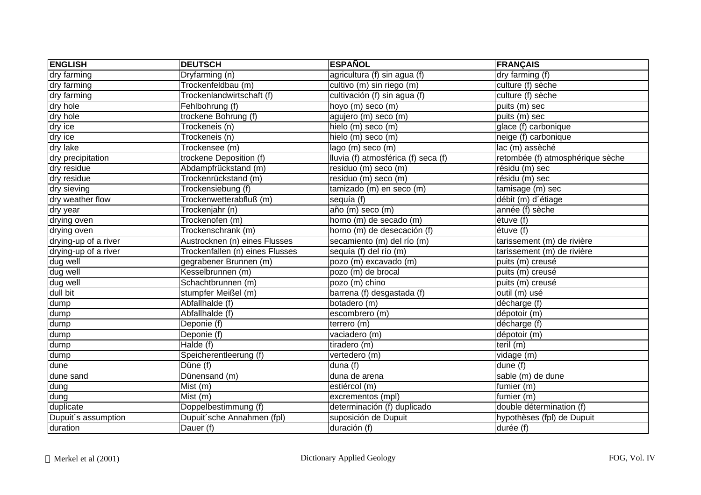| <b>ENGLISH</b>       | <b>DEUTSCH</b>                  | <b>ESPAÑOL</b>                      | <b>FRANÇAIS</b>                  |
|----------------------|---------------------------------|-------------------------------------|----------------------------------|
| dry farming          | Dryfarming (n)                  | agricultura (f) sin agua (f)        | dry farming (f)                  |
| dry farming          | Trockenfeldbau (m)              | cultivo (m) sin riego (m)           | culture (f) sèche                |
| dry farming          | Trockenlandwirtschaft (f)       | cultivación (f) sin agua (f)        | culture (f) sèche                |
| dry hole             | Fehlbohrung (f)                 | hoyo (m) seco (m)                   | puits (m) sec                    |
| dry hole             | trockene Bohrung (f)            | agujero (m) seco (m)                | puits (m) sec                    |
| dry ice              | Trockeneis (n)                  | hielo (m) seco (m)                  | glace (f) carbonique             |
| dry ice              | Trockeneis (n)                  | hielo (m) seco (m)                  | neige (f) carbonique             |
| dry lake             | Trockensee (m)                  | lago (m) seco (m)                   | lac (m) assèché                  |
| dry precipitation    | trockene Deposition (f)         | Iluvia (f) atmosférica (f) seca (f) | retombée (f) atmosphérique sèche |
| dry residue          | Abdampfrückstand (m)            | residuo (m) seco (m)                | résidu (m) sec                   |
| dry residue          | Trockenrückstand (m)            | residuo (m) seco (m)                | résidu (m) sec                   |
| dry sieving          | Trockensiebung (f)              | tamizado (m) en seco (m)            | tamisage (m) sec                 |
| dry weather flow     | Trockenwetterabfluß (m)         | sequía (f)                          | débit (m) d'étiage               |
| dry year             | Trockenjahr (n)                 | año (m) seco (m)                    | année (f) sèche                  |
| drying oven          | Trockenofen (m)                 | horno (m) de secado (m)             | étuve (f)                        |
| drying oven          | Trockenschrank (m)              | horno (m) de desecación (f)         | étuve (f)                        |
| drying-up of a river | Austrocknen (n) eines Flusses   | secamiento (m) del río (m)          | tarissement (m) de rivière       |
| drying-up of a river | Trockenfallen (n) eines Flusses | sequía (f) del río (m)              | tarissement (m) de rivière       |
| dug well             | gegrabener Brunnen (m)          | pozo (m) excavado (m)               | puits (m) creusé                 |
| dug well             | Kesselbrunnen (m)               | pozo (m) de brocal                  | puits (m) creusé                 |
| dug well             | Schachtbrunnen (m)              | pozo (m) chino                      | puits (m) creusé                 |
| dull bit             | stumpfer Meißel (m)             | barrena (f) desgastada (f)          | outil (m) usé                    |
| dump                 | Abfallhalde (f)                 | botadero (m)                        | décharge (f)                     |
| dump                 | Abfallhalde (f)                 | escombrero (m)                      | dépotoir (m)                     |
| dump                 | Deponie (f)                     | terrero (m)                         | décharge (f)                     |
| dump                 | Deponie (f)                     | vaciadero (m)                       | dépotoir (m)                     |
| dump                 | Halde (f)                       | tiradero (m)                        | teril $(m)$                      |
| dump                 | Speicherentleerung (f)          | vertedero (m)                       | vidage (m)                       |
| dune                 | Düne (f)                        | duna (f)                            | dune $(f)$                       |
| dune sand            | Dünensand (m)                   | duna de arena                       | sable (m) de dune                |
| dung                 | Mist (m)                        | estiércol (m)                       | fumier (m)                       |
| dung                 | Mist (m)                        | excrementos (mpl)                   | fumier (m)                       |
| duplicate            | Doppelbestimmung (f)            | determinación (f) duplicado         | double détermination (f)         |
| Dupuit's assumption  | Dupuit'sche Annahmen (fpl)      | suposición de Dupuit                | hypothèses (fpl) de Dupuit       |
| duration             | Dauer (f)                       | duración (f)                        | durée (f)                        |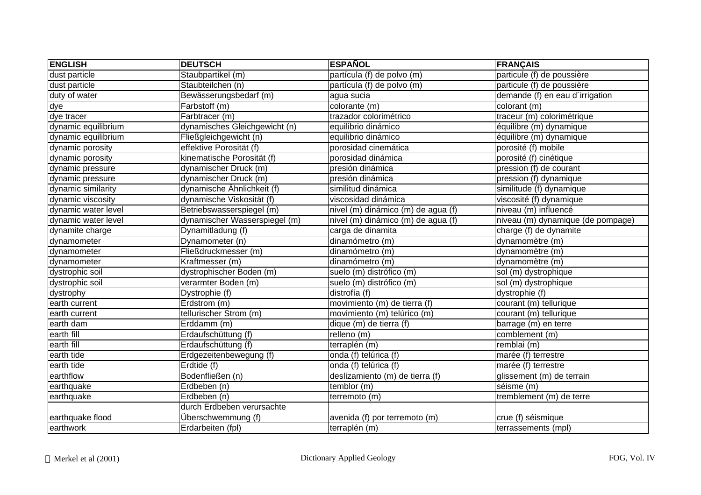| <b>ENGLISH</b>      | <b>DEUTSCH</b>                | <b>ESPAÑOL</b>                     | <b>FRANÇAIS</b>                   |
|---------------------|-------------------------------|------------------------------------|-----------------------------------|
| dust particle       | Staubpartikel (m)             | partícula (f) de polvo (m)         | particule (f) de poussière        |
| dust particle       | Staubteilchen (n)             | partícula (f) de polvo (m)         | particule (f) de poussière        |
| duty of water       | Bewässerungsbedarf (m)        | agua sucia                         | demande (f) en eau d'irrigation   |
| dye                 | Farbstoff (m)                 | colorante (m)                      | colorant (m)                      |
| dye tracer          | Farbtracer (m)                | trazador colorimétrico             | traceur (m) colorimétrique        |
| dynamic equilibrium | dynamisches Gleichgewicht (n) | equilibrio dinámico                | équilibre (m) dynamique           |
| dynamic equilibrium | Fließgleichgewicht (n)        | equilibrio dinámico                | équilibre (m) dynamique           |
| dynamic porosity    | effektive Porosität (f)       | porosidad cinemática               | porosité (f) mobile               |
| dynamic porosity    | kinematische Porosität (f)    | porosidad dinámica                 | porosité (f) cinétique            |
| dynamic pressure    | dynamischer Druck (m)         | presión dinámica                   | pression (f) de courant           |
| dynamic pressure    | dynamischer Druck (m)         | presión dinámica                   | pression (f) dynamique            |
| dynamic similarity  | dynamische Ähnlichkeit (f)    | similitud dinámica                 | similitude (f) dynamique          |
| dynamic viscosity   | dynamische Viskosität (f)     | viscosidad dinámica                | viscosité (f) dynamique           |
| dynamic water level | Betriebswasserspiegel (m)     | nivel (m) dinámico (m) de agua (f) | niveau (m) influencé              |
| dynamic water level | dynamischer Wasserspiegel (m) | nivel (m) dinámico (m) de agua (f) | niveau (m) dynamique (de pompage) |
| dynamite charge     | Dynamitladung (f)             | carga de dinamita                  | charge (f) de dynamite            |
| dynamometer         | Dynamometer (n)               | dinamómetro (m)                    | dynamomètre (m)                   |
| dynamometer         | Fließdruckmesser (m)          | dinamómetro (m)                    | dynamomètre (m)                   |
| dynamometer         | Kraftmesser (m)               | dinamómetro (m)                    | dynamomètre (m)                   |
| dystrophic soil     | dystrophischer Boden (m)      | suelo (m) distrófico (m)           | sol (m) dystrophique              |
| dystrophic soil     | verarmter Boden (m)           | suelo (m) distrófico (m)           | sol (m) dystrophique              |
| dystrophy           | Dystrophie (f)                | distrofía (f)                      | dystrophie (f)                    |
| earth current       | Erdstrom (m)                  | movimiento (m) de tierra (f)       | courant (m) tellurique            |
| earth current       | tellurischer Strom (m)        | movimiento (m) telúrico (m)        | courant (m) tellurique            |
| earth dam           | Erddamm (m)                   | dique (m) de tierra (f)            | barrage (m) en terre              |
| earth fill          | Erdaufschüttung (f)           | relleno (m)                        | comblement (m)                    |
| earth fill          | Erdaufschüttung (f)           | terraplén (m)                      | remblai (m)                       |
| earth tide          | Erdgezeitenbewegung (f)       | onda (f) telúrica (f)              | marée (f) terrestre               |
| earth tide          | Erdtide (f)                   | onda (f) telúrica (f)              | marée (f) terrestre               |
| earthflow           | Bodenfließen (n)              | deslizamiento (m) de tierra (f)    | glissement (m) de terrain         |
| earthquake          | Erdbeben (n)                  | temblor (m)                        | séisme (m)                        |
| earthquake          | Erdbeben (n)                  | terremoto (m)                      | tremblement (m) de terre          |
|                     | durch Erdbeben verursachte    |                                    |                                   |
| earthquake flood    | Überschwemmung (f)            | avenida (f) por terremoto (m)      | crue (f) séismique                |
| earthwork           | Erdarbeiten (fpl)             | terraplén (m)                      | terrassements (mpl)               |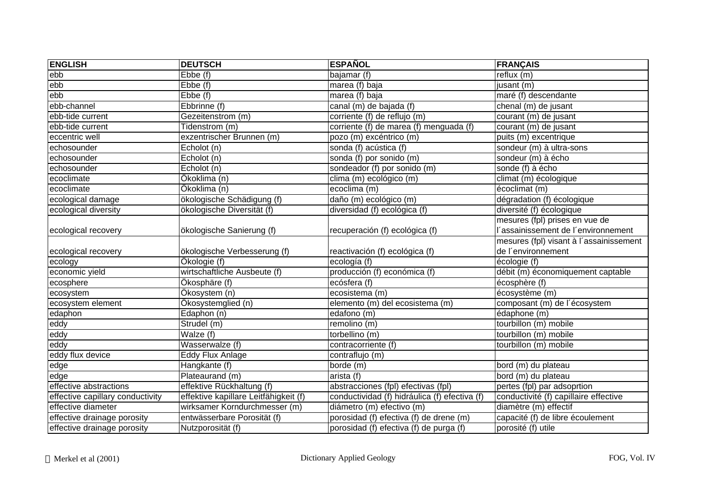| <b>ENGLISH</b>                   | <b>DEUTSCH</b>                        | <b>ESPAÑOL</b>                                | <b>FRANÇAIS</b>                         |
|----------------------------------|---------------------------------------|-----------------------------------------------|-----------------------------------------|
| ebb                              | Ebbe (f)                              | bajamar (f)                                   | reflux (m)                              |
| ebb                              | Ebbe (f)                              | marea (f) baja                                | jusant (m)                              |
| ebb                              | Ebbe (f)                              | marea (f) baja                                | maré (f) descendante                    |
| ebb-channel                      | Ebbrinne (f)                          | canal (m) de bajada (f)                       | chenal (m) de jusant                    |
| ebb-tide current                 | Gezeitenstrom (m)                     | corriente (f) de reflujo (m)                  | courant (m) de jusant                   |
| ebb-tide current                 | Tidenstrom (m)                        | corriente (f) de marea (f) menguada (f)       | courant (m) de jusant                   |
| eccentric well                   | exzentrischer Brunnen (m)             | pozo (m) excéntrico (m)                       | puits (m) excentrique                   |
| echosounder                      | Echolot (n)                           | sonda (f) acústica (f)                        | sondeur (m) à ultra-sons                |
| echosounder                      | Echolot (n)                           | sonda (f) por sonido (m)                      | sondeur (m) à écho                      |
| echosounder                      | Echolot (n)                           | sondeador (f) por sonido (m)                  | sonde (f) à écho                        |
| ecoclimate                       | Ökoklima (n)                          | clima (m) ecológico (m)                       | climat (m) écologique                   |
| ecoclimate                       | Ökoklima (n)                          | ecoclima (m)                                  | $\overline{\text{e}}$ coclimat (m)      |
| ecological damage                | ökologische Schädigung (f)            | daño (m) ecológico (m)                        | dégradation (f) écologique              |
| ecological diversity             | ökologische Diversität (f)            | diversidad (f) ecológica (f)                  | diversité (f) écologique                |
|                                  |                                       |                                               | mesures (fpl) prises en vue de          |
| ecological recovery              | ökologische Sanierung (f)             | recuperación (f) ecológica (f)                | 'assainissement de l'environnement      |
|                                  |                                       |                                               | mesures (fpl) visant à l'assainissement |
| ecological recovery              | ökologische Verbesserung (f)          | reactivación (f) ecológica (f)                | de l'environnement                      |
| ecology                          | Ökologie (f)                          | ecología (f)                                  | écologie (f)                            |
| economic yield                   | wirtschaftliche Ausbeute (f)          | producción (f) económica (f)                  | débit (m) économiquement captable       |
| ecosphere                        | Ökosphäre (f)                         | ecósfera (f)                                  | écosphère (f)                           |
| ecosystem                        | Ökosystem (n)                         | ecosistema (m)                                | écosystème (m)                          |
| ecosystem element                | Ökosystemglied (n)                    | elemento (m) del ecosistema (m)               | composant (m) de l'écosystem            |
| edaphon                          | Edaphon (n)                           | edafono (m)                                   | $\overline{\text{édaphone}}$ (m)        |
| eddy                             | Strudel (m)                           | remolino (m)                                  | tourbillon (m) mobile                   |
| eddy                             | Walze (f)                             | torbellino (m)                                | tourbillon (m) mobile                   |
| eddy                             | Wasserwalze (f)                       | contracorriente (f)                           | tourbillon (m) mobile                   |
| eddy flux device                 | Eddy Flux Anlage                      | contraflujo (m)                               |                                         |
| edge                             | Hangkante (f)                         | borde (m)                                     | bord (m) du plateau                     |
| edge                             | Plateaurand (m)                       | arista (f)                                    | bord (m) du plateau                     |
| effective abstractions           | effektive Rückhaltung (f)             | abstracciones (fpl) efectivas (fpl)           | pertes (fpl) par adsoprtion             |
| effective capillary conductivity | effektive kapillare Leitfähigkeit (f) | conductividad (f) hidráulica (f) efectiva (f) | conductivité (f) capillaire effective   |
| effective diameter               | wirksamer Korndurchmesser (m)         | diámetro (m) efectivo (m)                     | diamètre (m) effectif                   |
| effective drainage porosity      | entwässerbare Porosität (f)           | porosidad (f) efectiva (f) de drene (m)       | capacité (f) de libre écoulement        |
| effective drainage porosity      | Nutzporosität (f)                     | porosidad (f) efectiva (f) de purga (f)       | porosité (f) utile                      |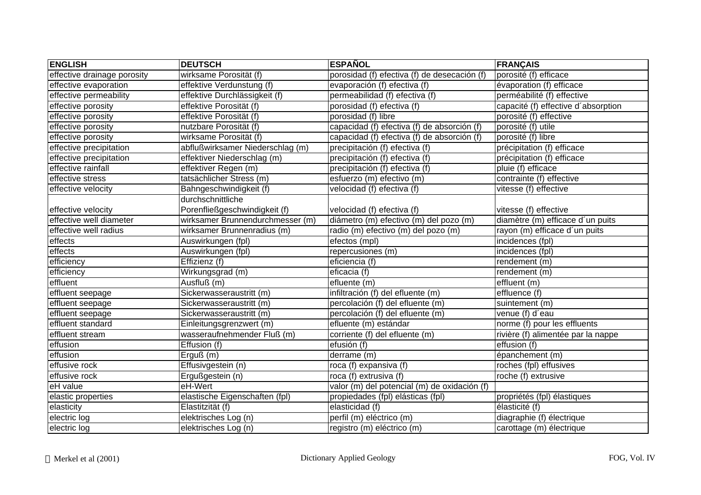| <b>ENGLISH</b>              | <b>DEUTSCH</b>                   | <b>ESPAÑOL</b>                               | <b>FRANÇAIS</b>                     |
|-----------------------------|----------------------------------|----------------------------------------------|-------------------------------------|
| effective drainage porosity | wirksame Porosität (f)           | porosidad (f) efectiva (f) de desecación (f) | porosité (f) efficace               |
| effective evaporation       | effektive Verdunstung (f)        | evaporación (f) efectiva (f)                 | évaporation (f) efficace            |
| effective permeability      | effektive Durchlässigkeit (f)    | permeabilidad (f) efectiva (f)               | perméabilité (f) effective          |
| effective porosity          | effektive Porosität (f)          | porosidad (f) efectiva (f)                   | capacité (f) effective d'absorption |
| effective porosity          | effektive Porosität (f)          | porosidad (f) libre                          | porosité (f) effective              |
| effective porosity          | nutzbare Porosität (f)           | capacidad (f) efectiva (f) de absorción (f)  | porosité (f) utile                  |
| effective porosity          | wirksame Porosität (f)           | capacidad (f) efectiva (f) de absorción (f)  | porosité (f) libre                  |
| effective precipitation     | abflußwirksamer Niederschlag (m) | precipitación (f) efectiva (f)               | précipitation (f) efficace          |
| effective precipitation     | effektiver Niederschlag (m)      | precipitación (f) efectiva (f)               | précipitation (f) efficace          |
| effective rainfall          | effektiver Regen (m)             | precipitación (f) efectiva (f)               | pluie (f) efficace                  |
| effective stress            | tatsächlicher Stress (m)         | esfuerzo (m) efectivo (m)                    | contrainte (f) effective            |
| effective velocity          | Bahngeschwindigkeit (f)          | velocidad (f) efectiva (f)                   | vitesse (f) effective               |
|                             | durchschnittliche                |                                              |                                     |
| effective velocity          | Porenfließgeschwindigkeit (f)    | velocidad (f) efectiva (f)                   | vitesse (f) effective               |
| effective well diameter     | wirksamer Brunnendurchmesser (m) | diámetro (m) efectivo (m) del pozo (m)       | diamètre (m) efficace d'un puits    |
| effective well radius       | wirksamer Brunnenradius (m)      | radio (m) efectivo (m) del pozo (m)          | rayon (m) efficace d'un puits       |
| effects                     | Auswirkungen (fpl)               | efectos (mpl)                                | incidences (fpl)                    |
| effects                     | Auswirkungen (fpl)               | repercusiones (m)                            | incidences (fpl)                    |
| efficiency                  | Effizienz (f)                    | eficiencia (f)                               | rendement (m)                       |
| efficiency                  | Wirkungsgrad (m)                 | eficacia (f)                                 | rendement (m)                       |
| effluent                    | Ausfluß (m)                      | efluente (m)                                 | effluent (m)                        |
| effluent seepage            | Sickerwasseraustritt (m)         | infiltración (f) del efluente (m)            | effluence (f)                       |
| effluent seepage            | Sickerwasseraustritt (m)         | percolación (f) del efluente (m)             | suintement (m)                      |
| effluent seepage            | Sickerwasseraustritt (m)         | percolación (f) del efluente (m)             | venue (f) d'eau                     |
| effluent standard           | Einleitungsgrenzwert (m)         | efluente (m) estándar                        | norme (f) pour les effluents        |
| effluent stream             | wasseraufnehmender Fluß (m)      | corriente (f) del efluente (m)               | rivière (f) alimentée par la nappe  |
| effusion                    | Effusion (f)                     | efusión (f)                                  | effusion (f)                        |
| effusion                    | Erguß (m)                        | derrame (m)                                  | épanchement (m)                     |
| effusive rock               | Effusivgestein (n)               | roca (f) expansiva (f)                       | roches (fpl) effusives              |
| effusive rock               | Ergußgestein (n)                 | roca $(f)$ extrusiva $(f)$                   | roche (f) extrusive                 |
| eH value                    | eH-Wert                          | valor (m) del potencial (m) de oxidación (f) |                                     |
| elastic properties          | elastische Eigenschaften (fpl)   | propiedades (fpl) elásticas (fpl)            | propriétés (fpl) élastiques         |
| elasticity                  | Elastitzität (f)                 | elasticidad (f)                              | élasticité (f)                      |
| electric log                | elektrisches Log (n)             | perfil (m) eléctrico (m)                     | diagraphie (f) électrique           |
| electric log                | elektrisches Log (n)             | registro (m) eléctrico (m)                   | carottage (m) électrique            |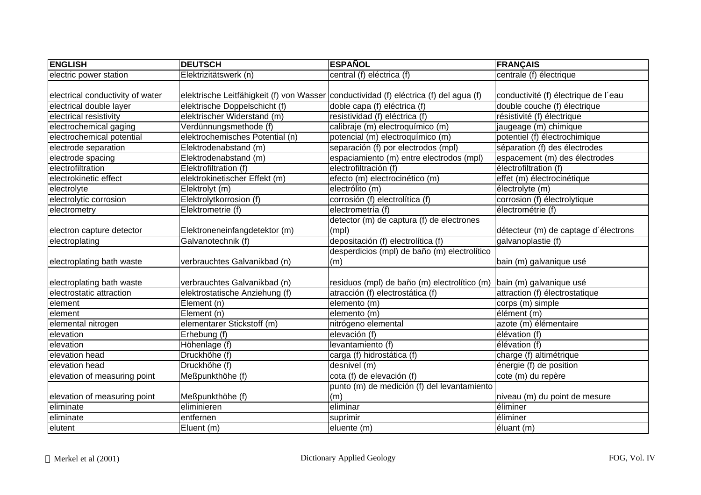| <b>ENGLISH</b>                   | <b>DEUTSCH</b>                  | <b>ESPAÑOL</b>                                                                        | <b>FRANÇAIS</b>                      |
|----------------------------------|---------------------------------|---------------------------------------------------------------------------------------|--------------------------------------|
| electric power station           | Elektrizitätswerk (n)           | central (f) eléctrica (f)                                                             | centrale (f) électrique              |
|                                  |                                 |                                                                                       |                                      |
| electrical conductivity of water |                                 | elektrische Leitfähigkeit (f) von Wasser conductividad (f) eléctrica (f) del agua (f) | conductivité (f) électrique de l'eau |
| electrical double layer          | elektrische Doppelschicht (f)   | doble capa (f) eléctrica (f)                                                          | double couche (f) électrique         |
| electrical resistivity           | elektrischer Widerstand (m)     | resistividad (f) eléctrica (f)                                                        | résistivité (f) électrique           |
| electrochemical gaging           | Verdünnungsmethode (f)          | calibraje (m) electroquímico (m)                                                      | jaugeage (m) chimique                |
| electrochemical potential        | elektrochemisches Potential (n) | potencial (m) electroquímico (m)                                                      | potentiel (f) électrochimique        |
| electrode separation             | Elektrodenabstand (m)           | separación (f) por electrodos (mpl)                                                   | séparation (f) des électrodes        |
| electrode spacing                | Elektrodenabstand (m)           | espaciamiento (m) entre electrodos (mpl)                                              | espacement (m) des électrodes        |
| electrofiltration                | Elektrofiltration (f)           | electrofiltración (f)                                                                 | électrofiltration (f)                |
| electrokinetic effect            | elektrokinetischer Effekt (m)   | efecto (m) electrocinético (m)                                                        | effet (m) électrocinétique           |
| electrolyte                      | Elektrolyt (m)                  | electrólito (m)                                                                       | électrolyte (m)                      |
| electrolytic corrosion           | Elektrolytkorrosion (f)         | corrosión (f) electrolítica (f)                                                       | corrosion (f) électrolytique         |
| electrometry                     | Elektrometrie (f)               | electrometría (f)                                                                     | électrométrie (f)                    |
|                                  |                                 | detector (m) de captura (f) de electrones                                             |                                      |
| electron capture detector        | Elektroneneinfangdetektor (m)   | (mpl)                                                                                 | détecteur (m) de captage d'électrons |
| electroplating                   | Galvanotechnik (f)              | depositación (f) electrolítica (f)                                                    | galvanoplastie (f)                   |
|                                  |                                 | desperdicios (mpl) de baño (m) electrolítico                                          |                                      |
| electroplating bath waste        | verbrauchtes Galvanikbad (n)    | (m)                                                                                   | bain (m) galvanique usé              |
|                                  |                                 |                                                                                       |                                      |
| electroplating bath waste        | verbrauchtes Galvanikbad (n)    | residuos (mpl) de baño (m) electrolítico (m)                                          | bain (m) galvanique usé              |
| electrostatic attraction         | elektrostatische Anziehung (f)  | atracción (f) electrostática (f)                                                      | attraction (f) électrostatique       |
| element                          | Element (n)                     | elemento (m)                                                                          | corps (m) simple                     |
| element                          | Element (n)                     | elemento (m)                                                                          | élément (m)                          |
| elemental nitrogen               | elementarer Stickstoff (m)      | nitrógeno elemental                                                                   | azote (m) élémentaire                |
| elevation                        | Erhebung (f)                    | elevación (f)                                                                         | élévation (f)                        |
| elevation                        | Höhenlage (f)                   | levantamiento (f)                                                                     | élévation (f)                        |
| elevation head                   | Druckhöhe (f)                   | carga (f) hidrostática (f)                                                            | charge (f) altimétrique              |
| elevation head                   | Druckhöhe (f)                   | desnivel (m)                                                                          | énergie (f) de position              |
| elevation of measuring point     | Meßpunkthöhe (f)                | cota (f) de elevación (f)                                                             | cote (m) du repère                   |
|                                  |                                 | punto (m) de medición (f) del levantamiento                                           |                                      |
| elevation of measuring point     | Meßpunkthöhe (f)                | (m)                                                                                   | niveau (m) du point de mesure        |
| eliminate                        | eliminieren                     | eliminar                                                                              | éliminer                             |
| eliminate                        | entfernen                       | suprimir                                                                              | éliminer                             |
| elutent                          | Eluent (m)                      | eluente (m)                                                                           | éluant (m)                           |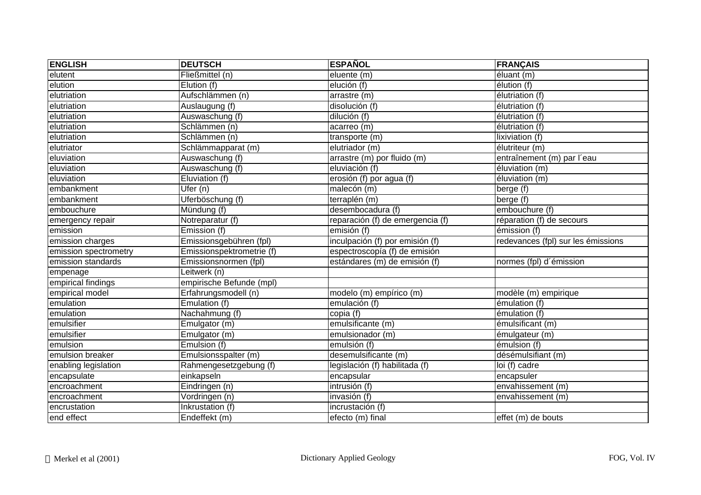| <b>ENGLISH</b>        | <b>DEUTSCH</b>            | <b>ESPAÑOL</b>                   | <b>FRANÇAIS</b>                     |
|-----------------------|---------------------------|----------------------------------|-------------------------------------|
| elutent               | Fließmittel (n)           | eluente (m)                      | éluant (m)                          |
| elution               | Elution (f)               | elución (f)                      | élution (f)                         |
| elutriation           | Aufschlämmen (n)          | arrastre (m)                     | élutriation (f)                     |
| elutriation           | Auslaugung (f)            | disolución (f)                   | élutriation (f)                     |
| elutriation           | Auswaschung (f)           | dilución (f)                     | élutriation (f)                     |
| elutriation           | Schlämmen (n)             | acarreo (m)                      | élutriation (f)                     |
| elutriation           | Schlämmen (n)             | transporte (m)                   | lixiviation (f)                     |
| elutriator            | Schlämmapparat (m)        | elutriador (m)                   | élutriteur (m)                      |
| eluviation            | Auswaschung (f)           | arrastre (m) por fluido (m)      | entraînement (m) par l'eau          |
| eluviation            | Auswaschung (f)           | eluviación (f)                   | $\overline{\text{élu}}$ viation (m) |
| eluviation            | Eluviation (f)            | erosión (f) por agua (f)         | éluviation(m)                       |
| embankment            | Ufer $(n)$                | malecón (m)                      | berge (f)                           |
| embankment            | Uferböschung (f)          | terraplén (m)                    | berge (f)                           |
| embouchure            | Mündung (f)               | desembocadura (f)                | embouchure (f)                      |
| emergency repair      | Notreparatur (f)          | reparación (f) de emergencia (f) | réparation (f) de secours           |
| emission              | Emission (f)              | emisión (f)                      | émission (f)                        |
| emission charges      | Emissionsgebühren (fpl)   | inculpación (f) por emisión (f)  | redevances (fpl) sur les émissions  |
| emission spectrometry | Emissionspektrometrie (f) | espectroscopía (f) de emisión    |                                     |
| emission standards    | Emissionsnormen (fpl)     | estándares (m) de emisión (f)    | normes (fpl) d'émission             |
| empenage              | Leitwerk (n)              |                                  |                                     |
| empirical findings    | empirische Befunde (mpl)  |                                  |                                     |
| empirical model       | Erfahrungsmodell (n)      | modelo (m) empírico (m)          | modèle (m) empirique                |
| emulation             | Emulation (f)             | emulación (f)                    | émulation (f)                       |
| emulation             | Nachahmung (f)            | copia (f)                        | émulation (f)                       |
| emulsifier            | Emulgator (m)             | emulsificante (m)                | émulsificant (m)                    |
| emulsifier            | Emulgator (m)             | emulsionador (m)                 | émulgateur (m)                      |
| emulsion              | Emulsion (f)              | emulsión (f)                     | émulsion (f)                        |
| emulsion breaker      | Emulsionsspalter (m)      | desemulsificante (m)             | désémulsifiant (m)                  |
| enabling legislation  | Rahmengesetzgebung (f)    | legislación (f) habilitada (f)   | loi (f) cadre                       |
| encapsulate           | einkapseln                | encapsular                       | encapsuler                          |
| encroachment          | Eindringen (n)            | intrusión (f)                    | envahissement (m)                   |
| encroachment          | Vordringen (n)            | invasión (f)                     | envahissement (m)                   |
| encrustation          | Inkrustation (f)          | incrustación (f)                 |                                     |
| end effect            | Endeffekt (m)             | efecto (m) final                 | effet (m) de bouts                  |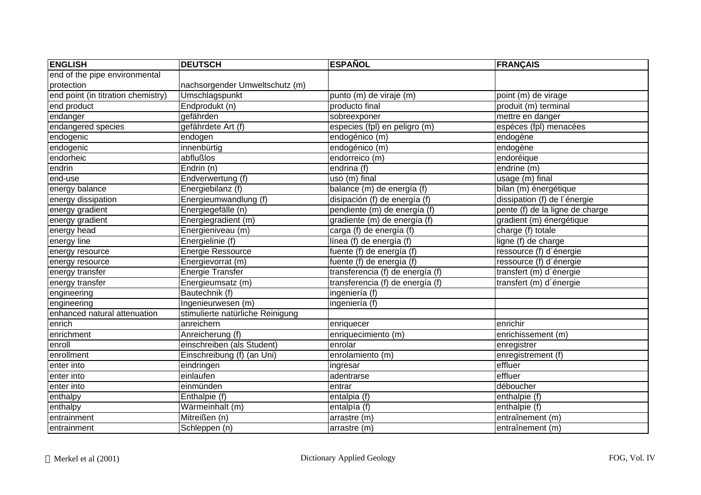| <b>ENGLISH</b>                     | <b>DEUTSCH</b>                   | <b>ESPAÑOL</b>                   | <b>FRANÇAIS</b>                 |
|------------------------------------|----------------------------------|----------------------------------|---------------------------------|
| end of the pipe environmental      |                                  |                                  |                                 |
| protection                         | nachsorgender Umweltschutz (m)   |                                  |                                 |
| end point (in titration chemistry) | Umschlagspunkt                   | punto (m) de viraje (m)          | point (m) de virage             |
| end product                        | Endprodukt (n)                   | producto final                   | produit (m) terminal            |
| endanger                           | gefährden                        | sobreexponer                     | mettre en danger                |
| endangered species                 | gefährdete Art (f)               | especies (fpl) en peligro (m)    | espèces (fpl) menacées          |
| endogenic                          | endogen                          | endogénico (m)                   | endogène                        |
| endogenic                          | innenbürtig                      | endogénico (m)                   | endogène                        |
| endorheic                          | abflußlos                        | endorreico (m)                   | endoréique                      |
| endrin                             | Endrin (n)                       | endrina (f)                      | endrine (m)                     |
| end-use                            | Endverwertung (f)                | uso (m) final                    | usage (m) final                 |
| energy balance                     | Energiebilanz (f)                | balance (m) de energía (f)       | bilan (m) énergétique           |
| energy dissipation                 | Energieumwandlung (f)            | disipación (f) de energía (f)    | dissipation (f) de l'énergie    |
| energy gradient                    | Energiegefälle (n)               | pendiente (m) de energía (f)     | pente (f) de la ligne de charge |
| energy gradient                    | Energiegradient (m)              | gradiente (m) de energía (f)     | gradient (m) énergétique        |
| energy head                        | Energieniveau (m)                | carga (f) de energía (f)         | charge (f) totale               |
| energy line                        | Energielinie (f)                 | línea (f) de energía (f)         | ligne (f) de charge             |
| energy resource                    | <b>Energie Ressource</b>         | fuente (f) de energía (f)        | ressource (f) d'énergie         |
| energy resource                    | Energievorrat (m)                | fuente (f) de energía (f)        | ressource (f) d'énergie         |
| energy transfer                    | <b>Energie Transfer</b>          | transferencia (f) de energía (f) | transfert (m) d'énergie         |
| energy transfer                    | Energieumsatz (m)                | transferencia (f) de energía (f) | transfert (m) d'énergie         |
| engineering                        | Bautechnik (f)                   | ingeniería (f)                   |                                 |
| engineering                        | Ingenieurwesen (m)               | ingeniería (f)                   |                                 |
| enhanced natural attenuation       | stimulierte natürliche Reinigung |                                  |                                 |
| enrich                             | anreichern                       | enriquecer                       | enrichir                        |
| enrichment                         | Anreicherung (f)                 | enriquecimiento (m)              | enrichissement (m)              |
| enroll                             | einschreiben (als Student)       | enrolar                          | enregistrer                     |
| enrollment                         | Einschreibung (f) (an Uni)       | enrolamiento (m)                 | enregistrement (f)              |
| enter into                         | eindringen                       | ingresar                         | effluer                         |
| enter into                         | einlaufen                        | adentrarse                       | effluer                         |
| enter into                         | einmünden                        | entrar                           | déboucher                       |
| enthalpy                           | Enthalpie (f)                    | entalpia (f)                     | enthalpie (f)                   |
| enthalpy                           | Wärmeinhalt (m)                  | entalpía $(f)$                   | enthalpie (f)                   |
| entrainment                        | Mitreißen (n)                    | arrastre (m)                     | entraînement (m)                |
| entrainment                        | Schleppen (n)                    | arrastre (m)                     | entraînement (m)                |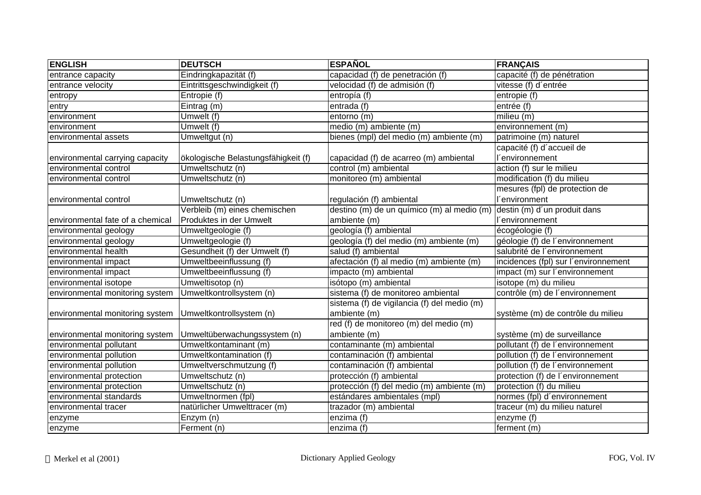| <b>ENGLISH</b>                   | <b>DEUTSCH</b>                      | <b>ESPAÑOL</b>                              | <b>FRANÇAIS</b>                      |
|----------------------------------|-------------------------------------|---------------------------------------------|--------------------------------------|
| entrance capacity                | Eindringkapazität (f)               | capacidad (f) de penetración (f)            | capacité (f) de pénétration          |
| entrance velocity                | Eintrittsgeschwindigkeit (f)        | velocidad (f) de admisión (f)               | vitesse (f) d'entrée                 |
| entropy                          | Entropie (f)                        | entropía (f)                                | entropie (f)                         |
| entry                            | Eintrag (m)                         | entrada (f)                                 | entrée (f)                           |
| environment                      | Umwelt (f)                          | entorno $(m)$                               | milieu $(m)$                         |
| environment                      | Umwelt (f)                          | medio (m) ambiente (m)                      | environnement $(m)$                  |
| environmental assets             | Umweltgut (n)                       | bienes (mpl) del medio (m) ambiente (m)     | patrimoine (m) naturel               |
|                                  |                                     |                                             | capacité (f) d'accueil de            |
| environmental carrying capacity  | ökologische Belastungsfähigkeit (f) | capacidad (f) de acarreo (m) ambiental      | <i>environnement</i>                 |
| environmental control            | Umweltschutz (n)                    | control (m) ambiental                       | action (f) sur le milieu             |
| environmental control            | Umweltschutz (n)                    | monitoreo (m) ambiental                     | modification (f) du milieu           |
|                                  |                                     |                                             | mesures (fpl) de protection de       |
| environmental control            | Umweltschutz (n)                    | regulación (f) ambiental                    | <i>environment</i>                   |
|                                  | Verbleib (m) eines chemischen       | destino (m) de un químico (m) al medio (m)  | destin (m) d'un produit dans         |
| environmental fate of a chemical | Produktes in der Umwelt             | ambiente (m)                                | l'environnement                      |
| environmental geology            | Umweltgeologie (f)                  | geología (f) ambiental                      | écogéologie (f)                      |
| environmental geology            | Umweltgeologie (f)                  | geología (f) del medio (m) ambiente (m)     | géologie (f) de l'environnement      |
| environmental health             | Gesundheit (f) der Umwelt (f)       | salud (f) ambiental                         | salubrité de l'environnement         |
| environmental impact             | Umweltbeeinflussung (f)             | afectación (f) al medio (m) ambiente (m)    | incidences (fpl) sur l'environnement |
| environmental impact             | Umweltbeeinflussung (f)             | impacto (m) ambiental                       | impact (m) sur l'environnement       |
| environmental isotope            | Umweltisotop (n)                    | isótopo (m) ambiental                       | isotope (m) du milieu                |
| environmental monitoring system  | Umweltkontrollsystem (n)            | sistema (f) de monitoreo ambiental          | contrôle (m) de l'environnement      |
|                                  |                                     | sistema (f) de vigilancia (f) del medio (m) |                                      |
| environmental monitoring system  | Umweltkontrollsystem (n)            | ambiente (m)                                | système (m) de contrôle du milieu    |
|                                  |                                     | red (f) de monitoreo (m) del medio (m)      |                                      |
| environmental monitoring system  | Umweltüberwachungssystem (n)        | ambiente (m)                                | système (m) de surveillance          |
| environmental pollutant          | Umweltkontaminant (m)               | contaminante (m) ambiental                  | pollutant (f) de l'environnement     |
| environmental pollution          | Umweltkontamination (f)             | contaminación (f) ambiental                 | pollution (f) de l'environnement     |
| environmental pollution          | Umweltverschmutzung (f)             | contaminación (f) ambiental                 | pollution (f) de l'environnement     |
| environmental protection         | Umweltschutz (n)                    | protección (f) ambiental                    | protection (f) de l'environnement    |
| environmental protection         | Umweltschutz (n)                    | protección (f) del medio (m) ambiente (m)   | protection (f) du milieu             |
| environmental standards          | Umweltnormen (fpl)                  | estándares ambientales (mpl)                | normes (fpl) d'environnement         |
| environmental tracer             | natürlicher Umwelttracer (m)        | trazador (m) ambiental                      | traceur (m) du milieu naturel        |
| enzyme                           | Enzym (n)                           | enzima (f)                                  | enzyme (f)                           |
| enzyme                           | Ferment (n)                         | enzima (f)                                  | ferment (m)                          |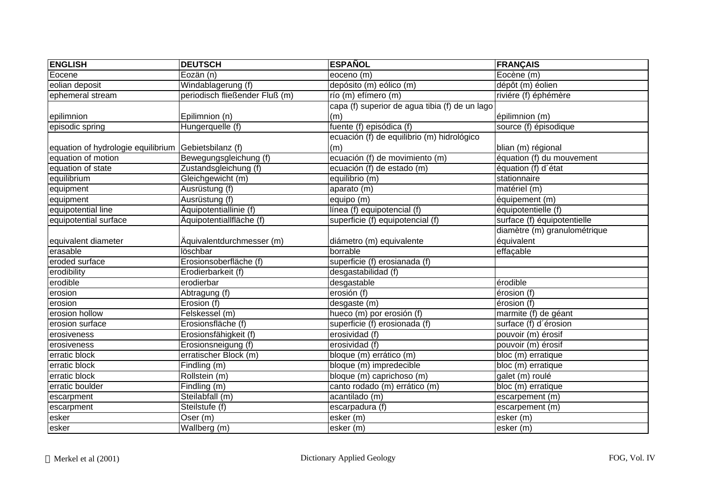| <b>ENGLISH</b>                     | <b>DEUTSCH</b>                   | <b>ESPAÑOL</b>                                 | <b>FRANÇAIS</b>              |
|------------------------------------|----------------------------------|------------------------------------------------|------------------------------|
| Eocene                             | Eozän (n)                        | eoceno (m)                                     | Eocène (m)                   |
| eolian deposit                     | Windablagerung (f)               | depósito (m) eólico (m)                        | dépôt (m) éolien             |
| ephemeral stream                   | periodisch fließender Fluß (m)   | río (m) efímero (m)                            | riviére (f) éphémère         |
|                                    |                                  | capa (f) superior de agua tibia (f) de un lago |                              |
| epilimnion                         | Epilimnion (n)                   | (m)                                            | épilimnion (m)               |
| episodic spring                    | Hungerquelle (f)                 | fuente (f) episódica (f)                       | source (f) épisodique        |
|                                    |                                  | ecuación (f) de equilibrio (m) hidrológico     |                              |
| equation of hydrologie equilibrium | Gebietsbilanz (f)                | (m)                                            | blian (m) régional           |
| equation of motion                 | Bewegungsgleichung (f)           | ecuación (f) de movimiento (m)                 | équation (f) du mouvement    |
| equation of state                  | Zustandsgleichung (f)            | ecuación (f) de estado (m)                     | équation (f) d'état          |
| equilibrium                        | Gleichgewicht (m)                | equilibrio (m)                                 | stationnaire                 |
| equipment                          | Ausrüstung (f)                   | aparato (m)                                    | matériel (m)                 |
| equipment                          | Ausrüstung (f)                   | equipo (m)                                     | équipement (m)               |
| equipotential line                 | Äquipotentiallinie (f)           | línea (f) equipotencial (f)                    | équipotentielle (f)          |
| equipotential surface              | Äquipotentiallfläche (f)         | superficie (f) equipotencial (f)               | surface (f) équipotentielle  |
|                                    |                                  |                                                | diamètre (m) granulométrique |
| equivalent diameter                | Äquivalentdurchmesser (m)        | diámetro (m) equivalente                       | équivalent                   |
| erasable                           | löschbar                         | borrable                                       | effaçable                    |
| eroded surface                     | Erosionsoberfläche (f)           | superficie (f) erosianada (f)                  |                              |
| erodibility                        | Erodierbarkeit (f)               | desgastabilidad (f)                            |                              |
| erodible                           | erodierbar                       | desgastable                                    | érodible                     |
| erosion                            | Abtragung (f)                    | erosión (f)                                    | érosion (f)                  |
| erosion                            | Erosion (f)                      | desgaste (m)                                   | érosion (f)                  |
| erosion hollow                     | Felskessel (m)                   | hueco (m) por erosión (f)                      | marmite (f) de géant         |
| erosion surface                    | Erosionsfläche (f)               | superficie (f) erosionada (f)                  | surface (f) d'érosion        |
| erosiveness                        | Erosionsfähigkeit (f)            | erosividad (f)                                 | pouvoir (m) érosif           |
| erosiveness                        | Erosionsneigung (f)              | erosividad (f)                                 | pouvoir (m) érosif           |
| erratic block                      | erratischer Block (m)            | bloque (m) errático (m)                        | bloc (m) erratique           |
| erratic block                      | Findling (m)                     | bloque (m) impredecible                        | bloc (m) erratique           |
| erratic block                      | Rollstein (m)                    | bloque (m) caprichoso (m)                      | galet (m) roulé              |
| erratic boulder                    | $\overline{\text{Finding}}$ (m)  | canto rodado (m) errático (m)                  | bloc (m) erratique           |
| escarpment                         | Steilabfall (m)                  | acantilado (m)                                 | escarpement (m)              |
| escarpment                         | Steilstufe (f)                   | escarpadura (f)                                | escarpement (m)              |
| esker                              | Oser(m)                          | esker (m)                                      | esker (m)                    |
| esker                              | $\overline{\text{Wallberg}}$ (m) | esker (m)                                      | esker (m)                    |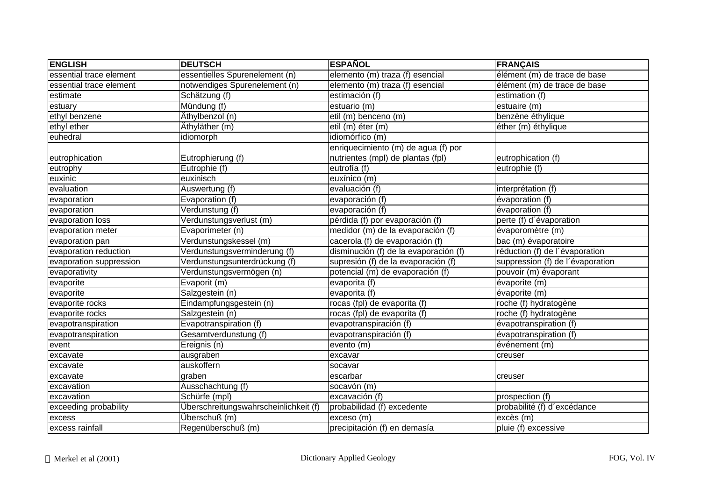| <b>ENGLISH</b>          | <b>DEUTSCH</b>                        | <b>ESPAÑOL</b>                        | <b>FRANÇAIS</b>                  |
|-------------------------|---------------------------------------|---------------------------------------|----------------------------------|
| essential trace element | essentielles Spurenelement (n)        | elemento (m) traza (f) esencial       | élément (m) de trace de base     |
| essential trace element | notwendiges Spurenelement (n)         | elemento (m) traza (f) esencial       | élément (m) de trace de base     |
| estimate                | Schätzung (f)                         | estimación (f)                        | estimation (f)                   |
| estuary                 | Mündung (f)                           | estuario (m)                          | estuaire (m)                     |
| ethyl benzene           | Äthylbenzol (n)                       | etil (m) benceno (m)                  | benzène éthylique                |
| ethyl ether             | Äthyläther (m)                        | etil (m) éter (m)                     | éther (m) éthylique              |
| euhedral                | idiomorph                             | idiomórfico (m)                       |                                  |
|                         |                                       | enriquecimiento (m) de agua (f) por   |                                  |
| eutrophication          | Eutrophierung (f)                     | nutrientes (mpl) de plantas (fpl)     | eutrophication (f)               |
| eutrophy                | Eutrophie (f)                         | eutrofía (f)                          | eutrophie (f)                    |
| euxinic                 | euxinisch                             | euxínico (m)                          |                                  |
| evaluation              | Auswertung (f)                        | evaluación (f)                        | interprétation (f)               |
| evaporation             | Evaporation (f)                       | evaporación (f)                       | évaporation (f)                  |
| evaporation             | Verdunstung (f)                       | evaporación (f)                       | évaporation (f)                  |
| evaporation loss        | Verdunstungsverlust (m)               | pérdida (f) por evaporación (f)       | perte (f) d'évaporation          |
| evaporation meter       | Evaporimeter (n)                      | medidor (m) de la evaporación (f)     | évaporomètre (m)                 |
| evaporation pan         | Verdunstungskessel (m)                | cacerola (f) de evaporación (f)       | bac (m) évaporatoire             |
| evaporation reduction   | Verdunstungsverminderung (f)          | disminución (f) de la evaporación (f) | réduction (f) de l'évaporation   |
| evaporation suppression | Verdunstungsunterdrückung (f)         | supresión (f) de la evaporación (f)   | suppression (f) de l'évaporation |
| evaporativity           | Verdunstungsvermögen (n)              | potencial (m) de evaporación (f)      | pouvoir (m) évaporant            |
| evaporite               | Evaporit (m)                          | evaporita (f)                         | évaporite (m)                    |
| evaporite               | Salzgestein (n)                       | evaporita (f)                         | évaporite (m)                    |
| evaporite rocks         | Eindampfungsgestein (n)               | rocas (fpl) de evaporita (f)          | roche (f) hydratogène            |
| evaporite rocks         | Salzgestein (n)                       | rocas (fpl) de evaporita (f)          | roche (f) hydratogène            |
| evapotranspiration      | Evapotranspiration (f)                | evapotranspiración (f)                | évapotranspiration (f)           |
| evapotranspiration      | Gesamtverdunstung (f)                 | evapotranspiración (f)                | évapotranspiration (f)           |
| event                   | Ereignis (n)                          | evento (m)                            | événement (m)                    |
| excavate                | ausgraben                             | excavar                               | creuser                          |
| excavate                | auskoffern                            | socavar                               |                                  |
| excavate                | graben                                | escarbar                              | creuser                          |
| excavation              | Ausschachtung (f)                     | socavón (m)                           |                                  |
| excavation              | Schürfe (mpl)                         | excavación (f)                        | prospection (f)                  |
| exceeding probability   | Überschreitungswahrscheinlichkeit (f) | probabilidad (f) excedente            | probabilité (f) d'excédance      |
| excess                  | Überschuß (m)                         | exceso (m)                            | excès (m)                        |
| excess rainfall         | Regenüberschuß (m)                    | precipitación (f) en demasía          | pluie (f) excessive              |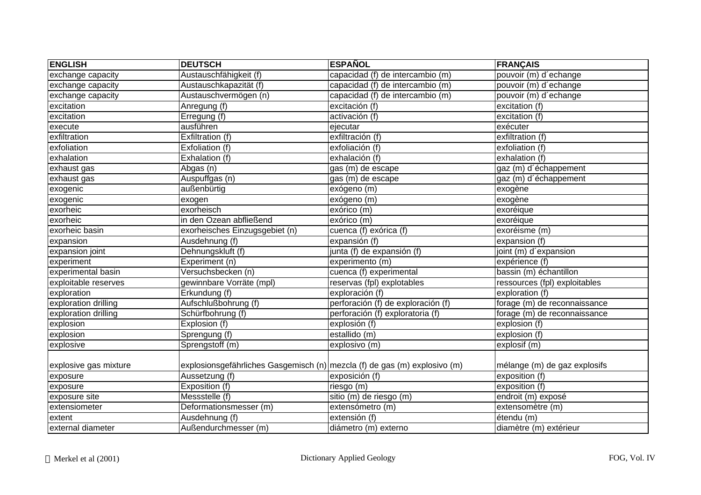| <b>ENGLISH</b>        | <b>DEUTSCH</b>                                                            | <b>ESPAÑOL</b>                     | <b>FRANÇAIS</b>               |
|-----------------------|---------------------------------------------------------------------------|------------------------------------|-------------------------------|
| exchange capacity     | Austauschfähigkeit (f)                                                    | capacidad (f) de intercambio (m)   | pouvoir (m) d'echange         |
| exchange capacity     | Austauschkapazität (f)                                                    | capacidad (f) de intercambio (m)   | pouvoir (m) d'echange         |
| exchange capacity     | Austauschvermögen (n)                                                     | capacidad (f) de intercambio (m)   | pouvoir (m) d'echange         |
| excitation            | Anregung (f)                                                              | excitación (f)                     | excitation (f)                |
| excitation            | Erregung (f)                                                              | activación (f)                     | excitation (f)                |
| execute               | ausführen                                                                 | ejecutar                           | exécuter                      |
| exfiltration          | Exfiltration (f)                                                          | exfiltración (f)                   | exfiltration (f)              |
| exfoliation           | Exfoliation (f)                                                           | exfoliación (f)                    | exfoliation (f)               |
| exhalation            | Exhalation (f)                                                            | exhalación (f)                     | exhalation (f)                |
| exhaust gas           | Abgas (n)                                                                 | gas (m) de escape                  | gaz (m) d'échappement         |
| exhaust gas           | Auspuffgas (n)                                                            | gas (m) de escape                  | gaz (m) d'échappement         |
| exogenic              | außenbürtig                                                               | exógeno (m)                        | exogène                       |
| exogenic              | exogen                                                                    | exógeno (m)                        | exogène                       |
| exorheic              | exorheisch                                                                | exórico (m)                        | exoréique                     |
| exorheic              | in den Ozean abfließend                                                   | exórico (m)                        | exoréique                     |
| exorheic basin        | exorheisches Einzugsgebiet (n)                                            | cuenca (f) exórica (f)             | exoréisme (m)                 |
| expansion             | Ausdehnung (f)                                                            | expansión (f)                      | expansion (f)                 |
| expansion joint       | Dehnungskluft (f)                                                         | junta (f) de expansión (f)         | joint (m) d'expansion         |
| experiment            | Experiment (n)                                                            | experimento (m)                    | expérience (f)                |
| experimental basin    | Versuchsbecken (n)                                                        | cuenca (f) experimental            | bassin (m) échantillon        |
| exploitable reserves  | gewinnbare Vorräte (mpl)                                                  | reservas (fpl) explotables         | ressources (fpl) exploitables |
| exploration           | Erkundung (f)                                                             | exploración (f)                    | exploration (f)               |
| exploration drilling  | Aufschlußbohrung (f)                                                      | perforación (f) de exploración (f) | forage (m) de reconnaissance  |
| exploration drilling  | Schürfbohrung (f)                                                         | perforación (f) exploratoria (f)   | forage (m) de reconnaissance  |
| explosion             | Explosion (f)                                                             | explosión (f)                      | explosion (f)                 |
| explosion             | Sprengung (f)                                                             | estallido (m)                      | explosion (f)                 |
| explosive             | Sprengstoff (m)                                                           | explosivo (m)                      | explosif (m)                  |
|                       |                                                                           |                                    |                               |
| explosive gas mixture | explosionsgefährliches Gasgemisch (n) mezcla (f) de gas (m) explosivo (m) |                                    | mélange (m) de gaz explosifs  |
| exposure              | Aussetzung (f)                                                            | exposición (f)                     | exposition (f)                |
| exposure              | Exposition (f)                                                            | riesgo (m)                         | exposition (f)                |
| exposure site         | Messstelle (f)                                                            | sitio (m) de riesgo (m)            | endroit (m) exposé            |
| extensiometer         | Deformationsmesser (m)                                                    | extensómetro (m)                   | extensomètre (m)              |
| extent                | Ausdehnung (f)                                                            | extensión (f)                      | étendu (m)                    |
| external diameter     | Außendurchmesser (m)                                                      | diámetro (m) externo               | diamètre (m) extérieur        |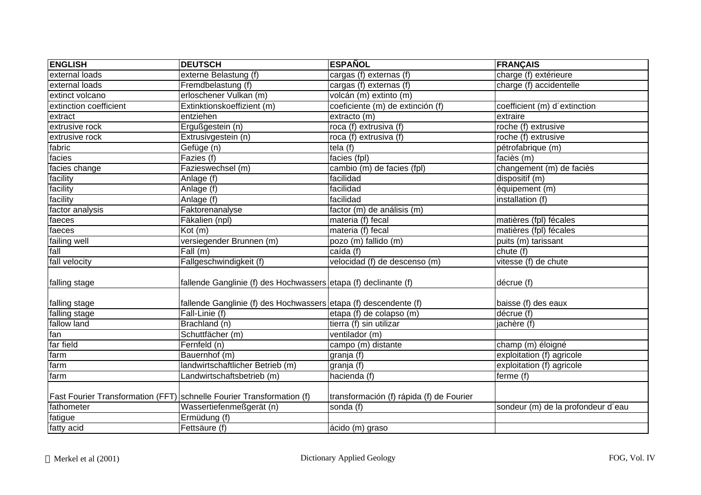| <b>ENGLISH</b>         | <b>DEUTSCH</b>                                                        | <b>ESPAÑOL</b>                              | <b>FRANÇAIS</b>                    |
|------------------------|-----------------------------------------------------------------------|---------------------------------------------|------------------------------------|
| external loads         | externe Belastung (f)                                                 | $\overline{\text{cargas}}$ (f) externas (f) | charge (f) extérieure              |
| external loads         | Fremdbelastung (f)                                                    | cargas (f) externas (f)                     | charge (f) accidentelle            |
| extinct volcano        | erloschener Vulkan (m)                                                | volcán (m) extinto (m)                      |                                    |
| extinction coefficient | Extinktionskoeffizient (m)                                            | coeficiente (m) de extinción (f)            | coefficient (m) d'extinction       |
| extract                | entziehen                                                             | extracto (m)                                | extraire                           |
| extrusive rock         | Ergußgestein (n)                                                      | roca (f) extrusiva (f)                      | roche (f) extrusive                |
| extrusive rock         | Extrusivgestein (n)                                                   | roca (f) extrusiva (f)                      | roche (f) extrusive                |
| fabric                 | Gefüge (n)                                                            | tela $(f)$                                  | pétrofabrique (m)                  |
| facies                 | Fazies (f)                                                            | facies (fpl)                                | faciès (m)                         |
| facies change          | Fazieswechsel (m)                                                     | cambio (m) de facies (fpl)                  | changement (m) de faciès           |
| facility               | Anlage (f)                                                            | facilidad                                   | dispositif (m)                     |
| facility               | Anlage (f)                                                            | facilidad                                   | équipement (m)                     |
| facility               | Anlage $(t)$                                                          | facilidad                                   | installation (f)                   |
| factor analysis        | Faktorenanalyse                                                       | factor (m) de análisis (m)                  |                                    |
| faeces                 | Fäkalien (npl)                                                        | materia (f) fecal                           | matières (fpl) fécales             |
| faeces                 | Kot(m)                                                                | materia (f) fecal                           | matières (fpl) fécales             |
| failing well           | versiegender Brunnen (m)                                              | pozo (m) fallido (m)                        | puits (m) tarissant                |
| fall                   | Fall $(m)$                                                            | caída (f)                                   | chute $(f)$                        |
| fall velocity          | Fallgeschwindigkeit (f)                                               | velocidad (f) de descenso (m)               | vitesse (f) de chute               |
| falling stage          | fallende Ganglinie (f) des Hochwassers etapa (f) declinante (f)       |                                             | décrue (f)                         |
| falling stage          | fallende Ganglinie (f) des Hochwassers etapa (f) descendente (f)      |                                             | baisse (f) des eaux                |
| falling stage          | Fall-Linie (f)                                                        | etapa (f) de colapso (m)                    | décrue (f)                         |
| fallow land            | Brachland (n)                                                         | tierra (f) sin utilizar                     | jachère (f)                        |
| fan                    | Schuttfächer (m)                                                      | ventilador (m)                              |                                    |
| far field              | Fernfeld (n)                                                          | campo (m) distante                          | champ (m) éloigné                  |
| farm                   | Bauernhof (m)                                                         | granja (f)                                  | exploitation (f) agricole          |
| farm                   | landwirtschaftlicher Betrieb (m)                                      | granja (f)                                  | exploitation (f) agricole          |
| farm                   | Landwirtschaftsbetrieb (m)                                            | hacienda (f)                                | ferme (f)                          |
|                        | Fast Fourier Transformation (FFT) schnelle Fourier Transformation (f) | transformación (f) rápida (f) de Fourier    |                                    |
| fathometer             | Wassertiefenmeßgerät (n)                                              | sonda (f)                                   | sondeur (m) de la profondeur d'eau |
| fatigue                | Ermüdung (f)                                                          |                                             |                                    |
| fatty acid             | Fettsäure (f)                                                         | ácido (m) graso                             |                                    |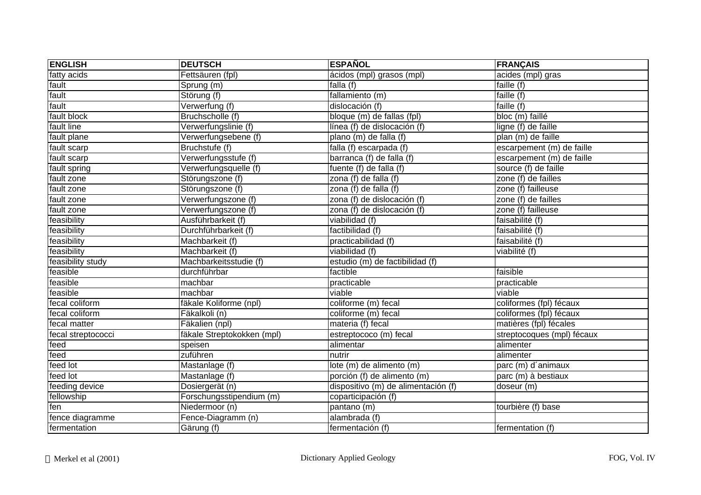| <b>ENGLISH</b>     | <b>DEUTSCH</b>             | <b>ESPAÑOL</b>                      | <b>FRANÇAIS</b>              |
|--------------------|----------------------------|-------------------------------------|------------------------------|
| fatty acids        | Fettsäuren (fpl)           | ácidos (mpl) grasos (mpl)           | acides (mpl) gras            |
| fault              | Sprung (m)                 | falla (f)                           | faille (f)                   |
| fault              | Störung (f)                | fallamiento (m)                     | faille (f)                   |
| fault              | Verwerfung (f)             | dislocación (f)                     | faille (f)                   |
| fault block        | Bruchscholle (f)           | bloque (m) de fallas (fpl)          | bloc $\overline{(m)}$ faillé |
| fault line         | Verwerfungslinie (f)       | línea (f) de dislocación (f)        | ligne (f) de faille          |
| fault plane        | Verwerfungsebene (f)       | plano (m) de falla (f)              | plan (m) de faille           |
| fault scarp        | Bruchstufe (f)             | falla (f) escarpada (f)             | escarpement (m) de faille    |
| fault scarp        | Verwerfungsstufe (f)       | barranca (f) de falla (f)           | escarpement (m) de faille    |
| fault spring       | Verwerfungsquelle (f)      | fuente (f) de falla (f)             | source (f) de faille         |
| fault zone         | Störungszone (f)           | zona (f) de falla (f)               | zone $(f)$ de failles        |
| fault zone         | Störungszone (f)           | zona (f) de falla (f)               | zone (f) failleuse           |
| fault zone         | Verwerfungszone (f)        | zona (f) de dislocación (f)         | zone (f) de failles          |
| fault zone         | Verwerfungszone (f)        | zona (f) de dislocación (f)         | zone (f) failleuse           |
| feasibility        | Ausführbarkeit (f)         | viabilidad (f)                      | faisabilité (f)              |
| feasibility        | Durchführbarkeit (f)       | factibilidad (f)                    | faisabilité (f)              |
| feasibility        | Machbarkeit (f)            | practicabilidad (f)                 | faisabilité (f)              |
| feasibility        | Machbarkeit (f)            | viabilidad (f)                      | viabilité (f)                |
| feasibility study  | Machbarkeitsstudie (f)     | estudio (m) de factibilidad (f)     |                              |
| feasible           | durchführbar               | factible                            | faisible                     |
| feasible           | machbar                    | practicable                         | practicable                  |
| feasible           | machbar                    | viable                              | viable                       |
| fecal coliform     | fäkale Koliforme (npl)     | coliforme (m) fecal                 | coliformes (fpl) fécaux      |
| fecal coliform     | Fäkalkoli (n)              | coliforme (m) fecal                 | coliformes (fpl) fécaux      |
| fecal matter       | Fäkalien (npl)             | materia (f) fecal                   | matières (fpl) fécales       |
| fecal streptococci | fäkale Streptokokken (mpl) | estreptococo (m) fecal              | streptocoques (mpl) fécaux   |
| feed               | speisen                    | alimentar                           | alimenter                    |
| feed               | zuführen                   | nutrir                              | alimenter                    |
| feed lot           | Mastanlage (f)             | lote (m) de alimento (m)            | parc (m) d'animaux           |
| feed lot           | Mastanlage (f)             | porción (f) de alimento (m)         | parc (m) à bestiaux          |
| feeding device     | Dosiergerät (n)            | dispositivo (m) de alimentación (f) | doseur (m)                   |
| fellowship         | Forschungsstipendium (m)   | coparticipación (f)                 |                              |
| fen                | Niedermoor (n)             | pantano (m)                         | tourbière (f) base           |
| fence diagramme    | Fence-Diagramm (n)         | alambrada (f)                       |                              |
| fermentation       | Gärung (f)                 | fermentación (f)                    | fermentation (f)             |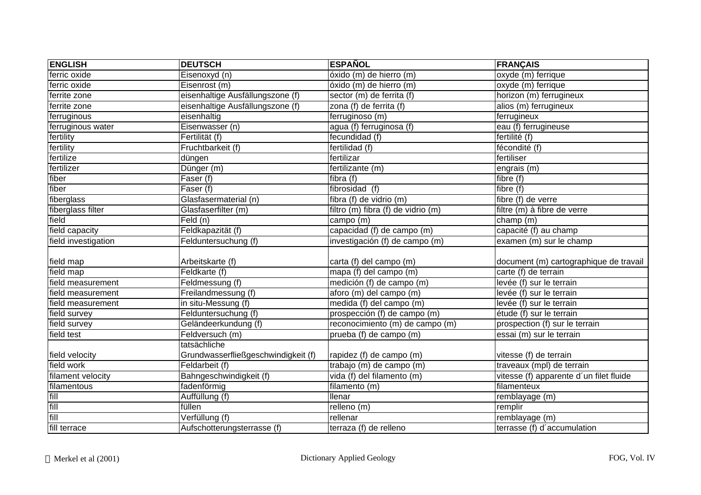| <b>ENGLISH</b>      | <b>DEUTSCH</b>                      | <b>ESPAÑOL</b>                      | <b>FRANÇAIS</b>                         |
|---------------------|-------------------------------------|-------------------------------------|-----------------------------------------|
| ferric oxide        | Eisenoxyd (n)                       | óxido (m) de hierro (m)             | oxyde (m) ferrique                      |
| ferric oxide        | Eisenrost (m)                       | óxido (m) de hierro (m)             | oxyde (m) ferrique                      |
| ferrite zone        | eisenhaltige Ausfällungszone (f)    | sector (m) de ferrita (f)           | horizon (m) ferrugineux                 |
| ferrite zone        | eisenhaltige Ausfällungszone (f)    | zona (f) de ferrita (f)             | alios (m) ferrugineux                   |
| ferruginous         | eisenhaltig                         | ferruginoso (m)                     | ferrugineux                             |
| ferruginous water   | Eisenwasser (n)                     | agua (f) ferruginosa (f)            | eau (f) ferrugineuse                    |
| fertility           | Fertilität (f)                      | fecundidad (f)                      | fertilité (f)                           |
| fertility           | Fruchtbarkeit (f)                   | fertilidad (f)                      | fécondité (f)                           |
| fertilize           | düngen                              | fertilizar                          | fertiliser                              |
| fertilizer          | Dünger (m)                          | fertilizante (m)                    | engrais (m)                             |
| fiber               | Faser (f)                           | fibra $(f)$                         | fibre (f)                               |
| fiber               | Faser (f)                           | fibrosidad (f)                      | fibre (f)                               |
| fiberglass          | Glasfasermaterial (n)               | fibra (f) de vidrio (m)             | fibre (f) de verre                      |
| fiberglass filter   | Glasfaserfilter (m)                 | filtro (m) fibra (f) de vidrio (m)  | filtre (m) à fibre de verre             |
| field               | Feld (n)                            | campo (m)                           | champ (m)                               |
| field capacity      | Feldkapazität (f)                   | capacidad (f) de campo (m)          | capacité (f) au champ                   |
| field investigation | Felduntersuchung (f)                | investigación (f) de campo (m)      | examen (m) sur le champ                 |
| field map           | Arbeitskarte (f)                    | carta (f) del campo (m)             | document (m) cartographique de travail  |
| field map           | Feldkarte (f)                       | $\overline{mapa}$ (f) del campo (m) | carte (f) de terrain                    |
| field measurement   | Feldmessung $(f)$                   | medición (f) de campo (m)           | levée (f) sur le terrain                |
| field measurement   | Freilandmessung (f)                 | aforo (m) del campo (m)             | levée (f) sur le terrain                |
| field measurement   | in situ-Messung (f)                 | medida (f) del campo (m)            | levée (f) sur le terrain                |
| field survey        | Felduntersuchung (f)                | prospección (f) de campo (m)        | étude (f) sur le terrain                |
| field survey        | Geländeerkundung (f)                | reconocimiento (m) de campo (m)     | prospection (f) sur le terrain          |
| field test          | Feldversuch (m)                     | prueba (f) de campo (m)             | essai (m) sur le terrain                |
|                     | tatsächliche                        |                                     |                                         |
| field velocity      | Grundwasserfließgeschwindigkeit (f) | rapidez (f) de campo (m)            | vitesse (f) de terrain                  |
| field work          | Feldarbeit (f)                      | trabajo (m) de campo (m)            | traveaux (mpl) de terrain               |
| filament velocity   | Bahngeschwindigkeit (f)             | vida (f) del filamento (m)          | vitesse (f) apparente d'un filet fluide |
| filamentous         | fadenförmig                         | filamento (m)                       | filamenteux                             |
| fill                | Auffüllung (f)                      | <b>Ilenar</b>                       | remblayage (m)                          |
| fill                | füllen                              | relleno (m)                         | remplir                                 |
| fill                | Verfüllung (f)                      | rellenar                            | remblayage (m)                          |
| fill terrace        | Aufschotterungsterrasse (f)         | terraza (f) de relleno              | terrasse (f) d'accumulation             |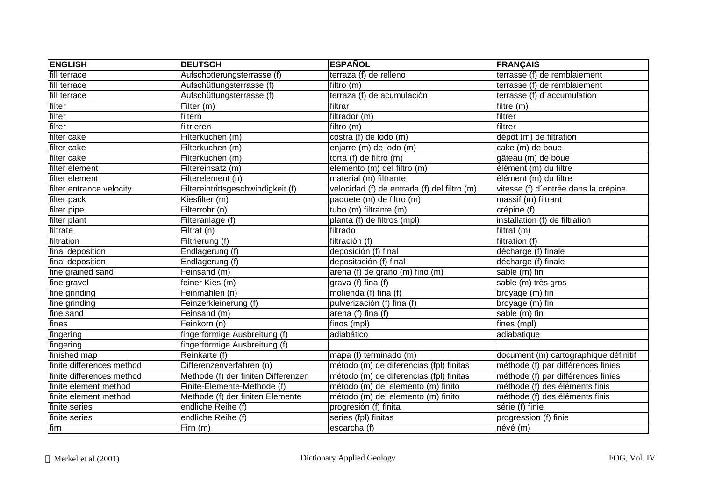| <b>ENGLISH</b>            | <b>DEUTSCH</b>                      | <b>ESPAÑOL</b>                              | <b>FRANÇAIS</b>                       |
|---------------------------|-------------------------------------|---------------------------------------------|---------------------------------------|
| fill terrace              | Aufschotterungsterrasse (f)         | terraza (f) de relleno                      | terrasse (f) de remblaiement          |
| fill terrace              | Aufschüttungsterrasse (f)           | filtro (m)                                  | terrasse (f) de remblaiement          |
| fill terrace              | Aufschüttungsterrasse (f)           | terraza (f) de acumulación                  | terrasse (f) d'accumulation           |
| filter                    | Filter (m)                          | filtrar                                     | filtre (m)                            |
| filter                    | filtern                             | filtrador (m)                               | filtrer                               |
| filter                    | filtrieren                          | filtro (m)                                  | filtrer                               |
| filter cake               | Filterkuchen (m)                    | costra (f) de lodo (m)                      | dépôt (m) de filtration               |
| filter cake               | Filterkuchen (m)                    | enjarre (m) de lodo (m)                     | cake (m) de boue                      |
| filter cake               | Filterkuchen (m)                    | torta (f) de filtro (m)                     | gâteau (m) de boue                    |
| filter element            | Filtereinsatz (m)                   | elemento (m) del filtro (m)                 | élément (m) du filtre                 |
| filter element            | Filterelement (n)                   | material (m) filtrante                      | élément (m) du filtre                 |
| filter entrance velocity  | Filtereintrittsgeschwindigkeit (f)  | velocidad (f) de entrada (f) del filtro (m) | vitesse (f) d'entrée dans la crépine  |
| filter pack               | Kiesfilter (m)                      | paquete (m) de filtro (m)                   | massif (m) filtrant                   |
| filter pipe               | Filterrohr (n)                      | tubo (m) filtrante (m)                      | crépine (f)                           |
| filter plant              | Filteranlage (f)                    | planta (f) de filtros (mpl)                 | installation (f) de filtration        |
| filtrate                  | Filtrat (n)                         | filtrado                                    | filtrat (m)                           |
| filtration                | Filtrierung (f)                     | filtración (f)                              | filtration (f)                        |
| final deposition          | Endlagerung (f)                     | deposición (f) final                        | décharge (f) finale                   |
| final deposition          | Endlagerung (f)                     | depositación (f) final                      | décharge (f) finale                   |
| fine grained sand         | Feinsand (m)                        | arena (f) de grano (m) fino (m)             | sable (m) fin                         |
| fine gravel               | feiner Kies (m)                     | grava (f) fina $(f)$                        | sable (m) très gros                   |
| fine grinding             | Feinmahlen (n)                      | molienda (f) fina (f)                       | broyage (m) fin                       |
| fine grinding             | Feinzerkleinerung (f)               | pulverización (f) fina (f)                  | broyage (m) fin                       |
| fine sand                 | Feinsand (m)                        | arena (f) fina (f)                          | sable (m) fin                         |
| fines                     | Feinkorn (n)                        | finos (mpl)                                 | fines (mpl)                           |
| fingering                 | fingerförmige Ausbreitung (f)       | adiabático                                  | adiabatique                           |
| fingering                 | fingerförmige Ausbreitung (f)       |                                             |                                       |
| finished map              | Reinkarte (f)                       | mapa (f) terminado (m)                      | document (m) cartographique définitif |
| finite differences method | Differenzenverfahren (n)            | método (m) de diferencias (fpl) finitas     | méthode (f) par différences finies    |
| finite differences method | Methode (f) der finiten Differenzen | método (m) de diferencias (fpl) finitas     | méthode (f) par différences finies    |
| finite element method     | Finite-Elemente-Methode (f)         | método (m) del elemento (m) finito          | méthode (f) des éléments finis        |
| finite element method     | Methode (f) der finiten Elemente    | método (m) del elemento (m) finito          | méthode (f) des éléments finis        |
| finite series             | endliche Reihe (f)                  | progresión (f) finita                       | série (f) finie                       |
| finite series             | endliche Reihe (f)                  | series (fpl) finitas                        | progression (f) finie                 |
| firn                      | Firn (m)                            | escarcha (f)                                | névé (m)                              |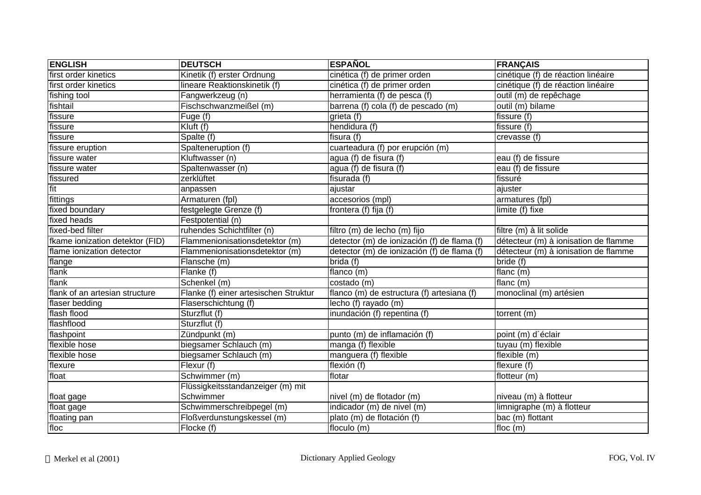| <b>ENGLISH</b>                  | <b>DEUTSCH</b>                        | <b>ESPAÑOL</b>                              | <b>FRANÇAIS</b>                      |
|---------------------------------|---------------------------------------|---------------------------------------------|--------------------------------------|
| first order kinetics            | Kinetik (f) erster Ordnung            | cinética (f) de primer orden                | cinétique (f) de réaction linéaire   |
| first order kinetics            | lineare Reaktionskinetik (f)          | cinética (f) de primer orden                | cinétique (f) de réaction linéaire   |
| fishing tool                    | Fangwerkzeug (n)                      | herramienta (f) de pesca (f)                | outil (m) de repêchage               |
| fishtail                        | Fischschwanzmeißel (m)                | barrena (f) cola (f) de pescado (m)         | outil (m) bilame                     |
| fissure                         | Fuge (f)                              | grieta (f)                                  | fissure (f)                          |
| fissure                         | Kluft (f)                             | hendidura (f)                               | fissure (f)                          |
| fissure                         | Spalte (f)                            | fisura (f)                                  | crevasse (f)                         |
| fissure eruption                | Spalteneruption (f)                   | cuarteadura (f) por erupción (m)            |                                      |
| fissure water                   | Kluftwasser (n)                       | agua (f) de fisura (f)                      | eau (f) de fissure                   |
| fissure water                   | Spaltenwasser (n)                     | agua (f) de fisura (f)                      | eau (f) de fissure                   |
| fissured                        | zerklüftet                            | fisurada (f)                                | fissuré                              |
| fit                             | anpassen                              | ajustar                                     | ajuster                              |
| fittings                        | Armaturen (fpl)                       | accesorios (mpl)                            | armatures (fpl)                      |
| fixed boundary                  | festgelegte Grenze (f)                | frontera (f) fija (f)                       | limite (f) fixe                      |
| fixed heads                     | Festpotential (n)                     |                                             |                                      |
| fixed-bed filter                | ruhendes Schichtfilter (n)            | filtro (m) de lecho (m) fijo                | filtre (m) à lit solide              |
| fkame ionization detektor (FID) | Flammenionisationsdetektor (m)        | detector (m) de ionización (f) de flama (f) | détecteur (m) à ionisation de flamme |
| flame ionization detector       | Flammenionisationsdetektor (m)        | detector (m) de ionización (f) de flama (f) | détecteur (m) à ionisation de flamme |
| flange                          | Flansche (m)                          | brida(f)                                    | bride (f)                            |
| flank                           | Flanke (f)                            | flanco (m)                                  | flanc (m)                            |
| flank                           | Schenkel (m)                          | costado (m)                                 | flanc (m)                            |
| flank of an artesian structure  | Flanke (f) einer artesischen Struktur | flanco (m) de estructura (f) artesiana (f)  | monoclinal (m) artésien              |
| flaser bedding                  | Flaserschichtung (f)                  | lecho (f) rayado (m)                        |                                      |
| flash flood                     | Sturzflut (f)                         | inundación (f) repentina (f)                | torrent (m)                          |
| flashflood                      | Sturzflut (f)                         |                                             |                                      |
| flashpoint                      | Zündpunkt (m)                         | punto (m) de inflamación (f)                | point (m) d'éclair                   |
| flexible hose                   | biegsamer Schlauch (m)                | manga (f) flexible                          | tuyau (m) flexible                   |
| flexible hose                   | biegsamer Schlauch (m)                | manguera (f) flexible                       | flexible (m)                         |
| flexure                         | Flexur (f)                            | flexión (f)                                 | flexure $(f)$                        |
| float                           | Schwimmer (m)                         | flotar                                      | flotteur (m)                         |
|                                 | Flüssigkeitsstandanzeiger (m) mit     |                                             |                                      |
| float gage                      | Schwimmer                             | nivel (m) de flotador (m)                   | niveau (m) à flotteur                |
| float gage                      | Schwimmerschreibpegel (m)             | indicador (m) de nivel (m)                  | limnigraphe (m) à flotteur           |
| floating pan                    | Floßverdunstungskessel (m)            | plato (m) de flotación (f)                  | bac (m) flottant                     |
| floc                            | Flocke (f)                            | floculo(m)                                  | floc $(m)$                           |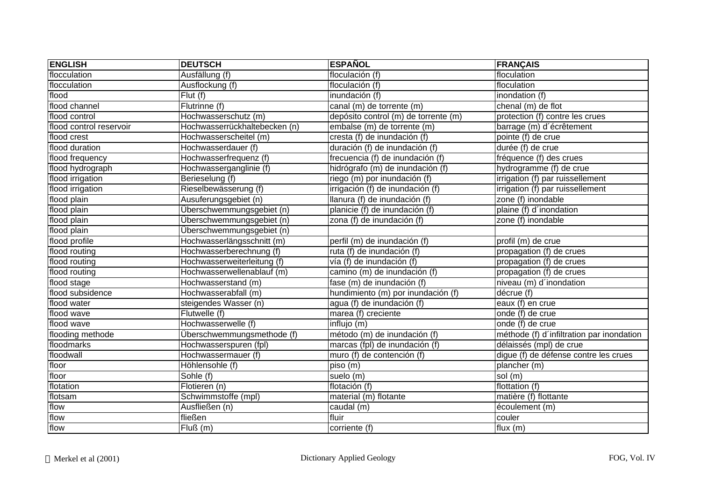| <b>ENGLISH</b>          | <b>DEUTSCH</b>                | <b>ESPAÑOL</b>                       | <b>FRANÇAIS</b>                           |
|-------------------------|-------------------------------|--------------------------------------|-------------------------------------------|
| flocculation            | Ausfällung (f)                | floculación (f)                      | floculation                               |
| flocculation            | Ausflockung (f)               | floculación (f)                      | floculation                               |
| flood                   | Flut(f)                       | inundación (f)                       | inondation (f)                            |
| flood channel           | Flutrinne (f)                 | canal (m) de torrente (m)            | chenal (m) de flot                        |
| flood control           | Hochwasserschutz (m)          | depósito control (m) de torrente (m) | protection (f) contre les crues           |
| flood control reservoir | Hochwasserrückhaltebecken (n) | embalse (m) de torrente (m)          | barrage (m) d'écrêtement                  |
| flood crest             | Hochwasserscheitel (m)        | cresta (f) de inundación (f)         | pointe (f) de crue                        |
| flood duration          | Hochwasserdauer (f)           | duración (f) de inundación (f)       | durée (f) de crue                         |
| flood frequency         | Hochwasserfrequenz (f)        | frecuencia (f) de inundación (f)     | fréquence (f) des crues                   |
| flood hydrograph        | Hochwasserganglinie (f)       | hidrógrafo (m) de inundación (f)     | hydrogramme (f) de crue                   |
| flood irrigation        | Berieselung (f)               | riego (m) por inundación (f)         | irrigation (f) par ruissellement          |
| flood irrigation        | Rieselbewässerung (f)         | irrigación (f) de inundación (f)     | irrigation (f) par ruissellement          |
| flood plain             | Ausuferungsgebiet (n)         | llanura (f) de inundación (f)        | zone (f) inondable                        |
| flood plain             | Überschwemmungsgebiet (n)     | planicie (f) de inundación (f)       | plaine (f) d'inondation                   |
| flood plain             | Überschwemmungsgebiet (n)     | zona (f) de inundación (f)           | zone (f) inondable                        |
| flood plain             | Überschwemmungsgebiet (n)     |                                      |                                           |
| flood profile           | Hochwasserlängsschnitt (m)    | perfil (m) de inundación (f)         | profil (m) de crue                        |
| flood routing           | Hochwasserberechnung (f)      | ruta (f) de inundación (f)           | propagation (f) de crues                  |
| flood routing           | Hochwasserweiterleitung (f)   | vía (f) de inundación (f)            | propagation (f) de crues                  |
| flood routing           | Hochwasserwellenablauf (m)    | camino (m) de inundación (f)         | propagation (f) de crues                  |
| flood stage             | Hochwasserstand (m)           | fase (m) de inundación (f)           | niveau (m) d'inondation                   |
| flood subsidence        | Hochwasserabfall (m)          | hundimiento (m) por inundación (f)   | décrue (f)                                |
| flood water             | steigendes Wasser (n)         | agua (f) de inundación (f)           | eaux $(f)$ en crue                        |
| flood wave              | Flutwelle $(f)$               | marea (f) creciente                  | onde (f) de crue                          |
| flood wave              | Hochwasserwelle (f)           | influjo (m)                          | onde (f) de crue                          |
| flooding methode        | Überschwemmungsmethode (f)    | método (m) de inundación (f)         | méthode (f) d'infiltration par inondation |
| floodmarks              | Hochwasserspuren (fpl)        | marcas (fpl) de inundación (f)       | délaissés (mpl) de crue                   |
| floodwall               | Hochwassermauer (f)           | muro (f) de contención (f)           | digue (f) de défense contre les crues     |
| floor                   | Höhlensohle (f)               | piso (m)                             | plancher (m)                              |
| floor                   | Sohle (f)                     | suelo (m)                            | sol (m)                                   |
| flotation               | Flotieren (n)                 | flotación (f)                        | flottation (f)                            |
| flotsam                 | Schwimmstoffe (mpl)           | material (m) flotante                | matière (f) flottante                     |
| flow                    | Ausfließen (n)                | caudal (m)                           | écoulement (m)                            |
| flow                    | fließen                       | fluir                                | couler                                    |
| flow                    | Fluß(m)                       | corriente (f)                        | flux $(m)$                                |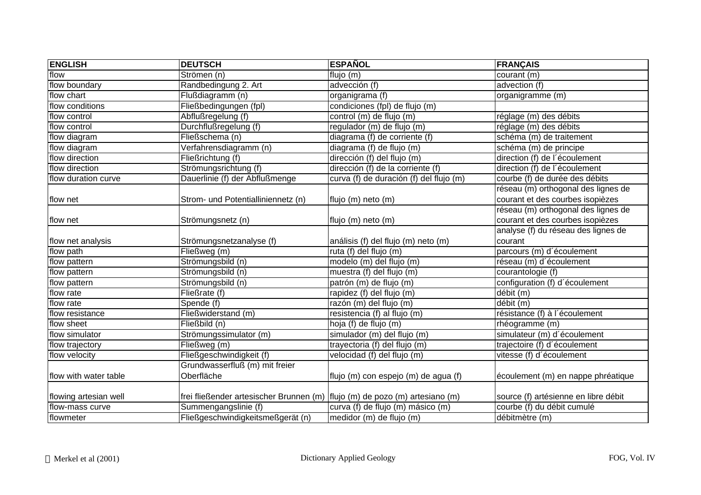| <b>ENGLISH</b>        | <b>DEUTSCH</b>                                                                | <b>ESPAÑOL</b>                          | <b>FRANÇAIS</b>                      |
|-----------------------|-------------------------------------------------------------------------------|-----------------------------------------|--------------------------------------|
| flow                  | Strömen (n)                                                                   | flujo (m)                               | courant (m)                          |
| flow boundary         | Randbedingung 2. Art                                                          | advección (f)                           | advection (f)                        |
| flow chart            | Flußdiagramm (n)                                                              | organigrama (f)                         | organigramme (m)                     |
| flow conditions       | Fließbedingungen (fpl)                                                        | condiciones (fpl) de flujo (m)          |                                      |
| flow control          | Abflußregelung (f)                                                            | control (m) de flujo (m)                | réglage (m) des débits               |
| flow control          | Durchflußregelung (f)                                                         | regulador (m) de flujo (m)              | réglage (m) des débits               |
| flow diagram          | Fließschema (n)                                                               | diagrama (f) de corriente (f)           | schéma (m) de traitement             |
| flow diagram          | Verfahrensdiagramm (n)                                                        | diagrama (f) de flujo (m)               | schéma (m) de principe               |
| flow direction        | Fließrichtung (f)                                                             | dirección (f) del flujo (m)             | direction (f) de l'écoulement        |
| flow direction        | Strömungsrichtung (f)                                                         | dirección (f) de la corriente (f)       | direction (f) de l'écoulement        |
| flow duration curve   | Dauerlinie (f) der Abflußmenge                                                | curva (f) de duración (f) del flujo (m) | courbe (f) de durée des débits       |
|                       |                                                                               |                                         | réseau (m) orthogonal des lignes de  |
| flow net              | Strom- und Potentialliniennetz (n)                                            | flujo (m) neto (m)                      | courant et des courbes isopièzes     |
|                       |                                                                               |                                         | réseau (m) orthogonal des lignes de  |
| flow net              | Strömungsnetz (n)                                                             | flujo (m) neto (m)                      | courant et des courbes isopièzes     |
|                       |                                                                               |                                         | analyse (f) du réseau des lignes de  |
| flow net analysis     | Strömungsnetzanalyse (f)                                                      | análisis (f) del flujo (m) neto (m)     | courant                              |
| flow path             | Fließweg (m)                                                                  | ruta (f) del flujo (m)                  | parcours (m) d'écoulement            |
| flow pattern          | Strömungsbild (n)                                                             | modelo (m) del flujo (m)                | réseau (m) d'écoulement              |
| flow pattern          | Strömungsbild (n)                                                             | muestra (f) del flujo (m)               | courantologie (f)                    |
| flow pattern          | Strömungsbild (n)                                                             | patrón (m) de flujo (m)                 | configuration (f) d'écoulement       |
| flow rate             | Fließrate (f)                                                                 | rapidez (f) del flujo (m)               | débit (m)                            |
| flow rate             | Spende (f)                                                                    | razón (m) del flujo (m)                 | débit (m)                            |
| flow resistance       | Fließwiderstand (m)                                                           | resistencia (f) al flujo (m)            | résistance (f) à l'écoulement        |
| flow sheet            | Fließbild (n)                                                                 | hoja (f) de flujo (m)                   | rhéogramme (m)                       |
| flow simulator        | Strömungssimulator (m)                                                        | simulador (m) del flujo (m)             | simulateur (m) d'écoulement          |
| flow trajectory       | Fließweg (m)                                                                  | trayectoria (f) del flujo (m)           | trajectoire (f) d'écoulement         |
| flow velocity         | Fließgeschwindigkeit (f)                                                      | velocidad (f) del flujo (m)             | vitesse (f) d'écoulement             |
|                       | Grundwasserfluß (m) mit freier                                                |                                         |                                      |
| flow with water table | Oberfläche                                                                    | flujo (m) con espejo (m) de agua (f)    | écoulement (m) en nappe phréatique   |
|                       |                                                                               |                                         |                                      |
| flowing artesian well | frei fließender artesischer Brunnen (m)   flujo (m) de pozo (m) artesiano (m) |                                         | source (f) artésienne en libre débit |
| flow-mass curve       | Summengangslinie (f)                                                          | curva (f) de flujo (m) másico (m)       | courbe (f) du débit cumulé           |
| flowmeter             | Fließgeschwindigkeitsmeßgerät (n)                                             | medidor (m) de flujo (m)                | débitmètre (m)                       |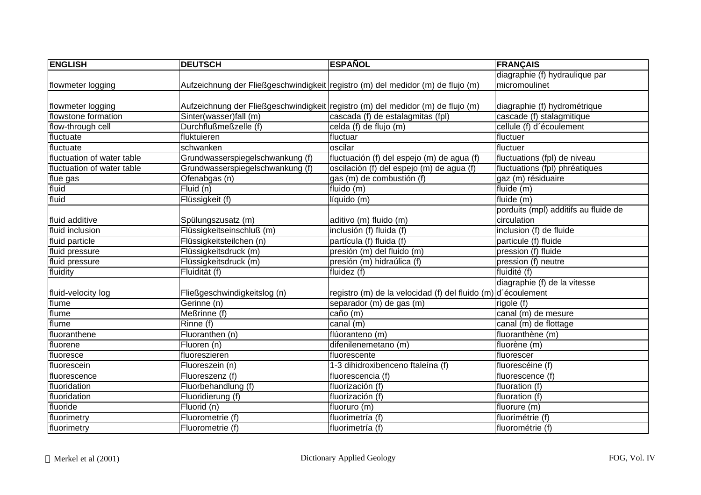| <b>ENGLISH</b>             | <b>DEUTSCH</b>                   | <b>ESPAÑOL</b>                                                                  | <b>FRANÇAIS</b>                      |
|----------------------------|----------------------------------|---------------------------------------------------------------------------------|--------------------------------------|
|                            |                                  |                                                                                 | diagraphie (f) hydraulique par       |
| flowmeter logging          |                                  | Aufzeichnung der Fließgeschwindigkeit registro (m) del medidor (m) de flujo (m) | micromoulinet                        |
|                            |                                  |                                                                                 |                                      |
| flowmeter logging          |                                  | Aufzeichnung der Fließgeschwindigkeit registro (m) del medidor (m) de flujo (m) | diagraphie (f) hydrométrique         |
| flowstone formation        | Sinter(wasser)fall (m)           | cascada (f) de estalagmitas (fpl)                                               | cascade (f) stalagmitique            |
| flow-through cell          | Durchflußmeßzelle (f)            | celda (f) de flujo (m)                                                          | cellule (f) d'écoulement             |
| fluctuate                  | fluktuieren                      | fluctuar                                                                        | fluctuer                             |
| fluctuate                  | schwanken                        | oscilar                                                                         | fluctuer                             |
| fluctuation of water table | Grundwasserspiegelschwankung (f) | fluctuación (f) del espejo (m) de agua (f)                                      | fluctuations (fpl) de niveau         |
| fluctuation of water table | Grundwasserspiegelschwankung (f) | oscilación (f) del espejo (m) de agua (f)                                       | fluctuations (fpl) phréatiques       |
| flue gas                   | Ofenabgas (n)                    | gas (m) de combustión (f)                                                       | gaz (m) résiduaire                   |
| fluid                      | Fluid (n)                        | fluido (m)                                                                      | fluide (m)                           |
| fluid                      | Flüssigkeit (f)                  | líquido (m)                                                                     | fluide (m)                           |
|                            |                                  |                                                                                 | porduits (mpl) additifs au fluide de |
| fluid additive             | Spülungszusatz (m)               | aditivo (m) fluido (m)                                                          | circulation                          |
| fluid inclusion            | Flüssigkeitseinschluß (m)        | inclusión (f) fluida (f)                                                        | inclusion (f) de fluide              |
| fluid particle             | Flüssigkeitsteilchen (n)         | partícula (f) fluida (f)                                                        | particule (f) fluide                 |
| fluid pressure             | Flüssigkeitsdruck (m)            | presión (m) del fluido (m)                                                      | pression (f) fluide                  |
| fluid pressure             | Flüssigkeitsdruck (m)            | presión (m) hidraúlica (f)                                                      | pression (f) neutre                  |
| fluidity                   | Fluidität (f)                    | fluidez $(f)$                                                                   | fluidité (f)                         |
|                            |                                  |                                                                                 | diagraphie (f) de la vitesse         |
| fluid-velocity log         | Fließgeschwindigkeitslog (n)     | registro (m) de la velocidad (f) del fluido (m) d'écoulement                    |                                      |
| flume                      | Gerinne (n)                      | separador (m) de gas (m)                                                        | rigole (f)                           |
| flume                      | Meßrinne (f)                     | caño (m)                                                                        | canal (m) de mesure                  |
| flume                      | Rinne (f)                        | canal (m)                                                                       | canal (m) de flottage                |
| fluoranthene               | Fluoranthen (n)                  | flúoranteno (m)                                                                 | fluoranthène (m)                     |
| fluorene                   | Fluoren (n)                      | difenilenemetano (m)                                                            | fluorène (m)                         |
| fluoresce                  | fluoreszieren                    | fluorescente                                                                    | fluorescer                           |
| fluorescein                | Fluoreszein (n)                  | 1-3 dihidroxibenceno ftaleína (f)                                               | fluorescéine (f)                     |
| fluorescence               | Fluoreszenz (f)                  | fluorescencia (f)                                                               | fluorescence (f)                     |
| fluoridation               | Fluorbehandlung (f)              | fluorización (f)                                                                | fluoration (f)                       |
| fluoridation               | Fluoridierung (f)                | fluorización (f)                                                                | fluoration (f)                       |
| fluoride                   | Fluorid (n)                      | fluoruro (m)                                                                    | fluorure (m)                         |
| fluorimetry                | Fluorometrie (f)                 | fluorimetría (f)                                                                | fluorimétrie (f)                     |
| fluorimetry                | Fluorometrie (f)                 | fluorimetría (f)                                                                | fluorométrie (f)                     |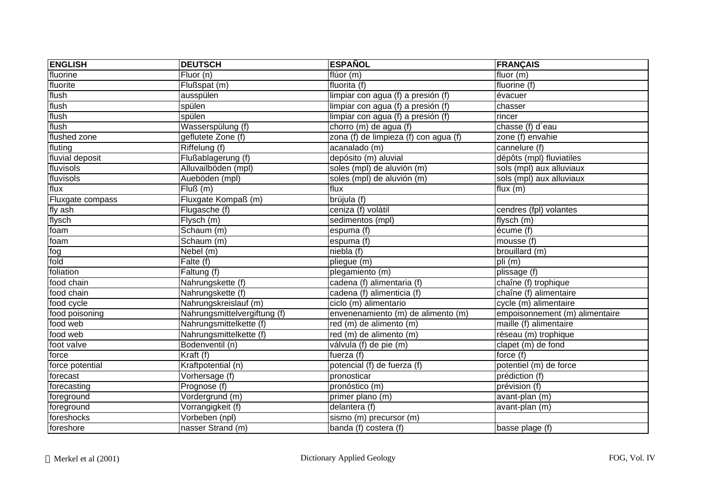| <b>ENGLISH</b>    | <b>DEUTSCH</b>               | <b>ESPAÑOL</b>                        | <b>FRANÇAIS</b>                |
|-------------------|------------------------------|---------------------------------------|--------------------------------|
| fluorine          | Fluor (n)                    | flúor (m)                             | fluor $(m)$                    |
| fluorite          | Flußspat (m)                 | fluorita (f)                          | fluorine (f)                   |
| flush             | ausspülen                    | limpiar con agua (f) a presión (f)    | évacuer                        |
| flush             | spülen                       | limpiar con agua (f) a presión (f)    | chasser                        |
| flush             | spülen                       | limpiar con agua (f) a presión (f)    | rincer                         |
| flush             | Wasserspülung (f)            | chorro (m) de agua (f)                | chasse (f) d'eau               |
| flushed zone      | geflutete Zone (f)           | zona (f) de limpieza (f) con agua (f) | zone (f) envahie               |
| fluting           | Riffelung (f)                | acanalado (m)                         | cannelure (f)                  |
| fluvial deposit   | Flußablagerung (f)           | depósito (m) aluvial                  | dépôts (mpl) fluviatiles       |
| fluvisols         | Alluvailböden (mpl)          | soles (mpl) de aluvión (m)            | sols (mpl) aux alluviaux       |
| fluvisols         | Aueböden (mpl)               | soles (mpl) de aluvión (m)            | sols (mpl) aux alluviaux       |
| flux              | Fluß(m)                      | flux                                  | flux $(m)$                     |
| Fluxgate compass  | Fluxgate Kompaß (m)          | brújula (f)                           |                                |
| fly ash           | Flugasche (f)                | ceniza (f) volátil                    | cendres (fpl) volantes         |
| flysch            | Flysch(m)                    | sedimentos (mpl)                      | flysch (m)                     |
| foam              | Schaum (m)                   | espuma (f)                            | écume (f)                      |
| foam              | Schaum (m)                   | espuma (f)                            | mousse (f)                     |
| $\overline{f}$ og | Nebel (m)                    | niebla (f)                            | brouillard (m)                 |
| fold              | Falte (f)                    | pliegue (m)                           | pli (m)                        |
| foliation         | Faltung $(f)$                | plegamiento (m)                       | plissage (f)                   |
| food chain        | Nahrungskette (f)            | cadena (f) alimentaria (f)            | chaîne (f) trophique           |
| food chain        | Nahrungskette (f)            | cadena (f) alimenticia (f)            | chaîne (f) alimentaire         |
| food cycle        | Nahrungskreislauf (m)        | ciclo (m) alimentario                 | cycle (m) alimentaire          |
| food poisoning    | Nahrungsmittelvergiftung (f) | envenenamiento (m) de alimento (m)    | empoisonnement (m) alimentaire |
| food web          | Nahrungsmittelkette (f)      | red (m) de alimento (m)               | maille (f) alimentaire         |
| food web          | Nahrungsmittelkette (f)      | red (m) de alimento (m)               | réseau (m) trophique           |
| foot valve        | Bodenventil (n)              | válvula (f) de pie (m)                | clapet (m) de fond             |
| force             | Kraft (f)                    | fuerza (f)                            | force (f)                      |
| force potential   | Kraftpotential (n)           | potencial (f) de fuerza (f)           | potentiel (m) de force         |
| forecast          | Vorhersage (f)               | pronosticar                           | prédiction (f)                 |
| forecasting       | Prognose (f)                 | pronóstico (m)                        | prévision (f)                  |
| foreground        | Vordergrund (m)              | primer plano (m)                      | avant-plan (m)                 |
| foreground        | Vorrangigkeit (f)            | delantera (f)                         | avant-plan (m)                 |
| foreshocks        | Vorbeben (npl)               | sismo (m) precursor (m)               |                                |
| foreshore         | nasser Strand (m)            | banda (f) costera (f)                 | basse plage (f)                |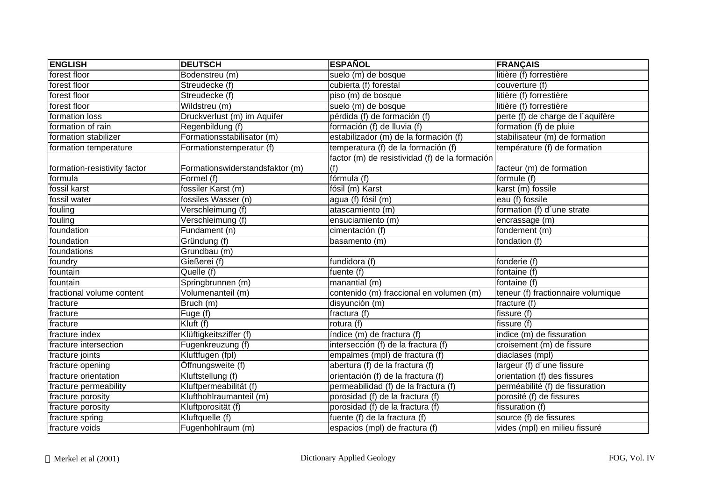| <b>ENGLISH</b>               | <b>DEUTSCH</b>                  | <b>ESPAÑOL</b>                                 | <b>FRANÇAIS</b>                    |
|------------------------------|---------------------------------|------------------------------------------------|------------------------------------|
| forest floor                 | Bodenstreu (m)                  | suelo (m) de bosque                            | litière (f) forrestière            |
| forest floor                 | Streudecke (f)                  | cubierta (f) forestal                          | couverture (f)                     |
| forest floor                 | Streudecke (f)                  | piso (m) de bosque                             | litière (f) forrestière            |
| forest floor                 | Wildstreu (m)                   | suelo (m) de bosque                            | litière (f) forrestière            |
| formation loss               | Druckverlust (m) im Aquifer     | pérdida (f) de formación (f)                   | perte (f) de charge de l'aquifère  |
| formation of rain            | Regenbildung (f)                | formación (f) de lluvia (f)                    | formation (f) de pluie             |
| formation stabilizer         | Formationsstabilisator (m)      | estabilizador (m) de la formación (f)          | stabilisateur (m) de formation     |
| formation temperature        | Formationstemperatur (f)        | temperatura (f) de la formación (f)            | température (f) de formation       |
|                              |                                 | factor (m) de resistividad (f) de la formación |                                    |
| formation-resistivity factor | Formationswiderstandsfaktor (m) | (f)                                            | facteur (m) de formation           |
| formula                      | Formel (f)                      | $f$ órmula $(f)$                               | formule (f)                        |
| fossil karst                 | fossiler Karst (m)              | fósil (m) Karst                                | karst (m) fossile                  |
| fossil water                 | fossiles Wasser (n)             | agua (f) fósil (m)                             | eau (f) fossile                    |
| fouling                      | Verschleimung (f)               | atascamiento (m)                               | formation (f) d'une strate         |
| fouling                      | Verschleimung (f)               | ensuciamiento (m)                              | encrassage (m)                     |
| foundation                   | Fundament (n)                   | cimentación (f)                                | fondement (m)                      |
| foundation                   | Gründung (f)                    | basamento (m)                                  | fondation (f)                      |
| foundations                  | Grundbau (m)                    |                                                |                                    |
| foundry                      | Gießerei (f)                    | fundidora (f)                                  | fonderie (f)                       |
| fountain                     | Quelle (f)                      | fuente $(t)$                                   | fontaine (f)                       |
| fountain                     | Springbrunnen (m)               | manantial (m)                                  | fontaine (f)                       |
| fractional volume content    | Volumenanteil (m)               | contenido (m) fraccional en volumen (m)        | teneur (f) fractionnaire volumique |
| fracture                     | Bruch (m)                       | disyunción (m)                                 | fracture (f)                       |
| fracture                     | Fuge (f)                        | fractura (f)                                   | fissure (f)                        |
| fracture                     | Kluft (f)                       | rotura (f)                                     | fissure (f)                        |
| fracture index               | Klüftigkeitsziffer (f)          | índice (m) de fractura (f)                     | indice (m) de fissuration          |
| fracture intersection        | Fugenkreuzung (f)               | intersección (f) de la fractura (f)            | croisement (m) de fissure          |
| fracture joints              | Kluftfugen (fpl)                | empalmes (mpl) de fractura (f)                 | diaclases (mpl)                    |
| fracture opening             | Öffnungsweite (f)               | abertura (f) de la fractura (f)                | largeur (f) d'une fissure          |
| fracture orientation         | Kluftstellung (f)               | orientación (f) de la fractura (f)             | orientation (f) des fissures       |
| fracture permeability        | Kluftpermeabilität (f)          | permeabilidad (f) de la fractura (f)           | perméabilité (f) de fissuration    |
| fracture porosity            | Klufthohlraumanteil (m)         | porosidad (f) de la fractura (f)               | porosité (f) de fissures           |
| fracture porosity            | Kluftporosität (f)              | porosidad (f) de la fractura (f)               | fissuration (f)                    |
| fracture spring              | Kluftquelle (f)                 | fuente (f) de la fractura (f)                  | source (f) de fissures             |
| fracture voids               | Fugenhohlraum (m)               | espacios (mpl) de fractura (f)                 | vides (mpl) en milieu fissuré      |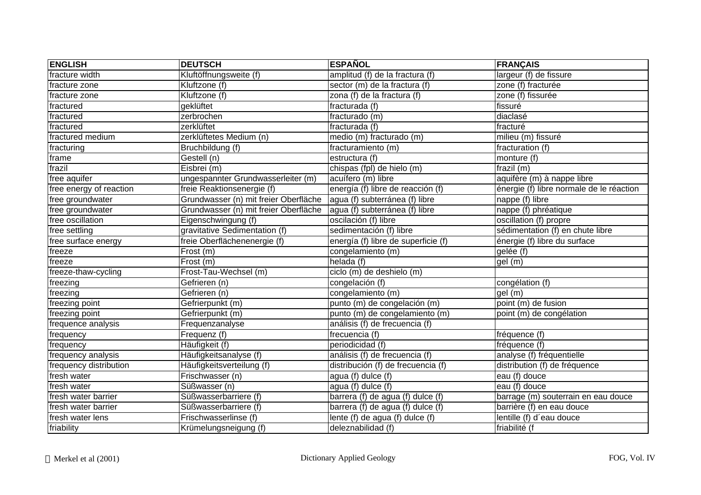| <b>ENGLISH</b>          | <b>DEUTSCH</b>                        | <b>ESPAÑOL</b>                      | <b>FRANÇAIS</b>                          |
|-------------------------|---------------------------------------|-------------------------------------|------------------------------------------|
| fracture width          | Kluftöffnungsweite (f)                | amplitud (f) de la fractura (f)     | largeur (f) de fissure                   |
| fracture zone           | Kluftzone (f)                         | sector (m) de la fractura (f)       | zone (f) fracturée                       |
| fracture zone           | Kluftzone (f)                         | zona (f) de la fractura (f)         | zone (f) fissurée                        |
| fractured               | geklüftet                             | fracturada (f)                      | fissuré                                  |
| fractured               | zerbrochen                            | fracturado (m)                      | diaclasé                                 |
| fractured               | zerklüftet                            | fracturada (f)                      | fracturé                                 |
| fractured medium        | zerklüftetes Medium (n)               | medio (m) fracturado (m)            | milieu (m) fissuré                       |
| fracturing              | Bruchbildung (f)                      | fracturamiento (m)                  | fracturation (f)                         |
| frame                   | Gestell (n)                           | estructura (f)                      | monture (f)                              |
| frazil                  | Eisbrei (m)                           | chispas (fpl) de hielo (m)          | frazil (m)                               |
| free aquifer            | ungespannter Grundwasserleiter (m)    | acuífero (m) libre                  | aquifère (m) à nappe libre               |
| free energy of reaction | freie Reaktionsenergie (f)            | energía (f) libre de reacción (f)   | énergie (f) libre normale de le réaction |
| free groundwater        | Grundwasser (n) mit freier Oberfläche | agua (f) subterránea (f) libre      | nappe (f) libre                          |
| free groundwater        | Grundwasser (n) mit freier Oberfläche | agua (f) subterránea (f) libre      | nappe (f) phréatique                     |
| free oscillation        | Eigenschwingung (f)                   | oscilación (f) libre                | oscillation (f) propre                   |
| free settling           | gravitative Sedimentation (f)         | sedimentación (f) libre             | sédimentation (f) en chute libre         |
| free surface energy     | freie Oberflächenenergie (f)          | energía (f) libre de superficie (f) | énergie (f) libre du surface             |
| freeze                  | Frost (m)                             | congelamiento (m)                   | gelée (f)                                |
| freeze                  | Frost(m)                              | helada (f)                          | $\overline{gel}$ (m)                     |
| freeze-thaw-cycling     | Frost-Tau-Wechsel (m)                 | ciclo (m) de deshielo (m)           |                                          |
| freezing                | Gefrieren (n)                         | congelación (f)                     | congélation (f)                          |
| freezing                | Gefrieren (n)                         | congelamiento (m)                   | gel (m)                                  |
| freezing point          | Gefrierpunkt (m)                      | punto (m) de congelación (m)        | point (m) de fusion                      |
| freezing point          | Gefrierpunkt (m)                      | punto (m) de congelamiento (m)      | point (m) de congélation                 |
| frequence analysis      | Frequenzanalyse                       | análisis (f) de frecuencia (f)      |                                          |
| frequency               | Frequenz (f)                          | frecuencia (f)                      | fréquence (f)                            |
| frequency               | Häufigkeit (f)                        | periodicidad (f)                    | fréquence (f)                            |
| frequency analysis      | Häufigkeitsanalyse (f)                | análisis (f) de frecuencia (f)      | analyse (f) fréquentielle                |
| frequency distribution  | Häufigkeitsverteilung (f)             | distribución (f) de frecuencia (f)  | distribution (f) de fréquence            |
| fresh water             | Frischwasser (n)                      | agua (f) dulce (f)                  | eau (f) douce                            |
| fresh water             | Süßwasser (n)                         | agua (f) dulce (f)                  | eau (f) douce                            |
| fresh water barrier     | Süßwasserbarriere (f)                 | barrera (f) de agua (f) dulce (f)   | barrage (m) souterrain en eau douce      |
| fresh water barrier     | Süßwasserbarriere (f)                 | barrera (f) de agua (f) dulce (f)   | barrière (f) en eau douce                |
| fresh water lens        | Frischwasserlinse (f)                 | lente (f) de agua (f) dulce (f)     | lentille (f) d'eau douce                 |
| friability              | Krümelungsneigung (f)                 | deleznabilidad (f)                  | friabilité (f                            |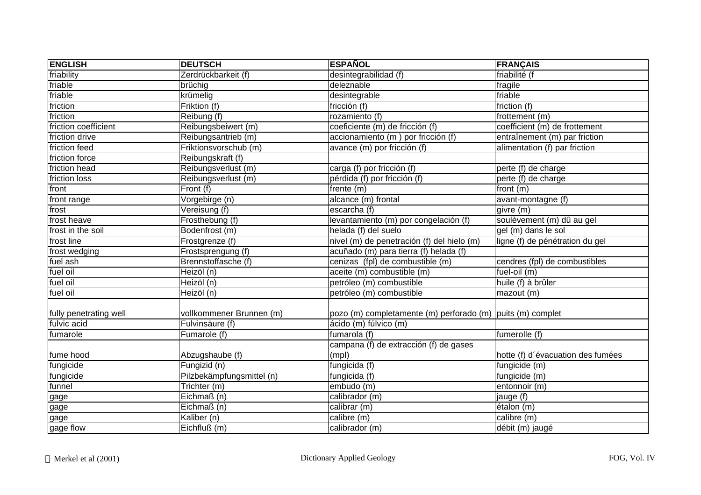| <b>ENGLISH</b>         | <b>DEUTSCH</b>            | <b>ESPAÑOL</b>                                             | <b>FRANÇAIS</b>                   |
|------------------------|---------------------------|------------------------------------------------------------|-----------------------------------|
| friability             | Zerdrückbarkeit (f)       | desintegrabilidad (f)                                      | friabilité (f                     |
| friable                | brüchig                   | deleznable                                                 | fragile                           |
| friable                | krümelig                  | desintegrable                                              | friable                           |
| friction               | Friktion (f)              | fricción $(f)$                                             | friction (f)                      |
| friction               | Reibung (f)               | rozamiento (f)                                             | frottement (m)                    |
| friction coefficient   | Reibungsbeiwert (m)       | coeficiente (m) de fricción (f)                            | coefficient (m) de frottement     |
| friction drive         | Reibungsantrieb (m)       | accionamiento (m) por fricción (f)                         | entraînement (m) par friction     |
| friction feed          | Friktionsvorschub (m)     | avance (m) por fricción (f)                                | alimentation (f) par friction     |
| friction force         | Reibungskraft (f)         |                                                            |                                   |
| friction head          | Reibungsverlust (m)       | carga (f) por fricción (f)                                 | perte (f) de charge               |
| friction loss          | Reibungsverlust (m)       | pérdida (f) por fricción (f)                               | perte (f) de charge               |
| front                  | Front (f)                 | frente (m)                                                 | front (m)                         |
| front range            | Vorgebirge (n)            | alcance (m) frontal                                        | avant-montagne (f)                |
| frost                  | Vereisung (f)             | escarcha (f)                                               | givre (m)                         |
| frost heave            | Frosthebung (f)           | levantamiento (m) por congelación (f)                      | soulèvement (m) dû au gel         |
| frost in the soil      | Bodenfrost (m)            | helada (f) del suelo                                       | gel (m) dans le sol               |
| frost line             | Frostgrenze (f)           | nivel (m) de penetración (f) del hielo (m)                 | ligne (f) de pénétration du gel   |
| frost wedging          | Frostsprengung (f)        | acuñado (m) para tierra (f) helada (f)                     |                                   |
| fuel ash               | Brennstoffasche (f)       | cenizas (fpl) de combustible (m)                           | cendres (fpl) de combustibles     |
| fuel oil               | Heizöl (n)                | aceite (m) combustible (m)                                 | fuel-oil (m)                      |
| fuel oil               | Heizöl (n)                | petróleo (m) combustible                                   | huile (f) à brûler                |
| fuel oil               | Heizöl (n)                | petróleo (m) combustible                                   | mazout (m)                        |
| fully penetrating well | vollkommener Brunnen (m)  | pozo (m) completamente (m) perforado (m) puits (m) complet |                                   |
| fulvic acid            | Fulvinsäure (f)           | ácido (m) fúlvico (m)                                      |                                   |
| fumarole               | Fumarole (f)              | fumarola (f)                                               | fumerolle (f)                     |
|                        |                           | campana (f) de extracción (f) de gases                     |                                   |
| fume hood              | Abzugshaube (f)           | (mpl)                                                      | hotte (f) d'évacuation des fumées |
| fungicide              | Fungizid (n)              | fungicida (f)                                              | fungicide (m)                     |
| fungicide              | Pilzbekämpfungsmittel (n) | fungicida (f)                                              | fungicide (m)                     |
| funnel                 | Trichter (m)              | embudo (m)                                                 | entonnoir (m)                     |
| gage                   | Eichmaß (n)               | calibrador (m)                                             | jauge (f)                         |
| gage                   | Eichmaß (n)               | calibrar (m)                                               | etalon(m)                         |
| gage                   | Kaliber (n)               | calibre (m)                                                | calibre (m)                       |
| gage flow              | Eichfluß (m)              | calibrador (m)                                             | débit (m) jaugé                   |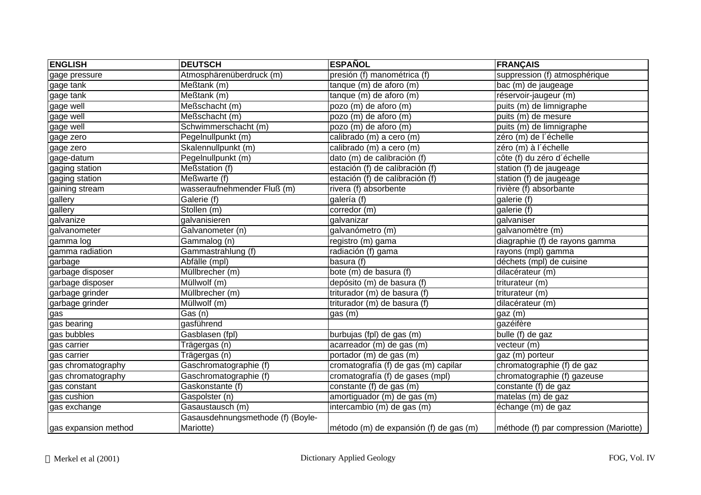| <b>ENGLISH</b>       | <b>DEUTSCH</b>                                 | <b>ESPAÑOL</b>                         | <b>FRANÇAIS</b>                        |
|----------------------|------------------------------------------------|----------------------------------------|----------------------------------------|
| gage pressure        | Atmosphärenüberdruck (m)                       | presión (f) manométrica (f)            | suppression (f) atmosphérique          |
| gage tank            | Meßtank (m)                                    | tanque (m) de aforo (m)                | bac (m) de jaugeage                    |
| gage tank            | Meßtank (m)                                    | tanque (m) de aforo (m)                | réservoir-jaugeur (m)                  |
| gage well            | Meßschacht (m)                                 | pozo (m) de aforo (m)                  | puits (m) de limnigraphe               |
| gage well            | Meßschacht (m)                                 | pozo (m) de aforo (m)                  | puits (m) de mesure                    |
| gage well            | Schwimmerschacht (m)                           | pozo (m) de aforo (m)                  | puits (m) de limnigraphe               |
| gage zero            | Pegelnullpunkt (m)                             | calibrado (m) a cero (m)               | zéro (m) de l'échelle                  |
| gage zero            | Skalennullpunkt (m)                            | calibrado (m) a cero (m)               | zéro (m) à l'échelle                   |
| gage-datum           | Pegelnullpunkt (m)                             | dato (m) de calibración (f)            | côte (f) du zéro d'échelle             |
| gaging station       | Meßstation (f)                                 | estación (f) de calibración (f)        | station (f) de jaugeage                |
| gaging station       | Meßwarte (f)                                   | estación (f) de calibración (f)        | station (f) de jaugeage                |
| gaining stream       | wasseraufnehmender Fluß (m)                    | rivera (f) absorbente                  | rivière (f) absorbante                 |
| gallery              | Galerie (f)                                    | galería (f)                            | galerie (f)                            |
| gallery              | Stollen (m)                                    | corredor (m)                           | galerie (f)                            |
| galvanize            | galvanisieren                                  | galvanizar                             | galvaniser                             |
| galvanometer         | Galvanometer (n)                               | galvanómetro (m)                       | galvanomètre (m)                       |
| gamma log            | Gammalog (n)                                   | registro (m) gama                      | diagraphie (f) de rayons gamma         |
| gamma radiation      | Gammastrahlung (f)                             | radiación (f) gama                     | rayons (mpl) gamma                     |
| garbage              | Abfälle (mpl)                                  | basura (f)                             | déchets (mpl) de cuisine               |
| garbage disposer     | Müllbrecher (m)                                | bote (m) de basura (f)                 | dilacérateur (m)                       |
| garbage disposer     | Müllwolf (m)                                   | depósito (m) de basura (f)             | triturateur (m)                        |
| garbage grinder      | Müllbrecher (m)                                | triturador (m) de basura (f)           | triturateur (m)                        |
| garbage grinder      | Müllwolf (m)                                   | triturador $(m)$ de basura (f)         | dilacérateur (m)                       |
| gas                  | $\overline{Gas}$ (n)                           | gas(m)                                 | gaz (m)                                |
| gas bearing          | gasführend                                     |                                        | gazéifère                              |
| gas bubbles          | Gasblasen (fpl)                                | burbujas (fpl) de gas (m)              | $b$ ulle (f) de gaz                    |
| gas carrier          | Trägergas (n)                                  | acarreador (m) de gas (m)              | vecteur (m)                            |
| gas carrier          | Trägergas (n)                                  | portador (m) de gas (m)                | gaz (m) porteur                        |
| gas chromatography   | Gaschromatographie (f)                         | cromatografía (f) de gas (m) capilar   | chromatographie (f) de gaz             |
| gas chromatography   | Gaschromatographie (f)                         | cromatografía (f) de gases (mpl)       | chromatographie (f) gazeuse            |
| gas constant         | Gaskonstante (f)                               | constante (f) de gas (m)               | constante (f) de gaz                   |
| gas cushion          | Gaspolster (n)                                 | amortiguador (m) de gas (m)            | matelas (m) de gaz                     |
| gas exchange         | Gasaustausch (m)                               | intercambio (m) de gas (m)             | échange (m) de gaz                     |
| gas expansion method | Gasausdehnungsmethode (f) (Boyle-<br>Mariotte) | método (m) de expansión (f) de gas (m) | méthode (f) par compression (Mariotte) |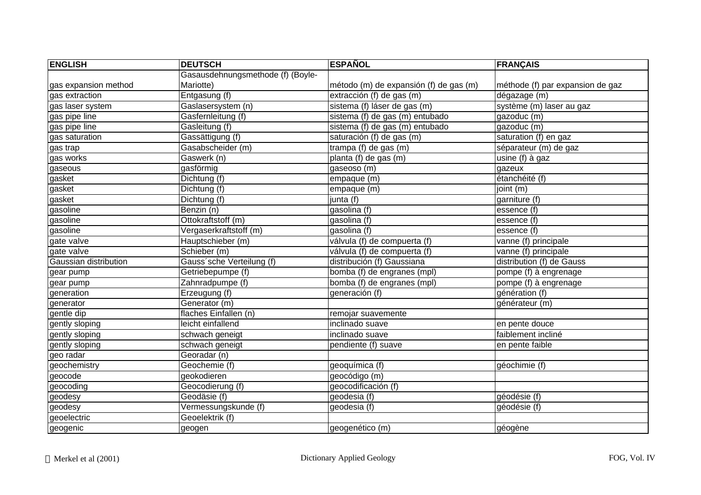| <b>ENGLISH</b>        | <b>DEUTSCH</b>                    | <b>ESPAÑOL</b>                         | <b>FRANÇAIS</b>                  |
|-----------------------|-----------------------------------|----------------------------------------|----------------------------------|
|                       | Gasausdehnungsmethode (f) (Boyle- |                                        |                                  |
| gas expansion method  | Mariotte)                         | método (m) de expansión (f) de gas (m) | méthode (f) par expansion de gaz |
| gas extraction        | Entgasung (f)                     | extracción (f) de gas (m)              | dégazage (m)                     |
| gas laser system      | Gaslasersystem (n)                | sistema (f) láser de gas (m)           | système (m) laser au gaz         |
| gas pipe line         | Gasfernleitung (f)                | sistema (f) de gas (m) entubado        | gazoduc (m)                      |
| gas pipe line         | Gasleitung (f)                    | sistema (f) de gas (m) entubado        | gazoduc (m)                      |
| gas saturation        | Gassättigung (f)                  | saturación (f) de gas (m)              | saturation (f) en gaz            |
| gas trap              | Gasabscheider (m)                 | trampa (f) de gas (m)                  | séparateur (m) de gaz            |
| gas works             | Gaswerk (n)                       | planta (f) de gas (m)                  | usine (f) à gaz                  |
| gaseous               | gasförmig                         | gaseoso (m)                            | gazeux                           |
| gasket                | Dichtung (f)                      | empaque (m)                            | étanchéité (f)                   |
| gasket                | Dichtung (f)                      | empaque (m)                            | joint (m)                        |
| gasket                | Dichtung (f)                      | junta (f)                              | garniture (f)                    |
| gasoline              | Benzin (n)                        | gasolina (f)                           | essence (f)                      |
| gasoline              | Ottokraftstoff (m)                | gasolina (f)                           | essence (f)                      |
| gasoline              | Vergaserkraftstoff (m)            | gasolina (f)                           | essence (f)                      |
| gate valve            | Hauptschieber (m)                 | válvula (f) de compuerta (f)           | vanne (f) principale             |
| gate valve            | Schieber (m)                      | válvula (f) de compuerta (f)           | vanne (f) principale             |
| Gaussian distribution | Gauss'sche Verteilung (f)         | distribución (f) Gaussiana             | distribution (f) de Gauss        |
| gear pump             | Getriebepumpe (f)                 | bomba (f) de engranes (mpl)            | pompe (f) à engrenage            |
| gear pump             | Zahnradpumpe (f)                  | bomba (f) de engranes (mpl)            | pompe (f) à engrenage            |
| generation            | Erzeugung (f)                     | generación (f)                         | génération (f)                   |
| generator             | Generator (m)                     |                                        | générateur (m)                   |
| gentle dip            | flaches Einfallen (n)             | remojar suavemente                     |                                  |
| gently sloping        | leicht einfallend                 | inclinado suave                        | en pente douce                   |
| gently sloping        | schwach geneigt                   | inclinado suave                        | faiblement incliné               |
| gently sloping        | schwach geneigt                   | pendiente (f) suave                    | en pente faible                  |
| geo radar             | Georadar (n)                      |                                        |                                  |
| geochemistry          | Geochemie (f)                     | geoquímica (f)                         | géochimie (f)                    |
| geocode               | geokodieren                       | geocódigo (m)                          |                                  |
| geocoding             | Geocodierung (f)                  | geocodificación (f)                    |                                  |
| geodesy               | Geodäsie (f)                      | geodesia (f)                           | géodésie (f)                     |
| geodesy               | Vermessungskunde (f)              | geodesia (f)                           | géodésie (f)                     |
| geoelectric           | Geoelektrik (f)                   |                                        |                                  |
| geogenic              | geogen                            | geogenético (m)                        | géogène                          |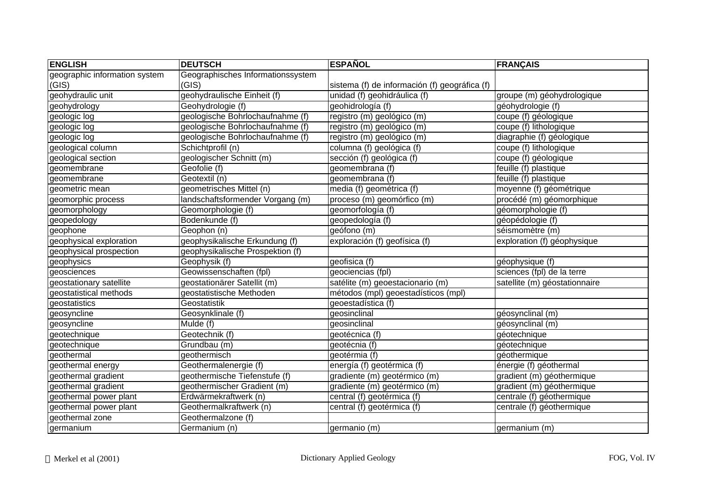| <b>ENGLISH</b>                | <b>DEUTSCH</b>                    | <b>ESPAÑOL</b>                                | <b>FRANÇAIS</b>               |
|-------------------------------|-----------------------------------|-----------------------------------------------|-------------------------------|
| geographic information system | Geographisches Informationssystem |                                               |                               |
| (GIS)                         | (GIS)                             | sistema (f) de información (f) geográfica (f) |                               |
| geohydraulic unit             | geohydraulische Einheit (f)       | unidad (f) geohidráulica (f)                  | groupe (m) géohydrologique    |
| geohydrology                  | Geohydrologie (f)                 | geohidrología (f)                             | géohydrologie (f)             |
| geologic log                  | geologische Bohrlochaufnahme (f)  | registro (m) geológico (m)                    | coupe (f) géologique          |
| geologic log                  | geologische Bohrlochaufnahme (f)  | registro (m) geológico (m)                    | coupe (f) lithologique        |
| geologic log                  | geologische Bohrlochaufnahme (f)  | registro (m) geológico (m)                    | diagraphie (f) géologique     |
| geological column             | Schichtprofil (n)                 | columna (f) geológica (f)                     | coupe (f) lithologique        |
| geological section            | geologischer Schnitt (m)          | sección (f) geológica (f)                     | coupe (f) géologique          |
| geomembrane                   | Geofolie (f)                      | geomembrana (f)                               | feuille (f) plastique         |
| geomembrane                   | Geotextil (n)                     | geomembrana (f)                               | feuille (f) plastique         |
| geometric mean                | geometrisches Mittel (n)          | media (f) geométrica (f)                      | moyenne (f) géométrique       |
| geomorphic process            | landschaftsformender Vorgang (m)  | proceso (m) geomórfico (m)                    | procédé (m) géomorphique      |
| geomorphology                 | Geomorphologie (f)                | geomorfología (f)                             | géomorphologie (f)            |
| geopedology                   | Bodenkunde (f)                    | geopedología (f)                              | géopédologie (f)              |
| geophone                      | Geophon (n)                       | geófono (m)                                   | séismomètre (m)               |
| geophysical exploration       | geophysikalische Erkundung (f)    | exploración (f) geofísica (f)                 | exploration (f) géophysique   |
| geophysical prospection       | geophysikalische Prospektion (f)  |                                               |                               |
| geophysics                    | Geophysik (f)                     | geofisica $(t)$                               | géophysique (f)               |
| geosciences                   | Geowissenschaften (fpl)           | geociencias (fpl)                             | sciences (fpl) de la terre    |
| geostationary satellite       | geostationärer Satellit (m)       | satélite (m) geoestacionario (m)              | satellite (m) géostationnaire |
| geostatistical methods        | geostatistische Methoden          | métodos (mpl) geoestadísticos (mpl)           |                               |
| geostatistics                 | Geostatistik                      | geoestadística (f)                            |                               |
| geosyncline                   | Geosynklinale (f)                 | geosinclinal                                  | géosynclinal (m)              |
| geosyncline                   | Mulde (f)                         | geosinclinal                                  | géosynclinal (m)              |
| geotechnique                  | Geotechnik (f)                    | geotécnica (f)                                | géotechnique                  |
| geotechnique                  | Grundbau (m)                      | geotécnia (f)                                 | géotechnique                  |
| geothermal                    | geothermisch                      | geotérmia (f)                                 | géothermique                  |
| geothermal energy             | Geothermalenergie (f)             | energía (f) geotérmica (f)                    | énergie (f) géothermal        |
| geothermal gradient           | geothermische Tiefenstufe (f)     | gradiente (m) geotérmico (m)                  | gradient (m) géothermique     |
| geothermal gradient           | geothermischer Gradient (m)       | gradiente (m) geotérmico (m)                  | gradient (m) géothermique     |
| geothermal power plant        | Erdwärmekraftwerk (n)             | central (f) geotérmica (f)                    | centrale (f) géothermique     |
| geothermal power plant        | Geothermalkraftwerk (n)           | central (f) geotérmica (f)                    | centrale (f) géothermique     |
| geothermal zone               | Geothermalzone (f)                |                                               |                               |
| germanium                     | Germanium (n)                     | germanio (m)                                  | germanium (m)                 |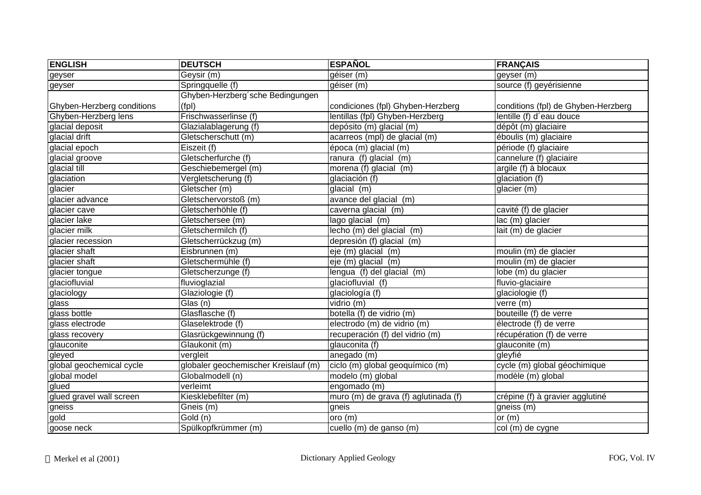| <b>ENGLISH</b>             | <b>DEUTSCH</b>                       | <b>ESPAÑOL</b>                       | <b>FRANÇAIS</b>                     |
|----------------------------|--------------------------------------|--------------------------------------|-------------------------------------|
| geyser                     | Geysir (m)                           | géiser (m)                           | geyser (m)                          |
| geyser                     | Springquelle (f)                     | géiser (m)                           | source (f) geyérisienne             |
|                            | Ghyben-Herzberg'sche Bedingungen     |                                      |                                     |
| Ghyben-Herzberg conditions | (fp)                                 | condiciones (fpl) Ghyben-Herzberg    | conditions (fpl) de Ghyben-Herzberg |
| Ghyben-Herzberg lens       | Frischwasserlinse (f)                | lentillas (fpl) Ghyben-Herzberg      | lentille (f) d'eau douce            |
| glacial deposit            | Glazialablagerung (f)                | depósito (m) glacial (m)             | dépôt (m) glaciaire                 |
| glacial drift              | Gletscherschutt (m)                  | acarreos (mpl) de glacial (m)        | éboulis (m) glaciaire               |
| glacial epoch              | Eiszeit (f)                          | época (m) glacial (m)                | période (f) glaciaire               |
| glacial groove             | Gletscherfurche (f)                  | ranura (f) glacial (m)               | cannelure (f) glaciaire             |
| glacial till               | Geschiebemergel (m)                  | morena (f) glacial (m)               | argile (f) à blocaux                |
| glaciation                 | Vergletscherung (f)                  | glaciación (f)                       | glaciation (f)                      |
| glacier                    | Gletscher (m)                        | glacial (m)                          | glacier (m)                         |
| glacier advance            | Gletschervorstoß (m)                 | avance del glacial (m)               |                                     |
| glacier cave               | Gletscherhöhle (f)                   | caverna glacial (m)                  | cavité (f) de glacier               |
| glacier lake               | Gletschersee (m)                     | lago glacial (m)                     | lac (m) glacier                     |
| glacier milk               | Gletschermilch (f)                   | lecho (m) del glacial (m)            | lait (m) de glacier                 |
| glacier recession          | Gletscherrückzug (m)                 | depresión (f) glacial (m)            |                                     |
| glacier shaft              | Eisbrunnen (m)                       | eje (m) glacial (m)                  | moulin (m) de glacier               |
| glacier shaft              | Gletschermühle (f)                   | eje (m) glacial (m)                  | moulin (m) de glacier               |
| glacier tongue             | Gletscherzunge (f)                   | lengua (f) del glacial (m)           | lobe (m) du glacier                 |
| glaciofluvial              | fluvioglazial                        | glaciofluvial (f)                    | fluvio-glaciaire                    |
| glaciology                 | Glaziologie (f)                      | glaciología (f)                      | glaciologie (f)                     |
| glass                      | $\overline{Glas}$ (n)                | vidrio (m)                           | verre (m)                           |
| glass bottle               | Glasflasche (f)                      | botella (f) de vidrio (m)            | bouteille (f) de verre              |
| glass electrode            | Glaselektrode (f)                    | electrodo (m) de vidrio (m)          | électrode (f) de verre              |
| glass recovery             | Glasrückgewinnung (f)                | recuperación (f) del vidrio (m)      | récupération (f) de verre           |
| glauconite                 | Glaukonit (m)                        | glauconita (f)                       | glauconite (m)                      |
| gleyed                     | vergleit                             | anegado (m)                          | gleyfié                             |
| global geochemical cycle   | globaler geochemischer Kreislauf (m) | ciclo (m) global geoquímico (m)      | cycle (m) global géochimique        |
| global model               | Globalmodell (n)                     | modelo (m) global                    | modèle (m) global                   |
| glued                      | verleimt                             | engomado (m)                         |                                     |
| glued gravel wall screen   | Kiesklebefilter (m)                  | muro (m) de grava (f) aglutinada (f) | crépine (f) à gravier agglutiné     |
| gneiss                     | Gneis (m)                            | gneis                                | gneiss (m)                          |
| gold                       | Gold (n)                             | oro(m)                               | or $(m)$                            |
| goose neck                 | Spülkopfkrümmer (m)                  | cuello (m) de ganso (m)              | col (m) de cygne                    |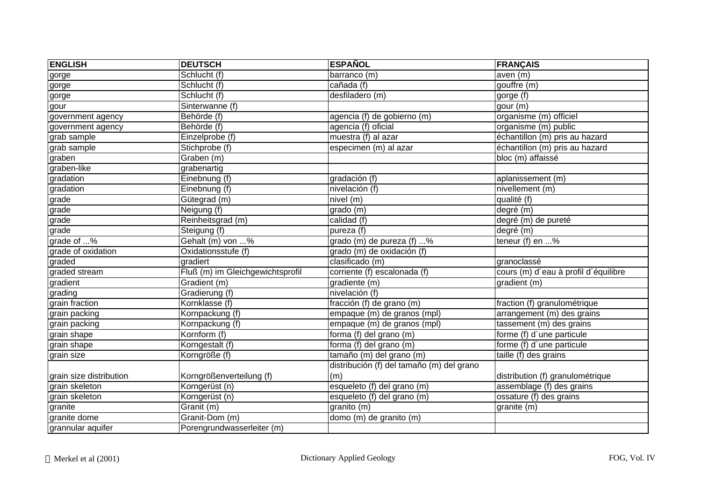| <b>ENGLISH</b>          | <b>DEUTSCH</b>                   | <b>ESPAÑOL</b>                            | <b>FRANÇAIS</b>                              |
|-------------------------|----------------------------------|-------------------------------------------|----------------------------------------------|
| gorge                   | Schlucht (f)                     | barranco (m)                              | aven (m)                                     |
| gorge                   | Schlucht (f)                     | cañada (f)                                | gouffre (m)                                  |
| gorge                   | Schlucht (f)                     | desfiladero (m)                           | gorge (f)                                    |
| gour                    | Sinterwanne (f)                  |                                           | gour (m)                                     |
| government agency       | Behörde (f)                      | agencia (f) de gobierno (m)               | organisme (m) officiel                       |
| government agency       | Behörde (f)                      | agencia (f) oficial                       | organisme (m) public                         |
| grab sample             | Einzelprobe (f)                  | muestra (f) al azar                       | échantillon (m) pris au hazard               |
| grab sample             | Stichprobe (f)                   | especimen (m) al azar                     | échantillon (m) pris au hazard               |
| graben                  | Graben (m)                       |                                           | bloc (m) affaissé                            |
| graben-like             | grabenartig                      |                                           |                                              |
| gradation               | Einebnung (f)                    | gradación (f)                             | aplanissement (m)                            |
| gradation               | Einebnung (f)                    | nivelación (f)                            | nivellement (m)                              |
| grade                   | Gütegrad (m)                     | nivel (m)                                 | qualité (f)                                  |
| grade                   | Neigung (f)                      | grado (m)                                 | degré (m)                                    |
| grade                   | Reinheitsgrad (m)                | calidad (f)                               | degré (m) de pureté                          |
| grade                   | Steigung (f)                     | pureza (f)                                | degré (m)                                    |
| grade of %              | Gehalt (m) von %                 | grado (m) de pureza (f) %                 | teneur (f) en $\overline{\cdot\cdot\cdot}$ % |
| grade of oxidation      | Oxidationsstufe (f)              | grado (m) de oxidación (f)                |                                              |
| graded                  | gradiert                         | clasificado (m)                           | granoclassé                                  |
| graded stream           | Fluß (m) im Gleichgewichtsprofil | corriente (f) escalonada (f)              | cours (m) d'eau à profil d'équilibre         |
| gradient                | Gradient (m)                     | gradiente (m)                             | gradient (m)                                 |
| grading                 | Gradierung (f)                   | nivelación (f)                            |                                              |
| grain fraction          | Kornklasse (f)                   | fracción (f) de grano (m)                 | fraction (f) granulométrique                 |
| grain packing           | Kornpackung (f)                  | empaque (m) de granos (mpl)               | arrangement (m) des grains                   |
| grain packing           | Kornpackung (f)                  | empaque (m) de granos (mpl)               | tassement (m) des grains                     |
| grain shape             | Kornform (f)                     | forma (f) del grano (m)                   | forme (f) d'une particule                    |
| grain shape             | Korngestalt (f)                  | forma (f) del grano (m)                   | forme (f) d'une particule                    |
| grain size              | Korngröße (f)                    | tamaño (m) del grano (m)                  | taille (f) des grains                        |
|                         |                                  | distribución (f) del tamaño (m) del grano |                                              |
| grain size distribution | Korngrößenverteilung (f)         | (m)                                       | distribution (f) granulométrique             |
| grain skeleton          | Korngerüst (n)                   | esqueleto (f) del grano (m)               | assemblage (f) des grains                    |
| grain skeleton          | Korngerüst (n)                   | esqueleto (f) del grano (m)               | ossature (f) des grains                      |
| granite                 | Granit (m)                       | granito (m)                               | granite (m)                                  |
| granite dome            | Granit-Dom (m)                   | domo (m) de granito (m)                   |                                              |
| grannular aquifer       | Porengrundwasserleiter (m)       |                                           |                                              |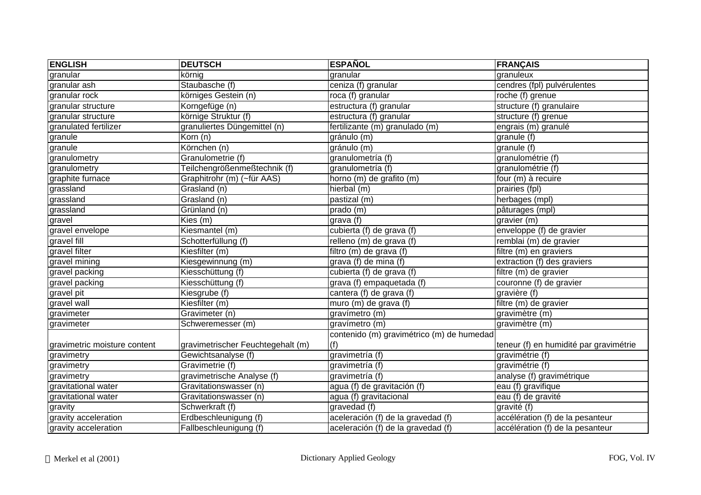| <b>ENGLISH</b>               | <b>DEUTSCH</b>                    | <b>ESPAÑOL</b>                            | <b>FRANÇAIS</b>                        |
|------------------------------|-----------------------------------|-------------------------------------------|----------------------------------------|
| granular                     | körnig                            | granular                                  | granuleux                              |
| granular ash                 | Staubasche (f)                    | ceniza (f) granular                       | cendres (fpl) pulvérulentes            |
| granular rock                | körniges Gestein (n)              | roca (f) granular                         | roche (f) grenue                       |
| granular structure           | Korngefüge (n)                    | estructura (f) granular                   | structure (f) granulaire               |
| granular structure           | körnige Struktur (f)              | estructura (f) granular                   | structure (f) grenue                   |
| granulated fertilizer        | granuliertes Düngemittel (n)      | fertilizante (m) granulado (m)            | engrais (m) granulé                    |
| granule                      | Korn (n)                          | gránulo (m)                               | granule (f)                            |
| granule                      | Körnchen (n)                      | gránulo (m)                               | $granule$ (f)                          |
| granulometry                 | Granulometrie (f)                 | granulometría (f)                         | granulométrie (f)                      |
| granulometry                 | Teilchengrößenmeßtechnik (f)      | granulometría (f)                         | granulométrie (f)                      |
| graphite furnace             | Graphitrohr (m) (~für AAS)        | horno (m) de grafito (m)                  | four (m) à recuire                     |
| grassland                    | Grasland (n)                      | hierbal (m)                               | prairies (fpl)                         |
| grassland                    | Grasland (n)                      | pastizal (m)                              | herbages (mpl)                         |
| grassland                    | Grünland (n)                      | prado (m)                                 | pâturages (mpl)                        |
| gravel                       | Kies (m)                          | grava (f)                                 | gravier (m)                            |
| gravel envelope              | Kiesmantel (m)                    | cubierta (f) de grava (f)                 | enveloppe (f) de gravier               |
| gravel fill                  | Schotterfüllung (f)               | relleno (m) de grava (f)                  | remblai (m) de gravier                 |
| gravel filter                | Kiesfilter (m)                    | filtro (m) de grava (f)                   | filtre (m) en graviers                 |
| gravel mining                | Kiesgewinnung (m)                 | grava (f) de mina (f)                     | extraction (f) des graviers            |
| gravel packing               | Kiesschüttung (f)                 | cubierta (f) de grava (f)                 | filtre (m) de gravier                  |
| gravel packing               | Kiesschüttung (f)                 | grava (f) empaquetada (f)                 | couronne (f) de gravier                |
| gravel pit                   | Kiesgrube (f)                     | cantera (f) de grava (f)                  | gravière (f)                           |
| gravel wall                  | Kiesfilter (m)                    | muro (m) de grava (f)                     | filtre $\overline{(m)}$ de gravier     |
| gravimeter                   | Gravimeter (n)                    | gravímetro (m)                            | gravimètre (m)                         |
| gravimeter                   | Schweremesser (m)                 | gravímetro (m)                            | gravimètre (m)                         |
|                              |                                   | contenido (m) gravimétrico (m) de humedad |                                        |
| gravimetric moisture content | gravimetrischer Feuchtegehalt (m) | (f)                                       | teneur (f) en humidité par gravimétrie |
| gravimetry                   | Gewichtsanalyse (f)               | gravimetría (f)                           | gravimétrie (f)                        |
| gravimetry                   | Gravimetrie (f)                   | gravimetría (f)                           | gravimétrie (f)                        |
| gravimetry                   | gravimetrische Analyse (f)        | gravimetría (f)                           | analyse (f) gravimétrique              |
| gravitational water          | Gravitationswasser (n)            | agua (f) de gravitación (f)               | eau (f) gravifique                     |
| gravitational water          | Gravitationswasser (n)            | agua (f) gravitacional                    | eau (f) de gravité                     |
| gravity                      | Schwerkraft (f)                   | gravedad (f)                              | gravité (f)                            |
| gravity acceleration         | Erdbeschleunigung (f)             | aceleración (f) de la gravedad (f)        | accélération (f) de la pesanteur       |
| gravity acceleration         | Fallbeschleunigung (f)            | aceleración (f) de la gravedad (f)        | accélération (f) de la pesanteur       |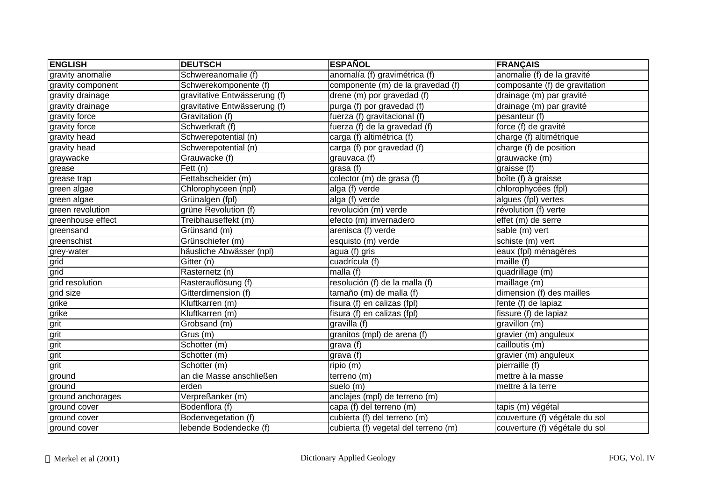| <b>ENGLISH</b>    | <b>DEUTSCH</b>               | <b>ESPAÑOL</b>                       | <b>FRANÇAIS</b>                |
|-------------------|------------------------------|--------------------------------------|--------------------------------|
| gravity anomalie  | Schwereanomalie (f)          | anomalía (f) gravimétrica (f)        | anomalie (f) de la gravité     |
| gravity component | Schwerekomponente (f)        | componente (m) de la gravedad (f)    | composante (f) de gravitation  |
| gravity drainage  | gravitative Entwässerung (f) | drene (m) por gravedad (f)           | drainage (m) par gravité       |
| gravity drainage  | gravitative Entwässerung (f) | purga (f) por gravedad (f)           | drainage (m) par gravité       |
| gravity force     | Gravitation (f)              | fuerza (f) gravitacional (f)         | pesanteur (f)                  |
| gravity force     | Schwerkraft (f)              | fuerza (f) de la gravedad (f)        | force (f) de gravité           |
| gravity head      | Schwerepotential (n)         | carga (f) altimétrica (f)            | charge (f) altimétrique        |
| gravity head      | Schwerepotential (n)         | carga (f) por gravedad (f)           | charge (f) de position         |
| graywacke         | Grauwacke (f)                | grauvaca (f)                         | grauwacke (m)                  |
| grease            | Fett (n)                     | grasa (f)                            | graisse (f)                    |
| grease trap       | Fettabscheider (m)           | colector (m) de grasa (f)            | boîte (f) à graisse            |
| green algae       | Chlorophyceen (npl)          | alga (f) verde                       | chlorophycées (fpl)            |
| green algae       | Grünalgen (fpl)              | alga (f) verde                       | algues (fpl) vertes            |
| green revolution  | grüne Revolution (f)         | revolución (m) verde                 | révolution (f) verte           |
| greenhouse effect | Treibhauseffekt (m)          | efecto (m) invernadero               | $effet(m)$ de serre            |
| greensand         | Grünsand (m)                 | arenisca (f) verde                   | sable (m) vert                 |
| greenschist       | Grünschiefer (m)             | esquisto (m) verde                   | schiste (m) vert               |
| grey-water        | häusliche Abwässer (npl)     | agua (f) gris                        | eaux (fpl) ménagères           |
| grid              | Gitter (n)                   | cuadrícula (f)                       | maille $(f)$                   |
| grid              | Rasternetz (n)               | malla (f)                            | quadrillage (m)                |
| grid resolution   | Rasterauflösung (f)          | resolución (f) de la malla (f)       | maillage (m)                   |
| grid size         | Gitterdimension (f)          | tamaño (m) de malla (f)              | dimension (f) des mailles      |
| grike             | Kluftkarren (m)              | fisura (f) en calizas (fpl)          | fente (f) de lapiaz            |
| grike             | Kluftkarren (m)              | fisura (f) en calizas (fpl)          | fissure (f) de lapiaz          |
| grit              | Grobsand (m)                 | gravilla (f)                         | gravillon (m)                  |
| grit              | Grus (m)                     | granitos (mpl) de arena (f)          | gravier (m) anguleux           |
| grit              | Schotter (m)                 | grava (f)                            | cailloutis (m)                 |
| grit              | Schotter (m)                 | grava (f)                            | gravier (m) anguleux           |
| grit              | Schotter (m)                 | ripio (m)                            | pierraille (f)                 |
| ground            | an die Masse anschließen     | terreno (m)                          | mettre à la masse              |
| ground            | erden                        | suelo (m)                            | mettre à la terre              |
| ground anchorages | Verpreßanker (m)             | anclajes (mpl) de terreno (m)        |                                |
| ground cover      | Bodenflora (f)               | capa (f) del terreno (m)             | tapis (m) végétal              |
| ground cover      | Bodenvegetation (f)          | cubierta (f) del terreno (m)         | couverture (f) végétale du sol |
| ground cover      | lebende Bodendecke (f)       | cubierta (f) vegetal del terreno (m) | couverture (f) végétale du sol |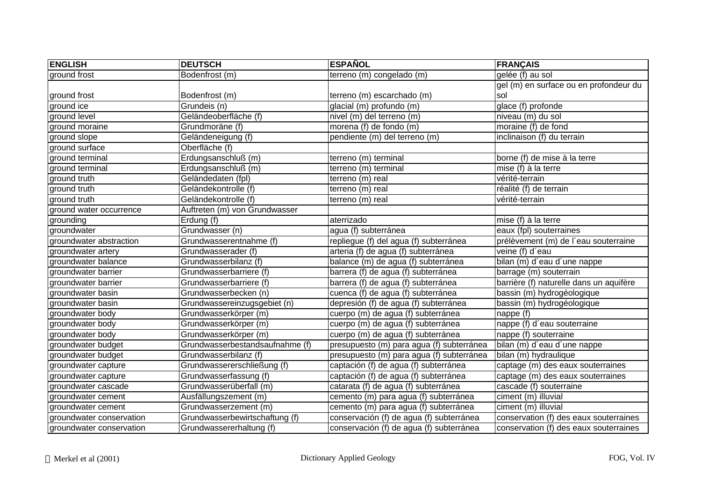| <b>ENGLISH</b>           | <b>DEUTSCH</b>                  | <b>ESPAÑOL</b>                            | <b>FRANÇAIS</b>                         |
|--------------------------|---------------------------------|-------------------------------------------|-----------------------------------------|
| ground frost             | Bodenfrost (m)                  | terreno (m) congelado (m)                 | gelée (f) au sol                        |
|                          |                                 |                                           | gel (m) en surface ou en profondeur du  |
| ground frost             | Bodenfrost (m)                  | terreno (m) escarchado (m)                | sol                                     |
| ground ice               | Grundeis (n)                    | glacial (m) profundo (m)                  | glace (f) profonde                      |
| ground level             | Geländeoberfläche (f)           | nivel (m) del terreno (m)                 | niveau (m) du sol                       |
| ground moraine           | Grundmoräne (f)                 | morena (f) de fondo (m)                   | moraine (f) de fond                     |
| ground slope             | Geländeneigung (f)              | pendiente (m) del terreno (m)             | inclinaison (f) du terrain              |
| ground surface           | Oberfläche (f)                  |                                           |                                         |
| ground terminal          | Erdungsanschluß (m)             | terreno (m) terminal                      | borne (f) de mise à la terre            |
| ground terminal          | Erdungsanschluß (m)             | terreno (m) terminal                      | mise (f) à la terre                     |
| ground truth             | Geländedaten (fpl)              | terreno (m) real                          | vérité-terrain                          |
| ground truth             | Geländekontrolle (f)            | terreno (m) real                          | réalité (f) de terrain                  |
| ground truth             | Geländekontrolle (f)            | terreno (m) real                          | vérité-terrain                          |
| ground water occurrence  | Auftreten (m) von Grundwasser   |                                           |                                         |
| grounding                | Erdung (f)                      | aterrizado                                | mise (f) à la terre                     |
| groundwater              | Grundwasser (n)                 | agua (f) subterránea                      | eaux (fpl) souterraines                 |
| groundwater abstraction  | Grundwasserentnahme (f)         | repliegue (f) del agua (f) subterránea    | prélèvement (m) de l'eau souterraine    |
| groundwater artery       | Grundwasserader (f)             | arteria (f) de agua (f) subterránea       | veine (f) d'eau                         |
| groundwater balance      | Grundwasserbilanz (f)           | balance (m) de agua (f) subterránea       | bilan (m) d'eau d'une nappe             |
| groundwater barrier      | Grundwasserbarriere (f)         | barrera (f) de agua (f) subterránea       | barrage (m) souterrain                  |
| groundwater barrier      | Grundwasserbarriere (f)         | barrera (f) de agua (f) subterránea       | barrière (f) naturelle dans un aquifère |
| groundwater basin        | Grundwasserbecken (n)           | cuenca (f) de agua (f) subterránea        | bassin (m) hydrogéologique              |
| groundwater basin        | Grundwassereinzugsgebiet (n)    | depresión (f) de agua (f) subterránea     | bassin (m) hydrogéologique              |
| groundwater body         | Grundwasserkörper (m)           | cuerpo (m) de agua (f) subterránea        | nappe (f)                               |
| groundwater body         | Grundwasserkörper (m)           | cuerpo (m) de agua (f) subterránea        | nappe (f) d'eau souterraine             |
| groundwater body         | Grundwasserkörper (m)           | cuerpo (m) de agua (f) subterránea        | nappe (f) souterraine                   |
| groundwater budget       | Grundwasserbestandsaufnahme (f) | presupuesto (m) para agua (f) subterránea | bilan (m) d'eau d'une nappe             |
| groundwater budget       | Grundwasserbilanz (f)           | presupuesto (m) para agua (f) subterránea | bilan (m) hydraulique                   |
| groundwater capture      | Grundwassererschließung (f)     | captación (f) de agua (f) subterránea     | captage (m) des eaux souterraines       |
| groundwater capture      | Grundwasserfassung (f)          | captación (f) de agua (f) subterránea     | captage (m) des eaux souterraines       |
| groundwater cascade      | Grundwasserüberfall (m)         | catarata (f) de agua (f) subterránea      | cascade (f) souterraine                 |
| groundwater cement       | Ausfällungszement (m)           | cemento (m) para agua (f) subterránea     | ciment (m) illuvial                     |
| groundwater cement       | Grundwasserzement (m)           | cemento (m) para agua (f) subterránea     | ciment (m) illuvial                     |
| groundwater conservation | Grundwasserbewirtschaftung (f)  | conservación (f) de agua (f) subterránea  | conservation (f) des eaux souterraines  |
| groundwater conservation | Grundwassererhaltung (f)        | conservación (f) de agua (f) subterránea  | conservation (f) des eaux souterraines  |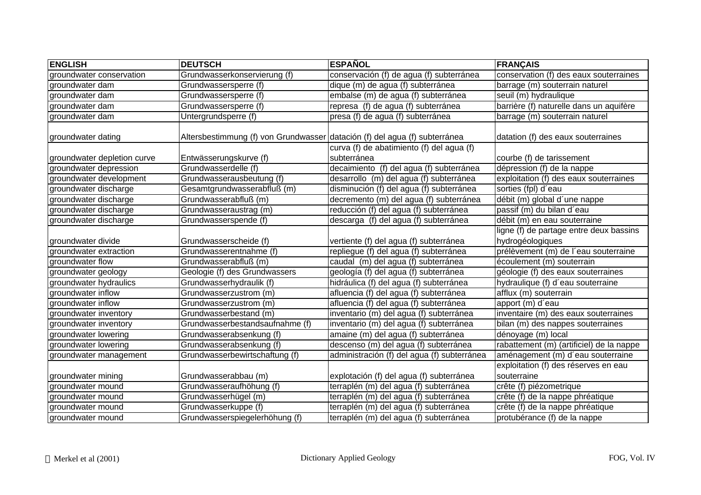| <b>ENGLISH</b>              | <b>DEUTSCH</b>                                                             | <b>ESPAÑOL</b>                              | <b>FRANÇAIS</b>                          |
|-----------------------------|----------------------------------------------------------------------------|---------------------------------------------|------------------------------------------|
| groundwater conservation    | Grundwasserkonservierung (f)                                               | conservación (f) de agua (f) subterránea    | conservation (f) des eaux souterraines   |
| groundwater dam             | Grundwassersperre (f)                                                      | dique (m) de agua (f) subterránea           | barrage (m) souterrain naturel           |
| groundwater dam             | Grundwassersperre (f)                                                      | embalse (m) de agua (f) subterránea         | seuil (m) hydraulique                    |
| groundwater dam             | Grundwassersperre (f)                                                      | represa (f) de agua (f) subterránea         | barrière (f) naturelle dans un aquifère  |
| groundwater dam             | Untergrundsperre (f)                                                       | presa (f) de agua (f) subterránea           | barrage (m) souterrain naturel           |
|                             |                                                                            |                                             |                                          |
| groundwater dating          | Altersbestimmung (f) von Grundwasser datación (f) del agua (f) subterránea |                                             | datation (f) des eaux souterraines       |
|                             |                                                                            | curva (f) de abatimiento (f) del agua (f)   |                                          |
| groundwater depletion curve | Entwässerungskurve (f)                                                     | subterránea                                 | courbe (f) de tarissement                |
| groundwater depression      | Grundwasserdelle (f)                                                       | decaimiento (f) del agua (f) subterránea    | dépression (f) de la nappe               |
| groundwater development     | Grundwasserausbeutung (f)                                                  | desarrollo (m) del agua (f) subterránea     | exploitation (f) des eaux souterraines   |
| groundwater discharge       | Gesamtgrundwasserabfluß (m)                                                | disminución (f) del agua (f) subterránea    | sorties (fpl) d'eau                      |
| groundwater discharge       | Grundwasserabfluß (m)                                                      | decremento (m) del agua (f) subterránea     | débit (m) global d'une nappe             |
| groundwater discharge       | Grundwasseraustrag (m)                                                     | reducción (f) del agua (f) subterránea      | passif (m) du bilan d'eau                |
| groundwater discharge       | Grundwasserspende (f)                                                      | descarga (f) del agua (f) subterránea       | débit (m) en eau souterraine             |
|                             |                                                                            |                                             | ligne (f) de partage entre deux bassins  |
| groundwater divide          | Grundwasserscheide (f)                                                     | vertiente (f) del agua (f) subterránea      | hydrogéologiques                         |
| groundwater extraction      | Grundwasserentnahme (f)                                                    | repliegue (f) del agua (f) subterránea      | prélèvement (m) de l'eau souterraine     |
| groundwater flow            | Grundwasserabfluß (m)                                                      | caudal (m) del agua (f) subterránea         | écoulement (m) souterrain                |
| groundwater geology         | Geologie (f) des Grundwassers                                              | geología (f) del agua (f) subterránea       | géologie (f) des eaux souterraines       |
| groundwater hydraulics      | Grundwasserhydraulik (f)                                                   | hidráulica (f) del agua (f) subterránea     | hydraulique (f) d'eau souterraine        |
| groundwater inflow          | Grundwasserzustrom (m)                                                     | afluencia (f) del agua (f) subterránea      | afflux (m) souterrain                    |
| groundwater inflow          | Grundwasserzustrom (m)                                                     | afluencia (f) del agua (f) subterránea      | apport (m) d'eau                         |
| groundwater inventory       | Grundwasserbestand (m)                                                     | inventario (m) del agua (f) subterránea     | inventaire (m) des eaux souterraines     |
| groundwater inventory       | Grundwasserbestandsaufnahme (f)                                            | inventario (m) del agua (f) subterránea     | bilan (m) des nappes souterraines        |
| groundwater lowering        | Grundwasserabsenkung (f)                                                   | amaine (m) del agua (f) subterránea         | dénoyage (m) local                       |
| groundwater lowering        | Grundwasserabsenkung (f)                                                   | descenso (m) del agua (f) subterránea       | rabattement (m) (artificiel) de la nappe |
| groundwater management      | Grundwasserbewirtschaftung (f)                                             | administración (f) del agua (f) subterránea | aménagement (m) d'eau souterraine        |
|                             |                                                                            |                                             | exploitation (f) des réserves en eau     |
| groundwater mining          | Grundwasserabbau (m)                                                       | explotación (f) del agua (f) subterránea    | souterraine                              |
| groundwater mound           | Grundwasseraufhöhung (f)                                                   | terraplén (m) del agua (f) subterránea      | crête (f) piézometrique                  |
| groundwater mound           | Grundwasserhügel (m)                                                       | terraplén (m) del agua (f) subterránea      | crête (f) de la nappe phréatique         |
| groundwater mound           | Grundwasserkuppe (f)                                                       | terraplén (m) del agua (f) subterránea      | crête (f) de la nappe phréatique         |
| groundwater mound           | Grundwasserspiegelerhöhung (f)                                             | terraplén (m) del agua (f) subterránea      | protubérance (f) de la nappe             |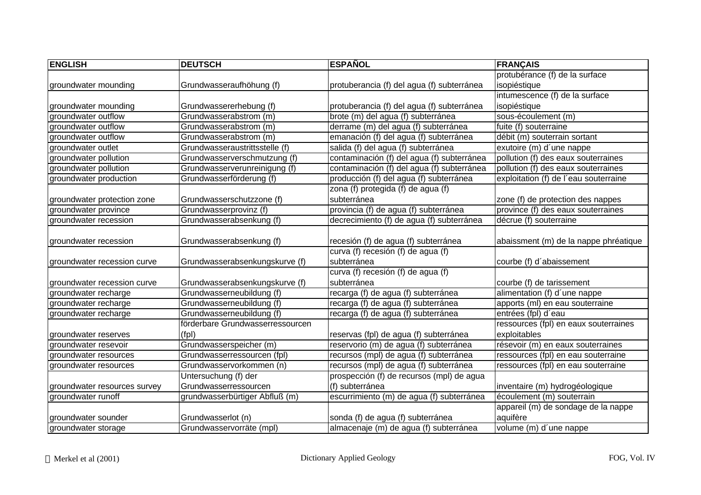| <b>ENGLISH</b>               | <b>DEUTSCH</b>                   | <b>ESPAÑOL</b>                             | <b>FRANÇAIS</b>                       |
|------------------------------|----------------------------------|--------------------------------------------|---------------------------------------|
|                              |                                  |                                            | protubérance (f) de la surface        |
| groundwater mounding         | Grundwasseraufhöhung (f)         | protuberancia (f) del agua (f) subterránea | isopiéstique                          |
|                              |                                  |                                            | intumescence (f) de la surface        |
| groundwater mounding         | Grundwassererhebung (f)          | protuberancia (f) del agua (f) subterránea | isopiéstique                          |
| groundwater outflow          | Grundwasserabstrom (m)           | brote (m) del agua (f) subterránea         | sous-écoulement (m)                   |
| groundwater outflow          | Grundwasserabstrom (m)           | derrame (m) del agua (f) subterránea       | fuite (f) souterraine                 |
| groundwater outflow          | Grundwasserabstrom (m)           | emanación (f) del agua (f) subterránea     | débit (m) souterrain sortant          |
| groundwater outlet           | Grundwasseraustrittsstelle (f)   | salida (f) del agua (f) subterránea        | exutoire (m) d'une nappe              |
| groundwater pollution        | Grundwasserverschmutzung (f)     | contaminación (f) del agua (f) subterránea | pollution (f) des eaux souterraines   |
| groundwater pollution        | Grundwasserverunreinigung (f)    | contaminación (f) del agua (f) subterránea | pollution (f) des eaux souterraines   |
| groundwater production       | Grundwasserförderung (f)         | producción (f) del agua (f) subterránea    | exploitation (f) de l'eau souterraine |
|                              |                                  | zona (f) protegida (f) de agua (f)         |                                       |
| groundwater protection zone  | Grundwasserschutzzone (f)        | subterránea                                | zone (f) de protection des nappes     |
| groundwater province         | Grundwasserprovinz (f)           | provincia (f) de agua (f) subterránea      | province (f) des eaux souterraines    |
| groundwater recession        | Grundwasserabsenkung (f)         | decrecimiento (f) de agua (f) subterránea  | décrue (f) souterraine                |
|                              |                                  |                                            |                                       |
| groundwater recession        | Grundwasserabsenkung (f)         | recesión (f) de agua (f) subterránea       | abaissment (m) de la nappe phréatique |
|                              |                                  | curva (f) recesión (f) de agua (f)         |                                       |
| groundwater recession curve  | Grundwasserabsenkungskurve (f)   | subterránea                                | courbe (f) d'abaissement              |
|                              |                                  | curva (f) recesión (f) de agua (f)         |                                       |
| groundwater recession curve  | Grundwasserabsenkungskurve (f)   | subterránea                                | courbe (f) de tarissement             |
| groundwater recharge         | Grundwasserneubildung (f)        | recarga (f) de agua (f) subterránea        | alimentation (f) d'une nappe          |
| groundwater recharge         | Grundwasserneubildung (f)        | recarga (f) de agua (f) subterránea        | apports (ml) en eau souterraine       |
| groundwater recharge         | Grundwasserneubildung (f)        | recarga (f) de agua (f) subterránea        | entrées (fpl) d'eau                   |
|                              | förderbare Grundwasserressourcen |                                            | ressources (fpl) en eaux souterraines |
| groundwater reserves         | (fpl)                            | reservas (fpl) de agua (f) subterránea     | exploitables                          |
| groundwater resevoir         | Grundwasserspeicher (m)          | reservorio (m) de agua (f) subterránea     | résevoir (m) en eaux souterraines     |
| groundwater resources        | Grundwasserressourcen (fpl)      | recursos (mpl) de agua (f) subterránea     | ressources (fpl) en eau souterraine   |
| groundwater resources        | Grundwasservorkommen (n)         | recursos (mpl) de agua (f) subterránea     | ressources (fpl) en eau souterraine   |
|                              | Untersuchung (f) der             | prospección (f) de recursos (mpl) de agua  |                                       |
| groundwater resources survey | Grundwasserressourcen            | (f) subterránea                            | inventaire (m) hydrogéologique        |
| groundwater runoff           | grundwasserbürtiger Abfluß (m)   | escurrimiento (m) de agua (f) subterránea  | écoulement (m) souterrain             |
|                              |                                  |                                            | appareil (m) de sondage de la nappe   |
| groundwater sounder          | Grundwasserlot (n)               | sonda (f) de agua (f) subterránea          | aquifère                              |
| groundwater storage          | Grundwasservorräte (mpl)         | almacenaje (m) de agua (f) subterránea     | volume (m) d'une nappe                |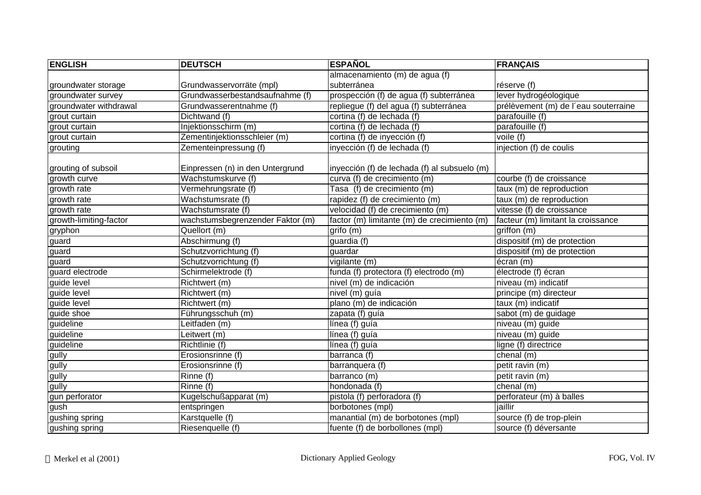| <b>ENGLISH</b>         | <b>DEUTSCH</b>                   | <b>ESPAÑOL</b>                               | <b>FRANÇAIS</b>                      |
|------------------------|----------------------------------|----------------------------------------------|--------------------------------------|
|                        |                                  | almacenamiento (m) de agua (f)               |                                      |
| groundwater storage    | Grundwasservorräte (mpl)         | subterránea                                  | réserve (f)                          |
| groundwater survey     | Grundwasserbestandsaufnahme (f)  | prospección (f) de agua (f) subterránea      | lever hydrogéologique                |
| groundwater withdrawal | Grundwasserentnahme (f)          | repliegue (f) del agua (f) subterránea       | prélèvement (m) de l'eau souterraine |
| grout curtain          | Dichtwand (f)                    | cortina (f) de lechada (f)                   | parafouille (f)                      |
| grout curtain          | Injektionsschirm (m)             | cortina (f) de lechada (f)                   | parafouille (f)                      |
| grout curtain          | Zementinjektionsschleier (m)     | cortina (f) de inyección (f)                 | voile (f)                            |
| grouting               | Zementeinpressung (f)            | inyección (f) de lechada (f)                 | injection (f) de coulis              |
| grouting of subsoil    | Einpressen (n) in den Untergrund | inyección (f) de lechada (f) al subsuelo (m) |                                      |
| growth curve           | Wachstumskurve (f)               | curva (f) de crecimiento (m)                 | courbe (f) de croissance             |
| growth rate            | Vermehrungsrate (f)              | Tasa (f) de crecimiento (m)                  | taux (m) de reproduction             |
| growth rate            | Wachstumsrate (f)                | rapidez (f) de crecimiento (m)               | taux (m) de reproduction             |
| growth rate            | Wachstumsrate (f)                | velocidad (f) de crecimiento (m)             | vitesse (f) de croissance            |
| growth-limiting-factor | wachstumsbegrenzender Faktor (m) | factor (m) limitante (m) de crecimiento (m)  | facteur (m) limitant la croissance   |
| gryphon                | Quellort (m)                     | grifo (m)                                    | griffon (m)                          |
| guard                  | Abschirmung (f)                  | guardia (f)                                  | dispositif (m) de protection         |
| guard                  | Schutzvorrichtung (f)            | guardar                                      | dispositif (m) de protection         |
| guard                  | Schutzvorrichtung (f)            | vigilante (m)                                | écran (m)                            |
| guard electrode        | Schirmelektrode (f)              | funda (f) protectora (f) electrodo (m)       | électrode (f) écran                  |
| guide level            | Richtwert (m)                    | nivel (m) de indicación                      | niveau (m) indicatif                 |
| guide level            | Richtwert (m)                    | nivel (m) guía                               | principe (m) directeur               |
| guide level            | Richtwert (m)                    | plano (m) de indicación                      | taux (m) indicatif                   |
| guide shoe             | Führungsschuh (m)                | zapata (f) guía                              | sabot (m) de guidage                 |
| guideline              | Leitfaden (m)                    | línea (f) guía                               | niveau (m) guide                     |
| guideline              | Leitwert (m)                     | línea (f) guía                               | niveau (m) guide                     |
| guideline              | Richtlinie (f)                   | línea (f) guía                               | ligne (f) directrice                 |
| gully                  | Erosionsrinne (f)                | barranca (f)                                 | chenal $(m)$                         |
| gully                  | Erosionsrinne (f)                | barranquera (f)                              | petit ravin (m)                      |
| gully                  | Rinne (f)                        | barranco (m)                                 | petit ravin (m)                      |
| gully                  | Rinne (f)                        | hondonada (f)                                | chenal (m)                           |
| gun perforator         | Kugelschußapparat (m)            | pistola (f) perforadora (f)                  | perforateur (m) à balles             |
| gush                   | entspringen                      | borbotones (mpl)                             | jaillir                              |
| gushing spring         | Karstquelle (f)                  | manantial (m) de borbotones (mpl)            | source (f) de trop-plein             |
| gushing spring         | Riesenquelle (f)                 | fuente (f) de borbollones (mpl)              | source (f) déversante                |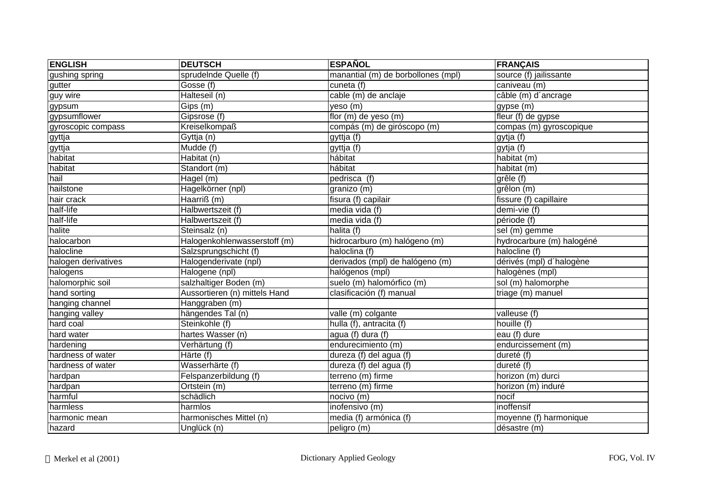| <b>ENGLISH</b>      | <b>DEUTSCH</b>                | <b>ESPAÑOL</b>                     | <b>FRANÇAIS</b>           |
|---------------------|-------------------------------|------------------------------------|---------------------------|
| gushing spring      | sprudeInde Quelle (f)         | manantial (m) de borbollones (mpl) | source (f) jailissante    |
| gutter              | Gosse (f)                     | cuneta $(f)$                       | caniveau (m)              |
| guy wire            | Halteseil (n)                 | cable (m) de anclaje               | câble (m) d'ancrage       |
| gypsum              | Gips (m)                      | yeso (m)                           | gypse (m)                 |
| gypsumflower        | Gipsrose (f)                  | flor (m) de yeso (m)               | fleur (f) de gypse        |
| gyroscopic compass  | <b>Kreiselkompaß</b>          | compás (m) de giróscopo (m)        | compas (m) gyroscopique   |
| gyttja              | Gyttja (n)                    | gyttja (f)                         | gytja (f)                 |
| gyttja              | Mudde (f)                     | gyttja (f)                         | gytja (f)                 |
| habitat             | Habitat (n)                   | hábitat                            | habitat (m)               |
| habitat             | Standort (m)                  | hábitat                            | habitat (m)               |
| hail                | Hagel (m)                     | pedrisca (f)                       | grêle (f)                 |
| hailstone           | Hagelkörner (npl)             | granizo (m)                        | grêlon (m)                |
| hair crack          | Haarriß (m)                   | fisura (f) capilair                | fissure (f) capillaire    |
| half-life           | Halbwertszeit (f)             | media vida (f)                     | demi-vie (f)              |
| half-life           | Halbwertszeit (f)             | media vida (f)                     | période (f)               |
| halite              | Steinsalz (n)                 | halita (f)                         | sel $(m)$ gemme           |
| halocarbon          | Halogenkohlenwasserstoff (m)  | hidrocarburo (m) halógeno (m)      | hydrocarbure (m) halogéné |
| halocline           | Salzsprungschicht (f)         | haloclina (f)                      | halocline (f)             |
| halogen derivatives | Halogenderivate (npl)         | derivados (mpl) de halógeno (m)    | dérivés (mpl) d'halogène  |
| halogens            | Halogene (npl)                | halógenos (mpl)                    | halogènes (mpl)           |
| halomorphic soil    | salzhaltiger Boden (m)        | suelo (m) halomórfico (m)          | sol (m) halomorphe        |
| hand sorting        | Aussortieren (n) mittels Hand | clasificación (f) manual           | triage (m) manuel         |
| hanging channel     | Hanggraben (m)                |                                    |                           |
| hanging valley      | hängendes Tal (n)             | valle (m) colgante                 | valleuse (f)              |
| hard coal           | Steinkohle (f)                | hulla (f), antracita (f)           | houille (f)               |
| hard water          | hartes Wasser (n)             | agua (f) dura (f)                  | eau (f) dure              |
| hardening           | Verhärtung (f)                | endurecimiento (m)                 | endurcissement (m)        |
| hardness of water   | Härte (f)                     | dureza (f) del agua (f)            | dureté (f)                |
| hardness of water   | Wasserhärte (f)               | dureza (f) del agua (f)            | dureté (f)                |
| hardpan             | Felspanzerbildung (f)         | terreno (m) firme                  | horizon (m) durci         |
| hardpan             | Ortstein (m)                  | terreno (m) firme                  | horizon (m) induré        |
| harmful             | schädlich                     | nocivo (m)                         | nocif                     |
| harmless            | harmlos                       | inofensivo (m)                     | inoffensif                |
| harmonic mean       | harmonisches Mittel (n)       | media (f) armónica (f)             | moyenne (f) harmonique    |
| hazard              | Unglück (n)                   | peligro (m)                        | désastre (m)              |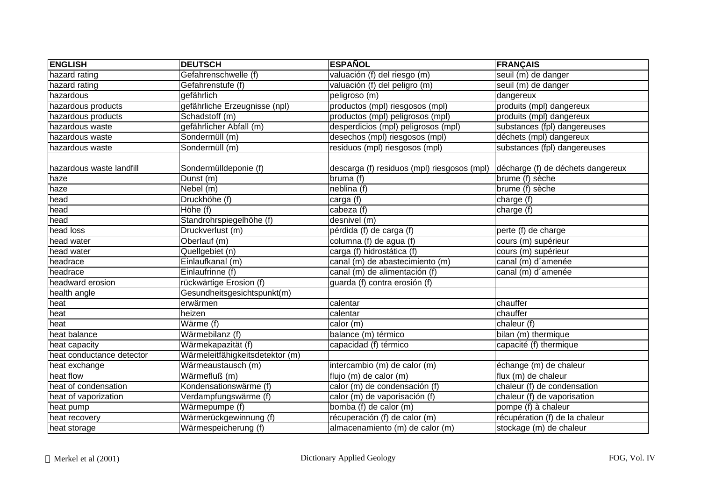| <b>ENGLISH</b>            | <b>DEUTSCH</b>                  | <b>ESPAÑOL</b>                              | <b>FRANÇAIS</b>                   |
|---------------------------|---------------------------------|---------------------------------------------|-----------------------------------|
| hazard rating             | Gefahrenschwelle (f)            | valuación (f) del riesgo (m)                | seuil (m) de danger               |
| hazard rating             | Gefahrenstufe (f)               | valuación (f) del peligro (m)               | seuil (m) de danger               |
| hazardous                 | gefährlich                      | peligroso (m)                               | dangereux                         |
| hazardous products        | gefährliche Erzeugnisse (npl)   | productos (mpl) riesgosos (mpl)             | produits (mpl) dangereux          |
| hazardous products        | Schadstoff (m)                  | productos (mpl) peligrosos (mpl)            | produits (mpl) dangereux          |
| hazardous waste           | gefährlicher Abfall (m)         | desperdicios (mpl) peligrosos (mpl)         | substances (fpl) dangereuses      |
| hazardous waste           | Sondermüll (m)                  | desechos (mpl) riesgosos (mpl)              | déchets (mpl) dangereux           |
| hazardous waste           | Sondermüll (m)                  | residuos (mpl) riesgosos (mpl)              | substances (fpl) dangereuses      |
| hazardous waste landfill  | Sondermülldeponie (f)           | descarga (f) residuos (mpl) riesgosos (mpl) | décharge (f) de déchets dangereux |
| haze                      | Dunst (m)                       | bruma (f)                                   | brume (f) sèche                   |
| haze                      | Nebel (m)                       | neblina (f)                                 | brume (f) sèche                   |
| head                      | Druckhöhe (f)                   | carga (f)                                   | charge (f)                        |
| head                      | Höhe (f)                        | cabeza (f)                                  | charge (f)                        |
| head                      | Standrohrspiegelhöhe (f)        | desnivel (m)                                |                                   |
| head loss                 | Druckverlust (m)                | pérdida (f) de carga (f)                    | perte (f) de charge               |
| head water                | Oberlauf (m)                    | columna (f) de agua (f)                     | cours (m) supérieur               |
| head water                | Quellgebiet (n)                 | carga (f) hidrostática (f)                  | cours (m) supérieur               |
| headrace                  | Einlaufkanal (m)                | canal (m) de abastecimiento (m)             | canal (m) d'amenée                |
| headrace                  | Einlaufrinne (f)                | canal (m) de alimentación (f)               | canal (m) d'amenée                |
| headward erosion          | rückwärtige Erosion (f)         | guarda (f) contra erosión (f)               |                                   |
| health angle              | Gesundheitsgesichtspunkt(m)     |                                             |                                   |
| heat                      | erwärmen                        | calentar                                    | chauffer                          |
| heat                      | heizen                          | calentar                                    | chauffer                          |
| heat                      | Wärme (f)                       | calor (m)                                   | chaleur (f)                       |
| heat balance              | Wärmebilanz (f)                 | balance (m) térmico                         | bilan (m) thermique               |
| heat capacity             | Wärmekapazität (f)              | capacidad (f) térmico                       | capacité (f) thermique            |
| heat conductance detector | Wärmeleitfähigkeitsdetektor (m) |                                             |                                   |
| heat exchange             | Wärmeaustausch (m)              | intercambio (m) de calor (m)                | échange (m) de chaleur            |
| heat flow                 | Wärmefluß (m)                   | flujo (m) de calor (m)                      | flux (m) de chaleur               |
| heat of condensation      | Kondensationswärme (f)          | calor (m) de condensación (f)               | chaleur (f) de condensation       |
| heat of vaporization      | Verdampfungswärme (f)           | calor (m) de vaporisación (f)               | chaleur (f) de vaporisation       |
| heat pump                 | Wärmepumpe (f)                  | bomba (f) de calor (m)                      | pompe (f) à chaleur               |
| heat recovery             | Wärmerückgewinnung (f)          | récuperación (f) de calor (m)               | récupération (f) de la chaleur    |
| heat storage              | Wärmespeicherung (f)            | almacenamiento (m) de calor (m)             | stockage (m) de chaleur           |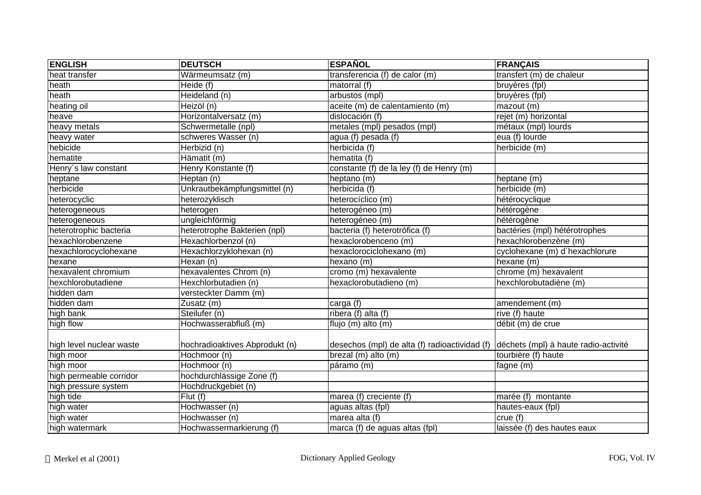| <b>ENGLISH</b>           | <b>DEUTSCH</b>                 | <b>ESPAÑOL</b>                                | <b>FRANÇAIS</b>                      |
|--------------------------|--------------------------------|-----------------------------------------------|--------------------------------------|
| heat transfer            | Wärmeumsatz (m)                | transferencia (f) de calor (m)                | transfert (m) de chaleur             |
| heath                    | Heide (f)                      | matorral (f)                                  | bruyères (fpl)                       |
| heath                    | Heideland (n)                  | arbustos (mpl)                                | bruyères (fpl)                       |
| heating oil              | Heizöl (n)                     | aceite (m) de calentamiento (m)               | mazout (m)                           |
| heave                    | Horizontalversatz (m)          | dislocación (f)                               | rejet (m) horizontal                 |
| heavy metals             | Schwermetalle (npl)            | metales (mpl) pesados (mpl)                   | métaux (mpl) lourds                  |
| heavy water              | schweres Wasser (n)            | agua (f) pesada (f)                           | eua (f) lourde                       |
| hebicide                 | Herbizid (n)                   | herbicida (f)                                 | herbicide (m)                        |
| hematite                 | Hämatit (m)                    | hematita (f)                                  |                                      |
| Henry's law constant     | Henry Konstante (f)            | constante (f) de la ley (f) de Henry (m)      |                                      |
| heptane                  | Heptan (n)                     | heptano (m)                                   | heptane (m)                          |
| herbicide                | Unkrautbekämpfungsmittel (n)   | herbicida (f)                                 | herbicide (m)                        |
| heterocyclic             | heterozyklisch                 | heterocíclico (m)                             | hétérocyclique                       |
| heterogeneous            | heterogen                      | heterogéneo (m)                               | hétérogène                           |
| heterogeneous            | ungleichförmig                 | heterogéneo (m)                               | hétérogène                           |
| heterotrophic bacteria   | heterotrophe Bakterien (npl)   | bacteria (f) heterotrófica (f)                | bactéries (mpl) hétérotrophes        |
| hexachlorobenzene        | Hexachlorbenzol (n)            | hexaclorobenceno (m)                          | hexachlorobenzène (m)                |
| hexachlorocyclohexane    | Hexachlorzyklohexan (n)        | hexaclorociclohexano (m)                      | cyclohexane (m) d'hexachlorure       |
| hexane                   | Hexan(n)                       | hexano (m)                                    | hexane (m)                           |
| hexavalent chromium      | hexavalentes Chrom (n)         | cromo (m) hexavalente                         | chrome (m) hexavalent                |
| hexchlorobutadiene       | Hexchlorbutadien (n)           | hexaclorobutadieno (m)                        | hexchlorobutadiène (m)               |
| hidden dam               | versteckter Damm (m)           |                                               |                                      |
| hidden dam               | Zusatz (m)                     | carga (f)                                     | amendement (m)                       |
| high bank                | Steilufer (n)                  | ribera (f) alta (f)                           | rive (f) haute                       |
| high flow                | Hochwasserabfluß (m)           | flujo (m) alto (m)                            | débit (m) de crue                    |
|                          |                                |                                               |                                      |
| high level nuclear waste | hochradioaktives Abprodukt (n) | desechos (mpl) de alta (f) radioactividad (f) | déchets (mpl) à haute radio-activité |
| high moor                | Hochmoor (n)                   | brezal (m) alto (m)                           | tourbière (f) haute                  |
| high moor                | Hochmoor (n)                   | páramo (m)                                    | fagne (m)                            |
| high permeable corridor  | hochdurchlässige Zone (f)      |                                               |                                      |
| high pressure system     | Hochdruckgebiet (n)            |                                               |                                      |
| high tide                | $\overline{Flut}$ (f)          | marea (f) creciente (f)                       | marée (f)<br>montante                |
| high water               | Hochwasser (n)                 | aguas altas (fpl)                             | hautes-eaux (fpl)                    |
| high water               | Hochwasser (n)                 | marea alta (f)                                | crue (f)                             |
| high watermark           | Hochwassermarkierung (f)       | marca (f) de aguas altas (fpl)                | laissée (f) des hautes eaux          |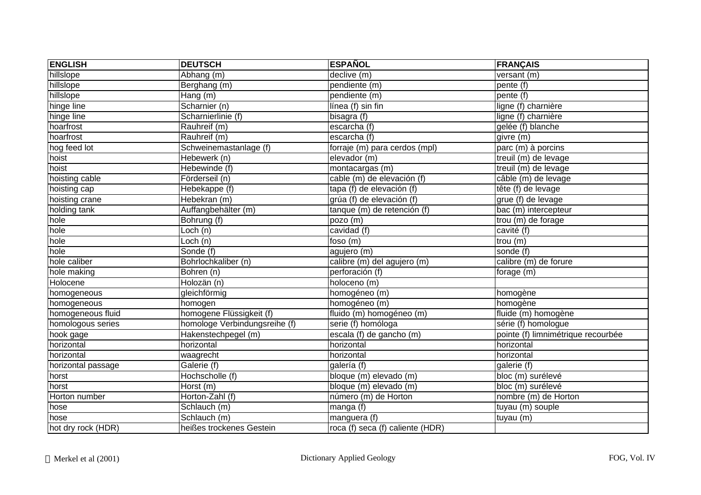| <b>ENGLISH</b>     | <b>DEUTSCH</b>                | <b>ESPAÑOL</b>                   | <b>FRANÇAIS</b>                    |
|--------------------|-------------------------------|----------------------------------|------------------------------------|
| hillslope          | Abhang (m)                    | declive (m)                      | versant $(m)$                      |
| hillslope          | Berghang (m)                  | pendiente (m)                    | pente (f)                          |
| hillslope          | Hang (m)                      | pendiente (m)                    | pente (f)                          |
| hinge line         | Scharnier (n)                 | línea (f) sin fin                | ligne (f) charnière                |
| hinge line         | Scharnierlinie (f)            | bisagra $\overline{(f)}$         | ligne (f) charnière                |
| hoarfrost          | Rauhreif (m)                  | escarcha (f)                     | gelée (f) blanche                  |
| hoarfrost          | Rauhreif (m)                  | escarcha (f)                     | givre (m)                          |
| hog feed lot       | Schweinemastanlage (f)        | forraje (m) para cerdos (mpl)    | parc (m) à porcins                 |
| hoist              | Hebewerk (n)                  | elevador (m)                     | treuil (m) de levage               |
| hoist              | Hebewinde (f)                 | montacargas (m)                  | treuil (m) de levage               |
| hoisting cable     | Förderseil (n)                | cable (m) de elevación (f)       | $c$ âble $(m)$ de levage           |
| hoisting cap       | Hebekappe (f)                 | tapa (f) de elevación (f)        | tête (f) de levage                 |
| hoisting crane     | Hebekran (m)                  | grúa (f) de elevación (f)        | grue (f) de levage                 |
| holding tank       | Auffangbehälter (m)           | tanque (m) de retención (f)      | bac (m) intercepteur               |
| hole               | Bohrung (f)                   | pozo (m)                         | trou (m) de forage                 |
| hole               | $\overline{\text{Loch}}$ (n)  | cavidad (f)                      | cavité (f)                         |
| hole               | Loch (n)                      | foso (m)                         | trou (m)                           |
| hole               | Sonde (f)                     | agujero (m)                      | sonde (f)                          |
| hole caliber       | Bohrlochkaliber (n)           | calibre (m) del agujero (m)      | calibre (m) de forure              |
| hole making        | Bohren (n)                    | perforación (f)                  | forage (m)                         |
| Holocene           | Holozän (n)                   | holoceno (m)                     |                                    |
| homogeneous        | gleichförmig                  | homogéneo (m)                    | homogène                           |
| homogeneous        | homogen                       | homogéneo (m)                    | homogène                           |
| homogeneous fluid  | homogene Flüssigkeit (f)      | fluido (m) homogéneo (m)         | fluide (m) homogène                |
| homologous series  | homologe Verbindungsreihe (f) | serie (f) homóloga               | série (f) homologue                |
| hook gage          | Hakenstechpegel (m)           | escala (f) de gancho (m)         | pointe (f) limnimétrique recourbée |
| horizontal         | horizontal                    | horizontal                       | horizontal                         |
| horizontal         | waagrecht                     | horizontal                       | horizontal                         |
| horizontal passage | Galerie (f)                   | galería (f)                      | galerie $(t)$                      |
| horst              | Hochscholle (f)               | bloque (m) elevado (m)           | bloc (m) surélevé                  |
| horst              | Horst (m)                     | bloque (m) elevado (m)           | bloc (m) surélevé                  |
| Horton number      | Horton-Zahl (f)               | número (m) de Horton             | nombre (m) de Horton               |
| hose               | Schlauch (m)                  | manga (f)                        | tuyau (m) souple                   |
| hose               | Schlauch (m)                  | manguera (f)                     | tuyau (m)                          |
| hot dry rock (HDR) | heißes trockenes Gestein      | roca (f) seca (f) caliente (HDR) |                                    |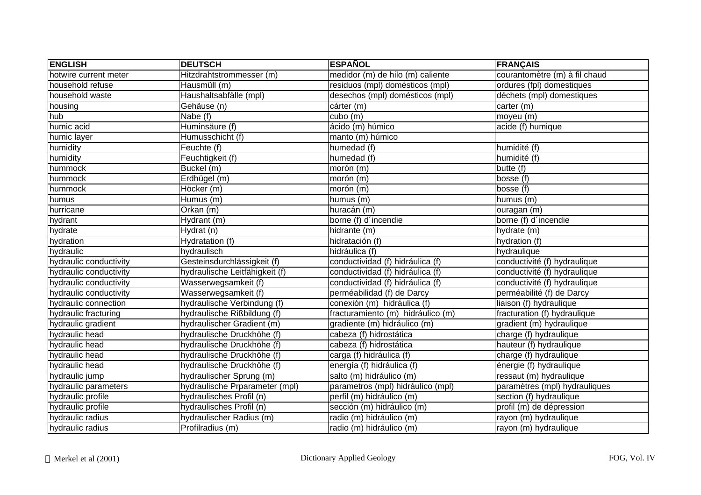| <b>ENGLISH</b>         | <b>DEUTSCH</b>                 | <b>ESPAÑOL</b>                    | <b>FRANÇAIS</b>               |
|------------------------|--------------------------------|-----------------------------------|-------------------------------|
| hotwire current meter  | Hitzdrahtstrommesser (m)       | medidor (m) de hilo (m) caliente  | courantomètre (m) à fil chaud |
| household refuse       | Hausmüll (m)                   | residuos (mpl) domésticos (mpl)   | ordures (fpl) domestiques     |
| household waste        | Haushaltsabfälle (mpl)         | desechos (mpl) domésticos (mpl)   | déchets (mpl) domestiques     |
| housing                | Gehäuse (n)                    | cárter (m)                        | carter (m)                    |
| hub                    | Nabe (f)                       | cubo (m)                          | moyeu (m)                     |
| humic acid             | Huminsäure (f)                 | ácido (m) húmico                  | acide (f) humique             |
| humic layer            | Humusschicht (f)               | manto (m) húmico                  |                               |
| humidity               | Feuchte (f)                    | humedad (f)                       | humidité (f)                  |
| humidity               | Feuchtigkeit (f)               | humedad (f)                       | humidité (f)                  |
| hummock                | Buckel (m)                     | morón (m)                         | butte (f)                     |
| hummock                | Erdhügel (m)                   | morón (m)                         | bosse (f)                     |
| hummock                | Höcker (m)                     | morón (m)                         | bosse (f)                     |
| humus                  | Humus (m)                      | humus (m)                         | humus (m)                     |
| hurricane              | Orkan (m)                      | huracán (m)                       | ouragan (m)                   |
| hydrant                | Hydrant (m)                    | borne (f) d'incendie              | borne (f) d'incendie          |
| hydrate                | Hydrat (n)                     | hidrante (m)                      | hydrate (m)                   |
| hydration              | Hydratation (f)                | hidratación (f)                   | hydration (f)                 |
| hydraulic              | hydraulisch                    | hidráulica (f)                    | hydraulique                   |
| hydraulic conductivity | Gesteinsdurchlässigkeit (f)    | conductividad (f) hidráulica (f)  | conductivité (f) hydraulique  |
| hydraulic conductivity | hydraulische Leitfähigkeit (f) | conductividad (f) hidráulica (f)  | conductivité (f) hydraulique  |
| hydraulic conductivity | Wasserwegsamkeit (f)           | conductividad (f) hidráulica (f)  | conductivité (f) hydraulique  |
| hydraulic conductivity | Wasserwegsamkeit (f)           | perméabilidad (f) de Darcy        | perméabilité (f) de Darcy     |
| hydraulic connection   | hydraulische Verbindung (f)    | conexión (m) hidráulica (f)       | liaison (f) hydraulique       |
| hydraulic fracturing   | hydraulische Rißbildung (f)    | fracturamiento (m) hidráulico (m) | fracturation (f) hydraulique  |
| hydraulic gradient     | hydraulischer Gradient (m)     | gradiente (m) hidráulico (m)      | gradient (m) hydraulique      |
| hydraulic head         | hydraulische Druckhöhe (f)     | cabeza (f) hidrostática           | charge (f) hydraulique        |
| hydraulic head         | hydraulische Druckhöhe (f)     | cabeza (f) hidrostática           | hauteur (f) hydraulique       |
| hydraulic head         | hydraulische Druckhöhe (f)     | carga (f) hidráulica (f)          | charge (f) hydraulique        |
| hydraulic head         | hydraulische Druckhöhe (f)     | energía (f) hidráulica (f)        | énergie (f) hydraulique       |
| hydraulic jump         | hydraulischer Sprung (m)       | salto (m) hidráulico (m)          | ressaut (m) hydraulique       |
| hydraulic parameters   | hydraulische Prparameter (mpl) | parametros (mpl) hidráulico (mpl) | paramètres (mpl) hydrauliques |
| hydraulic profile      | hydraulisches Profil (n)       | perfil (m) hidráulico (m)         | section (f) hydraulique       |
| hydraulic profile      | hydraulisches Profil (n)       | sección (m) hidráulico (m)        | profil (m) de dépression      |
| hydraulic radius       | hydraulischer Radius (m)       | radio (m) hidráulico (m)          | rayon (m) hydraulique         |
| hydraulic radius       | Profilradius (m)               | radio (m) hidráulico (m)          | rayon (m) hydraulique         |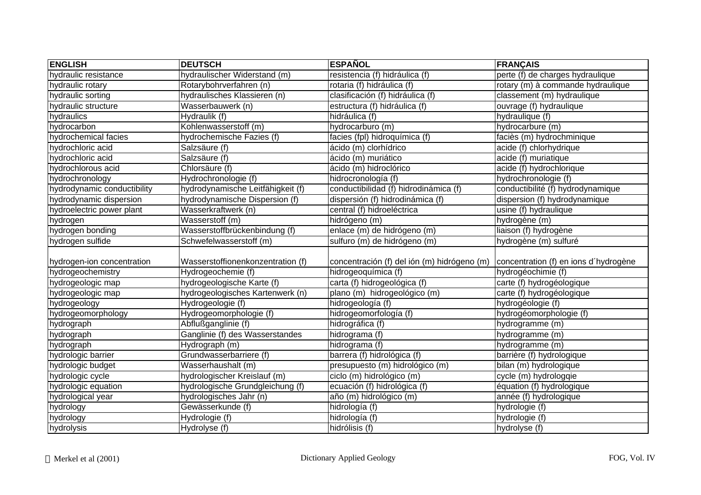| <b>ENGLISH</b>              | <b>DEUTSCH</b>                    | <b>ESPAÑOL</b>                              | <b>FRANÇAIS</b>                       |
|-----------------------------|-----------------------------------|---------------------------------------------|---------------------------------------|
| hydraulic resistance        | hydraulischer Widerstand (m)      | resistencia (f) hidráulica (f)              | perte (f) de charges hydraulique      |
| hydraulic rotary            | Rotarybohrverfahren (n)           | rotaria (f) hidráulica (f)                  | rotary (m) à commande hydraulique     |
| hydraulic sorting           | hydraulisches Klassieren (n)      | clasificación (f) hidráulica (f)            | classement (m) hydraulique            |
| hydraulic structure         | Wasserbauwerk (n)                 | estructura (f) hidráulica (f)               | ouvrage (f) hydraulique               |
| hydraulics                  | Hydraulik (f)                     | hidráulica (f)                              | hydraulique (f)                       |
| hydrocarbon                 | Kohlenwasserstoff (m)             | hydrocarburo (m)                            | hydrocarbure (m)                      |
| hydrochemical facies        | hydrochemische Fazies (f)         | facies (fpl) hidroquímica (f)               | faciès (m) hydrochminique             |
| hydrochloric acid           | Salzsäure (f)                     | ácido (m) clorhídrico                       | acide (f) chlorhydrique               |
| hydrochloric acid           | Salzsäure (f)                     | ácido (m) muriático                         | acide (f) muriatique                  |
| hydrochlorous acid          | Chlorsäure (f)                    | ácido (m) hidroclórico                      | acide (f) hydrochlorique              |
| hydrochronology             | Hydrochronologie (f)              | hidrocronología (f)                         | hydrochronologie (f)                  |
| hydrodynamic conductibility | hydrodynamische Leitfähigkeit (f) | conductibilidad (f) hidrodinámica (f)       | conductibilité (f) hydrodynamique     |
| hydrodynamic dispersion     | hydrodynamische Dispersion (f)    | dispersión (f) hidrodinámica (f)            | dispersion (f) hydrodynamique         |
| hydroelectric power plant   | Wasserkraftwerk (n)               | central (f) hidroeléctrica                  | usine (f) hydraulique                 |
| hydrogen                    | Wasserstoff (m)                   | hidrógeno (m)                               | hydrogène (m)                         |
| hydrogen bonding            | Wasserstoffbrückenbindung (f)     | enlace (m) de hidrógeno (m)                 | liaison (f) hydrogène                 |
| hydrogen sulfide            | Schwefelwasserstoff (m)           | sulfuro (m) de hidrógeno (m)                | hydrogène (m) sulfuré                 |
| hydrogen-ion concentration  | Wasserstoffionenkonzentration (f) | concentración (f) del ión (m) hidrógeno (m) | concentration (f) en ions d'hydrogène |
| hydrogeochemistry           | Hydrogeochemie (f)                | hidrogeoquímica (f)                         | hydrogéochimie (f)                    |
| hydrogeologic map           | hydrogeologische Karte (f)        | carta (f) hidrogeológica (f)                | carte (f) hydrogéologique             |
| hydrogeologic map           | hydrogeologisches Kartenwerk (n)  | plano (m) hidrogeológico (m)                | carte (f) hydrogéologique             |
| hydrogeology                | Hydrogeologie (f)                 | hidrogeología (f)                           | hydrogéologie (f)                     |
| hydrogeomorphology          | Hydrogeomorphologie (f)           | hidrogeomorfología (f)                      | hydrogéomorphologie (f)               |
| hydrograph                  | Abflußganglinie (f)               | hidrográfica (f)                            | hydrogramme (m)                       |
| hydrograph                  | Ganglinie (f) des Wasserstandes   | hidrograma (f)                              | hydrogramme (m)                       |
| hydrograph                  | Hydrograph (m)                    | hidrograma (f)                              | hydrogramme (m)                       |
| hydrologic barrier          | Grundwasserbarriere (f)           | barrera (f) hidrológica (f)                 | barrière (f) hydrologique             |
| hydrologic budget           | Wasserhaushalt (m)                | presupuesto (m) hidrológico (m)             | bilan (m) hydrologique                |
| hydrologic cycle            | hydrologischer Kreislauf (m)      | ciclo (m) hidrológico (m)                   | cycle (m) hydrologqie                 |
| hydrologic equation         | hydrologische Grundgleichung (f)  | ecuación (f) hidrológica (f)                | équation (f) hydrologique             |
| hydrological year           | hydrologisches Jahr (n)           | año (m) hidrológico (m)                     | année (f) hydrologique                |
| hydrology                   | Gewässerkunde (f)                 | hidrología (f)                              | hydrologie (f)                        |
| hydrology                   | Hydrologie (f)                    | hidrología (f)                              | hydrologie (f)                        |
| hydrolysis                  | Hydrolyse (f)                     | hidrólisis (f)                              | hydrolyse (f)                         |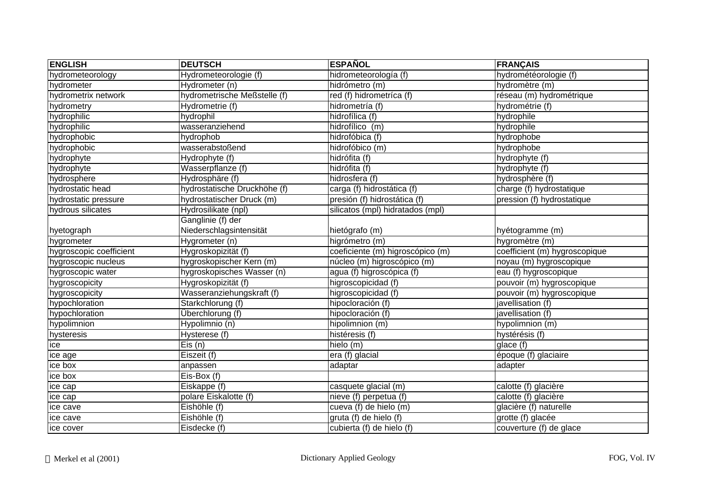| <b>ENGLISH</b>          | <b>DEUTSCH</b>               | <b>ESPAÑOL</b>                   | <b>FRANÇAIS</b>               |
|-------------------------|------------------------------|----------------------------------|-------------------------------|
| hydrometeorology        | Hydrometeorologie (f)        | hidrometeorología (f)            | hydrométéorologie (f)         |
| hydrometer              | Hydrometer (n)               | hidrómetro (m)                   | hydromètre (m)                |
| hydrometrix network     | hydrometrische Meßstelle (f) | red (f) hidrometríca (f)         | réseau (m) hydrométrique      |
| hydrometry              | Hydrometrie (f)              | hidrometría (f)                  | hydrométrie (f)               |
| hydrophilic             | hydrophil                    | hidrofílica (f)                  | hydrophile                    |
| hydrophilic             | wasseranziehend              | hidrofílico (m)                  | hydrophile                    |
| hydrophobic             | hydrophob                    | hidrofóbica (f)                  | hydrophobe                    |
| hydrophobic             | wasserabstoßend              | hidrofóbico (m)                  | hydrophobe                    |
| hydrophyte              | Hydrophyte (f)               | hidrófita (f)                    | hydrophyte (f)                |
| hydrophyte              | Wasserpflanze (f)            | hidrófita (f)                    | hydrophyte (f)                |
| hydrosphere             | Hydrosphäre (f)              | hidrosfera (f)                   | hydrosphère (f)               |
| hydrostatic head        | hydrostatische Druckhöhe (f) | carga (f) hidrostática (f)       | charge (f) hydrostatique      |
| hydrostatic pressure    | hydrostatischer Druck (m)    | presión (f) hidrostática (f)     | pression (f) hydrostatique    |
| hydrous silicates       | Hydrosilikate (npl)          | silicatos (mpl) hidratados (mpl) |                               |
|                         | Ganglinie (f) der            |                                  |                               |
| hyetograph              | Niederschlagsintensität      | hietógrafo (m)                   | hyétogramme (m)               |
| hygrometer              | Hygrometer (n)               | higrómetro (m)                   | hygromètre (m)                |
| hygroscopic coefficient | Hygroskopizität (f)          | coeficiente (m) higroscópico (m) | coefficient (m) hygroscopique |
| hygroscopic nucleus     | hygroskopischer Kern (m)     | núcleo (m) higroscópico (m)      | noyau (m) hygroscopique       |
| hygroscopic water       | hygroskopisches Wasser (n)   | agua (f) higroscópica (f)        | eau (f) hygroscopique         |
| hygroscopicity          | Hygroskopizität (f)          | higroscopicidad (f)              | pouvoir (m) hygroscopique     |
| hygroscopicity          | Wasseranziehungskraft (f)    | higroscopicidad (f)              | pouvoir (m) hygroscopique     |
| hypochloration          | Starkchlorung (f)            | hipocloración (f)                | javellisation (f)             |
| hypochloration          | Überchlorung (f)             | hipocloración (f)                | javellisation (f)             |
| hypolimnion             | Hypolimnio (n)               | hipolimnion (m)                  | hypolimnion (m)               |
| hysteresis              | Hysterese (f)                | histéresis (f)                   | hystérésis (f)                |
| ice                     | Eis(n)                       | hielo (m)                        | glace (f)                     |
| ice age                 | Eiszeit (f)                  | era (f) glacial                  | époque (f) glaciaire          |
| ice box                 | anpassen                     | adaptar                          | adapter                       |
| ice box                 | Eis-Box (f)                  |                                  |                               |
| ice cap                 | Eiskappe (f)                 | casquete glacial (m)             | calotte (f) glacière          |
| ice cap                 | polare Eiskalotte (f)        | nieve (f) perpetua (f)           | calotte (f) glacière          |
| ice cave                | Eishöhle (f)                 | cueva (f) de hielo (m)           | glacière (f) naturelle        |
| ice cave                | Eishöhle (f)                 | gruta (f) de hielo (f)           | grotte (f) glacée             |
| ice cover               | Eisdecke (f)                 | cubierta (f) de hielo (f)        | couverture (f) de glace       |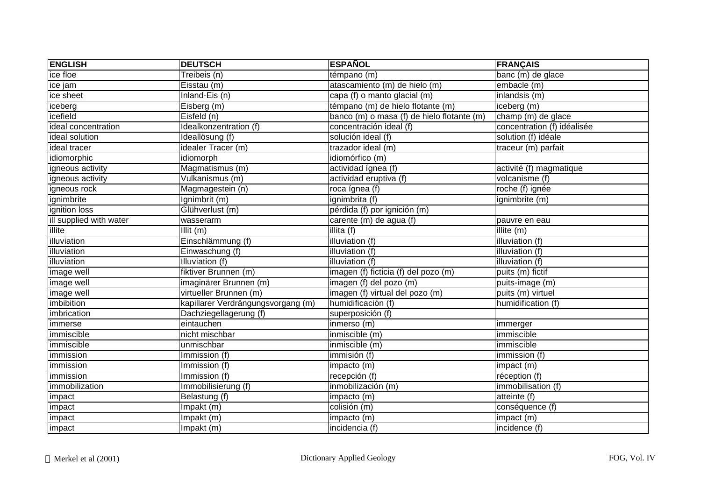| <b>ENGLISH</b>          | <b>DEUTSCH</b>                     | <b>ESPAÑOL</b>                             | <b>FRANÇAIS</b>             |
|-------------------------|------------------------------------|--------------------------------------------|-----------------------------|
| ice floe                | Treibeis (n)                       | témpano (m)                                | banc (m) de glace           |
| ice jam                 | Eisstau (m)                        | atascamiento (m) de hielo (m)              | embacle (m)                 |
| ice sheet               | Inland-Eis (n)                     | capa (f) o manto glacial (m)               | inlandsis (m)               |
| iceberg                 | Eisberg (m)                        | témpano (m) de hielo flotante (m)          | iceberg (m)                 |
| icefield                | Eisfeld (n)                        | banco (m) o masa (f) de hielo flotante (m) | champ (m) de glace          |
| ideal concentration     | Idealkonzentration (f)             | concentración ideal (f)                    | concentration (f) idéalisée |
| ideal solution          | Ideallösung (f)                    | solución ideal (f)                         | solution (f) idéale         |
| ideal tracer            | idealer Tracer (m)                 | trazador ideal (m)                         | traceur (m) parfait         |
| idiomorphic             | idiomorph                          | idiomórfico (m)                            |                             |
| igneous activity        | Magmatismus (m)                    | actividad ígnea (f)                        | activité (f) magmatique     |
| igneous activity        | Vulkanismus (m)                    | actividad eruptiva (f)                     | volcanisme (f)              |
| igneous rock            | Magmagestein (n)                   | roca ígnea (f)                             | roche (f) ignée             |
| ignimbrite              | Ignimbrit (m)                      | ignimbrita (f)                             | ignimbrite (m)              |
| ignition loss           | Glühverlust (m)                    | pérdida (f) por ignición (m)               |                             |
| ill supplied with water | wasserarm                          | carente (m) de agua (f)                    | pauvre en eau               |
| illite                  | Illit $(m)$                        | illita (f)                                 | illite (m)                  |
| illuviation             | Einschlämmung (f)                  | illuviation (f)                            | illuviation (f)             |
| illuviation             | Einwaschung (f)                    | illuviation (f)                            | illuviation (f)             |
| illuviation             | Illuviation (f)                    | illuviation (f)                            | illuviation (f)             |
| image well              | fiktiver Brunnen (m)               | imagen (f) ficticia (f) del pozo (m)       | puits (m) fictif            |
| image well              | imaginärer Brunnen (m)             | imagen (f) del pozo (m)                    | puits-image (m)             |
| image well              | virtueller Brunnen (m)             | imagen (f) virtual del pozo (m)            | puits (m) virtuel           |
| imbibition              | kapillarer Verdrängungsvorgang (m) | humidificación (f)                         | humidification (f)          |
| imbrication             | Dachziegellagerung (f)             | superposición (f)                          |                             |
| immerse                 | eintauchen                         | inmerso (m)                                | immerger                    |
| immiscible              | nicht mischbar                     | inmiscible (m)                             | immiscible                  |
| immiscible              | unmischbar                         | inmiscible (m)                             | immiscible                  |
| immission               | Immission (f)                      | immisión (f)                               | immission (f)               |
| immission               | Immission (f)                      | impacto (m)                                | impact (m)                  |
| immission               | Immission (f)                      | recepción (f)                              | réception (f)               |
| immobilization          | Immobilisierung (f)                | inmobilización (m)                         | immobilisation (f)          |
| impact                  | Belastung (f)                      | impacto (m)                                | atteinte (f)                |
| impact                  | Impakt (m)                         | colisión (m)                               | conséquence (f)             |
| impact                  | Impakt (m)                         | impacto (m)                                | impact (m)                  |
| impact                  | Impakt (m)                         | incidencia (f)                             | incidence (f)               |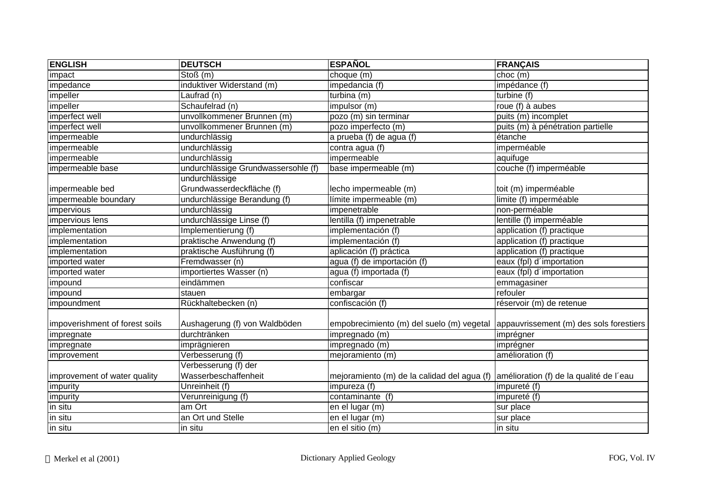| <b>ENGLISH</b>                 | <b>DEUTSCH</b>                      | <b>ESPAÑOL</b>                              | <b>FRANÇAIS</b>                         |
|--------------------------------|-------------------------------------|---------------------------------------------|-----------------------------------------|
| impact                         | Stoß(m)                             | choque (m)                                  | choc(m)                                 |
| impedance                      | induktiver Widerstand (m)           | impedancia (f)                              | impédance (f)                           |
| impeller                       | Laufrad (n)                         | turbina (m)                                 | turbine (f)                             |
| impeller                       | Schaufelrad (n)                     | impulsor (m)                                | roue (f) à aubes                        |
| imperfect well                 | unvollkommener Brunnen (m)          | pozo (m) sin terminar                       | puits $(m)$ incomplet                   |
| imperfect well                 | unvollkommener Brunnen (m)          | pozo imperfecto (m)                         | puits (m) à pénétration partielle       |
| impermeable                    | undurchlässig                       | a prueba (f) de agua (f)                    | étanche                                 |
| impermeable                    | undurchlässig                       | contra agua $(f)$                           | imperméable                             |
| impermeable                    | undurchlässig                       | impermeable                                 | aquifuge                                |
| impermeable base               | undurchlässige Grundwassersohle (f) | base impermeable (m)                        | couche (f) imperméable                  |
|                                | undurchlässige                      |                                             |                                         |
| impermeable bed                | Grundwasserdeckfläche (f)           | lecho impermeable (m)                       | toit (m) imperméable                    |
| impermeable boundary           | undurchlässige Berandung (f)        | límite impermeable (m)                      | limite (f) imperméable                  |
| impervious                     | undurchlässig                       | impenetrable                                | non-perméable                           |
| impervious lens                | undurchlässige Linse (f)            | lentilla (f) impenetrable                   | lentille (f) imperméable                |
| implementation                 | Implementierung (f)                 | implementación (f)                          | application (f) practique               |
| implementation                 | praktische Anwendung (f)            | implementación (f)                          | application (f) practique               |
| implementation                 | praktische Ausführung (f)           | aplicación (f) práctica                     | application (f) practique               |
| imported water                 | Fremdwasser (n)                     | agua (f) de importación (f)                 | eaux (fpl) d'importation                |
| imported water                 | importiertes Wasser (n)             | agua (f) importada (f)                      | eaux (fpl) d'importation                |
| impound                        | eindämmen                           | confiscar                                   | emmagasiner                             |
| impound                        | stauen                              | embargar                                    | refouler                                |
| impoundment                    | Rückhaltebecken (n)                 | confiscación (f)                            | réservoir (m) de retenue                |
| impoverishment of forest soils | Aushagerung (f) von Waldböden       | empobrecimiento (m) del suelo (m) vegetal   | appauvrissement (m) des sols forestiers |
| impregnate                     | durchtränken                        | impregnado (m)                              | imprégner                               |
| impregnate                     | imprägnieren                        | impregnado (m)                              | imprégner                               |
| improvement                    | Verbesserung (f)                    | mejoramiento (m)                            | amélioration (f)                        |
|                                | Verbesserung (f) der                |                                             |                                         |
| improvement of water quality   | Wasserbeschaffenheit                | mejoramiento (m) de la calidad del agua (f) | amélioration (f) de la qualité de l'eau |
| impurity                       | Unreinheit (f)                      | impureza (f)                                | impureté (f)                            |
| impurity                       | Verunreinigung (f)                  | contaminante (f)                            | impureté (f)                            |
| in situ                        | am Ort                              | en el lugar (m)                             | sur place                               |
| in situ                        | an Ort und Stelle                   | en el lugar $(m)$                           | sur place                               |
| in situ                        | in situ                             | en el sitio (m)                             | in situ                                 |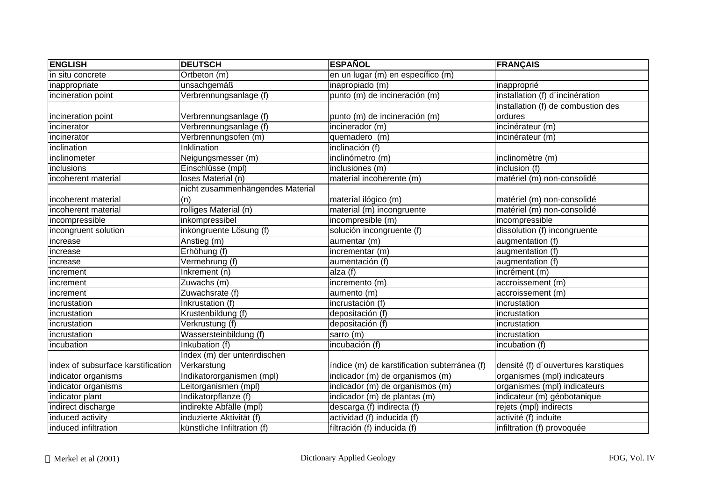| <b>ENGLISH</b>                     | <b>DEUTSCH</b>                   | <b>ESPAÑOL</b>                               | <b>FRANÇAIS</b>                     |
|------------------------------------|----------------------------------|----------------------------------------------|-------------------------------------|
| in situ concrete                   | Ortbeton (m)                     | en un lugar (m) en específico (m)            |                                     |
| inappropriate                      | unsachgemäß                      | inapropiado (m)                              | inapproprié                         |
| incineration point                 | Verbrennungsanlage (f)           | punto (m) de incineración (m)                | installation (f) d'incinération     |
|                                    |                                  |                                              | installation (f) de combustion des  |
| incineration point                 | Verbrennungsanlage (f)           | punto (m) de incineración (m)                | ordures                             |
| incinerator                        | Verbrennungsanlage (f)           | incinerador (m)                              | incinérateur (m)                    |
| incinerator                        | Verbrennungsofen (m)             | quemadero (m)                                | incinérateur (m)                    |
| inclination                        | Inklination                      | inclinación (f)                              |                                     |
| inclinometer                       | Neigungsmesser (m)               | inclinómetro (m)                             | inclinomètre (m)                    |
| inclusions                         | Einschlüsse (mpl)                | inclusiones (m)                              | inclusion (f)                       |
| incoherent material                | loses Material (n)               | material incoherente (m)                     | matériel (m) non-consolidé          |
|                                    | nicht zusammenhängendes Material |                                              |                                     |
| incoherent material                | (n)                              | material ilógico (m)                         | matériel (m) non-consolidé          |
| incoherent material                | rolliges Material (n)            | material (m) incongruente                    | matériel (m) non-consolidé          |
| incompressible                     | inkompressibel                   | incompresible (m)                            | incompressible                      |
| incongruent solution               | inkongruente Lösung (f)          | solución incongruente (f)                    | dissolution (f) incongruente        |
| increase                           | Anstieg (m)                      | aumentar (m)                                 | augmentation (f)                    |
| increase                           | Erhöhung (f)                     | incrementar (m)                              | augmentation (f)                    |
| increase                           | Vermehrung (f)                   | aumentación (f)                              | augmentation (f)                    |
| increment                          | Inkrement (n)                    | alza (f)                                     | incrément (m)                       |
| increment                          | Zuwachs (m)                      | incremento (m)                               | accroissement (m)                   |
| increment                          | Zuwachsrate (f)                  | aumento (m)                                  | accroissement (m)                   |
| incrustation                       | Inkrustation (f)                 | incrustación (f)                             | incrustation                        |
| incrustation                       | Krustenbildung (f)               | depositación (f)                             | incrustation                        |
| incrustation                       | Verkrustung (f)                  | depositación (f)                             | incrustation                        |
| incrustation                       | Wassersteinbildung (f)           | sarro (m)                                    | incrustation                        |
| incubation                         | Inkubation (f)                   | incubación (f)                               | incubation (f)                      |
|                                    | Index (m) der unterirdischen     |                                              |                                     |
| index of subsurface karstification | Verkarstung                      | índice (m) de karstification subterránea (f) | densité (f) d'ouvertures karstiques |
| indicator organisms                | Indikatororganismen (mpl)        | indicador (m) de organismos (m)              | organismes (mpl) indicateurs        |
| indicator organisms                | eitorganismen (mpl)              | indicador (m) de organismos (m)              | organismes (mpl) indicateurs        |
| indicator plant                    | Indikatorpflanze (f)             | indicador (m) de plantas (m)                 | indicateur (m) géobotanique         |
| indirect discharge                 | indirekte Abfälle (mpl)          | descarga (f) indirecta (f)                   | rejets (mpl) indirects              |
| induced activity                   | induzierte Aktivität (f)         | actividad (f) inducida (f)                   | activité (f) induite                |
| induced infiltration               | künstliche Infiltration (f)      | filtración (f) inducida (f)                  | infiltration (f) provoquée          |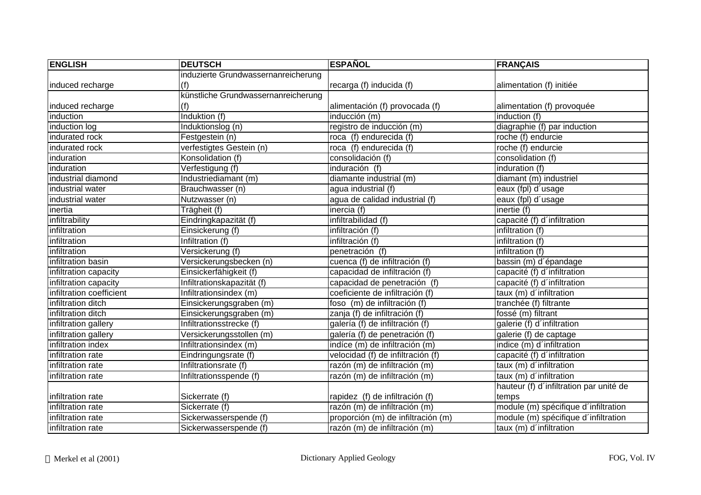| <b>ENGLISH</b>           | <b>DEUTSCH</b>                      | <b>ESPAÑOL</b>                     | <b>FRANÇAIS</b>                         |
|--------------------------|-------------------------------------|------------------------------------|-----------------------------------------|
|                          | induzierte Grundwassernanreicherung |                                    |                                         |
| induced recharge         | (f)                                 | recarga (f) inducida (f)           | alimentation (f) initiée                |
|                          | künstliche Grundwassernanreicherung |                                    |                                         |
| induced recharge         | (†)                                 | alimentación (f) provocada (f)     | alimentation (f) provoquée              |
| induction                | Induktion (f)                       | inducción (m)                      | induction (f)                           |
| induction log            | Induktionslog (n)                   | registro de inducción (m)          | diagraphie (f) par induction            |
| indurated rock           | Festgestein (n)                     | roca (f) endurecida (f)            | roche (f) endurcie                      |
| indurated rock           | verfestigtes Gestein (n)            | roca (f) endurecida (f)            | roche (f) endurcie                      |
| induration               | Konsolidation (f)                   | consolidación (f)                  | consolidation (f)                       |
| induration               | Verfestigung (f)                    | induración (f)                     | induration $(f)$                        |
| industrial diamond       | Industriediamant (m)                | diamante industrial (m)            | diamant (m) industriel                  |
| industrial water         | Brauchwasser (n)                    | agua industrial (f)                | eaux (fpl) d'usage                      |
| industrial water         | Nutzwasser (n)                      | agua de calidad industrial (f)     | eaux (fpl) d'usage                      |
| inertia                  | Trägheit (f)                        | inercia (f)                        | inertie (f)                             |
| infiltrability           | Eindringkapazität (f)               | infiltrabilidad (f)                | capacité (f) d'infiltration             |
| infiltration             | Einsickerung (f)                    | infiltración (f)                   | infiltration (f)                        |
| infiltration             | Infiltration (f)                    | infiltración (f)                   | infiltration (f)                        |
| infiltration             | Versickerung (f)                    | penetración (f)                    | infiltration (f)                        |
| infiltration basin       | Versickerungsbecken (n)             | cuenca (f) de infiltración (f)     | bassin (m) d'épandage                   |
| infiltration capacity    | Einsickerfähigkeit (f)              | capacidad de infiltración (f)      | capacité (f) d'infiltration             |
| infiltration capacity    | Infiltrationskapazität (f)          | capacidad de penetración (f)       | capacité (f) d'infiltration             |
| infiltration coefficient | Infiltrationsindex (m)              | coeficiente de infiltración (f)    | taux (m) d'infiltration                 |
| infiltration ditch       | Einsickerungsgraben (m)             | foso (m) de infiltración (f)       | tranchée (f) filtrante                  |
| infiltration ditch       | Einsickerungsgraben (m)             | zanja (f) de infiltración (f)      | fossé (m) filtrant                      |
| infiltration gallery     | Infiltrationsstrecke (f)            | galería (f) de infiltración (f)    | galerie (f) d'infiltration              |
| infiltration gallery     | Versickerungsstollen (m)            | galería (f) de penetración (f)     | galerie (f) de captage                  |
| infiltration index       | Infiltrationsindex (m)              | indíce (m) de infiltración (m)     | indice (m) d'infiltration               |
| infiltration rate        | Eindringungsrate (f)                | velocidad (f) de infiltración (f)  | capacité (f) d'infiltration             |
| infiltration rate        | Infiltrationsrate (f)               | razón (m) de infiltración (m)      | taux (m) d'infiltration                 |
| infiltration rate        | Infiltrationsspende (f)             | razón (m) de infiltración (m)      | taux (m) d'infiltration                 |
|                          |                                     |                                    | hauteur (f) d'infiltration par unité de |
| infiltration rate        | Sickerrate (f)                      | rapidez (f) de infiltración (f)    | temps                                   |
| infiltration rate        | Sickerrate (f)                      | razón (m) de infiltración (m)      | module (m) spécifique d'infiltration    |
| infiltration rate        | Sickerwasserspende (f)              | proporción (m) de infiltración (m) | module (m) spécifique d'infiltration    |
| infiltration rate        | Sickerwasserspende (f)              | razón (m) de infiltración (m)      | taux (m) d'infiltration                 |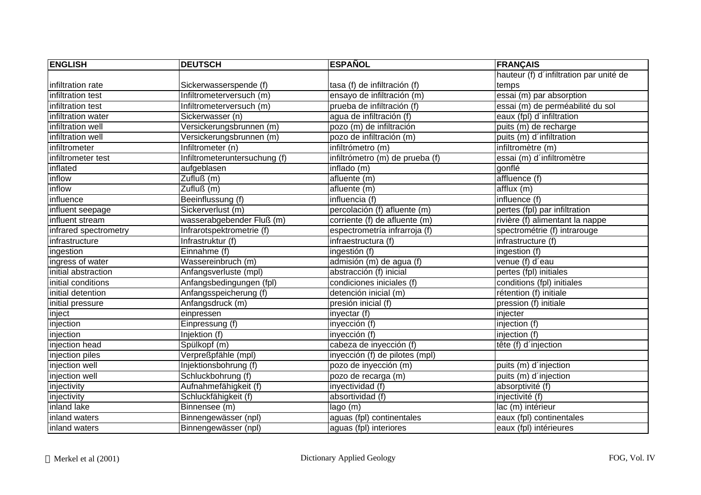| <b>ENGLISH</b>        | <b>DEUTSCH</b>                | <b>ESPAÑOL</b>                  | <b>FRANÇAIS</b>                         |
|-----------------------|-------------------------------|---------------------------------|-----------------------------------------|
|                       |                               |                                 | hauteur (f) d'infiltration par unité de |
| infiltration rate     | Sickerwasserspende (f)        | tasa (f) de infiltración (f)    | temps                                   |
| infiltration test     | Infiltrometerversuch (m)      | ensayo de infiltración (m)      | $\overline{essai(m)}$ par absorption    |
| infiltration test     | Infiltrometerversuch (m)      | prueba de infiltración (f)      | essai (m) de perméabilité du sol        |
| infiltration water    | Sickerwasser (n)              | agua de infiltración (f)        | eaux (fpl) d'infiltration               |
| infiltration well     | Versickerungsbrunnen (m)      | pozo (m) de infiltración        | puits (m) de recharge                   |
| infiltration well     | Versickerungsbrunnen (m)      | pozo de infiltración (m)        | puits (m) d'infiltration                |
| infiltrometer         | Infiltrometer (n)             | infiltrómetro (m)               | infiltromètre (m)                       |
| infiltrometer test    | Infiltrometeruntersuchung (f) | infiltrómetro (m) de prueba (f) | essai (m) d'infiltromètre               |
| inflated              | aufgeblasen                   | inflado (m)                     | gonflé                                  |
| inflow                | Zufluß (m)                    | afluente (m)                    | affluence (f)                           |
| inflow                | Zufluß (m)                    | afluente (m)                    | afflux(m)                               |
| influence             | Beeinflussung (f)             | influencia (f)                  | influence (f)                           |
| influent seepage      | Sickerverlust (m)             | percolación (f) afluente (m)    | pertes (fpl) par infiltration           |
| influent stream       | wasserabgebender Fluß (m)     | corriente (f) de afluente (m)   | rivière (f) alimentant la nappe         |
| infrared spectrometry | Infrarotspektrometrie (f)     | espectrometría infrarroja (f)   | spectrométrie (f) intrarouge            |
| infrastructure        | Infrastruktur (f)             | infraestructura (f)             | infrastructure (f)                      |
| ingestion             | Einnahme (f)                  | ingestión (f)                   | ingestion (f)                           |
| ingress of water      | Wassereinbruch (m)            | admisión (m) de agua (f)        | venue (f) d'eau                         |
| initial abstraction   | Anfangsverluste (mpl)         | abstracción (f) inicial         | pertes (fpl) initiales                  |
| initial conditions    | Anfangsbedingungen (fpl)      | condiciones iniciales (f)       | conditions (fpl) initiales              |
| initial detention     | Anfangsspeicherung (f)        | detención inicial (m)           | rétention (f) initiale                  |
| initial pressure      | Anfangsdruck (m)              | presión inicial (f)             | pression (f) initiale                   |
| inject                | einpressen                    | inyectar (f)                    | injecter                                |
| injection             | Einpressung (f)               | inyección (f)                   | injection (f)                           |
| injection             | Injektion (f)                 | inyección (f)                   | injection (f)                           |
| injection head        | Spülkopf (m)                  | cabeza de inyección (f)         | tête (f) d'injection                    |
| injection piles       | Verpreßpfähle (mpl)           | inyección (f) de pilotes (mpl)  |                                         |
| injection well        | Injektionsbohrung (f)         | pozo de inyección (m)           | puits (m) d'injection                   |
| injection well        | Schluckbohrung (f)            | pozo de recarga (m)             | puits (m) d'injection                   |
| injectivity           | Aufnahmefähigkeit (f)         | inyectividad (f)                | absorptivité (f)                        |
| injectivity           | Schluckfähigkeit (f)          | absortividad (f)                | injectivité (f)                         |
| inland lake           | Binnensee (m)                 | lago (m)                        | lac (m) intérieur                       |
| inland waters         | Binnengewässer (npl)          | aguas (fpl) continentales       | eaux (fpl) continentales                |
| inland waters         | Binnengewässer (npl)          | aguas (fpl) interiores          | eaux (fpl) intérieures                  |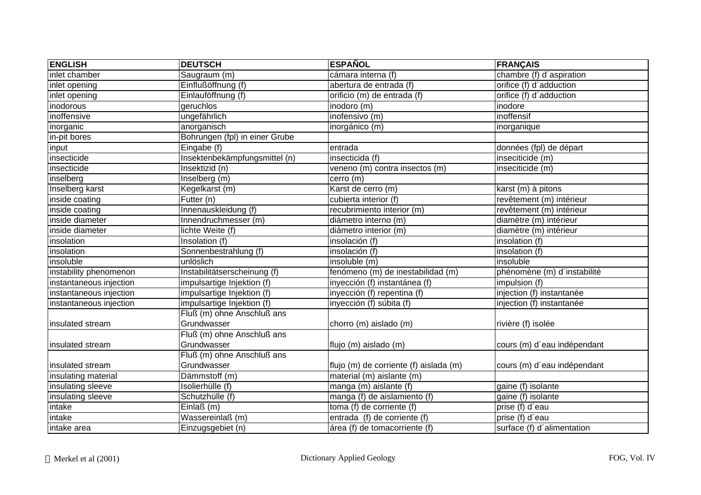| <b>ENGLISH</b>          | <b>DEUTSCH</b>                 | <b>ESPAÑOL</b>                         | <b>FRANÇAIS</b>             |
|-------------------------|--------------------------------|----------------------------------------|-----------------------------|
| inlet chamber           | Saugraum (m)                   | cámara interna (f)                     | chambre (f) d'aspiration    |
| inlet opening           | Einflußöffnung (f)             | abertura de entrada (f)                | orifice (f) d'adduction     |
| inlet opening           | Einlauföffnung (f)             | orificio (m) de entrada (f)            | orifice (f) d'adduction     |
| inodorous               | geruchlos                      | inodoro (m)                            | inodore                     |
| inoffensive             | ungefährlich                   | inofensivo (m)                         | inoffensif                  |
| inorganic               | anorganisch                    | inorgánico (m)                         | inorganique                 |
| in-pit bores            | Bohrungen (fpl) in einer Grube |                                        |                             |
| input                   | Eingabe (f)                    | entrada                                | données (fpl) de départ     |
| insecticide             | Insektenbekämpfungsmittel (n)  | insecticida (f)                        | inseciticide (m)            |
| insecticide             | Insektizid (n)                 | veneno (m) contra insectos (m)         | inseciticide (m)            |
| inselberg               | Inselberg (m)                  | cerro (m)                              |                             |
| Inselberg karst         | Kegelkarst (m)                 | Karst de cerro (m)                     | karst (m) à pitons          |
| inside coating          | Futter (n)                     | cubierta interior (f)                  | revêtement (m) intérieur    |
| inside coating          | Innenauskleidung (f)           | recubrimiento interior (m)             | revêtement (m) intérieur    |
| inside diameter         | Innendruchmesser (m)           | diámetro interno (m)                   | diamètre (m) intérieur      |
| inside diameter         | lichte Weite (f)               | diámetro interior (m)                  | diamètre (m) intérieur      |
| insolation              | Insolation (f)                 | insolación (f)                         | insolation (f)              |
| insolation              | Sonnenbestrahlung (f)          | insolación (f)                         | insolation (f)              |
| insoluble               | unlöslich                      | insoluble (m)                          | insoluble                   |
| instability phenomenon  | Instabilitätserscheinung (f)   | fenómeno (m) de inestabilidad (m)      | phénomène (m) d'instabilité |
| instantaneous injection | impulsartige Injektion (f)     | inyección (f) instantánea (f)          | impulsion (f)               |
| instantaneous injection | impulsartige Injektion (f)     | inyección (f) repentina (f)            | injection (f) instantanée   |
| instantaneous injection | impulsartige Injektion (f)     | inyección (f) súbita (f)               | injection (f) instantanée   |
|                         | Fluß (m) ohne Anschluß ans     |                                        |                             |
| insulated stream        | Grundwasser                    | chorro (m) aislado (m)                 | rivière (f) isolée          |
|                         | Fluß (m) ohne Anschluß ans     |                                        |                             |
| insulated stream        | Grundwasser                    | flujo (m) aislado (m)                  | cours (m) d'eau indépendant |
|                         | Fluß (m) ohne Anschluß ans     |                                        |                             |
| insulated stream        | Grundwasser                    | flujo (m) de corriente (f) aislada (m) | cours (m) d'eau indépendant |
| insulating material     | Dämmstoff (m)                  | material (m) aislante (m)              |                             |
| insulating sleeve       | Isolierhülle (f)               | manga (m) aislante (f)                 | gaine (f) isolante          |
| insulating sleeve       | Schutzhülle (f)                | manga (f) de aislamiento (f)           | gaine (f) isolante          |
| intake                  | Einlaß $(m)$                   | toma (f) de corriente (f)              | prise (f) d'eau             |
| intake                  | Wassereinlaß (m)               | entrada (f) de corriente (f)           | prise (f) d'eau             |
| intake area             | Einzugsgebiet (n)              | área (f) de tomacorriente (f)          | surface (f) d'alimentation  |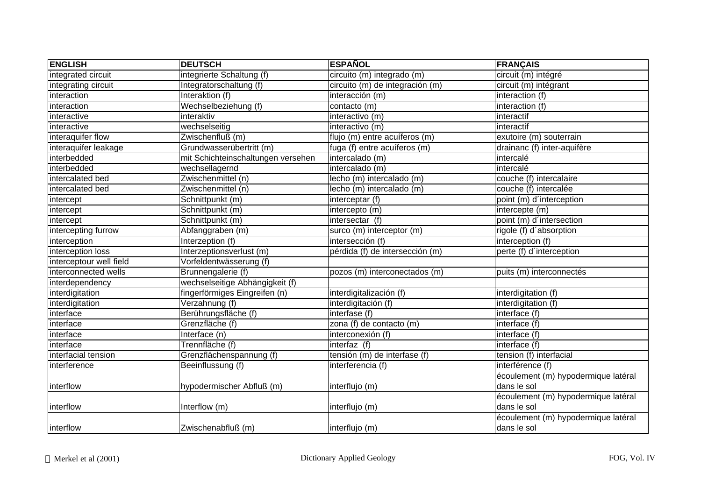| <b>ENGLISH</b>          | <b>DEUTSCH</b>                     | <b>ESPAÑOL</b>                  | <b>FRANÇAIS</b>                     |
|-------------------------|------------------------------------|---------------------------------|-------------------------------------|
| integrated circuit      | integrierte Schaltung (f)          | circuito (m) integrado (m)      | circuit (m) intégré                 |
| integrating circuit     | Integratorschaltung (f)            | circuito (m) de integración (m) | circuit (m) intégrant               |
| interaction             | Interaktion (f)                    | interacción (m)                 | interaction (f)                     |
| interaction             | Wechselbeziehung (f)               | contacto (m)                    | interaction (f)                     |
| interactive             | interaktiv                         | interactivo (m)                 | interactif                          |
| interactive             | wechselseitig                      | interactivo (m)                 | interactif                          |
| interaquifer flow       | Zwischenfluß (m)                   | flujo (m) entre acuíferos (m)   | exutoire (m) souterrain             |
| interaquifer leakage    | Grundwasserübertritt (m)           | fuga (f) entre acuíferos (m)    | drainanc (f) inter-aquifère         |
| interbedded             | mit Schichteinschaltungen versehen | intercalado (m)                 | intercalé                           |
| interbedded             | wechsellagernd                     | intercalado (m)                 | intercalé                           |
| intercalated bed        | Zwischenmittel (n)                 | lecho (m) intercalado (m)       | couche (f) intercalaire             |
| intercalated bed        | Zwischenmittel (n)                 | lecho (m) intercalado (m)       | couche (f) intercalée               |
| intercept               | Schnittpunkt (m)                   | interceptar (f)                 | point (m) d'interception            |
| intercept               | Schnittpunkt (m)                   | intercepto (m)                  | intercepte (m)                      |
| intercept               | Schnittpunkt (m)                   | intersectar (f)                 | point (m) d'intersection            |
| intercepting furrow     | Abfanggraben (m)                   | surco (m) interceptor (m)       | rigole (f) d'absorption             |
| interception            | Interzeption (f)                   | intersección (f)                | interception (f)                    |
| interception loss       | Interzeptionsverlust (m)           | pérdida (f) de intersección (m) | perte (f) d'interception            |
| interceptour well field | Vorfeldentwässerung (f)            |                                 |                                     |
| interconnected wells    | Brunnengalerie (f)                 | pozos (m) interconectados (m)   | puits (m) interconnectés            |
| interdependency         | wechselseitige Abhängigkeit (f)    |                                 |                                     |
| interdigitation         | fingerförmiges Eingreifen (n)      | interdigitalización (f)         | interdigitation (f)                 |
| interdigitation         | Verzahnung (f)                     | interdigitación (f)             | interdigitation (f)                 |
| interface               | Berührungsfläche (f)               | interfase (f)                   | interface (f)                       |
| interface               | Grenzfläche (f)                    | zona (f) de contacto (m)        | interface (f)                       |
| interface               | Interface (n)                      | interconexión (f)               | interface $(f)$                     |
| interface               | Trennfläche (f)                    | interfaz (f)                    | interface (f)                       |
| interfacial tension     | Grenzflächenspannung (f)           | tensión (m) de interfase (f)    | tension (f) interfacial             |
| interference            | Beeinflussung (f)                  | interferencia (f)               | interférence (f)                    |
|                         |                                    |                                 | écoulement (m) hypodermique latéral |
| interflow               | hypodermischer Abfluß (m)          | interflujo (m)                  | dans le sol                         |
|                         |                                    |                                 | écoulement (m) hypodermique latéral |
| interflow               | Interflow (m)                      | interflujo (m)                  | dans le sol                         |
|                         |                                    |                                 | écoulement (m) hypodermique latéral |
| linterflow              | Zwischenabfluß (m)                 | interflujo (m)                  | dans le sol                         |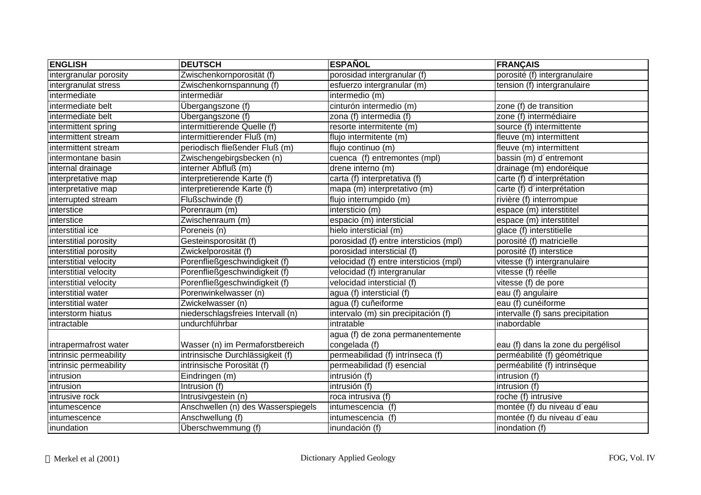| <b>ENGLISH</b>         | <b>DEUTSCH</b>                     | <b>ESPAÑOL</b>                         | <b>FRANÇAIS</b>                    |
|------------------------|------------------------------------|----------------------------------------|------------------------------------|
| intergranular porosity | Zwischenkornporosität (f)          | porosidad intergranular (f)            | porosité (f) intergranulaire       |
| intergranulat stress   | Zwischenkornspannung (f)           | esfuerzo intergranular (m)             | tension (f) intergranulaire        |
| intermediate           | intermediär                        | intermedio (m)                         |                                    |
| intermediate belt      | Übergangszone (f)                  | cinturón intermedio (m)                | zone (f) de transition             |
| intermediate belt      | Übergangszone (f)                  | zona (f) intermedia (f)                | zone (f) intermédiaire             |
| intermittent spring    | intermittierende Quelle (f)        | resorte intermitente (m)               | source (f) intermittente           |
| intermittent stream    | intermittierender Fluß (m)         | flujo intermitente (m)                 | fleuve (m) intermittent            |
| intermittent stream    | periodisch fließender Fluß (m)     | flujo continuo (m)                     | fleuve (m) intermittent            |
| intermontane basin     | Zwischengebirgsbecken (n)          | cuenca (f) entremontes (mpl)           | bassin (m) d'entremont             |
| internal drainage      | interner Abfluß (m)                | drene interno (m)                      | drainage (m) endoréique            |
| interpretative map     | interpretierende Karte (f)         | carta (f) interpretativa (f)           | carte (f) d'interprétation         |
| interpretative map     | interpretierende Karte (f)         | mapa (m) interpretativo (m)            | carte (f) d'interprétation         |
| interrupted stream     | Flußschwinde (f)                   | flujo interrumpido (m)                 | rivière (f) interrompue            |
| interstice             | Porenraum (m)                      | intersticio (m)                        | espace (m) interstititel           |
| interstice             | Zwischenraum (m)                   | espacio (m) intersticial               | espace (m) interstititel           |
| interstitial ice       | Poreneis (n)                       | hielo intersticial (m)                 | glace (f) interstitielle           |
| interstitial porosity  | Gesteinsporosität (f)              | porosidad (f) entre intersticios (mpl) | porosité (f) matricielle           |
| interstitial porosity  | Zwickelporosität (f)               | porosidad intersticial (f)             | porosité (f) interstice            |
| interstitial velocity  | Porenfließgeschwindigkeit (f)      | velocidad (f) entre intersticios (mpl) | vitesse (f) intergranulaire        |
| interstitial velocity  | Porenfließgeschwindigkeit (f)      | velocidad (f) intergranular            | vitesse (f) réelle                 |
| interstitial velocity  | Porenfließgeschwindigkeit (f)      | velocidad intersticial (f)             | vitesse (f) de pore                |
| interstitial water     | Porenwinkelwasser (n)              | agua (f) intersticial (f)              | eau (f) angulaire                  |
| interstitial water     | Zwickelwasser (n)                  | agua (f) cuñeiforme                    | eau (f) cunéiforme                 |
| interstorm hiatus      | niederschlagsfreies Intervall (n)  | intervalo (m) sin precipitación (f)    | intervalle (f) sans precipitation  |
| intractable            | undurchführbar                     | intratable                             | inabordable                        |
|                        |                                    | agua (f) de zona permanentemente       |                                    |
| intrapermafrost water  | Wasser (n) im Permaforstbereich    | congelada (f)                          | eau (f) dans la zone du pergélisol |
| intrinsic permeability | intrinsische Durchlässigkeit (f)   | permeabilidad (f) intrínseca (f)       | perméabilité (f) géométrique       |
| intrinsic permeability | intrinsische Porosität (f)         | permeabilidad (f) esencial             | perméabilité (f) intrinsèque       |
| intrusion              | Eindringen (m)                     | intrusión (f)                          | intrusion (f)                      |
| intrusion              | Intrusion (f)                      | intrusión (f)                          | intrusion (f)                      |
| intrusive rock         | Intrusivgestein (n)                | roca intrusiva (f)                     | roche (f) intrusive                |
| intumescence           | Anschwellen (n) des Wasserspiegels | intumescencia (f)                      | montée (f) du niveau d'eau         |
| intumescence           | Anschwellung (f)                   | intumescencia (f)                      | montée (f) du niveau d'eau         |
| inundation             | Überschwemmung (f)                 | inundación (f)                         | inondation (f)                     |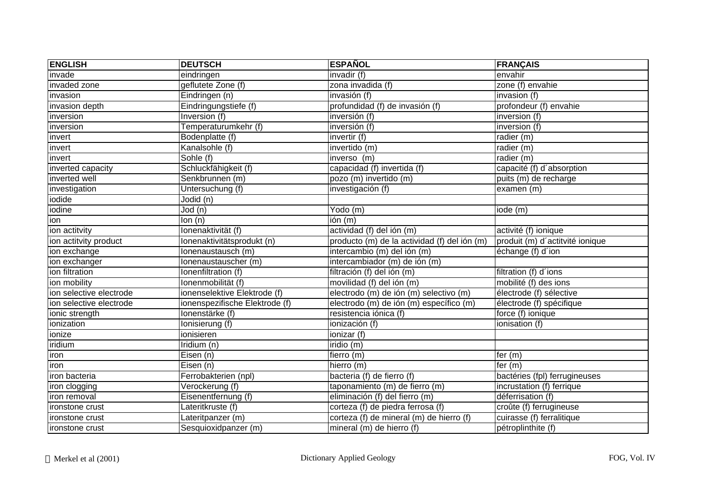| <b>ENGLISH</b>          | <b>DEUTSCH</b>                 | <b>ESPAÑOL</b>                               | <b>FRANÇAIS</b>                 |
|-------------------------|--------------------------------|----------------------------------------------|---------------------------------|
| invade                  | eindringen                     | invadir (f)                                  | envahir                         |
| invaded zone            | geflutete Zone (f)             | zona invadida (f)                            | zone (f) envahie                |
| invasion                | Eindringen (n)                 | invasión (f)                                 | invasion (f)                    |
| invasion depth          | Eindringungstiefe (f)          | profundidad (f) de invasión (f)              | profondeur (f) envahie          |
| inversion               | Inversion (f)                  | inversión (f)                                | inversion (f)                   |
| inversion               | Temperaturumkehr (f)           | inversión (f)                                | inversion (f)                   |
| invert                  | Bodenplatte (f)                | invertir (f)                                 | radier (m)                      |
| invert                  | Kanalsohle (f)                 | invertido (m)                                | radier $(m)$                    |
| invert                  | Sohle (f)                      | inverso (m)                                  | radier (m)                      |
| inverted capacity       | Schluckfähigkeit (f)           | capacidad (f) invertida (f)                  | capacité (f) d'absorption       |
| inverted well           | Senkbrunnen (m)                | pozo (m) invertido (m)                       | puits (m) de recharge           |
| investigation           | Untersuchung (f)               | investigación (f)                            | examen (m)                      |
| iodide                  | Jodid (n)                      |                                              |                                 |
| iodine                  | Jod (n)                        | Yodo (m)                                     | iode (m)                        |
| ion                     | lon (n)                        | ión (m)                                      |                                 |
| ion actitvity           | Ionenaktivität (f)             | actividad (f) del ión (m)                    | activité (f) ionique            |
| ion actitvity product   | lonenaktivitätsprodukt (n)     | producto (m) de la actividad (f) del ión (m) | produit (m) d'actitvité ionique |
| ion exchange            | Ionenaustausch (m)             | intercambio (m) del ión (m)                  | échange (f) d'ion               |
| ion exchanger           | Ionenaustauscher (m)           | intercambiador (m) de ión (m)                |                                 |
| ion filtration          | Ionenfiltration (f)            | filtración (f) del ión (m)                   | filtration (f) d'ions           |
| ion mobility            | Ionenmobilität (f)             | movilidad (f) del ión (m)                    | mobilité (f) des ions           |
| ion selective electrode | ionenselektive Elektrode (f)   | electrodo (m) de ión (m) selectivo (m)       | électrode (f) sélective         |
| ion selective electrode | ionenspezifische Elektrode (f) | electrodo (m) de ión (m) específico (m)      | électrode (f) spécifique        |
| ionic strength          | lonenstärke (f)                | resistencia iónica (f)                       | force (f) ionique               |
| ionization              | Ionisierung (f)                | ionización (f)                               | ionisation (f)                  |
| ionize                  | ionisieren                     | ionizar (f)                                  |                                 |
| iridium                 | Iridium (n)                    | iridio (m)                                   |                                 |
| iron                    | Eisen (n)                      | fierro (m)                                   | fer $(m)$                       |
| iron                    | Eisen (n)                      | hierro (m)                                   | fer $(m)$                       |
| iron bacteria           | Ferrobakterien (npl)           | bacteria (f) de fierro (f)                   | bactéries (fpl) ferrugineuses   |
| iron clogging           | Verockerung (f)                | taponamiento (m) de fierro (m)               | incrustation (f) ferrique       |
| iron removal            | Eisenentfernung (f)            | eliminación (f) del fierro (m)               | déferrisation (f)               |
| ironstone crust         | Lateritkruste (f)              | corteza (f) de piedra ferrosa (f)            | croûte (f) ferrugineuse         |
| ironstone crust         | Lateritpanzer (m)              | corteza (f) de mineral (m) de hierro (f)     | cuirasse (f) ferralitique       |
| ironstone crust         | Sesquioxidpanzer (m)           | mineral (m) de hierro (f)                    | pétroplinthite (f)              |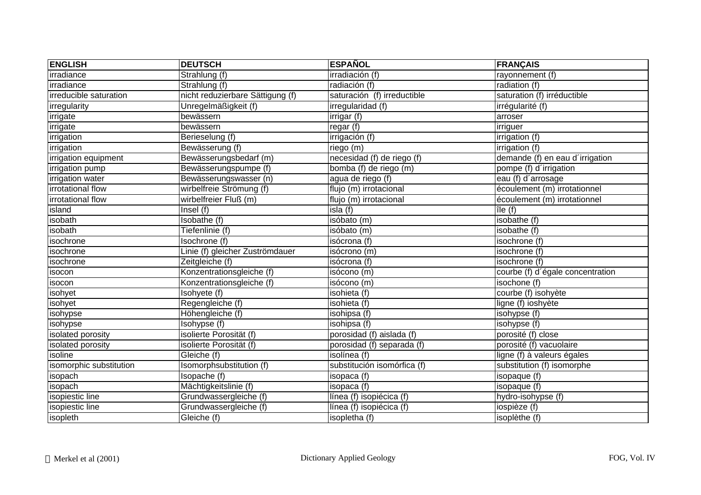| <b>ENGLISH</b>          | <b>DEUTSCH</b>                   | <b>ESPAÑOL</b>              | <b>FRANÇAIS</b>                  |
|-------------------------|----------------------------------|-----------------------------|----------------------------------|
| irradiance              | Strahlung (f)                    | irradiación (f)             | rayonnement (f)                  |
| irradiance              | Strahlung (f)                    | radiación (f)               | radiation $(f)$                  |
| irreducible saturation  | nicht reduzierbare Sättigung (f) | saturación (f) irreductible | saturation (f) irréductible      |
| irregularity            | Unregelmäßigkeit (f)             | irregularidad (f)           | irrégularité (f)                 |
| irrigate                | bewässern                        | irrigar (f)                 | arroser                          |
| irrigate                | bewässern                        | regar(f)                    | <i>irriguer</i>                  |
| irrigation              | Berieselung (f)                  | irrigación (f)              | irrigation (f)                   |
| irrigation              | Bewässerung (f)                  | riego (m)                   | irrigation (f)                   |
| irrigation equipment    | Bewässerungsbedarf (m)           | necesidad (f) de riego (f)  | demande (f) en eau d'irrigation  |
| irrigation pump         | Bewässerungspumpe (f)            | bomba (f) de riego (m)      | pompe (f) d'irrigation           |
| irrigation water        | Bewässerungswasser (n)           | agua de riego (f)           | eau (f) d'arrosage               |
| irrotational flow       | wirbelfreie Strömung (f)         | flujo (m) irrotacional      | écoulement (m) irrotationnel     |
| irrotational flow       | wirbelfreier Fluß (m)            | flujo (m) irrotacional      | écoulement (m) irrotationnel     |
| island                  | Insel $(f)$                      | isla(f)                     | île (f)                          |
| isobath                 | Isobathe (f)                     | isóbato (m)                 | isobathe (f)                     |
| isobath                 | Tiefenlinie (f)                  | isóbato (m)                 | isobathe (f)                     |
| isochrone               | Isochrone (f)                    | isócrona (f)                | isochrone (f)                    |
| isochrone               | Linie (f) gleicher Zuströmdauer  | isócrono (m)                | isochrone (f)                    |
| isochrone               | Zeitgleiche (f)                  | isócrona (f)                | isochrone (f)                    |
| isocon                  | Konzentrationsgleiche (f)        | isócono (m)                 | courbe (f) d'égale concentration |
| isocon                  | Konzentrationsgleiche (f)        | isócono (m)                 | isochone (f)                     |
| isohyet                 | Isohyete (f)                     | isohieta (f)                | courbe (f) isohyète              |
| isohyet                 | Regengleiche (f)                 | isohieta (f)                | ligne (f) ioshyète               |
| isohypse                | Höhengleiche (f)                 | isohipsa (f)                | isohypse (f)                     |
| isohypse                | Isohypse (f)                     | isohipsa (f)                | isohypse (f)                     |
| isolated porosity       | isolierte Porosität (f)          | porosidad (f) aislada (f)   | porosité (f) close               |
| isolated porosity       | isolierte Porosität (f)          | porosidad (f) separada (f)  | porosité (f) vacuolaire          |
| isoline                 | Gleiche (f)                      | isolínea (f)                | ligne (f) à valeurs égales       |
| isomorphic substitution | Isomorphsubstitution (f)         | substitución isomórfica (f) | substitution (f) isomorphe       |
| isopach                 | Isopache (f)                     | isopaca (f)                 | isopaque (f)                     |
| isopach                 | Mächtigkeitslinie (f)            | isopaca (f)                 | isopaque (f)                     |
| isopiestic line         | Grundwassergleiche (f)           | línea (f) isopiécica (f)    | hydro-isohypse (f)               |
| isopiestic line         | Grundwassergleiche (f)           | línea (f) isopiécica (f)    | iospièze (f)                     |
| isopleth                | Gleiche (f)                      | isopletha (f)               | isoplèthe (f)                    |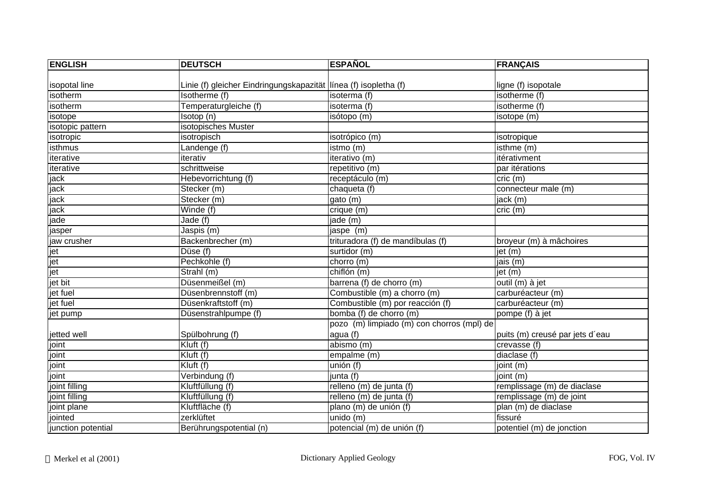| <b>ENGLISH</b>     | <b>DEUTSCH</b>                                                     | <b>ESPAÑOL</b>                             | <b>FRANÇAIS</b>                 |
|--------------------|--------------------------------------------------------------------|--------------------------------------------|---------------------------------|
|                    |                                                                    |                                            |                                 |
| isopotal line      | Linie (f) gleicher Eindringungskapazität   línea (f) isopletha (f) |                                            | ligne (f) isopotale             |
| isotherm           | Isotherme (f)                                                      | isoterma (f)                               | isotherme (f)                   |
| isotherm           | Temperaturgleiche (f)                                              | isoterma (f)                               | isotherme (f)                   |
| isotope            | Isotop (n)                                                         | isótopo (m)                                | isotope (m)                     |
| isotopic pattern   | isotopisches Muster                                                |                                            |                                 |
| isotropic          | isotropisch                                                        | isotrópico (m)                             | isotropique                     |
| isthmus            | Landenge (f)                                                       | istmo (m)                                  | isthme (m)                      |
| iterative          | iterativ                                                           | iterativo (m)                              | itérativment                    |
| iterative          | schrittweise                                                       | repetitivo (m)                             | par itérations                  |
| jack               | Hebevorrichtung (f)                                                | receptáculo (m)                            | $cric$ (m)                      |
| jack               | Stecker (m)                                                        | chaqueta (f)                               | connecteur male (m)             |
| jack               | Stecker (m)                                                        | gato (m)                                   | jack (m)                        |
| jack               | Winde (f)                                                          | crique (m)                                 | cric (m)                        |
| jade               | Jade (f)                                                           | jade (m)                                   |                                 |
| jasper             | Jaspis (m)                                                         | jaspe (m)                                  |                                 |
| jaw crusher        | Backenbrecher (m)                                                  | trituradora (f) de mandíbulas (f)          | broyeur (m) à mâchoires         |
| jet                | Düse (f)                                                           | surtidor (m)                               | jet (m)                         |
| jet                | Pechkohle (f)                                                      | chorro $(m)$                               | jais (m)                        |
| jet                | Strahl (m)                                                         | $\overline{chiflón}$ (m)                   | jet (m)                         |
| jet bit            | Düsenmeißel (m)                                                    | barrena (f) de chorro (m)                  | outil (m) à jet                 |
| jet fuel           | Düsenbrennstoff (m)                                                | Combustible (m) a chorro (m)               | carburéacteur (m)               |
| jet fuel           | Düsenkraftstoff (m)                                                | Combustible (m) por reacción (f)           | carburéacteur (m)               |
| jet pump           | Düsenstrahlpumpe (f)                                               | bomba (f) de chorro (m)                    | pompe (f) à jet                 |
|                    |                                                                    | pozo (m) limpiado (m) con chorros (mpl) de |                                 |
| jetted well        | Spülbohrung (f)                                                    | agua (f)                                   | puits (m) creusé par jets d'eau |
| joint              | Kluft (f)                                                          | abismo (m)                                 | crevasse (f)                    |
| joint              | Kluft (f)                                                          | empalme (m)                                | diaclase (f)                    |
| joint              | Kluft (f)                                                          | unión (f)                                  | joint (m)                       |
| joint              | Verbindung (f)                                                     | junta (f)                                  | joint (m)                       |
| joint filling      | Kluftfüllung (f)                                                   | relleno (m) de junta (f)                   | remplissage (m) de diaclase     |
| joint filling      | Kluftfüllung (f)                                                   | relleno (m) de junta (f)                   | remplissage (m) de joint        |
| joint plane        | Kluftfläche (f)                                                    | plano (m) de unión (f)                     | plan (m) de diaclase            |
| jointed            | zerklüftet                                                         | $\overline{\text{undo}}$ (m)               | fissuré                         |
| junction potential | Berührungspotential (n)                                            | potencial (m) de unión (f)                 | potentiel (m) de jonction       |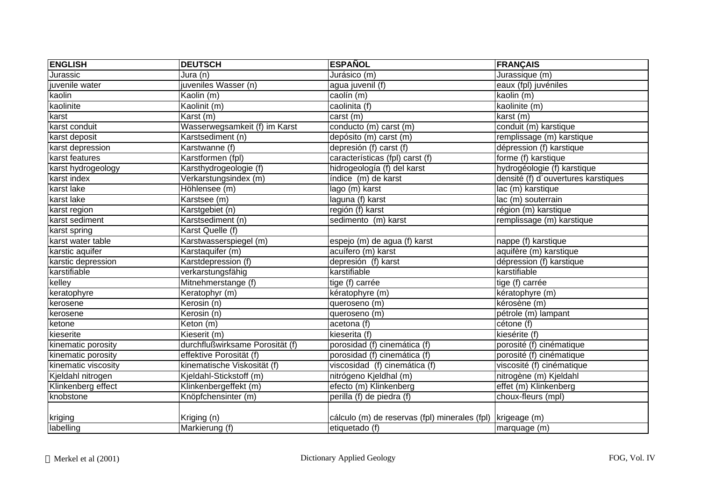| <b>ENGLISH</b>      | <b>DEUTSCH</b>                  | <b>ESPAÑOL</b>                                               | <b>FRANÇAIS</b>                     |
|---------------------|---------------------------------|--------------------------------------------------------------|-------------------------------------|
| Jurassic            | Jura (n)                        | Jurásico (m)                                                 | Jurassique (m)                      |
| juvenile water      | juveniles Wasser (n)            | agua juvenil (f)                                             | eaux (fpl) juvéniles                |
| kaolin              | Kaolin (m)                      | caolín (m)                                                   | kaolin (m)                          |
| kaolinite           | Kaolinit (m)                    | caolinita (f)                                                | kaolinite (m)                       |
| karst               | Karst (m)                       | carst (m)                                                    | karst (m)                           |
| karst conduit       | Wasserwegsamkeit (f) im Karst   | conducto (m) carst (m)                                       | conduit (m) karstique               |
| karst deposit       | Karstsediment (n)               | depósito (m) carst (m)                                       | remplissage (m) karstique           |
| karst depression    | Karstwanne (f)                  | depresión (f) carst (f)                                      | dépression (f) karstique            |
| karst features      | Karstformen (fpl)               | características (fpl) carst (f)                              | forme (f) karstique                 |
| karst hydrogeology  | Karsthydrogeologie (f)          | hidrogeología (f) del karst                                  | hydrogéologie (f) karstique         |
| karst index         | Verkarstungsindex (m)           | índice (m) de karst                                          | densité (f) d'ouvertures karstiques |
| karst lake          | Höhlensee (m)                   | lago (m) karst                                               | lac (m) karstique                   |
| karst lake          | Karstsee (m)                    | laguna (f) karst                                             | lac (m) souterrain                  |
| karst region        | Karstgebiet (n)                 | región (f) karst                                             | région (m) karstique                |
| karst sediment      | Karstsediment (n)               | sedimento (m) karst                                          | remplissage (m) karstique           |
| karst spring        | Karst Quelle (f)                |                                                              |                                     |
| karst water table   | Karstwasserspiegel (m)          | espejo (m) de agua (f) karst                                 | nappe (f) karstique                 |
| karstic aquifer     | Karstaquifer (m)                | acuífero (m) karst                                           | aquifère (m) karstique              |
| karstic depression  | Karstdepression (f)             | depresión (f) karst                                          | dépression (f) karstique            |
| karstifiable        | verkarstungsfähig               | karstifiable                                                 | karstifiable                        |
| kelley              | Mitnehmerstange (f)             | tige (f) carrée                                              | tige (f) carrée                     |
| keratophyre         | Keratophyr (m)                  | kératophyre (m)                                              | kératophyre (m)                     |
| kerosene            | Kerosin (n)                     | queroseno (m)                                                | kérosène (m)                        |
| kerosene            | Kerosin (n)                     | queroseno (m)                                                | pétrole (m) lampant                 |
| ketone              | Keton (m)                       | acetona (f)                                                  | cétone (f)                          |
| kieserite           | Kieserit $(m)$                  | kieserita (f)                                                | kiesérite (f)                       |
| kinematic porosity  | durchflußwirksame Porosität (f) | porosidad (f) cinemática (f)                                 | porosité (f) cinématique            |
| kinematic porosity  | effektive Porosität (f)         | porosidad (f) cinemática (f)                                 | porosité (f) cinématique            |
| kinematic viscosity | kinematische Viskosität (f)     | viscosidad (f) cinemática (f)                                | viscosité (f) cinématique           |
| Kjeldahl nitrogen   | Kjeldahl-Stickstoff (m)         | nitrógeno Kjeldhal (m)                                       | nitrogène (m) Kjeldahl              |
| Klinkenberg effect  | Klinkenbergeffekt (m)           | efecto (m) Klinkenberg                                       | effet (m) Klinkenberg               |
| knobstone           | Knöpfchensinter (m)             | perilla (f) de piedra (f)                                    | choux-fleurs (mpl)                  |
|                     |                                 |                                                              |                                     |
| kriging             | Kriging (n)                     | cálculo (m) de reservas (fpl) minerales (fpl)   krigeage (m) |                                     |
| labelling           | Markierung (f)                  | etiquetado (f)                                               | marquage (m)                        |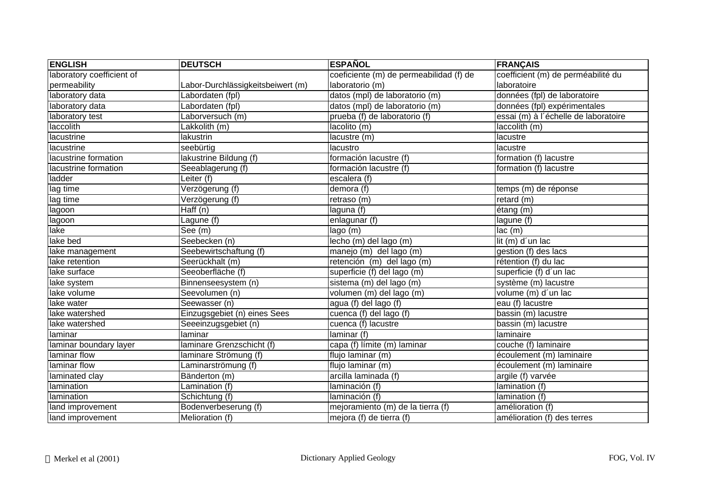| <b>ENGLISH</b>            | <b>DEUTSCH</b>                    | <b>ESPAÑOL</b>                          | <b>FRANÇAIS</b>                      |
|---------------------------|-----------------------------------|-----------------------------------------|--------------------------------------|
| laboratory coefficient of |                                   | coeficiente (m) de permeabilidad (f) de | coefficient (m) de perméabilité du   |
| permeability              | Labor-Durchlässigkeitsbeiwert (m) | laboratorio (m)                         | laboratoire                          |
| laboratory data           | Labordaten (fpl)                  | datos (mpl) de laboratorio (m)          | données (fpl) de laboratoire         |
| laboratory data           | Labordaten (fpl)                  | datos (mpl) de laboratorio (m)          | données (fpl) expérimentales         |
| laboratory test           | _aborversuch (m)                  | prueba (f) de laboratorio (f)           | essai (m) à l'échelle de laboratoire |
| laccolith                 | Lakkolith (m)                     | lacolito (m)                            | laccolith (m)                        |
| lacustrine                | lakustrin                         | lacustre (m)                            | lacustre                             |
| lacustrine                | seebürtig                         | lacustro                                | lacustre                             |
| lacustrine formation      | lakustrine Bildung (f)            | formación lacustre (f)                  | formation (f) lacustre               |
| lacustrine formation      | Seeablagerung (f)                 | formación lacustre (f)                  | formation (f) lacustre               |
| ladder                    | Leiter (f)                        | escalera (f)                            |                                      |
| lag time                  | Verzögerung (f)                   | demora $(f)$                            | temps (m) de réponse                 |
| lag time                  | Verzögerung (f)                   | retraso (m)                             | retard (m)                           |
| lagoon                    | Haff (n)                          | laguna (f)                              | étang (m)                            |
| lagoon                    | Lagune (f)                        | enlagunar (f)                           | lagune (f)                           |
| lake                      | $\overline{\text{See}}$ (m)       | lago (m)                                | lac(m)                               |
| lake bed                  | Seebecken (n)                     | lecho (m) del lago (m)                  | lit (m) d'un lac                     |
| lake management           | Seebewirtschaftung (f)            | manejo (m) del lago (m)                 | gestion (f) des lacs                 |
| lake retention            | Seerückhalt (m)                   | retención (m) del lago (m)              | rétention (f) du lac                 |
| lake surface              | Seeoberfläche (f)                 | superficie (f) del lago (m)             | superficie (f) d'un lac              |
| lake system               | Binnenseesystem (n)               | sistema (m) del lago (m)                | système (m) lacustre                 |
| lake volume               | Seevolumen (n)                    | volumen (m) del lago (m)                | volume (m) d'un lac                  |
| lake water                | Seewasser (n)                     | agua (f) del lago (f)                   | eau (f) lacustre                     |
| lake watershed            | Einzugsgebiet (n) eines Sees      | cuenca (f) del lago (f)                 | bassin (m) lacustre                  |
| lake watershed            | Seeeinzugsgebiet (n)              | cuenca (f) lacustre                     | bassin (m) lacustre                  |
| laminar                   | laminar                           | laminar (f)                             | laminaire                            |
| laminar boundary layer    | laminare Grenzschicht (f)         | capa (f) límite (m) laminar             | couche (f) laminaire                 |
| laminar flow              | laminare Strömung (f)             | flujo laminar (m)                       | écoulement (m) laminaire             |
| laminar flow              | Laminarströmung (f)               | flujo laminar (m)                       | écoulement (m) laminaire             |
| laminated clay            | Bänderton (m)                     | arcilla laminada (f)                    | argile (f) varvée                    |
| lamination                | Lamination (f)                    | laminación (f)                          | lamination (f)                       |
| lamination                | Schichtung (f)                    | laminación (f)                          | lamination (f)                       |
| land improvement          | Bodenverbeserung (f)              | mejoramiento (m) de la tierra (f)       | amélioration (f)                     |
| land improvement          | Melioration (f)                   | mejora (f) de tierra (f)                | amélioration (f) des terres          |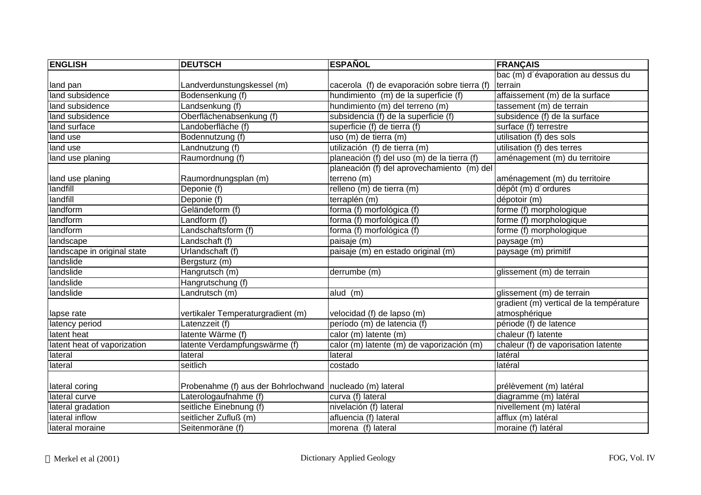| <b>ENGLISH</b>              | <b>DEUTSCH</b>                                             | <b>ESPAÑOL</b>                               | <b>FRANÇAIS</b>                         |
|-----------------------------|------------------------------------------------------------|----------------------------------------------|-----------------------------------------|
|                             |                                                            |                                              | bac (m) d'évaporation au dessus du      |
| land pan                    | Landverdunstungskessel (m)                                 | cacerola (f) de evaporación sobre tierra (f) | terrain                                 |
| land subsidence             | Bodensenkung (f)                                           | hundimiento (m) de la superficie (f)         | affaissement (m) de la surface          |
| land subsidence             | Landsenkung (f)                                            | hundimiento (m) del terreno (m)              | tassement (m) de terrain                |
| land subsidence             | Oberflächenabsenkung (f)                                   | subsidencia (f) de la superficie (f)         | subsidence (f) de la surface            |
| land surface                | Landoberfläche (f)                                         | superficie (f) de tierra (f)                 | surface (f) terrestre                   |
| land use                    | Bodennutzung (f)                                           | uso (m) de tierra (m)                        | utilisation (f) des sols                |
| land use                    | Landnutzung (f)                                            | utilización (f) de tierra (m)                | utilisation (f) des terres              |
| land use planing            | Raumordnung (f)                                            | planeación (f) del uso (m) de la tierra (f)  | aménagement (m) du territoire           |
|                             |                                                            | planeación (f) del aprovechamiento (m) del   |                                         |
| land use planing            | Raumordnungsplan (m)                                       | terreno (m)                                  | aménagement (m) du territoire           |
| landfill                    | Deponie (f)                                                | relleno (m) de tierra (m)                    | dépôt (m) d'ordures                     |
| landfill                    | Deponie (f)                                                | terraplén (m)                                | dépotoir (m)                            |
| landform                    | Geländeform (f)                                            | forma (f) morfológica (f)                    | forme (f) morphologique                 |
| landform                    | Landform (f)                                               | forma (f) morfológica (f)                    | forme (f) morphologique                 |
| landform                    | Landschaftsform (f)                                        | forma (f) morfológica (f)                    | forme (f) morphologique                 |
| landscape                   | Landschaft (f)                                             | paisaje (m)                                  | paysage (m)                             |
| landscape in original state | Urlandschaft (f)                                           | paisaje (m) en estado original (m)           | paysage (m) primitif                    |
| landslide                   | Bergsturz (m)                                              |                                              |                                         |
| landslide                   | Hangrutsch (m)                                             | derrumbe (m)                                 | glissement (m) de terrain               |
| landslide                   | Hangrutschung (f)                                          |                                              |                                         |
| landslide                   | Landrutsch (m)                                             | alud (m)                                     | glissement (m) de terrain               |
|                             |                                                            |                                              | gradient (m) vertical de la température |
| lapse rate                  | vertikaler Temperaturgradient (m)                          | velocidad (f) de lapso (m)                   | atmosphérique                           |
| latency period              | Latenzzeit (f)                                             | período (m) de latencia (f)                  | période (f) de latence                  |
| latent heat                 | latente Wärme (f)                                          | calor (m) latente (m)                        | chaleur (f) latente                     |
| latent heat of vaporization | latente Verdampfungswärme (f)                              | calor (m) latente (m) de vaporización (m)    | chaleur (f) de vaporisation latente     |
| lateral                     | lateral                                                    | lateral                                      | latéral                                 |
| lateral                     | seitlich                                                   | costado                                      | latéral                                 |
|                             |                                                            |                                              |                                         |
| lateral coring              | Probenahme (f) aus der Bohrlochwand   nucleado (m) lateral |                                              | prélèvement (m) latéral                 |
| lateral curve               | Laterologaufnahme (f)                                      | curva (f) lateral                            | diagramme (m) latéral                   |
| lateral gradation           | seitliche Einebnung (f)                                    | nivelación (f) lateral                       | nivellement (m) latéral                 |
| lateral inflow              | seitlicher Zufluß (m)                                      | afluencia (f) lateral                        | afflux (m) latéral                      |
| lateral moraine             | Seitenmoräne (f)                                           | morena (f) lateral                           | moraine (f) latéral                     |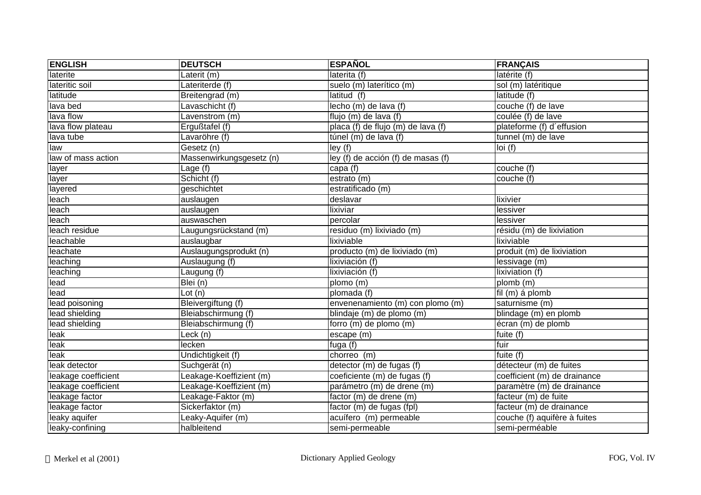| <b>ENGLISH</b>      | <b>DEUTSCH</b>           | <b>ESPAÑOL</b>                     | <b>FRANÇAIS</b>              |
|---------------------|--------------------------|------------------------------------|------------------------------|
| laterite            | Laterit (m)              | laterita (f)                       | latérite (f)                 |
| lateritic soil      | Lateriterde (f)          | suelo (m) laterítico (m)           | sol (m) latéritique          |
| latitude            | Breitengrad (m)          | latitud (f)                        | latitude (f)                 |
| lava bed            | Lavaschicht (f)          | lecho (m) de lava (f)              | couche (f) de lave           |
| lava flow           | Lavenstrom (m)           | flujo $(m)$ de lava (f)            | coulée (f) de lave           |
| lava flow plateau   | Ergußtafel (f)           | placa (f) de flujo (m) de lava (f) | plateforme (f) d'effusion    |
| lava tube           | Lavaröhre (f)            | túnel (m) de lava (f)              | $tunnel(m)$ de lave          |
| law                 | Gesetz (n)               | ley(f)                             | Ioi(f)                       |
| law of mass action  | Massenwirkungsgesetz (n) | ley (f) de acción (f) de masas (f) |                              |
| layer               | Lage (f)                 | capa (f)                           | couche (f)                   |
| layer               | Schicht (f)              | estrato (m)                        | couche (f)                   |
| layered             | geschichtet              | estratificado (m)                  |                              |
| leach               | auslaugen                | deslavar                           | lixivier                     |
| leach               | auslaugen                | lixiviar                           | lessiver                     |
| leach               | auswaschen               | percolar                           | lessiver                     |
| leach residue       | Laugungsrückstand (m)    | residuo (m) lixiviado (m)          | résidu (m) de lixiviation    |
| leachable           | auslaugbar               | lixiviable                         | lixiviable                   |
| leachate            | Auslaugungsprodukt (n)   | producto (m) de lixiviado (m)      | produit (m) de lixiviation   |
| leaching            | Auslaugung (f)           | lixiviación (f)                    | lessivage (m)                |
| leaching            | Laugung (f)              | lixiviación (f)                    | lixiviation (f)              |
| lead                | Blei (n)                 | plomo (m)                          | plomb (m)                    |
| lead                | Lot $(n)$                | plomada (f)                        | fil (m) á plomb              |
| lead poisoning      | Bleivergiftung (f)       | envenenamiento (m) con plomo (m)   | saturnisme (m)               |
| lead shielding      | Bleiabschirmung $(f)$    | blindaje (m) de plomo (m)          | blindage (m) en plomb        |
| lead shielding      | Bleiabschirmung (f)      | forro (m) de plomo (m)             | écran (m) de plomb           |
| leak                | Leck (n)                 | escape (m)                         | fuite (f)                    |
| leak                | lecken                   | fuga (f)                           | fuir                         |
| leak                | Undichtigkeit (f)        | chorreo (m)                        | fuite (f)                    |
| leak detector       | Suchgerät (n)            | detector (m) de fugas (f)          | détecteur (m) de fuites      |
| leakage coefficient | Leakage-Koeffizient (m)  | coeficiente (m) de fugas (f)       | coefficient (m) de drainance |
| leakage coefficient | Leakage-Koeffizient (m)  | parámetro (m) de drene (m)         | paramètre (m) de drainance   |
| leakage factor      | Leakage-Faktor (m)       | factor (m) de drene (m)            | facteur (m) de fuite         |
| leakage factor      | Sickerfaktor (m)         | factor (m) de fugas (fpl)          | facteur (m) de drainance     |
| leaky aquifer       | Leaky-Aquifer (m)        | acuífero (m) permeable             | couche (f) aquifère à fuites |
| leaky-confining     | halbleitend              | semi-permeable                     | semi-perméable               |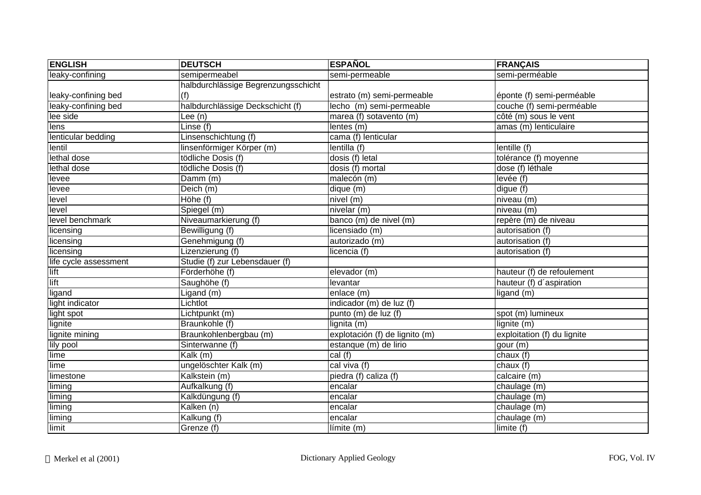| <b>ENGLISH</b>        | <b>DEUTSCH</b>                      | <b>ESPAÑOL</b>                 | <b>FRANÇAIS</b>             |
|-----------------------|-------------------------------------|--------------------------------|-----------------------------|
| leaky-confining       | semipermeabel                       | semi-permeable                 | semi-perméable              |
|                       | halbdurchlässige Begrenzungsschicht |                                |                             |
| leaky-confining bed   | (f)                                 | estrato (m) semi-permeable     | éponte (f) semi-perméable   |
| leaky-confining bed   | halbdurchlässige Deckschicht (f)    | lecho (m) semi-permeable       | couche (f) semi-perméable   |
| lee side              | Lee (n)                             | marea (f) sotavento (m)        | côté (m) sous le vent       |
| lens                  | Linse (f)                           | lentes (m)                     | amas (m) lenticulaire       |
| lenticular bedding    | Linsenschichtung (f)                | cama (f) lenticular            |                             |
| $l$ entil             | linsenförmiger Körper (m)           | lentilla (f)                   | lentille (f)                |
| lethal dose           | tödliche Dosis (f)                  | dosis (f) letal                | tolérance (f) moyenne       |
| lethal dose           | tödliche Dosis (f)                  | dosis (f) mortal               | dose (f) léthale            |
| levee                 | Damm (m)                            | malecón (m)                    | levée (f)                   |
| levee                 | Deich (m)                           | dique (m)                      | digue (f)                   |
| level                 | Höhe (f)                            | nivel (m)                      | niveau (m)                  |
| level                 | Spiegel (m)                         | nivelar (m)                    | niveau (m)                  |
| level benchmark       | Niveaumarkierung (f)                | banco (m) de nivel (m)         | repère (m) de niveau        |
| licensing             | Bewilligung (f)                     | licensiado (m)                 | autorisation (f)            |
| licensing             | Genehmigung (f)                     | autorizado (m)                 | autorisation (f)            |
| licensing             | Lizenzierung (f)                    | licencia (f)                   | autorisation (f)            |
| life cycle assessment | Studie (f) zur Lebensdauer (f)      |                                |                             |
| lift                  | Förderhöhe (f)                      | elevador (m)                   | hauteur (f) de refoulement  |
| lift                  | Saughöhe (f)                        | levantar                       | hauteur (f) d'aspiration    |
| ligand                | Ligand (m)                          | enlace (m)                     | ligand (m)                  |
| light indicator       | Lichtlot                            | indicador (m) de luz (f)       |                             |
| light spot            | Lichtpunkt (m)                      | punto (m) de luz (f)           | spot (m) lumineux           |
| lignite               | Braunkohle (f)                      | lignita (m)                    | lignite (m)                 |
| lignite mining        | Braunkohlenbergbau (m)              | explotación (f) de lignito (m) | exploitation (f) du lignite |
| lily pool             | Sinterwanne (f)                     | estanque (m) de lirio          | gour (m)                    |
| lime                  | Kalk (m)                            | cal(f)                         | chaux $(f)$                 |
| lime                  | ungelöschter Kalk (m)               | cal viva (f)                   | chaux $(f)$                 |
| limestone             | Kalkstein (m)                       | piedra (f) caliza (f)          | calcaire (m)                |
| liming                | Aufkalkung (f)                      | encalar                        | chaulage (m)                |
| liming                | Kalkdüngung (f)                     | encalar                        | chaulage (m)                |
| liming                | Kalken (n)                          | encalar                        | chaulage (m)                |
| liming                | Kalkung (f)                         | encalar                        | chaulage (m)                |
| limit                 | Grenze (f)                          | límite (m)                     | limite (f)                  |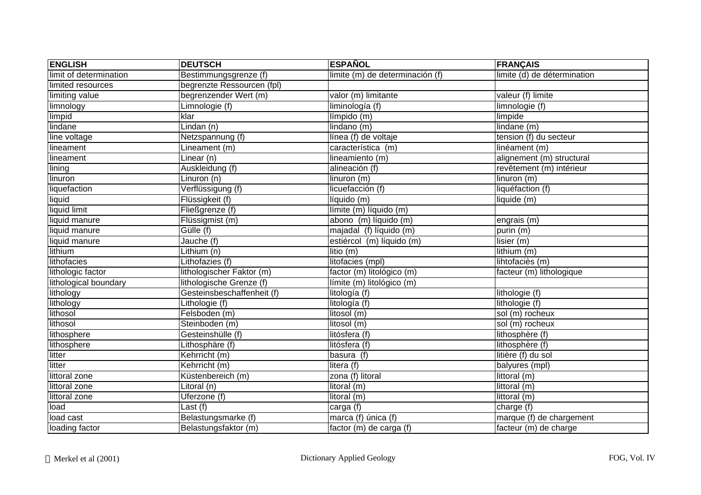| <b>ENGLISH</b>         | <b>DEUTSCH</b>             | <b>ESPAÑOL</b>                  | <b>FRANÇAIS</b>             |
|------------------------|----------------------------|---------------------------------|-----------------------------|
| limit of determination | Bestimmungsgrenze (f)      | limite (m) de determinación (f) | limite (d) de détermination |
| limited resources      | begrenzte Ressourcen (fpl) |                                 |                             |
| limiting value         | begrenzender Wert (m)      | valor (m) limitante             | valeur (f) limite           |
| limnology              | Limnologie (f)             | liminología (f)                 | limnologie (f)              |
| limpid                 | klar                       | límpido (m)                     | limpide                     |
| lindane                | Lindan (n)                 | lindano (m)                     | lindane (m)                 |
| line voltage           | Netzspannung (f)           | línea (f) de voltaje            | tension (f) du secteur      |
| lineament              | Lineament (m)              | característica (m)              | linéament (m)               |
| lineament              | Linear (n)                 | lineamiento (m)                 | alignement (m) structural   |
| lining                 | Auskleidung (f)            | alineación (f)                  | revêtement (m) intérieur    |
| linuron                | Linuron (n)                | linuron (m)                     | linuron (m)                 |
| liquefaction           | Verflüssigung (f)          | licuefacción (f)                | liquéfaction (f)            |
| liquid                 | Flüssigkeit (f)            | líquido (m)                     | liquide (m)                 |
| liquid limit           | Fließgrenze (f)            | límite (m) líquido (m)          |                             |
| liquid manure          | Flüssigmist (m)            | abono (m) líquido (m)           | engrais (m)                 |
| liquid manure          | Gülle (f)                  | majadal (f) líquido (m)         | purin (m)                   |
| liquid manure          | Jauche (f)                 | estiércol (m) líquido (m)       | lisier (m)                  |
| lithium                | Lithium(n)                 | litio(m)                        | lithium (m)                 |
| lithofacies            | Lithofazies (f)            | litofacies (mpl)                | lihtofaciès (m)             |
| lithologic factor      | lithologischer Faktor (m)  | factor (m) litológico (m)       | facteur (m) lithologique    |
| lithological boundary  | lithologische Grenze (f)   | límite (m) litológico (m)       |                             |
| lithology              | Gesteinsbeschaffenheit (f) | litología (f)                   | lithologie (f)              |
| lithology              | Lithologie (f)             | litología (f)                   | lithologie (f)              |
| lithosol               | Felsboden (m)              | litosol (m)                     | sol (m) rocheux             |
| lithosol               | Steinboden (m)             | litosol (m)                     | sol (m) rocheux             |
| lithosphere            | Gesteinshülle (f)          | litósfera (f)                   | lithosphère (f)             |
| lithosphere            | Lithosphäre (f)            | litósfera (f)                   | lithosphère (f)             |
| litter                 | Kehrricht (m)              | basura (f)                      | litière (f) du sol          |
| litter                 | Kehrricht (m)              | litera (f)                      | balyures (mpl)              |
| littoral zone          | Küstenbereich (m)          | zona (f) litoral                | littoral (m)                |
| littoral zone          | Litoral (n)                | litoral (m)                     | littoral (m)                |
| littoral zone          | Uferzone (f)               | litoral (m)                     | littoral (m)                |
| load                   | Last (f)                   | carga (f)                       | charge (f)                  |
| load cast              | Belastungsmarke (f)        | marca (f) única (f)             | marque (f) de chargement    |
| loading factor         | Belastungsfaktor (m)       | factor (m) de carga (f)         | facteur (m) de charge       |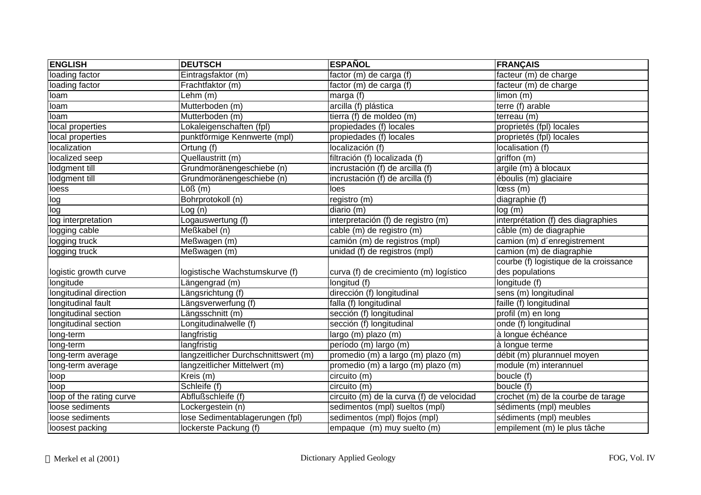| <b>ENGLISH</b>           | <b>DEUTSCH</b>                       | <b>ESPAÑOL</b>                            | <b>FRANÇAIS</b>                           |
|--------------------------|--------------------------------------|-------------------------------------------|-------------------------------------------|
| loading factor           | Eintragsfaktor (m)                   | factor (m) de carga (f)                   | facteur (m) de charge                     |
| loading factor           | Frachtfaktor (m)                     | factor (m) de carga (f)                   | facteur (m) de charge                     |
| loam                     | Lehm (m)                             | marga (f)                                 | limon (m)                                 |
| loam                     | Mutterboden (m)                      | arcilla (f) plástica                      | terre (f) arable                          |
| loam                     | Mutterboden (m)                      | tierra (f) de moldeo (m)                  | terreau (m)                               |
| local properties         | Lokaleigenschaften (fpl)             | propiedades (f) locales                   | proprietés (fpl) locales                  |
| local properties         | punktförmige Kennwerte (mpl)         | propiedades (f) locales                   | proprietés (fpl) locales                  |
| localization             | Ortung (f)                           | localización (f)                          | localisation (f)                          |
| localized seep           | Quellaustritt (m)                    | filtración (f) localizada (f)             | griffon (m)                               |
| lodgment till            | Grundmoränengeschiebe (n)            | incrustación (f) de arcilla (f)           | argile (m) à blocaux                      |
| lodgment till            | Grundmoränengeschiebe (n)            | incrustación (f) de arcilla (f)           | $\overline{\text{éb}$ oulis (m) glaciaire |
| loess                    | $\overline{\text{Lo}}$ ß (m)         | lloes                                     | loss(m)                                   |
| log                      | Bohrprotokoll (n)                    | registro (m)                              | diagraphie (f)                            |
| log                      | Log(n)                               | diario (m)                                | log(m)                                    |
| log interpretation       | Logauswertung (f)                    | interpretación (f) de registro (m)        | interprétation (f) des diagraphies        |
| logging cable            | Meßkabel (n)                         | cable (m) de registro (m)                 | câble (m) de diagraphie                   |
| logging truck            | Meßwagen (m)                         | camión (m) de registros (mpl)             | camion (m) d'enregistrement               |
| logging truck            | Meßwagen (m)                         | unidad (f) de registros (mpl)             | camion (m) de diagraphie                  |
|                          |                                      |                                           | courbe (f) logistique de la croissance    |
| logistic growth curve    | logistische Wachstumskurve (f)       | curva (f) de crecimiento (m) logístico    | des populations                           |
| longitude                | Längengrad (m)                       | longitud (f)                              | longitude (f)                             |
| longitudinal direction   | Längsrichtung (f)                    | dirección (f) longitudinal                | sens (m) longitudinal                     |
| longitudinal fault       | Längsverwerfung (f)                  | falla (f) longitudinal                    | faille (f) longitudinal                   |
| longitudinal section     | Längsschnitt (m)                     | sección (f) longitudinal                  | profil (m) en long                        |
| longitudinal section     | Longitudinalwelle (f)                | sección (f) longitudinal                  | onde (f) longitudinal                     |
| long-term                | langfristig                          | largo (m) plazo (m)                       | à longue échéance                         |
| long-term                | langfristig                          | período (m) largo (m)                     | à longue terme                            |
| long-term average        | langzeitlicher Durchschnittswert (m) | promedio (m) a largo (m) plazo (m)        | débit (m) plurannuel moyen                |
| long-term average        | langzeitlicher Mittelwert (m)        | promedio (m) a largo (m) plazo (m)        | module (m) interannuel                    |
| loop                     | Kreis (m)                            | circuito (m)                              | boucle (f)                                |
| loop                     | Schleife (f)                         | circuito (m)                              | boucle (f)                                |
| loop of the rating curve | Abflußschleife (f)                   | circuito (m) de la curva (f) de velocidad | crochet (m) de la courbe de tarage        |
| loose sediments          | Lockergestein (n)                    | sedimentos (mpl) sueltos (mpl)            | sédiments (mpl) meubles                   |
| loose sediments          | lose Sedimentablagerungen (fpl)      | sedimentos (mpl) flojos (mpl)             | sédiments (mpl) meubles                   |
| loosest packing          | lockerste Packung (f)                | empaque (m) muy suelto (m)                | empilement (m) le plus tâche              |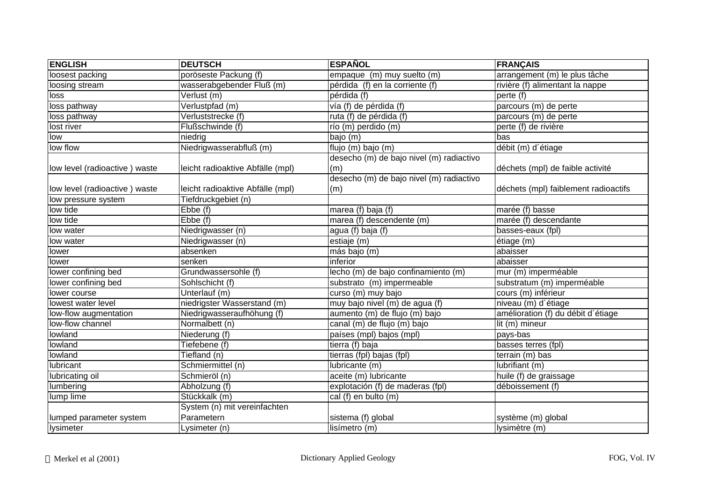| <b>ENGLISH</b>                | <b>DEUTSCH</b>                   | <b>ESPAÑOL</b>                           | <b>FRANÇAIS</b>                      |
|-------------------------------|----------------------------------|------------------------------------------|--------------------------------------|
| loosest packing               | poröseste Packung (f)            | empaque (m) muy suelto (m)               | arrangement (m) le plus tâche        |
| loosing stream                | wasserabgebender Fluß (m)        | pérdida (f) en la corriente (f)          | rivière (f) alimentant la nappe      |
| loss                          | Verlust (m)                      | pérdida (f)                              | perte (f)                            |
| loss pathway                  | Verlustpfad (m)                  | vía (f) de pérdida (f)                   | parcours (m) de perte                |
| loss pathway                  | Verluststrecke (f)               | ruta (f) de pérdida (f)                  | parcours (m) de perte                |
| lost river                    | Flußschwinde (f)                 | río (m) perdido (m)                      | perte (f) de rivière                 |
| low                           | niedrig                          | bajo (m)                                 | bas                                  |
| low flow                      | Niedrigwasserabfluß (m)          | flujo (m) bajo (m)                       | débit (m) d'étiage                   |
|                               |                                  | desecho (m) de bajo nivel (m) radiactivo |                                      |
| low level (radioactive) waste | leicht radioaktive Abfälle (mpl) | (m)                                      | déchets (mpl) de faible activité     |
|                               |                                  | desecho (m) de bajo nivel (m) radiactivo |                                      |
| low level (radioactive) waste | leicht radioaktive Abfälle (mpl) | (m)                                      | déchets (mpl) faiblement radioactifs |
| low pressure system           | Tiefdruckgebiet (n)              |                                          |                                      |
| low tide                      | Ebbe (f)                         | marea (f) baja (f)                       | marée (f) basse                      |
| low tide                      | $E$ <sub>b</sub> $\Theta$ (f)    | marea (f) descendente (m)                | marée (f) descendante                |
| low water                     | Niedrigwasser (n)                | agua (f) baja (f)                        | basses-eaux (fpl)                    |
| low water                     | Niedrigwasser (n)                | estiaje (m)                              | étiage (m)                           |
| lower                         | absenken                         | más bajo (m)                             | abaisser                             |
| lower                         | senken                           | inferior                                 | abaisser                             |
| lower confining bed           | Grundwassersohle (f)             | lecho (m) de bajo confinamiento (m)      | mur (m) imperméable                  |
| lower confining bed           | Sohlschicht (f)                  | substrato (m) impermeable                | substratum (m) imperméable           |
| lower course                  | Unterlauf (m)                    | curso (m) muy bajo                       | cours (m) inférieur                  |
| lowest water level            | niedrigster Wasserstand (m)      | muy bajo nivel (m) de agua (f)           | niveau (m) d'étiage                  |
| low-flow augmentation         | Niedrigwasseraufhöhung (f)       | aumento (m) de flujo (m) bajo            | amélioration (f) du débit d'étiage   |
| low-flow channel              | Normalbett (n)                   | canal (m) de flujo (m) bajo              | lit (m) mineur                       |
| lowland                       | Niederung (f)                    | países (mpl) bajos (mpl)                 | pays-bas                             |
| lowland                       | Tiefebene (f)                    | tierra (f) baja                          | basses terres (fpl)                  |
| lowland                       | Tiefland (n)                     | tierras (fpl) bajas (fpl)                | terrain (m) bas                      |
| lubricant                     | Schmiermittel (n)                | lubricante (m)                           | lubrifiant (m)                       |
| lubricating oil               | Schmieröl (n)                    | aceite (m) lubricante                    | huile (f) de graissage               |
| lumbering                     | Abholzung (f)                    | explotación (f) de maderas (fpl)         | déboissement (f)                     |
| lump lime                     | Stückkalk (m)                    | cal (f) en bulto (m)                     |                                      |
|                               | System (n) mit vereinfachten     |                                          |                                      |
| lumped parameter system       | Parametern                       | sistema (f) global                       | système (m) global                   |
| lysimeter                     | Lysimeter (n)                    | lisímetro (m)                            | Ivsimètre (m)                        |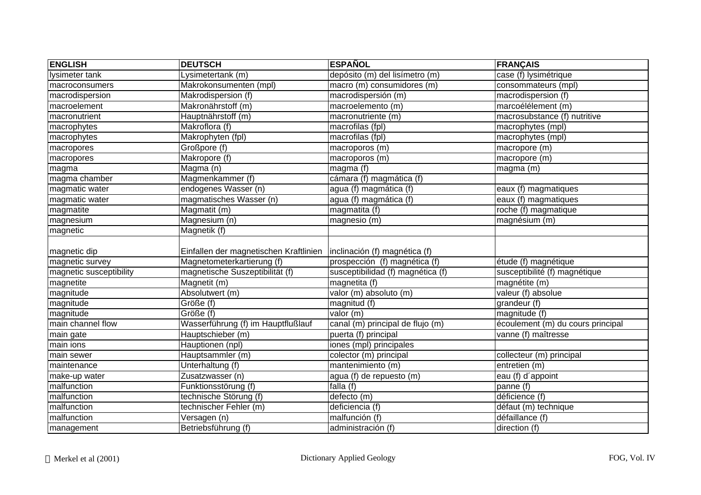| <b>ENGLISH</b>          | <b>DEUTSCH</b>                         | <b>ESPAÑOL</b>                    | <b>FRANÇAIS</b>                   |
|-------------------------|----------------------------------------|-----------------------------------|-----------------------------------|
| Iysimeter tank          | Lysimetertank (m)                      | depósito (m) del lisímetro (m)    | case (f) lysimétrique             |
| macroconsumers          | Makrokonsumenten (mpl)                 | macro (m) consumidores (m)        | consommateurs (mpl)               |
| macrodispersion         | Makrodispersion (f)                    | macrodispersión (m)               | macrodispersion (f)               |
| macroelement            | Makronährstoff (m)                     | macroelemento (m)                 | marcoélélement (m)                |
| macronutrient           | Hauptnährstoff (m)                     | macronutriente (m)                | macrosubstance (f) nutritive      |
| macrophytes             | Makroflora (f)                         | macrofilas (fpl)                  | macrophytes (mpl)                 |
| macrophytes             | Makrophyten (fpl)                      | macrofilas (fpl)                  | macrophytes (mpl)                 |
| macropores              | Großpore (f)                           | macroporos (m)                    | macropore (m)                     |
| macropores              | Makropore (f)                          | macroporos (m)                    | macropore (m)                     |
| magma                   | Magma (n)                              | magna(f)                          | magma (m)                         |
| magma chamber           | Magmenkammer (f)                       | cámara (f) magmática (f)          |                                   |
| magmatic water          | endogenes Wasser (n)                   | agua (f) magmática (f)            | eaux (f) magmatiques              |
| magmatic water          | magmatisches Wasser (n)                | agua (f) magmática (f)            | eaux (f) magmatiques              |
| magmatite               | Magmatit (m)                           | magmatita (f)                     | roche (f) magmatique              |
| magnesium               | Magnesium (n)                          | magnesio (m)                      | magnésium (m)                     |
| magnetic                | Magnetik (f)                           |                                   |                                   |
| magnetic dip            | Einfallen der magnetischen Kraftlinien | inclinación (f) magnética (f)     |                                   |
| magnetic survey         | Magnetometerkartierung (f)             | prospección (f) magnética (f)     | étude (f) magnétique              |
| magnetic susceptibility | magnetische Suszeptibilität (f)        | susceptibilidad (f) magnética (f) | susceptibilité (f) magnétique     |
| magnetite               | Magnetit (m)                           | magnetita (f)                     | magnétite (m)                     |
| magnitude               | Absolutwert (m)                        | valor (m) absoluto (m)            | valeur (f) absolue                |
| magnitude               | Größe (f)                              | magnitud $(f)$                    | grandeur (f)                      |
| magnitude               | Größe (f)                              | valor (m)                         | magnitude (f)                     |
| main channel flow       | Wasserführung (f) im Hauptflußlauf     | canal (m) principal de flujo (m)  | écoulement (m) du cours principal |
| main gate               | Hauptschieber (m)                      | puerta (f) principal              | vanne (f) maîtresse               |
| main ions               | Hauptionen (npl)                       | iones (mpl) principales           |                                   |
| main sewer              | Hauptsammler (m)                       | colector (m) principal            | collecteur (m) principal          |
| maintenance             | Unterhaltung (f)                       | mantenimiento (m)                 | entretien (m)                     |
| make-up water           | Zusatzwasser (n)                       | agua (f) de repuesto (m)          | eau (f) d'appoint                 |
| malfunction             | Funktionsstörung (f)                   | falla $(f)$                       | panne (f)                         |
| malfunction             | technische Störung (f)                 | defecto (m)                       | déficience (f)                    |
| malfunction             | technischer Fehler (m)                 | deficiencia (f)                   | défaut (m) technique              |
| malfunction             | Versagen (n)                           | malfunción (f)                    | défaillance (f)                   |
| management              | Betriebsführung (f)                    | administración (f)                | direction (f)                     |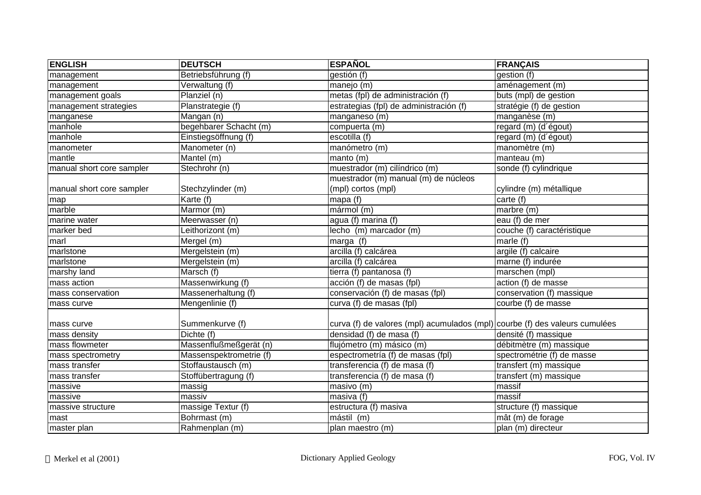| <b>ENGLISH</b>            | <b>DEUTSCH</b>          | <b>ESPAÑOL</b>                                                              | <b>FRANÇAIS</b>            |
|---------------------------|-------------------------|-----------------------------------------------------------------------------|----------------------------|
| management                | Betriebsführung (f)     | gestión (f)                                                                 | gestion (f)                |
| management                | Verwaltung (f)          | manejo (m)                                                                  | aménagement (m)            |
| management goals          | Planziel (n)            | metas (fpl) de administración (f)                                           | buts (mpl) de gestion      |
| management strategies     | Planstrategie (f)       | estrategias (fpl) de administración (f)                                     | stratégie (f) de gestion   |
| manganese                 | Mangan (n)              | manganeso (m)                                                               | manganèse $(m)$            |
| manhole                   | begehbarer Schacht (m)  | compuerta (m)                                                               | regard (m) (d'égout)       |
| manhole                   | Einstiegsöffnung (f)    | escotilla $\overline{(f)}$                                                  | regard (m) (d'égout)       |
| manometer                 | Manometer (n)           | manómetro (m)                                                               | manomètre (m)              |
| mantle                    | Mantel (m)              | manto (m)                                                                   | manteau (m)                |
| manual short core sampler | Stechrohr (n)           | muestrador (m) cilíndrico (m)                                               | sonde (f) cylindrique      |
|                           |                         | muestrador (m) manual (m) de núcleos                                        |                            |
| manual short core sampler | Stechzylinder (m)       | (mpl) cortos (mpl)                                                          | cylindre (m) métallique    |
| map                       | Karte (f)               | mapa $(f)$                                                                  | carte (f)                  |
| marble                    | Marmor (m)              | mármol (m)                                                                  | marbre (m)                 |
| marine water              | Meerwasser (n)          | agua (f) marina (f)                                                         | eau (f) de mer             |
| marker bed                | Leithorizont (m)        | lecho $\overline{(m)}$ marcador $\overline{(m)}$                            | couche (f) caractéristique |
| marl                      | Mergel (m)              | marga (f)                                                                   | marle (f)                  |
| marlstone                 | Mergelstein (m)         | arcilla (f) calcárea                                                        | argile (f) calcaire        |
| marlstone                 | Mergelstein (m)         | arcilla (f) calcárea                                                        | marne (f) indurée          |
| marshy land               | Marsch (f)              | tierra (f) pantanosa (f)                                                    | marschen (mpl)             |
| mass action               | Massenwirkung (f)       | acción (f) de masas (fpl)                                                   | action (f) de masse        |
| mass conservation         | Massenerhaltung (f)     | conservación (f) de masas (fpl)                                             | conservation (f) massique  |
| mass curve                | Mengenlinie (f)         | curva (f) de masas (fpl)                                                    | courbe (f) de masse        |
| mass curve                | Summenkurve (f)         | curva (f) de valores (mpl) acumulados (mpl) courbe (f) des valeurs cumulées |                            |
| mass density              | Dichte (f)              | densidad (f) de masa (f)                                                    | densité (f) massique       |
| mass flowmeter            | Massenflußmeßgerät (n)  | flujómetro (m) másico (m)                                                   | débitmètre (m) massique    |
| mass spectrometry         | Massenspektrometrie (f) | espectrometría (f) de masas (fpl)                                           | spectrométrie (f) de masse |
| mass transfer             | Stoffaustausch (m)      | transferencia (f) de masa (f)                                               | transfert (m) massique     |
| mass transfer             | Stoffübertragung (f)    | transferencia (f) de masa (f)                                               | transfert (m) massique     |
| massive                   | massig                  | masivo (m)                                                                  | massif                     |
| massive                   | massiv                  | masiva (f)                                                                  | massif                     |
| massive structure         | massige Textur (f)      | estructura (f) masiva                                                       | structure (f) massique     |
| mast                      | Bohrmast (m)            | mástil (m)                                                                  | mât (m) de forage          |
| master plan               | Rahmenplan (m)          | plan maestro (m)                                                            | plan (m) directeur         |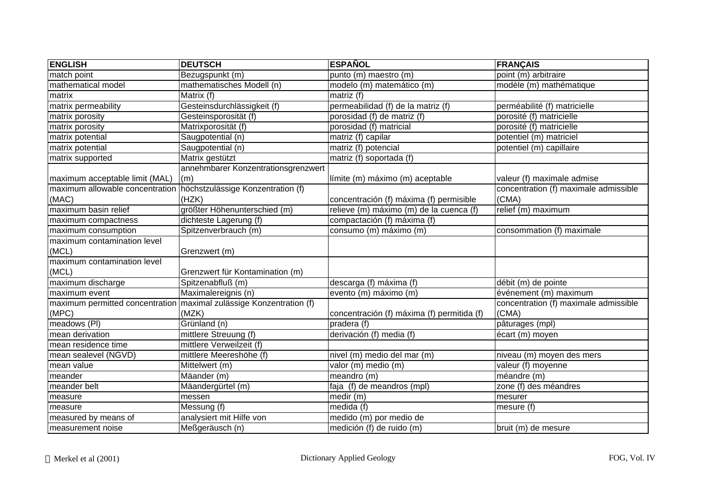| <b>ENGLISH</b>                  | <b>DEUTSCH</b>                                                        | <b>ESPAÑOL</b>                             | <b>FRANÇAIS</b>                       |
|---------------------------------|-----------------------------------------------------------------------|--------------------------------------------|---------------------------------------|
| match point                     | Bezugspunkt (m)                                                       | punto (m) maestro (m)                      | point (m) arbitraire                  |
| mathematical model              | mathematisches Modell (n)                                             | modelo (m) matemático (m)                  | modèle (m) mathématique               |
| matrix                          | Matrix (f)                                                            | matriz $(\overline{f})$                    |                                       |
| matrix permeability             | Gesteinsdurchlässigkeit (f)                                           | permeabilidad (f) de la matriz (f)         | perméabilité (f) matricielle          |
| matrix porosity                 | Gesteinsporosität (f)                                                 | porosidad (f) de matriz (f)                | porosité (f) matricielle              |
| matrix porosity                 | Matrixporosität (f)                                                   | porosidad (f) matricial                    | porosité (f) matricielle              |
| matrix potential                | Saugpotential (n)                                                     | matriz (f) capilar                         | potentiel (m) matriciel               |
| matrix potential                | Saugpotential (n)                                                     | matriz (f) potencial                       | potentiel (m) capillaire              |
| matrix supported                | Matrix gestützt                                                       | matriz (f) soportada (f)                   |                                       |
|                                 | annehmbarer Konzentrationsgrenzwert                                   |                                            |                                       |
| maximum acceptable limit (MAL)  | (m)                                                                   | límite (m) máximo (m) aceptable            | valeur (f) maximale admise            |
| maximum allowable concentration | höchstzulässige Konzentration (f)                                     |                                            | concentration (f) maximale admissible |
| (MAC)                           | (HZK)                                                                 | concentración (f) máxima (f) permisible    | (CMA)                                 |
| maximum basin relief            | größter Höhenunterschied (m)                                          | relieve (m) máximo (m) de la cuenca (f)    | relief (m) maximum                    |
| maximum compactness             | dichteste Lagerung (f)                                                | compactación (f) máxima (f)                |                                       |
| maximum consumption             | Spitzenverbrauch (m)                                                  | consumo (m) máximo (m)                     | consommation (f) maximale             |
| maximum contamination level     |                                                                       |                                            |                                       |
| (MCL)                           | Grenzwert (m)                                                         |                                            |                                       |
| maximum contamination level     |                                                                       |                                            |                                       |
| (MCL)                           | Grenzwert für Kontamination (m)                                       |                                            |                                       |
| maximum discharge               | Spitzenabfluß (m)                                                     | descarga (f) máxima (f)                    | débit (m) de pointe                   |
| maximum event                   | Maximalereignis (n)                                                   | evento (m) máximo (m)                      | événement (m) maximum                 |
|                                 | maximum permitted concentration   maximal zulässige Konzentration (f) |                                            | concentration (f) maximale admissible |
| (MPC)                           | (MZK)                                                                 | concentración (f) máxima (f) permitida (f) | (CMA)                                 |
| meadows (PI)                    | Grünland (n)                                                          | pradera (f)                                | pâturages (mpl)                       |
| mean derivation                 | mittlere Streuung (f)                                                 | derivación (f) media (f)                   | écart (m) moyen                       |
| mean residence time             | mittlere Verweilzeit (f)                                              |                                            |                                       |
| mean sealevel (NGVD)            | mittlere Meereshöhe (f)                                               | nivel (m) medio del mar (m)                | niveau (m) moyen des mers             |
| mean value                      | Mittelwert (m)                                                        | valor (m) medio (m)                        | valeur (f) moyenne                    |
| meander                         | Mäander (m)                                                           | meandro (m)                                | méandre (m)                           |
| meander belt                    | Mäandergürtel (m)                                                     | faja (f) de meandros (mpl)                 | zone (f) des méandres                 |
| measure                         | messen                                                                | medir (m)                                  | mesurer                               |
| measure                         | Messung (f)                                                           | medida (f)                                 | mesure (f)                            |
| measured by means of            | analysiert mit Hilfe von                                              | medido (m) por medio de                    |                                       |
| measurement noise               | Meßgeräusch (n)                                                       | medición (f) de ruido (m)                  | bruit (m) de mesure                   |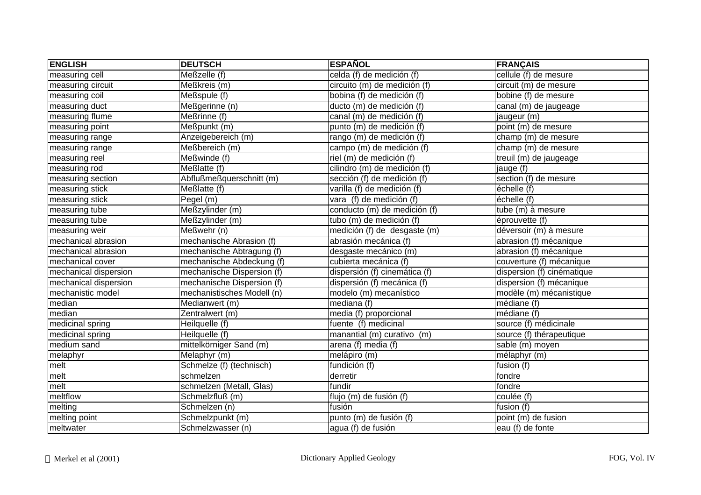| <b>ENGLISH</b>        | <b>DEUTSCH</b>             | <b>ESPAÑOL</b>                       | <b>FRANÇAIS</b>            |
|-----------------------|----------------------------|--------------------------------------|----------------------------|
| measuring cell        | Meßzelle (f)               | celda (f) de medición (f)            | cellule (f) de mesure      |
| measuring circuit     | Meßkreis (m)               | circuito (m) de medición (f)         | circuit (m) de mesure      |
| measuring coil        | Meßspule (f)               | bobina (f) de medición (f)           | bobine (f) de mesure       |
| measuring duct        | Meßgerinne (n)             | ducto (m) de medición (f)            | canal (m) de jaugeage      |
| measuring flume       | Meßrinne (f)               | canal (m) de medición (f)            | jaugeur (m)                |
| measuring point       | Meßpunkt (m)               | punto (m) de medición (f)            | point (m) de mesure        |
| measuring range       | Anzeigebereich (m)         | rango (m) de medición (f)            | champ (m) de mesure        |
| measuring range       | Meßbereich (m)             | campo (m) de medición (f)            | champ (m) de mesure        |
| measuring reel        | Meßwinde (f)               | riel (m) de medición (f)             | treuil (m) de jaugeage     |
| measuring rod         | Meßlatte (f)               | cilindro (m) de medición (f)         | jauge (f)                  |
| measuring section     | Abflußmeßquerschnitt (m)   | sección (f) de medición (f)          | section (f) de mesure      |
| measuring stick       | Meßlatte (f)               | varilla (f) de medición (f)          | échelle (f)                |
| measuring stick       | Pegel (m)                  | vara (f) de medición (f)             | échelle (f)                |
| measuring tube        | Meßzylinder (m)            | conducto (m) de medición (f)         | tube (m) à mesure          |
| measuring tube        | Meßzylinder (m)            | tubo (m) de medición (f)             | éprouvette (f)             |
| measuring weir        | Meßwehr (n)                | medición (f) de desgaste (m)         | déversoir (m) à mesure     |
| mechanical abrasion   | mechanische Abrasion (f)   | abrasión mecánica (f)                | abrasion (f) mécanique     |
| mechanical abrasion   | mechanische Abtragung (f)  | desgaste mecánico (m)                | abrasion (f) mécanique     |
| mechanical cover      | mechanische Abdeckung (f)  | cubierta mecánica (f)                | couverture (f) mécanique   |
| mechanical dispersion | mechanische Dispersion (f) | dispersión (f) cinemática (f)        | dispersion (f) cinématique |
| mechanical dispersion | mechanische Dispersion (f) | dispersión (f) mecánica (f)          | dispersion (f) mécanique   |
| mechanistic model     | mechanistisches Modell (n) | modelo (m) mecanístico               | modèle (m) mécanistique    |
| median                | Medianwert (m)             | $mediana$ (f)                        | médiane (f)                |
| median                | Zentralwert (m)            | media (f) proporcional               | médiane (f)                |
| medicinal spring      | Heilquelle (f)             | fuente (f) medicinal                 | source (f) médicinale      |
| medicinal spring      | Heilquelle (f)             | manantial (m) curativo (m)           | source (f) thérapeutique   |
| medium sand           | mittelkörniger Sand (m)    | arena (f) media (f)                  | sable (m) moyen            |
| melaphyr              | Melaphyr (m)               | melápiro (m)                         | $mélaphyr$ (m)             |
| melt                  | Schmelze (f) (technisch)   | fundición (f)                        | fusion (f)                 |
| melt                  | schmelzen                  | derretir                             | fondre                     |
| melt                  | schmelzen (Metall, Glas)   | fundir                               | fondre                     |
| meltflow              | Schmelzfluß (m)            | flujo $\overline{(m)}$ de fusión (f) | coulée (f)                 |
| melting               | Schmelzen (n)              | fusión                               | fusion (f)                 |
| melting point         | Schmelzpunkt (m)           | punto (m) de fusión (f)              | point (m) de fusion        |
| meltwater             | Schmelzwasser (n)          | agua (f) de fusión                   | eau (f) de fonte           |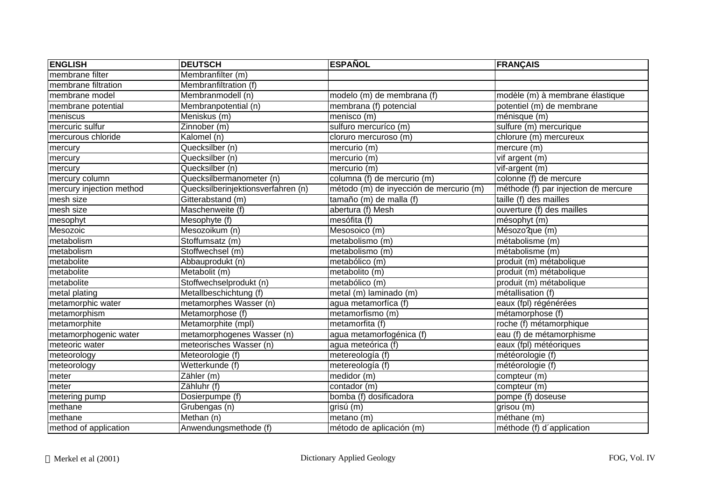| <b>ENGLISH</b>           | <b>DEUTSCH</b>                     | <b>ESPAÑOL</b>                          | FRANÇAIS                             |
|--------------------------|------------------------------------|-----------------------------------------|--------------------------------------|
| membrane filter          | Membranfilter (m)                  |                                         |                                      |
| membrane filtration      | Membranfiltration (f)              |                                         |                                      |
| membrane model           | Membranmodell (n)                  | modelo (m) de membrana (f)              | modèle (m) à membrane élastique      |
| membrane potential       | Membranpotential (n)               | membrana (f) potencial                  | potentiel (m) de membrane            |
| meniscus                 | Meniskus (m)                       | menisco (m)                             | ménisque (m)                         |
| mercuric sulfur          | Zinnober (m)                       | sulfuro mercuríco (m)                   | sulfure (m) mercurique               |
| mercurous chloride       | Kalomel (n)                        | cloruro mercuroso (m)                   | chlorure (m) mercureux               |
| mercury                  | Quecksilber (n)                    | mercurio (m)                            | mercure (m)                          |
| mercury                  | Quecksilber (n)                    | mercurio (m)                            | vif argent (m)                       |
| mercury                  | Quecksilber (n)                    | mercurio (m)                            | vif-argent (m)                       |
| mercury column           | Quecksilbermanometer (n)           | columna (f) de mercurio (m)             | colonne (f) de mercure               |
| mercury injection method | Quecksilberinjektionsverfahren (n) | método (m) de inyección de mercurio (m) | méthode (f) par injection de mercure |
| mesh size                | Gitterabstand (m)                  | tamaño (m) de malla (f)                 | taille (f) des mailles               |
| mesh size                | Maschenweite (f)                   | abertura (f) Mesh                       | ouverture (f) des mailles            |
| mesophyt                 | Mesophyte (f)                      | mesófita (f)                            | mésophyt (m)                         |
| Mesozoic                 | Mesozoikum (n)                     | Mesosoico (m)                           | Mésozo?que (m)                       |
| metabolism               | Stoffumsatz (m)                    | metabolismo (m)                         | métabolisme (m)                      |
| metabolism               | Stoffwechsel (m)                   | metabolismo (m)                         | métabolisme (m)                      |
| metabolite               | Abbauprodukt (n)                   | metabólico (m)                          | produit (m) métabolique              |
| metabolite               | Metabolit (m)                      | metabolito (m)                          | produit (m) métabolique              |
| metabolite               | Stoffwechselprodukt (n)            | metabólico (m)                          | produit (m) métabolique              |
| metal plating            | Metallbeschichtung (f)             | metal (m) laminado (m)                  | métallisation (f)                    |
| metamorphic water        | metamorphes Wasser (n)             | agua metamorfíca (f)                    | eaux (fpl) régénérées                |
| metamorphism             | Metamorphose (f)                   | metamorfismo (m)                        | métamorphose (f)                     |
| metamorphite             | Metamorphite (mpl)                 | metamorfita (f)                         | roche (f) métamorphique              |
| metamorphogenic water    | metamorphogenes Wasser (n)         | agua metamorfogénica (f)                | eau (f) de métamorphisme             |
| meteoric water           | meteorisches Wasser (n)            | agua meteórica (f)                      | eaux (fpl) météoriques               |
| meteorology              | Meteorologie (f)                   | metereología (f)                        | météorologie (f)                     |
| meteorology              | Wetterkunde (f)                    | metereología (f)                        | météorologie (f)                     |
| meter                    | Zähler (m)                         | medidor (m)                             | compteur (m)                         |
| meter                    | $\overline{\mathsf{Z}}$ ähluhr (f) | contador (m)                            | compteur (m)                         |
| metering pump            | Dosierpumpe (f)                    | bomba (f) dosificadora                  | pompe (f) doseuse                    |
| methane                  | Grubengas (n)                      | grisú (m)                               | grisou (m)                           |
| methane                  | Methan (n)                         | metano (m)                              | méthane (m)                          |
| method of application    | Anwendungsmethode (f)              | método de aplicación (m)                | méthode (f) d'application            |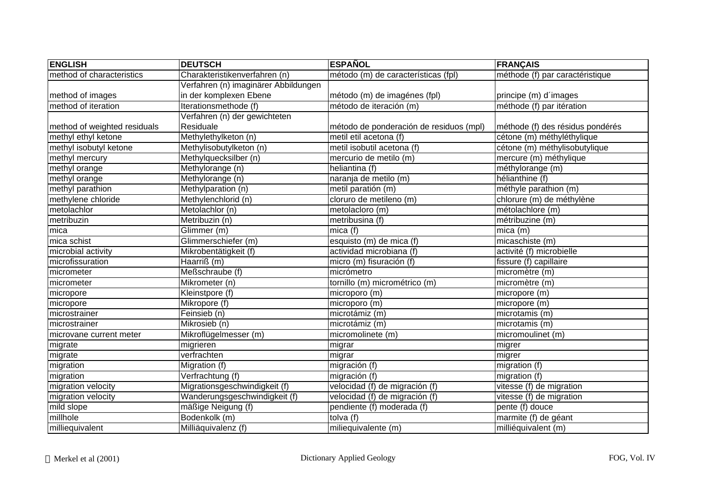| <b>ENGLISH</b>               | <b>DEUTSCH</b>                       | <b>ESPAÑOL</b>                          | <b>FRANÇAIS</b>                  |
|------------------------------|--------------------------------------|-----------------------------------------|----------------------------------|
| method of characteristics    | Charakteristikenverfahren (n)        | método (m) de características (fpl)     | méthode (f) par caractéristique  |
|                              | Verfahren (n) imaginärer Abbildungen |                                         |                                  |
| method of images             | in der komplexen Ebene               | método (m) de imagénes (fpl)            | principe (m) d'images            |
| method of iteration          | Iterationsmethode (f)                | método de iteración (m)                 | méthode (f) par itération        |
|                              | Verfahren (n) der gewichteten        |                                         |                                  |
| method of weighted residuals | Residuale                            | método de ponderación de residuos (mpl) | méthode (f) des résidus pondérés |
| methyl ethyl ketone          | Methylethylketon (n)                 | metil etil acetona (f)                  | cétone (m) méthyléthylique       |
| methyl isobutyl ketone       | Methylisobutylketon (n)              | metil isobutil acetona (f)              | cétone (m) méthylisobutylique    |
| methyl mercury               | Methylquecksilber (n)                | mercurio de metilo (m)                  | mercure (m) méthylique           |
| methyl orange                | Methylorange (n)                     | heliantina (f)                          | méthylorange (m)                 |
| methyl orange                | Methylorange (n)                     | naranja de metilo (m)                   | hélianthine (f)                  |
| methyl parathion             | Methylparation (n)                   | metil paratión (m)                      | méthyle parathion (m)            |
| methylene chloride           | Methylenchlorid (n)                  | cloruro de metileno (m)                 | chlorure (m) de méthylène        |
| metolachlor                  | Metolachlor (n)                      | metolacloro (m)                         | métolachlore (m)                 |
| metribuzin                   | Metribuzin (n)                       | metribusina (f)                         | métribuzine (m)                  |
| mica                         | Glimmer (m)                          | mica(f)                                 | $mica$ ( $m)$                    |
| mica schist                  | Glimmerschiefer (m)                  | esquisto (m) de mica (f)                | micaschiste (m)                  |
| microbial activity           | Mikrobentätigkeit (f)                | actividad microbiana (f)                | activité (f) microbielle         |
| microfissuration             | Haarriß (m)                          | micro (m) fisuración (f)                | fissure (f) capillaire           |
| micrometer                   | Meßschraube (f)                      | micrómetro                              | micromètre (m)                   |
| micrometer                   | Mikrometer (n)                       | tornillo (m) micrométrico (m)           | micromètre (m)                   |
| micropore                    | Kleinstpore (f)                      | microporo (m)                           | micropore (m)                    |
| micropore                    | Mikropore (f)                        | microporo (m)                           | micropore (m)                    |
| microstrainer                | Feinsieb (n)                         | microtámiz (m)                          | microtamis (m)                   |
| microstrainer                | Mikrosieb (n)                        | microtámiz (m)                          | microtamis (m)                   |
| microvane current meter      | Mikroflügelmesser (m)                | micromolinete (m)                       | micromoulinet (m)                |
| migrate                      | migrieren                            | migrar                                  | migrer                           |
| migrate                      | verfrachten                          | migrar                                  | migrer                           |
| migration                    | Migration (f)                        | migración (f)                           | migration (f)                    |
| migration                    | Verfrachtung (f)                     | migración (f)                           | migration (f)                    |
| migration velocity           | Migrationsgeschwindigkeit (f)        | velocidad (f) de migración (f)          | vitesse (f) de migration         |
| migration velocity           | Wanderungsgeschwindigkeit (f)        | velocidad (f) de migración (f)          | vitesse (f) de migration         |
| mild slope                   | mäßige Neigung (f)                   | pendiente (f) moderada (f)              | pente (f) douce                  |
| millhole                     | Bodenkolk (m)                        | tolva (f)                               | marmite (f) de géant             |
| milliequivalent              | Milliäquivalenz (f)                  | miliequivalente (m)                     | milliéquivalent (m)              |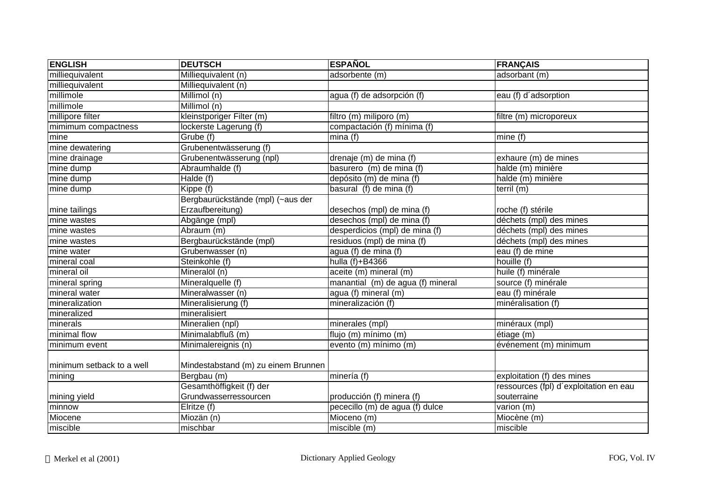| <b>ENGLISH</b>            | <b>DEUTSCH</b>                      | <b>ESPAÑOL</b>                    | <b>FRANÇAIS</b>                        |
|---------------------------|-------------------------------------|-----------------------------------|----------------------------------------|
| milliequivalent           | Milliequivalent (n)                 | adsorbente (m)                    | adsorbant (m)                          |
| milliequivalent           | Milliequivalent (n)                 |                                   |                                        |
| millimole                 | Millimol (n)                        | agua (f) de adsorpción (f)        | eau (f) d'adsorption                   |
| millimole                 | Millimol (n)                        |                                   |                                        |
| millipore filter          | kleinstporiger Filter (m)           | filtro (m) miliporo (m)           | filtre (m) microporeux                 |
| mimimum compactness       | lockerste Lagerung (f)              | compactación (f) mínima (f)       |                                        |
| mine                      | Grube (f)                           | mina(f)                           | mine (f)                               |
| mine dewatering           | Grubenentwässerung (f)              |                                   |                                        |
| mine drainage             | Grubenentwässerung (npl)            | drenaje (m) de mina (f)           | exhaure (m) de mines                   |
| mine dump                 | Abraumhalde (f)                     | basurero (m) de mina (f)          | halde (m) minière                      |
| mine dump                 | Halde (f)                           | depósito (m) de mina (f)          | halde (m) minière                      |
| mine dump                 | Kippe (f)                           | basural (f) de mina (f)           | terril (m)                             |
|                           | Bergbaurückstände (mpl) (~aus der   |                                   |                                        |
| mine tailings             | Erzaufbereitung)                    | desechos (mpl) de mina (f)        | roche (f) stérile                      |
| mine wastes               | Abgänge (mpl)                       | desechos (mpl) de mina (f)        | déchets (mpl) des mines                |
| mine wastes               | Abraum (m)                          | desperdicios (mpl) de mina (f)    | déchets (mpl) des mines                |
| mine wastes               | Bergbaurückstände (mpl)             | residuos (mpl) de mina (f)        | déchets (mpl) des mines                |
| mine water                | Grubenwasser (n)                    | agua (f) de mina (f)              | eau (f) de mine                        |
| mineral coal              | Steinkohle (f)                      | hulla (f)+B4366                   | houille (f)                            |
| mineral oil               | Mineralöl (n)                       | aceite (m) mineral (m)            | huile (f) minérale                     |
| mineral spring            | Mineralquelle (f)                   | manantial (m) de agua (f) mineral | source (f) minérale                    |
| mineral water             | Mineralwasser (n)                   | agua (f) mineral (m)              | eau (f) minérale                       |
| mineralization            | Mineralisierung (f)                 | mineralización (f)                | minéralisation (f)                     |
| mineralized               | mineralisiert                       |                                   |                                        |
| minerals                  | Mineralien (npl)                    | minerales (mpl)                   | minéraux (mpl)                         |
| minimal flow              | Minimalabfluß (m)                   | flujo (m) mínimo (m)              | étiage (m)                             |
| minimum event             | Minimalereignis (n)                 | evento (m) mínimo (m)             | événement (m) minimum                  |
|                           |                                     |                                   |                                        |
| minimum setback to a well | Mindestabstand (m) zu einem Brunnen |                                   |                                        |
| mining                    | Bergbau (m)                         | minería (f)                       | exploitation (f) des mines             |
|                           | Gesamthöffigkeit (f) der            |                                   | ressources (fpl) d'exploitation en eau |
| mining yield              | Grundwasserressourcen               | producción (f) minera (f)         | souterraine                            |
| minnow                    | Elritze (f)                         | pececillo (m) de agua (f) dulce   | varion (m)                             |
| Miocene                   | Miozän (n)                          | Mioceno (m)                       | Miocène (m)                            |
| miscible                  | mischbar                            | miscible (m)                      | miscible                               |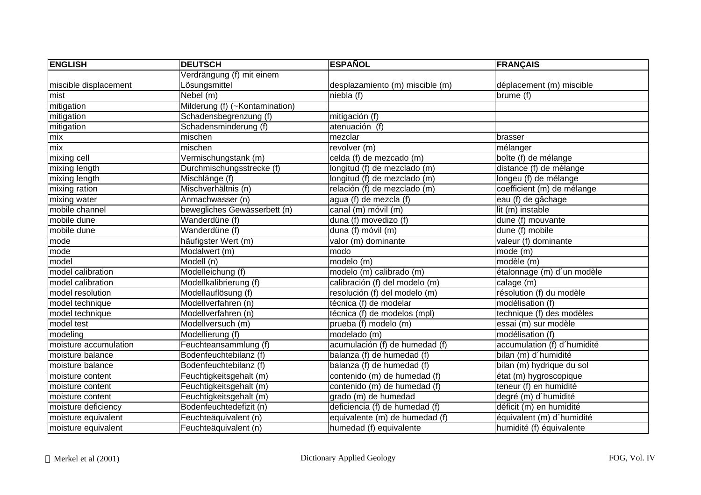| <b>ENGLISH</b>        | <b>DEUTSCH</b>                 | <b>ESPAÑOL</b>                  | <b>FRANÇAIS</b>             |
|-----------------------|--------------------------------|---------------------------------|-----------------------------|
|                       | Verdrängung (f) mit einem      |                                 |                             |
| miscible displacement | Lösungsmittel                  | desplazamiento (m) miscible (m) | déplacement (m) miscible    |
| mist                  | Nebel (m)                      | niebla (f)                      | brume (f)                   |
| mitigation            | Milderung (f) (~Kontamination) |                                 |                             |
| mitigation            | Schadensbegrenzung (f)         | mitigación (f)                  |                             |
| mitigation            | Schadensminderung (f)          | atenuación (f)                  |                             |
| mix                   | mischen                        | mezclar                         | brasser                     |
| mix                   | mischen                        | revolver (m)                    | mélanger                    |
| mixing cell           | Vermischungstank (m)           | celda (f) de mezcado (m)        | boîte (f) de mélange        |
| mixing length         | Durchmischungsstrecke (f)      | longitud (f) de mezclado (m)    | distance (f) de mélange     |
| mixing length         | Mischlänge (f)                 | longitud (f) de mezclado (m)    | longeu (f) de mélange       |
| mixing ration         | Mischverhältnis (n)            | relación (f) de mezclado (m)    | coefficient (m) de mélange  |
| mixing water          | Anmachwasser (n)               | agua (f) de mezcla (f)          | eau (f) de gâchage          |
| mobile channel        | bewegliches Gewässerbett (n)   | canal (m) móvil (m)             | lit (m) instable            |
| mobile dune           | Wanderdüne (f)                 | duna (f) movedizo (f)           | dune (f) mouvante           |
| mobile dune           | Wanderdüne (f)                 | duna (f) móvil (m)              | dune (f) mobile             |
| mode                  | häufigster Wert (m)            | valor (m) dominante             | valeur (f) dominante        |
| mode                  | Modalwert (m)                  | modo                            | mode (m)                    |
| model                 | Modell (n)                     | modelo (m)                      | modèle (m)                  |
| model calibration     | Modelleichung (f)              | modelo (m) calibrado (m)        | étalonnage (m) d'un modèle  |
| model calibration     | Modellkalibrierung (f)         | calibración (f) del modelo (m)  | calage (m)                  |
| model resolution      | Modellauflösung (f)            | resolución (f) del modelo (m)   | résolution (f) du modèle    |
| model technique       | Modellverfahren (n)            | técnica (f) de modelar          | modélisation (f)            |
| model technique       | Modellverfahren (n)            | técnica (f) de modelos (mpl)    | technique (f) des modèles   |
| model test            | Modellversuch (m)              | prueba (f) modelo (m)           | essai (m) sur modèle        |
| modeling              | Modellierung (f)               | modelado (m)                    | modélisation (f)            |
| moisture accumulation | Feuchteansammlung (f)          | acumulación (f) de humedad (f)  | accumulation (f) d'humidité |
| moisture balance      | Bodenfeuchtebilanz (f)         | balanza (f) de humedad (f)      | bilan (m) d'humidité        |
| moisture balance      | Bodenfeuchtebilanz (f)         | balanza (f) de humedad (f)      | bilan (m) hydrique du sol   |
| moisture content      | Feuchtigkeitsgehalt (m)        | contenido (m) de humedad (f)    | état (m) hygroscopique      |
| moisture content      | Feuchtigkeitsgehalt (m)        | contenido (m) de humedad (f)    | teneur (f) en humidité      |
| moisture content      | Feuchtigkeitsgehalt (m)        | grado (m) de humedad            | degré (m) d'humidité        |
| moisture deficiency   | Bodenfeuchtedefizit (n)        | deficiencia (f) de humedad (f)  | déficit (m) en humidité     |
| moisture equivalent   | Feuchteäquivalent (n)          | equivalente (m) de humedad (f)  | équivalent (m) d'humidité   |
| moisture equivalent   | Feuchteäquivalent (n)          | humedad (f) equivalente         | humidité (f) équivalente    |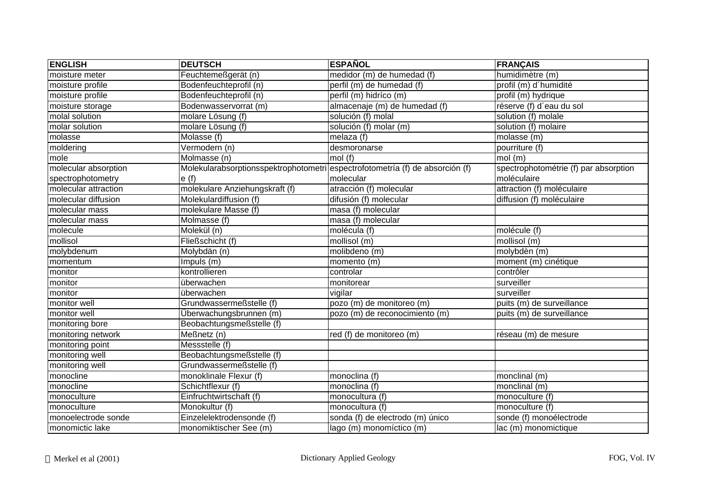| <b>ENGLISH</b>       | <b>DEUTSCH</b>                                                                | <b>ESPAÑOL</b>                   | <b>FRANÇAIS</b>                       |
|----------------------|-------------------------------------------------------------------------------|----------------------------------|---------------------------------------|
| moisture meter       | Feuchtemeßgerät (n)                                                           | medidor (m) de humedad (f)       | humidimètre (m)                       |
| moisture profile     | Bodenfeuchteprofil (n)                                                        | perfil (m) de humedad (f)        | profil (m) d'humidité                 |
| moisture profile     | Bodenfeuchteprofil (n)                                                        | perfil (m) hidríco (m)           | profil (m) hydrique                   |
| moisture storage     | Bodenwasservorrat (m)                                                         | almacenaje (m) de humedad (f)    | réserve (f) d'eau du sol              |
| molal solution       | molare Lösung (f)                                                             | solución (f) molal               | solution (f) molale                   |
| molar solution       | molare Lösung (f)                                                             | solución (f) molar (m)           | solution (f) molaire                  |
| molasse              | Molasse (f)                                                                   | melaza (f)                       | molasse (m)                           |
| moldering            | Vermodern (n)                                                                 | desmoronarse                     | pourriture (f)                        |
| mole                 | Molmasse (n)                                                                  | mol(f)                           | $mol$ (m)                             |
| molecular absorption | Molekularabsorptionsspektrophotometri espectrofotometría (f) de absorción (f) |                                  | spectrophotométrie (f) par absorption |
| spectrophotometry    | e(f)                                                                          | molecular                        | moléculaire                           |
| molecular attraction | molekulare Anziehungskraft (f)                                                | atracción (f) molecular          | attraction (f) moléculaire            |
| molecular diffusion  | Molekulardiffusion (f)                                                        | difusión (f) molecular           | diffusion (f) moléculaire             |
| molecular mass       | molekulare Masse (f)                                                          | masa (f) molecular               |                                       |
| molecular mass       | Molmasse (f)                                                                  | masa (f) molecular               |                                       |
| molecule             | Molekül (n)                                                                   | molécula (f)                     | molécule (f)                          |
| mollisol             | Fließschicht (f)                                                              | mollisol (m)                     | mollisol (m)                          |
| molybdenum           | Molybdän (n)                                                                  | molibdeno (m)                    | molybdèn (m)                          |
| momentum             | Impuls (m)                                                                    | momento (m)                      | moment (m) cinétique                  |
| monitor              | kontrollieren                                                                 | controlar                        | contrôler                             |
| monitor              | überwachen                                                                    | monitorear                       | surveiller                            |
| monitor              | überwachen                                                                    | vigilar                          | surveiller                            |
| monitor well         | Grundwassermeßstelle (f)                                                      | pozo (m) de monitoreo (m)        | puits (m) de surveillance             |
| monitor well         | Überwachungsbrunnen (m)                                                       | pozo (m) de reconocimiento (m)   | puits (m) de surveillance             |
| monitoring bore      | Beobachtungsmeßstelle (f)                                                     |                                  |                                       |
| monitoring network   | $\overline{\mathsf{Me}}$ ßnetz (n)                                            | red (f) de monitoreo (m)         | réseau (m) de mesure                  |
| monitoring point     | Messstelle (f)                                                                |                                  |                                       |
| monitoring well      | Beobachtungsmeßstelle (f)                                                     |                                  |                                       |
| monitoring well      | Grundwassermeßstelle (f)                                                      |                                  |                                       |
| monocline            | monoklinale Flexur (f)                                                        | monoclina (f)                    | monclinal (m)                         |
| monocline            | Schichtflexur (f)                                                             | monoclina (f)                    | monclinal (m)                         |
| monoculture          | Einfruchtwirtschaft (f)                                                       | monocultura (f)                  | monoculture (f)                       |
| monoculture          | Monokultur (f)                                                                | monocultura (f)                  | monoculture (f)                       |
| monoelectrode sonde  | Einzelelektrodensonde (f)                                                     | sonda (f) de electrodo (m) único | sonde (f) monoélectrode               |
| monomictic lake      | monomiktischer See (m)                                                        | lago (m) monomíctico (m)         | lac (m) monomictique                  |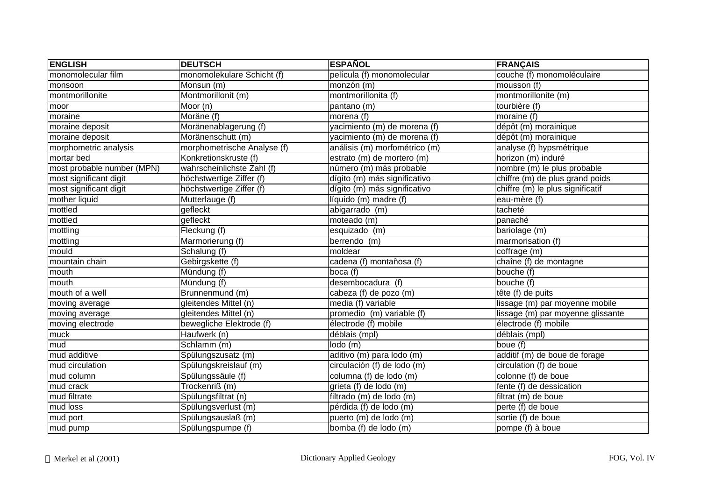| <b>ENGLISH</b>             | <b>DEUTSCH</b>              | <b>ESPAÑOL</b>                    | <b>FRANÇAIS</b>                   |
|----------------------------|-----------------------------|-----------------------------------|-----------------------------------|
| monomolecular film         | monomolekulare Schicht (f)  | película (f) monomolecular        | couche (f) monomoléculaire        |
| monsoon                    | Monsun (m)                  | monzón (m)                        | mousson (f)                       |
| montmorillonite            | Montmorillonit (m)          | montmorillonita (f)               | montmorillonite (m)               |
| moor                       | Moor (n)                    | pantano (m)                       | tourbière (f)                     |
| moraine                    | Moräne $(f)$                | morena (f)                        | moraine (f)                       |
| moraine deposit            | Moränenablagerung (f)       | yacimiento (m) de morena (f)      | dépôt (m) morainique              |
| moraine deposit            | Moränenschutt (m)           | yacimiento (m) de morena (f)      | dépôt (m) morainique              |
| morphometric analysis      | morphometrische Analyse (f) | análisis (m) morfométrico (m)     | analyse (f) hypsmétrique          |
| mortar bed                 | Konkretionskruste (f)       | estrato (m) de mortero (m)        | horizon (m) induré                |
| most probable number (MPN) | wahrscheinlichste Zahl (f)  | número (m) más probable           | nombre (m) le plus probable       |
| most significant digit     | höchstwertige Ziffer (f)    | dígito (m) más significativo      | chiffre (m) de plus grand poids   |
| most significant digit     | höchstwertige Ziffer (f)    | dígito (m) más significativo      | chiffre (m) le plus significatif  |
| mother liquid              | Mutterlauge (f)             | $\overline{liquid}$ (m) madre (f) | eau-mère (f)                      |
| mottled                    | gefleckt                    | abigarrado (m)                    | tacheté                           |
| mottled                    | gefleckt                    | moteado (m)                       | panaché                           |
| mottling                   | Fleckung (f)                | esquizado (m)                     | bariolage (m)                     |
| mottling                   | Marmorierung (f)            | berrendo (m)                      | marmorisation (f)                 |
| mould                      | Schalung (f)                | moldear                           | coffrage (m)                      |
| mountain chain             | Gebirgskette (f)            | cadena (f) montañosa (f)          | chaîne (f) de montagne            |
| mouth                      | Mündung (f)                 | boca (f)                          | bouche (f)                        |
| mouth                      | Mündung (f)                 | desembocadura (f)                 | bouche (f)                        |
| mouth of a well            | Brunnenmund (m)             | cabeza (f) de pozo (m)            | tête (f) de puits                 |
| moving average             | gleitendes Mittel (n)       | media (f) variable                | lissage (m) par moyenne mobile    |
| moving average             | gleitendes Mittel (n)       | promedio (m) variable (f)         | lissage (m) par moyenne glissante |
| moving electrode           | bewegliche Elektrode (f)    | électrode (f) mobile              | électrode (f) mobile              |
| muck                       | Haufwerk (n)                | déblais (mpl)                     | déblais (mpl)                     |
| mud                        | Schlamm (m)                 | lodo (m)                          | boue (f)                          |
| mud additive               | Spülungszusatz (m)          | aditivo (m) para lodo (m)         | additif (m) de boue de forage     |
| mud circulation            | Spülungskreislauf (m)       | circulación (f) de lodo (m)       | circulation (f) de boue           |
| mud column                 | Spülungssäule (f)           | columna (f) de lodo (m)           | colonne (f) de boue               |
| mud crack                  | Trockenriß (m)              | grieta (f) de lodo (m)            | fente (f) de dessication          |
| mud filtrate               | Spülungsfiltrat (n)         | filtrado (m) de lodo (m)          | filtrat (m) de boue               |
| mud loss                   | Spülungsverlust (m)         | pérdida (f) de lodo (m)           | perte (f) de boue                 |
| mud port                   | Spülungsauslaß (m)          | puerto (m) de lodo (m)            | sortie (f) de boue                |
| mud pump                   | Spülungspumpe (f)           | bomba (f) de lodo (m)             | pompe (f) à boue                  |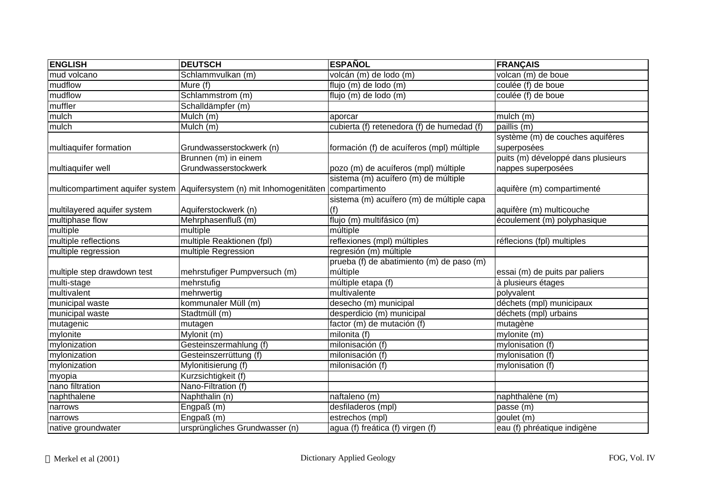| <b>ENGLISH</b>              | <b>DEUTSCH</b>                                                                       | <b>ESPAÑOL</b>                             | <b>FRANÇAIS</b>                                 |
|-----------------------------|--------------------------------------------------------------------------------------|--------------------------------------------|-------------------------------------------------|
| mud volcano                 | Schlammvulkan (m)                                                                    | volcán (m) de lodo (m)                     | volcan (m) de boue                              |
| mudflow                     | Mure (f)                                                                             | flujo (m) de lodo (m)                      | coulée (f) de boue                              |
| mudflow                     | Schlammstrom (m)                                                                     | flujo (m) de lodo (m)                      | coulée (f) de boue                              |
| muffler                     | Schalldämpfer (m)                                                                    |                                            |                                                 |
| mulch                       | Mulch (m)                                                                            | aporcar                                    | mulch (m)                                       |
| mulch                       | Mulch (m)                                                                            | cubierta (f) retenedora (f) de humedad (f) | paillis (m)                                     |
| multiaquifer formation      | Grundwasserstockwerk (n)                                                             | formación (f) de acuíferos (mpl) múltiple  | système (m) de couches aquifères<br>superposées |
|                             | Brunnen (m) in einem                                                                 |                                            | puits (m) développé dans plusieurs              |
| multiaquifer well           | Grundwasserstockwerk                                                                 | pozo (m) de acuíferos (mpl) múltiple       | nappes superposées                              |
|                             |                                                                                      | sistema (m) acuífero (m) de múltiple       |                                                 |
|                             | multicompartiment aquifer system Aquifersystem (n) mit Inhomogenitäten compartimento |                                            | aquifère (m) compartimenté                      |
|                             |                                                                                      | sistema (m) acuífero (m) de múltiple capa  |                                                 |
| multilayered aquifer system | Aquiferstockwerk (n)                                                                 | (f)                                        | aquifère (m) multicouche                        |
| multiphase flow             | Mehrphasenfluß (m)                                                                   | flujo (m) multifásico (m)                  | écoulement (m) polyphasique                     |
| multiple                    | multiple                                                                             | múltiple                                   |                                                 |
| multiple reflections        | multiple Reaktionen (fpl)                                                            | reflexiones (mpl) múltiples                | réflecions (fpl) multiples                      |
| multiple regression         | multiple Regression                                                                  | regresión (m) múltiple                     |                                                 |
|                             |                                                                                      | prueba (f) de abatimiento (m) de paso (m)  |                                                 |
| multiple step drawdown test | mehrstufiger Pumpversuch (m)                                                         | múltiple                                   | essai (m) de puits par paliers                  |
| multi-stage                 | mehrstufig                                                                           | múltiple etapa (f)                         | à plusieurs étages                              |
| multivalent                 | mehrwertig                                                                           | multivalente                               | polyvalent                                      |
| municipal waste             | kommunaler Müll (m)                                                                  | desecho (m) municipal                      | déchets (mpl) municipaux                        |
| municipal waste             | Stadtmüll (m)                                                                        | desperdicio (m) municipal                  | déchets (mpl) urbains                           |
| mutagenic                   | mutagen                                                                              | factor (m) de mutación (f)                 | mutagène                                        |
| mylonite                    | Mylonit (m)                                                                          | milonita (f)                               | mylonite (m)                                    |
| mylonization                | Gesteinszermahlung (f)                                                               | milonisación (f)                           | mylonisation (f)                                |
| mylonization                | Gesteinszerrüttung (f)                                                               | milonisación (f)                           | mylonisation (f)                                |
| mylonization                | Mylonitisierung (f)                                                                  | milonisación (f)                           | mylonisation (f)                                |
| myopia                      | Kurzsichtigkeit (f)                                                                  |                                            |                                                 |
| nano filtration             | Nano-Filtration (f)                                                                  |                                            |                                                 |
| naphthalene                 | Naphthalin (n)                                                                       | naftaleno (m)                              | naphthalène (m)                                 |
| narrows                     | Engpaß (m)                                                                           | desfiladeros (mpl)                         | passe (m)                                       |
| narrows                     | Engpaß (m)                                                                           | estrechos (mpl)                            | goulet (m)                                      |
| native groundwater          | ursprüngliches Grundwasser (n)                                                       | agua (f) freática (f) virgen (f)           | eau (f) phréatique indigène                     |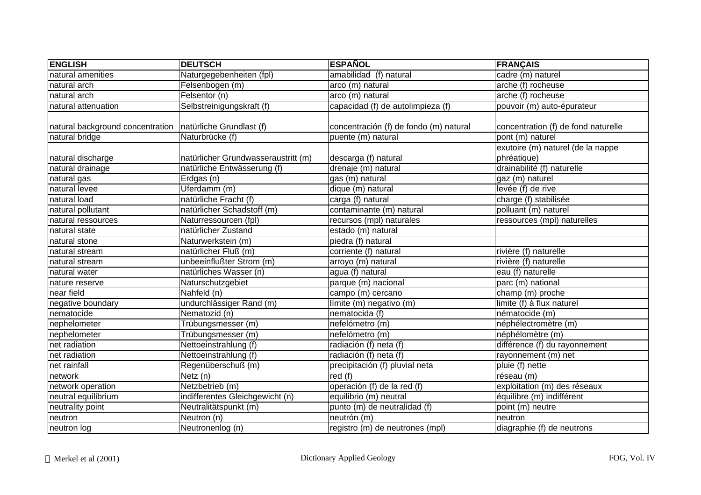| <b>ENGLISH</b>                                              | <b>DEUTSCH</b>                      | <b>ESPAÑOL</b>                         | <b>FRANÇAIS</b>                                  |
|-------------------------------------------------------------|-------------------------------------|----------------------------------------|--------------------------------------------------|
| natural amenities                                           | Naturgegebenheiten (fpl)            | amabilidad (f) natural                 | cadre (m) naturel                                |
| natural arch                                                | Felsenbogen (m)                     | $arco$ (m) natural                     | arche (f) rocheuse                               |
| natural arch                                                | Felsentor (n)                       | arco (m) natural                       | arche (f) rocheuse                               |
| natural attenuation                                         | Selbstreinigungskraft (f)           | capacidad (f) de autolimpieza (f)      | pouvoir (m) auto-épurateur                       |
| natural background concentration   natürliche Grundlast (f) |                                     | concentración (f) de fondo (m) natural | concentration (f) de fond naturelle              |
| natural bridge                                              | Naturbrücke (f)                     | puente (m) natural                     | pont (m) naturel                                 |
| natural discharge                                           | natürlicher Grundwasseraustritt (m) | descarga (f) natural                   | exutoire (m) naturel (de la nappe<br>phréatique) |
| natural drainage                                            | natürliche Entwässerung (f)         | drenaje (m) natural                    | drainabilité (f) naturelle                       |
| natural gas                                                 | Erdgas (n)                          | gas (m) natural                        | gaz (m) naturel                                  |
| natural levee                                               | Uferdamm (m)                        | dique (m) natural                      | levée (f) de rive                                |
| natural load                                                | natürliche Fracht (f)               | $\overline{carga}$ (f) natural         | charge (f) stabilisée                            |
| natural pollutant                                           | natürlicher Schadstoff (m)          | contaminante (m) natural               | polluant (m) naturel                             |
| natural ressources                                          | Naturressourcen (fpl)               | recursos (mpl) naturales               | ressources (mpl) naturelles                      |
| natural state                                               | natürlicher Zustand                 | estado (m) natural                     |                                                  |
| natural stone                                               | Naturwerkstein (m)                  | piedra (f) natural                     |                                                  |
| natural stream                                              | natürlicher Fluß (m)                | corriente (f) natural                  | rivière (f) naturelle                            |
| natural stream                                              | unbeeinflußter Strom (m)            | arroyo (m) natural                     | rivière (f) naturelle                            |
| natural water                                               | natürliches Wasser (n)              | agua (f) natural                       | eau (f) naturelle                                |
| nature reserve                                              | Naturschutzgebiet                   | parque (m) nacional                    | parc (m) national                                |
| near field                                                  | $\overline{\mathsf{Nahfeld}}(n)$    | campo (m) cercano                      | champ (m) proche                                 |
| negative boundary                                           | undurchlässiger Rand (m)            | límite (m) negativo (m)                | limite (f) à flux naturel                        |
| nematocide                                                  | Nematozid (n)                       | nematocida (f)                         | nématocide (m)                                   |
| nephelometer                                                | Trübungsmesser (m)                  | nefelómetro (m)                        | néphélectromètre (m)                             |
| nephelometer                                                | Trübungsmesser (m)                  | nefelómetro (m)                        | néphélomètre (m)                                 |
| net radiation                                               | Nettoeinstrahlung (f)               | radiación (f) neta (f)                 | différence (f) du rayonnement                    |
| net radiation                                               | Nettoeinstrahlung (f)               | radiación (f) neta (f)                 | rayonnement (m) net                              |
| net rainfall                                                | Regenüberschuß (m)                  | precipitación (f) pluvial neta         | pluie (f) nette                                  |
| network                                                     | Netz(n)                             | red $(f)$                              | réseau (m)                                       |
| network operation                                           | Netzbetrieb (m)                     | operación (f) de la red (f)            | exploitation (m) des réseaux                     |
| neutral equilibrium                                         | indifferentes Gleichgewicht (n)     | equilibrio (m) neutral                 | équilibre (m) indifférent                        |
| neutrality point                                            | Neutralitätspunkt (m)               | punto (m) de neutralidad (f)           | point (m) neutre                                 |
| neutron                                                     | Neutron (n)                         | neutrón (m)                            | neutron                                          |
| neutron log                                                 | Neutronenlog (n)                    | registro (m) de neutrones (mpl)        | diagraphie (f) de neutrons                       |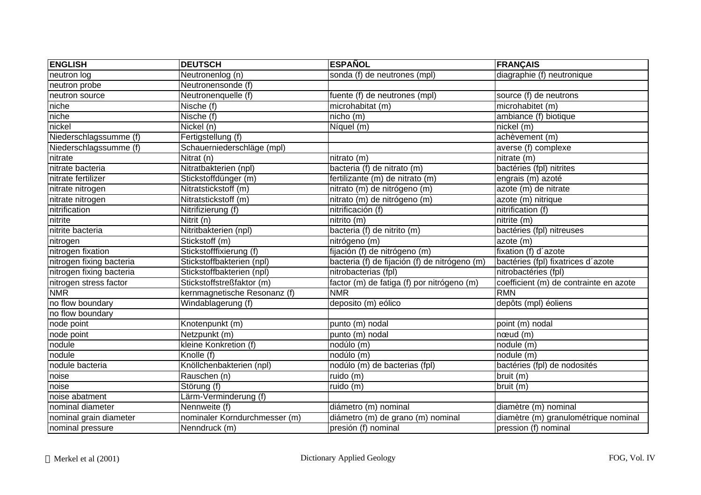| <b>ENGLISH</b>           | <b>DEUTSCH</b>                | <b>ESPAÑOL</b>                                | <b>FRANÇAIS</b>                        |
|--------------------------|-------------------------------|-----------------------------------------------|----------------------------------------|
| neutron log              | Neutronenlog (n)              | sonda (f) de neutrones (mpl)                  | diagraphie (f) neutronique             |
| neutron probe            | Neutronensonde (f)            |                                               |                                        |
| neutron source           | Neutronenquelle (f)           | fuente (f) de neutrones (mpl)                 | source (f) de neutrons                 |
| niche                    | Nische (f)                    | microhabitat (m)                              | microhabitet (m)                       |
| niche                    | Nische (f)                    | nicho (m)                                     | ambiance (f) biotique                  |
| nickel                   | Nickel (n)                    | Níquel (m)                                    | nickel (m)                             |
| Niederschlagssumme (f)   | Fertigstellung (f)            |                                               | achèvement (m)                         |
| Niederschlagssumme (f)   | Schauerniederschläge (mpl)    |                                               | averse (f) complexe                    |
| nitrate                  | Nitrat (n)                    | nitrato (m)                                   | nitrate (m)                            |
| nitrate bacteria         | Nitratbakterien (npl)         | bacteria (f) de nitrato (m)                   | bactéries (fpl) nitrites               |
| nitrate fertilizer       | Stickstoffdünger (m)          | fertilizante (m) de nitrato (m)               | engrais (m) azoté                      |
| nitrate nitrogen         | Nitratstickstoff (m)          | nitrato (m) de nitrógeno (m)                  | azote (m) de nitrate                   |
| nitrate nitrogen         | Nitratstickstoff (m)          | nitrato (m) de nitrógeno (m)                  | azote (m) nitrique                     |
| nitrification            | Nitrifizierung (f)            | nitrificación (f)                             | nitrification (f)                      |
| nitrite                  | Nitrit (n)                    | nitrito (m)                                   | nitrite (m)                            |
| nitrite bacteria         | Nitritbakterien (npl)         | bacteria (f) de nitrito (m)                   | bactéries (fpl) nitreuses              |
| nitrogen                 | Stickstoff (m)                | nitrógeno (m)                                 | azote (m)                              |
| nitrogen fixation        | Stickstofffixierung (f)       | fijación (f) de nitrógeno (m)                 | fixation (f) d'azote                   |
| nitrogen fixing bacteria | Stickstoffbakterien (npl)     | bacteria (f) de fijación (f) de nitrógeno (m) | bactéries (fpl) fixatrices d'azote     |
| nitrogen fixing bacteria | Stickstoffbakterien (npl)     | nitrobacterias (fpl)                          | nitrobactéries (fpl)                   |
| nitrogen stress factor   | Stickstoffstreßfaktor (m)     | factor (m) de fatiga (f) por nitrógeno (m)    | coefficient (m) de contrainte en azote |
| <b>NMR</b>               | kernmagnetische Resonanz (f)  | <b>NMR</b>                                    | <b>RMN</b>                             |
| no flow boundary         | Windablagerung (f)            | deposito (m) eólico                           | depôts (mpl) éoliens                   |
| no flow boundary         |                               |                                               |                                        |
| node point               | Knotenpunkt (m)               | punto (m) nodal                               | point (m) nodal                        |
| node point               | Netzpunkt (m)                 | punto (m) nodal                               | $n$ ceud $(m)$                         |
| nodule                   | kleine Konkretion (f)         | nodúlo (m)                                    | nodule (m)                             |
| nodule                   | Knolle (f)                    | nodúlo (m)                                    | nodule (m)                             |
| nodule bacteria          | Knöllchenbakterien (npl)      | nodúlo (m) de bacterias (fpl)                 | bactéries (fpl) de nodosités           |
| noise                    | Rauschen (n)                  | ruido (m)                                     | bruit (m)                              |
| noise                    | Störung (f)                   | ruido (m)                                     | bruit (m)                              |
| noise abatment           | Lärm-Verminderung (f)         |                                               |                                        |
| nominal diameter         | Nennweite (f)                 | diámetro (m) nominal                          | diamètre (m) nominal                   |
| nominal grain diameter   | nominaler Korndurchmesser (m) | diámetro (m) de grano (m) nominal             | diamètre (m) granulométrique nominal   |
| nominal pressure         | Nenndruck (m)                 | presión (f) nominal                           | pression (f) nominal                   |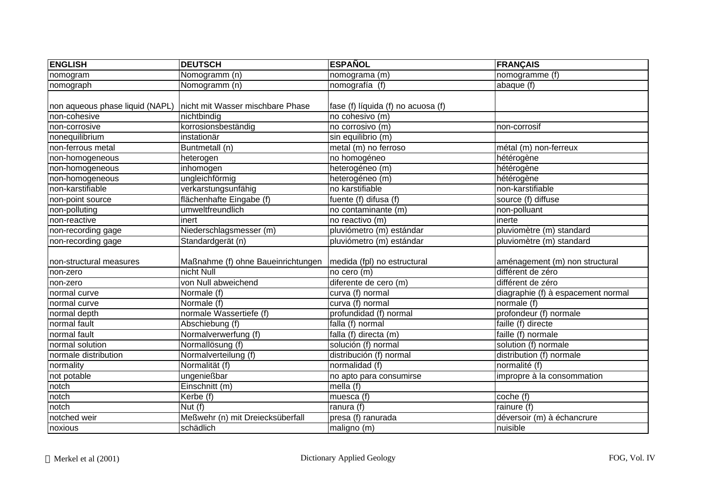| <b>ENGLISH</b>                  | <b>DEUTSCH</b>                     | <b>ESPAÑOL</b>                     | <b>FRANÇAIS</b>                    |
|---------------------------------|------------------------------------|------------------------------------|------------------------------------|
| nomogram                        | Nomogramm (n)                      | nomograma (m)                      | nomogramme (f)                     |
| nomograph                       | Nomogramm (n)                      | nomografía (f)                     | abaque $(f)$                       |
|                                 |                                    |                                    |                                    |
| non aqueous phase liquid (NAPL) | nicht mit Wasser mischbare Phase   | fase (f) líquida (f) no acuosa (f) |                                    |
| non-cohesive                    | nichtbindig                        | no cohesivo (m)                    |                                    |
| non-corrosive                   | korrosionsbeständig                | no corrosivo (m)                   | non-corrosif                       |
| nonequilibrium                  | instationär                        | sin equilibrio (m)                 |                                    |
| non-ferrous metal               | Buntmetall (n)                     | metal (m) no ferroso               | métal (m) non-ferreux              |
| non-homogeneous                 | heterogen                          | no homogéneo                       | hétérogène                         |
| non-homogeneous                 | inhomogen                          | heterogéneo (m)                    | hétérogène                         |
| non-homogeneous                 | ungleichförmig                     | heterogéneo (m)                    | hétérogène                         |
| non-karstifiable                | verkarstungsunfähig                | no karstifiable                    | non-karstifiable                   |
| non-point source                | flächenhafte Eingabe (f)           | fuente (f) difusa (f)              | source (f) diffuse                 |
| non-polluting                   | umweltfreundlich                   | no contaminante (m)                | non-polluant                       |
| non-reactive                    | inert                              | no reactivo (m)                    | inerte                             |
| non-recording gage              | Niederschlagsmesser (m)            | pluviómetro (m) estándar           | pluviomètre (m) standard           |
| non-recording gage              | Standardgerät (n)                  | pluviómetro (m) estándar           | pluviomètre (m) standard           |
|                                 |                                    |                                    |                                    |
| non-structural measures         | Maßnahme (f) ohne Baueinrichtungen | medida (fpl) no estructural        | aménagement (m) non structural     |
| non-zero                        | nicht Null                         | no cero (m)                        | différent de zéro                  |
| non-zero                        | von Null abweichend                | diferente de cero (m)              | différent de zéro                  |
| normal curve                    | Normale (f)                        | curva (f) normal                   | diagraphie (f) à espacement normal |
| normal curve                    | Normale (f)                        | curva (f) normal                   | normale (f)                        |
| normal depth                    | normale Wassertiefe (f)            | profundidad (f) normal             | profondeur (f) normale             |
| normal fault                    | Abschiebung (f)                    | falla (f) normal                   | faille (f) directe                 |
| normal fault                    | Normalverwerfung (f)               | falla (f) directa (m)              | faille (f) normale                 |
| normal solution                 | Normallösung (f)                   | solución (f) normal                | solution (f) normale               |
| normale distribution            | Normalverteilung (f)               | distribución (f) normal            | distribution (f) normale           |
| normality                       | Normalität (f)                     | normalidad (f)                     | normalité (f)                      |
| not potable                     | ungenießbar                        | no apto para consumirse            | impropre à la consommation         |
| notch                           | Einschnitt (m)                     | mella (f)                          |                                    |
| notch                           | Kerbe (f)                          | muesca (f)                         | coche (f)                          |
| notch                           | Nut $(f)$                          | ranura $\overline{(f)}$            | rainure $(f)$                      |
| notched weir                    | Meßwehr (n) mit Dreiecksüberfall   | presa (f) ranurada                 | déversoir (m) à échancrure         |
| noxious                         | schädlich                          | maligno (m)                        | nuisible                           |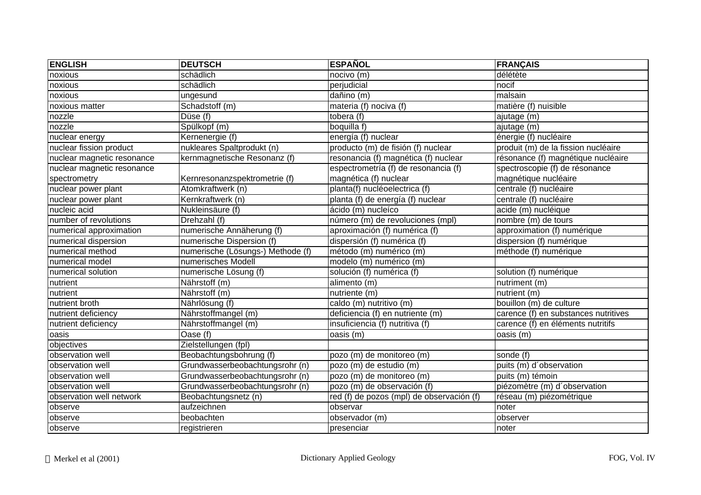| <b>ENGLISH</b>             | <b>DEUTSCH</b>                    | <b>ESPAÑOL</b>                            | <b>FRANÇAIS</b>                      |
|----------------------------|-----------------------------------|-------------------------------------------|--------------------------------------|
| noxious                    | schädlich                         | nocivo (m)                                | délétète                             |
| noxious                    | schädlich                         | perjudicial                               | nocif                                |
| noxious                    | ungesund                          | dañino (m)                                | malsain                              |
| noxious matter             | Schadstoff (m)                    | materia (f) nociva (f)                    | matière (f) nuisible                 |
| nozzle                     | Düse (f)                          | tobera (f)                                | ajutage (m)                          |
| nozzle                     | Spülkopf (m)                      | boquilla f)                               | ajutage (m)                          |
| nuclear energy             | Kernenergie (f)                   | energía (f) nuclear                       | énergie (f) nucléaire                |
| nuclear fission product    | nukleares Spaltprodukt (n)        | producto (m) de fisión (f) nuclear        | produit (m) de la fission nucléaire  |
| nuclear magnetic resonance | kernmagnetische Resonanz (f)      | resonancia (f) magnética (f) nuclear      | résonance (f) magnétique nucléaire   |
| nuclear magnetic resonance |                                   | espectrometría (f) de resonancia (f)      | spectroscopie (f) de résonance       |
| spectrometry               | Kernresonanzspektrometrie (f)     | magnética (f) nuclear                     | magnétique nucléaire                 |
| nuclear power plant        | Atomkraftwerk (n)                 | planta(f) nucléoelectrica (f)             | centrale (f) nucléaire               |
| nuclear power plant        | Kernkraftwerk (n)                 | planta (f) de energía (f) nuclear         | centrale (f) nucléaire               |
| nucleic acid               | Nukleinsäure (f)                  | ácido (m) nucleíco                        | acide (m) nucléique                  |
| number of revolutions      | Drehzahl (f)                      | número (m) de revoluciones (mpl)          | nombre (m) de tours                  |
| numerical approximation    | numerische Annäherung (f)         | aproximación (f) numérica (f)             | approximation (f) numérique          |
| numerical dispersion       | numerische Dispersion (f)         | dispersión (f) numérica (f)               | dispersion (f) numérique             |
| numerical method           | numerische (Lösungs-) Methode (f) | método (m) numérico (m)                   | méthode (f) numérique                |
| numerical model            | numerisches Modell                | modelo (m) numérico (m)                   |                                      |
| numerical solution         | numerische Lösung (f)             | solución (f) numérica (f)                 | solution (f) numérique               |
| nutrient                   | Nährstoff (m)                     | alimento (m)                              | nutriment (m)                        |
| nutrient                   | Nährstoff (m)                     | nutriente (m)                             | nutrient (m)                         |
| nutrient broth             | Nährlösung (f)                    | caldo (m) nutritivo (m)                   | bouillon (m) de culture              |
| nutrient deficiency        | Nährstoffmangel (m)               | deficiencia (f) en nutriente (m)          | carence (f) en substances nutritives |
| nutrient deficiency        | Nährstoffmangel (m)               | insuficiencia (f) nutritiva (f)           | carence (f) en éléments nutritifs    |
| oasis                      | Oase (f)                          | oasis (m)                                 | oasis (m)                            |
| objectives                 | Zielstellungen (fpl)              |                                           |                                      |
| observation well           | Beobachtungsbohrung (f)           | pozo (m) de monitoreo (m)                 | sonde (f)                            |
| observation well           | Grundwasserbeobachtungsrohr (n)   | pozo (m) de estudio (m)                   | puits (m) d'observation              |
| observation well           | Grundwasserbeobachtungsrohr (n)   | pozo (m) de monitoreo (m)                 | puits (m) témoin                     |
| observation well           | Grundwasserbeobachtungsrohr (n)   | pozo (m) de observación (f)               | piézomètre (m) d'observation         |
| observation well network   | Beobachtungsnetz (n)              | red (f) de pozos (mpl) de observación (f) | réseau (m) piézométrique             |
| observe                    | aufzeichnen                       | observar                                  | noter                                |
| observe                    | beobachten                        | observador (m)                            | observer                             |
| observe                    | registrieren                      | presenciar                                | noter                                |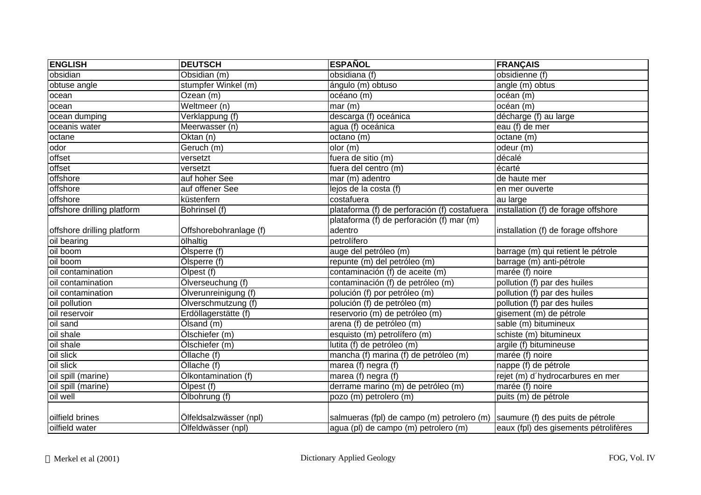| <b>ENGLISH</b>             | <b>DEUTSCH</b>         | <b>ESPAÑOL</b>                                                              | <b>FRANÇAIS</b>                       |
|----------------------------|------------------------|-----------------------------------------------------------------------------|---------------------------------------|
| obsidian                   | Obsidian (m)           | obsidiana (f)                                                               | obsidienne (f)                        |
| obtuse angle               | stumpfer Winkel (m)    | ángulo (m) obtuso                                                           | angle (m) obtus                       |
| ocean                      | Ozean (m)              | océano (m)                                                                  | océan (m)                             |
| ocean                      | Weltmeer (n)           | mar(m)                                                                      | océan (m)                             |
| ocean dumping              | Verklappung (f)        | descarga (f) oceánica                                                       | décharge (f) au large                 |
| oceanis water              | Meerwasser (n)         | agua (f) oceánica                                                           | eau (f) de mer                        |
| octane                     | Oktan (n)              | octano (m)                                                                  | octane (m)                            |
| odor                       | Geruch (m)             | olor (m)                                                                    | odeur (m)                             |
| offset                     | versetzt               | fuera de sitio (m)                                                          | décalé                                |
| offset                     | versetzt               | fuera del centro (m)                                                        | écarté                                |
| offshore                   | auf hoher See          | mar (m) adentro                                                             | de haute mer                          |
| offshore                   | auf offener See        | lejos de la costa (f)                                                       | en mer ouverte                        |
| offshore                   | küstenfern             | costafuera                                                                  | au large                              |
| offshore drilling platform | Bohrinsel (f)          | plataforma (f) de perforación (f) costafuera                                | installation (f) de forage offshore   |
|                            |                        | plataforma (f) de perforación (f) mar (m)                                   |                                       |
| offshore drilling platform | Offshorebohranlage (f) | adentro                                                                     | installation (f) de forage offshore   |
| oil bearing                | ölhaltig               | petrolífero                                                                 |                                       |
| oil boom                   | Ölsperre (f)           | auge del petróleo (m)                                                       | barrage (m) qui retient le pétrole    |
| oil boom                   | Ölsperre (f)           | repunte (m) del petróleo (m)                                                | barrage (m) anti-pétrole              |
| oil contamination          | Ölpest (f)             | contaminación (f) de aceite (m)                                             | marée (f) noire                       |
| oil contamination          | Ölverseuchung (f)      | contaminación (f) de petróleo (m)                                           | pollution (f) par des huiles          |
| oil contamination          | Olverunreinigung (f)   | polución (f) por petróleo (m)                                               | pollution (f) par des huiles          |
| oil pollution              | Ölverschmutzung (f)    | polución (f) de petróleo (m)                                                | pollution (f) par des huiles          |
| oil reservoir              | Erdöllagerstätte (f)   | reservorio (m) de petróleo (m)                                              | gisement (m) de pétrole               |
| oil sand                   | Ölsand (m)             | arena (f) de petróleo (m)                                                   | sable (m) bitumineux                  |
| oil shale                  | Ölschiefer (m)         | esquisto (m) petrolífero (m)                                                | schiste (m) bitumineux                |
| oil shale                  | Ölschiefer (m)         | lutita (f) de petróleo (m)                                                  | argile (f) bitumineuse                |
| oil slick                  | Öllache (f)            | mancha (f) marina (f) de petróleo (m)                                       | marée (f) noire                       |
| oil slick                  | Öllache (f)            | marea (f) negra (f)                                                         | nappe (f) de pétrole                  |
| oil spill (marine)         | Ölkontamination (f)    | marea (f) negra (f)                                                         | rejet (m) d'hydrocarbures en mer      |
| oil spill (marine)         | Ölpest (f)             | derrame marino (m) de petróleo (m)                                          | marée (f) noire                       |
| oil well                   | Ölbohrung (f)          | pozo (m) petrolero (m)                                                      | puits (m) de pétrole                  |
|                            |                        |                                                                             |                                       |
| oilfield brines            | Ölfeldsalzwässer (npl) | salmueras (fpl) de campo (m) petrolero (m) saumure (f) des puits de pétrole |                                       |
| oilfield water             | Ölfeldwässer (npl)     | agua (pl) de campo (m) petrolero (m)                                        | eaux (fpl) des gisements pétrolifères |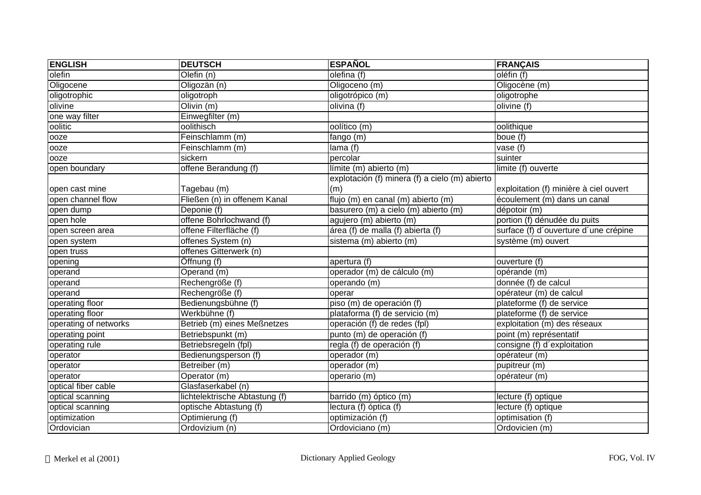| <b>ENGLISH</b>        | <b>DEUTSCH</b>                 | <b>ESPAÑOL</b>                                 | <b>FRANÇAIS</b>                        |
|-----------------------|--------------------------------|------------------------------------------------|----------------------------------------|
| olefin                | Olefin $(n)$                   | olefina (f)                                    | oléfin (f)                             |
| Oligocene             | Oligozän (n)                   | Oligoceno (m)                                  | Oligocène (m)                          |
| oligotrophic          | oligotroph                     | oligotrópico (m)                               | oligotrophe                            |
| olivine               | Olivin $(m)$                   | olivina (f)                                    | olivine (f)                            |
| one way filter        | Einwegfilter (m)               |                                                |                                        |
| oolitic               | oolithisch                     | oolítico (m)                                   | oolithique                             |
| ooze                  | Feinschlamm (m)                | fango (m)                                      | boue (f)                               |
| ooze                  | Feinschlamm (m)                | lama(f)                                        | vase (f)                               |
| ooze                  | sickern                        | percolar                                       | suinter                                |
| open boundary         | offene Berandung (f)           | límite (m) abierto (m)                         | limite (f) ouverte                     |
|                       |                                | explotación (f) minera (f) a cielo (m) abierto |                                        |
| open cast mine        | Tagebau (m)                    | (m)                                            | exploitation (f) minière à ciel ouvert |
| open channel flow     | Fließen (n) in offenem Kanal   | flujo (m) en canal (m) abierto (m)             | écoulement (m) dans un canal           |
| open dump             | Deponie (f)                    | basurero (m) a cielo (m) abierto (m)           | dépotoir (m)                           |
| open hole             | offene Bohrlochwand (f)        | agujero (m) abierto (m)                        | portion (f) dénudée du puits           |
| open screen area      | offene Filterfläche (f)        | área (f) de malla (f) abierta (f)              | surface (f) d'ouverture d'une crépine  |
| open system           | offenes System (n)             | sistema (m) abierto (m)                        | système (m) ouvert                     |
| open truss            | offenes Gitterwerk (n)         |                                                |                                        |
| opening               | Öffnung (f)                    | apertura (f)                                   | ouverture (f)                          |
| operand               | Operand $(m)$                  | operador (m) de cálculo (m)                    | opérande (m)                           |
| operand               | Rechengröße (f)                | operando (m)                                   | donnée (f) de calcul                   |
| operand               | Rechengröße (f)                | operar                                         | opérateur (m) de calcul                |
| operating floor       | Bedienungsbühne (f)            | piso (m) de operación (f)                      | plateforme (f) de service              |
| operating floor       | Werkbühne (f)                  | plataforma (f) de servicio (m)                 | plateforme (f) de service              |
| operating of networks | Betrieb (m) eines Meßnetzes    | operación $(f)$ de redes (fpl)                 | exploitation (m) des réseaux           |
| operating point       | Betriebspunkt (m)              | punto (m) de operación (f)                     | point (m) représentatif                |
| operating rule        | Betriebsregeln (fpl)           | regla (f) de operación (f)                     | consigne (f) d'exploitation            |
| operator              | Bedienungsperson (f)           | operador (m)                                   | opérateur (m)                          |
| operator              | Betreiber (m)                  | operador (m)                                   | pupitreur (m)                          |
| operator              | Operator (m)                   | operario (m)                                   | opérateur (m)                          |
| optical fiber cable   | Glasfaserkabel (n)             |                                                |                                        |
| optical scanning      | lichtelektrische Abtastung (f) | barrido (m) óptico (m)                         | lecture (f) optique                    |
| optical scanning      | optische Abtastung (f)         | lectura (f) óptica (f)                         | lecture (f) optique                    |
| optimization          | Optimierung (f)                | optimización (f)                               | optimisation (f)                       |
| Ordovician            | Ordovizium (n)                 | Ordoviciano (m)                                | Ordovicien (m)                         |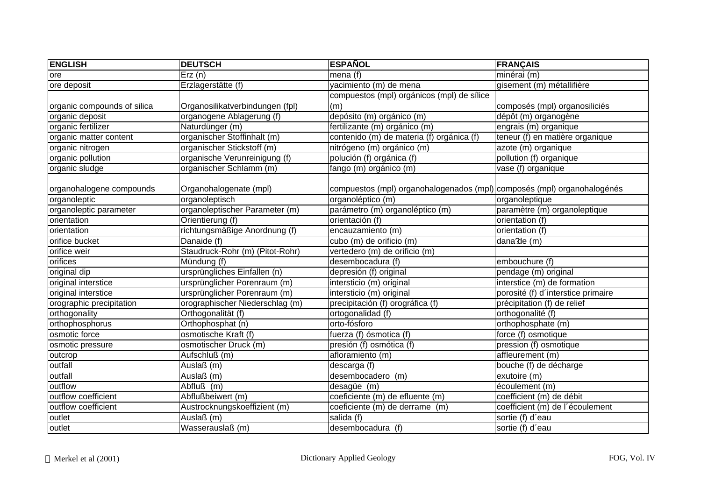| <b>ENGLISH</b>              | <b>DEUTSCH</b>                  | <b>ESPAÑOL</b>                                                          | <b>FRANÇAIS</b>                    |
|-----------------------------|---------------------------------|-------------------------------------------------------------------------|------------------------------------|
| ore                         | Erz(n)                          | mena (f)                                                                | minérai (m)                        |
| ore deposit                 | Erzlagerstätte (f)              | yacimiento (m) de mena                                                  | gisement (m) métallifière          |
|                             |                                 | compuestos (mpl) orgánicos (mpl) de sílice                              |                                    |
| organic compounds of silica | Organosilikatverbindungen (fpl) | (m)                                                                     | composés (mpl) organosiliciés      |
| organic deposit             | organogene Ablagerung (f)       | depósito (m) orgánico (m)                                               | dépôt (m) organogène               |
| organic fertilizer          | Naturdünger (m)                 | fertilizante (m) orgánico (m)                                           | engrais (m) organique              |
| organic matter content      | organischer Stoffinhalt (m)     | contenido (m) de materia (f) orgánica (f)                               | teneur (f) en matière organique    |
| organic nitrogen            | organischer Stickstoff (m)      | nitrógeno (m) orgánico (m)                                              | azote (m) organique                |
| organic pollution           | organische Verunreinigung (f)   | polución (f) orgánica (f)                                               | pollution (f) organique            |
| organic sludge              | organischer Schlamm (m)         | fango (m) orgánico (m)                                                  | vase (f) organique                 |
|                             |                                 |                                                                         |                                    |
| organohalogene compounds    | Organohalogenate (mpl)          | compuestos (mpl) organohalogenados (mpl) composés (mpl) organohalogénés |                                    |
| organoleptic                | organoleptisch                  | organoléptico (m)                                                       | organoleptique                     |
| organoleptic parameter      | organoleptischer Parameter (m)  | parámetro (m) organoléptico (m)                                         | paramètre (m) organoleptique       |
| orientation                 | Orientierung (f)                | orientación (f)                                                         | orientation (f)                    |
| orientation                 | richtungsmäßige Anordnung (f)   | encauzamiento (m)                                                       | orientation (f)                    |
| orifice bucket              | Danaide (f)                     | cubo (m) de orificio (m)                                                | dana?de (m)                        |
| orifice weir                | Staudruck-Rohr (m) (Pitot-Rohr) | vertedero (m) de orificio (m)                                           |                                    |
| orifices                    | Mündung (f)                     | desembocadura (f)                                                       | embouchure (f)                     |
| original dip                | ursprüngliches Einfallen (n)    | depresión (f) original                                                  | pendage (m) original               |
| original interstice         | ursprünglicher Porenraum (m)    | intersticio (m) original                                                | interstice (m) de formation        |
| original interstice         | ursprünglicher Porenraum (m)    | intersticio (m) original                                                | porosité (f) d'interstice primaire |
| orographic precipitation    | orographischer Niederschlag (m) | precipitación (f) orográfica (f)                                        | précipitation (f) de relief        |
| orthogonality               | Orthogonalität (f)              | ortogonalidad (f)                                                       | orthogonalité (f)                  |
| orthophosphorus             | Orthophosphat (n)               | orto-fósforo                                                            | orthophosphate (m)                 |
| osmotic force               | osmotische Kraft (f)            | fuerza (f) ósmotica (f)                                                 | force (f) osmotique                |
| osmotic pressure            | osmotischer Druck (m)           | presión (f) osmótica (f)                                                | pression (f) osmotique             |
| outcrop                     | Aufschluß (m)                   | afloramiento (m)                                                        | affleurement (m)                   |
| outfall                     | Auslaß (m)                      | descarga (f)                                                            | bouche (f) de décharge             |
| outfall                     | Auslaß (m)                      | desembocadero (m)                                                       | exutoire (m)                       |
| outflow                     | Abfluß (m)                      | desagüe (m)                                                             | écoulement (m)                     |
| outflow coefficient         | Abflußbeiwert (m)               | coeficiente (m) de efluente (m)                                         | coefficient (m) de débit           |
| outflow coefficient         | Austrocknungskoeffizient (m)    | coeficiente (m) de derrame (m)                                          | coefficient (m) de l'écoulement    |
| outlet                      | Auslaß (m)                      | salida (f)                                                              | sortie (f) d'eau                   |
| outlet                      | Wasserauslaß (m)                | desembocadura (f)                                                       | sortie (f) d'eau                   |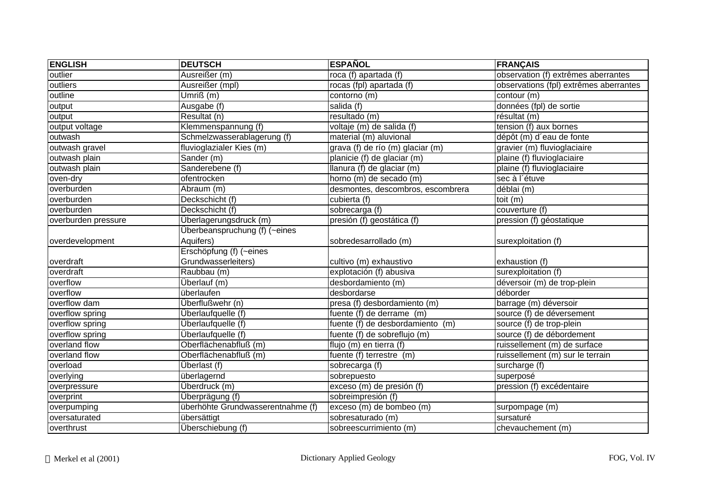| <b>ENGLISH</b>      | <b>DEUTSCH</b>                    | <b>ESPAÑOL</b>                                  | <b>FRANÇAIS</b>                        |
|---------------------|-----------------------------------|-------------------------------------------------|----------------------------------------|
| outlier             | Ausreißer (m)                     | roca (f) apartada (f)                           | observation (f) extrêmes aberrantes    |
| outliers            | Ausreißer (mpl)                   | rocas (fpl) apartada (f)                        | observations (fpl) extrêmes aberrantes |
| outline             | Umriß (m)                         | contorno (m)                                    | contour (m)                            |
| output              | Ausgabe (f)                       | salida (f)                                      | données (fpl) de sortie                |
| output              | Resultat (n)                      | resultado (m)                                   | résultat (m)                           |
| output voltage      | Klemmenspannung (f)               | voltaje (m) de salida (f)                       | tension (f) aux bornes                 |
| outwash             | Schmelzwasserablagerung (f)       | material (m) aluvional                          | dépôt (m) d'eau de fonte               |
| outwash gravel      | fluvioglazialer Kies (m)          | grava (f) de río (m) glaciar (m)                | gravier (m) fluvioglaciaire            |
| outwash plain       | Sander (m)                        | planicie (f) de glaciar (m)                     | plaine (f) fluvioglaciaire             |
| outwash plain       | Sanderebene (f)                   | $\overline{\text{Ilan}}$ ura (f) de glaciar (m) | plaine (f) fluvioglaciaire             |
| oven-dry            | ofentrocken                       | horno (m) de secado (m)                         | sec à l'étuve                          |
| overburden          | Abraum (m)                        | desmontes, descombros, escombrera               | déblai (m)                             |
| overburden          | Deckschicht (f)                   | cubierta (f)                                    | toit (m)                               |
| overburden          | Deckschicht (f)                   | sobrecarga (f)                                  | couverture (f)                         |
| overburden pressure | Überlagerungsdruck (m)            | presión (f) geostática (f)                      | pression (f) géostatique               |
|                     | Überbeanspruchung (f) (~eines     |                                                 |                                        |
| overdevelopment     | Aquifers)                         | sobredesarrollado (m)                           | surexploitation (f)                    |
|                     | Erschöpfung (f) (~eines           |                                                 |                                        |
| overdraft           | Grundwasserleiters)               | cultivo (m) exhaustivo                          | exhaustion (f)                         |
| overdraft           | Raubbau (m)                       | explotación (f) abusiva                         | surexploitation (f)                    |
| overflow            | Überlauf (m)                      | desbordamiento (m)                              | déversoir (m) de trop-plein            |
| overflow            | überlaufen                        | desbordarse                                     | déborder                               |
| overflow dam        | Überflußwehr (n)                  | presa (f) desbordamiento (m)                    | barrage (m) déversoir                  |
| overflow spring     | Überlaufquelle (f)                | fuente (f) de derrame (m)                       | source (f) de déversement              |
| overflow spring     | Überlaufquelle (f)                | fuente (f) de desbordamiento (m)                | source (f) de trop-plein               |
| overflow spring     | Überlaufquelle (f)                | fuente (f) de sobreflujo (m)                    | source (f) de débordement              |
| overland flow       | Oberflächenabfluß (m)             | flujo (m) en tierra (f)                         | ruissellement (m) de surface           |
| overland flow       | Oberflächenabfluß (m)             | fuente (f) terrestre (m)                        | ruissellement (m) sur le terrain       |
| overload            | Überlast (f)                      | sobrecarga (f)                                  | surcharge (f)                          |
| overlying           | überlagernd                       | sobrepuesto                                     | superposé                              |
| overpressure        | Überdruck (m)                     | exceso (m) de presión (f)                       | pression (f) excédentaire              |
| overprint           | Überprägung (f)                   | sobreimpresión (f)                              |                                        |
| overpumping         | überhöhte Grundwasserentnahme (f) | exceso (m) de bombeo (m)                        | surpompage (m)                         |
| oversaturated       | übersättigt                       | sobresaturado (m)                               | sursaturé                              |
| overthrust          | Überschiebung (f)                 | sobreescurrimiento (m)                          | chevauchement (m)                      |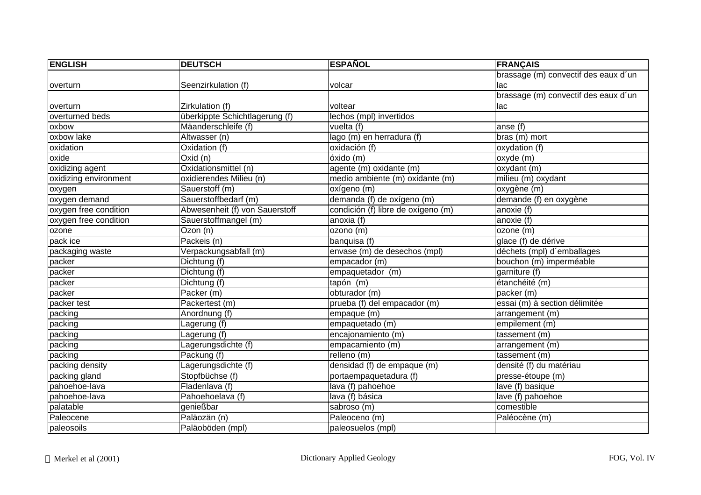| <b>ENGLISH</b>        | <b>DEUTSCH</b>                 | <b>ESPAÑOL</b>                     | <b>FRANÇAIS</b>                      |
|-----------------------|--------------------------------|------------------------------------|--------------------------------------|
|                       |                                |                                    | brassage (m) convectif des eaux d'un |
| overturn              | Seenzirkulation (f)            | volcar                             | lac                                  |
|                       |                                |                                    | brassage (m) convectif des eaux d'un |
| overturn              | Zirkulation (f)                | voltear                            | lac                                  |
| overturned beds       | überkippte Schichtlagerung (f) | lechos (mpl) invertidos            |                                      |
| oxbow                 | Mäanderschleife (f)            | vuelta (f)                         | anse (f)                             |
| oxbow lake            | Altwasser (n)                  | lago (m) en herradura (f)          | bras (m) mort                        |
| oxidation             | Oxidation (f)                  | oxidación (f)                      | oxydation (f)                        |
| oxide                 | $Ox$ id $(n)$                  | óxido (m)                          | oxyde (m)                            |
| oxidizing agent       | Oxidationsmittel (n)           | agente (m) oxidante (m)            | oxydant (m)                          |
| oxidizing environment | oxidierendes Milieu (n)        | medio ambiente (m) oxidante (m)    | milieu (m) oxydant                   |
| oxygen                | Sauerstoff (m)                 | oxígeno (m)                        | oxygène (m)                          |
| oxygen demand         | Sauerstoffbedarf (m)           | demanda (f) de oxígeno (m)         | demande (f) en oxygène               |
| oxygen free condition | Abwesenheit (f) von Sauerstoff | condición (f) libre de oxígeno (m) | anoxie (f)                           |
| oxygen free condition | Sauerstoffmangel (m)           | anoxia $(f)$                       | anoxie (f)                           |
| ozone                 | Ozon (n)                       | ozono (m)                          | ozone (m)                            |
| pack ice              | Packeis (n)                    | banquisa (f)                       | glace (f) de dérive                  |
| packaging waste       | Verpackungsabfall (m)          | envase (m) de desechos (mpl)       | déchets (mpl) d'emballages           |
| packer                | Dichtung (f)                   | empacador (m)                      | bouchon (m) imperméable              |
| packer                | Dichtung (f)                   | empaquetador (m)                   | garniture (f)                        |
| packer                | Dichtung (f)                   | tapón (m)                          | étanchéité (m)                       |
| packer                | Packer (m)                     | obturador (m)                      | packer (m)                           |
| packer test           | Packertest (m)                 | prueba (f) del empacador (m)       | essai (m) à section délimitée        |
| packing               | Anordnung (f)                  | empaque (m)                        | arrangement (m)                      |
| packing               | Lagerung (f)                   | empaquetado (m)                    | empilement (m)                       |
| packing               | Lagerung (f)                   | encajonamiento (m)                 | tassement (m)                        |
| packing               | Lagerungsdichte (f)            | empacamiento (m)                   | arrangement (m)                      |
| packing               | Packung (f)                    | relleno(m)                         | tassement (m)                        |
| packing density       | Lagerungsdichte (f)            | densidad (f) de empaque (m)        | densité (f) du matériau              |
| packing gland         | Stopfbüchse (f)                | portaempaquetadura (f)             | presse-étoupe (m)                    |
| pahoehoe-lava         | Fladenlava (f)                 | lava (f) pahoehoe                  | lave (f) basique                     |
| pahoehoe-lava         | Pahoehoelava (f)               | lava (f) básica                    | lave (f) pahoehoe                    |
| palatable             | genießbar                      | sabroso (m)                        | comestible                           |
| Paleocene             | Paläozän (n)                   | Paleoceno (m)                      | Paléocène (m)                        |
| paleosoils            | Paläoböden (mpl)               | paleosuelos (mpl)                  |                                      |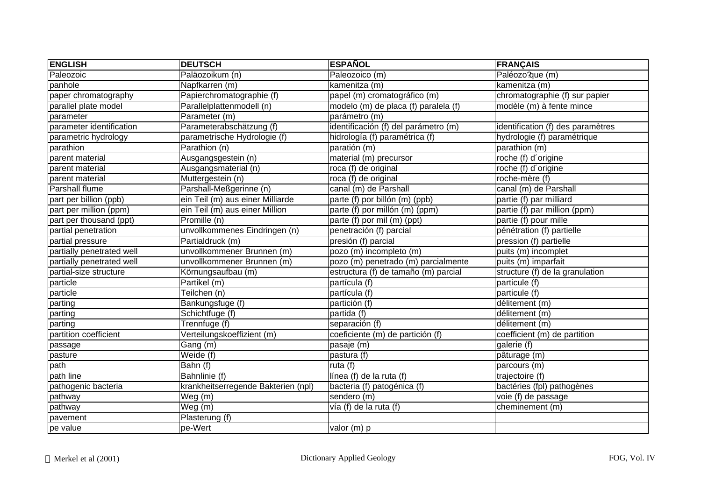| <b>ENGLISH</b>            | <b>DEUTSCH</b>                      | <b>ESPAÑOL</b>                       | <b>FRANÇAIS</b>                   |
|---------------------------|-------------------------------------|--------------------------------------|-----------------------------------|
| Paleozoic                 | Paläozoikum (n)                     | Paleozoico (m)                       | Paléozo?que (m)                   |
| panhole                   | Napfkarren (m)                      | kamenitza (m)                        | kamenitza (m)                     |
| paper chromatography      | Papierchromatographie (f)           | papel (m) cromatográfico (m)         | chromatographie (f) sur papier    |
| parallel plate model      | Parallelplattenmodell (n)           | modelo (m) de placa (f) paralela (f) | modèle (m) à fente mince          |
| parameter                 | Parameter (m)                       | parámetro (m)                        |                                   |
| parameter identification  | Parameterabschätzung (f)            | identificación (f) del parámetro (m) | identification (f) des paramètres |
| parametric hydrology      | parametrische Hydrologie (f)        | hidrología (f) paramétrica (f)       | hydrologie (f) paramétrique       |
| parathion                 | Parathion (n)                       | paratión (m)                         | parathion (m)                     |
| parent material           | Ausgangsgestein (n)                 | material (m) precursor               | roche (f) d'origine               |
| parent material           | Ausgangsmaterial (n)                | roca (f) de original                 | roche (f) d'origine               |
| parent material           | Muttergestein (n)                   | roca (f) de original                 | roche-mère (f)                    |
| <b>Parshall flume</b>     | Parshall-Meßgerinne (n)             | canal (m) de Parshall                | canal (m) de Parshall             |
| part per billion (ppb)    | ein Teil (m) aus einer Milliarde    | parte (f) por billón (m) (ppb)       | partie (f) par milliard           |
| part per million (ppm)    | ein Teil (m) aus einer Million      | parte (f) por millón (m) (ppm)       | partie (f) par million (ppm)      |
| part per thousand (ppt)   | Promille (n)                        | parte (f) por mil (m) (ppt)          | partie (f) pour mille             |
| partial penetration       | unvollkommenes Eindringen (n)       | penetración (f) parcial              | pénétration (f) partielle         |
| partial pressure          | Partialdruck (m)                    | presión (f) parcial                  | pression (f) partielle            |
| partially penetrated well | unvollkommener Brunnen (m)          | pozo (m) incompleto (m)              | puits (m) incomplet               |
| partially penetrated well | unvollkommener Brunnen (m)          | pozo (m) penetrado (m) parcialmente  | puits (m) imparfait               |
| partial-size structure    | Körnungsaufbau (m)                  | estructura (f) de tamaño (m) parcial | structure (f) de la granulation   |
| particle                  | Partikel (m)                        | partícula (f)                        | particule (f)                     |
| particle                  | Teilchen (n)                        | partícula (f)                        | particule (f)                     |
| parting                   | Bankungsfuge (f)                    | partición (f)                        | délitement (m)                    |
| parting                   | Schichtfuge (f)                     | partida (f)                          | délitement (m)                    |
| parting                   | Trennfuge (f)                       | separación (f)                       | délitement (m)                    |
| partition coefficient     | Verteilungskoeffizient (m)          | coeficiente (m) de partición (f)     | coefficient (m) de partition      |
| passage                   | Gang (m)                            | pasaje (m)                           | galerie (f)                       |
| pasture                   | Weide (f)                           | pastura (f)                          | pâturage (m)                      |
| path                      | Bahn (f)                            | ruta $(f)$                           | parcours (m)                      |
| path line                 | Bahnlinie (f)                       | línea (f) de la ruta (f)             | trajectoire (f)                   |
| pathogenic bacteria       | krankheitserregende Bakterien (npl) | bacteria (f) patogénica (f)          | bactéries (fpl) pathogènes        |
| pathway                   | $\overline{\mathsf{W}}$ eg (m)      | sendero (m)                          | voie (f) de passage               |
| pathway                   | Weg(m)                              | vía (f) de la ruta (f)               | cheminement (m)                   |
| pavement                  | Plasterung (f)                      |                                      |                                   |
| pe value                  | pe-Wert                             | valor (m) p                          |                                   |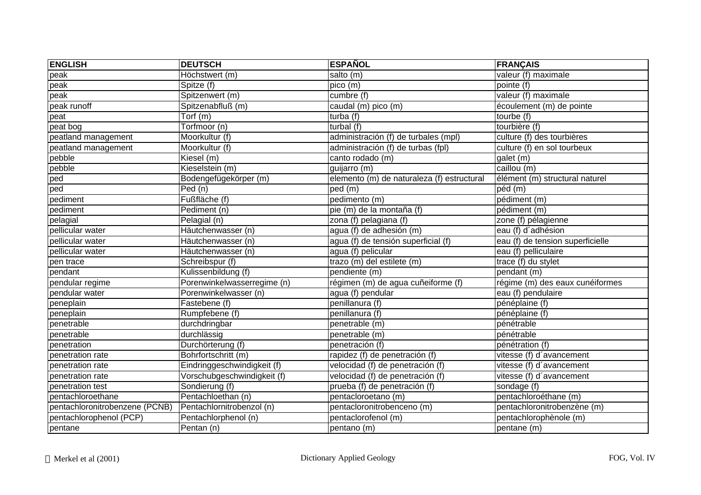| <b>ENGLISH</b>                 | <b>DEUTSCH</b>              | <b>ESPAÑOL</b>                             | <b>FRANÇAIS</b>                  |
|--------------------------------|-----------------------------|--------------------------------------------|----------------------------------|
| peak                           | Höchstwert (m)              | salto (m)                                  | valeur $(f)$ maximale            |
| peak                           | Spitze (f)                  | pico (m)                                   | pointe (f)                       |
| peak                           | Spitzenwert (m)             | cumbre (f)                                 | valeur (f) maximale              |
| peak runoff                    | Spitzenabfluß (m)           | caudal (m) pico (m)                        | écoulement (m) de pointe         |
| peat                           | Torf (m)                    | turba (f)                                  | tourbe (f)                       |
| peat bog                       | Torfmoor (n)                | turbal (f)                                 | tourbière (f)                    |
| peatland management            | Moorkultur (f)              | administración (f) de turbales (mpl)       | culture (f) des tourbières       |
| peatland management            | Moorkultur (f)              | administración (f) de turbas (fpl)         | culture (f) en sol tourbeux      |
| pebble                         | Kiesel (m)                  | canto rodado (m)                           | galet (m)                        |
| pebble                         | Kieselstein (m)             | guijarro (m)                               | $\overline{ca}$ illou $(m)$      |
| ped                            | Bodengefügekörper (m)       | elemento (m) de naturaleza (f) estructural | élément (m) structural naturel   |
| ped                            | Ped (n)                     | ped (m)                                    | péd (m)                          |
| pediment                       | Fußfläche (f)               | pedimento (m)                              | pédiment (m)                     |
| pediment                       | Pediment (n)                | pie (m) de la montaña (f)                  | pédiment (m)                     |
| pelagial                       | Pelagial (n)                | zona (f) pelagiana (f)                     | zone (f) pélagienne              |
| pellicular water               | Häutchenwasser (n)          | agua (f) de adhesión (m)                   | eau (f) d'adhésion               |
| pellicular water               | Häutchenwasser (n)          | agua (f) de tensión superficial (f)        | eau (f) de tension superficielle |
| pellicular water               | Häutchenwasser (n)          | agua (f) pelicular                         | eau (f) pelliculaire             |
| pen trace                      | Schreibspur (f)             | trazo (m) del estilete (m)                 | trace (f) du stylet              |
| pendant                        | Kulissenbildung (f)         | pendiente (m)                              | pendant (m)                      |
| pendular regime                | Porenwinkelwasserregime (n) | régimen (m) de agua cuñeiforme (f)         | régime (m) des eaux cunéiformes  |
| pendular water                 | Porenwinkelwasser (n)       | agua (f) pendular                          | eau (f) pendulaire               |
| peneplain                      | Fastebene (f)               | penillanura (f)                            | pénéplaine (f)                   |
| peneplain                      | Rumpfebene (f)              | penillanura (f)                            | pénéplaine (f)                   |
| penetrable                     | durchdringbar               | penetrable (m)                             | pénétrable                       |
| penetrable                     | durchlässig                 | penetrable (m)                             | pénétrable                       |
| penetration                    | Durchörterung (f)           | penetración (f)                            | pénétration (f)                  |
| penetration rate               | Bohrfortschritt (m)         | rapidez (f) de penetración (f)             | vitesse (f) d'avancement         |
| penetration rate               | Eindringgeschwindigkeit (f) | velocidad (f) de penetración (f)           | vitesse (f) d'avancement         |
| penetration rate               | Vorschubgeschwindigkeit (f) | velocidad (f) de penetración (f)           | vitesse (f) d'avancement         |
| penetration test               | Sondierung (f)              | prueba (f) de penetración (f)              | sondage (f)                      |
| pentachloroethane              | Pentachloethan (n)          | pentacloroetano (m)                        | pentachloroéthane (m)            |
| pentachloronitrobenzene (PCNB) | Pentachlornitrobenzol (n)   | pentacloronitrobenceno (m)                 | pentachloronitrobenzène (m)      |
| pentachlorophenol (PCP)        | Pentachlorphenol (n)        | pentaclorofenol (m)                        | pentachlorophènole (m)           |
| pentane                        | Pentan (n)                  | pentano (m)                                | pentane (m)                      |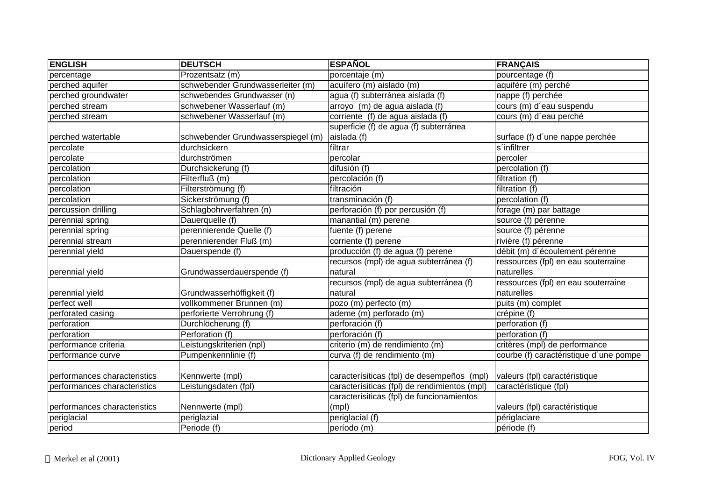| <b>ENGLISH</b>               | <b>DEUTSCH</b>                     | <b>ESPAÑOL</b>                               | <b>FRANÇAIS</b>                        |
|------------------------------|------------------------------------|----------------------------------------------|----------------------------------------|
| percentage                   | Prozentsatz (m)                    | porcentaje (m)                               | pourcentage (f)                        |
| perched aquifer              | schwebender Grundwasserleiter (m)  | acuífero (m) aislado (m)                     | aquifère (m) perché                    |
| perched groundwater          | schwebendes Grundwasser (n)        | agua (f) subterránea aislada (f)             | nappe (f) perchée                      |
| perched stream               | schwebener Wasserlauf (m)          | arroyo (m) de agua aislada (f)               | cours (m) d'eau suspendu               |
| perched stream               | schwebener Wasserlauf (m)          | corriente (f) de agua aislada (f)            | cours (m) d'eau perché                 |
|                              |                                    | superficie (f) de agua (f) subterránea       |                                        |
| perched watertable           | schwebender Grundwasserspiegel (m) | aislada (f)                                  | surface (f) d'une nappe perchée        |
| percolate                    | durchsickern                       | filtrar                                      | s'infiltrer                            |
| percolate                    | durchströmen                       | percolar                                     | percoler                               |
| percolation                  | Durchsickerung (f)                 | difusión (f)                                 | percolation (f)                        |
| percolation                  | Filterfluß (m)                     | percolación (f)                              | filtration (f)                         |
| percolation                  | Filterströmung (f)                 | filtración                                   | filtration (f)                         |
| percolation                  | Sickerströmung (f)                 | transminación (f)                            | percolation (f)                        |
| percussion drilling          | Schlagbohrverfahren (n)            | perforación (f) por percusión (f)            | forage (m) par battage                 |
| perennial spring             | Dauerquelle (f)                    | manantial (m) perene                         | source (f) pérenne                     |
| perennial spring             | perennierende Quelle (f)           | fuente (f) perene                            | source (f) pérenne                     |
| perennial stream             | perennierender Fluß (m)            | corriente (f) perene                         | rivière (f) pérenne                    |
| perennial yield              | Dauerspende (f)                    | producción (f) de agua (f) perene            | débit (m) d'écoulement pérenne         |
|                              |                                    | recursos (mpl) de agua subterránea (f)       | ressources (fpl) en eau souterraine    |
| perennial yield              | Grundwasserdauerspende (f)         | natural                                      | naturelles                             |
|                              |                                    | recursos (mpl) de agua subterránea (f)       | ressources (fpl) en eau souterraine    |
| perennial yield              | Grundwasserhöffigkeit (f)          | natural                                      | naturelles                             |
| perfect well                 | vollkommener Brunnen (m)           | pozo (m) perfecto (m)                        | puits (m) complet                      |
| perforated casing            | perforierte Verrohrung (f)         | ademe (m) perforado (m)                      | crépine (f)                            |
| perforation                  | Durchlöcherung (f)                 | perforación (f)                              | perforation (f)                        |
| perforation                  | Perforation (f)                    | perforación (f)                              | perforation (f)                        |
| performance criteria         | eistungskriterien (npl)            | criterio (m) de rendimiento (m)              | critères (mpl) de performance          |
| performance curve            | Pumpenkennlinie (f)                | curva (f) de rendimiento (m)                 | courbe (f) caractéristique d'une pompe |
|                              |                                    |                                              |                                        |
| performances characteristics | Kennwerte (mpl)                    | caracterísiticas (fpl) de desempeños (mpl)   | valeurs (fpl) caractéristique          |
| performances characteristics | Leistungsdaten (fpl)               | caracterísiticas (fpl) de rendimientos (mpl) | caractéristique (fpl)                  |
|                              |                                    | caracterísiticas (fpl) de funcionamientos    |                                        |
| performances characteristics | Nennwerte (mpl)                    | (mpl)                                        | valeurs (fpl) caractéristique          |
| periglacial                  | periglazial                        | periglacial (f)                              | périglaciare                           |
| period                       | Periode (f)                        | período (m)                                  | période (f)                            |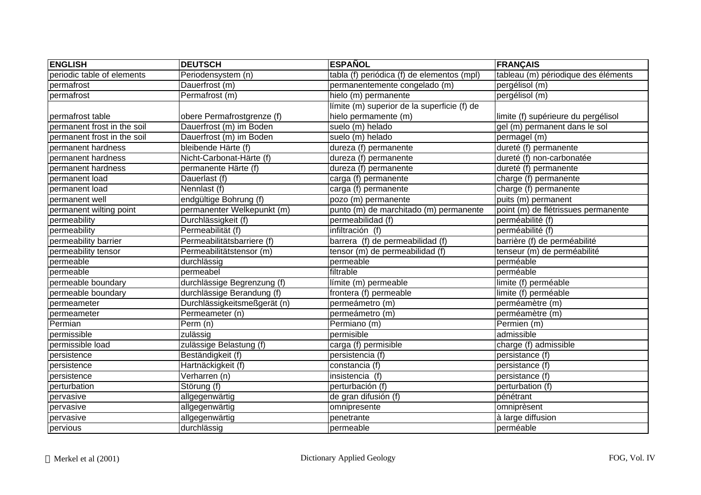| <b>ENGLISH</b>              | <b>DEUTSCH</b>               | <b>ESPAÑOL</b>                              | <b>FRANÇAIS</b>                     |
|-----------------------------|------------------------------|---------------------------------------------|-------------------------------------|
| periodic table of elements  | Periodensystem (n)           | tabla (f) periódica (f) de elementos (mpl)  | tableau (m) périodique des éléments |
| permafrost                  | Dauerfrost (m)               | permanentemente congelado (m)               | pergélisol (m)                      |
| permafrost                  | Permafrost (m)               | hielo (m) permanente                        | pergélisol (m)                      |
|                             |                              | límite (m) superior de la superficie (f) de |                                     |
| permafrost table            | obere Permafrostgrenze (f)   | hielo permamente (m)                        | limite (f) supérieure du pergélisol |
| permanent frost in the soil | Dauerfrost (m) im Boden      | suelo (m) helado                            | gel (m) permanent dans le sol       |
| permanent frost in the soil | Dauerfrost (m) im Boden      | suelo (m) helado                            | permagel (m)                        |
| permanent hardness          | bleibende Härte (f)          | dureza (f) permanente                       | dureté (f) permanente               |
| permanent hardness          | Nicht-Carbonat-Härte (f)     | dureza (f) permanente                       | dureté (f) non-carbonatée           |
| permanent hardness          | permanente Härte (f)         | dureza (f) permanente                       | dureté (f) permanente               |
| permanent load              | Dauerlast (f)                | carga (f) permanente                        | charge (f) permanente               |
| permanent load              | Nennlast (f)                 | carga (f) permanente                        | charge (f) permanente               |
| permanent well              | endgültige Bohrung (f)       | pozo (m) permanente                         | puits (m) permanent                 |
| permanent wilting point     | permanenter Welkepunkt (m)   | punto (m) de marchitado (m) permanente      | point (m) de flétrissues permanente |
| permeability                | Durchlässigkeit (f)          | permeabilidad (f)                           | perméabilité (f)                    |
| permeability                | Permeabilität (f)            | infiltración (f)                            | perméabilité (f)                    |
| permeability barrier        | Permeabilitätsbarriere (f)   | barrera (f) de permeabilidad (f)            | barrière (f) de perméabilité        |
| permeability tensor         | Permeabilitätstensor (m)     | tensor (m) de permeabilidad (f)             | tenseur (m) de perméabilité         |
| permeable                   | durchlässig                  | permeable                                   | perméable                           |
| permeable                   | permeabel                    | filtrable                                   | perméable                           |
| permeable boundary          | durchlässige Begrenzung (f)  | límite (m) permeable                        | limite (f) perméable                |
| permeable boundary          | durchlässige Berandung (f)   | frontera (f) permeable                      | limite (f) perméable                |
| permeameter                 | Durchlässigkeitsmeßgerät (n) | permeámetro (m)                             | perméamètre (m)                     |
| permeameter                 | Permeameter (n)              | permeámetro (m)                             | perméamètre (m)                     |
| Permian                     | Perm (n)                     | Permiano (m)                                | Permien (m)                         |
| permissible                 | zulässig                     | permisible                                  | admissible                          |
| permissible load            | zulässige Belastung (f)      | carga (f) permisible                        | charge (f) admissible               |
| persistence                 | Beständigkeit (f)            | persistencia (f)                            | persistance (f)                     |
| persistence                 | Hartnäckigkeit (f)           | constancia (f)                              | persistance (f)                     |
| persistence                 | Verharren (n)                | insistencia (f)                             | persistance (f)                     |
| perturbation                | Störung (f)                  | perturbación (f)                            | perturbation (f)                    |
| pervasive                   | allgegenwärtig               | de gran difusión (f)                        | pénétrant                           |
| pervasive                   | allgegenwärtig               | omnipresente                                | omniprèsent                         |
| pervasive                   | allgegenwärtig               | penetrante                                  | à large diffusion                   |
| pervious                    | durchlässig                  | permeable                                   | perméable                           |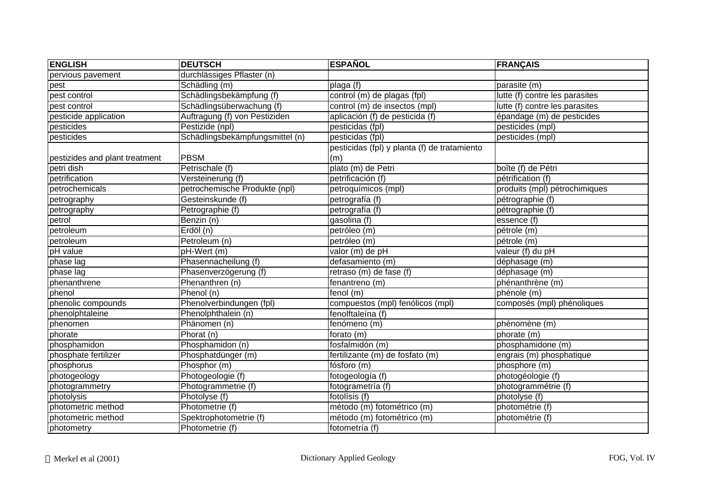| <b>ENGLISH</b>                 | <b>DEUTSCH</b>                  | <b>ESPAÑOL</b>                               | <b>FRANÇAIS</b>                |
|--------------------------------|---------------------------------|----------------------------------------------|--------------------------------|
| pervious pavement              | durchlässiges Pflaster (n)      |                                              |                                |
| pest                           | Schädling (m)                   | plaga (f)                                    | parasite (m)                   |
| pest control                   | Schädlingsbekämpfung (f)        | control (m) de plagas (fpl)                  | lutte (f) contre les parasites |
| pest control                   | Schädlingsüberwachung (f)       | control (m) de insectos (mpl)                | lutte (f) contre les parasites |
| pesticide application          | Auftragung (f) von Pestiziden   | aplicación (f) de pesticida (f)              | épandage (m) de pesticides     |
| pesticides                     | Pestizide (npl)                 | pesticidas (fpl)                             | pesticides (mpl)               |
| pesticides                     | Schädlingsbekämpfungsmittel (n) | pesticidas (fpl)                             | pesticides (mpl)               |
|                                |                                 | pesticidas (fpl) y planta (f) de tratamiento |                                |
| pestizides and plant treatment | <b>PBSM</b>                     | (m)                                          |                                |
| petri dish                     | Petrischale (f)                 | plato (m) de Petri                           | boîte (f) de Pétri             |
| petrification                  | Versteinerung (f)               | petrificación (f)                            | pétrification (f)              |
| petrochemicals                 | petrochemische Produkte (npl)   | petroquímicos (mpl)                          | produits (mpl) pétrochimiques  |
| petrography                    | Gesteinskunde (f)               | petrografía (f)                              | pétrographie (f)               |
| petrography                    | Petrographie (f)                | petrografía (f)                              | pétrographie (f)               |
| petrol                         | Benzin (n)                      | gasolina (f)                                 | essence (f)                    |
| petroleum                      | Erdöl (n)                       | petróleo (m)                                 | pétrole (m)                    |
| petroleum                      | Petroleum (n)                   | petróleo (m)                                 | pétrole (m)                    |
| pH value                       | pH-Wert (m)                     | valor (m) de pH                              | valeur (f) du pH               |
| phase lag                      | Phasennacheilung (f)            | defasamiento (m)                             | déphasage (m)                  |
| phase lag                      | Phasenverzögerung (f)           | retraso (m) de fase (f)                      | déphasage (m)                  |
| phenanthrene                   | Phenanthren (n)                 | fenantreno (m)                               | phénanthrène (m)               |
| phenol                         | Phenol (n)                      | $f$ enol $(m)$                               | phénole (m)                    |
| phenolic compounds             | Phenolverbindungen (fpl)        | compuestos (mpl) fenólicos (mpl)             | composés (mpl) phénoliques     |
| phenolphtaleine                | Phenolphthalein (n)             | fenolftaleína (f)                            |                                |
| phenomen                       | Phänomen (n)                    | fenómeno (m)                                 | phénomène (m)                  |
| phorate                        | $\overline{Ph}$ orat (n)        | forato (m)                                   | phorate (m)                    |
| phosphamidon                   | Phosphamidon (n)                | fosfalmidón (m)                              | phosphamidone (m)              |
| phosphate fertilizer           | Phosphatdünger (m)              | fertilizante (m) de fosfato (m)              | engrais (m) phosphatique       |
| phosphorus                     | Phosphor (m)                    | fósforo (m)                                  | phosphore (m)                  |
| photogeology                   | Photogeologie (f)               | fotogeología (f)                             | photogéologie (f)              |
| photogrammetry                 | Photogrammetrie (f)             | fotogrametría (f)                            | photogrammétrie (f)            |
| photolysis                     | Photolyse (f)                   | fotolísis (f)                                | photolyse (f)                  |
| photometric method             | Photometrie (f)                 | método (m) fotométrico (m)                   | photométrie (f)                |
| photometric method             | Spektrophotometrie (f)          | método (m) fotométrico (m)                   | photométrie (f)                |
| photometry                     | Photometrie (f)                 | fotometría (f)                               |                                |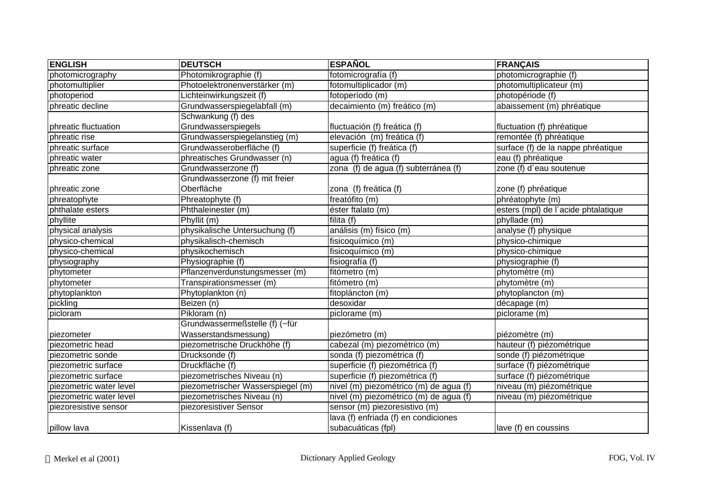| <b>ENGLISH</b>          | <b>DEUTSCH</b>                    | <b>ESPAÑOL</b>                         | <b>FRANÇAIS</b>                     |
|-------------------------|-----------------------------------|----------------------------------------|-------------------------------------|
| photomicrography        | Photomikrographie (f)             | fotomicrografía (f)                    | photomicrographie (f)               |
| photomultiplier         | Photoelektronenverstärker (m)     | fotomultiplicador (m)                  | photomultiplicateur (m)             |
| photoperiod             | Lichteinwirkungszeit (f)          | fotoperíodo (m)                        | photopériode (f)                    |
| phreatic decline        | Grundwasserspiegelabfall (m)      | decaimiento (m) freático (m)           | abaissement (m) phréatique          |
|                         | Schwankung (f) des                |                                        |                                     |
| phreatic fluctuation    | Grundwasserspiegels               | fluctuación (f) freática (f)           | fluctuation (f) phréatique          |
| phreatic rise           | Grundwasserspiegelanstieg (m)     | elevación (m) freática (f)             | remontée (f) phréatique             |
| phreatic surface        | Grundwasseroberfläche (f)         | superficie (f) freática (f)            | surface (f) de la nappe phréatique  |
| phreatic water          | phreatisches Grundwasser (n)      | agua (f) freática (f)                  | eau (f) phréatique                  |
| phreatic zone           | Grundwasserzone (f)               | zona (f) de agua (f) subterránea (f)   | zone (f) d'eau soutenue             |
|                         | Grundwasserzone (f) mit freier    |                                        |                                     |
| phreatic zone           | Oberfläche                        | zona (f) freática (f)                  | zone (f) phréatique                 |
| phreatophyte            | Phreatophyte (f)                  | freatófito (m)                         | phréatophyte (m)                    |
| phthalate esters        | Phthaleinester (m)                | éster ftalato (m)                      | esters (mpl) de l'acide phtalatique |
| phyllite                | Phyllit (m)                       | filita (f)                             | phyllade (m)                        |
| physical analysis       | physikalische Untersuchung (f)    | análisis (m) físico (m)                | analyse (f) physique                |
| physico-chemical        | physikalisch-chemisch             | fisicoquímico (m)                      | physico-chimique                    |
| physico-chemical        | physikochemisch                   | fisicoquímico (m)                      | physico-chimique                    |
| physiography            | Physiographie (f)                 | fisiografía (f)                        | physiographie (f)                   |
| phytometer              | Pflanzenverdunstungsmesser (m)    | fitómetro (m)                          | phytomètre (m)                      |
| phytometer              | Transpirationsmesser (m)          | fitómetro (m)                          | phytomètre (m)                      |
| phytoplankton           | Phytoplankton (n)                 | fitopláncton (m)                       | phytoplancton (m)                   |
| pickling                | Beizen (n)                        | desoxidar                              | décapage (m)                        |
| picloram                | Pikloram (n)                      | piclorame (m)                          | $piclorame$ (m)                     |
|                         | Grundwassermeßstelle (f) (~für    |                                        |                                     |
| piezometer              | Wasserstandsmessung)              | piezómetro (m)                         | piézomètre (m)                      |
| piezometric head        | piezometrische Druckhöhe (f)      | cabezal (m) piezométrico (m)           | hauteur (f) piézométrique           |
| piezometric sonde       | Drucksonde (f)                    | sonda (f) piezométrica (f)             | sonde (f) piézométrique             |
| piezometric surface     | Druckfläche (f)                   | superficie (f) piezométrica (f)        | surface (f) piézométrique           |
| piezometric surface     | piezometrisches Niveau (n)        | superficie (f) piezométrica (f)        | surface (f) piézométrique           |
| piezometric water level | piezometrischer Wasserspiegel (m) | nivel (m) piezométrico (m) de agua (f) | niveau (m) piézométrique            |
| piezometric water level | piezometrisches Niveau (n)        | nivel (m) piezométrico (m) de agua (f) | niveau (m) piézométrique            |
| piezoresistive sensor   | piezoresistiver Sensor            | sensor (m) piezoresistivo (m)          |                                     |
|                         |                                   | lava (f) enfriada (f) en condiciones   |                                     |
| pillow lava             | Kissenlava (f)                    | subacuáticas (fpl)                     | lave (f) en coussins                |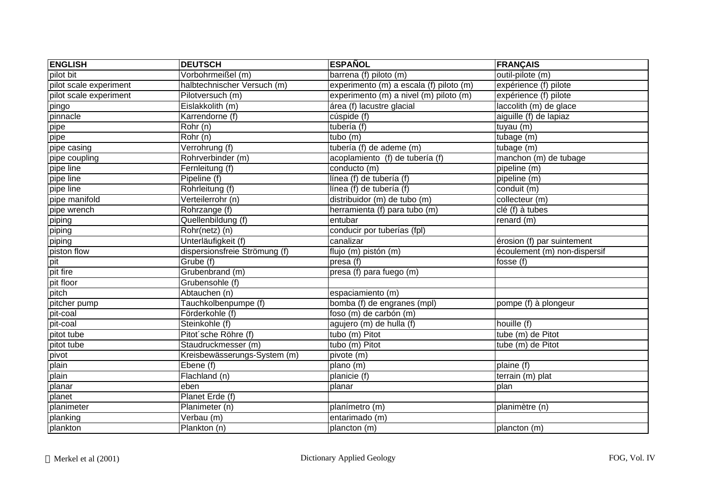| <b>ENGLISH</b>         | <b>DEUTSCH</b>                | <b>ESPAÑOL</b>                          | <b>FRANÇAIS</b>              |
|------------------------|-------------------------------|-----------------------------------------|------------------------------|
| pilot bit              | Vorbohrmeißel (m)             | barrena (f) piloto (m)                  | outil-pilote (m)             |
| pilot scale experiment | halbtechnischer Versuch (m)   | experimento (m) a escala (f) piloto (m) | expérience (f) pilote        |
| pilot scale experiment | Pilotversuch (m)              | experimento (m) a nivel (m) piloto (m)  | expérience (f) pilote        |
| pingo                  | Eislakkolith (m)              | área (f) lacustre glacial               | laccolith (m) de glace       |
| pinnacle               | Karrendorne (f)               | cúspide (f)                             | aiguille (f) de lapiaz       |
| pipe                   | $\overline{Rohr}$ (n)         | tubería (f)                             | tuyau (m)                    |
| pipe                   | Rohr (n)                      | tubo (m)                                | tubage (m)                   |
| pipe casing            | Verrohrung (f)                | tubería (f) de ademe (m)                | tubage (m)                   |
| pipe coupling          | Rohrverbinder (m)             | acoplamiento (f) de tubería (f)         | manchon (m) de tubage        |
| pipe line              | Fernleitung (f)               | conducto (m)                            | pipeline (m)                 |
| pipe line              | Pipeline (f)                  | línea (f) de tubería (f)                | pipeline (m)                 |
| pipe line              | Rohrleitung (f)               | línea (f) de tubería (f)                | conduit (m)                  |
| pipe manifold          | Verteilerrohr (n)             | distribuidor (m) de tubo (m)            | collecteur (m)               |
| pipe wrench            | Rohrzange (f)                 | herramienta (f) para tubo (m)           | $clé(f)$ à tubes             |
| piping                 | Quellenbildung (f)            | entubar                                 | renard (m)                   |
| piping                 | Rohr(netz) (n)                | conducir por tuberías (fpl)             |                              |
| piping                 | Unterläufigkeit (f)           | canalizar                               | érosion (f) par suintement   |
| piston flow            | dispersionsfreie Strömung (f) | flujo (m) pistón (m)                    | écoulement (m) non-dispersif |
| pit                    | Grube (f)                     | presa (f)                               | fosse (f)                    |
| pit fire               | Grubenbrand (m)               | presa (f) para fuego (m)                |                              |
| pit floor              | Grubensohle (f)               |                                         |                              |
| pitch                  | Abtauchen (n)                 | espaciamiento (m)                       |                              |
| pitcher pump           | Tauchkolbenpumpe (f)          | bomba (f) de engranes (mpl)             | pompe (f) à plongeur         |
| pit-coal               | Förderkohle (f)               | foso (m) de carbón (m)                  |                              |
| pit-coal               | Steinkohle (f)                | agujero (m) de hulla (f)                | houille (f)                  |
| pitot tube             | Pitot'sche Röhre (f)          | tubo (m) Pitot                          | tube (m) de Pitot            |
| pitot tube             | Staudruckmesser (m)           | tubo (m) Pitot                          | tube (m) de Pitot            |
| pivot                  | Kreisbewässerungs-System (m)  | pivote (m)                              |                              |
| plain                  | Ebene (f)                     | plano (m)                               | plaine (f)                   |
| plain                  | Flachland (n)                 | planicie (f)                            | terrain (m) plat             |
| planar                 | eben                          | planar                                  | plan                         |
| planet                 | Planet Erde (f)               |                                         |                              |
| planimeter             | Planimeter (n)                | planímetro (m)                          | planimètre (n)               |
| planking               | Verbau (m)                    | entarimado (m)                          |                              |
| plankton               | Plankton (n)                  | plancton (m)                            | plancton (m)                 |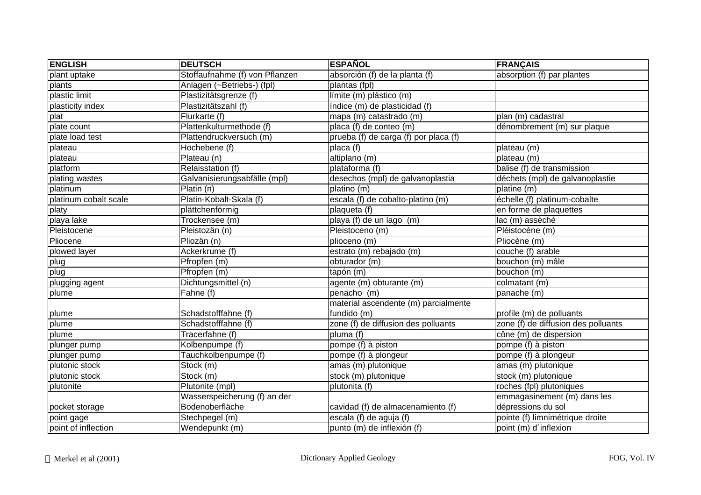| <b>ENGLISH</b>        | <b>DEUTSCH</b>                 | <b>ESPAÑOL</b>                        | <b>FRANÇAIS</b>                     |
|-----------------------|--------------------------------|---------------------------------------|-------------------------------------|
| plant uptake          | Stoffaufnahme (f) von Pflanzen | absorción (f) de la planta (f)        | absorption (f) par plantes          |
| plants                | Anlagen (~Betriebs-) (fpl)     | plantas (fpl)                         |                                     |
| plastic limit         | Plastizitätsgrenze (f)         | límite (m) plástico (m)               |                                     |
| plasticity index      | Plastizitätszahl (f)           | índice (m) de plasticidad (f)         |                                     |
| plat                  | Flurkarte (f)                  | mapa (m) catastrado (m)               | $plan(m)$ cadastral                 |
| plate count           | Plattenkulturmethode (f)       | placa (f) de conteo (m)               | dénombrement (m) sur plaque         |
| plate load test       | Plattendruckversuch (m)        | prueba (f) de carga (f) por placa (f) |                                     |
| plateau               | Hochebene (f)                  | placa (f)                             | plateau (m)                         |
| plateau               | Plateau (n)                    | altiplano (m)                         | plateau (m)                         |
| platform              | Relaisstation (f)              | plataforma (f)                        | balise (f) de transmission          |
| plating wastes        | Galvanisierungsabfälle (mpl)   | desechos (mpl) de galvanoplastia      | déchets (mpl) de galvanoplastie     |
| platinum              | Platin (n)                     | platino $(m)$                         | platine (m)                         |
| platinum cobalt scale | Platin-Kobalt-Skala (f)        | escala (f) de cobalto-platino (m)     | échelle (f) platinum-cobalte        |
| platy                 | plättchenförmig                | plaqueta (f)                          | en forme de plaquettes              |
| playa lake            | Trockensee (m)                 | playa (f) de un lago (m)              | lac (m) assèché                     |
| Pleistocene           | Pleistozän (n)                 | Pleistoceno (m)                       | Pléistocène (m)                     |
| Pliocene              | Pliozän (n)                    | plioceno (m)                          | Pliocène (m)                        |
| plowed layer          | Ackerkrume (f)                 | estrato (m) rebajado (m)              | couche (f) arable                   |
| plug                  | $P$ fropfen $(m)$              | obturador (m)                         | bouchon (m) mâle                    |
| plug                  | Pfropfen (m)                   | tapón (m)                             | bouchon (m)                         |
| plugging agent        | Dichtungsmittel (n)            | agente (m) obturante (m)              | colmatant (m)                       |
| plume                 | Fahne (f)                      | penacho (m)                           | panache (m)                         |
|                       |                                | material ascendente (m) parcialmente  |                                     |
| plume                 | Schadstofffahne (f)            | fundido (m)                           | profile (m) de polluants            |
| plume                 | Schadstofffahne (f)            | zone (f) de diffusion des polluants   | zone (f) de diffusion des polluants |
| plume                 | Tracerfahne (f)                | pluma $(\overline{f})$                | cône (m) de dispersion              |
| plunger pump          | Kolbenpumpe (f)                | pompe (f) à piston                    | pompe (f) à piston                  |
| plunger pump          | Tauchkolbenpumpe (f)           | pompe (f) à plongeur                  | pompe (f) à plongeur                |
| plutonic stock        | Stock (m)                      | amas (m) plutonique                   | amas (m) plutonique                 |
| plutonic stock        | Stock (m)                      | stock (m) plutonique                  | stock (m) plutonique                |
| plutonite             | Plutonite (mpl)                | plutonita (f)                         | roches (fpl) plutoniques            |
|                       | Wasserspeicherung (f) an der   |                                       | emmagasinement (m) dans les         |
| pocket storage        | Bodenoberfläche                | cavidad (f) de almacenamiento (f)     | dépressions du sol                  |
| point gage            | Stechpegel (m)                 | escala (f) de aguja (f)               | pointe (f) limnimétrique droite     |
| point of inflection   | Wendepunkt (m)                 | punto (m) de inflexión (f)            | point (m) d'inflexion               |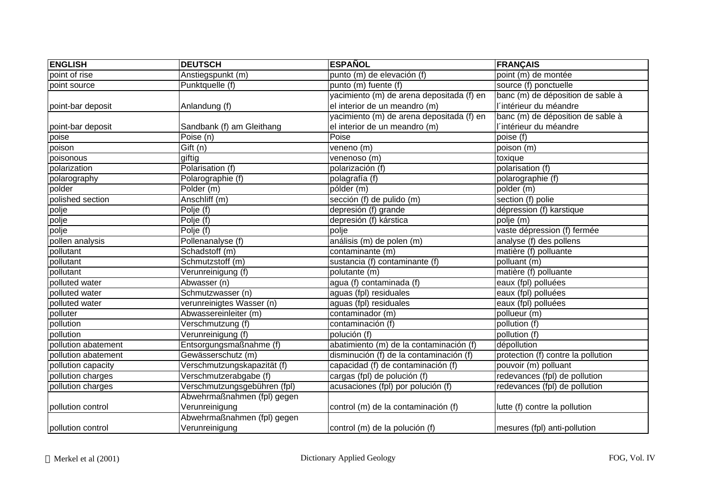| <b>ENGLISH</b>      | <b>DEUTSCH</b>               | <b>ESPAÑOL</b>                            | <b>FRANÇAIS</b>                    |
|---------------------|------------------------------|-------------------------------------------|------------------------------------|
| point of rise       | Anstiegspunkt (m)            | punto (m) de elevación (f)                | point (m) de montée                |
| point source        | Punktquelle (f)              | punto (m) fuente (f)                      | source (f) ponctuelle              |
|                     |                              | yacimiento (m) de arena depositada (f) en | banc (m) de déposition de sable à  |
| point-bar deposit   | Anlandung (f)                | el interior de un meandro (m)             | l'intérieur du méandre             |
|                     |                              | yacimiento (m) de arena depositada (f) en | banc (m) de déposition de sable à  |
| point-bar deposit   | Sandbank (f) am Gleithang    | el interior de un meandro (m)             | l'intérieur du méandre             |
| poise               | Poise (n)                    | Poise                                     | poise (f)                          |
| poison              | Gift(n)                      | veneno $(m)$                              | poison (m)                         |
| poisonous           | giftig                       | venenoso (m)                              | toxique                            |
| polarization        | Polarisation (f)             | polarización (f)                          | polarisation (f)                   |
| polarography        | Polarographie (f)            | polagrafía (f)                            | polarographie (f)                  |
| polder              | Polder (m)                   | pólder (m)                                | polder (m)                         |
| polished section    | Anschliff (m)                | sección (f) de pulido (m)                 | section (f) polie                  |
| polje               | Polje (f)                    | depresión (f) grande                      | dépression (f) karstique           |
| polje               | Polje (f)                    | depresión (f) kárstica                    | polje (m)                          |
| polje               | Polje (f)                    | polje                                     | vaste dépression (f) fermée        |
| pollen analysis     | Pollenanalyse (f)            | análisis (m) de polen (m)                 | analyse (f) des pollens            |
| pollutant           | Schadstoff (m)               | contaminante (m)                          | matière (f) polluante              |
| pollutant           | Schmutzstoff (m)             | sustancia (f) contaminante (f)            | polluant (m)                       |
| pollutant           | Verunreinigung (f)           | polutante (m)                             | matière (f) polluante              |
| polluted water      | Abwasser (n)                 | agua (f) contaminada (f)                  | eaux (fpl) polluées                |
| polluted water      | Schmutzwasser (n)            | aguas (fpl) residuales                    | eaux (fpl) polluées                |
| polluted water      | verunreinigtes Wasser (n)    | aguas (fpl) residuales                    | eaux (fpl) polluées                |
| polluter            | Abwassereinleiter (m)        | contaminador (m)                          | pollueur (m)                       |
| pollution           | Verschmutzung (f)            | contaminación (f)                         | pollution (f)                      |
| pollution           | Verunreinigung (f)           | polución (f)                              | pollution (f)                      |
| pollution abatement | Entsorgungsmaßnahme (f)      | abatimiento (m) de la contaminación (f)   | dépollution                        |
| pollution abatement | Gewässerschutz (m)           | disminución (f) de la contaminación (f)   | protection (f) contre la pollution |
| pollution capacity  | Verschmutzungskapazität (f)  | capacidad (f) de contaminación (f)        | pouvoir (m) polluant               |
| pollution charges   | Verschmutzerabgabe (f)       | cargas (fpl) de polución (f)              | redevances (fpl) de pollution      |
| pollution charges   | Verschmutzungsgebühren (fpl) | acusaciones (fpl) por polución (f)        | redevances (fpl) de pollution      |
|                     | Abwehrmaßnahmen (fpl) gegen  |                                           |                                    |
| pollution control   | Verunreinigung               | control (m) de la contaminación (f)       | lutte (f) contre la pollution      |
|                     | Abwehrmaßnahmen (fpl) gegen  |                                           |                                    |
| pollution control   | Verunreinigung               | control (m) de la polución (f)            | mesures (fpl) anti-pollution       |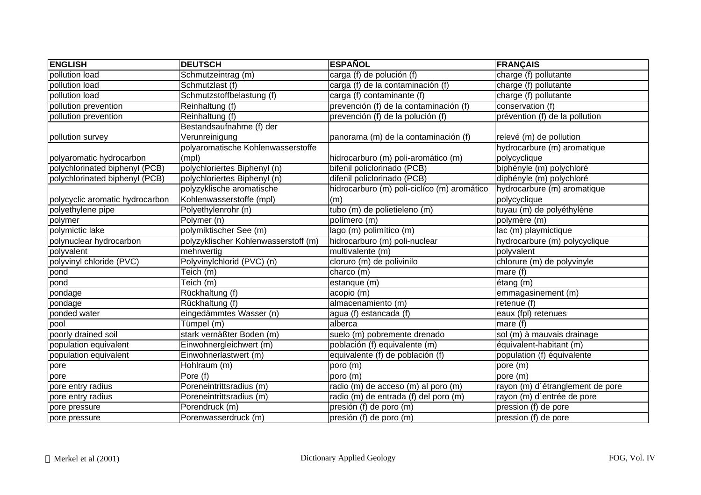| <b>ENGLISH</b>                  | <b>DEUTSCH</b>                       | <b>ESPAÑOL</b>                              | <b>FRANÇAIS</b>                  |
|---------------------------------|--------------------------------------|---------------------------------------------|----------------------------------|
| pollution load                  | Schmutzeintrag (m)                   | carga (f) de polución (f)                   | charge $(f)$ pollutante          |
| pollution load                  | Schmutzlast (f)                      | carga (f) de la contaminación (f)           | charge (f) pollutante            |
| pollution load                  | Schmutzstoffbelastung (f)            | $\overline{carga}$ (f) contaminante (f)     | charge (f) pollutante            |
| pollution prevention            | Reinhaltung (f)                      | prevención (f) de la contaminación (f)      | conservation (f)                 |
| pollution prevention            | Reinhaltung (f)                      | prevención (f) de la polución (f)           | prévention (f) de la pollution   |
|                                 | Bestandsaufnahme (f) der             |                                             |                                  |
| pollution survey                | Verunreinigung                       | panorama (m) de la contaminación (f)        | relevé (m) de pollution          |
|                                 | polyaromatische Kohlenwasserstoffe   |                                             | hydrocarbure (m) aromatique      |
| polyaromatic hydrocarbon        | (mpl)                                | hidrocarburo (m) poli-aromático (m)         | polycyclique                     |
| polychlorinated biphenyl (PCB)  | polychloriertes Biphenyl (n)         | bifenil policlorinado (PCB)                 | biphényle (m) polychloré         |
| polychlorinated biphenyl (PCB)  | polychloriertes Biphenyl (n)         | difenil policlorinado (PCB)                 | diphényle (m) polychloré         |
|                                 | polyzyklische aromatische            | hidrocarburo (m) poli-ciclíco (m) aromático | hydrocarbure (m) aromatique      |
| polycyclic aromatic hydrocarbon | Kohlenwasserstoffe (mpl)             | (m)                                         | polycyclique                     |
| polyethylene pipe               | Polyethylenrohr (n)                  | tubo (m) de polietieleno (m)                | tuyau (m) de polyéthylène        |
| polymer                         | Polymer (n)                          | polímero (m)                                | polymère (m)                     |
| polymictic lake                 | polymiktischer See (m)               | lago (m) polimítico (m)                     | lac (m) playmictique             |
| polynuclear hydrocarbon         | polyzyklischer Kohlenwasserstoff (m) | hidrocarburo (m) poli-nuclear               | hydrocarbure (m) polycyclique    |
| polyvalent                      | mehrwertig                           | multivalente (m)                            | polyvalent                       |
| polyvinyl chloride (PVC)        | Polyvinylchlorid (PVC) (n)           | cloruro (m) de polivinilo                   | chlorure (m) de polyvinyle       |
| pond                            | Teich (m)                            | charco (m)                                  | mare (f)                         |
| pond                            | Teich (m)                            | estanque (m)                                | étang (m)                        |
| pondage                         | Rückhaltung (f)                      | acopio (m)                                  | emmagasinement (m)               |
| pondage                         | Rückhaltung (f)                      | almacenamiento (m)                          | retenue (f)                      |
| ponded water                    | eingedämmtes Wasser (n)              | agua (f) estancada (f)                      | eaux (fpl) retenues              |
| pool                            | Tümpel (m)                           | alberca                                     | mare $(f)$                       |
| poorly drained soil             | stark vernäßter Boden (m)            | suelo (m) pobremente drenado                | sol (m) à mauvais drainage       |
| population equivalent           | Einwohnergleichwert (m)              | población (f) equivalente (m)               | équivalent-habitant (m)          |
| population equivalent           | Einwohnerlastwert (m)                | equivalente (f) de población (f)            | population (f) équivalente       |
| pore                            | Hohlraum (m)                         | poro (m)                                    | pore (m)                         |
| pore                            | Pore (f)                             | poro (m)                                    | pore (m)                         |
| pore entry radius               | Poreneintrittsradius (m)             | radio (m) de acceso (m) al poro (m)         | rayon (m) d'étranglement de pore |
| pore entry radius               | Poreneintrittsradius (m)             | radio (m) de entrada (f) del poro (m)       | rayon (m) d'entrée de pore       |
| pore pressure                   | Porendruck (m)                       | presión (f) de poro (m)                     | pression (f) de pore             |
| pore pressure                   | Porenwasserdruck (m)                 | presión (f) de poro (m)                     | pression (f) de pore             |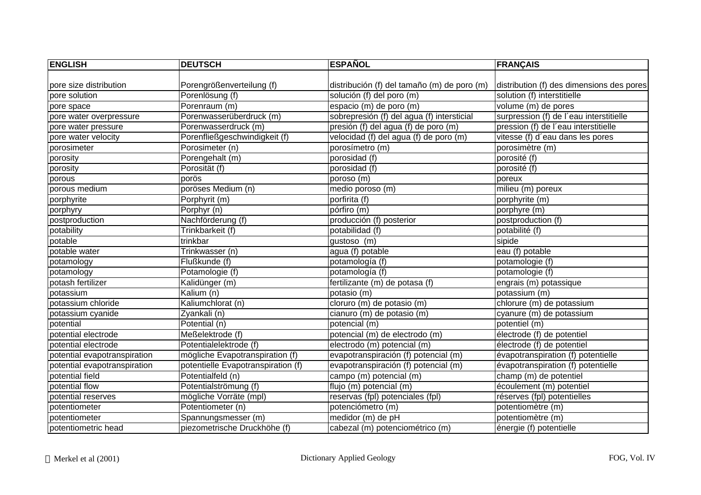| <b>ENGLISH</b>               | <b>DEUTSCH</b>                     | <b>ESPAÑOL</b>                              | <b>FRANÇAIS</b>                           |
|------------------------------|------------------------------------|---------------------------------------------|-------------------------------------------|
|                              |                                    |                                             |                                           |
| pore size distribution       | Porengrößenverteilung (f)          | distribución (f) del tamaño (m) de poro (m) | distribution (f) des dimensions des pores |
| pore solution                | Porenlösung (f)                    | solución (f) del poro (m)                   | solution (f) interstitielle               |
| pore space                   | Porenraum (m)                      | espacio (m) de poro (m)                     | volume (m) de pores                       |
| pore water overpressure      | Porenwasserüberdruck (m)           | sobrepresión (f) del agua (f) intersticial  | surpression (f) de l'eau interstitielle   |
| pore water pressure          | Porenwasserdruck (m)               | presión (f) del agua (f) de poro (m)        | pression (f) de l'eau interstitielle      |
| pore water velocity          | Porenfließgeschwindigkeit (f)      | velocidad (f) del agua (f) de poro (m)      | vitesse (f) d'eau dans les pores          |
| porosimeter                  | Porosimeter (n)                    | porosímetro (m)                             | porosimètre (m)                           |
| porosity                     | Porengehalt (m)                    | porosidad (f)                               | porosité (f)                              |
| porosity                     | Porosität (f)                      | porosidad (f)                               | porosité (f)                              |
| porous                       | porös                              | poroso (m)                                  | poreux                                    |
| porous medium                | poröses Medium (n)                 | medio poroso (m)                            | milieu (m) poreux                         |
| porphyrite                   | Porphyrit (m)                      | porfirita (f)                               | porphyrite (m)                            |
| porphyry                     | Porphyr (n)                        | pórfiro (m)                                 | porphyre (m)                              |
| postproduction               | Nachförderung (f)                  | producción (f) posterior                    | postproduction (f)                        |
| potability                   | Trinkbarkeit (f)                   | potabilidad (f)                             | potabilité (f)                            |
| potable                      | trinkbar                           | gustoso (m)                                 | sipide                                    |
| potable water                | Trinkwasser (n)                    | agua (f) potable                            | eau (f) potable                           |
| potamology                   | Flußkunde (f)                      | potamología (f)                             | potamologie (f)                           |
| potamology                   | Potamologie (f)                    | potamología (f)                             | potamologie (f)                           |
| potash fertilizer            | Kalidünger (m)                     | fertilizante (m) de potasa (f)              | engrais (m) potassique                    |
| potassium                    | Kalium (n)                         | potasio (m)                                 | potassium (m)                             |
| potassium chloride           | Kaliumchlorat (n)                  | cloruro (m) de potasio (m)                  | chlorure (m) de potassium                 |
| potassium cyanide            | Zyankali (n)                       | cianuro (m) de potasio (m)                  | cyanure (m) de potassium                  |
| potential                    | Potential (n)                      | potencial (m)                               | potentiel (m)                             |
| potential electrode          | Meßelektrode (f)                   | potencial (m) de electrodo (m)              | électrode (f) de potentiel                |
| potential electrode          | Potentialelektrode (f)             | electrodo (m) potencial (m)                 | électrode (f) de potentiel                |
| potential evapotranspiration | mögliche Evapotranspiration (f)    | evapotranspiración (f) potencial (m)        | évapotranspiration (f) potentielle        |
| potential evapotranspiration | potentielle Evapotranspiration (f) | evapotranspiración (f) potencial (m)        | évapotranspiration (f) potentielle        |
| potential field              | Potentialfeld (n)                  | campo (m) potencial (m)                     | champ (m) de potentiel                    |
| potential flow               | Potentialströmung (f)              | flujo (m) potencial (m)                     | écoulement (m) potentiel                  |
| potential reserves           | mögliche Vorräte (mpl)             | reservas (fpl) potenciales (fpl)            | réserves (fpl) potentielles               |
| potentiometer                | Potentiometer (n)                  | potenciómetro (m)                           | potentiomètre (m)                         |
| potentiometer                | Spannungsmesser (m)                | medidor (m) de pH                           | potentiomètre (m)                         |
| potentiometric head          | piezometrische Druckhöhe (f)       | cabezal (m) potenciométrico (m)             | énergie (f) potentielle                   |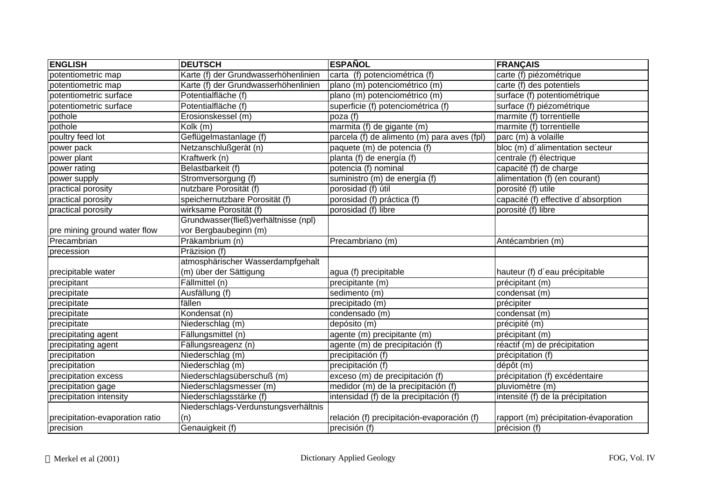| <b>ENGLISH</b>                  | <b>DEUTSCH</b>                       | <b>ESPAÑOL</b>                              | <b>FRANÇAIS</b>                       |
|---------------------------------|--------------------------------------|---------------------------------------------|---------------------------------------|
| potentiometric map              | Karte (f) der Grundwasserhöhenlinien | carta (f) potenciométrica (f)               | carte (f) piézométrique               |
| potentiometric map              | Karte (f) der Grundwasserhöhenlinien | plano (m) potenciométrico (m)               | carte (f) des potentiels              |
| potentiometric surface          | Potentialfläche (f)                  | plano (m) potenciométrico (m)               | surface (f) potentiométrique          |
| potentiometric surface          | Potentialfläche (f)                  | superficie (f) potenciométrica (f)          | surface (f) piézométrique             |
| pothole                         | Erosionskessel (m)                   | poza (f)                                    | marmite $(f)$ torrentielle            |
| pothole                         | $\overline{K}$ olk (m)               | marmita (f) de gigante (m)                  | marmite (f) torrentielle              |
| poultry feed lot                | Geflügelmastanlage (f)               | parcela (f) de alimento (m) para aves (fpl) | parc (m) à volaille                   |
| power pack                      | Netzanschlußgerät (n)                | paquete (m) de potencia (f)                 | bloc (m) d'alimentation secteur       |
| power plant                     | Kraftwerk (n)                        | planta (f) de energía (f)                   | centrale (f) électrique               |
| power rating                    | Belastbarkeit (f)                    | potencia (f) nominal                        | capacité (f) de charge                |
| power supply                    | Stromversorgung (f)                  | suministro (m) de energía (f)               | alimentation (f) (en courant)         |
| practical porosity              | nutzbare Porosität (f)               | porosidad (f) útil                          | porosité (f) utile                    |
| practical porosity              | speichernutzbare Porosität (f)       | porosidad (f) práctica (f)                  | capacité (f) effective d'absorption   |
| practical porosity              | wirksame Porosität (f)               | porosidad (f) libre                         | porosité (f) libre                    |
|                                 | Grundwasser(fließ)verhältnisse (npl) |                                             |                                       |
| pre mining ground water flow    | vor Bergbaubeginn (m)                |                                             |                                       |
| Precambrian                     | Präkambrium (n)                      | Precambriano (m)                            | Antécambrien (m)                      |
| precession                      | Präzision (f)                        |                                             |                                       |
|                                 | atmosphärischer Wasserdampfgehalt    |                                             |                                       |
| precipitable water              | (m) über der Sättigung               | agua (f) precipitable                       | hauteur (f) d'eau précipitable        |
| precipitant                     | Fällmittel (n)                       | precipitante (m)                            | précipitant (m)                       |
| precipitate                     | Ausfällung (f)                       | sedimento (m)                               | condensat (m)                         |
| precipitate                     | fällen                               | precipitado (m)                             | précipiter                            |
| precipitate                     | Kondensat (n)                        | condensado (m)                              | condensat (m)                         |
| precipitate                     | Niederschlag (m)                     | depósito (m)                                | précipité (m)                         |
| precipitating agent             | Fällungsmittel (n)                   | agente (m) precipitante (m)                 | précipitant (m)                       |
| precipitating agent             | Fällungsreagenz (n)                  | agente (m) de precipitación (f)             | réactif (m) de précipitation          |
| precipitation                   | Niederschlag (m)                     | precipitación (f)                           | précipitation (f)                     |
| precipitation                   | Niederschlag (m)                     | precipitación (f)                           | dépôt (m)                             |
| precipitation excess            | Niederschlagsüberschuß (m)           | exceso (m) de precipitación (f)             | précipitation (f) excédentaire        |
| precipitation gage              | Niederschlagsmesser (m)              | medidor (m) de la precipitación (f)         | pluviomètre (m)                       |
| precipitation intensity         | Niederschlagsstärke (f)              | intensidad (f) de la precipitación (f)      | intensité (f) de la précipitation     |
|                                 | Niederschlags-Verdunstungsverhältnis |                                             |                                       |
| precipitation-evaporation ratio | (n)                                  | relación (f) precipitación-evaporación (f)  | rapport (m) précipitation-évaporation |
| precision                       | Genauigkeit (f)                      | precisión (f)                               | précision (f)                         |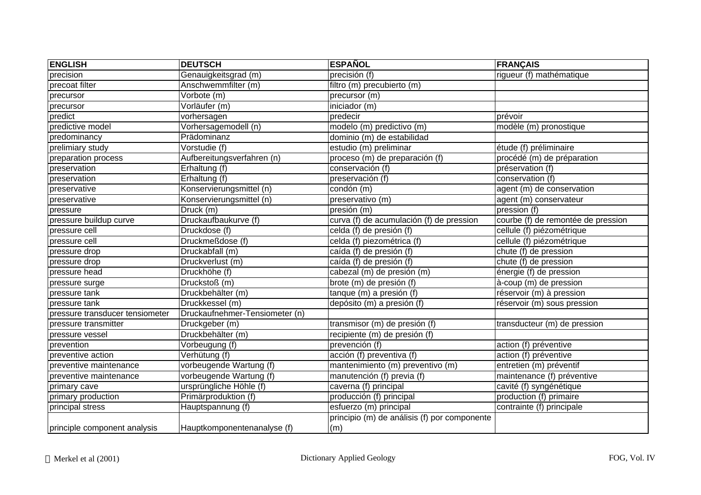| <b>ENGLISH</b>                  | <b>DEUTSCH</b>                 | <b>ESPAÑOL</b>                                      | <b>FRANÇAIS</b>                    |
|---------------------------------|--------------------------------|-----------------------------------------------------|------------------------------------|
| precision                       | Genauigkeitsgrad (m)           | precisión (f)                                       | rigueur (f) mathématique           |
| precoat filter                  | Anschwemmfilter (m)            | filtro (m) precubierto (m)                          |                                    |
| precursor                       | Vorbote (m)                    | precursor (m)                                       |                                    |
| precursor                       | Vorläufer (m)                  | iniciador (m)                                       |                                    |
| predict                         | vorhersagen                    | predecir                                            | prévoir                            |
| predictive model                | Vorhersagemodell (n)           | modelo (m) predictivo (m)                           | modèle (m) pronostique             |
| predominancy                    | Prädominanz                    | dominio (m) de estabilidad                          |                                    |
| prelimiary study                | Vorstudie (f)                  | estudio (m) preliminar                              | étude (f) préliminaire             |
| preparation process             | Aufbereitungsverfahren (n)     | proceso (m) de preparación (f)                      | procédé (m) de préparation         |
| preservation                    | Erhaltung (f)                  | conservación (f)                                    | préservation (f)                   |
| preservation                    | Erhaltung (f)                  | preservación (f)                                    | conservation (f)                   |
| preservative                    | Konservierungsmittel (n)       | condón (m)                                          | agent (m) de conservation          |
| preservative                    | Konservierungsmittel (n)       | preservativo (m)                                    | agent (m) conservateur             |
| pressure                        | Druck (m)                      | presión (m)                                         | pression (f)                       |
| pressure buildup curve          | Druckaufbaukurve (f)           | curva (f) de acumulación (f) de pression            | courbe (f) de remontée de pression |
| pressure cell                   | Druckdose (f)                  | celda (f) de presión (f)                            | cellule (f) piézométrique          |
| pressure cell                   | Druckmeßdose (f)               | celda (f) piezométrica (f)                          | cellule (f) piézométrique          |
| pressure drop                   | Druckabfall (m)                | caída (f) de presión (f)                            | chute (f) de pression              |
| pressure drop                   | Druckverlust (m)               | caída (f) de presión (f)                            | chute (f) de pression              |
| pressure head                   | Druckhöhe (f)                  | cabezal (m) de presión (m)                          | énergie (f) de pression            |
| pressure surge                  | Druckstoß (m)                  | brote (m) de presión (f)                            | à-coup (m) de pression             |
| pressure tank                   | Druckbehälter (m)              | tanque (m) a presión (f)                            | réservoir (m) à pression           |
| pressure tank                   | Druckkessel (m)                | depósito (m) a presión (f)                          | réservoir (m) sous pression        |
| pressure transducer tensiometer | Druckaufnehmer-Tensiometer (n) |                                                     |                                    |
| pressure transmitter            | Druckgeber (m)                 | transmisor (m) de presión (f)                       | transducteur (m) de pression       |
| pressure vessel                 | Druckbehälter (m)              | recipiente (m) de presión (f)                       |                                    |
| prevention                      | Vorbeugung (f)                 | prevención (f)                                      | action (f) préventive              |
| preventive action               | Verhütung (f)                  | acción (f) preventiva (f)                           | action (f) préventive              |
| preventive maintenance          | vorbeugende Wartung (f)        | mantenimiento (m) preventivo (m)                    | entretien (m) préventif            |
| preventive maintenance          | vorbeugende Wartung (f)        | manutención (f) previa (f)                          | maintenance (f) préventive         |
| primary cave                    | ursprüngliche Höhle (f)        | caverna (f) principal                               | cavité (f) syngénétique            |
| primary production              | Primärproduktion (f)           | producción (f) principal                            | production (f) primaire            |
| principal stress                | Hauptspannung (f)              | esfuerzo (m) principal                              | contrainte (f) principale          |
|                                 | Hauptkomponentenanalyse (f)    | principio (m) de análisis (f) por componente<br>(m) |                                    |
| principle component analysis    |                                |                                                     |                                    |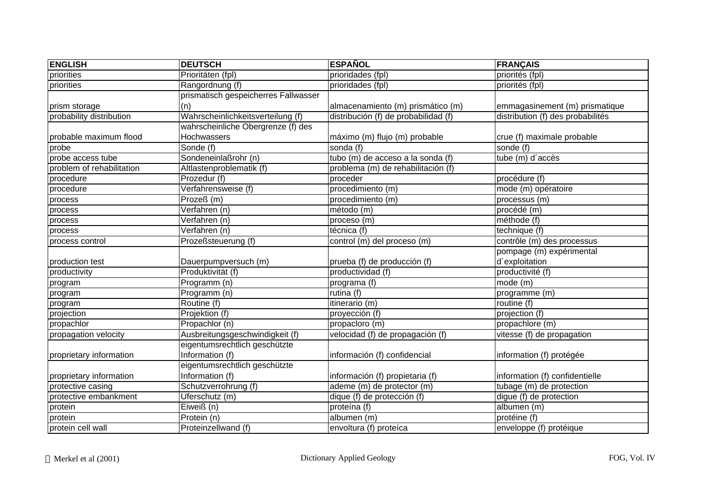| <b>ENGLISH</b>            | <b>DEUTSCH</b>                       | <b>ESPAÑOL</b>                       | <b>FRANÇAIS</b>                   |
|---------------------------|--------------------------------------|--------------------------------------|-----------------------------------|
| priorities                | Prioritäten (fpl)                    | prioridades (fpl)                    | priorités (fpl)                   |
| priorities                | Rangordnung (f)                      | prioridades (fpl)                    | priorités (fpl)                   |
|                           | prismatisch gespeicherres Fallwasser |                                      |                                   |
| prism storage             | (n)                                  | almacenamiento (m) prismático (m)    | emmagasinement (m) prismatique    |
| probability distribution  | Wahrscheinlichkeitsverteilung (f)    | distribución (f) de probabilidad (f) | distribution (f) des probabilités |
|                           | wahrscheinliche Obergrenze (f) des   |                                      |                                   |
| probable maximum flood    | Hochwassers                          | máximo (m) flujo (m) probable        | crue (f) maximale probable        |
| probe                     | Sonde (f)                            | sonda $\overline{(f)}$               | sonde (f)                         |
| probe access tube         | Sondeneinlaßrohr (n)                 | tubo (m) de acceso a la sonda (f)    | tube (m) d'accès                  |
| problem of rehabilitation | Altlastenproblematik (f)             | problema (m) de rehabilitación (f)   |                                   |
| procedure                 | Prozedur (f)                         | proceder                             | procédure (f)                     |
| procedure                 | Verfahrensweise (f)                  | procedimiento (m)                    | mode (m) opératoire               |
| process                   | Prozeß (m)                           | procedimiento (m)                    | processus (m)                     |
| process                   | Verfahren (n)                        | método (m)                           | procédé (m)                       |
| process                   | Verfahren (n)                        | proceso (m)                          | méthode (f)                       |
| process                   | Verfahren (n)                        | técnica (f)                          | technique (f)                     |
| process control           | Prozeßsteuerung (f)                  | control (m) del proceso (m)          | contrôle (m) des processus        |
|                           |                                      |                                      | pompage (m) expérimental          |
| production test           | Dauerpumpversuch (m)                 | prueba (f) de producción (f)         | d'exploitation                    |
| productivity              | Produktivität (f)                    | productividad (f)                    | productivité (f)                  |
| program                   | Programm (n)                         | programa (f)                         | mode (m)                          |
| program                   | Programm (n)                         | rutina (f)                           | programme (m)                     |
| program                   | Routine (f)                          | itinerario (m)                       | routine $(f)$                     |
| projection                | Projektion (f)                       | proyección (f)                       | projection (f)                    |
| propachlor                | Propachlor (n)                       | propacloro (m)                       | propachlore (m)                   |
| propagation velocity      | Ausbreitungsgeschwindigkeit (f)      | velocidad (f) de propagación (f)     | vitesse (f) de propagation        |
|                           | eigentumsrechtlich geschützte        |                                      |                                   |
| proprietary information   | Information (f)                      | información (f) confidencial         | information (f) protégée          |
|                           | eigentumsrechtlich geschützte        |                                      |                                   |
| proprietary information   | Information (f)                      | información (f) propietaria (f)      | information (f) confidentielle    |
| protective casing         | Schutzverrohrung (f)                 | ademe (m) de protector (m)           | tubage (m) de protection          |
| protective embankment     | Uferschutz (m)                       | dique (f) de protección (f)          | digue (f) de protection           |
| protein                   | Eiweiß (n)                           | proteína (f)                         | albumen (m)                       |
| protein                   | Protein (n)                          | albumen (m)                          | protéine (f)                      |
| protein cell wall         | Proteinzellwand (f)                  | envoltura (f) proteíca               | enveloppe (f) protéique           |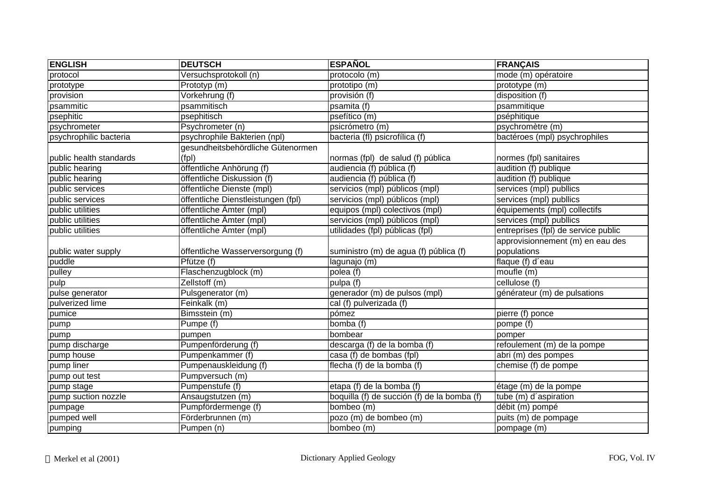| <b>ENGLISH</b>          | <b>DEUTSCH</b>                     | <b>ESPAÑOL</b>                              | <b>FRANÇAIS</b>                     |
|-------------------------|------------------------------------|---------------------------------------------|-------------------------------------|
| protocol                | Versuchsprotokoll (n)              | protocolo (m)                               | mode (m) opératoire                 |
| prototype               | Prototyp (m)                       | prototipo (m)                               | prototype (m)                       |
| provision               | Vorkehrung (f)                     | provisión (f)                               | disposition (f)                     |
| psammitic               | psammitisch                        | psamita (f)                                 | psammitique                         |
| psephitic               | psephitisch                        | psefítico (m)                               | pséphitique                         |
| psychrometer            | Psychrometer (n)                   | psicrómetro (m)                             | psychromètre (m)                    |
| psychrophilic bacteria  | psychrophile Bakterien (npl)       | bacteria (fl) psicrofílica (f)              | bactéroes (mpl) psychrophiles       |
|                         | gesundheitsbehördliche Gütenormen  |                                             |                                     |
| public health standards | (fp)                               | normas (fpl) de salud (f) pública           | normes (fpl) sanitaires             |
| public hearing          | öffentliche Anhörung (f)           | audiencia (f) pública (f)                   | audition (f) publique               |
| public hearing          | öffentliche Diskussion (f)         | audiencia (f) pública (f)                   | audition (f) publique               |
| public services         | öffentliche Dienste (mpl)          | servicios (mpl) públicos (mpl)              | services (mpl) publlics             |
| public services         | öffentliche Dienstleistungen (fpl) | servicios (mpl) públicos (mpl)              | services (mpl) publlics             |
| public utilities        | öffentliche Ämter (mpl)            | equipos (mpl) colectivos (mpl)              | équipements (mpl) collectifs        |
| public utilities        | öffentliche Ämter (mpl)            | servicios (mpl) públicos (mpl)              | services (mpl) publlics             |
| public utilities        | öffentliche Ämter (mpl)            | utilidades (fpl) públicas (fpl)             | entreprises (fpl) de service public |
|                         |                                    |                                             | approvisionnement (m) en eau des    |
| public water supply     | öffentliche Wasserversorgung (f)   | suministro (m) de agua (f) pública (f)      | populations                         |
| puddle                  | $Pfütze$ (f)                       | lagunajo (m)                                | flaque $(f)$ d'eau                  |
| pulley                  | Flaschenzugblock (m)               | polea (f)                                   | moufle (m)                          |
| pulp                    | Zellstoff (m)                      | pulpa (f)                                   | cellulose (f)                       |
| pulse generator         | Pulsgenerator (m)                  | generador (m) de pulsos (mpl)               | générateur (m) de pulsations        |
| pulverized lime         | Feinkalk (m)                       | cal (f) pulverizada (f)                     |                                     |
| pumice                  | Bimsstein (m)                      | pómez                                       | pierre (f) ponce                    |
| pump                    | Pumpe (f)                          | bomba (f)                                   | pompe (f)                           |
| pump                    | pumpen                             | bombear                                     | pomper                              |
| pump discharge          | Pumpenförderung (f)                | descarga (f) de la bomba (f)                | refoulement (m) de la pompe         |
| pump house              | Pumpenkammer (f)                   | casa (f) de bombas (fpl)                    | abri (m) des pompes                 |
| pump liner              | Pumpenauskleidung (f)              | flecha (f) de la bomba (f)                  | chemise (f) de pompe                |
| pump out test           | Pumpversuch (m)                    |                                             |                                     |
| pump stage              | Pumpenstufe (f)                    | etapa (f) de la bomba (f)                   | étage (m) de la pompe               |
| pump suction nozzle     | Ansaugstutzen (m)                  | boquilla (f) de succión (f) de la bomba (f) | tube (m) d'aspiration               |
| pumpage                 | Pumpfördermenge (f)                | bombeo (m)                                  | débit (m) pompé                     |
| pumped well             | Förderbrunnen (m)                  | pozo (m) de bombeo (m)                      | puits (m) de pompage                |
| pumping                 | Pumpen (n)                         | bombeo (m)                                  | pompage (m)                         |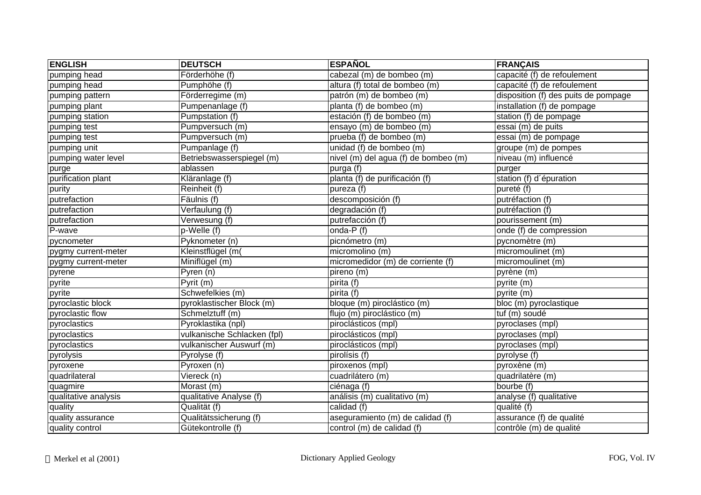| <b>ENGLISH</b>       | <b>DEUTSCH</b>              | <b>ESPAÑOL</b>                       | <b>FRANÇAIS</b>                      |
|----------------------|-----------------------------|--------------------------------------|--------------------------------------|
| pumping head         | Förderhöhe (f)              | cabezal (m) de bombeo (m)            | capacité (f) de refoulement          |
| pumping head         | Pumphöhe (f)                | altura (f) total de bombeo (m)       | capacité (f) de refoulement          |
| pumping pattern      | Förderregime (m)            | patrón (m) de bombeo (m)             | disposition (f) des puits de pompage |
| pumping plant        | Pumpenanlage (f)            | planta (f) de bombeo (m)             | installation (f) de pompage          |
| pumping station      | Pumpstation (f)             | estación (f) de bombeo (m)           | station (f) de pompage               |
| pumping test         | Pumpversuch (m)             | ensayo (m) de bombeo (m)             | essai (m) de puits                   |
| pumping test         | Pumpversuch (m)             | prueba (f) de bombeo (m)             | essai (m) de pompage                 |
| pumping unit         | Pumpanlage (f)              | unidad (f) de bombeo (m)             | groupe (m) de pompes                 |
| pumping water level  | Betriebswasserspiegel (m)   | nivel (m) del agua (f) de bombeo (m) | niveau (m) influencé                 |
| purge                | ablassen                    | purga (f)                            | purger                               |
| purification plant   | Kläranlage (f)              | planta (f) de purificación (f)       | station (f) d'épuration              |
| purity               | Reinheit (f)                | pureza (f)                           | pureté (f)                           |
| putrefaction         | Fäulnis (f)                 | descomposición (f)                   | putréfaction (f)                     |
| putrefaction         | Verfaulung (f)              | degradación $(f)$                    | putréfaction (f)                     |
| putrefaction         | Verwesung (f)               | putrefacción (f)                     | pourissement (m)                     |
| P-wave               | p-Welle (f)                 | onda-P (f)                           | onde (f) de compression              |
| pycnometer           | Pyknometer (n)              | picnómetro (m)                       | pycnomètre (m)                       |
| pygmy current-meter  | Kleinstflügel (m(           | micromolino (m)                      | micromoulinet (m)                    |
| pygmy current-meter  | Miniflügel (m)              | micromedidor (m) de corriente (f)    | micromoulinet (m)                    |
| pyrene               | Pyren (n)                   | pireno (m)                           | pyrène (m)                           |
| pyrite               | Pyrit (m)                   | $\overline{\text{pirita}}$ (f)       | pyrite (m)                           |
| pyrite               | Schwefelkies (m)            | pirita (f)                           | pyrite (m)                           |
| pyroclastic block    | pyroklastischer Block (m)   | bloque (m) piroclástico (m)          | bloc (m) pyroclastique               |
| pyroclastic flow     | Schmelztuff (m)             | flujo (m) piroclástico (m)           | tuf (m) soudé                        |
| pyroclastics         | Pyroklastika (npl)          | piroclásticos (mpl)                  | pyroclases (mpl)                     |
| pyroclastics         | vulkanische Schlacken (fpl) | piroclásticos (mpl)                  | pyroclases (mpl)                     |
| pyroclastics         | vulkanischer Auswurf (m)    | piroclásticos (mpl)                  | pyroclases (mpl)                     |
| pyrolysis            | Pyrolyse (f)                | pirolísis (f)                        | pyrolyse (f)                         |
| pyroxene             | Pyroxen (n)                 | piroxenos (mpl)                      | pyroxène (m)                         |
| quadrilateral        | Viereck (n)                 | cuadrilátero (m)                     | quadrilatère (m)                     |
| quagmire             | Morast (m)                  | ciénaga (f)                          | bourbe (f)                           |
| qualitative analysis | qualitative Analyse (f)     | análisis (m) cualitativo (m)         | analyse (f) qualitative              |
| quality              | Qualität (f)                | calidad (f)                          | qualité (f)                          |
| quality assurance    | Qualitätssicherung (f)      | aseguramiento (m) de calidad (f)     | assurance (f) de qualité             |
| quality control      | Gütekontrolle (f)           | control (m) de calidad (f)           | contrôle (m) de qualité              |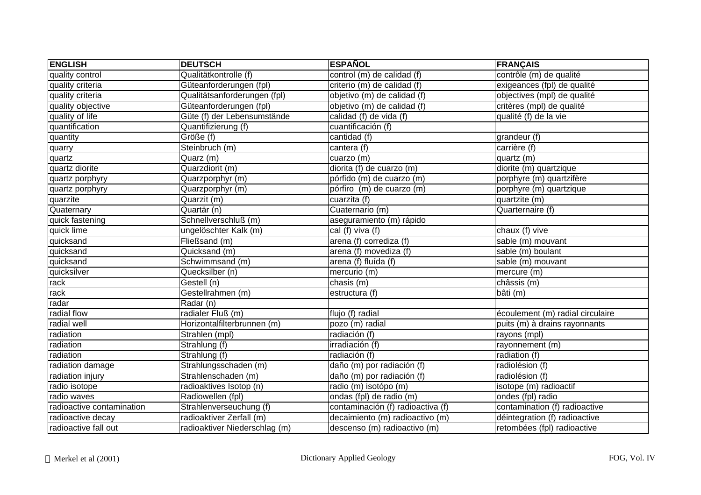| <b>ENGLISH</b>            | <b>DEUTSCH</b>                | <b>ESPAÑOL</b>                    | <b>FRANÇAIS</b>                  |
|---------------------------|-------------------------------|-----------------------------------|----------------------------------|
| quality control           | Qualitätkontrolle (f)         | control (m) de calidad (f)        | contrôle (m) de qualité          |
| quality criteria          | Güteanforderungen (fpl)       | criterio (m) de calidad (f)       | exigeances (fpl) de qualité      |
| quality criteria          | Qualitätsanforderungen (fpl)  | objetivo (m) de calidad (f)       | objectives (mpl) de qualité      |
| quality objective         | Güteanforderungen (fpl)       | objetivo (m) de calidad (f)       | critères (mpl) de qualité        |
| quality of life           | Güte (f) der Lebensumstände   | calidad (f) de vida (f)           | qualité (f) de la vie            |
| quantification            | Quantifizierung (f)           | cuantificación (f)                |                                  |
| quantity                  | Größe (f)                     | cantidad (f)                      | grandeur (f)                     |
| quarry                    | Steinbruch (m)                | cantera (f)                       | carrière (f)                     |
| quartz                    | Quarz (m)                     | cuarzo (m)                        | quartz (m)                       |
| quartz diorite            | Quarzdiorit (m)               | diorita (f) de cuarzo (m)         | diorite (m) quartzique           |
| quartz porphyry           | Quarzporphyr (m)              | pórfido (m) de cuarzo (m)         | porphyre (m) quartzifère         |
| quartz porphyry           | Quarzporphyr (m)              | pórfiro (m) de cuarzo (m)         | porphyre (m) quartzique          |
| quarzite                  | Quarzit (m)                   | cuarzita (f)                      | quartzite (m)                    |
| Quaternary                | Quartär (n)                   | Cuaternario (m)                   | Quarternaire (f)                 |
| quick fastening           | Schnellverschluß (m)          | aseguramiento (m) rápido          |                                  |
| quick lime                | ungelöschter Kalk (m)         | cal (f) viva (f)                  | chaux (f) vive                   |
| quicksand                 | Fließsand (m)                 | arena (f) corrediza (f)           | sable (m) mouvant                |
| quicksand                 | Quicksand (m)                 | arena (f) movediza (f)            | sable (m) boulant                |
| quicksand                 | Schwimmsand (m)               | arena (f) fluída (f)              | sable (m) mouvant                |
| quicksilver               | Quecksilber (n)               | mercurio $(m)$                    | mercure (m)                      |
| rack                      | Gestell (n)                   | chasis (m)                        | châssis (m)                      |
| rack                      | Gestellrahmen (m)             | estructura $(f)$                  | bâti (m)                         |
| radar                     | $\overline{\text{Radar}}$ (n) |                                   |                                  |
| radial flow               | radialer Fluß (m)             | flujo (f) radial                  | écoulement (m) radial circulaire |
| radial well               | Horizontalfilterbrunnen (m)   | pozo (m) radial                   | puits (m) à drains rayonnants    |
| radiation                 | Strahlen (mpl)                | radiación (f)                     | rayons (mpl)                     |
| radiation                 | Strahlung (f)                 | irradiación (f)                   | rayonnement (m)                  |
| radiation                 | Strahlung (f)                 | radiación (f)                     | radiation (f)                    |
| radiation damage          | Strahlungsschaden (m)         | daño (m) por radiación (f)        | radiolésion (f)                  |
| radiation injury          | Strahlenschaden (m)           | daño (m) por radiación (f)        | radiolésion (f)                  |
| radio isotope             | radioaktives Isotop (n)       | radio (m) isotópo (m)             | isotope (m) radioactif           |
| radio waves               | Radiowellen (fpl)             | ondas (fpl) de radio (m)          | ondes (fpl) radio                |
| radioactive contamination | Strahlenverseuchung (f)       | contaminación (f) radioactiva (f) | contamination (f) radioactive    |
| radioactive decay         | radioaktiver Zerfall (m)      | decaimiento (m) radioactivo (m)   | déintegration (f) radioactive    |
| radioactive fall out      | radioaktiver Niederschlag (m) | descenso (m) radioactivo (m)      | retombées (fpl) radioactive      |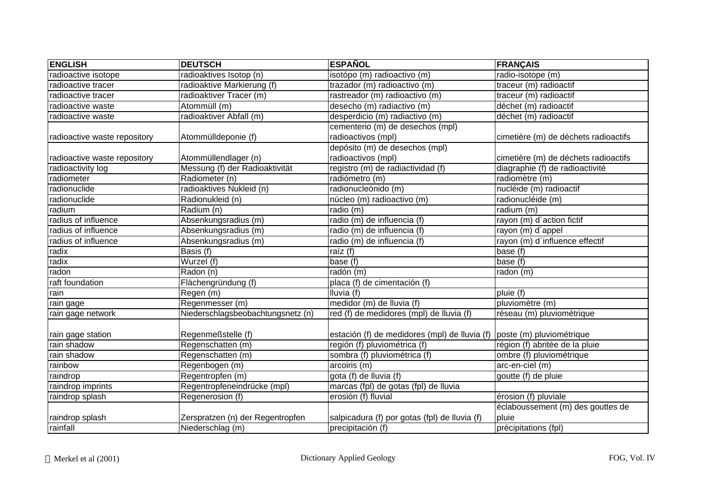| <b>ENGLISH</b>               | <b>DEUTSCH</b>                    | <b>ESPAÑOL</b>                                                         | <b>FRANÇAIS</b>                      |
|------------------------------|-----------------------------------|------------------------------------------------------------------------|--------------------------------------|
| radioactive isotope          | radioaktives Isotop (n)           | isotópo (m) radioactivo (m)                                            | radio-isotope (m)                    |
| radioactive tracer           | radioaktive Markierung (f)        | trazador (m) radioactivo (m)                                           | traceur (m) radioactif               |
| radioactive tracer           | radioaktiver Tracer (m)           | rastreador (m) radioactivo (m)                                         | traceur (m) radioactif               |
| radioactive waste            | Atommüll (m)                      | desecho (m) radiactivo (m)                                             | déchet (m) radioactif                |
| radioactive waste            | radioaktiver Abfall (m)           | desperdicio (m) radiactivo (m)                                         | déchet (m) radioactif                |
|                              |                                   | cementerio (m) de desechos (mpl)                                       |                                      |
| radioactive waste repository | Atommülldeponie (f)               | radioactivos (mpl)                                                     | cimetière (m) de déchets radioactifs |
|                              |                                   | depósito (m) de desechos (mpl)                                         |                                      |
| radioactive waste repository | Atommüllendlager (n)              | radioactivos (mpl)                                                     | cimetière (m) de déchets radioactifs |
| radioactivity log            | Messung (f) der Radioaktivität    | registro (m) de radiactividad (f)                                      | diagraphie (f) de radioactivité      |
| radiometer                   | Radiometer (n)                    | radiómetro (m)                                                         | radiomètre (m)                       |
| radionuclide                 | radioaktives Nukleid (n)          | radionucleónido (m)                                                    | nucléide (m) radioactif              |
| radionuclide                 | Radionukleid (n)                  | núcleo (m) radioactivo (m)                                             | radionucléide (m)                    |
| radium                       | Radium (n)                        | radio (m)                                                              | radium (m)                           |
| radius of influence          | Absenkungsradius (m)              | radio (m) de influencia (f)                                            | rayon (m) d'action fictif            |
| radius of influence          | Absenkungsradius (m)              | radio (m) de influencia (f)                                            | rayon (m) d'appel                    |
| radius of influence          | Absenkungsradius (m)              | radio (m) de influencia (f)                                            | rayon (m) d'influence effectif       |
| radix                        | Basis (f)                         | raíz (f)                                                               | base (f)                             |
| radix                        | Wurzel (f)                        | base $(t)$                                                             | base (f)                             |
| radon                        | Radon (n)                         | radón (m)                                                              | radon (m)                            |
| raft foundation              | Flächengründung (f)               | placa (f) de cimentación (f)                                           |                                      |
| rain                         | Regen (m)                         | Iluvia (f)                                                             | pluie (f)                            |
| rain gage                    | Regenmesser (m)                   | medidor (m) de lluvia (f)                                              | pluviomètre (m)                      |
| rain gage network            | Niederschlagsbeobachtungsnetz (n) | red (f) de medidores (mpl) de lluvia (f)                               | réseau (m) pluviométrique            |
|                              |                                   |                                                                        |                                      |
| rain gage station            | Regenmeßstelle (f)                | estación (f) de medidores (mpl) de lluvia (f) poste (m) pluviométrique |                                      |
| rain shadow                  | Regenschatten (m)                 | región (f) pluviométrica (f)                                           | région (f) abritée de la pluie       |
| rain shadow                  | Regenschatten (m)                 | sombra (f) pluviométrica (f)                                           | ombre (f) pluviométrique             |
| rainbow                      | Regenbogen (m)                    | arcoiris (m)                                                           | arc-en-ciel (m)                      |
| raindrop                     | Regentropfen (m)                  | gota $(f)$ de lluvia $(f)$                                             | goutte (f) de pluie                  |
| raindrop imprints            | Regentropfeneindrücke (mpl)       | marcas (fpl) de gotas (fpl) de lluvia                                  |                                      |
| raindrop splash              | Regenerosion (f)                  | erosión (f) fluvial                                                    | érosion (f) pluviale                 |
|                              |                                   |                                                                        | éclaboussement (m) des gouttes de    |
| raindrop splash              | Zerspratzen (n) der Regentropfen  | salpicadura (f) por gotas (fpl) de lluvia (f)                          | pluie                                |
| rainfall                     | Niederschlag (m)                  | precipitación (f)                                                      | précipitations (fpl)                 |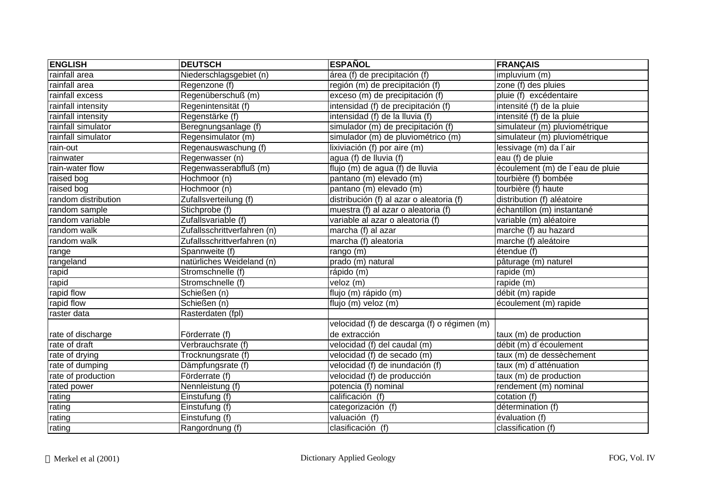| <b>ENGLISH</b>      | <b>DEUTSCH</b>              | <b>ESPAÑOL</b>                              | <b>FRANÇAIS</b>                  |
|---------------------|-----------------------------|---------------------------------------------|----------------------------------|
| rainfall area       | Niederschlagsgebiet (n)     | área (f) de precipitación (f)               | impluvium (m)                    |
| rainfall area       | Regenzone (f)               | región (m) de precipitación (f)             | zone (f) des pluies              |
| rainfall excess     | Regenüberschuß (m)          | exceso (m) de precipitación (f)             | pluie (f) excédentaire           |
| rainfall intensity  | Regenintensität (f)         | intensidad (f) de precipitación (f)         | intensité (f) de la pluie        |
| rainfall intensity  | Regenstärke (f)             | intensidad (f) de la lluvia (f)             | intensité (f) de la pluie        |
| rainfall simulator  | Beregnungsanlage (f)        | simulador (m) de precipitación (f)          | simulateur (m) pluviométrique    |
| rainfall simulator  | Regensimulator (m)          | simulador (m) de pluviométrico (m)          | simulateur (m) pluviométrique    |
| rain-out            | Regenauswaschung (f)        | lixiviación (f) por aire (m)                | lessivage (m) da l'air           |
| rainwater           | Regenwasser (n)             | agua (f) de lluvia (f)                      | eau (f) de pluie                 |
| rain-water flow     | Regenwasserabfluß (m)       | flujo (m) de agua (f) de lluvia             | écoulement (m) de l'eau de pluie |
| raised bog          | Hochmoor (n)                | pantano (m) elevado (m)                     | tourbière (f) bombée             |
| raised bog          | Hochmoor (n)                | pantano (m) elevado (m)                     | tourbière (f) haute              |
| random distribution | Zufallsverteilung (f)       | distribución (f) al azar o aleatoria (f)    | distribution (f) aléatoire       |
| random sample       | Stichprobe (f)              | muestra (f) al azar o aleatoria (f)         | échantillon (m) instantané       |
| random variable     | Zufallsvariable (f)         | variable al azar o aleatoria (f)            | variable (m) aléatoire           |
| random walk         | Zufallsschrittverfahren (n) | marcha (f) al azar                          | marche (f) au hazard             |
| random walk         | Zufallsschrittverfahren (n) | marcha (f) aleatoria                        | marche (f) aleátoire             |
| range               | Spannweite (f)              | rango (m)                                   | étendue (f)                      |
| rangeland           | natürliches Weideland (n)   | prado (m) natural                           | pâturage (m) naturel             |
| rapid               | Stromschnelle (f)           | rápido (m)                                  | rapide (m)                       |
| rapid               | Stromschnelle (f)           | veloz (m)                                   | rapide (m)                       |
| rapid flow          | Schießen (n)                | flujo (m) rápido (m)                        | débit (m) rapide                 |
| rapid flow          | Schießen (n)                | flujo (m) veloz (m)                         | écoulement (m) rapide            |
| raster data         | Rasterdaten (fpl)           |                                             |                                  |
|                     |                             | velocidad (f) de descarga (f) o régimen (m) |                                  |
| rate of discharge   | Förderrate (f)              | de extracción                               | taux (m) de production           |
| rate of draft       | Verbrauchsrate (f)          | velocidad (f) del caudal (m)                | débit (m) d'écoulement           |
| rate of drying      | Trocknungsrate (f)          | velocidad (f) de secado (m)                 | taux (m) de dessèchement         |
| rate of dumping     | Dämpfungsrate (f)           | velocidad (f) de inundación (f)             | taux (m) d'atténuation           |
| rate of production  | Förderrate (f)              | velocidad (f) de producción                 | taux (m) de production           |
| rated power         | Nennleistung (f)            | potencia (f) nominal                        | rendement (m) nominal            |
| rating              | Einstufung (f)              | calificación (f)                            | cotation (f)                     |
| rating              | Einstufung (f)              | categorización $(f)$                        | détermination (f)                |
| rating              | Einstufung (f)              | valuación (f)                               | évaluation (f)                   |
| rating              | Rangordnung (f)             | clasificación (f)                           | classification (f)               |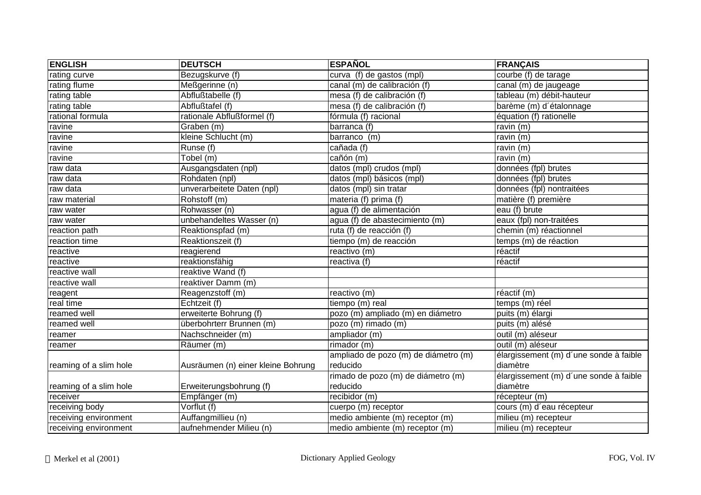| <b>ENGLISH</b>         | <b>DEUTSCH</b>                     | <b>ESPAÑOL</b>                                | <b>FRANÇAIS</b>                        |
|------------------------|------------------------------------|-----------------------------------------------|----------------------------------------|
| rating curve           | Bezugskurve (f)                    | $\overline{\text{curva}}$ (f) de gastos (mpl) | courbe $(f)$ de tarage                 |
| rating flume           | Meßgerinne (n)                     | canal (m) de calibración (f)                  | canal (m) de jaugeage                  |
| rating table           | Abflußtabelle (f)                  | mesa (f) de calibración (f)                   | tableau (m) débit-hauteur              |
| rating table           | Abflußtafel (f)                    | mesa (f) de calibración (f)                   | barème (m) d'étalonnage                |
| rational formula       | rationale Abflußformel (f)         | fórmula (f) racional                          | équation (f) rationelle                |
| ravine                 | Graben (m)                         | barranca (f)                                  | $\overline{r}$ avin (m)                |
| ravine                 | kleine Schlucht (m)                | barranco (m)                                  | ravin $(m)$                            |
| ravine                 | Runse (f)                          | cañada (f)                                    | ravin (m)                              |
| ravine                 | Tobel (m)                          | cañón (m)                                     | ravin (m)                              |
| raw data               | Ausgangsdaten (npl)                | datos (mpl) crudos (mpl)                      | données (fpl) brutes                   |
| raw data               | Rohdaten (npl)                     | datos (mpl) básicos (mpl)                     | données (fpl) brutes                   |
| raw data               | unverarbeitete Daten (npl)         | datos (mpl) sin tratar                        | données (fpl) nontraitées              |
| raw material           | Rohstoff (m)                       | materia (f) prima (f)                         | matière (f) première                   |
| raw water              | Rohwasser (n)                      | agua (f) de alimentación                      | eau (f) brute                          |
| raw water              | unbehandeltes Wasser (n)           | agua (f) de abastecimiento (m)                | eaux (fpl) non-traitées                |
| reaction path          | Reaktionspfad (m)                  | ruta (f) de reacción (f)                      | chemin (m) réactionnel                 |
| reaction time          | Reaktionszeit (f)                  | tiempo (m) de reacción                        | temps (m) de réaction                  |
| reactive               | reagierend                         | reactivo (m)                                  | réactif                                |
| reactive               | reaktionsfähig                     | reactiva (f)                                  | réactif                                |
| reactive wall          | reaktive Wand (f)                  |                                               |                                        |
| reactive wall          | reaktiver Damm (m)                 |                                               |                                        |
| reagent                | Reagenzstoff (m)                   | reactivo (m)                                  | réactif (m)                            |
| real time              | Echtzeit (f)                       | tiempo (m) real                               | temps (m) réel                         |
| reamed well            | erweiterte Bohrung (f)             | pozo (m) ampliado (m) en diámetro             | puits (m) élargi                       |
| reamed well            | überbohrterr Brunnen (m)           | pozo (m) rimado (m)                           | puits (m) alésé                        |
| reamer                 | Nachschneider (m)                  | ampliador (m)                                 | outil (m) aléseur                      |
| reamer                 | Räumer (m)                         | rimador (m)                                   | outil (m) aléseur                      |
|                        |                                    | ampliado de pozo (m) de diámetro (m)          | élargissement (m) d'une sonde à faible |
| reaming of a slim hole | Ausräumen (n) einer kleine Bohrung | reducido                                      | diamètre                               |
|                        |                                    | rimado de pozo (m) de diámetro (m)            | élargissement (m) d'une sonde à faible |
| reaming of a slim hole | Erweiterungsbohrung (f)            | reducido                                      | diamètre                               |
| receiver               | Empfänger (m)                      | recibidor (m)                                 | récepteur (m)                          |
| receiving body         | Vorflut (f)                        | cuerpo (m) receptor                           | cours (m) d'eau récepteur              |
| receiving environment  | Auffangmillieu (n)                 | medio ambiente (m) receptor (m)               | milieu (m) recepteur                   |
| receiving environment  | aufnehmender Milieu (n)            | medio ambiente (m) receptor (m)               | milieu (m) recepteur                   |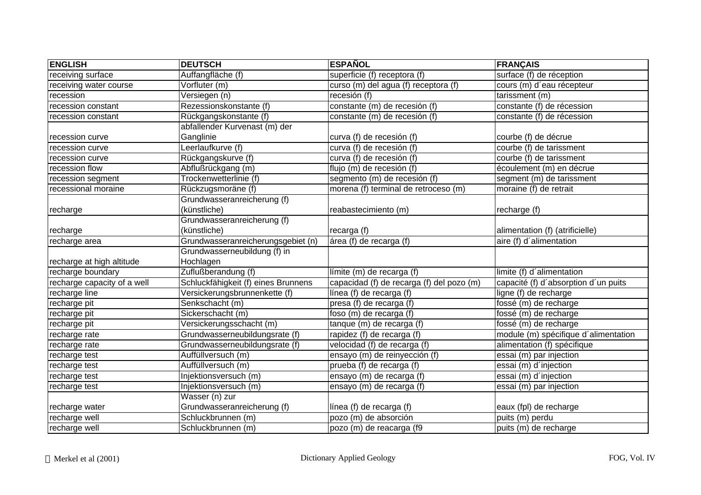| <b>ENGLISH</b>              | <b>DEUTSCH</b>                      | <b>ESPAÑOL</b>                            | <b>FRANÇAIS</b>                      |
|-----------------------------|-------------------------------------|-------------------------------------------|--------------------------------------|
| receiving surface           | Auffangfläche (f)                   | superficie (f) receptora (f)              | surface (f) de réception             |
| receiving water course      | Vorfluter (m)                       | curso (m) del agua (f) receptora (f)      | cours (m) d'eau récepteur            |
| recession                   | Versiegen (n)                       | recesión (f)                              | tarissment (m)                       |
| recession constant          | Rezessionskonstante (f)             | constante (m) de recesión (f)             | constante (f) de récession           |
| recession constant          | Rückgangskonstante (f)              | constante (m) de recesión (f)             | constante (f) de récession           |
|                             | abfallender Kurvenast (m) der       |                                           |                                      |
| recession curve             | Ganglinie                           | curva (f) de recesión (f)                 | courbe (f) de décrue                 |
| recession curve             | Leerlaufkurve (f)                   | curva (f) de recesión (f)                 | courbe (f) de tarissment             |
| recession curve             | Rückgangskurve (f)                  | curva (f) de recesión (f)                 | courbe (f) de tarissment             |
| recession flow              | Abflußrückgang (m)                  | flujo (m) de recesión (f)                 | écoulement (m) en décrue             |
| recession segment           | Trockenwetterlinie (f)              | segmento (m) de recesión (f)              | segment (m) de tarissment            |
| recessional moraine         | Rückzugsmoräne (f)                  | morena (f) terminal de retroceso (m)      | moraine (f) de retrait               |
|                             | Grundwasseranreicherung (f)         |                                           |                                      |
| recharge                    | (künstliche)                        | reabastecimiento (m)                      | recharge (f)                         |
|                             | Grundwasseranreicherung (f)         |                                           |                                      |
| recharge                    | (künstliche)                        | recarga (f)                               | alimentation (f) (atrificielle)      |
| recharge area               | Grundwasseranreicherungsgebiet (n)  | área (f) de recarga (f)                   | aire (f) d'alimentation              |
|                             | Grundwasserneubildung (f) in        |                                           |                                      |
| recharge at high altitude   | Hochlagen                           |                                           |                                      |
| recharge boundary           | Zuflußberandung (f)                 | límite (m) de recarga (f)                 | limite (f) d'alimentation            |
| recharge capacity of a well | Schluckfähigkeit (f) eines Brunnens | capacidad (f) de recarga (f) del pozo (m) | capacité (f) d'absorption d'un puits |
| recharge line               | Versickerungsbrunnenkette (f)       | línea (f) de recarga (f)                  | ligne (f) de recharge                |
| recharge pit                | Senkschacht (m)                     | presa (f) de recarga (f)                  | fossé (m) de recharge                |
| recharge pit                | Sickerschacht (m)                   | foso (m) de recarga (f)                   | fossé (m) de recharge                |
| recharge pit                | Versickerungsschacht (m)            | tanque (m) de recarga (f)                 | fossé (m) de recharge                |
| recharge rate               | Grundwasserneubildungsrate (f)      | rapidez (f) de recarga (f)                | module (m) spécifique d'alimentation |
| recharge rate               | Grundwasserneubildungsrate (f)      | velocidad (f) de recarga (f)              | alimentation (f) spécifique          |
| recharge test               | Auffüllversuch (m)                  | ensayo (m) de reinyección (f)             | essai (m) par injection              |
| recharge test               | Auffüllversuch (m)                  | prueba (f) de recarga (f)                 | essai (m) d'injection                |
| recharge test               | Injektionsversuch (m)               | ensayo (m) de recarga (f)                 | essai (m) d'injection                |
| recharge test               | Injektionsversuch (m)               | ensayo (m) de recarga (f)                 | essai (m) par injection              |
|                             | Wasser (n) zur                      |                                           |                                      |
| recharge water              | Grundwasseranreicherung (f)         | línea (f) de recarga (f)                  | eaux (fpl) de recharge               |
| recharge well               | Schluckbrunnen (m)                  | pozo (m) de absorción                     | puits (m) perdu                      |
| recharge well               | Schluckbrunnen (m)                  | pozo (m) de reacarga (f9                  | puits (m) de recharge                |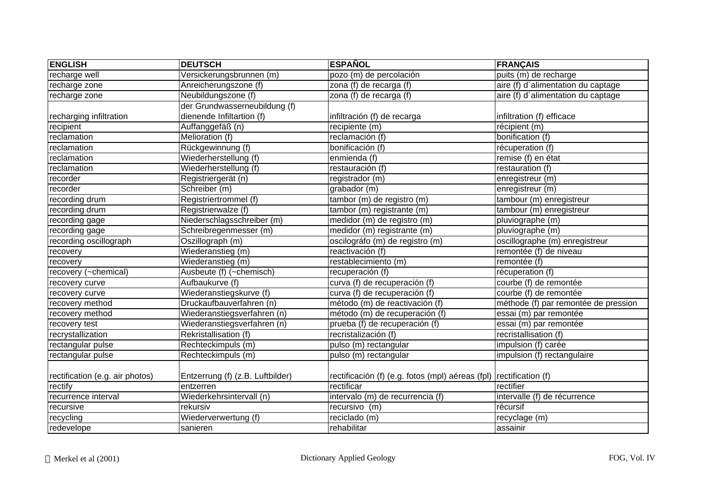| <b>ENGLISH</b>                  | <b>DEUTSCH</b>                   | <b>ESPAÑOL</b>                                                     | <b>FRANÇAIS</b>                                 |
|---------------------------------|----------------------------------|--------------------------------------------------------------------|-------------------------------------------------|
| recharge well                   | Versickerungsbrunnen (m)         | pozo (m) de percolación                                            | puits (m) de recharge                           |
| recharge zone                   | Anreicherungszone (f)            | zona (f) de recarga (f)                                            | aire (f) d'alimentation du captage              |
| recharge zone                   | Neubildungszone (f)              | zona (f) de recarga (f)                                            | aire (f) d'alimentation du captage              |
|                                 | der Grundwasserneubildung (f)    |                                                                    |                                                 |
| recharging infiltration         | dienende Infiltartion (f)        | infiltración (f) de recarga                                        | infiltration (f) efficace                       |
| recipient                       | Auffanggefäß (n)                 | recipiente (m)                                                     | récipient (m)                                   |
| reclamation                     | Melioration (f)                  | reclamación (f)                                                    | bonification (f)                                |
| reclamation                     | Rückgewinnung (f)                | bonificación (f)                                                   | récuperation (f)                                |
| reclamation                     | Wiederherstellung (f)            | enmienda (f)                                                       | remise (f) en état                              |
| reclamation                     | Wiederherstellung (f)            | restauración (f)                                                   | restauration (f)                                |
| recorder                        | Registriergerät (n)              | registrador (m)                                                    | enregistreur (m)                                |
| recorder                        | Schreiber (m)                    | grabador (m)                                                       | enregistreur (m)                                |
| recording drum                  | Registriertrommel (f)            | tambor (m) de registro (m)                                         | tambour (m) enregistreur                        |
| recording drum                  | Registrierwalze (f)              | tambor (m) registrante (m)                                         | tambour (m) enregistreur                        |
| recording gage                  | Niederschlagsschreiber (m)       | medidor (m) de registro (m)                                        | pluviographe (m)                                |
| recording gage                  | Schreibregenmesser (m)           | medidor (m) registrante (m)                                        | pluviographe (m)                                |
| recording oscillograph          | Oszillograph (m)                 | oscilográfo (m) de registro (m)                                    | oscillographe (m) enregistreur                  |
| recovery                        | Wiederanstieg (m)                | reactivación (f)                                                   | remontée (f)'de niveau                          |
| recovery                        | Wiederanstieg (m)                | restablecimiento (m)                                               | remontée (f)                                    |
| recovery (~chemical)            | Ausbeute (f) (~chemisch)         | recuperación (f)                                                   | récuperation (f)                                |
| recovery curve                  | Aufbaukurve (f)                  | curva (f) de recuperación (f)                                      | courbe (f) de remontée                          |
| recovery curve                  | Wiederanstiegskurve (f)          | curva (f) de recuperación (f)                                      | courbe (f) de remontée                          |
| recovery method                 | Druckaufbauverfahren (n)         | método (m) de reactivación (f)                                     | méthode (f) par remontée de pression            |
| recovery method                 | Wiederanstiegsverfahren (n)      | método (m) de recuperación (f)                                     | essai (m) par remontée                          |
| recovery test                   | Wiederanstiegsverfahren (n)      | prueba (f) de recuperación (f)                                     | essai (m) par remontée                          |
| recrystallization               | Rekristallisation (f)            | recristalización (f)                                               | recristallisation (f)                           |
| rectangular pulse               | Rechteckimpuls (m)               | pulso (m) rectangular                                              | impulsion (f) carée                             |
| rectangular pulse               | Rechteckimpuls (m)               | pulso (m) rectangular                                              | $\overline{\text{impulsion (f)}}$ rectangulaire |
|                                 |                                  |                                                                    |                                                 |
| rectification (e.g. air photos) | Entzerrung (f) (z.B. Luftbilder) | rectificación (f) (e.g. fotos (mpl) aéreas (fpl) rectification (f) |                                                 |
| rectify                         | entzerren                        | rectificar                                                         | rectifier                                       |
| recurrence interval             | Wiederkehrsintervall (n)         | intervalo (m) de recurrencia (f)                                   | intervalle (f) de récurrence                    |
| recursive                       | rekursiv                         | recursivo $(m)$                                                    | récursif                                        |
| recycling                       | Wiederverwertung (f)             | reciclado (m)                                                      | recyclage (m)                                   |
| redevelope                      | sanieren                         | rehabilitar                                                        | assainir                                        |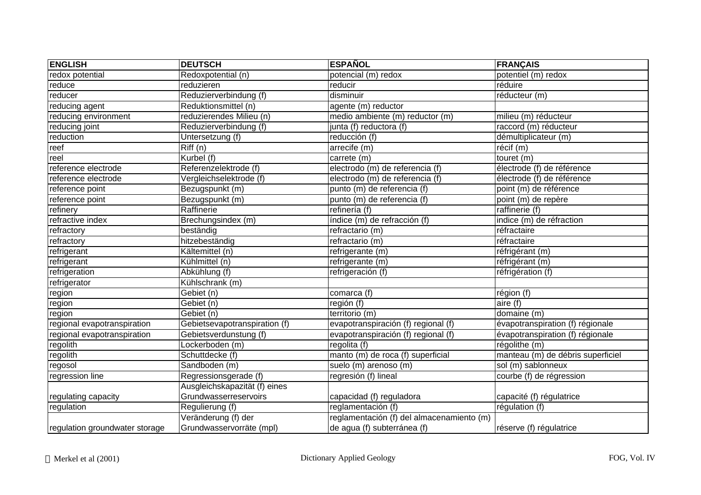| <b>ENGLISH</b>                 | <b>DEUTSCH</b>                | <b>ESPAÑOL</b>                            | <b>FRANÇAIS</b>                   |
|--------------------------------|-------------------------------|-------------------------------------------|-----------------------------------|
| redox potential                | Redoxpotential (n)            | potencial (m) redox                       | potentiel (m) redox               |
| reduce                         | reduzieren                    | reducir                                   | réduire                           |
| reducer                        | Reduzierverbindung (f)        | disminuir                                 | réducteur (m)                     |
| reducing agent                 | Reduktionsmittel (n)          | agente (m) reductor                       |                                   |
| reducing environment           | reduzierendes Milieu (n)      | medio ambiente (m) reductor (m)           | milieu (m) réducteur              |
| reducing joint                 | Reduzierverbindung (f)        | junta (f) reductora (f)                   | raccord (m) réducteur             |
| reduction                      | Untersetzung (f)              | reducción (f)                             | démultiplicateur (m)              |
| reef                           | Riff(n)                       | arrecife (m)                              | récif (m)                         |
| reel                           | Kurbel (f)                    | carrete (m)                               | touret (m)                        |
| reference electrode            | Referenzelektrode (f)         | electrodo (m) de referencia (f)           | électrode (f) de référence        |
| reference electrode            | Vergleichselektrode (f)       | electrodo (m) de referencia (f)           | électrode (f) de référence        |
| reference point                | Bezugspunkt (m)               | punto (m) de referencia (f)               | point (m) de référence            |
| reference point                | Bezugspunkt (m)               | punto (m) de referencia (f)               | point (m) de repère               |
| refinery                       | Raffinerie                    | refinería (f)                             | raffinerie (f)                    |
| refractive index               | Brechungsindex (m)            | índice (m) de refracción (f)              | indice (m) de réfraction          |
| refractory                     | beständig                     | refractario (m)                           | réfractaire                       |
| refractory                     | hitzebeständig                | refractario (m)                           | réfractaire                       |
| refrigerant                    | Kältemittel (n)               | refrigerante (m)                          | réfrigérant (m)                   |
| refrigerant                    | Kühlmittel (n)                | refrigerante (m)                          | réfrigérant (m)                   |
| refrigeration                  | Abkühlung (f)                 | refrigeración (f)                         | réfrigération (f)                 |
| refrigerator                   | Kühlschrank (m)               |                                           |                                   |
| region                         | Gebiet (n)                    | comarca (f)                               | région (f)                        |
| region                         | Gebiet (n)                    | región (f)                                | aire (f)                          |
| region                         | Gebiet (n)                    | territorio (m)                            | domaine (m)                       |
| regional evapotranspiration    | Gebietsevapotranspiration (f) | evapotranspiración (f) regional (f)       | évapotranspiration (f) régionale  |
| regional evapotranspiration    | Gebietsverdunstung (f)        | evapotranspiración (f) regional (f)       | évapotranspiration (f) régionale  |
| regolith                       | Lockerboden (m)               | regolita (f)                              | régolithe (m)                     |
| regolith                       | Schuttdecke (f)               | manto (m) de roca (f) superficial         | manteau (m) de débris superficiel |
| regosol                        | Sandboden (m)                 | suelo (m) arenoso (m)                     | sol (m) sablonneux                |
| regression line                | Regressionsgerade (f)         | regresión (f) lineal                      | courbe (f) de régression          |
|                                | Ausgleichskapazität (f) eines |                                           |                                   |
| regulating capacity            | Grundwasserreservoirs         | capacidad (f) reguladora                  | capacité (f) régulatrice          |
| regulation                     | Regulierung (f)               | reglamentación (f)                        | régulation (f)                    |
|                                | Veränderung (f) der           | reglamentación (f) del almacenamiento (m) |                                   |
| regulation groundwater storage | Grundwasservorräte (mpl)      | de agua (f) subterránea (f)               | réserve (f) régulatrice           |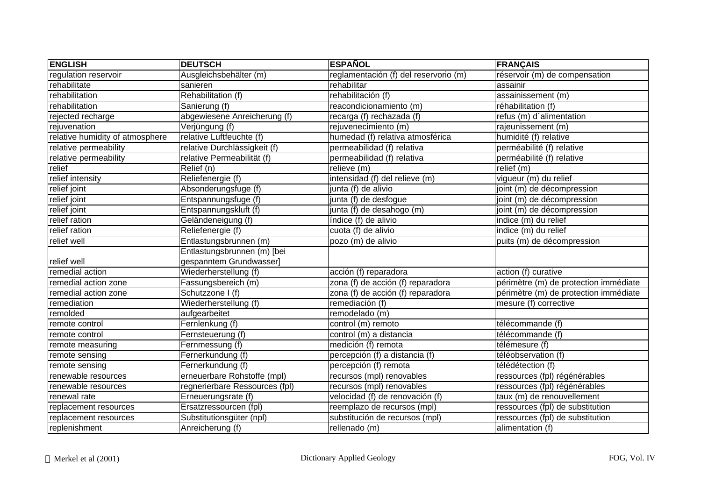| <b>ENGLISH</b>                  | <b>DEUTSCH</b>                 | <b>ESPAÑOL</b>                        | <b>FRANÇAIS</b>                       |
|---------------------------------|--------------------------------|---------------------------------------|---------------------------------------|
| regulation reservoir            | Ausgleichsbehälter (m)         | reglamentación (f) del reservorio (m) | réservoir (m) de compensation         |
| rehabilitate                    | sanieren                       | rehabilitar                           | assainir                              |
| rehabilitation                  | Rehabilitation (f)             | rehabilitación (f)                    | assainissement (m)                    |
| rehabilitation                  | Sanierung (f)                  | reacondicionamiento (m)               | réhabilitation (f)                    |
| rejected recharge               | abgewiesene Anreicherung (f)   | recarga (f) rechazada (f)             | refus (m) d'alimentation              |
| rejuvenation                    | Verjüngung (f)                 | rejuvenecimiento (m)                  | rajeunissement (m)                    |
| relative humidity of atmosphere | relative Luftfeuchte (f)       | humedad (f) relativa atmosférica      | humidité (f) relative                 |
| relative permeability           | relative Durchlässigkeit (f)   | permeabilidad (f) relativa            | perméabilité (f) relative             |
| relative permeability           | relative Permeabilität (f)     | permeabilidad (f) relativa            | perméabilité (f) relative             |
| relief                          | Relief (n)                     | relieve (m)                           | relief (m)                            |
| relief intensity                | Reliefenergie (f)              | intensidad (f) del relieve (m)        | vigueur (m) du relief                 |
| relief joint                    | Absonderungsfuge (f)           | junta (f) de alivio                   | joint (m) de décompression            |
| relief joint                    | Entspannungsfuge (f)           | junta (f) de desfogue                 | joint (m) de décompression            |
| relief joint                    | Entspannungskluft (f)          | junta (f) de desahogo (m)             | joint (m) de décompression            |
| relief ration                   | Geländeneigung (f)             | índice (f) de alivio                  | indice (m) du relief                  |
| relief ration                   | Reliefenergie (f)              | cuota (f) de alivio                   | indice (m) du relief                  |
| relief well                     | Entlastungsbrunnen (m)         | pozo (m) de alivio                    | puits (m) de décompression            |
|                                 | Entlastungsbrunnen (m) [bei    |                                       |                                       |
| relief well                     | gespanntem Grundwasser]        |                                       |                                       |
| remedial action                 | Wiederherstellung (f)          | acción (f) reparadora                 | action (f) curative                   |
| remedial action zone            | Fassungsbereich (m)            | zona (f) de acción (f) reparadora     | périmètre (m) de protection immédiate |
| remedial action zone            | Schutzzone I (f)               | zona (f) de acción (f) reparadora     | périmètre (m) de protection immédiate |
| remediation                     | Wiederherstellung (f)          | remediación (f)                       | mesure (f) corrective                 |
| remolded                        | aufgearbeitet                  | remodelado (m)                        |                                       |
| remote control                  | Fernlenkung (f)                | control (m) remoto                    | télécommande (f)                      |
| remote control                  | Fernsteuerung (f)              | control (m) a distancia               | télécommande (f)                      |
| remote measuring                | Fernmessung (f)                | medición (f) remota                   | télémesure (f)                        |
| remote sensing                  | Fernerkundung (f)              | percepción (f) a distancia (f)        | téléobservation (f)                   |
| remote sensing                  | Fernerkundung (f)              | percepción (f) remota                 | télédétection (f)                     |
| renewable resources             | erneuerbare Rohstoffe (mpl)    | recursos (mpl) renovables             | ressources (fpl) régénérables         |
| renewable resources             | regnerierbare Ressources (fpl) | recursos (mpl) renovables             | ressources (fpl) régénérables         |
| renewal rate                    | Erneuerungsrate (f)            | velocidad (f) de renovación (f)       | taux (m) de renouvellement            |
| replacement resources           | Ersatzressourcen (fpl)         | reemplazo de recursos (mpl)           | ressources (fpl) de substitution      |
| replacement resources           | Substitutionsgüter (npl)       | substitución de recursos (mpl)        | ressources (fpl) de substitution      |
| replenishment                   | Anreicherung (f)               | rellenado (m)                         | alimentation (f)                      |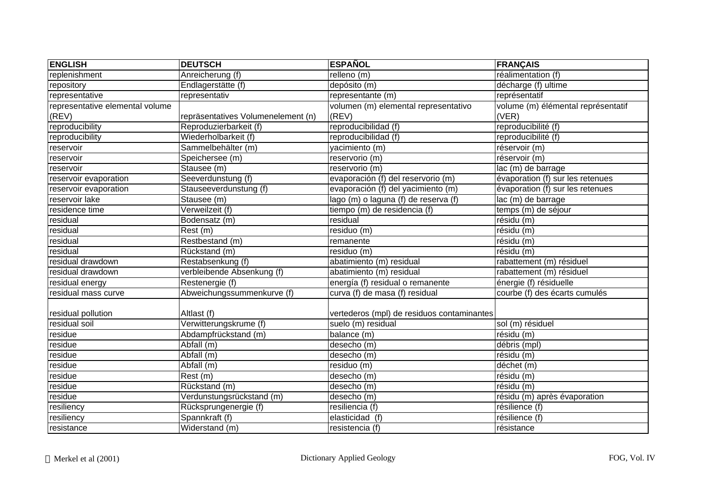| <b>ENGLISH</b>                  | <b>DEUTSCH</b>                     | <b>ESPAÑOL</b>                             | <b>FRANÇAIS</b>                    |
|---------------------------------|------------------------------------|--------------------------------------------|------------------------------------|
| replenishment                   | Anreicherung (f)                   | relleno (m)                                | réalimentation (f)                 |
| repository                      | Endlagerstätte (f)                 | depósito (m)                               | décharge (f) ultime                |
| representative                  | representativ                      | representante (m)                          | représentatif                      |
| representative elemental volume |                                    | volumen (m) elemental representativo       | volume (m) élémental représentatif |
| (REV)                           | repräsentatives Volumenelement (n) | (REV)                                      | (VER)                              |
| reproducibility                 | Reproduzierbarkeit (f)             | reproducibilidad (f)                       | reproducibilité (f)                |
| reproducibility                 | Wiederholbarkeit (f)               | reproducibilidad (f)                       | reproducibilité (f)                |
| reservoir                       | Sammelbehälter (m)                 | yacimiento (m)                             | réservoir (m)                      |
| reservoir                       | Speichersee (m)                    | reservorio (m)                             | réservoir (m)                      |
| reservoir                       | Stausee (m)                        | reservorio (m)                             | lac (m) de barrage                 |
| reservoir evaporation           | Seeverdunstung (f)                 | evaporación (f) del reservorio (m)         | évaporation (f) sur les retenues   |
| reservoir evaporation           | Stauseeverdunstung (f)             | evaporación (f) del yacimiento (m)         | évaporation (f) sur les retenues   |
| reservoir lake                  | Stausee (m)                        | lago (m) o laguna (f) de reserva (f)       | lac (m) de barrage                 |
| residence time                  | Verweilzeit (f)                    | tiempo (m) de residencia (f)               | temps (m) de séjour                |
| residual                        | Bodensatz (m)                      | residual                                   | résidu (m)                         |
| residual                        | Rest (m)                           | residuo (m)                                | résidu (m)                         |
| residual                        | Restbestand (m)                    | remanente                                  | résidu (m)                         |
| residual                        | Rückstand (m)                      | residuo (m)                                | résidu (m)                         |
| residual drawdown               | Restabsenkung (f)                  | abatimiento (m) residual                   | rabattement (m) résiduel           |
| residual drawdown               | verbleibende Absenkung (f)         | abatimiento (m) residual                   | rabattement (m) résiduel           |
| residual energy                 | Restenergie (f)                    | energía (f) residual o remanente           | énergie (f) résiduelle             |
| residual mass curve             | Abweichungssummenkurve (f)         | curva (f) de masa (f) residual             | courbe (f) des écarts cumulés      |
| residual pollution              | Altlast (f)                        | vertederos (mpl) de residuos contaminantes |                                    |
| residual soil                   | Verwitterungskrume (f)             | suelo (m) residual                         | sol (m) résiduel                   |
| residue                         | Abdampfrückstand (m)               | balance (m)                                | résidu (m)                         |
| residue                         | Abfall (m)                         | desecho (m)                                | débris (mpl)                       |
| residue                         | Abfall (m)                         | desecho (m)                                | résidu (m)                         |
| residue                         | Abfall (m)                         | residuo (m)                                | déchet(m)                          |
| residue                         | Rest (m)                           | desecho (m)                                | résidu (m)                         |
| residue                         | Rückstand (m)                      | desecho (m)                                | résidu (m)                         |
| residue                         | Verdunstungsrückstand (m)          | desecho (m)                                | résidu (m) après évaporation       |
| resiliency                      | Rücksprungenergie (f)              | resiliencia (f)                            | résilience (f)                     |
| resiliency                      | Spannkraft (f)                     | elasticidad (f)                            | résilience (f)                     |
| resistance                      | Widerstand (m)                     | resistencia (f)                            | résistance                         |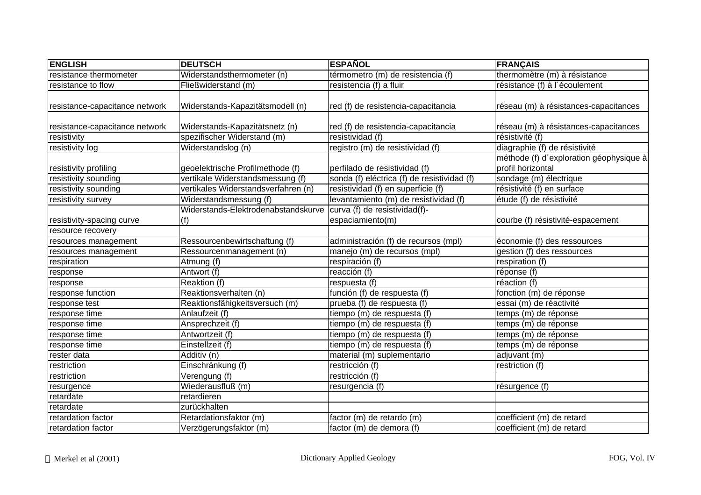| <b>ENGLISH</b>                 | <b>DEUTSCH</b>                             | <b>ESPAÑOL</b>                                    | <b>FRANÇAIS</b>                                              |
|--------------------------------|--------------------------------------------|---------------------------------------------------|--------------------------------------------------------------|
| resistance thermometer         | Widerstandsthermometer (n)                 | térmometro (m) de resistencia (f)                 | thermomètre (m) à résistance                                 |
| resistance to flow             | Fließwiderstand (m)                        | resistencia (f) a fluir                           | résistance (f) à l'écoulement                                |
| resistance-capacitance network | Widerstands-Kapazitätsmodell (n)           | red (f) de resistencia-capacitancia               | réseau (m) à résistances-capacitances                        |
| resistance-capacitance network | Widerstands-Kapazitätsnetz (n)             | red (f) de resistencia-capacitancia               | réseau (m) à résistances-capacitances                        |
| resistivity                    | spezifischer Widerstand (m)                | resistividad (f)                                  | résistivité (f)                                              |
| resistivity log                | Widerstandslog (n)                         | registro (m) de resistividad (f)                  | diagraphie (f) de résistivité                                |
| resistivity profiling          | geoelektrische Profilmethode (f)           | perfilado de resistividad (f)                     | méthode (f) d'exploration géophysique à<br>profil horizontal |
| resistivity sounding           | vertikale Widerstandsmessung (f)           | sonda (f) eléctrica (f) de resistividad (f)       | sondage (m) électrique                                       |
| resistivity sounding           | vertikales Widerstandsverfahren (n)        | resistividad (f) en superficie (f)                | résistivité (f) en surface                                   |
| resistivity survey             | Widerstandsmessung (f)                     | levantamiento (m) de resistividad (f)             | étude (f) de résistivité                                     |
| resistivity-spacing curve      | Widerstands-Elektrodenabstandskurve<br>(f) | curva (f) de resistividad(f)-<br>espaciamiento(m) | courbe (f) résistivité-espacement                            |
| resource recovery              |                                            |                                                   |                                                              |
| resources management           | Ressourcenbewirtschaftung (f)              | administración (f) de recursos (mpl)              | économie (f) des ressources                                  |
| resources management           | Ressourcenmanagement (n)                   | manejo (m) de recursos (mpl)                      | gestion (f) des ressources                                   |
| respiration                    | Atmung (f)                                 | respiración (f)                                   | respiration (f)                                              |
| response                       | Antwort (f)                                | reacción $(t)$                                    | réponse (f)                                                  |
| response                       | Reaktion (f)                               | respuesta (f)                                     | réaction (f)                                                 |
| response function              | Reaktionsverhalten (n)                     | función (f) de respuesta (f)                      | fonction (m) de réponse                                      |
| response test                  | Reaktionsfähigkeitsversuch (m)             | prueba (f) de respuesta (f)                       | essai (m) de réactivité                                      |
| response time                  | Anlaufzeit (f)                             | tiempo (m) de respuesta (f)                       | temps (m) de réponse                                         |
| response time                  | Ansprechzeit (f)                           | tiempo (m) de respuesta (f)                       | temps (m) de réponse                                         |
| response time                  | Antwortzeit (f)                            | tiempo (m) de respuesta (f)                       | temps (m) de réponse                                         |
| response time                  | Einstellzeit (f)                           | tiempo (m) de respuesta (f)                       | temps (m) de réponse                                         |
| rester data                    | Additiv (n)                                | material (m) suplementario                        | adjuvant (m)                                                 |
| restriction                    | Einschränkung (f)                          | restricción (f)                                   | restriction (f)                                              |
| restriction                    | Verengung (f)                              | restricción (f)                                   |                                                              |
| resurgence                     | Wiederausfluß (m)                          | resurgencia (f)                                   | résurgence (f)                                               |
| retardate                      | retardieren                                |                                                   |                                                              |
| retardate                      | zurückhalten                               |                                                   |                                                              |
| retardation factor             | Retardationsfaktor (m)                     | factor (m) de retardo (m)                         | coefficient (m) de retard                                    |
| retardation factor             | Verzögerungsfaktor (m)                     | factor (m) de demora (f)                          | coefficient (m) de retard                                    |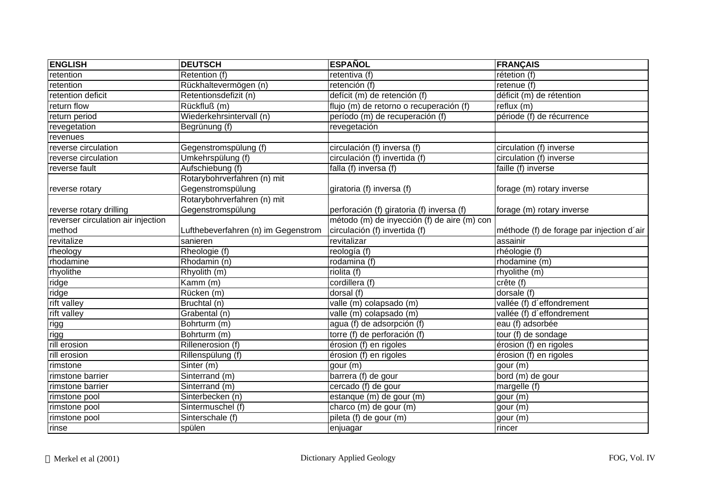| <b>ENGLISH</b>                     | <b>DEUTSCH</b>                      | <b>ESPAÑOL</b>                              | <b>FRANÇAIS</b>                           |
|------------------------------------|-------------------------------------|---------------------------------------------|-------------------------------------------|
| retention                          | Retention (f)                       | retentiva (f)                               | rétetion (f)                              |
| retention                          | Rückhaltevermögen (n)               | retención (f)                               | retenue (f)                               |
| retention deficit                  | Retentionsdefizit (n)               | defícit (m) de retención (f)                | déficit (m) de rétention                  |
| return flow                        | Rückfluß (m)                        | flujo (m) de retorno o recuperación (f)     | reflux(m)                                 |
| return period                      | Wiederkehrsintervall (n)            | período (m) de recuperación (f)             | période (f) de récurrence                 |
| revegetation                       | Begrünung (f)                       | revegetación                                |                                           |
| revenues                           |                                     |                                             |                                           |
| reverse circulation                | Gegenstromspülung (f)               | circulación (f) inversa (f)                 | circulation (f) inverse                   |
| reverse circulation                | Umkehrspülung (f)                   | circulación (f) invertida (f)               | circulation (f) inverse                   |
| reverse fault                      | Aufschiebung (f)                    | falla (f) inversa (f)                       | faille (f) inverse                        |
|                                    | Rotarybohrverfahren (n) mit         |                                             |                                           |
| reverse rotary                     | Gegenstromspülung                   | giratoria (f) inversa (f)                   | forage (m) rotary inverse                 |
|                                    | Rotarybohrverfahren (n) mit         |                                             |                                           |
| reverse rotary drilling            | Gegenstromspülung                   | perforación (f) giratoria (f) inversa (f)   | forage (m) rotary inverse                 |
| reverser circulation air injection |                                     | método (m) de inyección (f) de aire (m) con |                                           |
| method                             | Lufthebeverfahren (n) im Gegenstrom | circulación (f) invertida (f)               | méthode (f) de forage par injection d'air |
| revitalize                         | sanieren                            | revitalizar                                 | assainir                                  |
| rheology                           | Rheologie (f)                       | reología (f)                                | rhéologie (f)                             |
| rhodamine                          | Rhodamin (n)                        | rodamina (f)                                | rhodamine (m)                             |
| rhyolithe                          | Rhyolith (m)                        | riolita (f)                                 | rhyolithe (m)                             |
| ridge                              | Kamm (m)                            | cordillera (f)                              | crête (f)                                 |
| ridge                              | Rücken (m)                          | dorsal (f)                                  | dorsale (f)                               |
| rift valley                        | Bruchtal (n)                        | valle (m) colapsado (m)                     | vallée (f) d'effondrement                 |
| rift valley                        | Grabental (n)                       | valle (m) colapsado (m)                     | vallée (f) d'effondrement                 |
| rigg                               | Bohrturm (m)                        | agua (f) de adsorpción (f)                  | eau (f) adsorbée                          |
| rigg                               | Bohrturm (m)                        | torre (f) de perforación (f)                | tour (f) de sondage                       |
| rill erosion                       | Rillenerosion (f)                   | érosion (f) en rigoles                      | érosion (f) en rigoles                    |
| rill erosion                       | Rillenspülung (f)                   | érosion (f) en rigoles                      | érosion (f) en rigoles                    |
| rimstone                           | Sinter (m)                          | gour (m)                                    | gour (m)                                  |
| rimstone barrier                   | Sinterrand (m)                      | barrera (f) de gour                         | bord (m) de gour                          |
| rimstone barrier                   | Sinterrand (m)                      | cercado (f) de gour                         | margelle (f)                              |
| rimstone pool                      | Sinterbecken (n)                    | estanque (m) de gour (m)                    | gour (m)                                  |
| rimstone pool                      | Sintermuschel (f)                   | charco (m) de gour (m)                      | gour (m)                                  |
| rimstone pool                      | Sinterschale (f)                    | pileta (f) de gour (m)                      | gour (m)                                  |
| rinse                              | spülen                              | enjuagar                                    | rincer                                    |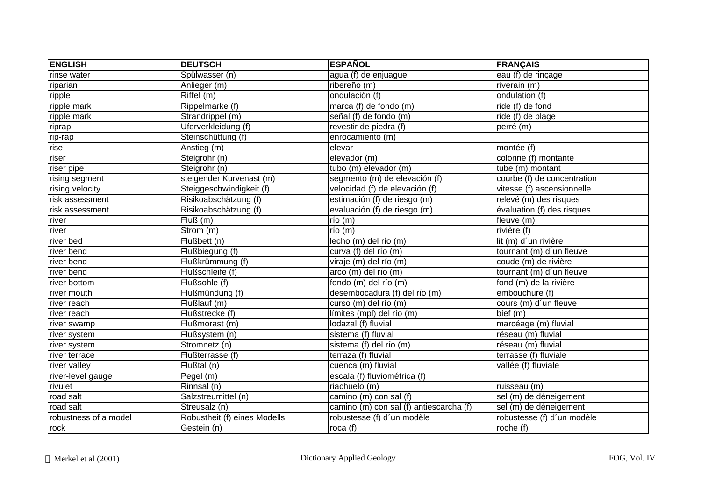| <b>ENGLISH</b>        | <b>DEUTSCH</b>               | <b>ESPAÑOL</b>                          | <b>FRANÇAIS</b>             |
|-----------------------|------------------------------|-----------------------------------------|-----------------------------|
| rinse water           | Spülwasser (n)               | agua (f) de enjuague                    | eau (f) de rinçage          |
| riparian              | Anlieger (m)                 | ribereño (m)                            | riverain (m)                |
| ripple                | Riffel (m)                   | ondulación (f)                          | ondulation (f)              |
| ripple mark           | Rippelmarke (f)              | marca (f) de fondo (m)                  | ride (f) de fond            |
| ripple mark           | Strandrippel (m)             | señal (f) de fondo (m)                  | $ride(f)$ de plage          |
| riprap                | Uferverkleidung (f)          | revestir de piedra (f)                  | perré (m)                   |
| rip-rap               | Steinschüttung (f)           | enrocamiento (m)                        |                             |
| rise                  | Anstieg (m)                  | elevar                                  | montée (f)                  |
| riser                 | Steigrohr (n)                | elevador (m)                            | colonne (f) montante        |
| riser pipe            | Steigrohr (n)                | tubo (m) elevador (m)                   | tube (m) montant            |
| rising segment        | steigender Kurvenast (m)     | segmento (m) de elevación (f)           | courbe (f) de concentration |
| rising velocity       | Steiggeschwindigkeit (f)     | velocidad (f) de elevación (f)          | vitesse (f) ascensionnelle  |
| risk assessment       | Risikoabschätzung (f)        | estimación (f) de riesgo (m)            | relevé (m) des risques      |
| risk assessment       | Risikoabschätzung (f)        | evaluación (f) de riesgo (m)            | évaluation (f) des risques  |
| river                 | Fluß(m)                      | $\overline{r}$ io (m)                   | fleuve (m)                  |
| river                 | Strom (m)                    | río (m)                                 | rivière (f)                 |
| river bed             | Flußbett (n)                 | lecho (m) del río (m)                   | lit (m) d'un rivière        |
| river bend            | Flußbiegung (f)              | curva (f) del río (m)                   | tournant (m) d'un fleuve    |
| river bend            | Flußkrümmung (f)             | viraje (m) del río (m)                  | coude (m) de rivière        |
| river bend            | Flußschleife (f)             | arco (m) del río (m)                    | tournant (m) d'un fleuve    |
| river bottom          | Flußsohle (f)                | fondo (m) del río (m)                   | fond (m) de la rivière      |
| river mouth           | Flußmündung (f)              | desembocadura (f) del río (m)           | embouchure (f)              |
| river reach           | Flußlauf (m)                 | curso (m) del río (m)                   | cours (m) d'un fleuve       |
| river reach           | Flußstrecke (f)              | límites (mpl) del río (m)               | bief (m)                    |
| river swamp           | Flußmorast (m)               | lodazal (f) fluvial                     | marcéage (m) fluvial        |
| river system          | Flußsystem (n)               | sistema (f) fluvial                     | réseau (m) fluvial          |
| river system          | Stromnetz (n)                | sistema (f) del río (m)                 | réseau (m) fluvial          |
| river terrace         | Flußterrasse (f)             | terraza (f) fluvial                     | terrasse (f) fluviale       |
| river valley          | Flußtal (n)                  | cuenca (m) fluvial                      | vallée (f) fluviale         |
| river-level gauge     | Pegel (m)                    | escala (f) fluviométrica (f)            |                             |
| rivulet               | $R$ innsal (n)               | riachuelo (m)                           | ruisseau (m)                |
| road salt             | Salzstreumittel (n)          | camino (m) con sal (f)                  | sel (m) de déneigement      |
| road salt             | Streusalz (n)                | camino (m) con sal (f) antiescarcha (f) | sel (m) de déneigement      |
| robustness of a model | Robustheit (f) eines Modells | robustesse (f) d'un modèle              | robustesse (f) d'un modèle  |
| rock                  | Gestein (n)                  | roca $(f)$                              | roche $(f)$                 |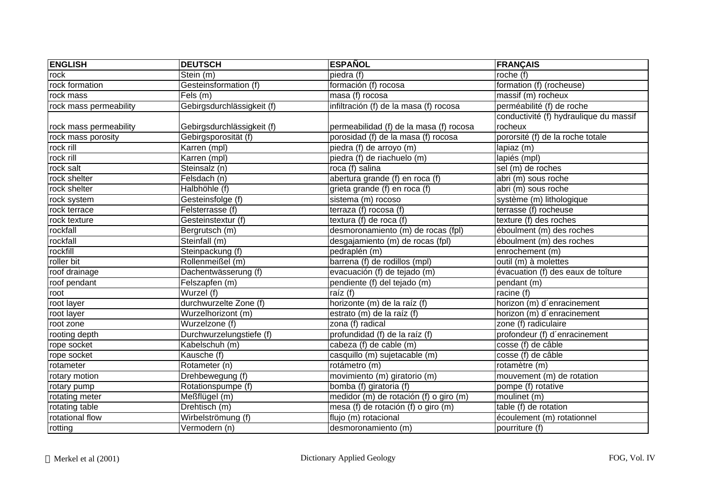| <b>ENGLISH</b>         | <b>DEUTSCH</b>             | <b>ESPAÑOL</b>                          | <b>FRANÇAIS</b>                        |
|------------------------|----------------------------|-----------------------------------------|----------------------------------------|
| rock                   | Stein (m)                  | piedra (f)                              | roche (f)                              |
| rock formation         | Gesteinsformation (f)      | formación (f) rocosa                    | formation (f) (rocheuse)               |
| rock mass              | Fels (m)                   | masa (f) rocosa                         | massif (m) rocheux                     |
| rock mass permeability | Gebirgsdurchlässigkeit (f) | infiltración (f) de la masa (f) rocosa  | perméabilité (f) de roche              |
|                        |                            |                                         | conductivité (f) hydraulique du massif |
| rock mass permeability | Gebirgsdurchlässigkeit (f) | permeabilidad (f) de la masa (f) rocosa | rocheux                                |
| rock mass porosity     | Gebirgsporosität (f)       | porosidad (f) de la masa (f) rocosa     | pororsité (f) de la roche totale       |
| rock rill              | Karren (mpl)               | piedra (f) de arroyo (m)                | lapiaz (m)                             |
| rock rill              | Karren (mpl)               | piedra (f) de riachuelo (m)             | lapiés (mpl)                           |
| rock salt              | Steinsalz (n)              | $roca$ (f) salina                       | sel (m) de roches                      |
| rock shelter           | Felsdach (n)               | abertura grande (f) en roca (f)         | abri (m) sous roche                    |
| rock shelter           | Halbhöhle (f)              | grieta grande (f) en roca (f)           | abri (m) sous roche                    |
| rock system            | Gesteinsfolge (f)          | sistema (m) rocoso                      | système (m) lithologique               |
| rock terrace           | Felsterrasse (f)           | terraza (f) rocosa (f)                  | terrasse (f) rocheuse                  |
| rock texture           | Gesteinstextur (f)         | textura (f) de roca (f)                 | texture (f) des roches                 |
| rockfall               | Bergrutsch (m)             | desmoronamiento (m) de rocas (fpl)      | éboulment (m) des roches               |
| rockfall               | Steinfall (m)              | desgajamiento (m) de rocas (fpl)        | éboulment (m) des roches               |
| rockfill               | Steinpackung (f)           | pedraplén (m)                           | enrochement (m)                        |
| roller bit             | Rollenmeißel (m)           | barrena (f) de rodillos (mpl)           | outil (m) à molettes                   |
| roof drainage          | Dachentwässerung (f)       | evacuación (f) de tejado (m)            | évacuation (f) des eaux de toîture     |
| roof pendant           | Felszapfen (m)             | pendiente (f) del tejado (m)            | pendant (m)                            |
| root                   | Wurzel (f)                 | raíz (f)                                | racine $(f)$                           |
| root layer             | durchwurzelte Zone (f)     | horizonte (m) de la raíz (f)            | horizon (m) d'enracinement             |
| root layer             | Wurzelhorizont (m)         | estrato (m) de la raíz (f)              | horizon (m) d'enracinement             |
| root zone              | Wurzelzone (f)             | zona (f) radical                        | zone (f) radiculaire                   |
| rooting depth          | Durchwurzelungstiefe (f)   | profundidad (f) de la raíz (f)          | profondeur (f) d'enracinement          |
| rope socket            | Kabelschuh (m)             | cabeza (f) de cable (m)                 | cosse (f) de câble                     |
| rope socket            | Kausche (f)                | casquillo (m) sujetacable (m)           | cosse (f) de câble                     |
| rotameter              | Rotameter (n)              | rotámetro (m)                           | rotamètre (m)                          |
| rotary motion          | Drehbewegung (f)           | movimiento (m) giratorio (m)            | mouvement (m) de rotation              |
| rotary pump            | Rotationspumpe (f)         | bomba (f) giratoria (f)                 | pompe (f) rotative                     |
| rotating meter         | Meßflügel (m)              | medidor (m) de rotación (f) o giro (m)  | moulinet (m)                           |
| rotating table         | Drehtisch (m)              | mesa (f) de rotación (f) o giro (m)     | table (f) de rotation                  |
| rotational flow        | Wirbelströmung (f)         | flujo (m) rotacional                    | écoulement (m) rotationnel             |
| rotting                | Vermodern (n)              | desmoronamiento (m)                     | pourriture (f)                         |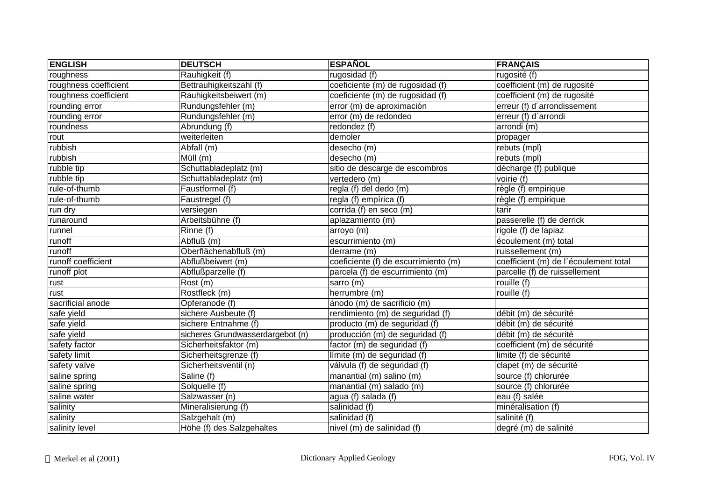| <b>ENGLISH</b>        | <b>DEUTSCH</b>                   | <b>ESPAÑOL</b>                       | <b>FRANÇAIS</b>                       |
|-----------------------|----------------------------------|--------------------------------------|---------------------------------------|
| roughness             | Rauhigkeit (f)                   | $\overline{rugosidad}$ (f)           | rugosité (f)                          |
| roughness coefficient | Bettrauhigkeitszahl (f)          | coeficiente (m) de rugosidad (f)     | coefficient (m) de rugosité           |
| roughness coefficient | Rauhigkeitsbeiwert (m)           | coeficiente (m) de rugosidad (f)     | coefficient (m) de rugosité           |
| rounding error        | Rundungsfehler (m)               | error (m) de aproximación            | erreur (f) d'arrondissement           |
| rounding error        | Rundungsfehler (m)               | error (m) de redondeo                | erreur (f) d'arrondi                  |
| roundness             | Abrundung (f)                    | redondez (f)                         | arrondi (m)                           |
| rout                  | weiterleiten                     | demoler                              | propager                              |
| rubbish               | Abfall (m)                       | desecho (m)                          | rebuts (mpl)                          |
| rubbish               | $\overline{Müll(m)}$             | desecho (m)                          | rebuts (mpl)                          |
| rubble tip            | Schuttabladeplatz (m)            | sitio de descarge de escombros       | décharge (f) publique                 |
| rubble tip            | Schuttabladeplatz (m)            | vertedero (m)                        | voirie (f)                            |
| rule-of-thumb         | Faustformel (f)                  | regla (f) del dedo (m)               | $r$ ègle (f) empirique                |
| rule-of-thumb         | Faustregel (f)                   | regla (f) empírica (f)               | règle (f) empirique                   |
| run dry               | versiegen                        | corrida (f) en seco (m)              | tarir                                 |
| runaround             | Arbeitsbühne (f)                 | aplazamiento (m)                     | passerelle (f) de derrick             |
| runnel                | $R$ inne $(f)$                   | arroyo (m)                           | rigole (f) de lapiaz                  |
| runoff                | Abfluß (m)                       | escurrimiento (m)                    | écoulement (m) total                  |
| runoff                | Oberflächenabfluß (m)            | derrame (m)                          | ruissellement (m)                     |
| runoff coefficient    | Abflußbeiwert (m)                | coeficiente (f) de escurrimiento (m) | coefficient (m) de l'écoulement total |
| runoff plot           | Abflußparzelle (f)               | parcela (f) de escurrimiento (m)     | parcelle (f) de ruissellement         |
| rust                  | Rost (m)                         | sarro (m)                            | rouille $(f)$                         |
| rust                  | Rostfleck (m)                    | herrumbre (m)                        | rouille (f)                           |
| sacrificial anode     | Opferanode (f)                   | ánodo (m) de sacrificio (m)          |                                       |
| safe yield            | sichere Ausbeute (f)             | rendimiento (m) de seguridad (f)     | débit (m) de sécurité                 |
| safe yield            | sichere Entnahme (f)             | producto (m) de seguridad (f)        | débit (m) de sécurité                 |
| safe yield            | sicheres Grundwasserdargebot (n) | producción (m) de seguridad (f)      | débit (m) de sécurité                 |
| safety factor         | Sicherheitsfaktor (m)            | factor (m) de seguridad (f)          | coefficient (m) de sécurité           |
| safety limit          | Sicherheitsgrenze (f)            | límite (m) de seguridad (f)          | limite (f) de sécurité                |
| safety valve          | Sicherheitsventil (n)            | válvula (f) de seguridad (f)         | clapet (m) de sécurité                |
| saline spring         | Saline (f)                       | manantial (m) salino (m)             | source (f) chlorurée                  |
| saline spring         | Solquelle (f)                    | manantial (m) salado (m)             | source (f) chlorurée                  |
| saline water          | Salzwasser (n)                   | agua (f) salada (f)                  | eau (f) salée                         |
| salinity              | Mineralisierung (f)              | salinidad (f)                        | minéralisation (f)                    |
| salinity              | Salzgehalt (m)                   | salinidad (f)                        | salinité (f)                          |
| salinity level        | Höhe (f) des Salzgehaltes        | nivel (m) de salinidad (f)           | degré (m) de salinité                 |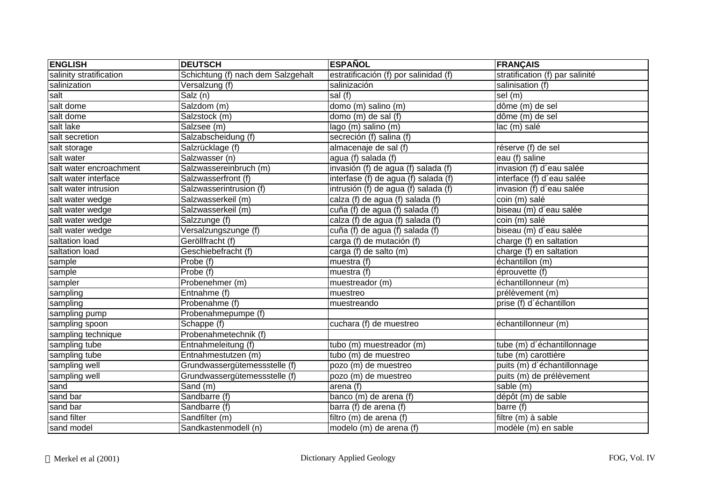| <b>ENGLISH</b>          | <b>DEUTSCH</b>                     | <b>ESPAÑOL</b>                        | <b>FRANÇAIS</b>                 |
|-------------------------|------------------------------------|---------------------------------------|---------------------------------|
| salinity stratification | Schichtung (f) nach dem Salzgehalt | estratificación (f) por salinidad (f) | stratification (f) par salinité |
| salinization            | Versalzung (f)                     | salinización                          | salinisation (f)                |
| salt                    | Salz (n)                           | sal (f)                               | sel (m)                         |
| salt dome               | Salzdom (m)                        | domo (m) salino (m)                   | dôme (m) de sel                 |
| salt dome               | Salzstock (m)                      | domo (m) de sal (f)                   | dôme (m) de sel                 |
| salt lake               | Salzsee (m)                        | lago (m) salino (m)                   | lac (m) salé                    |
| salt secretion          | Salzabscheidung (f)                | secreción (f) salina (f)              |                                 |
| salt storage            | Salzrücklage (f)                   | almacenaje de sal (f)                 | réserve (f) de sel              |
| salt water              | Salzwasser (n)                     | agua (f) salada $(f)$                 | eau (f) saline                  |
| salt water encroachment | Salzwassereinbruch (m)             | invasión (f) de agua (f) salada (f)   | invasion (f) d'eau salée        |
| salt water interface    | Salzwasserfront (f)                | interfase (f) de agua (f) salada (f)  | interface (f) d'eau salée       |
| salt water intrusion    | Salzwasserintrusion (f)            | intrusión (f) de agua (f) salada (f)  | invasion (f) d'eau salée        |
| salt water wedge        | Salzwasserkeil (m)                 | calza (f) de agua (f) salada (f)      | coin (m) salé                   |
| salt water wedge        | Salzwasserkeil (m)                 | cuña (f) de agua (f) salada (f)       | biseau (m) d'eau salée          |
| salt water wedge        | Salzzunge (f)                      | calza (f) de agua (f) salada (f)      | coin (m) salé                   |
| salt water wedge        | Versalzungszunge (f)               | cuña (f) de agua (f) salada (f)       | biseau (m) d'eau salée          |
| saltation load          | Geröllfracht (f)                   | carga (f) de mutación (f)             | charge (f) en saltation         |
| saltation load          | Geschiebefracht (f)                | carga (f) de salto (m)                | charge (f) en saltation         |
| sample                  | Probe(f)                           | muestra (f)                           | échantillon (m)                 |
| sample                  | Probe (f)                          | muestra $(\overline{f})$              | éprouvette (f)                  |
| sampler                 | Probenehmer (m)                    | muestreador (m)                       | échantillonneur (m)             |
| sampling                | Entnahme (f)                       | muestreo                              | prélèvement (m)                 |
| sampling                | Probenahme (f)                     | muestreando                           | prise (f) d'échantillon         |
| sampling pump           | Probenahmepumpe (f)                |                                       |                                 |
| sampling spoon          | Schappe (f)                        | cuchara (f) de muestreo               | échantillonneur (m)             |
| sampling technique      | Probenahmetechnik (f)              |                                       |                                 |
| sampling tube           | Entnahmeleitung (f)                | tubo (m) muestreador (m)              | tube (m) d'échantillonnage      |
| sampling tube           | Entnahmestutzen (m)                | tubo (m) de muestreo                  | tube (m) carottière             |
| sampling well           | Grundwassergütemessstelle (f)      | pozo (m) de muestreo                  | puits (m) d'échantillonnage     |
| sampling well           | Grundwassergütemessstelle (f)      | pozo (m) de muestreo                  | puits (m) de prélèvement        |
| sand                    | Sand (m)                           | arena (f)                             | sable (m)                       |
| sand bar                | Sandbarre (f)                      | banco (m) de arena (f)                | dépôt (m) de sable              |
| sand bar                | Sandbarre (f)                      | barra (f) de arena (f)                | barre (f)                       |
| sand filter             | Sandfilter (m)                     | filtro $(m)$ de arena (f)             | filtre (m) à sable              |
| sand model              | Sandkastenmodell (n)               | modelo (m) de arena (f)               | modèle (m) en sable             |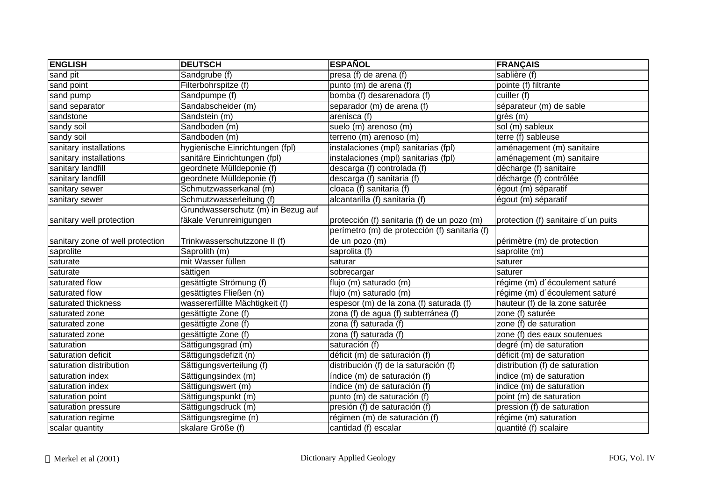| <b>ENGLISH</b>                   | <b>DEUTSCH</b>                     | <b>ESPAÑOL</b>                                | <b>FRANÇAIS</b>                     |
|----------------------------------|------------------------------------|-----------------------------------------------|-------------------------------------|
| sand pit                         | Sandgrube (f)                      | presa (f) de arena (f)                        | sablière (f)                        |
| sand point                       | Filterbohrspitze (f)               | punto (m) de arena (f)                        | pointe (f) filtrante                |
| sand pump                        | Sandpumpe (f)                      | bomba (f) desarenadora (f)                    | cuiller (f)                         |
| sand separator                   | Sandabscheider (m)                 | separador (m) de arena (f)                    | séparateur (m) de sable             |
| sandstone                        | Sandstein (m)                      | arenisca (f)                                  | grès (m)                            |
| sandy soil                       | Sandboden (m)                      | suelo (m) arenoso (m)                         | sol (m) sableux                     |
| sandy soil                       | Sandboden (m)                      | terreno (m) arenoso (m)                       | terre (f) sableuse                  |
| sanitary installations           | hygienische Einrichtungen (fpl)    | instalaciones (mpl) sanitarias (fpl)          | aménagement (m) sanitaire           |
| sanitary installations           | sanitäre Einrichtungen (fpl)       | instalaciones (mpl) sanitarias (fpl)          | aménagement (m) sanitaire           |
| sanitary landfill                | geordnete Mülldeponie (f)          | descarga (f) controlada (f)                   | décharge (f) sanitaire              |
| sanitary landfill                | geordnete Mülldeponie (f)          | descarga (f) sanitaria (f)                    | décharge (f) contrôlée              |
| sanitary sewer                   | Schmutzwasserkanal (m)             | cloaca (f) sanitaria (f)                      | égout (m) séparatif                 |
| sanitary sewer                   | Schmutzwasserleitung (f)           | alcantarilla (f) sanitaria (f)                | égout (m) séparatif                 |
|                                  | Grundwasserschutz (m) in Bezug auf |                                               |                                     |
| sanitary well protection         | fäkale Verunreinigungen            | protección (f) sanitaria (f) de un pozo (m)   | protection (f) sanitaire d'un puits |
|                                  |                                    | perímetro (m) de protección (f) sanitaria (f) |                                     |
| sanitary zone of well protection | Trinkwasserschutzzone II (f)       | de un pozo (m)                                | périmètre (m) de protection         |
| saprolite                        | Saprolith (m)                      | saprolita (f)                                 | saprolite (m)                       |
| saturate                         | mit Wasser füllen                  | saturar                                       | saturer                             |
| saturate                         | sättigen                           | sobrecargar                                   | saturer                             |
| saturated flow                   | gesättigte Strömung (f)            | flujo (m) saturado (m)                        | régime (m) d'écoulement saturé      |
| saturated flow                   | gesättigtes Fließen (n)            | flujo (m) saturado (m)                        | régime (m) d'écoulement saturé      |
| saturated thickness              | wassererfüllte Mächtigkeit (f)     | espesor (m) de la zona (f) saturada (f)       | hauteur (f) de la zone saturée      |
| saturated zone                   | gesättigte Zone (f)                | zona (f) de agua (f) subterránea (f)          | zone (f) saturée                    |
| saturated zone                   | gesättigte Zone (f)                | zona (f) saturada (f)                         | zone (f) de saturation              |
| saturated zone                   | gesättigte Zone (f)                | zona (f) saturada (f)                         | zone (f) des eaux soutenues         |
| saturation                       | Sättigungsgrad (m)                 | saturación (f)                                | degré (m) de saturation             |
| saturation deficit               | Sättigungsdefizit (n)              | déficit (m) de saturación (f)                 | déficit (m) de saturation           |
| saturation distribution          | Sättigungsverteilung (f)           | distribución (f) de la saturación (f)         | distribution (f) de saturation      |
| saturation index                 | Sättigungsindex (m)                | índice (m) de saturación (f)                  | indice (m) de saturation            |
| saturation index                 | Sättigungswert (m)                 | índice (m) de saturación (f)                  | indice (m) de saturation            |
| saturation point                 | Sättigungspunkt (m)                | punto (m) de saturación (f)                   | point (m) de saturation             |
| saturation pressure              | Sättigungsdruck (m)                | presión (f) de saturación (f)                 | pression (f) de saturation          |
| saturation regime                | Sättigungsregime (n)               | régimen (m) de saturación (f)                 | régime (m) saturation               |
| scalar quantity                  | skalare Größe (f)                  | cantidad (f) escalar                          | quantité (f) scalaire               |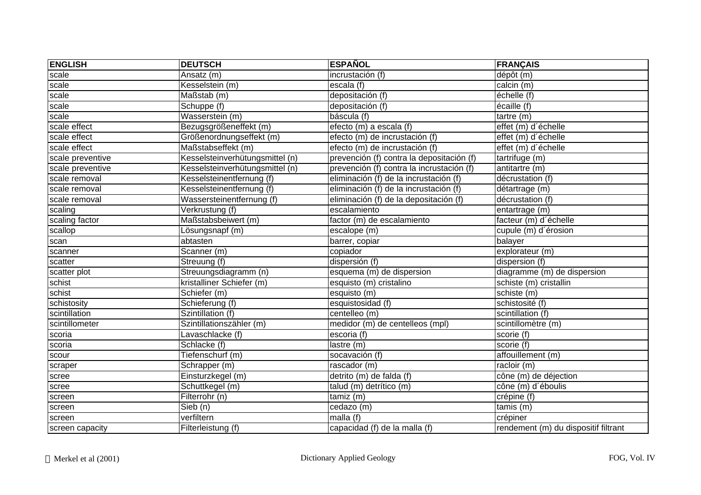| <b>ENGLISH</b>   | <b>DEUTSCH</b>                  | <b>ESPAÑOL</b>                            | <b>FRANÇAIS</b>                      |
|------------------|---------------------------------|-------------------------------------------|--------------------------------------|
| scale            | Ansatz (m)                      | incrustación (f)                          | dépôt (m)                            |
| scale            | Kesselstein (m)                 | escala (f)                                | $cal$ ; calcin $(m)$                 |
| scale            | Maßstab (m)                     | depositación (f)                          | échelle (f)                          |
| scale            | Schuppe (f)                     | depositación (f)                          | $\overline{6}$ caille (f)            |
| scale            | Wasserstein (m)                 | báscula (f)                               | tartre (m)                           |
| scale effect     | Bezugsgrößeneffekt (m)          | efecto (m) a escala (f)                   | effet (m) d'échelle                  |
| scale effect     | Größenordnungseffekt (m)        | efecto (m) de incrustación (f)            | effet (m) d'échelle                  |
| scale effect     | Maßstabseffekt (m)              | efecto (m) de incrustación (f)            | effet (m) d'échelle                  |
| scale preventive | Kesselsteinverhütungsmittel (n) | prevención (f) contra la depositación (f) | tartrifuge (m)                       |
| scale preventive | Kesselsteinverhütungsmittel (n) | prevención (f) contra la incrustación (f) | antitartre (m)                       |
| scale removal    | Kesselsteinentfernung (f)       | eliminación (f) de la incrustación (f)    | décrustation (f)                     |
| scale removal    | Kesselsteinentfernung (f)       | eliminación (f) de la incrustación (f)    | détartrage (m)                       |
| scale removal    | Wassersteinentfernung (f)       | eliminación (f) de la depositación (f)    | décrustation (f)                     |
| scaling          | Verkrustung (f)                 | escalamiento                              | entartrage (m)                       |
| scaling factor   | Maßstabsbeiwert (m)             | factor (m) de escalamiento                | facteur (m) d'échelle                |
| scallop          | Lösungsnapf (m)                 | escalope (m)                              | cupule (m) d'érosion                 |
| scan             | abtasten                        | barrer, copiar                            | balayer                              |
| scanner          | Scanner (m)                     | copiador                                  | explorateur (m)                      |
| scatter          | Streuung (f)                    | dispersión (f)                            | dispersion (f)                       |
| scatter plot     | Streuungsdiagramm (n)           | esquema (m) de dispersion                 | diagramme (m) de dispersion          |
| schist           | kristalliner Schiefer (m)       | esquisto (m) cristalino                   | schiste (m) cristallin               |
| schist           | Schiefer (m)                    | esquisto (m)                              | schiste (m)                          |
| schistosity      | Schieferung (f)                 | esquistosidad (f)                         | schistosité (f)                      |
| scintillation    | Szintillation (f)               | centelleo (m)                             | scintillation (f)                    |
| scintillometer   | Szintillationszähler (m)        | medidor (m) de centelleos (mpl)           | scintillomètre (m)                   |
| scoria           | Lavaschlacke (f)                | escoria (f)                               | scorie (f)                           |
| scoria           | Schlacke (f)                    | lastre (m)                                | scorie $(t)$                         |
| scour            | Tiefenschurf (m)                | socavación (f)                            | affouillement (m)                    |
| scraper          | Schrapper (m)                   | rascador (m)                              | racloir (m)                          |
| scree            | Einsturzkegel (m)               | detrito (m) de falda (f)                  | cône (m) de déjection                |
| scree            | Schuttkegel (m)                 | talud (m) detrítico (m)                   | cône (m) d'éboulis                   |
| screen           | Filterrohr (n)                  | $tamiz$ (m)                               | crépine (f)                          |
| screen           | Sieb (n)                        | cedazo (m)                                | $t$ amis $(m)$                       |
| screen           | verfiltern                      | malla (f)                                 | crépiner                             |
| screen capacity  | Filterleistung (f)              | capacidad (f) de la malla (f)             | rendement (m) du dispositif filtrant |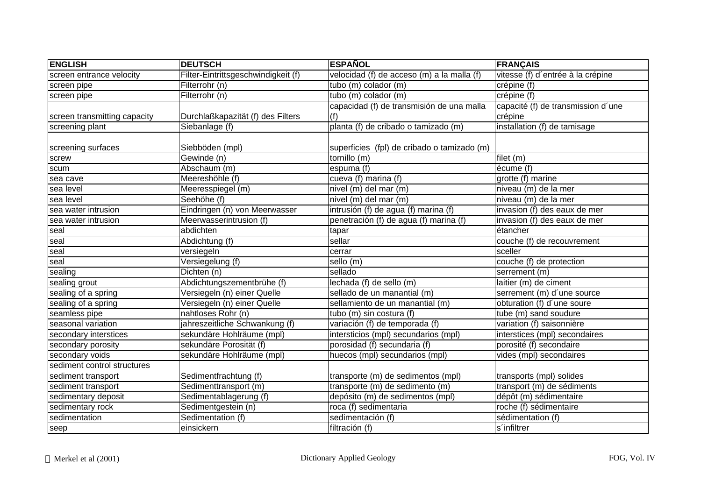| <b>ENGLISH</b>               | <b>DEUTSCH</b>                      | <b>ESPAÑOL</b>                              | <b>FRANÇAIS</b>                    |
|------------------------------|-------------------------------------|---------------------------------------------|------------------------------------|
| screen entrance velocity     | Filter-Eintrittsgeschwindigkeit (f) | velocidad (f) de acceso (m) a la malla (f)  | vitesse (f) d'entrée à la crépine  |
| screen pipe                  | Filterrohr (n)                      | tubo (m) colador (m)                        | crépine (f)                        |
| screen pipe                  | Filterrohr (n)                      | tubo (m) colador (m)                        | crépine (f)                        |
|                              |                                     | capacidad (f) de transmisión de una malla   | capacité (f) de transmission d'une |
| screen transmitting capacity | Durchlaßkapazität (f) des Filters   | (f)                                         | crépine                            |
| screening plant              | Siebanlage (f)                      | planta (f) de cribado o tamizado (m)        | installation (f) de tamisage       |
|                              |                                     |                                             |                                    |
| screening surfaces           | Siebböden (mpl)                     | superficies (fpl) de cribado o tamizado (m) |                                    |
| screw                        | Gewinde (n)                         | tornillo (m)                                | filet (m)                          |
| scum                         | Abschaum (m)                        | espuma (f)                                  | écume (f)                          |
| sea cave                     | Meereshöhle (f)                     | cueva (f) marina (f)                        | grotte (f) marine                  |
| sea level                    | Meeresspiegel (m)                   | nivel (m) del mar (m)                       | niveau (m) de la mer               |
| sea level                    | Seehöhe (f)                         | nivel (m) del mar (m)                       | niveau (m) de la mer               |
| sea water intrusion          | Eindringen (n) von Meerwasser       | intrusión (f) de agua (f) marina (f)        | invasion (f) des eaux de mer       |
| sea water intrusion          | Meerwasserintrusion (f)             | penetración (f) de agua (f) marina (f)      | invasion (f) des eaux de mer       |
| seal                         | abdichten                           | tapar                                       | étancher                           |
| seal                         | Abdichtung (f)                      | sellar                                      | couche (f) de recouvrement         |
| seal                         | versiegeln                          | cerrar                                      | sceller                            |
| seal                         | Versiegelung (f)                    | sello (m)                                   | couche (f) de protection           |
| sealing                      | Dichten (n)                         | sellado                                     | serrement (m)                      |
| sealing grout                | Abdichtungszementbrühe (f)          | lechada (f) de sello (m)                    | laitier (m) de ciment              |
| sealing of a spring          | Versiegeln (n) einer Quelle         | sellado de un manantial (m)                 | serrement (m) d'une source         |
| sealing of a spring          | Versiegeln (n) einer Quelle         | sellamiento de un manantial (m)             | obturation (f) d'une soure         |
| seamless pipe                | nahtloses Rohr (n)                  | tubo (m) sin costura (f)                    | tube (m) sand soudure              |
| seasonal variation           | jahreszeitliche Schwankung (f)      | variación (f) de temporada (f)              | variation (f) saisonnière          |
| secondary interstices        | sekundäre Hohlräume (mpl)           | intersticios (mpl) secundarios (mpl)        | interstices (mpl) secondaires      |
| secondary porosity           | sekundäre Porosität (f)             | porosidad (f) secundaria (f)                | porosité (f) secondaire            |
| secondary voids              | sekundäre Hohlräume (mpl)           | huecos (mpl) secundarios (mpl)              | vides (mpl) secondaires            |
| sediment control structures  |                                     |                                             |                                    |
| sediment transport           | Sedimentfrachtung (f)               | transporte (m) de sedimentos (mpl)          | transports (mpl) solides           |
| sediment transport           | Sedimenttransport (m)               | transporte (m) de sedimento (m)             | transport (m) de sédiments         |
| sedimentary deposit          | Sedimentablagerung (f)              | depósito (m) de sedimentos (mpl)            | dépôt (m) sédimentaire             |
| sedimentary rock             | Sedimentgestein (n)                 | roca (f) sedimentaria                       | roche (f) sédimentaire             |
| sedimentation                | Sedimentation (f)                   | sedimentación (f)                           | sédimentation (f)                  |
| seep                         | einsickern                          | filtración (f)                              | s'infiltrer                        |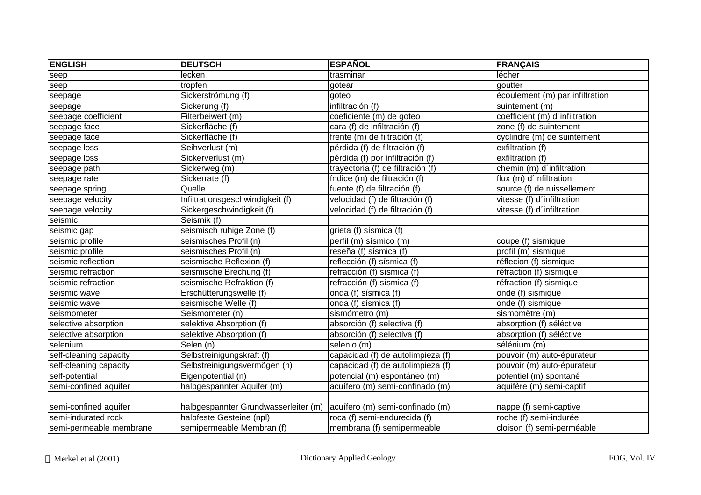| <b>ENGLISH</b>          | <b>DEUTSCH</b>                       | <b>ESPAÑOL</b>                    | <b>FRANÇAIS</b>                 |
|-------------------------|--------------------------------------|-----------------------------------|---------------------------------|
| seep                    | lecken                               | trasminar                         | lécher                          |
| seep                    | tropfen                              | gotear                            | goutter                         |
| seepage                 | Sickerströmung (f)                   | goteo                             | écoulement (m) par infiltration |
| seepage                 | Sickerung (f)                        | infiltración (f)                  | suintement (m)                  |
| seepage coefficient     | Filterbeiwert (m)                    | coeficiente (m) de goteo          | coefficient (m) d'infiltration  |
| seepage face            | Sickerfläche (f)                     | cara (f) de infiltración (f)      | zone (f) de suintement          |
| seepage face            | Sickerfläche (f)                     | frente (m) de filtración (f)      | cyclindre (m) de suintement     |
| seepage loss            | Seihverlust (m)                      | pérdida (f) de filtración (f)     | exfiltration (f)                |
| seepage loss            | Sickerverlust (m)                    | pérdida (f) por infiltración (f)  | exfiltration (f)                |
| seepage path            | Sickerweg (m)                        | trayectoria (f) de filtración (f) | chemin (m) d'infiltration       |
| seepage rate            | Sickerrate (f)                       | índice (m) de filtración (f)      | flux (m) d'infiltration         |
| seepage spring          | Quelle                               | fuente (f) de filtración (f)      | source (f) de ruissellement     |
| seepage velocity        | Infiltrationsgeschwindigkeit (f)     | velocidad (f) de filtración (f)   | vitesse (f) d'infiltration      |
| seepage velocity        | Sickergeschwindigkeit (f)            | velocidad (f) de filtración (f)   | vitesse (f) d'infiltration      |
| seismic                 | Seismik (f)                          |                                   |                                 |
| seismic gap             | seismisch ruhige Zone (f)            | grieta (f) sísmica (f)            |                                 |
| seismic profile         | seismisches Profil (n)               | perfil (m) sísmico (m)            | coupe (f) sismique              |
| seismic profile         | seismisches Profil (n)               | reseña (f) sísmica (f)            | profil (m) sismique             |
| seismic reflection      | seismische Reflexion (f)             | reflección (f) sísmica (f)        | réflecion (f) sismique          |
| seismic refraction      | seismische Brechung (f)              | refracción (f) sísmica (f)        | réfraction (f) sismique         |
| seismic refraction      | seismische Refraktion (f)            | refracción (f) sísmica (f)        | réfraction (f) sismique         |
| seismic wave            | Erschütterungswelle (f)              | onda (f) sísmica (f)              | onde (f) sismique               |
| seismic wave            | seismische Welle (f)                 | onda (f) sísmica (f)              | onde (f) sismique               |
| seismometer             | Seismometer (n)                      | sismómetro (m)                    | sismomètre (m)                  |
| selective absorption    | selektive Absorption (f)             | absorción (f) selectiva (f)       | absorption (f) séléctive        |
| selective absorption    | selektive Absorption (f)             | absorción (f) selectiva (f)       | absorption (f) séléctive        |
| selenium                | Selen (n)                            | selenio (m)                       | sélénium (m)                    |
| self-cleaning capacity  | Selbstreinigungskraft (f)            | capacidad (f) de autolimpieza (f) | pouvoir (m) auto-épurateur      |
| self-cleaning capacity  | Selbstreinigungsvermögen (n)         | capacidad (f) de autolimpieza (f) | pouvoir (m) auto-épurateur      |
| self-potential          | Eigenpotential (n)                   | potencial (m) espontáneo (m)      | potentiel (m) spontané          |
| semi-confined aquifer   | halbgespannter Aquifer (m)           | acuífero (m) semi-confinado (m)   | aquifère (m) semi-captif        |
|                         |                                      |                                   |                                 |
| semi-confined aquifer   | halbgespannter Grundwasserleiter (m) | acuífero (m) semi-confinado (m)   | nappe (f) semi-captive          |
| semi-indurated rock     | halbfeste Gesteine (npl)             | roca (f) semi-endurecida (f)      | roche (f) semi-indurée          |
| semi-permeable membrane | semipermeable Membran (f)            | membrana (f) semipermeable        | cloison (f) semi-perméable      |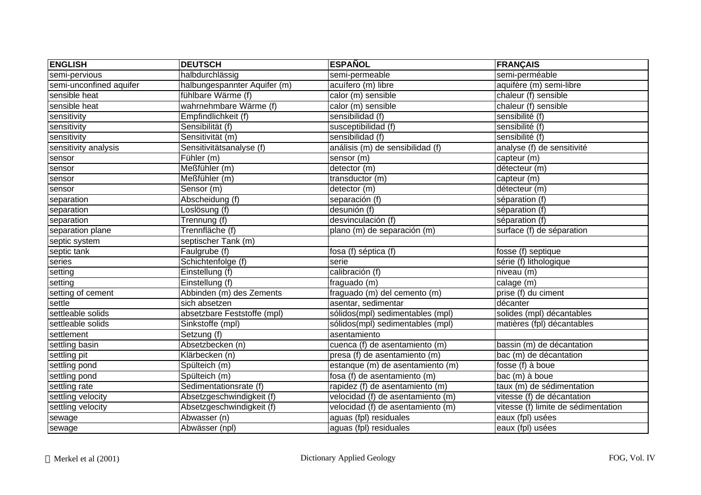| <b>ENGLISH</b>          | <b>DEUTSCH</b>                       | <b>ESPAÑOL</b>                    | <b>FRANÇAIS</b>                     |
|-------------------------|--------------------------------------|-----------------------------------|-------------------------------------|
| semi-pervious           | halbdurchlässig                      | semi-permeable                    | semi-perméable                      |
| semi-unconfined aquifer | halbungespannter Aquifer (m)         | acuífero (m) libre                | aquifère (m) semi-libre             |
| sensible heat           | fühlbare Wärme (f)                   | calor (m) sensible                | chaleur (f) sensible                |
| sensible heat           | wahrnehmbare Wärme (f)               | calor (m) sensible                | chaleur (f) sensible                |
| sensitivity             | Empfindlichkeit (f)                  | sensibilidad (f)                  | sensibilité (f)                     |
| sensitivity             | Sensibilität (f)                     | susceptibilidad (f)               | sensibilité (f)                     |
| sensitivity             | Sensitivität (m)                     | sensibilidad (f)                  | sensibilité (f)                     |
| sensitivity analysis    | Sensitivitätsanalyse (f)             | análisis (m) de sensibilidad (f)  | analyse (f) de sensitivité          |
| sensor                  | Fühler (m)                           | sensor (m)                        | capteur (m)                         |
| sensor                  | Meßfühler (m)                        | detector (m)                      | détecteur (m)                       |
| sensor                  | $\overline{\mathsf{Me}}$ ßfühler (m) | transductor (m)                   | capteur (m)                         |
| sensor                  | Sensor (m)                           | detector (m)                      | détecteur (m)                       |
| separation              | Abscheidung (f)                      | separación (f)                    | séparation (f)                      |
| separation              | $\overline{\text{L}}$ oslösung (f)   | desunión (f)                      | séparation (f)                      |
| separation              | Trennung (f)                         | desvinculación (f)                | séparation (f)                      |
| separation plane        | Trennfläche (f)                      | plano (m) de separación (m)       | surface (f) de séparation           |
| septic system           | septischer Tank (m)                  |                                   |                                     |
| septic tank             | Faulgrube (f)                        | fosa (f) séptica (f)              | fosse (f) septique                  |
| series                  | Schichtenfolge (f)                   | serie                             | série (f) lithologique              |
| setting                 | Einstellung (f)                      | calibración (f)                   | niveau (m)                          |
| setting                 | Einstellung (f)                      | fraguado (m)                      | calage (m)                          |
| setting of cement       | Abbinden (m) des Zements             | fraguado (m) del cemento (m)      | prise (f) du ciment                 |
| settle                  | sich absetzen                        | asentar, sedimentar               | décanter                            |
| settleable solids       | absetzbare Feststoffe (mpl)          | sólidos(mpl) sedimentables (mpl)  | solides (mpl) décantables           |
| settleable solids       | Sinkstoffe (mpl)                     | sólidos(mpl) sedimentables (mpl)  | matières (fpl) décantables          |
| settlement              | Setzung (f)                          | asentamiento                      |                                     |
| settling basin          | Absetzbecken (n)                     | cuenca (f) de asentamiento (m)    | bassin (m) de décantation           |
| settling pit            | Klärbecken (n)                       | presa (f) de asentamiento (m)     | bac (m) de décantation              |
| settling pond           | Spülteich (m)                        | estanque (m) de asentamiento (m)  | fosse (f) à boue                    |
| settling pond           | Spülteich (m)                        | fosa (f) de asentamiento (m)      | bac (m) à boue                      |
| settling rate           | Sedimentationsrate (f)               | rapidez (f) de asentamiento (m)   | taux (m) de sédimentation           |
| settling velocity       | Absetzgeschwindigkeit (f)            | velocidad (f) de asentamiento (m) | vitesse (f) de décantation          |
| settling velocity       | Absetzgeschwindigkeit (f)            | velocidad (f) de asentamiento (m) | vitesse (f) limite de sédimentation |
| sewage                  | Abwasser (n)                         | aguas (fpl) residuales            | eaux (fpl) usées                    |
| sewage                  | Abwässer (npl)                       | aguas (fpl) residuales            | eaux (fpl) usées                    |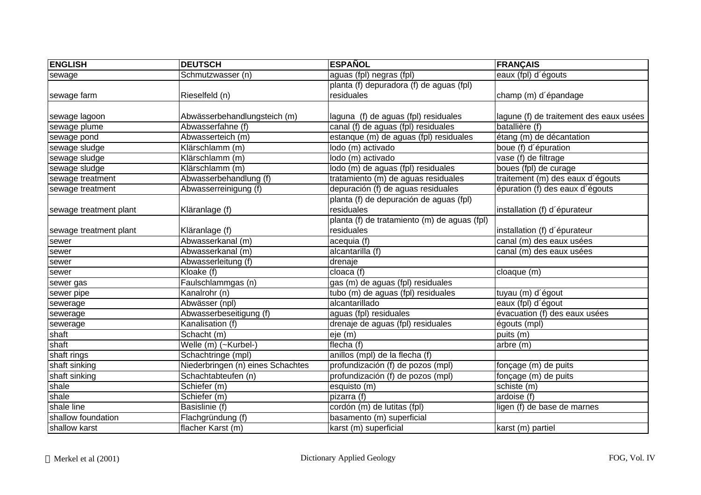| <b>ENGLISH</b>         | <b>DEUTSCH</b>                    | <b>ESPAÑOL</b>                               | <b>FRANÇAIS</b>                         |
|------------------------|-----------------------------------|----------------------------------------------|-----------------------------------------|
| sewage                 | Schmutzwasser (n)                 | aguas (fpl) negras (fpl)                     | eaux (fpl) d'égouts                     |
|                        |                                   | planta (f) depuradora (f) de aguas (fpl)     |                                         |
| sewage farm            | Rieselfeld (n)                    | residuales                                   | champ (m) d'épandage                    |
|                        |                                   |                                              |                                         |
| sewage lagoon          | Abwässerbehandlungsteich (m)      | laguna (f) de aguas (fpl) residuales         | lagune (f) de traitement des eaux usées |
| sewage plume           | Abwasserfahne (f)                 | canal (f) de aguas (fpl) residuales          | batallière (f)                          |
| sewage pond            | Abwasserteich (m)                 | estanque (m) de aguas (fpl) residuales       | étang (m) de décantation                |
| sewage sludge          | Klärschlamm (m)                   | lodo (m) activado                            | boue (f) d'épuration                    |
| sewage sludge          | Klärschlamm (m)                   | lodo (m) activado                            | vase (f) de filtrage                    |
| sewage sludge          | Klärschlamm (m)                   | lodo (m) de aguas (fpl) residuales           | boues (fpl) de curage                   |
| sewage treatment       | Abwasserbehandlung (f)            | tratamiento (m) de aguas residuales          | traitement (m) des eaux d'égouts        |
| sewage treatment       | Abwasserreinigung (f)             | depuración (f) de aguas residuales           | épuration (f) des eaux d'égouts         |
|                        |                                   | planta (f) de depuración de aguas (fpl)      |                                         |
| sewage treatment plant | Kläranlage (f)                    | residuales                                   | installation (f) d'épurateur            |
|                        |                                   | planta (f) de tratamiento (m) de aguas (fpl) |                                         |
| sewage treatment plant | Kläranlage (f)                    | residuales                                   | installation (f) d'épurateur            |
| sewer                  | Abwasserkanal (m)                 | acequia (f)                                  | canal (m) des eaux usées                |
| sewer                  | Abwasserkanal (m)                 | alcantarilla (f)                             | canal (m) des eaux usées                |
| sewer                  | Abwasserleitung (f)               | drenaje                                      |                                         |
| sewer                  | Kloake (f)                        | cloaca $\overline{(f)}$                      | cloaque (m)                             |
| sewer gas              | Faulschlammgas (n)                | gas (m) de aguas (fpl) residuales            |                                         |
| sewer pipe             | Kanalrohr (n)                     | tubo (m) de aguas (fpl) residuales           | tuyau (m) d'égout                       |
| sewerage               | Abwässer (npl)                    | alcantarillado                               | eaux (fpl) d'égout                      |
| sewerage               | Abwasserbeseitigung (f)           | aguas (fpl) residuales                       | évacuation (f) des eaux usées           |
| sewerage               | Kanalisation (f)                  | drenaje de aguas (fpl) residuales            | égouts (mpl)                            |
| shaft                  | Schacht (m)                       | eje (m)                                      | puits (m)                               |
| shaft                  | Welle (m) (~Kurbel-)              | flecha $(f)$                                 | arbre (m)                               |
| shaft rings            | Schachtringe (mpl)                | anillos (mpl) de la flecha (f)               |                                         |
| shaft sinking          | Niederbringen (n) eines Schachtes | profundización (f) de pozos (mpl)            | fonçage (m) de puits                    |
| shaft sinking          | Schachtabteufen (n)               | profundización (f) de pozos (mpl)            | fonçage (m) de puits                    |
| shale                  | Schiefer (m)                      | esquisto (m)                                 | schiste (m)                             |
| shale                  | Schiefer (m)                      | pizarra (f)                                  | ardoise (f)                             |
| shale line             | Basislinie (f)                    | cordón (m) de lutitas (fpl)                  | ligen (f) de base de marnes             |
| shallow foundation     | Flachgründung (f)                 | basamento (m) superficial                    |                                         |
| shallow karst          | flacher Karst (m)                 | karst (m) superficial                        | karst (m) partiel                       |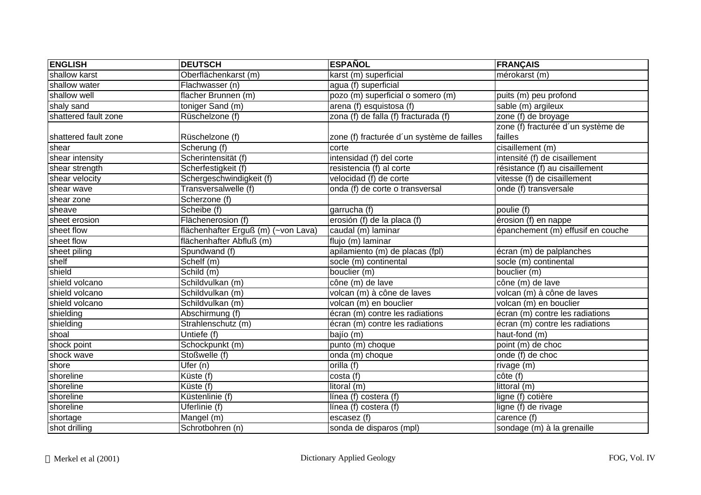| <b>ENGLISH</b>       | <b>DEUTSCH</b>                      | <b>ESPAÑOL</b>                             | FRANÇAIS                           |
|----------------------|-------------------------------------|--------------------------------------------|------------------------------------|
| shallow karst        | Oberflächenkarst (m)                | karst (m) superficial                      | mérokarst (m)                      |
| shallow water        | Flachwasser (n)                     | agua (f) superficial                       |                                    |
| shallow well         | flacher Brunnen (m)                 | pozo (m) superficial o somero (m)          | puits (m) peu profond              |
| shaly sand           | toniger Sand (m)                    | arena (f) esquistosa (f)                   | sable (m) argileux                 |
| shattered fault zone | Rüschelzone (f)                     | zona (f) de falla (f) fracturada (f)       | zone (f) de broyage                |
|                      |                                     |                                            | zone (f) fracturée d'un système de |
| shattered fault zone | Rüschelzone (f)                     | zone (f) fracturée d'un système de failles | failles                            |
| shear                | Scherung (f)                        | corte                                      | cisaillement (m)                   |
| shear intensity      | Scherintensität (f)                 | intensidad (f) del corte                   | intensité (f) de cisaillement      |
| shear strength       | Scherfestigkeit (f)                 | resistencia (f) al corte                   | résistance (f) au cisaillement     |
| shear velocity       | Schergeschwindigkeit (f)            | velocidad (f) de corte                     | vitesse (f) de cisaillement        |
| shear wave           | Transversalwelle (f)                | onda (f) de corte o transversal            | onde (f) transversale              |
| shear zone           | Scherzone (f)                       |                                            |                                    |
| sheave               | Scheibe (f)                         | garrucha (f)                               | poulie (f)                         |
| sheet erosion        | Flächenerosion (f)                  | erosión (f) de la placa (f)                | érosion (f) en nappe               |
| sheet flow           | flächenhafter Erguß (m) (~von Lava) | caudal (m) laminar                         | épanchement (m) effusif en couche  |
| sheet flow           | flächenhafter Abfluß (m)            | flujo (m) laminar                          |                                    |
| sheet piling         | Spundwand (f)                       | apilamiento (m) de placas (fpl)            | écran (m) de palplanches           |
| shelf                | Schelf (m)                          | socle (m) continental                      | socle (m) continental              |
| shield               | Schild (m)                          | bouclier (m)                               | bouclier (m)                       |
| shield volcano       | Schildvulkan (m)                    | cône (m) de lave                           | cône (m) de lave                   |
| shield volcano       | Schildvulkan (m)                    | volcan (m) à cône de laves                 | volcan (m) à cône de laves         |
| shield volcano       | Schildvulkan (m)                    | volcan (m) en bouclier                     | volcan (m) en bouclier             |
| shielding            | Abschirmung (f)                     | écran (m) contre les radiations            | écran (m) contre les radiations    |
| shielding            | Strahlenschutz (m)                  | écran (m) contre les radiations            | écran (m) contre les radiations    |
| shoal                | Untiefe (f)                         | bajío (m)                                  | haut-fond (m)                      |
| shock point          | Schockpunkt (m)                     | punto (m) choque                           | point (m) de choc                  |
| shock wave           | Stoßwelle (f)                       | onda (m) choque                            | onde (f) de choc                   |
| shore                | Ufer (n)                            | orilla (f)                                 | rivage (m)                         |
| shoreline            | $\overline{\text{Küste}}$ (f)       | costa (f)                                  | cote(f)                            |
| shoreline            | $\overline{\text{Küste}}$ (f)       | litoral (m)                                | littoral (m)                       |
| shoreline            | Küstenlinie (f)                     | línea (f) costera (f)                      | ligne (f) cotière                  |
| shoreline            | Uferlinie (f)                       | línea (f) costera (f)                      | ligne (f) de rivage                |
| shortage             | Mangel (m)                          | escasez $(\overline{f})$                   | carence $(f)$                      |
| shot drilling        | Schrotbohren (n)                    | sonda de disparos (mpl)                    | sondage (m) à la grenaille         |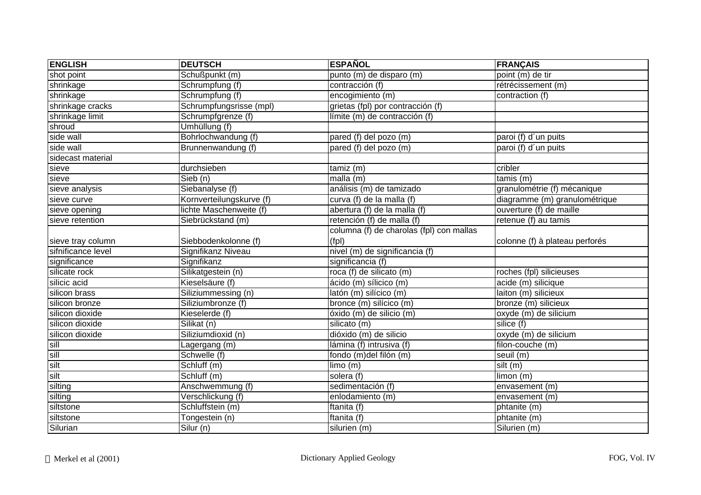| <b>ENGLISH</b>     | <b>DEUTSCH</b>           | <b>ESPAÑOL</b>                           | FRANÇAIS                       |
|--------------------|--------------------------|------------------------------------------|--------------------------------|
| shot point         | Schußpunkt (m)           | punto (m) de disparo (m)                 | point (m) de tir               |
| shrinkage          | Schrumpfung (f)          | contracción (f)                          | rétrécissement (m)             |
| shrinkage          | Schrumpfung (f)          | encogimiento (m)                         | contraction (f)                |
| shrinkage cracks   | Schrumpfungsrisse (mpl)  | grietas (fpl) por contracción (f)        |                                |
| shrinkage limit    | Schrumpfgrenze (f)       | límite (m) de contracción (f)            |                                |
| shroud             | Umhüllung (f)            |                                          |                                |
| side wall          | Bohrlochwandung (f)      | pared (f) del pozo (m)                   | paroi (f) d'un puits           |
| side wall          | Brunnenwandung (f)       | pared (f) del pozo (m)                   | paroi (f) d'un puits           |
| sidecast material  |                          |                                          |                                |
| sieve              | durchsieben              | tamiz (m)                                | cribler                        |
| sieve              | Sieb (n)                 | malla (m)                                | $t$ amis $(m)$                 |
| sieve analysis     | Siebanalyse (f)          | análisis (m) de tamizado                 | granulométrie (f) mécanique    |
| sieve curve        | Kornverteilungskurve (f) | curva (f) de la malla (f)                | diagramme (m) granulométrique  |
| sieve opening      | lichte Maschenweite (f)  | abertura (f) de la malla (f)             | ouverture (f) de maille        |
| sieve retention    | Siebrückstand (m)        | retención (f) de malla (f)               | retenue (f) au tamis           |
|                    |                          | columna (f) de charolas (fpl) con mallas |                                |
| sieve tray column  | Siebbodenkolonne (f)     | (fp)                                     | colonne (f) à plateau perforés |
| sifnificance level | Signifikanz Niveau       | nivel (m) de significancia (f)           |                                |
| significance       | Signifikanz              | significancia (f)                        |                                |
| silicate rock      | Silikatgestein (n)       | roca (f) de silicato (m)                 | roches (fpl) silicieuses       |
| silicic acid       | Kieselsäure (f)          | ácido (m) sílicico (m)                   | acide (m) silicique            |
| silicon brass      | Siliziummessing (n)      | latón (m) silícico (m)                   | laiton (m) silicieux           |
| silicon bronze     | Siliziumbronze (f)       | bronce (m) silícico (m)                  | bronze (m) silicieux           |
| silicon dioxide    | Kieselerde (f)           | óxido (m) de silicio (m)                 | oxyde (m) de silicium          |
| silicon dioxide    | Silikat (n)              | silicato (m)                             | silice (f)                     |
| silicon dioxide    | Siliziumdioxid (n)       | dióxido (m) de silicio                   | oxyde (m) de silicium          |
| sill               | Lagergang (m)            | lámina (f) intrusiva (f)                 | filon-couche (m)               |
| sill               | Schwelle (f)             | fondo (m)del filón (m)                   | seuil (m)                      |
| silt               | Schluff (m)              | limo(m)                                  | silt(m)                        |
| silt               | Schluff (m)              | solera (f)                               | limon (m)                      |
| silting            | Anschwemmung (f)         | sedimentación (f)                        | envasement (m)                 |
| silting            | Verschlickung (f)        | enlodamiento (m)                         | envasement (m)                 |
| siltstone          | Schluffstein (m)         | ftanita (f)                              | phtanite (m)                   |
| siltstone          | Tongestein (n)           | ftanita (f)                              | phtanite (m)                   |
| Silurian           | Silur (n)                | silurien (m)                             | Silurien (m)                   |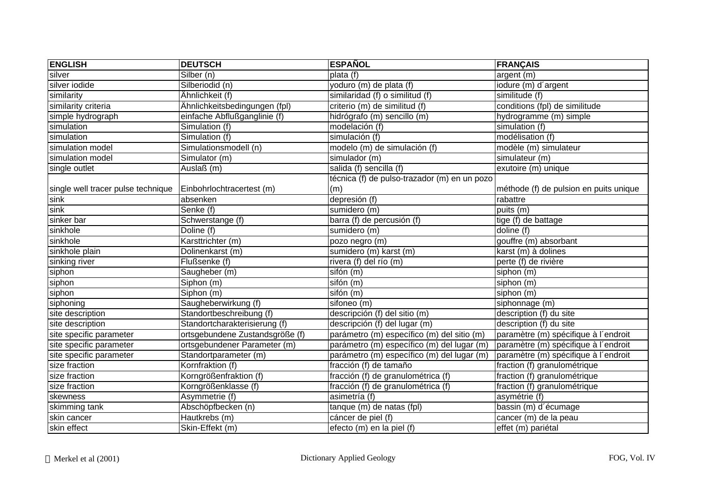| <b>ENGLISH</b>                     | <b>DEUTSCH</b>                  | <b>ESPAÑOL</b>                               | <b>FRANÇAIS</b>                        |
|------------------------------------|---------------------------------|----------------------------------------------|----------------------------------------|
| silver                             | Silber (n)                      | plata (f)                                    | argent (m)                             |
| silver iodide                      | Silberiodid (n)                 | yoduro (m) de plata (f)                      | iodure (m) d'argent                    |
| similarity                         | Ähnlichkeit (f)                 | similaridad (f) o similitud (f)              | similitude (f)                         |
| similarity criteria                | Ähnlichkeitsbedingungen (fpl)   | criterio (m) de similitud (f)                | conditions (fpl) de similitude         |
| simple hydrograph                  | einfache Abflußganglinie (f)    | hidrógrafo (m) sencillo (m)                  | hydrogramme (m) simple                 |
| simulation                         | Simulation (f)                  | modelación (f)                               | simulation (f)                         |
| simulation                         | Simulation (f)                  | simulación (f)                               | modélisation (f)                       |
| simulation model                   | Simulationsmodell (n)           | modelo (m) de simulación (f)                 | modèle (m) simulateur                  |
| simulation model                   | Simulator (m)                   | simulador (m)                                | simulateur (m)                         |
| single outlet                      | Auslaß (m)                      | salida (f) sencilla (f)                      | exutoire (m) unique                    |
|                                    |                                 | técnica (f) de pulso-trazador (m) en un pozo |                                        |
| single well tracer pulse technique | Einbohrlochtracertest (m)       | (m)                                          | méthode (f) de pulsion en puits unique |
| sink                               | absenken                        | depresión (f)                                | rabattre                               |
| sink                               | Senke (f)                       | sumidero (m)                                 | puits (m)                              |
| sinker bar                         | Schwerstange (f)                | barra (f) de percusión (f)                   | tige (f) de battage                    |
| sinkhole                           | Doline (f)                      | sumidero (m)                                 | doline (f)                             |
| sinkhole                           | Karsttrichter (m)               | pozo negro (m)                               | gouffre (m) absorbant                  |
| sinkhole plain                     | Dolinenkarst (m)                | sumidero (m) karst (m)                       | karst (m) à dolines                    |
| sinking river                      | Flußsenke (f)                   | rivera (f) del río (m)                       | perte (f) de rivière                   |
| siphon                             | Saugheber (m)                   | sifón (m)                                    | siphon (m)                             |
| siphon                             | Siphon (m)                      | sifón (m)                                    | siphon (m)                             |
| siphon                             | Siphon (m)                      | sifón (m)                                    | siphon (m)                             |
| siphoning                          | Saugheberwirkung (f)            | sifoneo (m)                                  | siphonnage (m)                         |
| site description                   | Standortbeschreibung (f)        | descripción (f) del sitio (m)                | description (f) du site                |
| site description                   | Standortcharakterisierung (f)   | descripción (f) del lugar (m)                | description (f) du site                |
| site specific parameter            | ortsgebundene Zustandsgröße (f) | parámetro (m) específico (m) del sitio (m)   | paramètre (m) spécifique à l'endroit   |
| site specific parameter            | ortsgebundener Parameter (m)    | parámetro (m) específico (m) del lugar (m)   | paramètre (m) spécifique à l'endroit   |
| site specific parameter            | Standortparameter (m)           | parámetro (m) específico (m) del lugar (m)   | paramètre (m) spécifique à l'endroit   |
| size fraction                      | Kornfraktion (f)                | fracción (f) de tamaño                       | fraction (f) granulométrique           |
| size fraction                      | Korngrößenfraktion (f)          | fracción (f) de granulométrica (f)           | fraction (f) granulométrique           |
| size fraction                      | Korngrößenklasse (f)            | fracción (f) de granulométrica (f)           | fraction (f) granulométrique           |
| skewness                           | Asymmetrie (f)                  | asimetría (f)                                | asymétrie (f)                          |
| skimming tank                      | Abschöpfbecken (n)              | tanque (m) de natas (fpl)                    | bassin (m) d'écumage                   |
| skin cancer                        | Hautkrebs (m)                   | cáncer de piel (f)                           | cancer (m) de la peau                  |
| skin effect                        | Skin-Effekt (m)                 | efecto (m) en la piel (f)                    | effet (m) pariétal                     |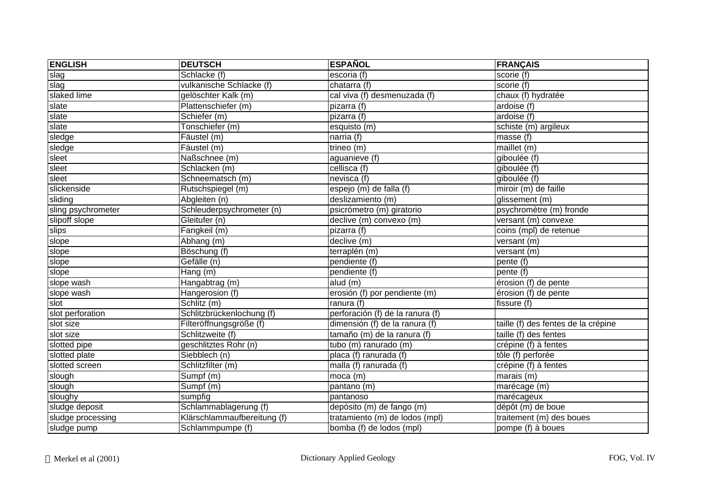| <b>ENGLISH</b>     | <b>DEUTSCH</b>              | <b>ESPAÑOL</b>                   | <b>FRANÇAIS</b>                     |
|--------------------|-----------------------------|----------------------------------|-------------------------------------|
| slag               | Schlacke (f)                | escoria (f)                      | scorie (f)                          |
| slag               | vulkanische Schlacke (f)    | chatarra (f)                     | scorie (f)                          |
| slaked lime        | gelöschter Kalk (m)         | cal viva (f) desmenuzada (f)     | chaux (f) hydratée                  |
| slate              | Plattenschiefer (m)         | pizarra (f)                      | ardoise (f)                         |
| slate              | Schiefer (m)                | pizarra (f)                      | ardoise (f)                         |
| slate              | Tonschiefer (m)             | esquisto (m)                     | schiste (m) argileux                |
| sledge             | Fäustel (m)                 | narria (f)                       | masse (f)                           |
| sledge             | Fäustel (m)                 | trineo (m)                       | maillet (m)                         |
| sleet              | Naßschnee (m)               | aguanieve (f)                    | giboulée (f)                        |
| sleet              | Schlacken (m)               | cellisca (f)                     | giboulée (f)                        |
| sleet              | Schneematsch (m)            | nevisca (f)                      | giboulée (f)                        |
| slickenside        | Rutschspiegel (m)           | espejo (m) de falla (f)          | miroir (m) de faille                |
| sliding            | Abgleiten (n)               | deslizamiento (m)                | glissement (m)                      |
| sling psychrometer | Schleuderpsychrometer (n)   | psicrómetro (m) giratorio        | psychromètre (m) fronde             |
| slipoff slope      | Gleitufer (n)               | declive (m) convexo (m)          | versant (m) convexe                 |
| slips              | Fangkeil (m)                | pizarra (f)                      | coins (mpl) de retenue              |
| slope              | Abhang (m)                  | declive (m)                      | versant (m)                         |
| slope              | Böschung (f)                | terraplén (m)                    | versant (m)                         |
| slope              | Gefälle (n)                 | pendiente (f)                    | pente (f)                           |
| slope              | Hang (m)                    | pendiente (f)                    | pente (f)                           |
| slope wash         | Hangabtrag (m)              | alud (m)                         | érosion (f) de pente                |
| slope wash         | Hangerosion (f)             | erosión (f) por pendiente (m)    | érosion (f) de pente                |
| slot               | Schlitz (m)                 | ranura (f)                       | fissure (f)                         |
| slot perforation   | Schlitzbrückenlochung (f)   | perforación (f) de la ranura (f) |                                     |
| slot size          | Filteröffnungsgröße (f)     | dimensión (f) de la ranura (f)   | taille (f) des fentes de la crépine |
| slot size          | Schlitzweite (f)            | tamaño (m) de la ranura (f)      | taille $(f)$ des fentes             |
| slotted pipe       | geschlitztes Rohr (n)       | tubo (m) ranurado (m)            | crépine (f) à fentes                |
| slotted plate      | Siebblech (n)               | placa (f) ranurada (f)           | tôle (f) perforée                   |
| slotted screen     | Schlitzfilter (m)           | malla (f) ranurada (f)           | crépine (f) à fentes                |
| slough             | Sumpf (m)                   | moca (m)                         | marais (m)                          |
| slough             | Sumpf (m)                   | pantano (m)                      | marécage (m)                        |
| sloughy            | sumpfig                     | pantanoso                        | marécageux                          |
| sludge deposit     | Schlammablagerung (f)       | depósito (m) de fango (m)        | dépôt (m) de boue                   |
| sludge processing  | Klärschlammaufbereitung (f) | tratamiento (m) de lodos (mpl)   | traitement (m) des boues            |
| sludge pump        | Schlammpumpe (f)            | bomba (f) de lodos (mpl)         | pompe (f) à boues                   |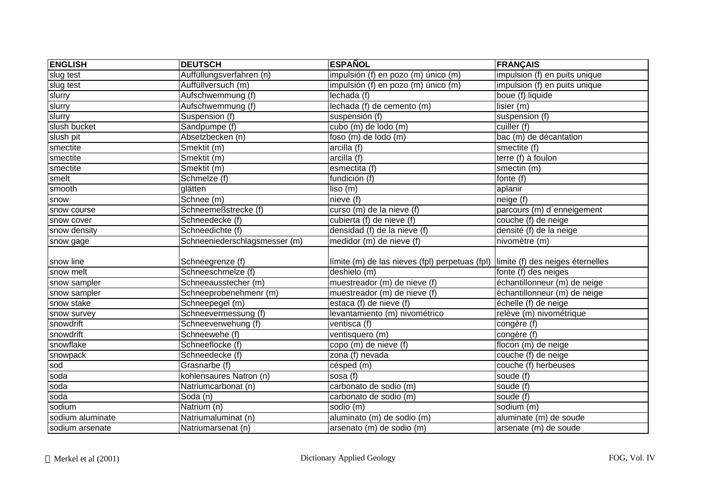| <b>ENGLISH</b>   | <b>DEUTSCH</b>                | <b>ESPAÑOL</b>                                 | <b>FRANÇAIS</b>                  |
|------------------|-------------------------------|------------------------------------------------|----------------------------------|
| slug test        | Auffüllungsverfahren (n)      | impulsión (f) en pozo (m) único (m)            | impulsion (f) en puits unique    |
| slug test        | Auffüllversuch (m)            | impulsión (f) en pozo (m) único (m)            | impulsion (f) en puits unique    |
| slurry           | Aufschwemmung (f)             | lechada (f)                                    | boue (f) liquide                 |
| slurry           | Aufschwemmung (f)             | lechada (f) de cemento (m)                     | lisier (m)                       |
| slurry           | Suspension (f)                | suspensión (f)                                 | suspension (f)                   |
| slush bucket     | Sandpumpe (f)                 | cubo (m) de lodo (m)                           | cuiller (f)                      |
| slush pit        | Absetzbecken (n)              | foso (m) de lodo (m)                           | bac (m) de décantation           |
| smectite         | Smektit (m)                   | arcilla (f)                                    | smectite (f)                     |
| smectite         | Smektit (m)                   | arcilla (f)                                    | terre (f) à foulon               |
| smectite         | Smektit (m)                   | esmectita (f)                                  | smectin (m)                      |
| smelt            | Schmelze (f)                  | fundición (f)                                  | fonte (f)                        |
| smooth           | glätten                       | liso(m)                                        | aplanir                          |
| snow             | Schnee (m)                    | nieve (f)                                      | neige (f)                        |
| snow course      | Schneemeßstrecke (f)          | curso (m) de la nieve (f)                      | parcours (m) d'enneigement       |
| snow cover       | Schneedecke (f)               | cubierta (f) de nieve (f)                      | couche (f) de neige              |
| snow density     | Schneedichte (f)              | densidad (f) de la nieve (f)                   | densité (f) de la neige          |
| snow gage        | Schneeniederschlagsmesser (m) | medidor (m) de nieve (f)                       | nivomètre (m)                    |
| snow line        | Schneegrenze (f)              | límite (m) de las nieves (fpl) perpetuas (fpl) | limite (f) des neiges éternelles |
| snow melt        | Schneeschmelze (f)            | deshielo (m)                                   | fonte (f) des neiges             |
| snow sampler     | Schneeausstecher (m)          | muestreador (m) de nieve (f)                   | échantillonneur (m) de neige     |
| snow sampler     | Schneeprobenehmenr (m)        | muestreador (m) de nieve (f)                   | échantillonneur (m) de neige     |
| snow stake       | Schneepegel (m)               | estaca (f) de nieve (f)                        | échelle (f) de neige             |
| snow survey      | Schneevermessung (f)          | levantamiento (m) nivométrico                  | relève (m) nivométrique          |
| snowdrift        | Schneeverwehung (f)           | ventisca (f)                                   | congère (f)                      |
| snowdrift        | Schneewehe (f)                | ventisquero (m)                                | congère (f)                      |
| snowflake        | Schneeflocke (f)              | $\overline{copo}$ (m) de nieve (f)             | flocon $(m)$ de neige            |
| snowpack         | Schneedecke (f)               | zona (f) nevada                                | couche (f) de neige              |
| sod              | Grasnarbe (f)                 | césped (m)                                     | couche (f) herbeuses             |
| soda             | kohlensaures Natron (n)       | sosa (f)                                       | soude (f)                        |
| soda             | Natriumcarbonat (n)           | carbonato de sodio (m)                         | soude (f)                        |
| soda             | Soda (n)                      | carbonato de sodio (m)                         | soude (f)                        |
| sodium           | Natrium (n)                   | sodio (m)                                      | sodium (m)                       |
| sodium aluminate | Natriumaluminat (n)           | aluminato (m) de sodio (m)                     | aluminate (m) de soude           |
| sodium arsenate  | Natriumarsenat (n)            | arsenato (m) de sodio (m)                      | arsenate (m) de soude            |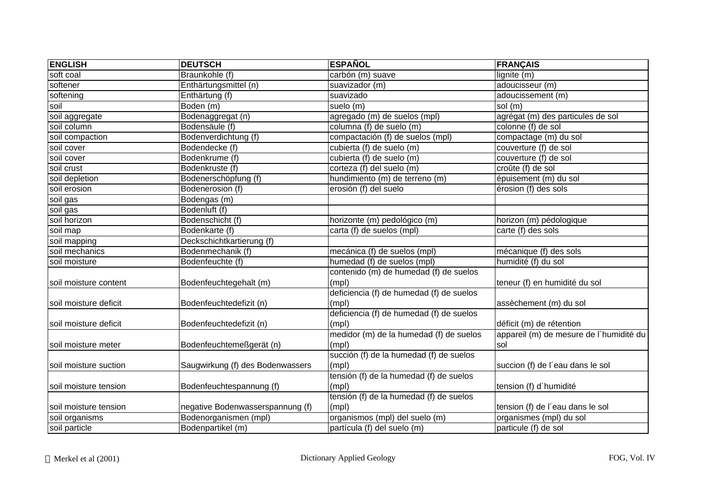| <b>ENGLISH</b>        | <b>DEUTSCH</b>                   | <b>ESPAÑOL</b>                           | <b>FRANÇAIS</b>                         |
|-----------------------|----------------------------------|------------------------------------------|-----------------------------------------|
| soft coal             | Braunkohle (f)                   | carbón (m) suave                         | lignite (m)                             |
| softener              | Enthärtungsmittel (n)            | suavizador (m)                           | adoucisseur (m)                         |
| softening             | Enthärtung (f)                   | suavizado                                | adoucissement (m)                       |
| soil                  | Boden (m)                        | suelo (m)                                | sol (m)                                 |
| soil aggregate        | Bodenaggregat (n)                | agregado (m) de suelos (mpl)             | agrégat (m) des particules de sol       |
| soil column           | Bodensäule (f)                   | columna (f) de suelo (m)                 | colonne (f) de sol                      |
| soil compaction       | Bodenverdichtung (f)             | compactación (f) de suelos (mpl)         | compactage (m) du sol                   |
| soil cover            | Bodendecke (f)                   | cubierta (f) de suelo (m)                | couverture (f) de sol                   |
| soil cover            | Bodenkrume (f)                   | cubierta (f) de suelo (m)                | couverture (f) de sol                   |
| soil crust            | Bodenkruste (f)                  | corteza (f) del suelo (m)                | croûte (f) de sol                       |
| soil depletion        | Bodenerschöpfung (f)             | hundimiento (m) de terreno (m)           | épuisement (m) du sol                   |
| soil erosion          | Bodenerosion (f)                 | erosión (f) del suelo                    | érosion (f) des sols                    |
| soil gas              | Bodengas (m)                     |                                          |                                         |
| soil gas              | Bodenluft (f)                    |                                          |                                         |
| soil horizon          | Bodenschicht (f)                 | horizonte (m) pedológico (m)             | horizon (m) pédologique                 |
| soil map              | Bodenkarte (f)                   | carta (f) de suelos (mpl)                | carte (f) des sols                      |
| soil mapping          | Deckschichtkartierung (f)        |                                          |                                         |
| soil mechanics        | Bodenmechanik (f)                | mecánica (f) de suelos (mpl)             | mécanique (f) des sols                  |
| soil moisture         | Bodenfeuchte (f)                 | humedad (f) de suelos (mpl)              | humidité (f) du sol                     |
|                       |                                  | contenido (m) de humedad (f) de suelos   |                                         |
| soil moisture content | Bodenfeuchtegehalt (m)           | (mpl)                                    | teneur (f) en humidité du sol           |
|                       |                                  | deficiencia (f) de humedad (f) de suelos |                                         |
| soil moisture deficit | Bodenfeuchtedefizit (n)          | (mpl)                                    | assèchement (m) du sol                  |
|                       |                                  | deficiencia (f) de humedad (f) de suelos |                                         |
| soil moisture deficit | Bodenfeuchtedefizit (n)          | (mpl)                                    | déficit (m) de rétention                |
|                       |                                  | medidor (m) de la humedad (f) de suelos  | appareil (m) de mesure de l'humidité du |
| soil moisture meter   | Bodenfeuchtemeßgerät (n)         | (mpl)                                    | sol                                     |
|                       |                                  | succión (f) de la humedad (f) de suelos  |                                         |
| soil moisture suction | Saugwirkung (f) des Bodenwassers | (mpl)                                    | succion (f) de l'eau dans le sol        |
|                       |                                  | tensión (f) de la humedad (f) de suelos  |                                         |
| soil moisture tension | Bodenfeuchtespannung (f)         | (mpl)                                    | tension (f) d'humidité                  |
|                       |                                  | tensión (f) de la humedad (f) de suelos  |                                         |
| soil moisture tension | negative Bodenwasserspannung (f) | (mpl)                                    | tension (f) de l'eau dans le sol        |
| soil organisms        | Bodenorganismen (mpl)            | organismos (mpl) del suelo (m)           | organismes (mpl) du sol                 |
| soil particle         | Bodenpartikel (m)                | partícula (f) del suelo (m)              | particule (f) de sol                    |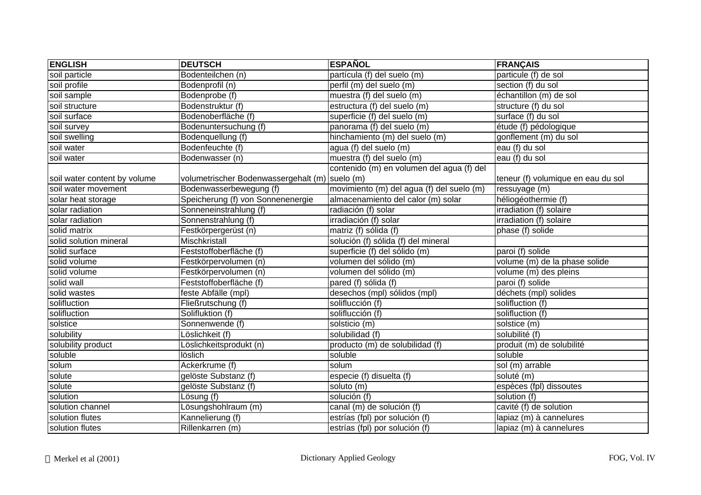| <b>ENGLISH</b>               | <b>DEUTSCH</b>                                 | <b>ESPAÑOL</b>                            | <b>FRANÇAIS</b>                    |
|------------------------------|------------------------------------------------|-------------------------------------------|------------------------------------|
| soil particle                | Bodenteilchen (n)                              | partícula (f) del suelo (m)               | particule (f) de sol               |
| soil profile                 | Bodenprofil (n)                                | perfil (m) del suelo (m)                  | section (f) du sol                 |
| soil sample                  | Bodenprobe (f)                                 | muestra (f) del suelo (m)                 | échantillon (m) de sol             |
| soil structure               | Bodenstruktur (f)                              | estructura (f) del suelo (m)              | structure (f) du sol               |
| soil surface                 | Bodenoberfläche (f)                            | superficie (f) del suelo (m)              | surface (f) du sol                 |
| soil survey                  | Bodenuntersuchung (f)                          | panorama (f) del suelo (m)                | étude (f) pédologique              |
| soil swelling                | Bodenquellung (f)                              | hinchamiento (m) del suelo (m)            | gonflement (m) du sol              |
| soil water                   | Bodenfeuchte (f)                               | agua (f) del suelo (m)                    | eau (f) du sol                     |
| soil water                   | Bodenwasser (n)                                | muestra (f) del suelo (m)                 | eau (f) du sol                     |
|                              |                                                | contenido (m) en volumen del agua (f) del |                                    |
| soil water content by volume | volumetrischer Bodenwassergehalt (m) suelo (m) |                                           | teneur (f) volumique en eau du sol |
| soil water movement          | Bodenwasserbewegung (f)                        | movimiento (m) del agua (f) del suelo (m) | ressuyage (m)                      |
| solar heat storage           | Speicherung (f) von Sonnenenergie              | almacenamiento del calor (m) solar        | héliogéothermie (f)                |
| solar radiation              | Sonneneinstrahlung (f)                         | radiación (f) solar                       | irradiation (f) solaire            |
| solar radiation              | Sonnenstrahlung (f)                            | irradiación (f) solar                     | irradiation (f) solaire            |
| solid matrix                 | Festkörpergerüst (n)                           | matriz (f) sólida (f)                     | phase (f) solide                   |
| solid solution mineral       | Mischkristall                                  | solución (f) sólida (f) del mineral       |                                    |
| solid surface                | Feststoffoberfläche (f)                        | superficie (f) del sólido (m)             | paroi (f) solide                   |
| solid volume                 | Festkörpervolumen (n)                          | volumen del sólido (m)                    | volume (m) de la phase solide      |
| solid volume                 | Festkörpervolumen (n)                          | volumen del sólido (m)                    | volume (m) des pleins              |
| solid wall                   | Feststoffoberfläche (f)                        | pared (f) sólida (f)                      | paroi (f) solide                   |
| solid wastes                 | feste Abfälle (mpl)                            | desechos (mpl) sólidos (mpl)              | déchets (mpl) solides              |
| solifluction                 | Fließrutschung (f)                             | soliflucción (f)                          | solifluction (f)                   |
| solifluction                 | Solifluktion (f)                               | soliflucción (f)                          | solifluction (f)                   |
| solstice                     | Sonnenwende (f)                                | solsticio (m)                             | solstice (m)                       |
| solubility                   | Löslichkeit (f)                                | solubilidad (f)                           | solubilité (f)                     |
| solubility product           | Löslichkeitsprodukt (n)                        | producto (m) de solubilidad (f)           | produit (m) de solubilité          |
| soluble                      | löslich                                        | soluble                                   | soluble                            |
| solum                        | Ackerkrume (f)                                 | solum                                     | sol (m) arrable                    |
| solute                       | gelöste Substanz (f)                           | especie (f) disuelta (f)                  | soluté (m)                         |
| solute                       | gelöste Substanz (f)                           | soluto (m)                                | espèces (fpl) dissoutes            |
| solution                     | Lösung (f)                                     | solución (f)                              | solution (f)                       |
| solution channel             | Lösungshohlraum (m)                            | canal (m) de solución (f)                 | cavité (f) de solution             |
| solution flutes              | Kannelierung (f)                               | estrías (fpl) por solución (f)            | lapiaz (m) à cannelures            |
| solution flutes              | Rillenkarren (m)                               | estrías (fpl) por solución (f)            | lapiaz (m) à cannelures            |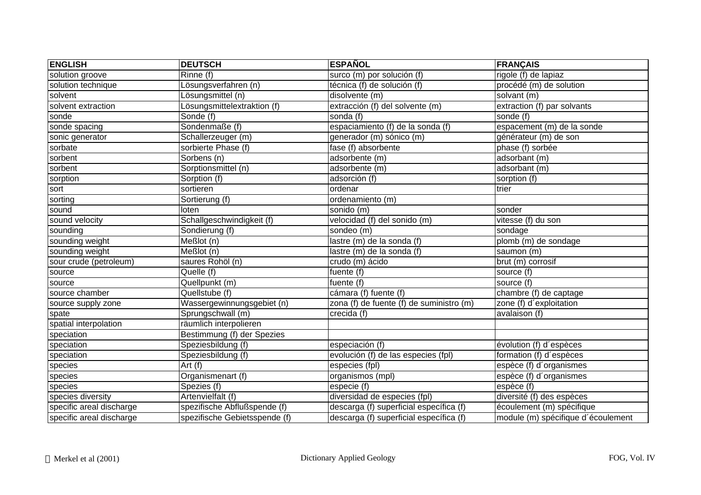| <b>ENGLISH</b>           | <b>DEUTSCH</b>                    | <b>ESPAÑOL</b>                           | <b>FRANÇAIS</b>                    |
|--------------------------|-----------------------------------|------------------------------------------|------------------------------------|
| solution groove          | Rinne (f)                         | surco (m) por solución (f)               | $right (f)$ de lapiaz              |
| solution technique       | Lösungsverfahren (n)              | técnica (f) de solución (f)              | procédé (m) de solution            |
| solvent                  | Lösungsmittel (n)                 | disolvente $(m)$                         | solvant (m)                        |
| solvent extraction       | Lösungsmittelextraktion (f)       | extracción (f) del solvente (m)          | extraction (f) par solvants        |
| sonde                    | Sonde (f)                         | sonda (f)                                | sonde (f)                          |
| sonde spacing            | Sondenmaße (f)                    | espaciamiento (f) de la sonda (f)        | espacement (m) de la sonde         |
| sonic generator          | Schallerzeuger (m)                | generador (m) sónico (m)                 | générateur (m) de son              |
| sorbate                  | sorbierte Phase (f)               | fase (f) absorbente                      | phase (f) sorbée                   |
| sorbent                  | Sorbens (n)                       | adsorbente (m)                           | adsorbant (m)                      |
| sorbent                  | Sorptionsmittel (n)               | adsorbente (m)                           | adsorbant (m)                      |
| sorption                 | Sorption (f)                      | adsorción (f)                            | sorption (f)                       |
| sort                     | sortieren                         | ordenar                                  | trier                              |
| sorting                  | Sortierung (f)                    | ordenamiento (m)                         |                                    |
| sound                    | loten                             | sonido (m)                               | sonder                             |
| sound velocity           | Schallgeschwindigkeit (f)         | velocidad (f) del sonido (m)             | vitesse (f) du son                 |
| sounding                 | Sondierung (f)                    | sondeo (m)                               | sondage                            |
| sounding weight          | $\overline{\mathsf{Me}}$ ßlot (n) | lastre (m) de la sonda (f)               | plomb (m) de sondage               |
| sounding weight          | Meßlot (n)                        | lastre (m) de la sonda (f)               | saumon (m)                         |
| sour crude (petroleum)   | saures Rohöl (n)                  | crudo (m) ácido                          | brut (m) corrosif                  |
| source                   | Quelle (f)                        | fuente (f)                               | source (f)                         |
| source                   | Quellpunkt (m)                    | fuente (f)                               | source (f)                         |
| source chamber           | Quellstube (f)                    | $\overline{c$ ámara (f) fuente (f)       | chambre (f) de captage             |
| source supply zone       | Wassergewinnungsgebiet (n)        | zona (f) de fuente (f) de suministro (m) | zone (f) d'exploitation            |
| spate                    | Sprungschwall (m)                 | crecida (f)                              | avalaison (f)                      |
| spatial interpolation    | räumlich interpolieren            |                                          |                                    |
| speciation               | Bestimmung (f) der Spezies        |                                          |                                    |
| speciation               | Speziesbildung (f)                | especiación (f)                          | évolution (f) d'espèces            |
| speciation               | Speziesbildung (f)                | evolución (f) de las especies (fpl)      | formation (f) d'espèces            |
| species                  | Art $(f)$                         | especies (fpl)                           | espèce (f) d'organismes            |
| species                  | Organismenart (f)                 | organismos (mpl)                         | espèce (f) d'organismes            |
| species                  | Spezies (f)                       | especie (f)                              | espèce (f)                         |
| species diversity        | Artenvielfalt (f)                 | diversidad de especies (fpl)             | diversité (f) des espèces          |
| specific areal discharge | spezifische Abflußspende (f)      | descarga (f) superficial específica (f)  | écoulement (m) spécifique          |
| specific areal discharge | spezifische Gebietsspende (f)     | descarga (f) superficial específica (f)  | module (m) spécifique d'écoulement |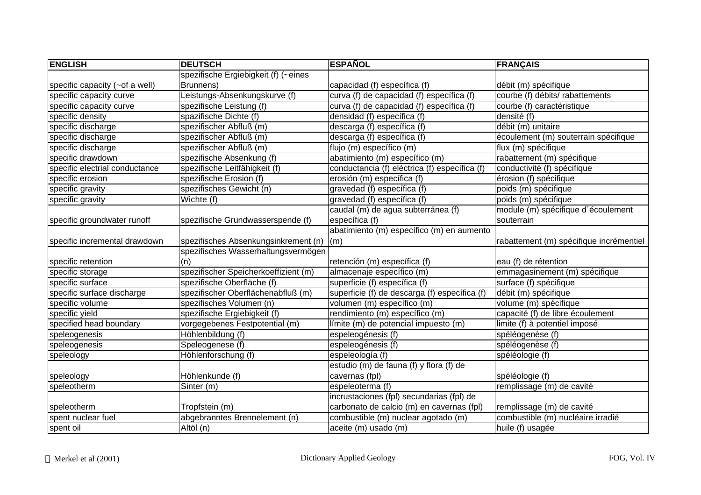| <b>ENGLISH</b>                 | <b>DEUTSCH</b>                       | <b>ESPAÑOL</b>                                | <b>FRANÇAIS</b>                         |
|--------------------------------|--------------------------------------|-----------------------------------------------|-----------------------------------------|
|                                | spezifische Ergiebigkeit (f) (~eines |                                               |                                         |
| specific capacity (~of a well) | Brunnens)                            | capacidad (f) específica (f)                  | débit (m) spécifique                    |
| specific capacity curve        | Leistungs-Absenkungskurve (f)        | curva (f) de capacidad (f) específica (f)     | courbe (f) débits/ rabattements         |
| specific capacity curve        | spezifische Leistung (f)             | curva (f) de capacidad (f) específica (f)     | courbe (f) caractéristique              |
| specific density               | spazifische Dichte (f)               | densidad (f) específica (f)                   | densité (f)                             |
| specific discharge             | spezifischer Abfluß (m)              | descarga (f) específica (f)                   | débit (m) unitaire                      |
| specific discharge             | spezifischer Abfluß (m)              | descarga (f) específica (f)                   | écoulement (m) souterrain spécifique    |
| specific discharge             | spezifischer Abfluß (m)              | flujo (m) específico (m)                      | flux (m) spécifique                     |
| specific drawdown              | spezifische Absenkung (f)            | abatimiento (m) específico (m)                | rabattement (m) spécifique              |
| specific electrial conductance | spezifische Leitfähigkeit (f)        | conductancia (f) eléctrica (f) específica (f) | conductivité (f) spécifique             |
| specific erosion               | spezifische Erosion (f)              | erosión (m) específica (f)                    | érosion (f) spécifique                  |
| specific gravity               | spezifisches Gewicht (n)             | gravedad (f) específica (f)                   | poids (m) spécifique                    |
| specific gravity               | Wichte (f)                           | gravedad (f) específica (f)                   | poids (m) spécifique                    |
|                                |                                      | caudal (m) de agua subterránea (f)            | module (m) spécifique d'écoulement      |
| specific groundwater runoff    | spezifische Grundwasserspende (f)    | específica (f)                                | souterrain                              |
|                                |                                      | abatimiento (m) específico (m) en aumento     |                                         |
| specific incremental drawdown  | spezifisches Absenkungsinkrement (n) | (m)                                           | rabattement (m) spécifique incrémentiel |
|                                | spezifisches Wasserhaltungsvermögen  |                                               |                                         |
| specific retention             | (n)                                  | retención (m) específica (f)                  | eau (f) de rétention                    |
| specific storage               | spezifischer Speicherkoeffizient (m) | almacenaje específico (m)                     | emmagasinement (m) spécifique           |
| specific surface               | spezifische Oberfläche (f)           | superficie (f) específica (f)                 | surface (f) spécifique                  |
| specific surface discharge     | spezifischer Oberflächenabfluß (m)   | superficie (f) de descarga (f) específica (f) | débit (m) spécifique                    |
| specific volume                | spezifisches Volumen (n)             | volumen (m) específico (m)                    | volume (m) spécifique                   |
| specific yield                 | spezifische Ergiebigkeit (f)         | rendimiento (m) específico (m)                | capacité (f) de libre écoulement        |
| specified head boundary        | vorgegebenes Festpotential (m)       | límite (m) de potencial impuesto (m)          | limite (f) à potentiel imposé           |
| speleogenesis                  | Höhlenbildung (f)                    | espeleogénesis (f)                            | spéléogenèse (f)                        |
| speleogenesis                  | Speleogenese (f)                     | espeleogénesis (f)                            | spéléogenèse (f)                        |
| speleology                     | Höhlenforschung (f)                  | espeleología (f)                              | spéléologie (f)                         |
|                                |                                      | estudio (m) de fauna (f) y flora (f) de       |                                         |
| speleology                     | Höhlenkunde (f)                      | cavernas (fpl)                                | spéléologie (f)                         |
| speleotherm                    | Sinter (m)                           | espeleoterma (f)                              | remplissage (m) de cavité               |
|                                |                                      | incrustaciones (fpl) secundarias (fpl) de     |                                         |
| speleotherm                    | Tropfstein (m)                       | carbonato de calcio (m) en cavernas (fpl)     | remplissage (m) de cavité               |
| spent nuclear fuel             | abgebranntes Brennelement (n)        | combustible (m) nuclear agotado (m)           | combustible (m) nucléaire irradié       |
| spent oil                      | Altöl (n)                            | aceite (m) usado (m)                          | huile (f) usagée                        |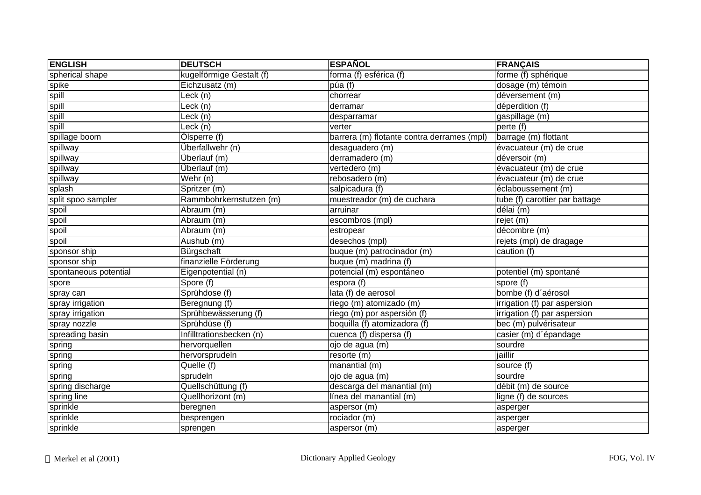| <b>ENGLISH</b>        | <b>DEUTSCH</b>           | <b>ESPAÑOL</b>                             | <b>FRANÇAIS</b>                |
|-----------------------|--------------------------|--------------------------------------------|--------------------------------|
| spherical shape       | kugelförmige Gestalt (f) | forma (f) esférica (f)                     | forme (f) sphérique            |
| spike                 | Eichzusatz (m)           | púa (f)                                    | dosage (m) témoin              |
| spill                 | Leck (n)                 | chorrear                                   | déversement (m)                |
| spill                 | Leck (n)                 | derramar                                   | déperdition (f)                |
| spill                 | Leck (n)                 | desparramar                                | gaspillage (m)                 |
| spill                 | Leck (n)                 | verter                                     | perte (f)                      |
| spillage boom         | Ölsperre (f)             | barrera (m) flotante contra derrames (mpl) | barrage (m) flottant           |
| spillway              | Überfallwehr (n)         | desaguadero (m)                            | évacuateur (m) de crue         |
| spillway              | Überlauf (m)             | derramadero (m)                            | déversoir (m)                  |
| spillway              | Überlauf (m)             | vertedero (m)                              | évacuateur (m) de crue         |
| spillway              | Wehr (n)                 | rebosadero (m)                             | évacuateur (m) de crue         |
| splash                | Spritzer (m)             | salpicadura (f)                            | éclaboussement (m)             |
| split spoo sampler    | Rammbohrkernstutzen (m)  | muestreador (m) de cuchara                 | tube (f) carottier par battage |
| spoil                 | Abraum (m)               | arruinar                                   | délai (m)                      |
| spoil                 | Abraum (m)               | escombros (mpl)                            | rejet (m)                      |
| spoil                 | Abraum (m)               | estropear                                  | décombre (m)                   |
| spoil                 | Aushub (m)               | desechos (mpl)                             | rejets (mpl) de dragage        |
| sponsor ship          | Bürgschaft               | buque (m) patrocinador (m)                 | caution (f)                    |
| sponsor ship          | finanzielle Förderung    | buque (m) madrina (f)                      |                                |
| spontaneous potential | Eigenpotential (n)       | potencial (m) espontáneo                   | potentiel (m) spontané         |
| spore                 | Spore (f)                | espora (f)                                 | spore (f)                      |
| spray can             | Sprühdose (f)            | lata (f) de aerosol                        | bombe (f) d'aérosol            |
| spray irrigation      | Beregnung (f)            | riego (m) atomizado (m)                    | irrigation (f) par aspersion   |
| spray irrigation      | Sprühbewässerung (f)     | riego (m) por aspersión (f)                | irrigation (f) par aspersion   |
| spray nozzle          | Sprühdüse (f)            | boquilla (f) atomizadora (f)               | bec (m) pulvérisateur          |
| spreading basin       | Infilltrationsbecken (n) | cuenca (f) dispersa (f)                    | casier (m) d'épandage          |
| spring                | hervorquellen            | ojo de agua (m)                            | sourdre                        |
| spring                | hervorsprudeln           | resorte(m)                                 | jaillir                        |
| spring                | Quelle (f)               | manantial (m)                              | source (f)                     |
| spring                | sprudeln                 | ojo de agua (m)                            | sourdre                        |
| spring discharge      | Quellschüttung (f)       | descarga del manantial (m)                 | débit (m) de source            |
| spring line           | Quellhorizont (m)        | línea del manantial (m)                    | ligne (f) de sources           |
| sprinkle              | beregnen                 | aspersor (m)                               | asperger                       |
| sprinkle              | besprengen               | rociador (m)                               | asperger                       |
| sprinkle              | sprengen                 | aspersor (m)                               | asperger                       |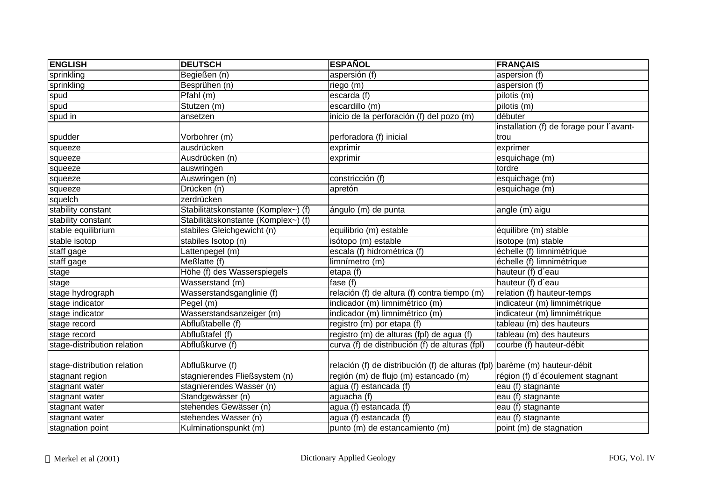| <b>ENGLISH</b>              | <b>DEUTSCH</b>                      | <b>ESPAÑOL</b>                                                             | <b>FRANÇAIS</b>                          |
|-----------------------------|-------------------------------------|----------------------------------------------------------------------------|------------------------------------------|
| sprinkling                  | Begießen (n)                        | aspersión (f)                                                              | aspersion (f)                            |
| sprinkling                  | Besprühen (n)                       | riego (m)                                                                  | aspersion (f)                            |
| spud                        | Pfahl (m)                           | escarda (f)                                                                | pilotis (m)                              |
| spud                        | Stutzen (m)                         | escardillo (m)                                                             | pilotis (m)                              |
| spud in                     | ansetzen                            | inicio de la perforación (f) del pozo (m)                                  | débuter                                  |
|                             |                                     |                                                                            | installation (f) de forage pour l'avant- |
| spudder                     | Vorbohrer (m)                       | perforadora (f) inicial                                                    | trou                                     |
| squeeze                     | ausdrücken                          | exprimir                                                                   | exprimer                                 |
| squeeze                     | Ausdrücken (n)                      | exprimir                                                                   | esquichage (m)                           |
| squeeze                     | auswringen                          |                                                                            | tordre                                   |
| squeeze                     | Auswringen (n)                      | constricción (f)                                                           | esquichage (m)                           |
| squeeze                     | Drücken (n)                         | apretón                                                                    | esquichage (m)                           |
| squelch                     | zerdrücken                          |                                                                            |                                          |
| stability constant          | Stabilitätskonstante (Komplex~) (f) | ángulo (m) de punta                                                        | angle (m) aigu                           |
| stability constant          | Stabilitätskonstante (Komplex~) (f) |                                                                            |                                          |
| stable equilibrium          | stabiles Gleichgewicht (n)          | equilibrio (m) estable                                                     | équilibre (m) stable                     |
| stable isotop               | stabiles Isotop (n)                 | isótopo (m) estable                                                        | isotope (m) stable                       |
| staff gage                  | Lattenpegel (m)                     | escala (f) hidrométrica (f)                                                | échelle (f) limnimétrique                |
| staff gage                  | Meßlatte (f)                        | limnímetro (m)                                                             | échelle (f) limnimétrique                |
| stage                       | Höhe (f) des Wasserspiegels         | etapa (f)                                                                  | hauteur (f) d'eau                        |
| stage                       | Wasserstand (m)                     | fase $(f)$                                                                 | hauteur (f) d'eau                        |
| stage hydrograph            | Wasserstandsganglinie (f)           | relación (f) de altura (f) contra tiempo (m)                               | relation (f) hauteur-temps               |
| stage indicator             | Pegel (m)                           | indicador (m) limnimétrico (m)                                             | indicateur (m) limnimétrique             |
| stage indicator             | Wasserstandsanzeiger (m)            | indicador (m) limnimétrico (m)                                             | indicateur (m) limnimétrique             |
| stage record                | Abflußtabelle (f)                   | registro (m) por etapa (f)                                                 | tableau (m) des hauteurs                 |
| stage record                | Abflußtafel (f)                     | registro (m) de alturas (fpl) de agua (f)                                  | tableau (m) des hauteurs                 |
| stage-distribution relation | Abflußkurve (f)                     | curva (f) de distribución (f) de alturas (fpl)                             | courbe (f) hauteur-débit                 |
|                             |                                     |                                                                            |                                          |
| stage-distribution relation | Abflußkurve (f)                     | relación (f) de distribución (f) de alturas (fpl) barème (m) hauteur-débit |                                          |
| stagnant region             | stagnierendes Fließsystem (n)       | región (m) de flujo (m) estancado (m)                                      | région (f) d'écoulement stagnant         |
| stagnant water              | stagnierendes Wasser (n)            | agua (f) estancada (f)                                                     | eau (f) stagnante                        |
| stagnant water              | Standgewässer (n)                   | aguacha (f)                                                                | eau (f) stagnante                        |
| stagnant water              | stehendes Gewässer (n)              | agua (f) estancada (f)                                                     | eau (f) stagnante                        |
| stagnant water              | stehendes Wasser (n)                | agua (f) estancada (f)                                                     | eau (f) stagnante                        |
| stagnation point            | Kulminationspunkt (m)               | punto (m) de estancamiento (m)                                             | point (m) de stagnation                  |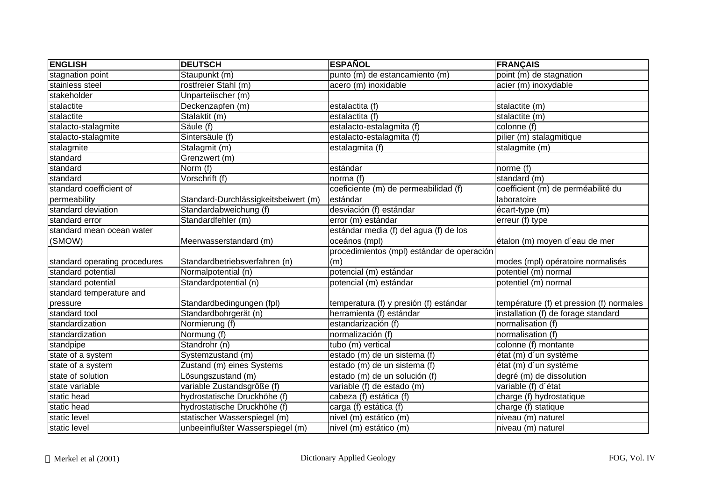| <b>ENGLISH</b>                | <b>DEUTSCH</b>                       | <b>ESPAÑOL</b>                             | <b>FRANÇAIS</b>                          |
|-------------------------------|--------------------------------------|--------------------------------------------|------------------------------------------|
| stagnation point              | Staupunkt (m)                        | punto (m) de estancamiento (m)             | point (m) de stagnation                  |
| stainless steel               | rostfreier Stahl (m)                 | acero (m) inoxidable                       | acier (m) inoxydable                     |
| stakeholder                   | Unparteiischer (m)                   |                                            |                                          |
| stalactite                    | Deckenzapfen (m)                     | estalactita (f)                            | stalactite (m)                           |
| stalactite                    | Stalaktit (m)                        | estalactita (f)                            | stalactite (m)                           |
| stalacto-stalagmite           | Säule (f)                            | estalacto-estalagmita (f)                  | colonne (f)                              |
| stalacto-stalagmite           | Sintersäule (f)                      | estalacto-estalagmita (f)                  | pilier (m) stalagmitique                 |
| stalagmite                    | Stalagmit (m)                        | estalagmita (f)                            | stalagmite (m)                           |
| standard                      | Grenzwert (m)                        |                                            |                                          |
| standard                      | Norm (f)                             | estándar                                   | norme (f)                                |
| standard                      | Vorschrift (f)                       | norma (f)                                  | standard (m)                             |
| standard coefficient of       |                                      | coeficiente (m) de permeabilidad (f)       | coefficient (m) de perméabilité du       |
| permeability                  | Standard-Durchlässigkeitsbeiwert (m) | estándar                                   | laboratoire                              |
| standard deviation            | Standardabweichung (f)               | desviación (f) estándar                    | écart-type (m)                           |
| standard error                | Standardfehler (m)                   | error (m) estándar                         | $error(f)$ type                          |
| standard mean ocean water     |                                      | estándar media (f) del agua (f) de los     |                                          |
| (SMOW)                        | Meerwasserstandard (m)               | oceános (mpl)                              | étalon (m) moyen d'eau de mer            |
|                               |                                      | procedimientos (mpl) estándar de operación |                                          |
| standard operating procedures | Standardbetriebsverfahren (n)        | (m)                                        | modes (mpl) opératoire normalisés        |
| standard potential            | Normalpotential (n)                  | potencial (m) estándar                     | potentiel (m) normal                     |
| standard potential            | Standardpotential (n)                | potencial (m) estándar                     | potentiel (m) normal                     |
| standard temperature and      |                                      |                                            |                                          |
| pressure                      | Standardbedingungen (fpl)            | temperatura (f) y presión (f) estándar     | température (f) et pression (f) normales |
| standard tool                 | Standardbohrgerät (n)                | herramienta (f) estándar                   | installation (f) de forage standard      |
| standardization               | Normierung (f)                       | estandarización (f)                        | normalisation (f)                        |
| standardization               | Normung (f)                          | normalización (f)                          | normalisation (f)                        |
| standpipe                     | Standrohr (n)                        | tubo (m) vertical                          | colonne (f) montante                     |
| state of a system             | Systemzustand (m)                    | estado (m) de un sistema (f)               | état (m) d'un système                    |
| state of a system             | Zustand (m) eines Systems            | estado (m) de un sistema (f)               | état (m) d'un système                    |
| state of solution             | Lösungszustand (m)                   | estado (m) de un solución (f)              | degré (m) de dissolution                 |
| state variable                | variable Zustandsgröße (f)           | variable (f) de estado (m)                 | variable (f) d'état                      |
| static head                   | hydrostatische Druckhöhe (f)         | cabeza (f) estática (f)                    | charge (f) hydrostatique                 |
| static head                   | hydrostatische Druckhöhe (f)         | carga (f) estática (f)                     | charge (f) statique                      |
| static level                  | statischer Wasserspiegel (m)         | nivel (m) estático (m)                     | niveau (m) naturel                       |
| static level                  | unbeeinflußter Wasserspiegel (m)     | nivel (m) estático (m)                     | niveau (m) naturel                       |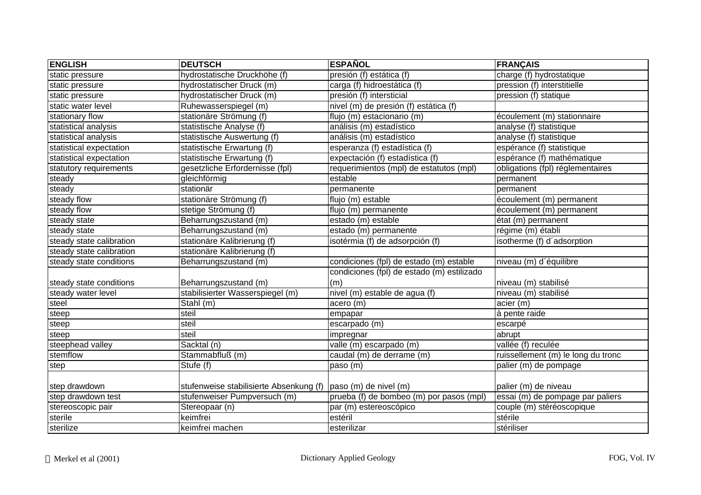| <b>ENGLISH</b>           | <b>DEUTSCH</b>                                                  | <b>ESPAÑOL</b>                             | <b>FRANÇAIS</b>                                       |
|--------------------------|-----------------------------------------------------------------|--------------------------------------------|-------------------------------------------------------|
| static pressure          | hydrostatische Druckhöhe (f)                                    | presión (f) estática (f)                   | charge (f) hydrostatique                              |
| static pressure          | hydrostatischer Druck (m)                                       | carga (f) hidroestática (f)                | pression (f) interstitielle                           |
| static pressure          | hydrostatischer Druck (m)                                       | presión (f) intersticial                   | pression (f) statique                                 |
| static water level       | Ruhewasserspiegel (m)                                           | nivel (m) de presión (f) estática (f)      |                                                       |
| stationary flow          | stationäre Strömung (f)                                         | flujo (m) estacionario (m)                 | écoulement (m) stationnaire                           |
| statistical analysis     | statistische Analyse (f)                                        | análisis (m) estadístico                   | analyse (f) statistique                               |
| statistical analysis     | statistische Auswertung (f)                                     | análisis (m) estadístico                   | analyse (f) statistique                               |
| statistical expectation  | statistische Erwartung (f)                                      | esperanza (f) estadística (f)              | espérance (f) statistique                             |
| statistical expectation  | statistische Erwartung (f)                                      | expectación (f) estadística (f)            | espérance (f) mathématique                            |
| statutory requirements   | gesetzliche Erfordernisse (fpl)                                 | requerimientos (mpl) de estatutos (mpl)    | obligations (fpl) réglementaires                      |
| steady                   | gleichförmig                                                    | estable                                    | permanent                                             |
| steady                   | stationär                                                       | permanente                                 | permanent                                             |
| steady flow              | stationäre Strömung (f)                                         | flujo (m) estable                          | écoulement (m) permanent                              |
| steady flow              | stetige Strömung (f)                                            | flujo (m) permanente                       | écoulement (m) permanent                              |
| steady state             | Beharrungszustand (m)                                           | estado (m) estable                         | état (m) permanent                                    |
| steady state             | Beharrungszustand (m)                                           | estado (m) permanente                      | régime (m) établi                                     |
| steady state calibration | stationäre Kalibrierung (f)                                     | isotérmia (f) de adsorpción (f)            | isotherme (f) d'adsorption                            |
| steady state calibration | stationäre Kalibrierung (f)                                     |                                            |                                                       |
| steady state conditions  | Beharrungszustand (m)                                           | condiciones (fpl) de estado (m) estable    | niveau (m) d'équilibre                                |
|                          |                                                                 | condiciones (fpl) de estado (m) estilizado |                                                       |
| steady state conditions  | Beharrungszustand (m)                                           | (m)                                        | niveau (m) stabilisé                                  |
| steady water level       | stabilisierter Wasserspiegel (m)                                | nivel (m) estable de agua (f)              | niveau (m) stabilisé                                  |
| steel                    | Stahl (m)                                                       | acero (m)                                  | acier (m)                                             |
| steep                    | steil                                                           | empapar                                    | à pente raide                                         |
| steep                    | steil                                                           | escarpado $(m)$                            | escarpé                                               |
| steep                    | steil                                                           | impregnar                                  | abrupt                                                |
| steephead valley         | Sacktal (n)                                                     | valle (m) escarpado (m)                    | $\overline{\mathsf{v}^{all\'ee}(\mathsf{f})}$ reculée |
| stemflow                 | Stammabfluß (m)                                                 | caudal (m) de derrame (m)                  | ruissellement (m) le long du tronc                    |
| step                     | Stufe (f)                                                       | paso (m)                                   | palier (m) de pompage                                 |
|                          |                                                                 |                                            |                                                       |
| step drawdown            | stufenweise stabilisierte Absenkung (f)   paso (m) de nivel (m) |                                            | palier (m) de niveau                                  |
| step drawdown test       | stufenweiser Pumpversuch (m)                                    | prueba (f) de bombeo (m) por pasos (mpl)   | essai (m) de pompage par paliers                      |
| stereoscopic pair        | Stereopaar (n)                                                  | par (m) estereoscópico                     | couple (m) stéréoscopique                             |
| sterile                  | keimfrei                                                        | estéril                                    | stérile                                               |
| sterilize                | keimfrei machen                                                 | esterilizar                                | stériliser                                            |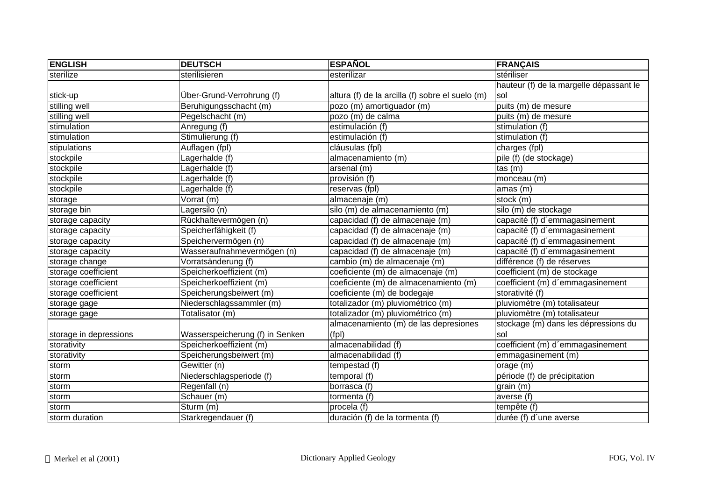| <b>ENGLISH</b>         | <b>DEUTSCH</b>                  | <b>ESPAÑOL</b>                                  | <b>FRANÇAIS</b>                         |
|------------------------|---------------------------------|-------------------------------------------------|-----------------------------------------|
| sterilize              | sterilisieren                   | esterilizar                                     | stériliser                              |
|                        |                                 |                                                 | hauteur (f) de la margelle dépassant le |
| stick-up               | Über-Grund-Verrohrung (f)       | altura (f) de la arcilla (f) sobre el suelo (m) | Isol                                    |
| stilling well          | Beruhigungsschacht (m)          | pozo (m) amortiguador (m)                       | puits (m) de mesure                     |
| stilling well          | Pegelschacht (m)                | pozo (m) de calma                               | puits (m) de mesure                     |
| stimulation            | Anregung (f)                    | estimulación (f)                                | stimulation (f)                         |
| stimulation            | Stimulierung (f)                | estimulación (f)                                | stimulation (f)                         |
| stipulations           | Auflagen (fpl)                  | cláusulas (fpl)                                 | charges (fpl)                           |
| stockpile              | Lagerhalde (f)                  | almacenamiento (m)                              | pile (f) (de stockage)                  |
| stockpile              | Lagerhalde (f)                  | arsenal (m)                                     | tas(m)                                  |
| stockpile              | Lagerhalde (f)                  | provisión (f)                                   | monceau (m)                             |
| stockpile              | Lagerhalde (f)                  | reservas (fpl)                                  | amas (m)                                |
| storage                | Vorrat (m)                      | almacenaje (m)                                  | stock (m)                               |
| storage bin            | Lagersilo (n)                   | silo (m) de almacenamiento (m)                  | silo (m) de stockage                    |
| storage capacity       | Rückhaltevermögen (n)           | capacidad (f) de almacenaje (m)                 | capacité (f) d'emmagasinement           |
| storage capacity       | Speicherfähigkeit (f)           | capacidad (f) de almacenaje (m)                 | capacité (f) d'emmagasinement           |
| storage capacity       | Speichervermögen (n)            | capacidad (f) de almacenaje (m)                 | capacité (f) d'emmagasinement           |
| storage capacity       | Wasseraufnahmevermögen (n)      | capacidad (f) de almacenaje (m)                 | capacité (f) d'emmagasinement           |
| storage change         | Vorratsänderung (f)             | cambio (m) de almacenaje (m)                    | différence (f) de réserves              |
| storage coefficient    | Speicherkoeffizient (m)         | coeficiente (m) de almacenaje (m)               | coefficient (m) de stockage             |
| storage coefficient    | Speicherkoeffizient (m)         | coeficiente (m) de almacenamiento (m)           | coefficient (m) d'emmagasinement        |
| storage coefficient    | Speicherungsbeiwert (m)         | coeficiente (m) de bodegaje                     | storativité (f)                         |
| storage gage           | Niederschlagssammler (m)        | totalizador (m) pluviométrico (m)               | pluviomètre (m) totalisateur            |
| storage gage           | Totalisator (m)                 | totalizador (m) pluviométrico (m)               | pluviomètre (m) totalisateur            |
|                        |                                 | almacenamiento (m) de las depresiones           | stockage (m) dans les dépressions du    |
| storage in depressions | Wasserspeicherung (f) in Senken | (fp)                                            | sol                                     |
| storativity            | Speicherkoeffizient (m)         | almacenabilidad (f)                             | coefficient (m) d'emmagasinement        |
| storativity            | Speicherungsbeiwert (m)         | almacenabilidad (f)                             | emmagasinement (m)                      |
| storm                  | Gewitter (n)                    | tempestad (f)                                   | orage (m)                               |
| storm                  | Niederschlagsperiode (f)        | temporal (f)                                    | période (f) de précipitation            |
| storm                  | Regenfall (n)                   | borrasca (f)                                    | grain (m)                               |
| storm                  | Schauer (m)                     | tormenta (f)                                    | averse (f)                              |
| storm                  | Sturm (m)                       | procela (f)                                     | tempête (f)                             |
| storm duration         | Starkregendauer (f)             | duración (f) de la tormenta (f)                 | durée (f) d'une averse                  |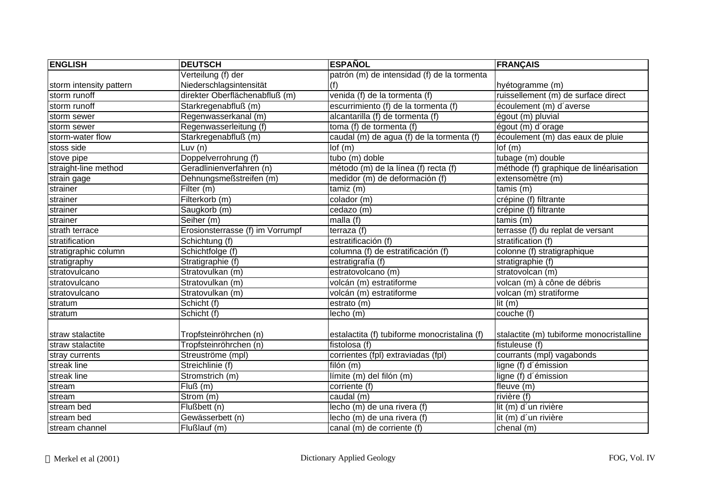| <b>ENGLISH</b>          | <b>DEUTSCH</b>                   | <b>ESPAÑOL</b>                               | <b>FRANÇAIS</b>                          |
|-------------------------|----------------------------------|----------------------------------------------|------------------------------------------|
|                         | Verteilung (f) der               | patrón (m) de intensidad (f) de la tormenta  |                                          |
| storm intensity pattern | Niederschlagsintensität          | (f)                                          | hyétogramme (m)                          |
| storm runoff            | direkter Oberflächenabfluß (m)   | venida (f) de la tormenta (f)                | ruissellement (m) de surface direct      |
| storm runoff            | Starkregenabfluß (m)             | escurrimiento (f) de la tormenta (f)         | écoulement (m) d'averse                  |
| storm sewer             | Regenwasserkanal (m)             | alcantarilla (f) de tormenta (f)             | égout (m) pluvial                        |
| storm sewer             | Regenwasserleitung (f)           | toma (f) de tormenta (f)                     | égout (m) d'orage                        |
| storm-water flow        | Starkregenabfluß (m)             | caudal (m) de agua (f) de la tormenta (f)    | écoulement (m) das eaux de pluie         |
| stoss side              | Luv (n)                          | lof(m)                                       | lof(m)                                   |
| stove pipe              | Doppelverrohrung (f)             | tubo (m) doble                               | tubage (m) double                        |
| straight-line method    | Geradlinienverfahren (n)         | método (m) de la línea (f) recta (f)         | méthode (f) graphique de linéarisation   |
| strain gage             | Dehnungsmeßstreifen (m)          | medidor (m) de deformación (f)               | extensomètre (m)                         |
| strainer                | Filter (m)                       | tamiz(m)                                     | tamis (m)                                |
| strainer                | Filterkorb (m)                   | colador (m)                                  | crépine (f) filtrante                    |
| strainer                | Saugkorb (m)                     | cedazo (m)                                   | crépine (f) filtrante                    |
| strainer                | Seiher (m)                       | malla (f)                                    | tamis (m)                                |
| strath terrace          | Erosionsterrasse (f) im Vorrumpf | terraza (f)                                  | terrasse (f) du replat de versant        |
| stratification          | Schichtung (f)                   | estratificación (f)                          | stratification (f)                       |
| stratigraphic column    | Schichtfolge (f)                 | columna (f) de estratificación (f)           | colonne (f) stratigraphique              |
| stratigraphy            | Stratigraphie (f)                | estratigrafía (f)                            | stratigraphie (f)                        |
| stratovulcano           | Stratovulkan (m)                 | estratovolcano (m)                           | stratovolcan (m)                         |
| stratovulcano           | Stratovulkan (m)                 | volcán (m) estratiforme                      | volcan (m) à cône de débris              |
| stratovulcano           | Stratovulkan (m)                 | volcán (m) estratiforme                      | volcan (m) stratiforme                   |
| stratum                 | Schicht (f)                      | estrato(m)                                   | $\overline{\text{lit}(m)}$               |
| stratum                 | Schicht (f)                      | lecho (m)                                    | couche $(t)$                             |
|                         |                                  |                                              |                                          |
| straw stalactite        | Tropfsteinröhrchen (n)           | estalactita (f) tubiforme monocristalina (f) | stalactite (m) tubiforme monocristalline |
| straw stalactite        | Tropfsteinröhrchen (n)           | fistolosa (f)                                | fistuleuse (f)                           |
| stray currents          | Streuströme (mpl)                | corrientes (fpl) extraviadas (fpl)           | courrants (mpl) vagabonds                |
| streak line             | Streichlinie (f)                 | filón (m)                                    | ligne (f) d'émission                     |
| streak line             | Stromstrich (m)                  | límite (m) del filón (m)                     | ligne (f) d'émission                     |
| stream                  | $\overline{Flu}$ ß $(m)$         | corriente (f)                                | fleuve (m)                               |
| stream                  | Strom (m)                        | caudal (m)                                   | rivière $(f)$                            |
| stream bed              | Flußbett (n)                     | lecho (m) de una rivera (f)                  | lit (m) d'un rivière                     |
| stream bed              | Gewässerbett (n)                 | lecho (m) de una rivera (f)                  | lit (m) d'un rivière                     |
| stream channel          | Flußlauf (m)                     | canal (m) de corriente (f)                   | chenal (m)                               |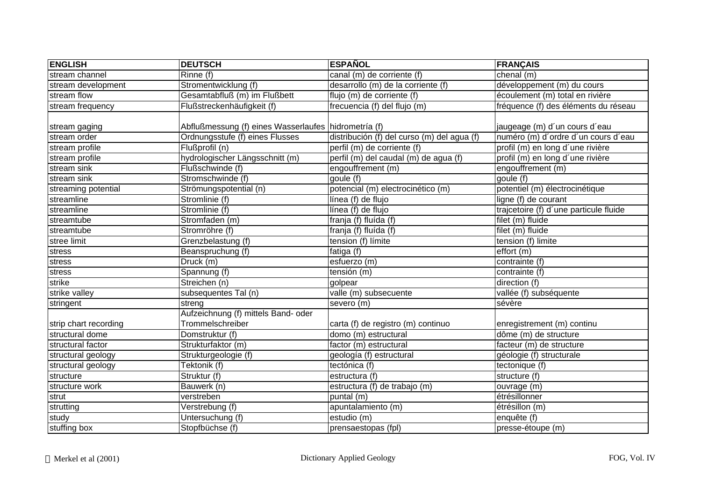| <b>ENGLISH</b>        | <b>DEUTSCH</b>                                       | <b>ESPAÑOL</b>                              | <b>FRANÇAIS</b>                        |
|-----------------------|------------------------------------------------------|---------------------------------------------|----------------------------------------|
| stream channel        | Rinne (f)                                            | canal (m) de corriente (f)                  | chenal (m)                             |
| stream development    | Stromentwicklung (f)                                 | desarrollo (m) de la corriente (f)          | développement (m) du cours             |
| stream flow           | Gesamtabfluß (m) im Flußbett                         | flujo (m) de corriente (f)                  | écoulement (m) total en rivière        |
| stream frequency      | Flußstreckenhäufigkeit (f)                           | frecuencia (f) del flujo (m)                | fréquence (f) des éléments du réseau   |
| stream gaging         | Abflußmessung (f) eines Wasserlaufes hidrometría (f) |                                             | jaugeage (m) d'un cours d'eau          |
| stream order          | Ordnungsstufe (f) eines Flusses                      | distribución (f) del curso (m) del agua (f) | numéro (m) d'ordre d'un cours d'eau    |
| stream profile        | Flußprofil (n)                                       | perfil (m) de corriente (f)                 | profil (m) en long d'une rivière       |
| stream profile        | hydrologischer Längsschnitt (m)                      | perfil (m) del caudal (m) de agua (f)       | profil (m) en long d'une rivière       |
| stream sink           | Flußschwinde (f)                                     | engouffrement (m)                           | engouffrement (m)                      |
| stream sink           | Stromschwinde (f)                                    | goule (f)                                   | goule (f)                              |
| streaming potential   | Strömungspotential (n)                               | potencial (m) electrocinético (m)           | potentiel (m) électrocinétique         |
| streamline            | Stromlinie (f)                                       | línea (f) de flujo                          | ligne (f) de courant                   |
| streamline            | Stromlinie (f)                                       | línea (f) de flujo                          | trajcetoire (f) d'une particule fluide |
| streamtube            | Stromfaden (m)                                       | franja (f) fluída (f)                       | filet (m) fluide                       |
| streamtube            | Stromröhre (f)                                       | franja (f) fluída (f)                       | filet (m) fluide                       |
| stree limit           | Grenzbelastung (f)                                   | tension (f) límite                          | tension (f) limite                     |
| stress                | Beanspruchung (f)                                    | fatiga (f)                                  | effort (m)                             |
| stress                | Druck (m)                                            | esfuerzo (m)                                | contrainte (f)                         |
| stress                | Spannung (f)                                         | tensión (m)                                 | contrainte (f)                         |
| strike                | Streichen (n)                                        | golpear                                     | direction (f)                          |
| strike valley         | subsequentes Tal (n)                                 | valle (m) subsecuente                       | vallée (f) subséquente                 |
| stringent             | streng                                               | severo (m)                                  | sévère                                 |
|                       | Aufzeichnung (f) mittels Band- oder                  |                                             |                                        |
| strip chart recording | Trommelschreiber                                     | carta (f) de registro (m) continuo          | enregistrement (m) continu             |
| structural dome       | Domstruktur (f)                                      | domo (m) estructural                        | dôme (m) de structure                  |
| structural factor     | Strukturfaktor (m)                                   | factor (m) estructural                      | facteur (m) de structure               |
| structural geology    | Strukturgeologie (f)                                 | geología (f) estructural                    | géologie (f) structurale               |
| structural geology    | Tektonik (f)                                         | tectónica (f)                               | tectonique (f)                         |
| structure             | Struktur (f)                                         | estructura (f)                              | structure (f)                          |
| structure work        | Bauwerk (n)                                          | estructura (f) de trabajo (m)               | ouvrage (m)                            |
| strut                 | verstreben                                           | puntal (m)                                  | étrésillonner                          |
| strutting             | Verstrebung (f)                                      | apuntalamiento (m)                          | étrésillon (m)                         |
| study                 | Untersuchung (f)                                     | estudio (m)                                 | enquête (f)                            |
| stuffing box          | Stopfbüchse (f)                                      | prensaestopas (fpl)                         | presse-étoupe (m)                      |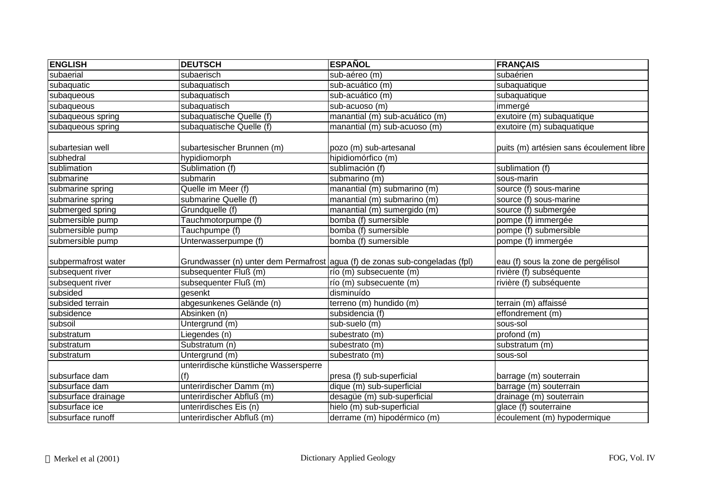| <b>ENGLISH</b>      | <b>DEUTSCH</b>                               | <b>ESPAÑOL</b>                                                              | <b>FRANÇAIS</b>                          |
|---------------------|----------------------------------------------|-----------------------------------------------------------------------------|------------------------------------------|
| subaerial           | subaerisch                                   | sub-aéreo (m)                                                               | subaérien                                |
| subaquatic          | subaquatisch                                 | sub-acuático (m)                                                            | subaquatique                             |
| subaqueous          | subaquatisch                                 | sub-acuático (m)                                                            | subaquatique                             |
| subaqueous          | subaquatisch                                 | sub-acuoso (m)                                                              | immergé                                  |
| subaqueous spring   | subaquatische Quelle (f)                     | manantial (m) sub-acuático (m)                                              | exutoire (m) subaquatique                |
| subaqueous spring   | subaquatische Quelle (f)                     | manantial (m) sub-acuoso (m)                                                | exutoire (m) subaquatique                |
| subartesian well    | subartesischer Brunnen (m)                   | pozo (m) sub-artesanal                                                      | puits (m) artésien sans écoulement libre |
| subhedral           | hypidiomorph                                 | hipidiomórfico (m)                                                          |                                          |
| sublimation         | Sublimation (f)                              | sublimación (f)                                                             | sublimation (f)                          |
| submarine           | submarin                                     | submarino (m)                                                               | sous-marin                               |
| submarine spring    | Quelle im Meer (f)                           | manatial (m) submarino (m)                                                  | source (f) sous-marine                   |
| submarine spring    | submarine Quelle (f)                         | manantial (m) submarino (m)                                                 | source (f) sous-marine                   |
| submerged spring    | Grundquelle (f)                              | manantial (m) sumergido (m)                                                 | source (f) submergée                     |
| submersible pump    | Tauchmotorpumpe (f)                          | bomba (f) sumersible                                                        | pompe (f) immergée                       |
| submersible pump    | Tauchpumpe (f)                               | bomba (f) sumersible                                                        | pompe (f) submersible                    |
| submersible pump    | Unterwasserpumpe (f)                         | bomba (f) sumersible                                                        | pompe (f) immergée                       |
| subpermafrost water |                                              | Grundwasser (n) unter dem Permafrost agua (f) de zonas sub-congeladas (fpl) | eau (f) sous la zone de pergélisol       |
| subsequent river    | subsequenter Fluß (m)                        | río (m) subsecuente (m)                                                     | rivière (f) subséquente                  |
| subsequent river    | subsequenter Fluß (m)                        | río (m) subsecuente (m)                                                     | rivière (f) subséquente                  |
| subsided            | qesenkt                                      | disminuído                                                                  |                                          |
| subsided terrain    | abgesunkenes Gelände (n)                     | terreno (m) hundido (m)                                                     | terrain (m) affaissé                     |
| subsidence          | Absinken (n)                                 | subsidencia (f)                                                             | effondrement (m)                         |
| subsoil             | Untergrund (m)                               | sub-suelo (m)                                                               | sous-sol                                 |
| substratum          | Liegendes (n)                                | subestrato (m)                                                              | profond (m)                              |
| substratum          | Substratum (n)                               | subestrato (m)                                                              | substratum (m)                           |
| substratum          | Untergrund (m)                               | subestrato (m)                                                              | sous-sol                                 |
| subsurface dam      | unterirdische künstliche Wassersperre<br>(f) | presa (f) sub-superficial                                                   | barrage (m) souterrain                   |
| subsurface dam      | unterirdischer Damm (m)                      | dique (m) sub-superficial                                                   | barrage (m) souterrain                   |
| subsurface drainage | unterirdischer Abfluß (m)                    | desagüe (m) sub-superficial                                                 | drainage (m) souterrain                  |
| subsurface ice      | unterirdisches Eis (n)                       | hielo (m) sub-superficial                                                   | glace (f) souterraine                    |
| subsurface runoff   | unterirdischer Abfluß (m)                    | derrame (m) hipodérmico (m)                                                 | écoulement (m) hypodermique              |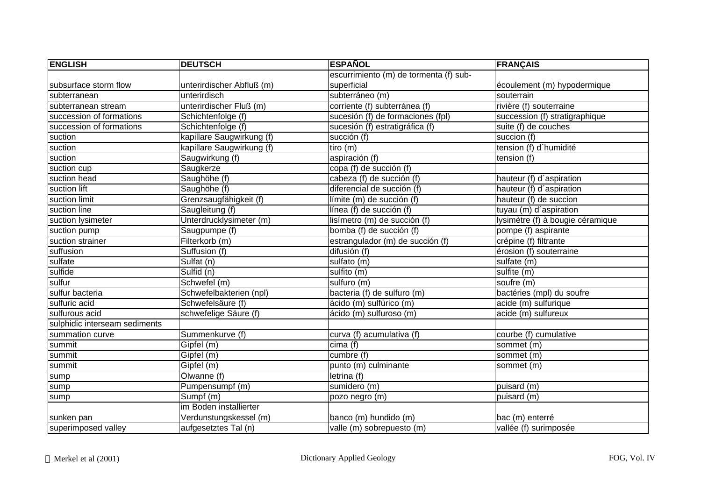| <b>ENGLISH</b>                | <b>DEUTSCH</b>            | <b>ESPAÑOL</b>                         | <b>FRANÇAIS</b>                  |
|-------------------------------|---------------------------|----------------------------------------|----------------------------------|
|                               |                           | escurrimiento (m) de tormenta (f) sub- |                                  |
| subsurface storm flow         | unterirdischer Abfluß (m) | superficial                            | écoulement (m) hypodermique      |
| subterranean                  | unterirdisch              | subterráneo (m)                        | souterrain                       |
| subterranean stream           | unterirdischer Fluß (m)   | corriente (f) subterránea (f)          | rivière (f) souterraine          |
| succession of formations      | Schichtenfolge (f)        | sucesión (f) de formaciones (fpl)      | succession (f) stratigraphique   |
| succession of formations      | Schichtenfolge (f)        | sucesión (f) estratigráfica (f)        | suite (f) de couches             |
| suction                       | kapillare Saugwirkung (f) | succión (f)                            | succion (f)                      |
| suction                       | kapillare Saugwirkung (f) | tiro(m)                                | tension (f) d'humidité           |
| suction                       | Saugwirkung (f)           | aspiración (f)                         | tension (f)                      |
| suction cup                   | Saugkerze                 | copa (f) de succión (f)                |                                  |
| suction head                  | Saughöhe (f)              | cabeza (f) de succión (f)              | hauteur (f) d'aspiration         |
| suction lift                  | Saughöhe (f)              | diferencial de succión (f)             | hauteur (f) d'aspiration         |
| suction limit                 | Grenzsaugfähigkeit (f)    | límite (m) de succión (f)              | hauteur (f) de succion           |
| suction line                  | Saugleitung (f)           | línea (f) de succión (f)               | tuyau (m) d'aspiration           |
| suction lysimeter             | Unterdrucklysimeter (m)   | lisímetro (m) de succión (f)           | lysimètre (f) à bougie céramique |
| suction pump                  | Saugpumpe (f)             | bomba (f) de succión (f)               | pompe (f) aspirante              |
| suction strainer              | Filterkorb (m)            | estrangulador (m) de succión (f)       | crépine (f) filtrante            |
| suffusion                     | Suffusion (f)             | difusión (f)                           | érosion (f) souterraine          |
| sulfate                       | Sulfat (n)                | sulfato (m)                            | sulfate (m)                      |
| sulfide                       | Sulfid (n)                | sulfito (m)                            | sulfite (m)                      |
| sulfur                        | Schwefel (m)              | sulfuro (m)                            | soufre (m)                       |
| sulfur bacteria               | Schwefelbakterien (npl)   | bacteria (f) de sulfuro (m)            | bactéries (mpl) du soufre        |
| sulfuric acid                 | Schwefelsäure (f)         | ácido (m) sulfúrico (m)                | acide (m) sulfurique             |
| sulfurous acid                | schwefelige Säure (f)     | ácido (m) sulfuroso (m)                | acide (m) sulfureux              |
| sulphidic interseam sediments |                           |                                        |                                  |
| summation curve               | Summenkurve (f)           | curva (f) acumulativa (f)              | courbe (f) cumulative            |
| summit                        | Gipfel (m)                | cima (f)                               | sommet (m)                       |
| summit                        | Gipfel (m)                | cumbre (f)                             | sommet (m)                       |
| summit                        | Gipfel (m)                | punto (m) culminante                   | sommet (m)                       |
| sump                          | Ölwanne (f)               | letrina (f)                            |                                  |
| sump                          | Pumpensumpf (m)           | sumidero (m)                           | puisard (m)                      |
| sump                          | Sumpf (m)                 | pozo negro (m)                         | puisard (m)                      |
|                               | im Boden installierter    |                                        |                                  |
| sunken pan                    | Verdunstungskessel (m)    | banco (m) hundido (m)                  | bac (m) enterré                  |
| superimposed valley           | aufgesetztes Tal (n)      | valle (m) sobrepuesto (m)              | vallée (f) surimposée            |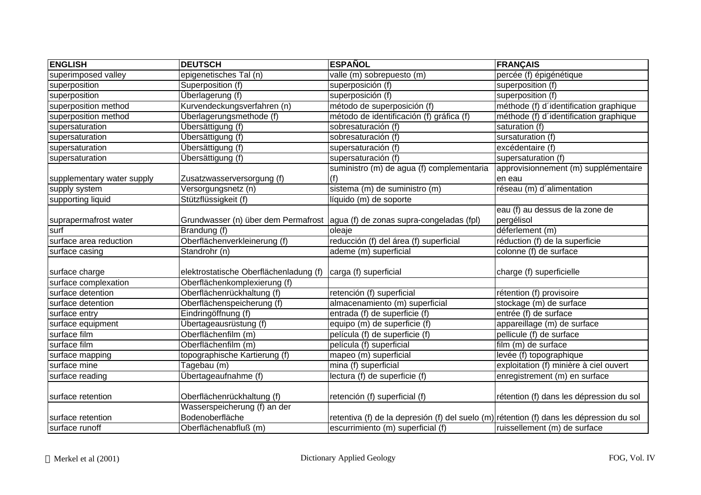| <b>ENGLISH</b>             | <b>DEUTSCH</b>                                             | <b>ESPAÑOL</b>                                                                           | <b>FRANÇAIS</b>                                |
|----------------------------|------------------------------------------------------------|------------------------------------------------------------------------------------------|------------------------------------------------|
| superimposed valley        | epigenetisches Tal (n)                                     | valle (m) sobrepuesto (m)                                                                | percée (f) épigénétique                        |
| superposition              | Superposition (f)                                          | superposición (f)                                                                        | superposition (f)                              |
| superposition              | Überlagerung (f)                                           | superposición (f)                                                                        | superposition (f)                              |
| superposition method       | Kurvendeckungsverfahren (n)                                | método de superposición (f)                                                              | méthode (f) d'identification graphique         |
| superposition method       | Überlagerungsmethode (f)                                   | método de identificación (f) gráfica (f)                                                 | méthode (f) d'identification graphique         |
| supersaturation            | Übersättigung (f)                                          | sobresaturación (f)                                                                      | saturation (f)                                 |
| supersaturation            | Übersättigung (f)                                          | sobresaturación (f)                                                                      | sursaturation (f)                              |
| supersaturation            | Übersättigung (f)                                          | supersaturación (f)                                                                      | excédentaire (f)                               |
| supersaturation            | Übersättigung (f)                                          | supersaturación (f)                                                                      | supersaturation (f)                            |
| supplementary water supply | Zusatzwasserversorgung (f)                                 | suministro (m) de agua (f) complementaria<br>(f)                                         | approvisionnement (m) supplémentaire<br>en eau |
| supply system              | Versorgungsnetz (n)                                        | sistema (m) de suministro (m)                                                            | réseau (m) d'alimentation                      |
| supporting liquid          | Stützflüssigkeit (f)                                       | líquido (m) de soporte                                                                   |                                                |
| suprapermafrost water      |                                                            | Grundwasser (n) über dem Permafrost   agua (f) de zonas supra-congeladas (fpl)           | eau (f) au dessus de la zone de<br>pergélisol  |
| surf                       | Brandung (f)                                               | oleaje                                                                                   | déferlement (m)                                |
| surface area reduction     | Oberflächenverkleinerung (f)                               | reducción (f) del área (f) superficial                                                   | réduction (f) de la superficie                 |
| surface casing             | Standrohr (n)                                              | ademe (m) superficial                                                                    | colonne (f) de surface                         |
| surface charge             | elektrostatische Oberflächenladung (f)                     | carga (f) superficial                                                                    | charge (f) superficielle                       |
| surface complexation       | Oberflächenkomplexierung (f)                               |                                                                                          |                                                |
| surface detention          | Oberflächenrückhaltung (f)                                 | retención (f) superficial                                                                | rétention (f) provisoire                       |
| surface detention          | Oberflächenspeicherung (f)                                 | almacenamiento (m) superficial                                                           | stockage (m) de surface                        |
| surface entry              | Eindringöffnung (f)                                        | entrada (f) de superficie (f)                                                            | entrée (f) de surface                          |
| surface equipment          | Übertageausrüstung (f)                                     | equipo (m) de superficie (f)                                                             | appareillage (m) de surface                    |
| surface film               | Oberflächenfilm (m)                                        | película (f) de superficie (f)                                                           | pellicule (f) de surface                       |
| surface film               | Oberflächenfilm (m)                                        | película (f) superficial                                                                 | film (m) de surface                            |
| surface mapping            | topographische Kartierung (f)                              | mapeo (m) superficial                                                                    | levée (f) topographique                        |
| surface mine               | Tagebau (m)                                                | mina (f) superficial                                                                     | exploitation (f) minière à ciel ouvert         |
| surface reading            | Übertageaufnahme (f)                                       | lectura (f) de superficie (f)                                                            | enregistrement (m) en surface                  |
| surface retention          | Oberflächenrückhaltung (f)<br>Wasserspeicherung (f) an der | retención (f) superficial (f)                                                            | rétention (f) dans les dépression du sol       |
| surface retention          | Bodenoberfläche                                            | retentiva (f) de la depresión (f) del suelo (m) rétention (f) dans les dépression du sol |                                                |
| surface runoff             | Oberflächenabfluß (m)                                      | escurrimiento (m) superficial (f)                                                        | ruissellement (m) de surface                   |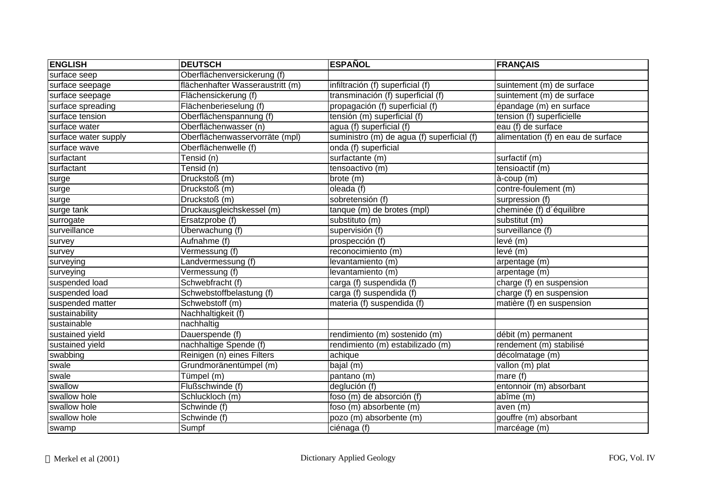| <b>ENGLISH</b>       | <b>DEUTSCH</b>                   | <b>ESPAÑOL</b>                             | <b>FRANÇAIS</b>                    |
|----------------------|----------------------------------|--------------------------------------------|------------------------------------|
| surface seep         | Oberflächenversickerung (f)      |                                            |                                    |
| surface seepage      | flächenhafter Wasseraustritt (m) | infiltración (f) superficial (f)           | suintement (m) de surface          |
| surface seepage      | Flächensickerung (f)             | transminación (f) superficial (f)          | suintement (m) de surface          |
| surface spreading    | Flächenberieselung (f)           | propagación (f) superficial (f)            | épandage (m) en surface            |
| surface tension      | Oberflächenspannung (f)          | tensión (m) superficial (f)                | tension (f) superficielle          |
| surface water        | Oberflächenwasser (n)            | agua (f) superficial (f)                   | eau (f) de surface                 |
| surface water supply | Oberflächenwasservorräte (mpl)   | suministro (m) de agua (f) superficial (f) | alimentation (f) en eau de surface |
| surface wave         | Oberflächenwelle (f)             | onda (f) superficial                       |                                    |
| surfactant           | Tensid (n)                       | surfactante (m)                            | surfactif (m)                      |
| surfactant           | Tensid (n)                       | tensoactivo (m)                            | tensioactif (m)                    |
| surge                | Druckstoß (m)                    | brote (m)                                  | à-coup (m)                         |
| surge                | Druckstoß (m)                    | oleada (f)                                 | contre-foulement (m)               |
| surge                | Druckstoß (m)                    | sobretensión (f)                           | surpression (f)                    |
| surge tank           | Druckausgleichskessel (m)        | tanque (m) de brotes (mpl)                 | cheminée (f) d'équilibre           |
| surrogate            | Ersatzprobe (f)                  | substituto (m)                             | substitut (m)                      |
| surveillance         | Überwachung (f)                  | supervisión (f)                            | surveillance (f)                   |
| survey               | Aufnahme (f)                     | prospección (f)                            | levé (m)                           |
| survey               | Vermessung (f)                   | reconocimiento (m)                         | levé(m)                            |
| surveying            | Landvermessung (f)               | levantamiento (m)                          | arpentage (m)                      |
| surveying            | Vermessung (f)                   | levantamiento (m)                          | arpentage (m)                      |
| suspended load       | Schwebfracht (f)                 | carga (f) suspendida (f)                   | charge (f) en suspension           |
| suspended load       | Schwebstoffbelastung (f)         | carga (f) suspendida (f)                   | charge (f) en suspension           |
| suspended matter     | Schwebstoff (m)                  | materia (f) suspendida (f)                 | matière (f) en suspension          |
| sustainability       | Nachhaltigkeit (f)               |                                            |                                    |
| sustainable          | nachhaltig                       |                                            |                                    |
| sustained yield      | Dauerspende (f)                  | rendimiento (m) sostenido (m)              | débit (m) permanent                |
| sustained yield      | nachhaltige Spende (f)           | rendimiento (m) estabilizado (m)           | rendement (m) stabilisé            |
| swabbing             | Reinigen (n) eines Filters       | achique                                    | décolmatage (m)                    |
| swale                | Grundmoränentümpel (m)           | bajal (m)                                  | vallon (m) plat                    |
| swale                | Tümpel (m)                       | pantano (m)                                | mare $(f)$                         |
| swallow              | Flußschwinde (f)                 | deglución (f)                              | entonnoir (m) absorbant            |
| swallow hole         | Schluckloch (m)                  | foso (m) de absorción (f)                  | abîme (m)                          |
| swallow hole         | Schwinde (f)                     | foso (m) absorbente (m)                    | aven $(m)$                         |
| swallow hole         | Schwinde (f)                     | pozo (m) absorbente (m)                    | gouffre (m) absorbant              |
| swamp                | Sumpf                            | ciénaga (f)                                | marcéage (m)                       |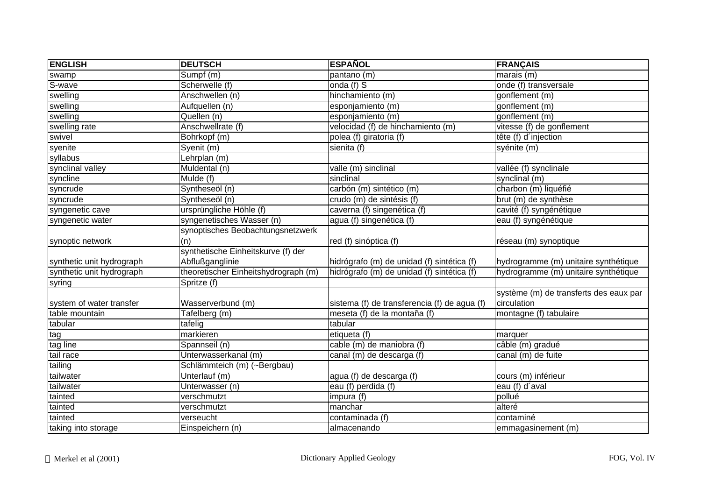| <b>ENGLISH</b>            | <b>DEUTSCH</b>                       | <b>ESPAÑOL</b>                               | <b>FRANÇAIS</b>                        |
|---------------------------|--------------------------------------|----------------------------------------------|----------------------------------------|
| swamp                     | Sumpf (m)                            | pantano (m)                                  | marais $(m)$                           |
| S-wave                    | Scherwelle (f)                       | onda $(f)$ S                                 | onde (f) transversale                  |
| swelling                  | Anschwellen (n)                      | hinchamiento (m)                             | gonflement (m)                         |
| swelling                  | Aufquellen (n)                       | esponjamiento (m)                            | gonflement (m)                         |
| swelling                  | Quellen (n)                          | esponjamiento (m)                            | gonflement (m)                         |
| swelling rate             | Anschwellrate (f)                    | velocidad (f) de hinchamiento (m)            | vitesse (f) de gonflement              |
| swivel                    | Bohrkopf (m)                         | polea (f) giratoria (f)                      | tête (f) d'injection                   |
| syenite                   | Syenit (m)                           | sienita (f)                                  | syénite (m)                            |
| syllabus                  | Lehrplan (m)                         |                                              |                                        |
| synclinal valley          | Muldental (n)                        | valle (m) sinclinal                          | vallée (f) synclinale                  |
| syncline                  | Mulde (f)                            | sinclinal                                    | synclinal (m)                          |
| syncrude                  | Syntheseöl (n)                       | carbón (m) sintético (m)                     | charbon (m) liquéfié                   |
| syncrude                  | Syntheseöl (n)                       | crudo (m) de sintésis (f)                    | brut (m) de synthèse                   |
| syngenetic cave           | ursprüngliche Höhle (f)              | caverna (f) singenética (f)                  | cavité (f) syngénétique                |
| syngenetic water          | syngenetisches Wasser (n)            | agua (f) singenética (f)                     | eau (f) syngénétique                   |
|                           | synoptisches Beobachtungsnetzwerk    |                                              |                                        |
| synoptic network          | (n)                                  | red (f) sinóptica (f)                        | réseau (m) synoptique                  |
|                           | synthetische Einheitskurve (f) der   |                                              |                                        |
| synthetic unit hydrograph | Abflußganglinie                      | hidrógrafo (m) de unidad (f) sintética (f)   | hydrogramme (m) unitaire synthétique   |
| synthetic unit hydrograph | theoretischer Einheitshydrograph (m) | hidrógrafo (m) de unidad (f) sintética (f)   | hydrogramme (m) unitaire synthétique   |
| syring                    | Spritze (f)                          |                                              |                                        |
|                           |                                      |                                              | système (m) de transferts des eaux par |
| system of water transfer  | Wasserverbund (m)                    | sistema (f) de transferencia (f) de agua (f) | circulation                            |
| table mountain            | Tafelberg (m)                        | meseta (f) de la montaña (f)                 | montagne (f) tabulaire                 |
| tabular                   | tafelig                              | tabular                                      |                                        |
| tag                       | markieren                            | etiqueta (f)                                 | marquer                                |
| tag line                  | Spannseil (n)                        | cable (m) de maniobra (f)                    | câble (m) gradué                       |
| tail race                 | Unterwasserkanal (m)                 | canal (m) de descarga (f)                    | canal (m) de fuite                     |
| tailing                   | Schlämmteich (m) (~Bergbau)          |                                              |                                        |
| tailwater                 | Unterlauf (m)                        | agua (f) de descarga (f)                     | cours (m) inférieur                    |
| tailwater                 | Unterwasser (n)                      | eau (f) perdida (f)                          | eau (f) d'aval                         |
| tainted                   | verschmutzt                          | impura (f)                                   | pollué                                 |
| tainted                   | verschmutzt                          | manchar                                      | alteré                                 |
| tainted                   | verseucht                            | contaminada (f)                              | contaminé                              |
| taking into storage       | Einspeichern (n)                     | almacenando                                  | emmagasinement (m)                     |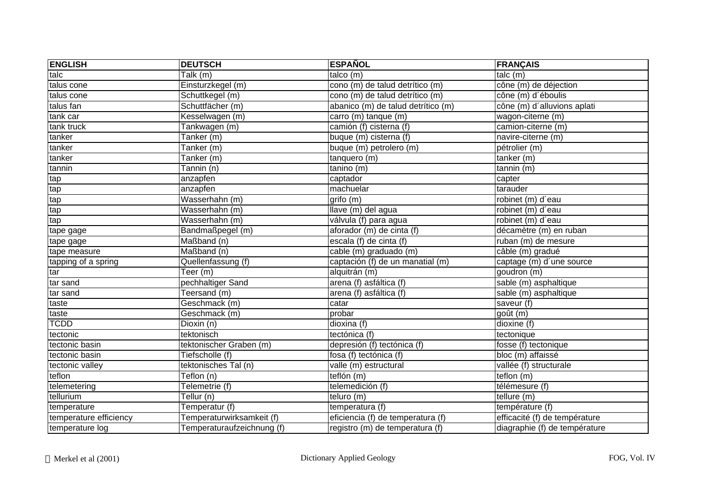| <b>ENGLISH</b>         | <b>DEUTSCH</b>             | <b>ESPAÑOL</b>                     | <b>FRANÇAIS</b>               |
|------------------------|----------------------------|------------------------------------|-------------------------------|
| talc                   | Talk $(m)$                 | talco(m)                           | talc(m)                       |
| talus cone             | Einsturzkegel (m)          | cono (m) de talud detrítico (m)    | cône (m) de déjection         |
| talus cone             | Schuttkegel (m)            | cono (m) de talud detrítico (m)    | cône (m) d'éboulis            |
| talus fan              | Schuttfächer (m)           | abanico (m) de talud detrítico (m) | cône (m) d'alluvions aplati   |
| tank car               | Kesselwagen (m)            | $carro$ (m) tanque (m)             | wagon-citerne (m)             |
| tank truck             | Tankwagen (m)              | camión (f) cisterna (f)            | camion-citerne (m)            |
| tanker                 | Tanker (m)                 | buque (m) cisterna (f)             | navire-citerne (m)            |
| tanker                 | Tanker (m)                 | buque (m) petrolero (m)            | pétrolier (m)                 |
| tanker                 | Tanker (m)                 | tanquero (m)                       | tanker(m)                     |
| tannin                 | Tannin (n)                 | tanino (m)                         | tannin (m)                    |
| tap                    | anzapfen                   | captador                           | capter                        |
| tap                    | anzapfen                   | machuelar                          | tarauder                      |
| tap                    | Wasserhahn (m)             | grifo(m)                           | robinet (m) d'eau             |
| tap                    | Wasserhahn (m)             | llave (m) del agua                 | robinet (m) d'eau             |
| tap                    | Wasserhahn (m)             | válvula (f) para agua              | robinet (m) d'eau             |
| tape gage              | Bandmaßpegel (m)           | aforador (m) de cinta (f)          | décamètre (m) en ruban        |
| tape gage              | Maßband (n)                | escala (f) de cinta (f)            | ruban (m) de mesure           |
| tape measure           | Maßband (n)                | cable (m) graduado (m)             | câble (m) gradué              |
| tapping of a spring    | Quellenfassung (f)         | captación (f) de un manatial (m)   | captage (m) d'une source      |
| tar                    | Teer (m)                   | alquitrán (m)                      | goudron (m)                   |
| tar sand               | pechhaltiger Sand          | arena (f) asfáltica (f)            | sable (m) asphaltique         |
| tar sand               | Teersand (m)               | arena (f) asfáltica (f)            | sable (m) asphaltique         |
| taste                  | Geschmack (m)              | catar                              | saveur $(f)$                  |
| taste                  | Geschmack (m)              | probar                             | goût (m)                      |
| <b>TCDD</b>            | Dioxin (n)                 | dioxina (f)                        | dioxine (f)                   |
| tectonic               | tektonisch                 | tectónica (f)                      | tectonique                    |
| tectonic basin         | tektonischer Graben (m)    | depresión (f) tectónica (f)        | fosse (f) tectonique          |
| tectonic basin         | Tiefscholle (f)            | fosa (f) tectónica (f)             | bloc (m) affaissé             |
| tectonic valley        | tektonisches Tal (n)       | valle (m) estructural              | vallée (f) structurale        |
| teflon                 | Teflon (n)                 | teflón (m)                         | teflon $(m)$                  |
| telemetering           | Telemetrie (f)             | telemedición (f)                   | télémesure (f)                |
| tellurium              | Tellur (n)                 | teluro (m)                         | tellure (m)                   |
| temperature            | Temperatur $(f)$           | temperatura (f)                    | température (f)               |
| temperature efficiency | Temperaturwirksamkeit (f)  | eficiencia (f) de temperatura (f)  | efficacité (f) de température |
| temperature log        | Temperaturaufzeichnung (f) | registro (m) de temperatura (f)    | diagraphie (f) de température |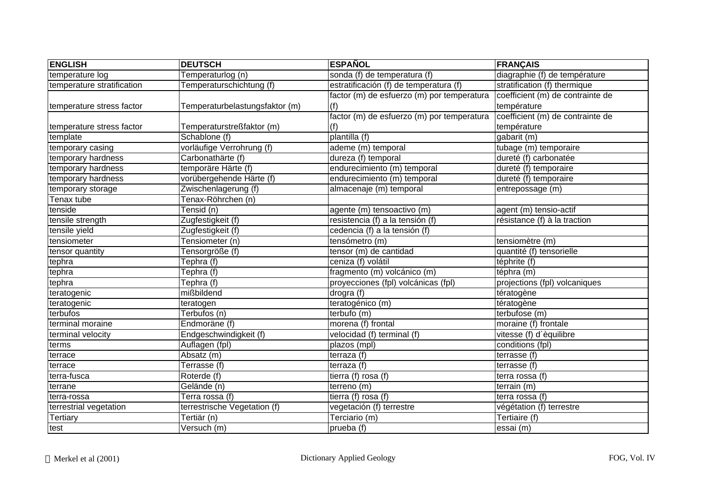| <b>ENGLISH</b>             | <b>DEUTSCH</b>                 | <b>ESPAÑOL</b>                             | <b>FRANÇAIS</b>                  |
|----------------------------|--------------------------------|--------------------------------------------|----------------------------------|
| temperature log            | Temperaturlog (n)              | sonda (f) de temperatura (f)               | diagraphie (f) de température    |
| temperature stratification | Temperaturschichtung (f)       | estratificación (f) de temperatura (f)     | stratification (f) thermique     |
|                            |                                | factor (m) de esfuerzo (m) por temperatura | coefficient (m) de contrainte de |
| temperature stress factor  | Temperaturbelastungsfaktor (m) | (f)                                        | température                      |
|                            |                                | factor (m) de esfuerzo (m) por temperatura | coefficient (m) de contrainte de |
| temperature stress factor  | Temperaturstreßfaktor (m)      | (f)                                        | température                      |
| template                   | Schablone (f)                  | plantilla (f)                              | gabarit (m)                      |
| temporary casing           | vorläufige Verrohrung (f)      | ademe (m) temporal                         | tubage (m) temporaire            |
| temporary hardness         | Carbonathärte (f)              | dureza (f) temporal                        | dureté (f) carbonatée            |
| temporary hardness         | temporäre Härte (f)            | endurecimiento (m) temporal                | dureté (f) temporaire            |
| temporary hardness         | vorübergehende Härte (f)       | endurecimiento (m) temporal                | dureté (f) temporaire            |
| temporary storage          | Zwischenlagerung (f)           | almacenaje (m) temporal                    | entrepossage (m)                 |
| Tenax tube                 | Tenax-Röhrchen (n)             |                                            |                                  |
| tenside                    | Tensid (n)                     | agente (m) tensoactivo (m)                 | agent (m) tensio-actif           |
| tensile strength           | Zugfestigkeit (f)              | resistencia (f) a la tensión (f)           | résistance (f) à la traction     |
| tensile yield              | Zugfestigkeit (f)              | cedencia (f) a la tensión (f)              |                                  |
| tensiometer                | Tensiometer (n)                | tensómetro (m)                             | tensiomètre (m)                  |
| tensor quantity            | Tensorgröße (f)                | tensor (m) de cantidad                     | quantité (f) tensorielle         |
| tephra                     | Tephra (f)                     | ceniza (f) volátil                         | téphrite (f)                     |
| tephra                     | Tephra (f)                     | fragmento (m) volcánico (m)                | téphra (m)                       |
| tephra                     | Tephra (f)                     | proyecciones (fpl) volcánicas (fpl)        | projections (fpl) volcaniques    |
| teratogenic                | mißbildend                     | drogra(f)                                  | tératogène                       |
| teratogenic                | teratogen                      | teratogénico (m)                           | tératogène                       |
| terbufos                   | Terbufos (n)                   | terbufo (m)                                | terbufose (m)                    |
| terminal moraine           | Endmoräne (f)                  | morena (f) frontal                         | moraine (f) frontale             |
| terminal velocity          | Endgeschwindigkeit (f)         | velocidad (f) terminal (f)                 | vitesse (f) d'èquilibre          |
| terms                      | Auflagen (fpl)                 | plazos (mpl)                               | conditions (fpl)                 |
| terrace                    | Absatz (m)                     | terraza (f)                                | terrasse (f)                     |
| terrace                    | Terrasse (f)                   | terraza(f)                                 | terrasse (f)                     |
| terra-fusca                | Roterde (f)                    | tierra (f) rosa (f)                        | terra rossa (f)                  |
| terrane                    | Gelände (n)                    | terreno (m)                                | terrain (m)                      |
| terra-rossa                | Terra rossa (f)                | tierra (f) rosa (f)                        | terra rossa (f)                  |
| terrestrial vegetation     | terrestrische Vegetation (f)   | vegetación (f) terrestre                   | végétation (f) terrestre         |
| <b>Tertiary</b>            | Tertiär (n)                    | Terciario (m)                              | Tertiaire (f)                    |
| test                       | Versuch (m)                    | $prueba$ (f)                               | essai (m)                        |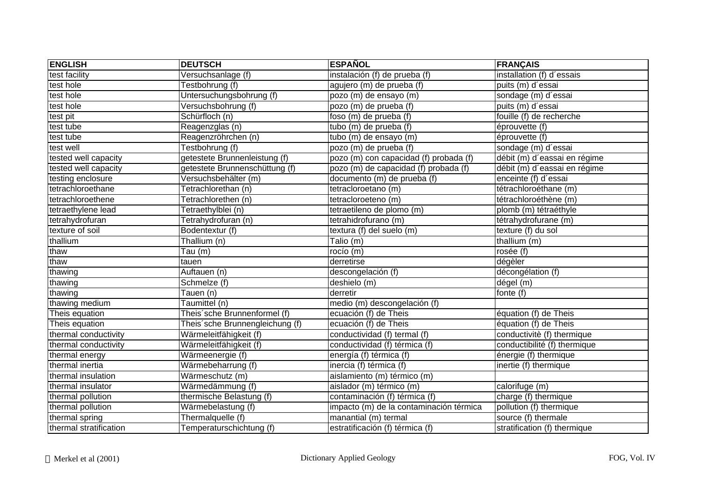| <b>ENGLISH</b>         | <b>DEUTSCH</b>                  | <b>ESPAÑOL</b>                          | <b>FRANÇAIS</b>              |
|------------------------|---------------------------------|-----------------------------------------|------------------------------|
| test facility          | Versuchsanlage (f)              | instalación (f) de prueba (f)           | installation (f) d'essais    |
| test hole              | Testbohrung (f)                 | agujero (m) de prueba (f)               | puits (m) d'essai            |
| test hole              | Untersuchungsbohrung (f)        | pozo (m) de ensayo (m)                  | sondage (m) d'essai          |
| test hole              | Versuchsbohrung (f)             | pozo (m) de prueba (f)                  | puits (m) d'essai            |
| test pit               | Schürfloch (n)                  | foso (m) de prueba (f)                  | fouille (f) de recherche     |
| test tube              | Reagenzglas (n)                 | tubo (m) de prueba (f)                  | éprouvette (f)               |
| test tube              | Reagenzröhrchen (n)             | tubo (m) de ensayo (m)                  | éprouvette (f)               |
| test well              | Testbohrung (f)                 | pozo (m) de prueba (f)                  | sondage (m) d'essai          |
| tested well capacity   | getestete Brunnenleistung (f)   | pozo (m) con capacidad (f) probada (f)  | débit (m) d'eassai en régime |
| tested well capacity   | getestete Brunnenschüttung (f)  | pozo (m) de capacidad (f) probada (f)   | débit (m) d'eassai en régime |
| testing enclosure      | Versuchsbehälter (m)            | documento (m) de prueba (f)             | enceinte (f) d'essai         |
| tetrachloroethane      | Tetrachlorethan (n)             | tetracloroetano (m)                     | tétrachloroéthane (m)        |
| tetrachloroethene      | Tetrachlorethen (n)             | tetracloroeteno (m)                     | tétrachloroéthène (m)        |
| tetraethylene lead     | Tetraethylblei (n)              | tetraetileno de plomo (m)               | plomb (m) tétraéthyle        |
| tetrahydrofuran        | Tetrahydrofuran (n)             | tetrahidrofurano (m)                    | tétrahydrofurane (m)         |
| texture of soil        | Bodentextur (f)                 | textura (f) del suelo (m)               | texture (f) du sol           |
| thallium               | Thallium (n)                    | Talio (m)                               | thallium (m)                 |
| thaw                   | $\overline{T}$ au (m)           | rocío (m)                               | rosée (f)                    |
| thaw                   | tauen                           | derretirse                              | dégèler                      |
| thawing                | Auftauen (n)                    | descongelación (f)                      | décongélation (f)            |
| thawing                | Schmelze (f)                    | deshielo (m)                            | dégel (m)                    |
| thawing                | Tauen (n)                       | derretir                                | fonte (f)                    |
| thawing medium         | Taumittel (n)                   | medio (m) descongelación (f)            |                              |
| Theis equation         | Theis'sche Brunnenformel (f)    | ecuación (f) de Theis                   | équation (f) de Theis        |
| Theis equation         | Theis'sche Brunnengleichung (f) | ecuación (f) de Theis                   | équation (f) de Theis        |
| thermal conductivity   | Wärmeleitfähigkeit (f)          | conductividad (f) termal (f)            | conductivitè (f) thermique   |
| thermal conductivity   | Wärmeleitfähigkeit (f)          | conductividad (f) térmica (f)           | conductibilité (f) thermique |
| thermal energy         | Wärmeenergie (f)                | energía (f) térmica (f)                 | énergie (f) thermique        |
| thermal inertia        | Wärmebeharrung (f)              | inercia (f) térmica (f)                 | inertie (f) thermique        |
| thermal insulation     | Wärmeschutz (m)                 | aislamiento (m) térmico (m)             |                              |
| thermal insulator      | Wärmedämmung (f)                | aislador (m) térmico (m)                | calorifuge (m)               |
| thermal pollution      | thermische Belastung (f)        | contaminación (f) térmica (f)           | charge (f) thermique         |
| thermal pollution      | Wärmebelastung (f)              | impacto (m) de la contaminación térmica | pollution (f) thermique      |
| thermal spring         | Thermalquelle (f)               | manantial (m) termal                    | source (f) thermale          |
| thermal stratification | Temperaturschichtung (f)        | estratificación (f) térmica (f)         | stratification (f) thermique |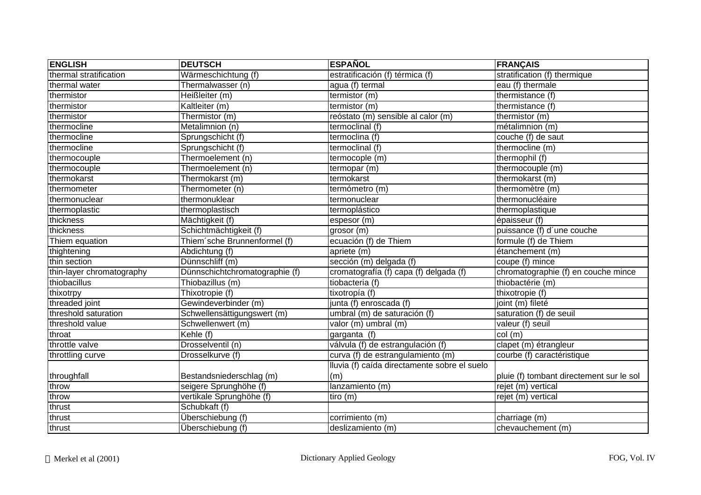| <b>ENGLISH</b>            | <b>DEUTSCH</b>                 | <b>ESPAÑOL</b>                               | <b>FRANÇAIS</b>                          |
|---------------------------|--------------------------------|----------------------------------------------|------------------------------------------|
| thermal stratification    | Wärmeschichtung (f)            | estratificación (f) térmica (f)              | stratification (f) thermique             |
| thermal water             | Thermalwasser (n)              | agua (f) termal                              | eau (f) thermale                         |
| thermistor                | Heißleiter (m)                 | termistor (m)                                | thermistance (f)                         |
| thermistor                | Kaltleiter (m)                 | termistor (m)                                | thermistance (f)                         |
| thermistor                | Thermistor (m)                 | reóstato (m) sensible al calor (m)           | thermistor $(m)$                         |
| thermocline               | Metalimnion (n)                | termoclinal (f)                              | métalimnion (m)                          |
| thermocline               | Sprungschicht (f)              | termoclina (f)                               | couche (f) de saut                       |
| thermocline               | Sprungschicht (f)              | termoclinal (f)                              | thermocline (m)                          |
| thermocouple              | Thermoelement (n)              | termocople (m)                               | thermophil (f)                           |
| thermocouple              | Thermoelement (n)              | termopar (m)                                 | thermocouple (m)                         |
| thermokarst               | Thermokarst (m)                | termokarst                                   | thermokarst (m)                          |
| thermometer               | Thermometer (n)                | termómetro (m)                               | thermomètre (m)                          |
| thermonuclear             | thermonuklear                  | termonuclear                                 | thermonucléaire                          |
| thermoplastic             | thermoplastisch                | termoplástico                                | thermoplastique                          |
| thickness                 | Mächtigkeit (f)                | espesor (m)                                  | épaisseur (f)                            |
| thickness                 | Schichtmächtigkeit (f)         | grosor (m)                                   | puissance (f) d'une couche               |
| Thiem equation            | Thiem sche Brunnenformel (f)   | ecuación (f) de Thiem                        | formule (f) de Thiem                     |
| thightening               | Abdichtung (f)                 | apritete(m)                                  | étanchement (m)                          |
| thin section              | Dünnschliff (m)                | sección (m) delgada (f)                      | coupe (f) mince                          |
| thin-layer chromatography | Dünnschichtchromatographie (f) | cromatografía (f) capa (f) delgada (f)       | chromatographie (f) en couche mince      |
| thiobacillus              | Thiobazillus (m)               | tiobacteria (f)                              | thiobactérie (m)                         |
| thixotrpy                 | Thixotropie (f)                | tixotropía (f)                               | thixotropie (f)                          |
| threaded joint            | Gewindeverbinder (m)           | junta (f) enroscada (f)                      | joint (m) fileté                         |
| threshold saturation      | Schwellensättigungswert (m)    | umbral (m) de saturación (f)                 | saturation (f) de seuil                  |
| threshold value           | Schwellenwert (m)              | valor (m) umbral (m)                         | valeur (f) seuil                         |
| throat                    | Kehle (f)                      | garganta (f)                                 | col (m)                                  |
| throttle valve            | Drosselventil (n)              | válvula (f) de estrangulación (f)            | clapet (m) étrangleur                    |
| throttling curve          | Drosselkurve (f)               | curva (f) de estrangulamiento (m)            | courbe (f) caractéristique               |
|                           |                                | Iluvia (f) caída directamente sobre el suelo |                                          |
| throughfall               | Bestandsniederschlag (m)       | (m)                                          | pluie (f) tombant directement sur le sol |
| throw                     | seigere Sprunghöhe (f)         | lanzamiento (m)                              | rejet (m) vertical                       |
| throw                     | vertikale Sprunghöhe (f)       | tiro (m)                                     | rejet (m) vertical                       |
| thrust                    | Schubkaft (f)                  |                                              |                                          |
| thrust                    | Überschiebung (f)              | corrimiento (m)                              | charriage (m)                            |
| thrust                    | Überschiebung (f)              | deslizamiento (m)                            | chevauchement (m)                        |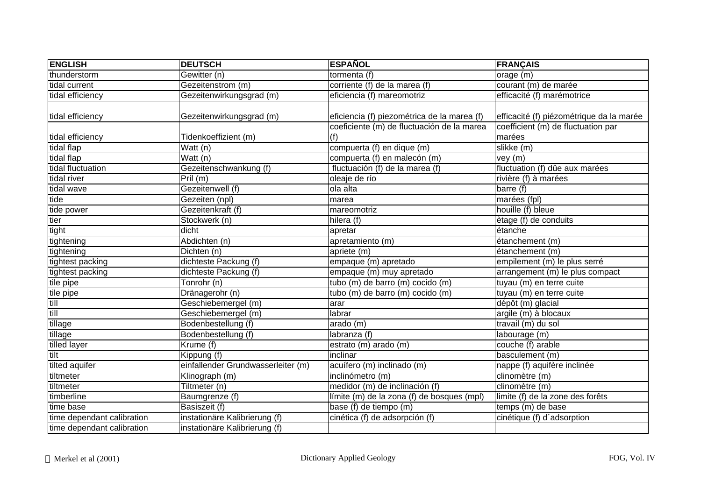| <b>ENGLISH</b>             | <b>DEUTSCH</b>                     | <b>ESPAÑOL</b>                              | <b>FRANÇAIS</b>                          |
|----------------------------|------------------------------------|---------------------------------------------|------------------------------------------|
| thunderstorm               | Gewitter (n)                       | tormenta (f)                                | orage (m)                                |
| tidal current              | Gezeitenstrom (m)                  | corriente (f) de la marea (f)               | courant (m) de marée                     |
| tidal efficiency           | Gezeitenwirkungsgrad (m)           | eficiencia (f) mareomotriz                  | efficacité (f) marémotrice               |
| tidal efficiency           | Gezeitenwirkungsgrad (m)           | eficiencia (f) piezométrica de la marea (f) | efficacité (f) piézométrique da la marée |
|                            |                                    | coeficiente (m) de fluctuación de la marea  | coefficient (m) de fluctuation par       |
| tidal efficiency           | Tidenkoeffizient (m)               | (f)                                         | marées                                   |
| tidal flap                 | Watt (n)                           | compuerta (f) en dique (m)                  | slikke (m)                               |
| tidal flap                 | Watt (n)                           | compuerta (f) en malecón (m)                | vey (m)                                  |
| tidal fluctuation          | Gezeitenschwankung (f)             | fluctuación (f) de la marea (f)             | fluctuation (f) dûe aux marées           |
| tidal river                | Pril (m)                           | oleaje de río                               | rivière (f) à marées                     |
| tidal wave                 | Gezeitenwell (f)                   | ola alta                                    | barre (f)                                |
| tide                       | Gezeiten (npl)                     | marea                                       | marées (fpl)                             |
| tide power                 | Gezeitenkraft (f)                  | mareomotriz                                 | houille (f) bleue                        |
| tier                       | Stockwerk (n)                      | hilera (f)                                  | ètage (f) de conduits                    |
| tight                      | dicht                              | apretar                                     | étanche                                  |
| tightening                 | Abdichten (n)                      | apretamiento (m)                            | étanchement (m)                          |
| tightening                 | Dichten (n)                        | apriete (m)                                 | étanchement (m)                          |
| tightest packing           | dichteste Packung (f)              | empaque (m) apretado                        | empilement (m) le plus serré             |
| tightest packing           | dichteste Packung (f)              | empaque (m) muy apretado                    | arrangement (m) le plus compact          |
| tile pipe                  | Tonrohr (n)                        | tubo (m) de barro (m) cocido (m)            | tuyau (m) en terre cuite                 |
| tile pipe                  | Dränagerohr (n)                    | tubo (m) de barro (m) cocido (m)            | tuyau (m) en terre cuite                 |
| till                       | Geschiebemergel (m)                | arar                                        | dépôt (m) glacial                        |
| till                       | Geschiebemergel (m)                | labrar                                      | argile (m) à blocaux                     |
| tillage                    | Bodenbestellung (f)                | arado (m)                                   | travail (m) du sol                       |
| tillage                    | Bodenbestellung (f)                | labranza (f)                                | labourage (m)                            |
| tilled layer               | Krume (f)                          | estrato (m) arado (m)                       | couche (f) arable                        |
| tilt                       | Kippung (f)                        | inclinar                                    | basculement (m)                          |
| tilted aquifer             | einfallender Grundwasserleiter (m) | acuífero (m) inclinado (m)                  | nappe (f) aquifère inclinée              |
| tiltmeter                  | Klinograph (m)                     | inclinómetro (m)                            | clinomètre (m)                           |
| tiltmeter                  | Tiltmeter (n)                      | medidor (m) de inclinación (f)              | clinomètre (m)                           |
| timberline                 | Baumgrenze (f)                     | límite (m) de la zona (f) de bosques (mpl)  | limite (f) de la zone des forêts         |
| time base                  | Basiszeit (f)                      | base (f) de tiempo (m)                      | temps (m) de base                        |
| time dependant calibration | instationäre Kalibrierung (f)      | cinética (f) de adsorpción (f)              | cinétique (f) d'adsorption               |
| time dependant calibration | instationäre Kalibrierung (f)      |                                             |                                          |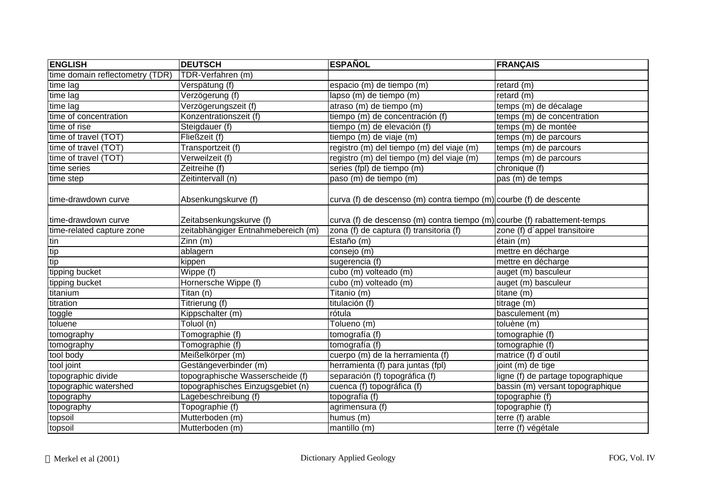| <b>ENGLISH</b>                  | <b>DEUTSCH</b>                     | <b>ESPAÑOL</b>                                                           | <b>FRANÇAIS</b>                         |
|---------------------------------|------------------------------------|--------------------------------------------------------------------------|-----------------------------------------|
| time domain reflectometry (TDR) | TDR-Verfahren (m)                  |                                                                          |                                         |
| time lag                        | Verspätung (f)                     | espacio (m) de tiempo (m)                                                | retard (m)                              |
| time lag                        | Verzögerung (f)                    | lapso (m) de tiempo (m)                                                  | retard (m)                              |
| time lag                        | Verzögerungszeit (f)               | atraso (m) de tiempo (m)                                                 | temps (m) de décalage                   |
| time of concentration           | Konzentrationszeit (f)             | tiempo (m) de concentración (f)                                          | temps $\overline{(m)}$ de concentration |
| time of rise                    | Steigdauer (f)                     | tiempo (m) de elevación (f)                                              | temps (m) de montée                     |
| time of travel (TOT)            | Fließzeit (f)                      | tiempo (m) de viaje (m)                                                  | temps (m) de parcours                   |
| time of travel (TOT)            | Transportzeit (f)                  | registro (m) del tiempo (m) del viaje (m)                                | temps (m) de parcours                   |
| time of travel (TOT)            | Verweilzeit (f)                    | registro (m) del tiempo (m) del viaje (m)                                | temps (m) de parcours                   |
| time series                     | Zeitreihe (f)                      | series (fpl) de tiempo (m)                                               | chronique (f)                           |
| time step                       | Zeitintervall (n)                  | paso (m) de tiempo (m)                                                   | pas (m) de temps                        |
| time-drawdown curve             | Absenkungskurve (f)                | curva (f) de descenso (m) contra tiempo (m) courbe (f) de descente       |                                         |
| time-drawdown curve             | Zeitabsenkungskurve (f)            | curva (f) de descenso (m) contra tiempo (m) courbe (f) rabattement-temps |                                         |
| time-related capture zone       | zeitabhängiger Entnahmebereich (m) | zona (f) de captura (f) transitoria (f)                                  | zone (f) d'appel transitoire            |
| tin                             | Zinn (m)                           | Estaño (m)                                                               | étain (m)                               |
| tip                             | ablagern                           | consejo (m)                                                              | mettre en décharge                      |
| tip                             | kippen                             | sugerencia (f)                                                           | mettre en décharge                      |
| tipping bucket                  | Wippe (f)                          | cubo (m) volteado (m)                                                    | auget (m) basculeur                     |
| tipping bucket                  | Hornersche Wippe (f)               | cubo (m) volteado (m)                                                    | auget (m) basculeur                     |
| titanium                        | Titan (n)                          | Titanio(m)                                                               | titane (m)                              |
| titration                       | Titrierung (f)                     | titulación (f)                                                           | titrage (m)                             |
| toggle                          | Kippschalter (m)                   | rótula                                                                   | basculement (m)                         |
| toluene                         | $\overline{\text{Toluol}}(n)$      | Tolueno (m)                                                              | toluène (m)                             |
| tomography                      | Tomographie (f)                    | tomografía (f)                                                           | tomographie (f)                         |
| tomography                      | Tomographie (f)                    | tomografía (f)                                                           | tomographie (f)                         |
| tool body                       | Meißelkörper (m)                   | cuerpo (m) de la herramienta (f)                                         | matrice (f) d'outil                     |
| tool joint                      | Gestängeverbinder (m)              | herramienta (f) para juntas (fpl)                                        | joint (m) de tige                       |
| topographic divide              | topographische Wasserscheide (f)   | separación (f) topográfica (f)                                           | ligne (f) de partage topographique      |
| topographic watershed           | topographisches Einzugsgebiet (n)  | cuenca (f) topográfica (f)                                               | bassin (m) versant topographique        |
| topography                      | Lagebeschreibung (f)               | topografía (f)                                                           | topographie (f)                         |
| topography                      | Topographie (f)                    | agrimensura (f)                                                          | topographie (f)                         |
| topsoil                         | Mutterboden (m)                    | humus (m)                                                                | terre (f) arable                        |
| topsoil                         | Mutterboden (m)                    | mantillo (m)                                                             | terre (f) végétale                      |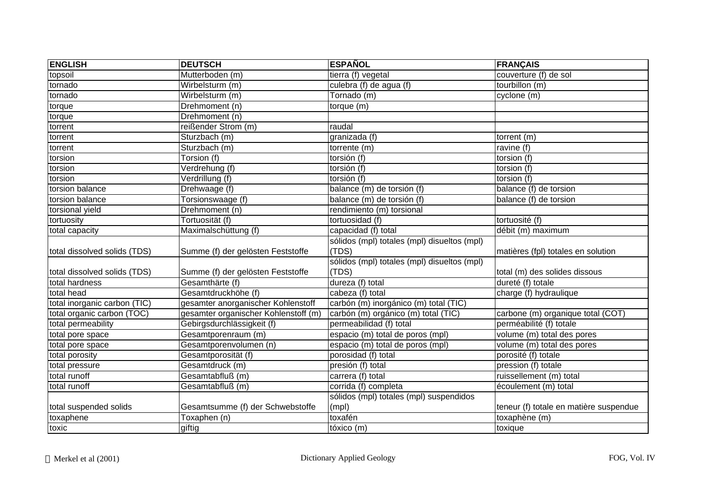| <b>ENGLISH</b>               | <b>DEUTSCH</b>                       | <b>ESPAÑOL</b>                              | <b>FRANÇAIS</b>                        |
|------------------------------|--------------------------------------|---------------------------------------------|----------------------------------------|
| topsoil                      | Mutterboden (m)                      | tierra (f) vegetal                          | couverture (f) de sol                  |
| tornado                      | Wirbelsturm (m)                      | culebra (f) de agua (f)                     | tourbillon (m)                         |
| tornado                      | Wirbelsturm (m)                      | Tornado (m)                                 | cyclone (m)                            |
| torque                       | Drehmoment (n)                       | torque (m)                                  |                                        |
| torque                       | Drehmoment (n)                       |                                             |                                        |
| torrent                      | reißender Strom (m)                  | raudal                                      |                                        |
| torrent                      | Sturzbach (m)                        | granizada $(t)$                             | torrent (m)                            |
| torrent                      | Sturzbach (m)                        | torrente (m)                                | ravine (f)                             |
| torsion                      | Torsion (f)                          | torsión (f)                                 | torsion (f)                            |
| torsion                      | Verdrehung (f)                       | torsión (f)                                 | torsion (f)                            |
| torsion                      | Verdrillung (f)                      | torsión (f)                                 | torsion (f)                            |
| torsion balance              | Drehwaage (f)                        | balance (m) de torsión (f)                  | balance (f) de torsion                 |
| torsion balance              | Torsionswaage (f)                    | balance (m) de torsión (f)                  | balance (f) de torsion                 |
| torsional yield              | Drehmoment (n)                       | rendimiento (m) torsional                   |                                        |
| tortuosity                   | Tortuosität (f)                      | tortuosidad (f)                             | tortuosité (f)                         |
| total capacity               | Maximalschüttung (f)                 | capacidad (f) total                         | débit (m) maximum                      |
|                              |                                      | sólidos (mpl) totales (mpl) disueltos (mpl) |                                        |
| total dissolved solids (TDS) | Summe (f) der gelösten Feststoffe    | (TDS)                                       | matières (fpl) totales en solution     |
|                              |                                      | sólidos (mpl) totales (mpl) disueltos (mpl) |                                        |
| total dissolved solids (TDS) | Summe (f) der gelösten Feststoffe    | (TDS)                                       | total (m) des solides dissous          |
| total hardness               | Gesamthärte (f)                      | dureza (f) total                            | dureté (f) totale                      |
| total head                   | Gesamtdruckhöhe (f)                  | cabeza (f) total                            | charge (f) hydraulique                 |
| total inorganic carbon (TIC) | gesamter anorganischer Kohlenstoff   | carbón (m) inorgánico (m) total (TIC)       |                                        |
| total organic carbon (TOC)   | gesamter organischer Kohlenstoff (m) | carbón (m) orgánico (m) total (TIC)         | carbone (m) organique total (COT)      |
| total permeability           | Gebirgsdurchlässigkeit (f)           | permeabilidad (f) total                     | perméabilité (f) totale                |
| total pore space             | Gesamtporenraum (m)                  | espacio (m) total de poros (mpl)            | volume (m) total des pores             |
| total pore space             | Gesamtporenvolumen (n)               | espacio (m) total de poros (mpl)            | volume (m) total des pores             |
| total porosity               | Gesamtporosität (f)                  | porosidad (f) total                         | porosité (f) totale                    |
| total pressure               | Gesamtdruck (m)                      | presión (f) total                           | pression (f) totale                    |
| total runoff                 | Gesamtabfluß (m)                     | carrera (f) total                           | ruissellement (m) total                |
| total runoff                 | Gesamtabfluß (m)                     | corrida (f) completa                        | écoulement (m) total                   |
|                              |                                      | sólidos (mpl) totales (mpl) suspendidos     |                                        |
| total suspended solids       | Gesamtsumme (f) der Schwebstoffe     | (mpl)                                       | teneur (f) totale en matière suspendue |
| toxaphene                    | Toxaphen (n)                         | toxafén                                     | toxaphène (m)                          |
| toxic                        | giftig                               | tóxico (m)                                  | toxique                                |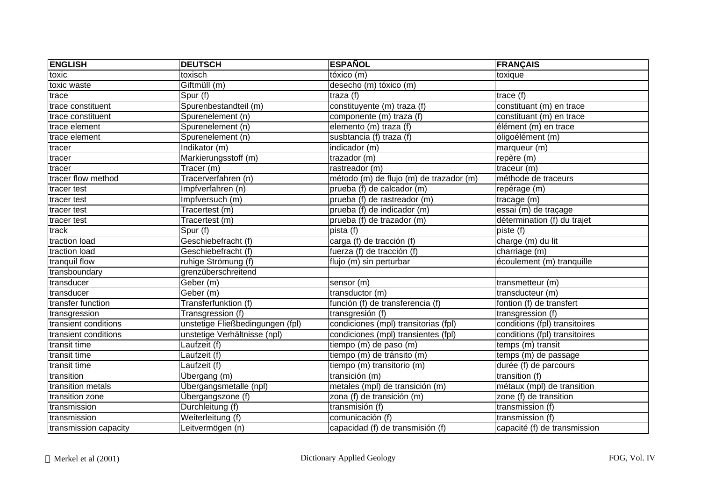| <b>ENGLISH</b>        | <b>DEUTSCH</b>                   | <b>ESPAÑOL</b>                          | <b>FRANÇAIS</b>               |
|-----------------------|----------------------------------|-----------------------------------------|-------------------------------|
| toxic                 | toxisch                          | tóxico (m)                              | toxique                       |
| toxic waste           | Giftmüll (m)                     | desecho (m) tóxico (m)                  |                               |
| trace                 | Spur (f)                         | traza (f)                               | trace $(f)$                   |
| trace constituent     | Spurenbestandteil (m)            | constituyente (m) traza (f)             | constituant (m) en trace      |
| trace constituent     | Spurenelement (n)                | componente (m) traza (f)                | constituant (m) en trace      |
| trace element         | Spurenelement (n)                | elemento (m) traza (f)                  | élément (m) en trace          |
| trace element         | Spurenelement (n)                | susbtancia (f) traza (f)                | oligoélément (m)              |
| tracer                | Indikator (m)                    | indicador (m)                           | marqueur (m)                  |
| tracer                | Markierungsstoff (m)             | trazador (m)                            | repère (m)                    |
| tracer                | Tracer (m)                       | rastreador (m)                          | traceur (m)                   |
| tracer flow method    | Tracerverfahren (n)              | método (m) de flujo (m) de trazador (m) | méthode de traceurs           |
| tracer test           | Impfverfahren (n)                | prueba (f) de calcador (m)              | repérage (m)                  |
| tracer test           | Impfversuch (m)                  | prueba (f) de rastreador (m)            | tracage (m)                   |
| tracer test           | Tracertest (m)                   | prueba (f) de indicador (m)             | essai (m) de traçage          |
| tracer test           | Tracertest (m)                   | prueba (f) de trazador (m)              | détermination (f) du trajet   |
| track                 | Spur (f)                         | pista (f)                               | piste (f)                     |
| traction load         | Geschiebefracht (f)              | carga (f) de tracción (f)               | charge (m) du lit             |
| traction load         | Geschiebefracht (f)              | fuerza (f) de tracción (f)              | charriage (m)                 |
| tranquil flow         | ruhige Strömung (f)              | flujo (m) sin perturbar                 | écoulement (m) tranquille     |
| transboundary         | grenzüberschreitend              |                                         |                               |
| transducer            | Geber (m)                        | sensor (m)                              | transmetteur (m)              |
| transducer            | Geber (m)                        | transductor (m)                         | transducteur (m)              |
| transfer function     | Transferfunktion (f)             | función (f) de transferencia (f)        | fontion (f) de transfert      |
| transgression         | Transgression (f)                | transgresión (f)                        | transgression (f)             |
| transient conditions  | unstetige Fließbedingungen (fpl) | condiciones (mpl) transitorias (fpl)    | conditions (fpl) transitoires |
| transient conditions  | unstetige Verhältnisse (npl)     | condiciones (mpl) transientes (fpl)     | conditions (fpl) transitoires |
| transit time          | Laufzeit (f)                     | tiempo (m) de paso (m)                  | temps (m) transit             |
| transit time          | Laufzeit (f)                     | tiempo (m) de tránsito (m)              | temps (m) de passage          |
| transit time          | Laufzeit (f)                     | tiempo (m) transitorio (m)              | durée (f) de parcours         |
| transition            | Übergang (m)                     | transición (m)                          | transition $(f)$              |
| transition metals     | Übergangsmetalle (npl)           | metales (mpl) de transición (m)         | métaux (mpl) de transition    |
| transition zone       | Übergangszone (f)                | zona (f) de transición (m)              | zone (f) de transition        |
| transmission          | Durchleitung (f)                 | transmisión (f)                         | transmission (f)              |
| transmission          | Weiterleitung (f)                | comunicación (f)                        | transmission (f)              |
| transmission capacity | Leitvermögen (n)                 | capacidad (f) de transmisión (f)        | capacité (f) de transmission  |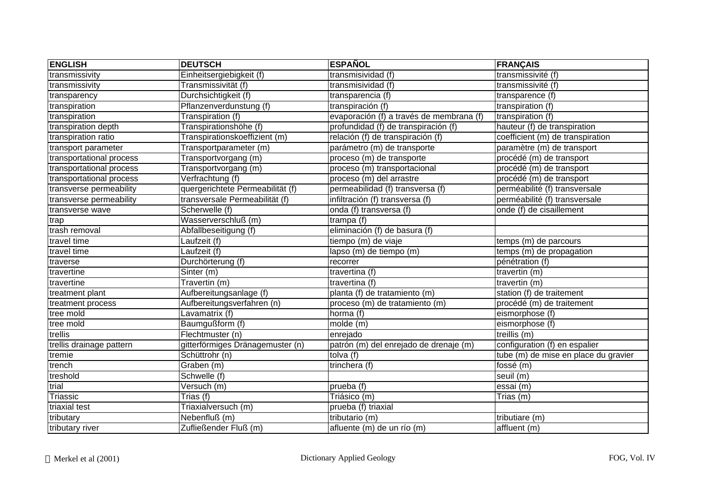| <b>ENGLISH</b>           | <b>DEUTSCH</b>                   | <b>ESPAÑOL</b>                           | <b>FRANÇAIS</b>                      |
|--------------------------|----------------------------------|------------------------------------------|--------------------------------------|
| transmissivity           | Einheitsergiebigkeit (f)         | transmisividad (f)                       | transmissivité (f)                   |
| transmissivity           | Transmissivität (f)              | transmisividad (f)                       | transmissivité (f)                   |
| transparency             | Durchsichtigkeit (f)             | transparencia (f)                        | transparence (f)                     |
| transpiration            | Pflanzenverdunstung (f)          | transpiración (f)                        | transpiration (f)                    |
| transpiration            | Transpiration (f)                | evaporación (f) a través de membrana (f) | transpiration (f)                    |
| transpiration depth      | Transpirationshöhe (f)           | profundidad (f) de transpiración (f)     | hauteur (f) de transpiration         |
| transpiration ratio      | Transpirationskoeffizient (m)    | relación (f) de transpiración (f)        | coefficient (m) de transpiration     |
| transport parameter      | Transportparameter (m)           | parámetro (m) de transporte              | paramètre (m) de transport           |
| transportational process | Transportvorgang (m)             | proceso (m) de transporte                | procédé (m) de transport             |
| transportational process | Transportvorgang (m)             | proceso (m) transportacional             | procédé (m) de transport             |
| transportational process | Verfrachtung (f)                 | proceso (m) del arrastre                 | procédé (m) de transport             |
| transverse permeability  | quergerichtete Permeabilität (f) | permeabilidad (f) transversa (f)         | perméabilité (f) transversale        |
| transverse permeability  | transversale Permeabilität (f)   | infiltración (f) transversa (f)          | perméabilité (f) transversale        |
| transverse wave          | Scherwelle (f)                   | onda (f) transversa (f)                  | onde (f) de cisaillement             |
| trap                     | Wasserverschluß (m)              | trampa (f)                               |                                      |
| trash removal            | Abfallbeseitigung (f)            | eliminación (f) de basura (f)            |                                      |
| travel time              | Laufzeit (f)                     | tiempo (m) de viaje                      | temps (m) de parcours                |
| travel time              | Laufzeit (f)                     | lapso (m) de tiempo (m)                  | temps (m) de propagation             |
| traverse                 | Durchörterung (f)                | recorrer                                 | pénétration (f)                      |
| travertine               | Sinter (m)                       | travertina (f)                           | travertin (m)                        |
| travertine               | Travertin (m)                    | travertina (f)                           | travertin (m)                        |
| treatment plant          | Aufbereitungsanlage (f)          | planta (f) de tratamiento (m)            | station (f) de traitement            |
| treatment process        | Aufbereitungsverfahren (n)       | proceso (m) de tratamiento (m)           | procédé (m) de traitement            |
| tree mold                | Lavamatrix (f)                   | horma (f)                                | eismorphose (f)                      |
| tree mold                | Baumgußform (f)                  | molde (m)                                | eismorphose (f)                      |
| trellis                  | Flechtmuster (n)                 | enrejado                                 | treillis (m)                         |
| trellis drainage pattern | gitterförmiges Dränagemuster (n) | patrón (m) del enrejado de drenaje (m)   | configuration (f) en espalier        |
| tremie                   | Schüttrohr (n)                   | tolva (f)                                | tube (m) de mise en place du gravier |
| trench                   | Graben (m)                       | trinchera (f)                            | fossé (m)                            |
| treshold                 | Schwelle (f)                     |                                          | seuil (m)                            |
| trial                    | Versuch (m)                      | prueba (f)                               | essai (m)                            |
| Triassic                 | Trias (f)                        | Triásico $(m)$                           | Trias (m)                            |
| triaxial test            | Triaxialversuch (m)              | prueba (f) triaxial                      |                                      |
| tributary                | Nebenfluß (m)                    | tributario (m)                           | tributiare (m)                       |
| tributary river          | Zufließender Fluß (m)            | afluente (m) de un río (m)               | affluent (m)                         |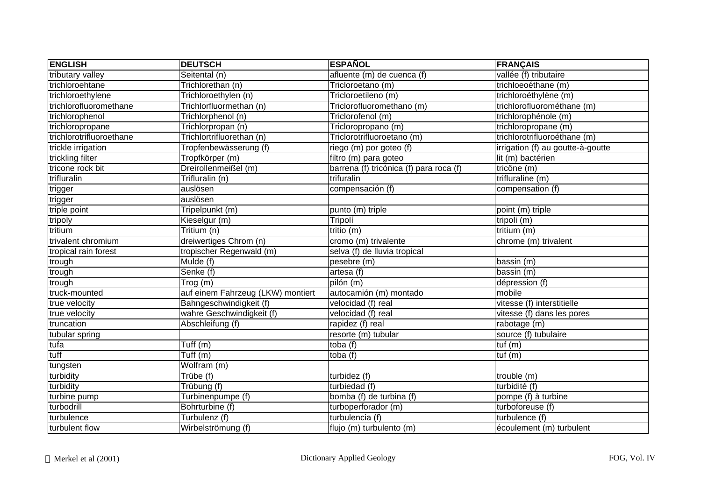| <b>ENGLISH</b>           | <b>DEUTSCH</b>                    | <b>ESPAÑOL</b>                          | <b>FRANÇAIS</b>                   |
|--------------------------|-----------------------------------|-----------------------------------------|-----------------------------------|
| tributary valley         | Seitental (n)                     | afluente (m) de cuenca (f)              | vallée (f) tributaire             |
| trichloroehtane          | Trichlorethan (n)                 | Tricloroetano (m)                       | trichloeoéthane (m)               |
| trichloroethylene        | Trichloroethylen (n)              | Tricloroetileno (m)                     | trichloroéthylène (m)             |
| trichlorofluoromethane   | Trichlorfluormethan (n)           | Triclorofluoromethano (m)               | trichlorofluorométhane (m)        |
| trichlorophenol          | Trichlorphenol (n)                | Triclorofenol (m)                       | trichlorophénole (m)              |
| trichloropropane         | Trichlorpropan (n)                | Tricloropropano (m)                     | trichloropropane (m)              |
| trichlorotrifluoroethane | Trichlortrifluorethan (n)         | Triclorotrifluoroetano (m)              | trichlorotrifluoroéthane (m)      |
| trickle irrigation       | Tropfenbewässerung (f)            | riego (m) por goteo (f)                 | irrigation (f) au goutte-à-goutte |
| trickling filter         | Tropfkörper (m)                   | filtro (m) para goteo                   | lit (m) bactérien                 |
| tricone rock bit         | Dreirollenmeißel (m)              | barrena (f) tricónica (f) para roca (f) | tricône (m)                       |
| trifluralin              | Trifluralin (n)                   | trifuralin                              | trifluraline (m)                  |
| trigger                  | auslösen                          | compensación (f)                        | compensation (f)                  |
| trigger                  | auslösen                          |                                         |                                   |
| triple point             | Tripelpunkt (m)                   | punto (m) triple                        | point (m) triple                  |
| tripoly                  | Kieselgur (m)                     | Tripolí                                 | tripoli (m)                       |
| tritium                  | Tritium (n)                       | tritio (m)                              | tritium $(m)$                     |
| trivalent chromium       | dreiwertiges Chrom (n)            | cromo (m) trivalente                    | chrome (m) trivalent              |
| tropical rain forest     | tropischer Regenwald (m)          | selva (f) de lluvia tropical            |                                   |
| trough                   | Mulde (f)                         | pesebre (m)                             | bassin (m)                        |
| trough                   | Senke (f)                         | artesa (f)                              | bassin (m)                        |
| trough                   | Trog (m)                          | pilón (m)                               | dépression (f)                    |
| truck-mounted            | auf einem Fahrzeug (LKW) montiert | autocamión (m) montado                  | mobile                            |
| true velocity            | Bahngeschwindigkeit (f)           | velocidad (f) real                      | vitesse (f) interstitielle        |
| true velocity            | wahre Geschwindigkeit (f)         | velocidad (f) real                      | vitesse (f) dans les pores        |
| truncation               | Abschleifung (f)                  | rapidez (f) real                        | rabotage (m)                      |
| tubular spring           |                                   | resorte (m) tubular                     | source (f) tubulaire              |
| tufa                     | Tuff $(m)$                        | toba $(f)$                              | tuf $(m)$                         |
| tuff                     | Tuff $(m)$                        | toba (f)                                | tuf (m)                           |
| tungsten                 | Wolfram (m)                       |                                         |                                   |
| turbidity                | Trübe (f)                         | turbidez (f)                            | trouble (m)                       |
| turbidity                | Trübung (f)                       | turbiedad (f)                           | turbidité (f)                     |
| turbine pump             | Turbinenpumpe (f)                 | bomba (f) de turbina (f)                | pompe (f) à turbine               |
| turbodrill               | Bohrturbine (f)                   | turboperforador (m)                     | turboforeuse (f)                  |
| turbulence               | Turbulenz (f)                     | turbulencia (f)                         | turbulence (f)                    |
| turbulent flow           | Wirbelströmung (f)                | flujo (m) turbulento (m)                | écoulement (m) turbulent          |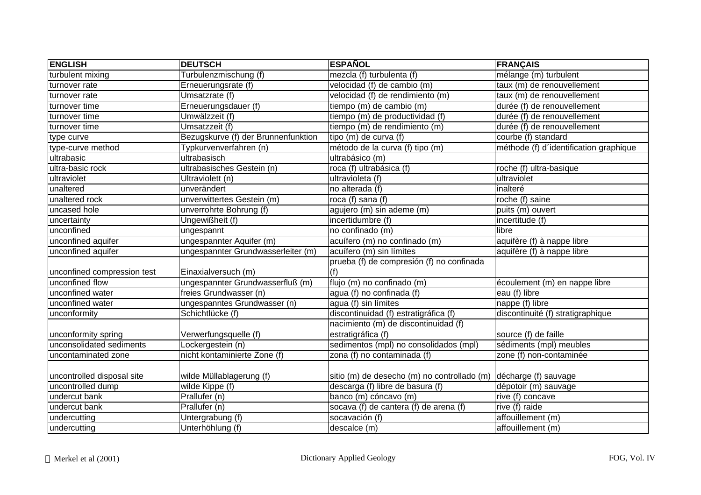| <b>ENGLISH</b>              | <b>DEUTSCH</b>                      | <b>ESPAÑOL</b>                                                   | <b>FRANÇAIS</b>                        |
|-----------------------------|-------------------------------------|------------------------------------------------------------------|----------------------------------------|
| turbulent mixing            | Turbulenzmischung (f)               | mezcla (f) turbulenta (f)                                        | mélange (m) turbulent                  |
| turnover rate               | Erneuerungsrate (f)                 | velocidad (f) de cambio (m)                                      | taux (m) de renouvellement             |
| turnover rate               | Umsatzrate (f)                      | velocidad (f) de rendimiento (m)                                 | taux (m) de renouvellement             |
| turnover time               | Erneuerungsdauer (f)                | tiempo (m) de cambio (m)                                         | durée (f) de renouvellement            |
| turnover time               | Umwälzzeit (f)                      | tiempo (m) de productividad (f)                                  | durée (f) de renouvellement            |
| turnover time               | Umsatzzeit (f)                      | tiempo (m) de rendimiento (m)                                    | durée (f) de renouvellement            |
| type curve                  | Bezugskurve (f) der Brunnenfunktion | tipo (m) de curva (f)                                            | courbe (f) standard                    |
| type-curve method           | Typkurvenverfahren (n)              | método de la curva (f) tipo (m)                                  | méthode (f) d'identification graphique |
| ultrabasic                  | ultrabasisch                        | ultrabásico (m)                                                  |                                        |
| ultra-basic rock            | ultrabasisches Gestein (n)          | roca (f) ultrabásica (f)                                         | roche (f) ultra-basique                |
| ultraviolet                 | Ultraviolett (n)                    | ultravioleta (f)                                                 | ultraviolet                            |
| unaltered                   | unverändert                         | no alterada (f)                                                  | inalteré                               |
| unaltered rock              | unverwittertes Gestein (m)          | roca (f) sana (f)                                                | roche (f) saine                        |
| uncased hole                | unverrohrte Bohrung (f)             | agujero (m) sin ademe (m)                                        | puits (m) ouvert                       |
| uncertainty                 | Ungewißheit (f)                     | incertidumbre (f)                                                | incertitude (f)                        |
| unconfined                  | ungespannt                          | no confinado (m)                                                 | libre                                  |
| unconfined aquifer          | ungespannter Aquifer (m)            | acuífero (m) no confinado (m)                                    | aquifère (f) à nappe libre             |
| unconfined aquifer          | ungespannter Grundwasserleiter (m)  | acuífero (m) sin límites                                         | aquifère (f) à nappe libre             |
|                             |                                     | prueba (f) de compresión (f) no confinada                        |                                        |
| unconfined compression test | Einaxialversuch (m)                 | (f)                                                              |                                        |
| unconfined flow             | ungespannter Grundwasserfluß (m)    | flujo (m) no confinado (m)                                       | écoulement (m) en nappe libre          |
| unconfined water            | freies Grundwasser (n)              | agua (f) no confinada (f)                                        | eau (f) libre                          |
| unconfined water            | ungespanntes Grundwasser (n)        | agua (f) sin límites                                             | nappe (f) libre                        |
| unconformity                | Schichtlücke (f)                    | discontinuidad (f) estratigráfica (f)                            | discontinuité (f) stratigraphique      |
|                             |                                     | nacimiento (m) de discontinuidad (f)                             |                                        |
| unconformity spring         | Verwerfungsquelle (f)               | estratigráfica (f)                                               | source (f) de faille                   |
| unconsolidated sediments    | Lockergestein (n)                   | sedimentos (mpl) no consolidados (mpl)                           | sédiments (mpl) meubles                |
| uncontaminated zone         | nicht kontaminierte Zone (f)        | zona (f) no contaminada (f)                                      | zone (f) non-contaminée                |
|                             |                                     |                                                                  |                                        |
| uncontrolled disposal site  | wilde Müllablagerung (f)            | sitio (m) de desecho (m) no controllado (m) décharge (f) sauvage |                                        |
| uncontrolled dump           | wilde Kippe (f)                     | descarga (f) libre de basura (f)                                 | dépotoir (m) sauvage                   |
| undercut bank               | Prallufer (n)                       | banco (m) cóncavo (m)                                            | rive (f) concave                       |
| undercut bank               | Prallufer (n)                       | socava (f) de cantera (f) de arena (f)                           | rive (f) raide                         |
| undercutting                | Untergrabung (f)                    | socavación (f)                                                   | affouillement (m)                      |
| undercutting                | Unterhöhlung (f)                    | descalce (m)                                                     | affouillement (m)                      |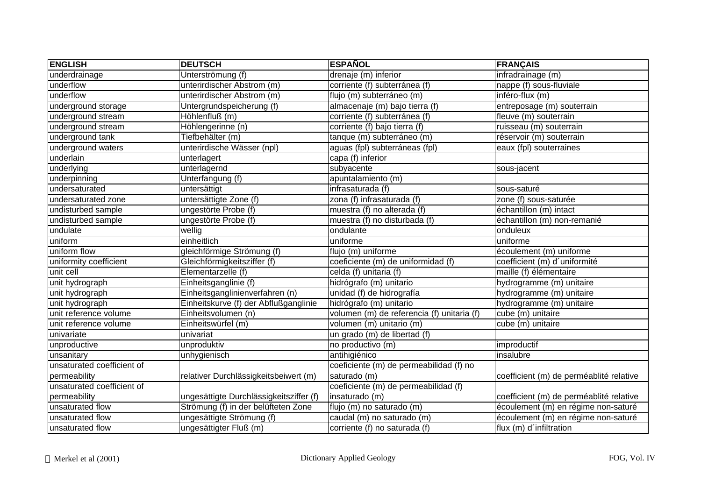| <b>ENGLISH</b>             | <b>DEUTSCH</b>                          | <b>ESPAÑOL</b>                             | <b>FRANÇAIS</b>                         |
|----------------------------|-----------------------------------------|--------------------------------------------|-----------------------------------------|
| underdrainage              | Unterströmung (f)                       | drenaje (m) inferior                       | infradrainage (m)                       |
| underflow                  | unterirdischer Abstrom (m)              | corriente (f) subterránea (f)              | nappe (f) sous-fluviale                 |
| underflow                  | unterirdischer Abstrom (m)              | flujo (m) subterráneo (m)                  | inféro-flux (m)                         |
| underground storage        | Untergrundspeicherung (f)               | almacenaje (m) bajo tierra (f)             | entreposage (m) souterrain              |
| underground stream         | Höhlenfluß (m)                          | corriente (f) subterránea (f)              | fleuve (m) souterrain                   |
| underground stream         | Höhlengerinne (n)                       | corriente (f) bajo tierra (f)              | ruisseau (m) souterrain                 |
| underground tank           | Tiefbehälter (m)                        | tanque (m) subterráneo (m)                 | réservoir (m) souterrain                |
| underground waters         | unterirdische Wässer (npl)              | aguas (fpl) subterráneas (fpl)             | eaux (fpl) souterraines                 |
| underlain                  | unterlagert                             | capa (f) inferior                          |                                         |
| underlying                 | unterlagernd                            | subyacente                                 | sous-jacent                             |
| underpinning               | Unterfangung (f)                        | apuntalamiento (m)                         |                                         |
| undersaturated             | untersättigt                            | infrasaturada (f)                          | sous-saturé                             |
| undersaturated zone        | untersättigte Zone (f)                  | zona (f) infrasaturada (f)                 | zone (f) sous-saturée                   |
| undisturbed sample         | ungestörte Probe (f)                    | muestra (f) no alterada (f)                | échantillon (m) intact                  |
| undisturbed sample         | ungestörte Probe (f)                    | muestra (f) no disturbada (f)              | échantillon (m) non-remanié             |
| undulate                   | wellig                                  | ondulante                                  | onduleux                                |
| uniform                    | einheitlich                             | uniforme                                   | uniforme                                |
| uniform flow               | gleichförmige Strömung (f)              | flujo (m) uniforme                         | écoulement (m) uniforme                 |
| uniformity coefficient     | Gleichförmigkeitsziffer (f)             | coeficiente (m) de uniformidad (f)         | coefficient (m) d'uniformité            |
| unit cell                  | Elementarzelle (f)                      | celda (f) unitaria (f)                     | maille (f) élémentaire                  |
| unit hydrograph            | Einheitsganglinie (f)                   | hidrógrafo (m) unitario                    | hydrogramme (m) unitaire                |
| unit hydrograph            | Einheitsganglinienverfahren (n)         | unidad (f) de hidrografía                  | hydrogramme (m) unitaire                |
| unit hydrograph            | Einheitskurve (f) der Abflußganglinie   | hidrógrafo (m) unitario                    | hydrogramme (m) unitaire                |
| unit reference volume      | Einheitsvolumen (n)                     | volumen (m) de referencia (f) unitaria (f) | cube (m) unitaire                       |
| unit reference volume      | Einheitswürfel (m)                      | volumen (m) unitario (m)                   | cube (m) unitaire                       |
| univariate                 | univariat                               | un grado (m) de libertad (f)               |                                         |
| unproductive               | unproduktiv                             | no productivo (m)                          | improductif                             |
| unsanitary                 | unhygienisch                            | antihigiénico                              | insalubre                               |
| unsaturated coefficient of |                                         | coeficiente (m) de permeabilidad (f) no    |                                         |
| permeability               | relativer Durchlässigkeitsbeiwert (m)   | saturado (m)                               | coefficient (m) de perméablité relative |
| unsaturated coefficient of |                                         | coeficiente (m) de permeabilidad (f)       |                                         |
| permeability               | ungesättigte Durchlässigkeitsziffer (f) | insaturado (m)                             | coefficient (m) de perméablité relative |
| unsaturated flow           | Strömung (f) in der belüfteten Zone     | flujo (m) no saturado (m)                  | écoulement (m) en régime non-saturé     |
| unsaturated flow           | ungesättigte Strömung (f)               | caudal (m) no saturado (m)                 | écoulement (m) en régime non-saturé     |
| unsaturated flow           | ungesättigter Fluß (m)                  | corriente (f) no saturada (f)              | flux (m) d'infiltration                 |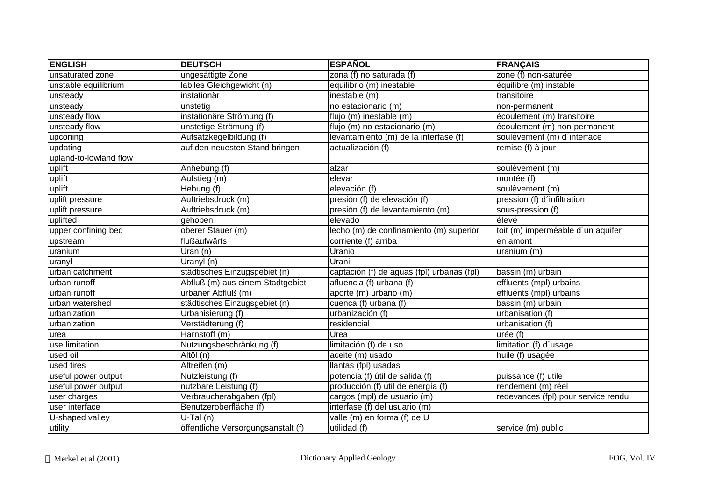| <b>ENGLISH</b>         | <b>DEUTSCH</b>                     | <b>ESPAÑOL</b>                             | <b>FRANÇAIS</b>                     |
|------------------------|------------------------------------|--------------------------------------------|-------------------------------------|
| unsaturated zone       | ungesättigte Zone                  | zona (f) no saturada (f)                   | zone (f) non-saturée                |
| unstable equilibrium   | labiles Gleichgewicht (n)          | equilibrio (m) inestable                   | équilibre (m) instable              |
| unsteady               | instationär                        | inestable (m)                              | transitoire                         |
| unsteady               | unstetig                           | no estacionario (m)                        | non-permanent                       |
| unsteady flow          | instationäre Strömung (f)          | flujo (m) inestable (m)                    | écoulement (m) transitoire          |
| unsteady flow          | unstetige Strömung (f)             | flujo (m) no estacionario (m)              | écoulement (m) non-permanent        |
| upconing               | Aufsatzkegelbildung (f)            | levantamiento (m) de la interfase (f)      | soulèvement (m) d'interface         |
| updating               | auf den neuesten Stand bringen     | actualización (f)                          | remise (f) à jour                   |
| upland-to-lowland flow |                                    |                                            |                                     |
| uplift                 | Anhebung (f)                       | alzar                                      | soulèvement (m)                     |
| uplift                 | Aufstieg (m)                       | elevar                                     | montée (f)                          |
| uplift                 | Hebung (f)                         | elevación (f)                              | soulèvement (m)                     |
| uplift pressure        | Auftriebsdruck (m)                 | presión (f) de elevación (f)               | pression (f) d'infiltration         |
| uplift pressure        | Auftriebsdruck (m)                 | presión (f) de levantamiento (m)           | sous-pression (f)                   |
| uplifted               | gehoben                            | elevado                                    | élevé                               |
| upper confining bed    | oberer Stauer (m)                  | lecho (m) de confinamiento (m) superior    | toit (m) imperméable d'un aquifer   |
| upstream               | flußaufwärts                       | corriente (f) arriba                       | en amont                            |
| uranium                | Uran (n)                           | Uranio                                     | uranium (m)                         |
| uranyl                 | Uranyl (n)                         | Uranil                                     |                                     |
| urban catchment        | städtisches Einzugsgebiet (n)      | captación (f) de aguas (fpl) urbanas (fpl) | bassin (m) urbain                   |
| urban runoff           | Abfluß (m) aus einem Stadtgebiet   | afluencia (f) urbana (f)                   | effluents (mpl) urbains             |
| urban runoff           | urbaner Abfluß (m)                 | aporte (m) urbano (m)                      | effluents (mpl) urbains             |
| urban watershed        | städtisches Einzugsgebiet (n)      | cuenca (f) urbana (f)                      | bassin (m) urbain                   |
| urbanization           | Urbanisierung (f)                  | urbanización (f)                           | urbanisation (f)                    |
| urbanization           | Verstädterung (f)                  | residencial                                | urbanisation (f)                    |
| urea                   | Harnstoff (m)                      | Urea                                       | urée (f)                            |
| use limitation         | Nutzungsbeschränkung (f)           | limitación (f) de uso                      | limitation (f) d'usage              |
| used oil               | Altöl (n)                          | aceite (m) usado                           | huile (f) usagée                    |
| used tires             | Altreifen (m)                      | llantas (fpl) usadas                       |                                     |
| useful power output    | Nutzleistung (f)                   | potencia (f) útil de salida (f)            | puissance (f) utile                 |
| useful power output    | nutzbare Leistung (f)              | producción (f) útil de energía (f)         | rendement (m) réel                  |
| user charges           | Verbraucherabgaben (fpl)           | cargos (mpl) de usuario (m)                | redevances (fpl) pour service rendu |
| user interface         | Benutzeroberfläche (f)             | interfase (f) del usuario (m)              |                                     |
| U-shaped valley        | $U-Tal(n)$                         | valle (m) en forma (f) de U                |                                     |
| utility                | öffentliche Versorgungsanstalt (f) | utilidad (f)                               | service (m) public                  |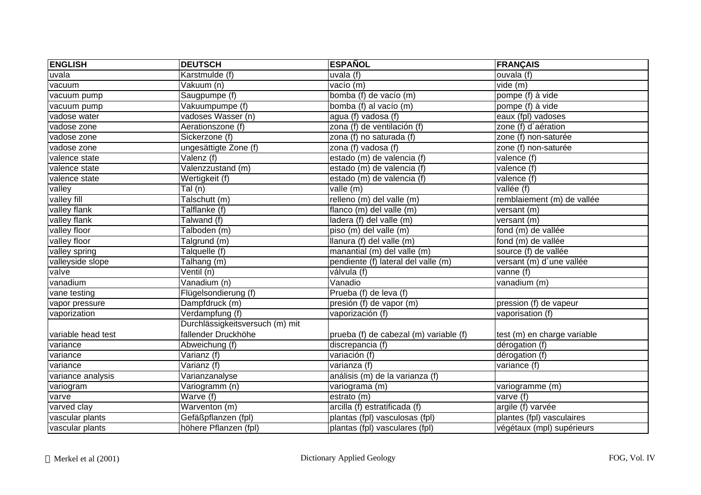| <b>ENGLISH</b>     | <b>DEUTSCH</b>                      | <b>ESPAÑOL</b>                         | <b>FRANÇAIS</b>             |
|--------------------|-------------------------------------|----------------------------------------|-----------------------------|
| uvala              | Karstmulde (f)                      | uvala (f)                              | ouvala (f)                  |
| vacuum             | Vakuum (n)                          | vacío (m)                              | vide (m)                    |
| vacuum pump        | Saugpumpe (f)                       | bomba (f) de vacío (m)                 | pompe (f) à vide            |
| vacuum pump        | Vakuumpumpe (f)                     | bomba (f) al vacío (m)                 | pompe (f) à vide            |
| vadose water       | vadoses Wasser (n)                  | agua (f) vadosa (f)                    | eaux (fpl) vadoses          |
| vadose zone        | Aerationszone (f)                   | zona (f) de ventilación (f)            | zone (f) d'aération         |
| vadose zone        | Sickerzone (f)                      | zona (f) no saturada (f)               | zone (f) non-saturée        |
| vadose zone        | ungesättigte Zone (f)               | zona (f) vadosa (f)                    | zone (f) non-saturée        |
| valence state      | Valenz (f)                          | estado (m) de valencia (f)             | valence (f)                 |
| valence state      | Valenzzustand (m)                   | estado (m) de valencia (f)             | valence (f)                 |
| valence state      | Wertigkeit (f)                      | estado (m) de valencia (f)             | valence (f)                 |
| valley             | Tal (n)                             | valle (m)                              | vallée (f)                  |
| valley fill        | Talschutt (m)                       | relleno (m) del valle (m)              | remblaiement (m) de vallée  |
| valley flank       | Talflanke (f)                       | flanco (m) del valle (m)               | versant (m)                 |
| valley flank       | Talwand (f)                         | ladera (f) del valle (m)               | versant (m)                 |
| valley floor       | Talboden (m)                        | piso (m) del valle (m)                 | fond (m) de vallée          |
| valley floor       | $\overline{\mathsf{T}}$ algrund (m) | llanura (f) del valle (m)              | fond (m) de vallée          |
| valley spring      | Talquelle (f)                       | manantial (m) del valle (m)            | source (f) de vallée        |
| valleyside slope   | Talhang (m)                         | pendiente (f) lateral del valle (m)    | versant (m) d'une vallée    |
| valve              | Ventil (n)                          | válvula (f)                            | vanne (f)                   |
| vanadium           | Vanadium (n)                        | Vanadio                                | vanadium (m)                |
| vane testing       | Flügelsondierung (f)                | Prueba (f) de leva (f)                 |                             |
| vapor pressure     | Dampfdruck (m)                      | presión (f) de vapor (m)               | pression (f) de vapeur      |
| vaporization       | Verdampfung (f)                     | vaporización (f)                       | vaporisation (f)            |
|                    | Durchlässigkeitsversuch (m) mit     |                                        |                             |
| variable head test | fallender Druckhöhe                 | prueba (f) de cabezal (m) variable (f) | test (m) en charge variable |
| variance           | Abweichung (f)                      | discrepancia (f)                       | dérogation (f)              |
| variance           | Varianz (f)                         | variación (f)                          | dérogation (f)              |
| variance           | Varianz (f)                         | varianza (f)                           | $\overline{variance}$ (f)   |
| variance analysis  | Varianzanalyse                      | análisis (m) de la varianza (f)        |                             |
| variogram          | Variogramm (n)                      | variograma (m)                         | variogramme (m)             |
| varve              | $\overline{\text{Wave}}$ (f)        | estrato (m)                            | varve $(f)$                 |
| varved clay        | Warventon (m)                       | arcilla (f) estratificada (f)          | argile (f) varvée           |
| vascular plants    | Gefäßpflanzen (fpl)                 | plantas (fpl) vasculosas (fpl)         | plantes (fpl) vasculaires   |
| vascular plants    | höhere Pflanzen (fpl)               | plantas (fpl) vasculares (fpl)         | végétaux (mpl) supérieurs   |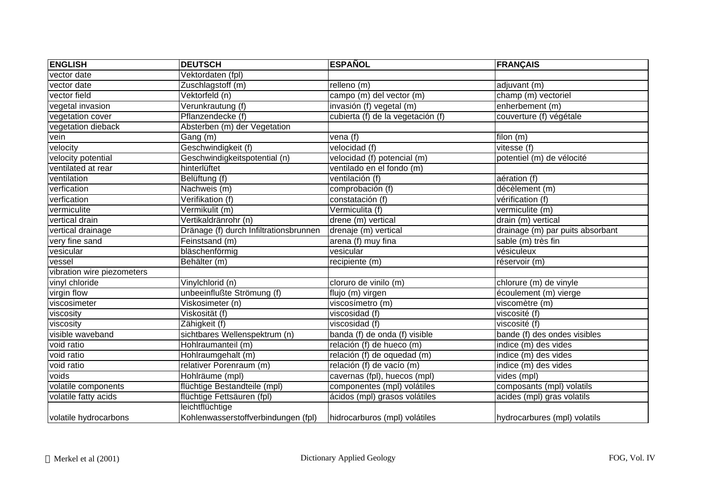| <b>ENGLISH</b>             | <b>DEUTSCH</b>                         | <b>ESPAÑOL</b>                    | <b>FRANÇAIS</b>                  |
|----------------------------|----------------------------------------|-----------------------------------|----------------------------------|
| vector date                | Vektordaten (fpl)                      |                                   |                                  |
| vector date                | Zuschlagstoff (m)                      | relleno (m)                       | adjuvant (m)                     |
| vector field               | Vektorfeld (n)                         | campo (m) del vector (m)          | champ (m) vectoriel              |
| vegetal invasion           | Verunkrautung (f)                      | invasión (f) vegetal (m)          | enherbement (m)                  |
| vegetation cover           | Pflanzendecke (f)                      | cubierta (f) de la vegetación (f) | couverture (f) végétale          |
| vegetation dieback         | Absterben (m) der Vegetation           |                                   |                                  |
| vein                       | Gang (m)                               | vena (f)                          | filon (m)                        |
| velocity                   | Geschwindigkeit (f)                    | velocidad (f)                     | vitesse (f)                      |
| velocity potential         | Geschwindigkeitspotential (n)          | velocidad (f) potencial (m)       | potentiel (m) de vélocité        |
| ventilated at rear         | hinterlüftet                           | ventilado en el fondo (m)         |                                  |
| ventilation                | Belüftung (f)                          | ventilación (f)                   | aération (f)                     |
| verfication                | Nachweis (m)                           | comprobación (f)                  | décèlement (m)                   |
| verfication                | Verifikation (f)                       | constatación (f)                  | vérification (f)                 |
| vermiculite                | Vermikulit (m)                         | Vermiculita (f)                   | vermiculite (m)                  |
| vertical drain             | Vertikaldränrohr (n)                   | drene (m) vertical                | drain (m) vertical               |
| vertical drainage          | Dränage (f) durch Infiltrationsbrunnen | drenaje (m) vertical              | drainage (m) par puits absorbant |
| very fine sand             | Feinstsand (m)                         | arena (f) muy fina                | sable (m) très fin               |
| vesicular                  | bläschenförmig                         | vesicular                         | vésiculeux                       |
| vessel                     | Behälter (m)                           | recipiente (m)                    | réservoir (m)                    |
| vibration wire piezometers |                                        |                                   |                                  |
| vinyl chloride             | Vinylchlorid (n)                       | cloruro de vinilo (m)             | chlorure (m) de vinyle           |
| virgin flow                | unbeeinflußte Strömung (f)             | flujo (m) virgen                  | écoulement (m) vierge            |
| viscosimeter               | Viskosimeter (n)                       | viscosímetro (m)                  | viscomètre (m)                   |
| viscosity                  | Viskosität (f)                         | viscosidad (f)                    | viscosité (f)                    |
| viscosity                  | Zähigkeit (f)                          | viscosidad (f)                    | viscosité (f)                    |
| visible waveband           | sichtbares Wellenspektrum (n)          | banda $(f)$ de onda $(f)$ visible | bande $(t)$ des ondes visibles   |
| void ratio                 | Hohlraumanteil (m)                     | relación (f) de hueco (m)         | indice (m) des vides             |
| void ratio                 | Hohlraumgehalt (m)                     | relación (f) de oquedad (m)       | indice (m) des vides             |
| void ratio                 | relativer Porenraum (m)                | relación (f) de vacío (m)         | indice (m) des vides             |
| voids                      | Hohlräume (mpl)                        | cavernas (fpl), huecos (mpl)      | vides (mpl)                      |
| volatile components        | flüchtige Bestandteile (mpl)           | componentes (mpl) volátiles       | composants (mpl) volatils        |
| volatile fatty acids       | flüchtige Fettsäuren (fpl)             | ácidos (mpl) grasos volátiles     | acides (mpl) gras volatils       |
|                            | leichtflüchtige                        |                                   |                                  |
| volatile hydrocarbons      | Kohlenwasserstoffverbindungen (fpl)    | hidrocarburos (mpl) volátiles     | hydrocarbures (mpl) volatils     |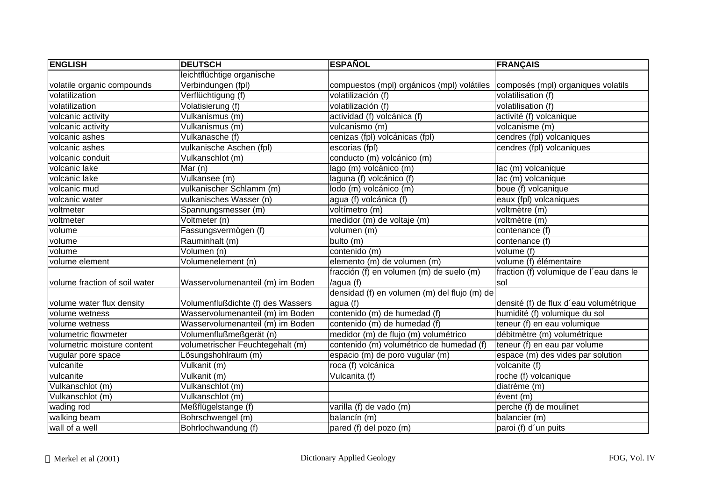| <b>ENGLISH</b>                | <b>DEUTSCH</b>                    | <b>ESPAÑOL</b>                               | <b>FRANÇAIS</b>                         |
|-------------------------------|-----------------------------------|----------------------------------------------|-----------------------------------------|
|                               | leichtflüchtige organische        |                                              |                                         |
| volatile organic compounds    | Verbindungen (fpl)                | compuestos (mpl) orgánicos (mpl) volátiles   | composés (mpl) organiques volatils      |
| volatilization                | Verflüchtigung (f)                | volatilización (f)                           | volatilisation (f)                      |
| volatilization                | Volatisierung (f)                 | volatilización (f)                           | volatilisation (f)                      |
| volcanic activity             | Vulkanismus (m)                   | actividad (f) volcánica (f)                  | activité (f) volcanique                 |
| volcanic activity             | Vulkanismus (m)                   | vulcanismo (m)                               | volcanisme (m)                          |
| volcanic ashes                | Vulkanasche (f)                   | cenizas (fpl) volcánicas (fpl)               | cendres (fpl) volcaniques               |
| volcanic ashes                | vulkanische Aschen (fpl)          | escorias (fpl)                               | cendres (fpl) volcaniques               |
| volcanic conduit              | Vulkanschlot (m)                  | conducto (m) volcánico (m)                   |                                         |
| volcanic lake                 | Mar $(n)$                         | lago (m) volcánico (m)                       | lac (m) volcanique                      |
| volcanic lake                 | Vulkansee (m)                     | laguna (f) volcánico (f)                     | lac (m) volcanique                      |
| volcanic mud                  | vulkanischer Schlamm (m)          | lodo (m) volcánico (m)                       | boue (f) volcanique                     |
| volcanic water                | vulkanisches Wasser (n)           | agua (f) volcánica (f)                       | eaux (fpl) volcaniques                  |
| voltmeter                     | Spannungsmesser (m)               | voltímetro (m)                               | voltmètre (m)                           |
| voltmeter                     | Voltmeter (n)                     | medidor (m) de voltaje (m)                   | voltmètre (m)                           |
| volume                        | Fassungsvermögen (f)              | volumen (m)                                  | contenance (f)                          |
| volume                        | Rauminhalt (m)                    | bulto (m)                                    | contenance (f)                          |
| volume                        | Volumen (n)                       | contenido (m)                                | volume (f)                              |
| volume element                | Volumenelement (n)                | elemento (m) de volumen (m)                  | volume (f) élémentaire                  |
|                               |                                   | fracción (f) en volumen (m) de suelo (m)     | fraction (f) volumique de l'eau dans le |
| volume fraction of soil water | Wasservolumenanteil (m) im Boden  | /agua (f)                                    | sol                                     |
|                               |                                   | densidad (f) en volumen (m) del flujo (m) de |                                         |
| volume water flux density     | Volumenflußdichte (f) des Wassers | agua (f)                                     | densité (f) de flux d'eau volumétrique  |
| volume wetness                | Wasservolumenanteil (m) im Boden  | contenido (m) de humedad (f)                 | humidité (f) volumique du sol           |
| volume wetness                | Wasservolumenanteil (m) im Boden  | contenido (m) de humedad (f)                 | teneur (f) en eau volumique             |
| volumetric flowmeter          | Volumenflußmeßgerät (n)           | medidor (m) de flujo (m) volumétrico         | débitmètre (m) volumétrique             |
| volumetric moisture content   | volumetrischer Feuchtegehalt (m)  | contenido (m) volumétrico de humedad (f)     | teneur (f) en eau par volume            |
| vugular pore space            | Lösungshohlraum (m)               | espacio (m) de poro vugular (m)              | espace (m) des vides par solution       |
| vulcanite                     | Vulkanit (m)                      | roca (f) volcánica                           | volcanite (f)                           |
| vulcanite                     | $\sqrt{\text{ulkanit}}$ (m)       | Vulcanita (f)                                | roche (f) volcanique                    |
| Vulkanschlot (m)              | Vulkanschlot (m)                  |                                              | diatrème (m)                            |
| Vulkanschlot (m)              | Vulkanschlot (m)                  |                                              | évent (m)                               |
| wading rod                    | Meßflügelstange (f)               | varilla (f) de vado (m)                      | perche (f) de moulinet                  |
| walking beam                  | Bohrschwengel (m)                 | balancín (m)                                 | balancier (m)                           |
| wall of a well                | Bohrlochwandung (f)               | pared (f) del pozo (m)                       | paroi (f) d'un puits                    |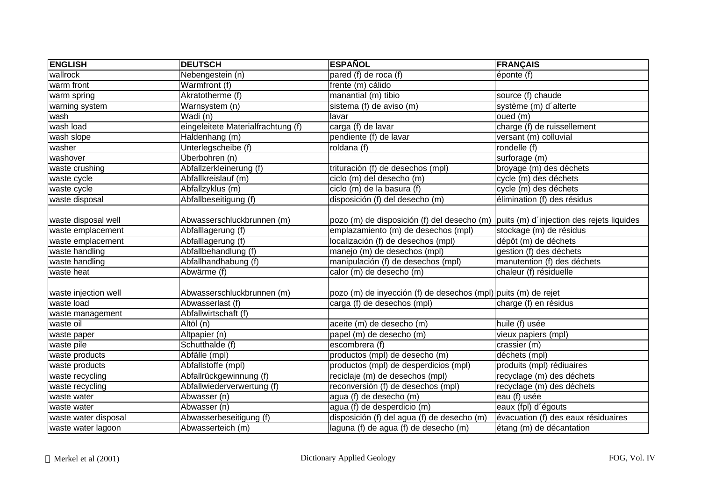| <b>ENGLISH</b>       | <b>DEUTSCH</b>                     | <b>ESPAÑOL</b>                                                                         | <b>FRANÇAIS</b>                     |
|----------------------|------------------------------------|----------------------------------------------------------------------------------------|-------------------------------------|
| wallrock             | Nebengestein (n)                   | pared (f) de roca (f)                                                                  | éponte (f)                          |
| warm front           | Warmfront (f)                      | frente (m) cálido                                                                      |                                     |
| warm spring          | Akratotherme (f)                   | manantial (m) tibio                                                                    | source (f) chaude                   |
| warning system       | Warnsystem (n)                     | sistema (f) de aviso (m)                                                               | système (m) d'alterte               |
| wash                 | $\overline{\text{Wadi}}$ (n)       | lavar                                                                                  | oued (m)                            |
| wash load            | eingeleitete Materialfrachtung (f) | carga (f) de lavar                                                                     | charge (f) de ruissellement         |
| wash slope           | Haldenhang (m)                     | pendiente (f) de lavar                                                                 | versant (m) colluvial               |
| washer               | Unterlegscheibe (f)                | roldana $(f)$                                                                          | rondelle (f)                        |
| washover             | Überbohren (n)                     |                                                                                        | surforage (m)                       |
| waste crushing       | Abfallzerkleinerung (f)            | trituración (f) de desechos (mpl)                                                      | broyage (m) des déchets             |
| waste cycle          | Abfallkreislauf (m)                | ciclo (m) del desecho (m)                                                              | cycle (m) des déchets               |
| waste cycle          | Abfallzyklus (m)                   | $\overline{ciclo}$ (m) de la basura (f)                                                | cycle (m) des déchets               |
| waste disposal       | Abfallbeseitigung (f)              | disposición (f) del desecho (m)                                                        | élimination (f) des résidus         |
|                      |                                    |                                                                                        |                                     |
| waste disposal well  | Abwasserschluckbrunnen (m)         | pozo (m) de disposición (f) del desecho (m)  puits (m) d'injection des rejets liquides |                                     |
| waste emplacement    | Abfalllagerung (f)                 | emplazamiento (m) de desechos (mpl)                                                    | stockage (m) de résidus             |
| waste emplacement    | Abfalllagerung (f)                 | localización (f) de desechos (mpl)                                                     | dépôt (m) de déchets                |
| waste handling       | Abfallbehandlung (f)               | manejo (m) de desechos (mpl)                                                           | gestion (f) des déchets             |
| waste handling       | Abfallhandhabung (f)               | manipulación (f) de desechos (mpl)                                                     | manutention (f) des déchets         |
| waste heat           | Abwärme (f)                        | calor (m) de desecho (m)                                                               | chaleur $(f)$ résiduelle            |
|                      |                                    |                                                                                        |                                     |
| waste injection well | Abwasserschluckbrunnen (m)         | pozo (m) de inyección (f) de desechos (mpl) puits (m) de rejet                         |                                     |
| waste load           | Abwasserlast (f)                   | carga (f) de desechos (mpl)                                                            | charge (f) en résidus               |
| waste management     | Abfallwirtschaft (f)               |                                                                                        |                                     |
| waste oil            | Altöl (n)                          | aceite (m) de desecho (m)                                                              | huile (f) usée                      |
| waste paper          | Altpapier (n)                      | papel (m) de desecho (m)                                                               | vieux papiers (mpl)                 |
| waste pile           | Schutthalde (f)                    | escombrera (f)                                                                         | crassier (m)                        |
| waste products       | Abfälle (mpl)                      | productos (mpl) de desecho (m)                                                         | déchets (mpl)                       |
| waste products       | Abfallstoffe (mpl)                 | productos (mpl) de desperdicios (mpl)                                                  | produits (mpl) rédiuaires           |
| waste recycling      | Abfallrückgewinnung (f)            | reciclaje (m) de desechos (mpl)                                                        | recyclage (m) des déchets           |
| waste recycling      | Abfallwiederverwertung (f)         | reconversión (f) de desechos (mpl)                                                     | recyclage (m) des déchets           |
| waste water          | Abwasser (n)                       | agua (f) de desecho (m)                                                                | eau (f) usée                        |
| waste water          | Abwasser (n)                       | agua (f) de desperdicio (m)                                                            | eaux (fpl) d'égouts                 |
| waste water disposal | Abwasserbeseitigung (f)            | disposición (f) del agua (f) de desecho (m)                                            | évacuation (f) des eaux résiduaires |
| waste water lagoon   | Abwasserteich (m)                  | laguna (f) de agua (f) de desecho (m)                                                  | étang (m) de décantation            |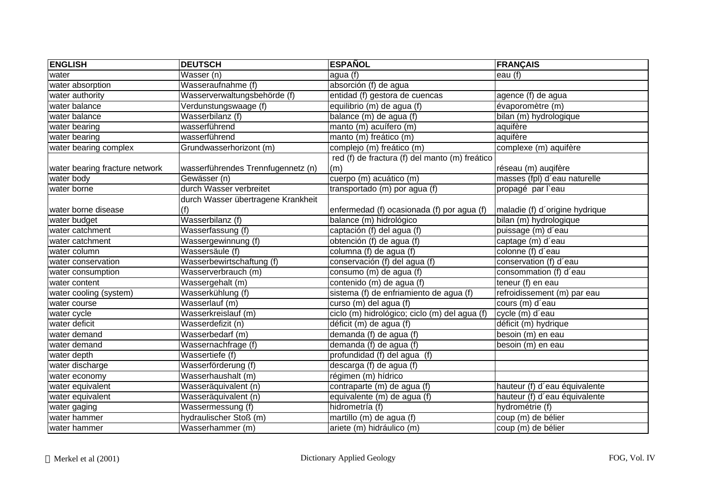| <b>ENGLISH</b>                 | <b>DEUTSCH</b>                     | <b>ESPAÑOL</b>                                 | <b>FRANÇAIS</b>                |
|--------------------------------|------------------------------------|------------------------------------------------|--------------------------------|
| water                          | Wasser (n)                         | agua (f)                                       | eau (f)                        |
| water absorption               | Wasseraufnahme (f)                 | absorción (f) de agua                          |                                |
| water authority                | Wasserverwaltungsbehörde (f)       | entidad (f) gestora de cuencas                 | agence (f) de agua             |
| water balance                  | Verdunstungswaage (f)              | equilibrio (m) de agua (f)                     | évaporomètre (m)               |
| water balance                  | Wasserbilanz (f)                   | balance (m) de agua (f)                        | bilan (m) hydrologique         |
| water bearing                  | wasserführend                      | manto (m) acuífero (m)                         | aquifère                       |
| water bearing                  | wasserführend                      | manto (m) freático (m)                         | aquifère                       |
| water bearing complex          | Grundwasserhorizont (m)            | complejo (m) freático (m)                      | complexe (m) aquifère          |
|                                |                                    | red (f) de fractura (f) del manto (m) freático |                                |
| water bearing fracture network | wasserführendes Trennfugennetz (n) | (m)                                            | réseau (m) augifère            |
| water body                     | Gewässer (n)                       | cuerpo (m) acuático (m)                        | masses (fpl) d'eau naturelle   |
| water borne                    | durch Wasser verbreitet            | transportado (m) por agua (f)                  | propagé par l'eau              |
|                                | durch Wasser übertragene Krankheit |                                                |                                |
| water borne disease            | (f)                                | enfermedad (f) ocasionada (f) por agua (f)     | maladie (f) d'origine hydrique |
| water budget                   | Wasserbilanz (f)                   | balance (m) hidrológico                        | bilan (m) hydrologique         |
| water catchment                | Wasserfassung (f)                  | captación (f) del agua (f)                     | puissage (m) d'eau             |
| water catchment                | Wassergewinnung (f)                | obtención (f) de agua (f)                      | captage (m) d'eau              |
| water column                   | Wassersäule (f)                    | columna (f) de agua (f)                        | colonne (f) d'eau              |
| water conservation             | Wasserbewirtschaftung (f)          | conservación (f) del agua (f)                  | conservation (f) d'eau         |
| water consumption              | Wasserverbrauch (m)                | consumo (m) de agua (f)                        | consommation (f) d'eau         |
| water content                  | Wassergehalt (m)                   | contenido (m) de agua (f)                      | teneur (f) en eau              |
| water cooling (system)         | Wasserkühlung (f)                  | sistema (f) de enfriamiento de agua (f)        | refroidissement (m) par eau    |
| water course                   | Wasserlauf (m)                     | curso (m) del agua (f)                         | cours (m) d'eau                |
| water cycle                    | Wasserkreislauf (m)                | ciclo (m) hidrológico; ciclo (m) del agua (f)  | cycle (m) d'eau                |
| water deficit                  | Wasserdefizit (n)                  | déficit (m) de agua (f)                        | déficit (m) hydrique           |
| water demand                   | Wasserbedarf (m)                   | demanda (f) de agua (f)                        | besoin (m) en eau              |
| water demand                   | Wassernachfrage (f)                | demanda (f) de agua (f)                        | besoin (m) en eau              |
| water depth                    | Wassertiefe (f)                    | profundidad (f) del agua (f)                   |                                |
| water discharge                | Wasserförderung (f)                | descarga (f) de agua (f)                       |                                |
| water economy                  | Wasserhaushalt (m)                 | régimen (m) hídrico                            |                                |
| water equivalent               | Wasseräquivalent (n)               | contraparte (m) de agua (f)                    | hauteur (f) d'eau équivalente  |
| water equivalent               | Wasseräquivalent (n)               | equivalente (m) de agua (f)                    | hauteur (f) d'eau équivalente  |
| water gaging                   | Wassermessung (f)                  | hidrometría (f)                                | hydrométrie (f)                |
| water hammer                   | hydraulischer Stoß (m)             | martillo (m) de agua (f)                       | coup (m) de bélier             |
| water hammer                   | Wasserhammer (m)                   | ariete (m) hidráulico (m)                      | coup (m) de bélier             |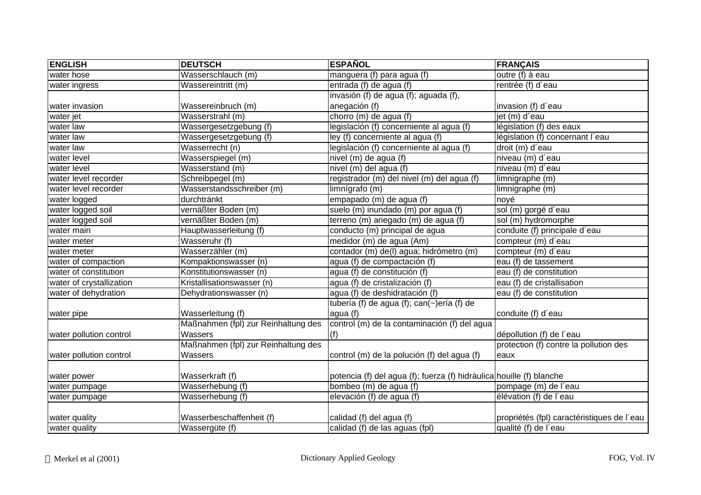| <b>ENGLISH</b>           | <b>DEUTSCH</b>                      | <b>ESPAÑOL</b>                                                       | <b>FRANÇAIS</b>                            |
|--------------------------|-------------------------------------|----------------------------------------------------------------------|--------------------------------------------|
| water hose               | Wasserschlauch (m)                  | manguera (f) para agua (f)                                           | outre (f) à eau                            |
| water ingress            | Wassereintritt (m)                  | entrada (f) de agua (f)                                              | rentrée (f) d'eau                          |
|                          |                                     | invasión (f) de agua (f); aguada (f),                                |                                            |
| water invasion           | Wassereinbruch (m)                  | anegación (f)                                                        | invasion (f) d'eau                         |
| water jet                | Wasserstrahl (m)                    | chorro (m) de agua (f)                                               | jet (m) d'eau                              |
| water law                | Wassergesetzgebung (f)              | legislación (f) concerniente al agua (f)                             | législation (f) des eaux                   |
| water law                | Wassergesetzgebung (f)              | ley (f) concerniente al agua (f)                                     | législation (f) concernant l'eau           |
| water law                | Wasserrecht (n)                     | legislación (f) concerniente al agua (f)                             | droit (m) d'eau                            |
| water level              | Wasserspiegel (m)                   | nivel (m) de agua (f)                                                | niveau (m) d'eau                           |
| water level              | Wasserstand (m)                     | nivel (m) del agua (f)                                               | niveau (m) d'eau                           |
| water level recorder     | Schreibpegel (m)                    | registrador (m) del nivel (m) del agua (f)                           | limnigraphe (m)                            |
| water level recorder     | Wasserstandsschreiber (m)           | limnígrafo (m)                                                       | limnigraphe (m)                            |
| water logged             | durchtränkt                         | empapado (m) de agua (f)                                             | noyé                                       |
| water logged soil        | vernäßter Boden (m)                 | suelo (m) inundado (m) por agua (f)                                  | sol (m) gorgé d'eau                        |
| water logged soil        | vernäßter Boden (m)                 | terreno (m) anegado (m) de agua (f)                                  | sol (m) hydromorphe                        |
| water main               | Hauptwasserleitung (f)              | conducto (m) principal de agua                                       | conduite (f) principale d'eau              |
| water meter              | Wasseruhr (f)                       | medidor (m) de agua (Am)                                             | compteur (m) d'eau                         |
| water meter              | Wasserzähler (m)                    | contador (m) de(l) agua; hidrómetro (m)                              | compteur (m) d'eau                         |
| water of compaction      | Kompaktionswasser (n)               | agua (f) de compactación (f)                                         | eau (f) de tassement                       |
| water of constitution    | Konstitutionswasser (n)             | aqua (f) de constitución (f)                                         | eau (f) de constitution                    |
| water of crystallization | Kristallisationswasser (n)          | agua (f) de cristalización (f)                                       | eau (f) de cristallisation                 |
| water of dehydration     | Dehydrationswasser (n)              | agua (f) de deshidratación (f)                                       | eau (f) de constitution                    |
|                          |                                     | tubería (f) de agua (f); can(~)ería (f) de                           |                                            |
| water pipe               | Wasserleitung (f)                   | agua (f)                                                             | conduite (f) d'eau                         |
|                          | Maßnahmen (fpl) zur Reinhaltung des | control (m) de la contaminación (f) del agua                         |                                            |
| water pollution control  | Wassers                             | (f)                                                                  | dépollution (f) de l'eau                   |
|                          | Maßnahmen (fpl) zur Reinhaltung des |                                                                      | protection (f) contre la pollution des     |
| water pollution control  | Wassers                             | control (m) de la polución (f) del agua (f)                          | eaux                                       |
|                          |                                     |                                                                      |                                            |
| water power              | Wasserkraft (f)                     | potencia (f) del agua (f); fuerza (f) hidráulica houille (f) blanche |                                            |
| water pumpage            | Wasserhebung (f)                    | bombeo (m) de agua (f)                                               | pompage (m) de l'eau                       |
| water pumpage            | Wasserhebung (f)                    | elevación (f) de agua (f)                                            | élévation (f) de l'eau                     |
|                          |                                     |                                                                      |                                            |
| water quality            | Wasserbeschaffenheit (f)            | calidad (f) del agua (f)                                             | propriétés (fpl) caractéristiques de l'eau |
| water quality            | Wassergüte (f)                      | calidad (f) de las aguas (fpl)                                       | qualité (f) de l'eau                       |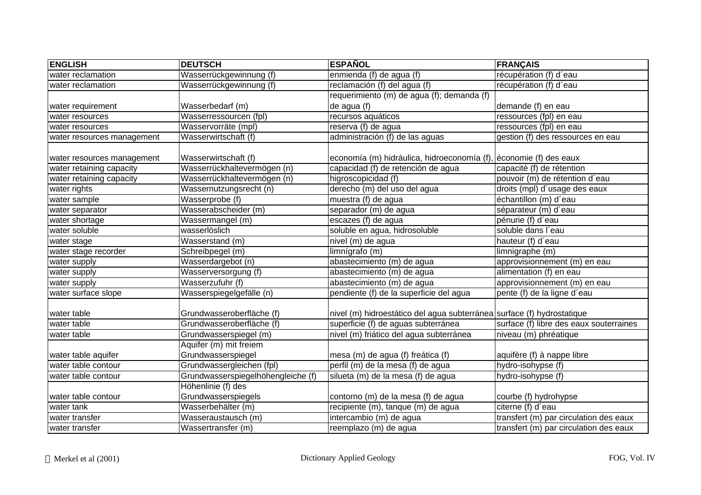| <b>ENGLISH</b>             | <b>DEUTSCH</b>                     | <b>ESPAÑOL</b>                                                         | <b>FRANÇAIS</b>                         |
|----------------------------|------------------------------------|------------------------------------------------------------------------|-----------------------------------------|
| water reclamation          | Wasserrückgewinnung (f)            | enmienda (f) de agua (f)                                               | récupération (f) d'eau                  |
| water reclamation          | Wasserrückgewinnung (f)            | reclamación (f) del agua (f)                                           | récupération (f) d'eau                  |
|                            |                                    | requerimiento (m) de agua (f); demanda (f)                             |                                         |
| water requirement          | Wasserbedarf (m)                   | de agua (f)                                                            | demande (f) en eau                      |
| water resources            | Wasserressourcen (fpl)             | recursos aquáticos                                                     | ressources (fpl) en eau                 |
| water resources            | Wasservorräte (mpl)                | reserva (f) de agua                                                    | ressources (fpl) en eau                 |
| water resources management | Wasserwirtschaft (f)               | administración (f) de las aguas                                        | gestion (f) des ressources en eau       |
| water resources management | Wasserwirtschaft (f)               | economía (m) hidráulica, hidroeconomía (f), economie (f) des eaux      |                                         |
| water retaining capacity   | Wasserrückhaltevermögen (n)        | capacidad (f) de retención de agua                                     | capacité (f) de rétention               |
| water retaining capacity   | Wasserrückhaltevermögen (n)        | higroscopicidad (f)                                                    | pouvoir (m) de rétention d'eau          |
| water rights               | Wassernutzungsrecht (n)            | derecho (m) del uso del agua                                           | droits (mpl) d'usage des eaux           |
| water sample               | Wasserprobe (f)                    | muestra (f) de agua                                                    | échantillon (m) d'eau                   |
| water separator            | Wasserabscheider (m)               | separador (m) de agua                                                  | séparateur (m) d'eau                    |
| water shortage             | Wassermangel (m)                   | escazes (f) de agua                                                    | pénurie (f) d'eau                       |
| water soluble              | wasserlöslich                      | soluble en agua, hidrosoluble                                          | soluble dans l'eau                      |
| water stage                | Wasserstand (m)                    | nivel (m) de agua                                                      | hauteur (f) d'eau                       |
| water stage recorder       | Schreibpegel (m)                   | limnígrafo (m)                                                         | limnigraphe (m)                         |
| water supply               | Wasserdargebot (n)                 | abastecimiento (m) de agua                                             | approvisionnement (m) en eau            |
| water supply               | Wasserversorgung (f)               | abastecimiento (m) de agua                                             | alimentation (f) en eau                 |
| water supply               | Wasserzufuhr (f)                   | abastecimiento (m) de agua                                             | approvisionnement (m) en eau            |
| water surface slope        | Wasserspiegelgefälle (n)           | pendiente (f) de la superficie del agua                                | pente (f) de la ligne d'eau             |
| water table                | Grundwasseroberfläche (f)          | nivel (m) hidroestático del agua subterránea surface (f) hydrostatique |                                         |
| water table                | Grundwasseroberfläche (f)          | superficie (f) de aguas subterránea                                    | surface (f) libre des eaux souterraines |
| water table                | Grundwasserspiegel (m)             | nivel (m) friático del agua subterránea                                | niveau (m) phréatique                   |
|                            | Aquifer (m) mit freiem             |                                                                        |                                         |
| water table aquifer        | Grundwasserspiegel                 | mesa (m) de agua (f) freática (f)                                      | aquifère (f) à nappe libre              |
| water table contour        | Grundwassergleichen (fpl)          | perfil (m) de la mesa (f) de agua                                      | hydro-isohypse (f)                      |
| water table contour        | Grundwasserspiegelhöhengleiche (f) | silueta (m) de la mesa (f) de agua                                     | hydro-isohypse (f)                      |
|                            | Höhenlinie (f) des                 |                                                                        |                                         |
| water table contour        | Grundwasserspiegels                | contorno (m) de la mesa (f) de agua                                    | courbe (f) hydrohypse                   |
| water tank                 | Wasserbehälter (m)                 | recipiente (m), tanque (m) de agua                                     | citerne (f) d'eau                       |
| water transfer             | Wasseraustausch (m)                | intercambio (m) de agua                                                | transfert (m) par circulation des eaux  |
| water transfer             | Wassertransfer (m)                 | reemplazo (m) de agua                                                  | transfert (m) par circulation des eaux  |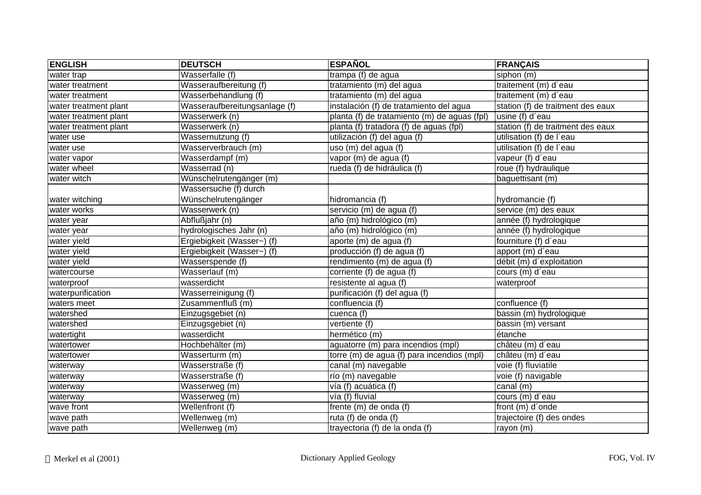| <b>ENGLISH</b>        | <b>DEUTSCH</b>                | <b>ESPAÑOL</b>                               | <b>FRANÇAIS</b>                   |
|-----------------------|-------------------------------|----------------------------------------------|-----------------------------------|
| water trap            | Wasserfalle (f)               | $t$ rampa $(f)$ de agua                      | siphon (m)                        |
| water treatment       | Wasseraufbereitung (f)        | tratamiento (m) del agua                     | traitement (m) d'eau              |
| water treatment       | Wasserbehandlung (f)          | tratamiento (m) del agua                     | traitement (m) d'eau              |
| water treatment plant | Wasseraufbereitungsanlage (f) | instalación (f) de tratamiento del agua      | station (f) de traitment des eaux |
| water treatment plant | Wasserwerk (n)                | planta (f) de tratamiento (m) de aguas (fpl) | usine (f) d'eau                   |
| water treatment plant | Wasserwerk (n)                | planta (f) tratadora (f) de aguas (fpl)      | station (f) de traitment des eaux |
| water use             | Wassernutzung (f)             | utilización (f) del agua (f)                 | utilisation (f) de l'eau          |
| water use             | Wasserverbrauch (m)           | uso (m) del agua (f)                         | utilisation (f) de l'eau          |
| water vapor           | Wasserdampf (m)               | vapor (m) de agua (f)                        | vapeur (f) d'eau                  |
| water wheel           | Wasserrad (n)                 | rueda (f) de hidráulica (f)                  | roue (f) hydraulique              |
| water witch           | Wünschelrutengänger (m)       |                                              | baguettisant (m)                  |
|                       | Wassersuche (f) durch         |                                              |                                   |
| water witching        | Wünschelrutengänger           | hidromancia (f)                              | hydromancie (f)                   |
| water works           | Wasserwerk (n)                | servicio (m) de agua (f)                     | service (m) des eaux              |
| water year            | Abflußjahr (n)                | año (m) hidrológico (m)                      | année (f) hydrologique            |
| water year            | hydrologisches Jahr (n)       | año (m) hidrológico (m)                      | année (f) hydrologique            |
| water yield           | Ergiebigkeit (Wasser~) (f)    | aporte (m) de agua (f)                       | fourniture (f) d'eau              |
| water yield           | Ergiebigkeit (Wasser~) (f)    | producción (f) de agua (f)                   | apport (m) d'eau                  |
| water yield           | Wasserspende (f)              | rendimiento (m) de agua (f)                  | débit (m) d'exploitation          |
| watercourse           | Wasserlauf (m)                | corriente (f) de agua (f)                    | cours (m) d'eau                   |
| waterproof            | wasserdicht                   | resistente al agua (f)                       | waterproof                        |
| waterpurification     | Wasserreinigung (f)           | purificación (f) del agua (f)                |                                   |
| waters meet           | Zusammenfluß (m)              | confluencia (f)                              | confluence (f)                    |
| watershed             | Einzugsgebiet (n)             | cuenca (f)                                   | bassin (m) hydrologique           |
| watershed             | Einzugsgebiet (n)             | vertiente $(t)$                              | bassin (m) versant                |
| watertight            | wasserdicht                   | hermético (m)                                | étanche                           |
| watertower            | Hochbehälter (m)              | aguatorre (m) para incendios (mpl)           | châteu (m) d'eau                  |
| watertower            | Wasserturm (m)                | torre (m) de agua (f) para incendios (mpl)   | châteu (m) d'eau                  |
| waterway              | Wasserstraße (f)              | canal (m) navegable                          | voie (f) fluviatile               |
| waterway              | Wasserstraße (f)              | río (m) navegable                            | voie (f) navigable                |
| waterway              | Wasserweg (m)                 | vía (f) acuática (f)                         | canal (m)                         |
| waterway              | Wasserweg (m)                 | vía (f) fluvial                              | cours (m) d'eau                   |
| wave front            | Wellenfront (f)               | frente (m) de onda (f)                       | front (m) d'onde                  |
| wave path             | Wellenweg (m)                 | ruta (f) de onda (f)                         | trajectoire (f) des ondes         |
| wave path             | Wellenweg (m)                 | trayectoria $(f)$ de la onda $(f)$           | rayon (m)                         |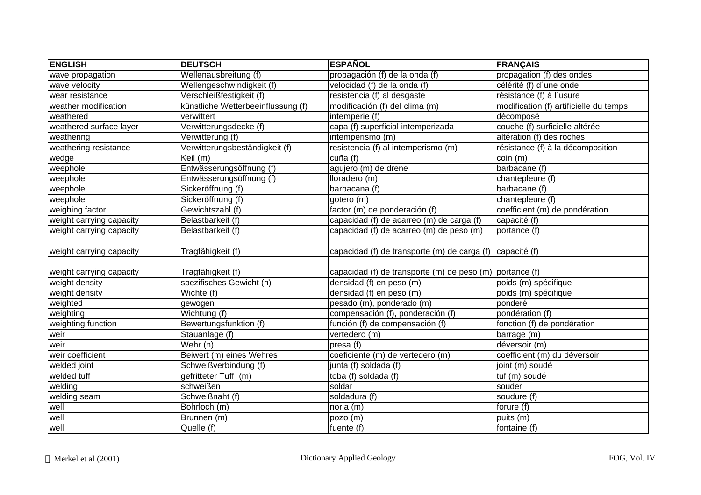| <b>ENGLISH</b>           | <b>DEUTSCH</b>                     | <b>ESPAÑOL</b>                                           | <b>FRANÇAIS</b>                        |
|--------------------------|------------------------------------|----------------------------------------------------------|----------------------------------------|
| wave propagation         | Wellenausbreitung (f)              | propagación (f) de la onda (f)                           | propagation (f) des ondes              |
| wave velocity            | Wellengeschwindigkeit (f)          | velocidad (f) de la onda (f)                             | célérité (f) d'une onde                |
| wear resistance          | Verschleißfestigkeit (f)           | resistencia (f) al desgaste                              | résistance (f) à l'usure               |
| weather modification     | künstliche Wetterbeeinflussung (f) | modificación (f) del clima (m)                           | modification (f) artificielle du temps |
| weathered                | verwittert                         | intemperie (f)                                           | décomposé                              |
| weathered surface layer  | Verwitterungsdecke (f)             | capa (f) superficial intemperizada                       | couche (f) surficielle altérée         |
| weathering               | Verwitterung (f)                   | intemperismo (m)                                         | altération (f) des roches              |
| weathering resistance    | Verwitterungsbeständigkeit (f)     | resistencia (f) al intemperismo (m)                      | résistance (f) à la décomposition      |
| wedge                    | $\overline{Keil}$ (m)              | cuña (f)                                                 | coin (m)                               |
| weephole                 | Entwässerungsöffnung (f)           | agujero (m) de drene                                     | barbacane (f)                          |
| weephole                 | Entwässerungsöffnung (f)           | lloradero (m)                                            | chantepleure (f)                       |
| weephole                 | Sickeröffnung (f)                  | barbacana (f)                                            | barbacane (f)                          |
| weephole                 | Sickeröffnung (f)                  | gotero (m)                                               | chantepleure (f)                       |
| weighing factor          | Gewichtszahl (f)                   | factor (m) de ponderación (f)                            | coefficient (m) de pondération         |
| weight carrying capacity | Belastbarkeit (f)                  | capacidad (f) de acarreo (m) de carga (f)                | capacité (f)                           |
| weight carrying capacity | Belastbarkeit (f)                  | capacidad (f) de acarreo (m) de peso (m)                 | portance (f)                           |
| weight carrying capacity | Tragfähigkeit (f)                  | capacidad (f) de transporte (m) de carga (f)             | capacité (f)                           |
| weight carrying capacity | Tragfähigkeit (f)                  | capacidad (f) de transporte (m) de peso (m) portance (f) |                                        |
| weight density           | spezifisches Gewicht (n)           | densidad (f) en peso (m)                                 | poids (m) spécifique                   |
| weight density           | Wichte (f)                         | densidad (f) en peso (m)                                 | poids (m) spécifique                   |
| weighted                 | gewogen                            | pesado (m), ponderado (m)                                | ponderé                                |
| weighting                | Wichtung (f)                       | compensación (f), ponderación (f)                        | pondération (f)                        |
| weighting function       | Bewertungsfunktion (f)             | función (f) de compensación (f)                          | fonction (f) de pondération            |
| weir                     | Stauanlage (f)                     | vertedero (m)                                            | barrage (m)                            |
| weir                     | Wehr (n)                           | presa (f)                                                | déversoir (m)                          |
| weir coefficient         | Beiwert (m) eines Wehres           | coeficiente (m) de vertedero (m)                         | coefficient (m) du déversoir           |
| welded joint             | Schweißverbindung (f)              | junta (f) soldada (f)                                    | joint (m) soudé                        |
| welded tuff              | gefritteter Tuff (m)               | toba (f) soldada (f)                                     | tuf (m) soudé                          |
| welding                  | schweißen                          | soldar                                                   | souder                                 |
| welding seam             | Schweißnaht (f)                    | soldadura (f)                                            | soudure (f)                            |
| well                     | Bohrloch (m)                       | noria (m)                                                | forure (f)                             |
| well                     | Brunnen (m)                        | pozo (m)                                                 | puits (m)                              |
| well                     | Quelle (f)                         | fuente (f)                                               | fontaine (f)                           |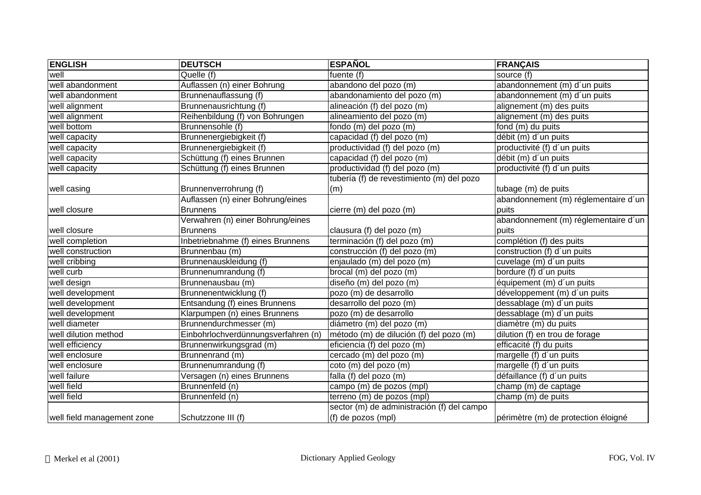| <b>ENGLISH</b>             | <b>DEUTSCH</b>                      | <b>ESPAÑOL</b>                             | <b>FRANÇAIS</b>                      |
|----------------------------|-------------------------------------|--------------------------------------------|--------------------------------------|
| well                       | Quelle (f)                          | fuente (f)                                 | source (f)                           |
| well abandonment           | Auflassen (n) einer Bohrung         | abandono del pozo (m)                      | abandonnement (m) d'un puits         |
| well abandonment           | Brunnenauflassung (f)               | abandonamiento del pozo (m)                | abandonnement (m) d'un puits         |
| well alignment             | Brunnenausrichtung (f)              | alineación (f) del pozo (m)                | alignement (m) des puits             |
| well alignment             | Reihenbildung (f) von Bohrungen     | alineamiento del pozo (m)                  | alignement (m) des puits             |
| well bottom                | Brunnensohle (f)                    | fondo (m) del pozo (m)                     | fond (m) du puits                    |
| well capacity              | Brunnenergiebigkeit (f)             | capacidad (f) del pozo (m)                 | débit (m) d'un puits                 |
| well capacity              | Brunnenergiebigkeit (f)             | productividad (f) del pozo (m)             | productivité (f) d'un puits          |
| well capacity              | Schüttung (f) eines Brunnen         | capacidad (f) del pozo (m)                 | débit (m) d'un puits                 |
| well capacity              | Schüttung (f) eines Brunnen         | productividad (f) del pozo (m)             | productivité (f) d'un puits          |
|                            |                                     | tubería (f) de revestimiento (m) del pozo  |                                      |
| well casing                | Brunnenverrohrung (f)               | (m)                                        | tubage (m) de puits                  |
|                            | Auflassen (n) einer Bohrung/eines   |                                            | abandonnement (m) réglementaire d'un |
| well closure               | <b>Brunnens</b>                     | cierre (m) del pozo (m)                    | puits                                |
|                            | Verwahren (n) einer Bohrung/eines   |                                            | abandonnement (m) réglementaire d'un |
| well closure               | <b>Brunnens</b>                     | clausura (f) del pozo (m)                  | puits                                |
| well completion            | Inbetriebnahme (f) eines Brunnens   | terminación (f) del pozo (m)               | complétion (f) des puits             |
| well construction          | Brunnenbau (m)                      | construcción (f) del pozo (m)              | construction (f) d'un puits          |
| well cribbing              | Brunnenauskleidung (f)              | enjaulado (m) del pozo (m)                 | cuvelage (m) d'un puits              |
| well curb                  | Brunnenumrandung (f)                | brocal (m) del pozo (m)                    | bordure (f) d'un puits               |
| well design                | Brunnenausbau (m)                   | diseño (m) del pozo (m)                    | équipement (m) d'un puits            |
| well development           | Brunnenentwicklung (f)              | pozo (m) de desarrollo                     | développement (m) d'un puits         |
| well development           | Entsandung (f) eines Brunnens       | desarrollo del pozo (m)                    | dessablage (m) d'un puits            |
| well development           | Klarpumpen (n) eines Brunnens       | pozo (m) de desarrollo                     | dessablage (m) d'un puits            |
| well diameter              | Brunnendurchmesser (m)              | diámetro (m) del pozo (m)                  | diamètre (m) du puits                |
| well dilution method       | Einbohrlochverdünnungsverfahren (n) | método (m) de dilución (f) del pozo (m)    | dilution (f) en trou de forage       |
| well efficiency            | Brunnenwirkungsgrad (m)             | eficiencia (f) del pozo (m)                | efficacité (f) du puits              |
| well enclosure             | Brunnenrand (m)                     | cercado (m) del pozo (m)                   | margelle (f) d'un puits              |
| well enclosure             | Brunnenumrandung (f)                | coto (m) del pozo (m)                      | margelle (f) d'un puits              |
| well failure               | Versagen (n) eines Brunnens         | falla (f) del pozo (m)                     | défaillance (f) d'un puits           |
| well field                 | Brunnenfeld (n)                     | campo (m) de pozos (mpl)                   | champ (m) de captage                 |
| well field                 | Brunnenfeld (n)                     | terreno (m) de pozos (mpl)                 | champ (m) de puits                   |
|                            |                                     | sector (m) de administración (f) del campo |                                      |
| well field management zone | Schutzzone III (f)                  | (f) de pozos (mpl)                         | périmètre (m) de protection éloigné  |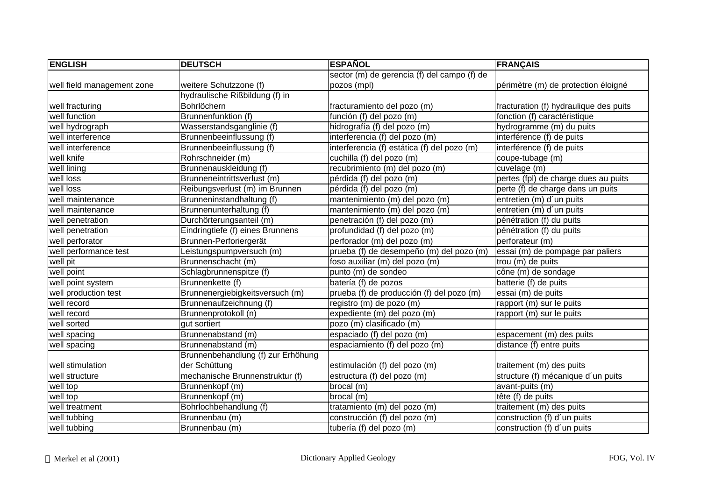| <b>ENGLISH</b>             | <b>DEUTSCH</b>                     | <b>ESPAÑOL</b>                              | <b>FRANÇAIS</b>                        |
|----------------------------|------------------------------------|---------------------------------------------|----------------------------------------|
|                            |                                    | sector (m) de gerencia (f) del campo (f) de |                                        |
| well field management zone | weitere Schutzzone (f)             | pozos (mpl)                                 | périmètre (m) de protection éloigné    |
|                            | hydraulische Rißbildung (f) in     |                                             |                                        |
| well fracturing            | Bohrlöchern                        | fracturamiento del pozo (m)                 | fracturation (f) hydraulique des puits |
| well function              | Brunnenfunktion (f)                | función (f) del pozo (m)                    | fonction (f) caractéristique           |
| well hydrograph            | Wasserstandsganglinie (f)          | hidrografía (f) del pozo (m)                | hydrogramme (m) du puits               |
| well interference          | Brunnenbeeinflussung (f)           | interferencia (f) del pozo (m)              | interférence (f) de puits              |
| well interference          | Brunnenbeeinflussung (f)           | interferencia (f) estática (f) del pozo (m) | interférence (f) de puits              |
| well knife                 | Rohrschneider (m)                  | cuchilla (f) del pozo (m)                   | coupe-tubage (m)                       |
| well lining                | Brunnenauskleidung (f)             | recubrimiento (m) del pozo (m)              | cuvelage (m)                           |
| well loss                  | Brunneneintrittsverlust (m)        | pérdida (f) del pozo (m)                    | pertes (fpl) de charge dues au puits   |
| well loss                  | Reibungsverlust (m) im Brunnen     | pérdida (f) del pozo (m)                    | perte (f) de charge dans un puits      |
| well maintenance           | Brunneninstandhaltung (f)          | mantenimiento (m) del pozo (m)              | entretien (m) d'un puits               |
| well maintenance           | Brunnenunterhaltung (f)            | mantenimiento (m) del pozo (m)              | entretien (m) d'un puits               |
| well penetration           | Durchörterungsanteil (m)           | penetración (f) del pozo (m)                | pénétration (f) du puits               |
| well penetration           | Eindringtiefe (f) eines Brunnens   | profundidad (f) del pozo (m)                | pénétration (f) du puits               |
| well perforator            | Brunnen-Perforiergerät             | perforador (m) del pozo (m)                 | perforateur (m)                        |
| well performance test      | Leistungspumpversuch (m)           | prueba (f) de desempeño (m) del pozo (m)    | essai (m) de pompage par paliers       |
| well pit                   | Brunnenschacht (m)                 | foso auxiliar (m) del pozo (m)              | trou (m) de puits                      |
| well point                 | Schlagbrunnenspitze (f)            | punto (m) de sondeo                         | cône (m) de sondage                    |
| well point system          | Brunnenkette (f)                   | batería (f) de pozos                        | batterie (f) de puits                  |
| well production test       | Brunnenergiebigkeitsversuch (m)    | prueba (f) de producción (f) del pozo (m)   | essai (m) de puits                     |
| well record                | Brunnenaufzeichnung (f)            | registro (m) de pozo (m)                    | rapport (m) sur le puits               |
| well record                | Brunnenprotokoll (n)               | expediente (m) del pozo (m)                 | rapport (m) sur le puits               |
| well sorted                | gut sortiert                       | pozo (m) clasificado (m)                    |                                        |
| well spacing               | Brunnenabstand (m)                 | espaciado (f) del pozo (m)                  | espacement (m) des puits               |
| well spacing               | Brunnenabstand (m)                 | espaciamiento (f) del pozo (m)              | distance (f) entre puits               |
|                            | Brunnenbehandlung (f) zur Erhöhung |                                             |                                        |
| well stimulation           | der Schüttung                      | estimulación (f) del pozo (m)               | traitement (m) des puits               |
| well structure             | mechanische Brunnenstruktur (f)    | estructura (f) del pozo (m)                 | structure (f) mécanique d'un puits     |
| well top                   | Brunnenkopf (m)                    | brocal (m)                                  | avant-puits (m)                        |
| well top                   | Brunnenkopf (m)                    | brocal (m)                                  | tête (f) de puits                      |
| well treatment             | Bohrlochbehandlung (f)             | tratamiento (m) del pozo (m)                | traitement (m) des puits               |
| well tubbing               | Brunnenbau (m)                     | construcción (f) del pozo (m)               | construction (f) d'un puits            |
| well tubbing               | Brunnenbau (m)                     | tubería (f) del pozo (m)                    | construction (f) d'un puits            |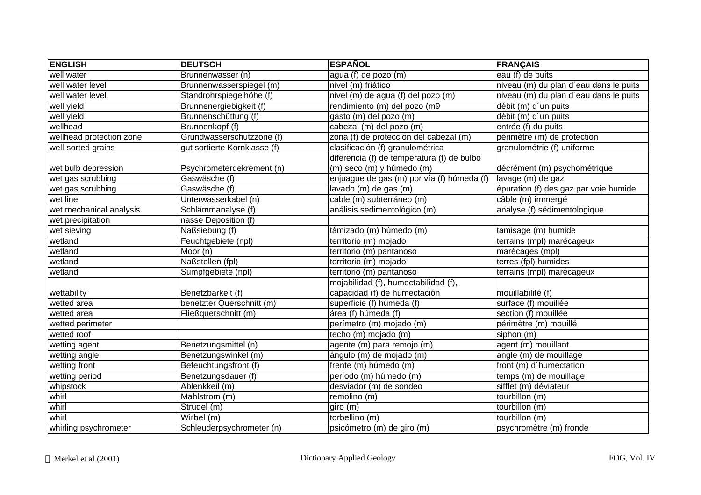| <b>ENGLISH</b>           | <b>DEUTSCH</b>               | <b>ESPAÑOL</b>                             | <b>FRANÇAIS</b>                        |
|--------------------------|------------------------------|--------------------------------------------|----------------------------------------|
| well water               | Brunnenwasser (n)            | agua (f) de pozo (m)                       | eau (f) de puits                       |
| well water level         | Brunnenwasserspiegel (m)     | nivel (m) friático                         | niveau (m) du plan d'eau dans le puits |
| well water level         | Standrohrspiegelhöhe (f)     | nivel (m) de agua (f) del pozo (m)         | niveau (m) du plan d'eau dans le puits |
| well yield               | Brunnenergiebigkeit (f)      | rendimiento (m) del pozo (m9               | débit (m) d'un puits                   |
| well yield               | Brunnenschüttung (f)         | gasto (m) del pozo (m)                     | débit (m) d'un puits                   |
| wellhead                 | Brunnenkopf (f)              | cabezal (m) del pozo (m)                   | entrée (f) du puits                    |
| wellhead protection zone | Grundwasserschutzzone (f)    | zona (f) de protección del cabezal (m)     | périmètre (m) de protection            |
| well-sorted grains       | gut sortierte Kornklasse (f) | clasificación (f) granulométrica           | granulométrie (f) uniforme             |
|                          |                              | diferencia (f) de temperatura (f) de bulbo |                                        |
| wet bulb depression      | Psychrometerdekrement (n)    | (m) seco (m) y húmedo (m)                  | décrément (m) psychométrique           |
| wet gas scrubbing        | Gaswäsche (f)                | enjuague de gas (m) por vía (f) húmeda (f) | lavage (m) de gaz                      |
| wet gas scrubbing        | Gaswäsche (f)                | lavado (m) de gas (m)                      | épuration (f) des gaz par voie humide  |
| wet line                 | Unterwasserkabel (n)         | cable (m) subterráneo (m)                  | câble (m) immergé                      |
| wet mechanical analysis  | Schlämmanalyse (f)           | análisis sedimentológico (m)               | analyse (f) sédimentologique           |
| wet precipitation        | nasse Deposition (f)         |                                            |                                        |
| wet sieving              | Naßsiebung (f)               | támizado (m) húmedo (m)                    | tamisage (m) humide                    |
| wetland                  | Feuchtgebiete (npl)          | territorio (m) mojado                      | terrains (mpl) marécageux              |
| wetland                  | Moor (n)                     | territorio (m) pantanoso                   | marécages (mpl)                        |
| wetland                  | Naßstellen (fpl)             | territorio (m) mojado                      | terres (fpl) humides                   |
| wetland                  | Sumpfgebiete (npl)           | territorio (m) pantanoso                   | terrains (mpl) marécageux              |
|                          |                              | mojabilidad (f), humectabilidad (f),       |                                        |
| wettability              | Benetzbarkeit (f)            | capacidad (f) de humectación               | mouillabilité (f)                      |
| wetted area              | benetzter Querschnitt (m)    | superficie (f) húmeda (f)                  | surface (f) mouillée                   |
| wetted area              | Fließquerschnitt (m)         | área (f) húmeda (f)                        | section (f) mouillée                   |
| wetted perimeter         |                              | perímetro (m) mojado (m)                   | périmètre (m) mouillé                  |
| wetted roof              |                              | techo (m) mojado (m)                       | siphon (m)                             |
| wetting agent            | Benetzungsmittel (n)         | agente (m) para remojo (m)                 | agent (m) mouillant                    |
| wetting angle            | Benetzungswinkel (m)         | ángulo (m) de mojado (m)                   | angle (m) de mouillage                 |
| wetting front            | Befeuchtungsfront (f)        | frente (m) húmedo (m)                      | front (m) d'humectation                |
| wetting period           | Benetzungsdauer (f)          | período (m) húmedo (m)                     | temps (m) de mouillage                 |
| whipstock                | Ablenkkeil (m)               | desviador (m) de sondeo                    | sifflet (m) déviateur                  |
| whirl                    | Mahlstrom (m)                | $r$ emolino $(m)$                          | tourbillon (m)                         |
| whirl                    | Strudel (m)                  | giro (m)                                   | tourbillon (m)                         |
| whirl                    | Wirbel (m)                   | torbellino (m)                             | tourbillon (m)                         |
| whirling psychrometer    | Schleuderpsychrometer (n)    | psicómetro (m) de giro (m)                 | psychromètre (m) fronde                |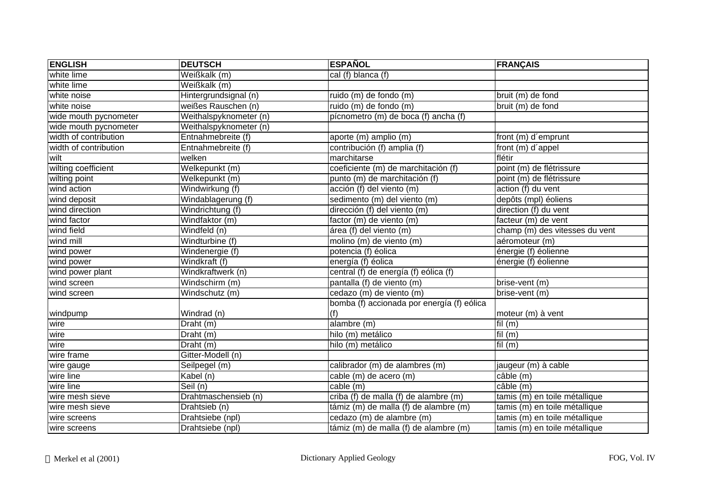| <b>ENGLISH</b>        | <b>DEUTSCH</b>         | <b>ESPAÑOL</b>                             | <b>FRANÇAIS</b>                |
|-----------------------|------------------------|--------------------------------------------|--------------------------------|
| white lime            | Weißkalk (m)           | cal (f) blanca (f)                         |                                |
| white lime            | Weißkalk (m)           |                                            |                                |
| white noise           | Hintergrundsignal (n)  | ruido (m) de fondo (m)                     | bruit (m) de fond              |
| white noise           | weißes Rauschen (n)    | ruido (m) de fondo (m)                     | bruit (m) de fond              |
| wide mouth pycnometer | Weithalspyknometer (n) | pícnometro (m) de boca (f) ancha (f)       |                                |
| wide mouth pycnometer | Weithalspyknometer (n) |                                            |                                |
| width of contribution | Entnahmebreite (f)     | aporte (m) amplio (m)                      | front (m) d'emprunt            |
| width of contribution | Entnahmebreite (f)     | contribución (f) amplia (f)                | front (m) d'appel              |
| wilt                  | welken                 | marchitarse                                | flétir                         |
| wilting coefficient   | Welkepunkt (m)         | coeficiente (m) de marchitación (f)        | point (m) de flétrissure       |
| wilting point         | Welkepunkt (m)         | punto (m) de marchitación (f)              | point (m) de flétrissure       |
| wind action           | Windwirkung (f)        | acción (f) del viento (m)                  | action (f) du vent             |
| wind deposit          | Windablagerung (f)     | sedimento (m) del viento (m)               | depôts (mpl) éoliens           |
| wind direction        | Windrichtung (f)       | dirección (f) del viento (m)               | direction (f) du vent          |
| wind factor           | Windfaktor (m)         | factor (m) de viento (m)                   | facteur (m) de vent            |
| wind field            | Windfeld (n)           | área (f) del viento (m)                    | champ (m) des vitesses du vent |
| wind mill             | Windturbine (f)        | molino (m) de viento (m)                   | aéromoteur (m)                 |
| wind power            | Windenergie (f)        | potencia (f) éolica                        | énergie (f) éolienne           |
| wind power            | Windkraft (f)          | energía (f) éolica                         | énergie (f) éolienne           |
| wind power plant      | Windkraftwerk (n)      | central (f) de energía (f) eólica (f)      |                                |
| wind screen           | Windschirm (m)         | pantalla (f) de viento (m)                 | brise-vent (m)                 |
| wind screen           | Windschutz (m)         | cedazo (m) de viento (m)                   | brise-vent (m)                 |
|                       |                        | bomba (f) accionada por energía (f) eólica |                                |
| windpump              | Windrad (n)            | (f)                                        | moteur (m) à vent              |
| wire                  | Draht (m)              | alambre (m)                                | $\overline{\text{fil}}$ (m)    |
| wire                  | Draht (m)              | hilo (m) metálico                          | fil $(m)$                      |
| wire                  | Draht (m)              | hilo (m) metálico                          | fil $(m)$                      |
| wire frame            | Gitter-Modell (n)      |                                            |                                |
| wire gauge            | Seilpegel (m)          | calibrador (m) de alambres (m)             | jaugeur (m) à cable            |
| wire line             | Kabel (n)              | cable (m) de acero (m)                     | câble (m)                      |
| wire line             | Seil (n)               | cable (m)                                  | câble (m)                      |
| wire mesh sieve       | Drahtmaschensieb (n)   | criba (f) de malla (f) de alambre (m)      | tamis (m) en toile métallique  |
| wire mesh sieve       | Drahtsieb (n)          | támiz (m) de malla (f) de alambre (m)      | tamis (m) en toile métallique  |
| wire screens          | Drahtsiebe (npl)       | cedazo (m) de alambre (m)                  | tamis (m) en toile métallique  |
| wire screens          | Drahtsiebe (npl)       | támiz (m) de malla (f) de alambre (m)      | tamis (m) en toile métallique  |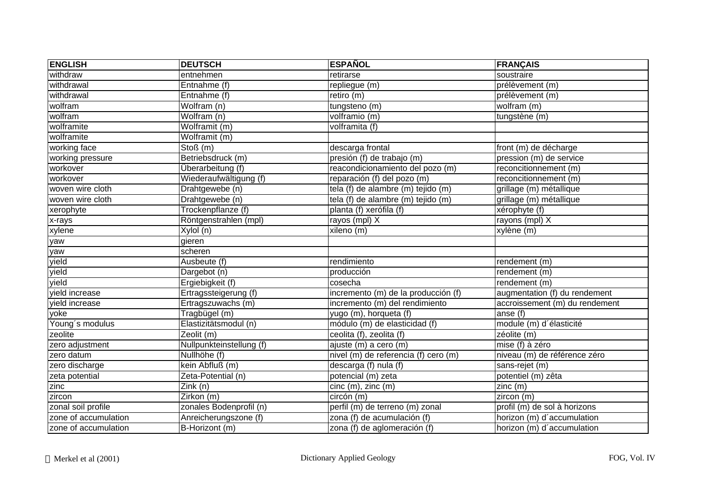| <b>ENGLISH</b>       | <b>DEUTSCH</b>           | <b>ESPAÑOL</b>                       | <b>FRANÇAIS</b>                 |
|----------------------|--------------------------|--------------------------------------|---------------------------------|
| withdraw             | entnehmen                | retirarse                            | soustraire                      |
| withdrawal           | Entnahme (f)             | repliegue (m)                        | prélèvement (m)                 |
| withdrawal           | Entnahme (f)             | retiro (m)                           | prélèvement (m)                 |
| wolfram              | Wolfram (n)              | tungsteno (m)                        | $\overline{\text{wolfram (m)}}$ |
| wolfram              | Wolfram (n)              | $\overline{\text{volframio}}(m)$     | tungstène (m)                   |
| wolframite           | Wolframit (m)            | volframita (f)                       |                                 |
| wolframite           | Wolframit (m)            |                                      |                                 |
| working face         | Stoß (m)                 | descarga frontal                     | front (m) de décharge           |
| working pressure     | Betriebsdruck (m)        | presión (f) de trabajo (m)           | pression (m) de service         |
| workover             | Überarbeitung (f)        | reacondicionamiento del pozo (m)     | reconcitionnement (m)           |
| workover             | Wiederaufwältigung (f)   | reparación (f) del pozo (m)          | reconcitionnement (m)           |
| woven wire cloth     | Drahtgewebe (n)          | tela (f) de alambre (m) tejido (m)   | grillage (m) métallique         |
| woven wire cloth     | Drahtgewebe (n)          | tela (f) de alambre (m) tejido (m)   | grillage (m) métallique         |
| xerophyte            | Trockenpflanze (f)       | $overline{plan}$ (f) xerófila (f)    | xérophyte (f)                   |
| x-rays               | Röntgenstrahlen (mpl)    | rayos (mpl) X                        | rayons $(mpl)$ X                |
| xylene               | Xylol (n)                | xileno (m)                           | xylène (m)                      |
| yaw                  | gieren                   |                                      |                                 |
| yaw                  | scheren                  |                                      |                                 |
| yield                | Ausbeute (f)             | rendimiento                          | rendement (m)                   |
| yield                | Dargebot (n)             | producción                           | rendement (m)                   |
| yield                | Ergiebigkeit (f)         | cosecha                              | rendement (m)                   |
| vield increase       | Ertragssteigerung (f)    | incremento (m) de la producción (f)  | augmentation (f) du rendement   |
| yield increase       | Ertragszuwachs (m)       | incremento (m) del rendimiento       | accroissement (m) du rendement  |
| yoke                 | Tragbügel (m)            | yugo (m), horqueta (f)               | anse (f)                        |
| Young's modulus      | Elastizitätsmodul (n)    | módulo (m) de elasticidad (f)        | module (m) d'élasticité         |
| zeolite              | Zeolit (m)               | ceolita (f), zeolita (f)             | zéolite (m)                     |
| zero adjustment      | Nullpunkteinstellung (f) | ajuste (m) a cero (m)                | mise (f) à zéro                 |
| zero datum           | Nullhöhe (f)             | nivel (m) de referencia (f) cero (m) | niveau (m) de référence zéro    |
| zero discharge       | kein Abfluß (m)          | descarga (f) nula (f)                | sans-rejet (m)                  |
| zeta potential       | Zeta-Potential (n)       | potencial (m) zeta                   | potentiel (m) zêta              |
| zinc                 | Zink (n)                 | cinc (m), zinc (m)                   | zinc (m)                        |
| zircon               | Zirkon (m)               | circón (m)                           | zircon (m)                      |
| zonal soil profile   | zonales Bodenprofil (n)  | perfil (m) de terreno (m) zonal      | profil (m) de sol à horizons    |
| zone of accumulation | Anreicherungszone (f)    | zona (f) de acumulación (f)          | horizon (m) d'accumulation      |
| zone of accumulation | B-Horizont (m)           | zona (f) de aglomeración (f)         | horizon (m) d'accumulation      |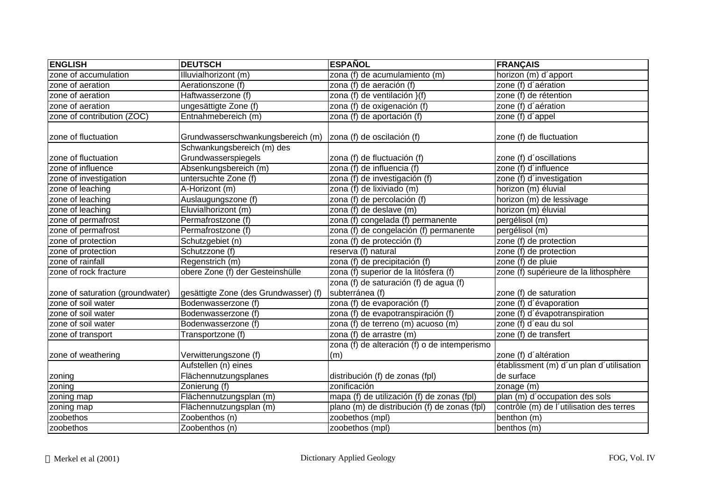| <b>ENGLISH</b>                   | <b>DEUTSCH</b>                                    | <b>ESPAÑOL</b>                                            | <b>FRANÇAIS</b>                          |
|----------------------------------|---------------------------------------------------|-----------------------------------------------------------|------------------------------------------|
| zone of accumulation             | Illuvialhorizont (m)                              | zona (f) de acumulamiento (m)                             | horizon (m) d'apport                     |
| zone of aeration                 | Aerationszone (f)                                 | zona (f) de aeración (f)                                  | zone (f) d'aération                      |
| zone of aeration                 | Haftwasserzone (f)                                | zona (f) de ventilación $}(f)$                            | zone (f) de rétention                    |
| zone of aeration                 | ungesättigte Zone (f)                             | zona (f) de oxigenación (f)                               | zone (f) d'aération                      |
| zone of contribution (ZOC)       | Entnahmebereich (m)                               | zona (f) de aportación (f)                                | zone (f) d'appel                         |
| zone of fluctuation              | Grundwasserschwankungsbereich (m)                 | zona (f) de oscilación (f)                                | zone (f) de fluctuation                  |
| zone of fluctuation              | Schwankungsbereich (m) des<br>Grundwasserspiegels | zona (f) de fluctuación (f)                               | zone (f) d'oscillations                  |
| zone of influence                | Absenkungsbereich (m)                             | zona (f) de influencia (f)                                | zone (f) d'influence                     |
| zone of investigation            | untersuchte Zone (f)                              | zona (f) de investigación (f)                             | zone (f) d'investigation                 |
| zone of leaching                 | A-Horizont (m)                                    | zona (f) de lixiviado (m)                                 | horizon (m) éluvial                      |
| zone of leaching                 | Auslaugungszone (f)                               | zona (f) de percolación (f)                               | horizon (m) de lessivage                 |
| zone of leaching                 | Eluvialhorizont (m)                               | zona (f) de deslave (m)                                   | horizon (m) éluvial                      |
| zone of permafrost               | Permafrostzone (f)                                | zona (f) congelada (f) permanente                         | pergélisol (m)                           |
| zone of permafrost               | Permafrostzone (f)                                | zona (f) de congelación (f) permanente                    | pergélisol (m)                           |
| zone of protection               | Schutzgebiet (n)                                  | zona (f) de protección (f)                                | zone (f) de protection                   |
| zone of protection               | Schutzzone (f)                                    | reserva (f) natural                                       | zone (f) de protection                   |
| zone of rainfall                 | Regenstrich (m)                                   | zona (f) de precipitación (f)                             | zone $(f)$ de pluie                      |
| zone of rock fracture            | obere Zone (f) der Gesteinshülle                  | zona (f) superior de la litósfera (f)                     | zone (f) supérieure de la lithosphère    |
| zone of saturation (groundwater) | gesättigte Zone (des Grundwasser) (f)             | zona (f) de saturación (f) de agua (f)<br>subterránea (f) | zone (f) de saturation                   |
| zone of soil water               | Bodenwasserzone (f)                               | zona (f) de evaporación (f)                               | zone (f) d'évaporation                   |
| zone of soil water               | Bodenwasserzone (f)                               | zona (f) de evapotranspiración (f)                        | zone (f) d'évapotranspiration            |
| zone of soil water               | Bodenwasserzone (f)                               | zona (f) de terreno (m) acuoso (m)                        | zone (f) d'eau du sol                    |
| zone of transport                | Transportzone (f)                                 | zona (f) de arrastre (m)                                  | zone (f) de transfert                    |
| zone of weathering               | Verwitterungszone (f)                             | zona (f) de alteración (f) o de intemperismo<br>(m)       | zone (f) d'altération                    |
|                                  | Aufstellen (n) eines                              |                                                           | établissment (m) d'un plan d'utilisation |
| zoning                           | Flächennutzungsplanes                             | distribución (f) de zonas (fpl)                           | de surface                               |
| zoning                           | Zonierung (f)                                     | zonificación                                              | zonage (m)                               |
| zoning map                       | Flächennutzungsplan (m)                           | mapa (f) de utilización (f) de zonas (fpl)                | plan (m) d'occupation des sols           |
| zoning map                       | Flächennutzungsplan (m)                           | plano (m) de distribución (f) de zonas (fpl)              | contrôle (m) de l'utilisation des terres |
| zoobethos                        | Zoobenthos (n)                                    | zoobethos (mpl)                                           | benthon (m)                              |
| zoobethos                        | Zoobenthos (n)                                    | zoobethos (mpl)                                           | benthos (m)                              |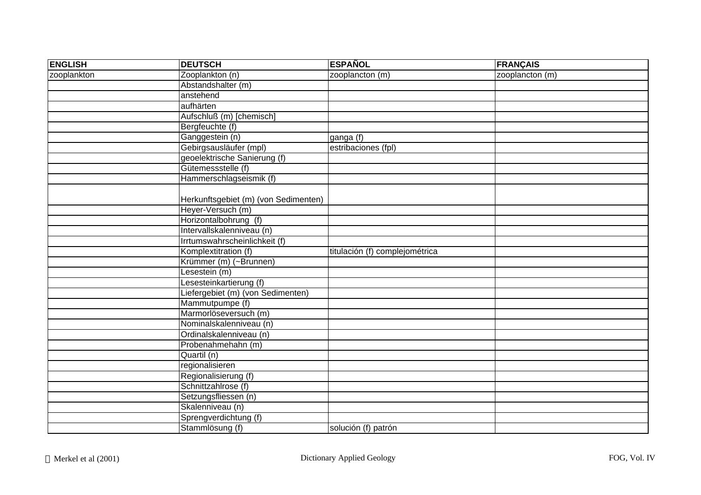| <b>ENGLISH</b> | <b>DEUTSCH</b>                       | <b>ESPAÑOL</b>                 | <b>FRANÇAIS</b> |
|----------------|--------------------------------------|--------------------------------|-----------------|
| zooplankton    | Zooplankton (n)                      | zooplancton (m)                | zooplancton (m) |
|                | Abstandshalter (m)                   |                                |                 |
|                | anstehend                            |                                |                 |
|                | aufhärten                            |                                |                 |
|                | Aufschluß (m) [chemisch]             |                                |                 |
|                | Bergfeuchte (f)                      |                                |                 |
|                | Ganggestein (n)                      | ganga (f)                      |                 |
|                | Gebirgsausläufer (mpl)               | estribaciones (fpl)            |                 |
|                | geoelektrische Sanierung (f)         |                                |                 |
|                | Gütemessstelle (f)                   |                                |                 |
|                | Hammerschlagseismik (f)              |                                |                 |
|                |                                      |                                |                 |
|                | Herkunftsgebiet (m) (von Sedimenten) |                                |                 |
|                | Heyer-Versuch (m)                    |                                |                 |
|                | Horizontalbohrung (f)                |                                |                 |
|                | Intervallskalenniveau (n)            |                                |                 |
|                | Irrtumswahrscheinlichkeit (f)        |                                |                 |
|                | Komplextitration (f)                 | titulación (f) complejométrica |                 |
|                | Krümmer (m) (~Brunnen)               |                                |                 |
|                | Lesestein (m)                        |                                |                 |
|                | Lesesteinkartierung (f)              |                                |                 |
|                | Liefergebiet (m) (von Sedimenten)    |                                |                 |
|                | Mammutpumpe (f)                      |                                |                 |
|                | Marmorlöseversuch (m)                |                                |                 |
|                | Nominalskalenniveau (n)              |                                |                 |
|                | Ordinalskalenniveau (n)              |                                |                 |
|                | Probenahmehahn (m)                   |                                |                 |
|                | Quartil (n)                          |                                |                 |
|                | regionalisieren                      |                                |                 |
|                | Regionalisierung (f)                 |                                |                 |
|                | Schnittzahlrose (f)                  |                                |                 |
|                | Setzungsfliessen (n)                 |                                |                 |
|                | Skalenniveau (n)                     |                                |                 |
|                | Sprengverdichtung (f)                |                                |                 |
|                | Stammlösung (f)                      | solución (f) patrón            |                 |